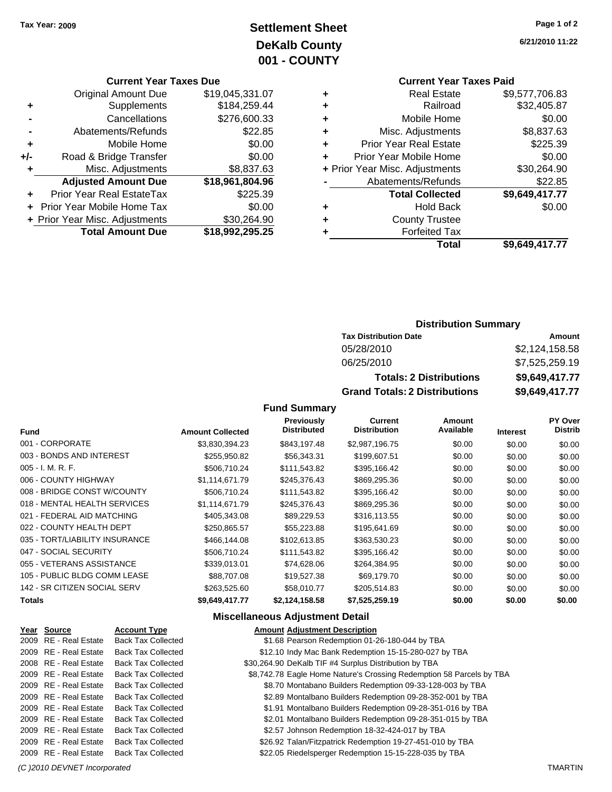# **Settlement Sheet Tax Year: 2009 Page 1 of 2 DeKalb County 001 - COUNTY**

### **Current Year Taxes Due**

| <b>Original Amount Due</b> | \$19,045,331.07                |
|----------------------------|--------------------------------|
| Supplements                | \$184,259.44                   |
| Cancellations              | \$276,600.33                   |
| Abatements/Refunds         | \$22.85                        |
| Mobile Home                | \$0.00                         |
| Road & Bridge Transfer     | \$0.00                         |
| Misc. Adjustments          | \$8,837.63                     |
| <b>Adjusted Amount Due</b> | \$18,961,804.96                |
| Prior Year Real EstateTax  | \$225.39                       |
| Prior Year Mobile Home Tax | \$0.00                         |
|                            | \$30,264.90                    |
| <b>Total Amount Due</b>    | \$18,992,295.25                |
|                            | + Prior Year Misc. Adjustments |

## **Current Year Taxes Paid +** Real Estate \$9,577,706.83

|   | Total                          | \$9,649,417.77       |
|---|--------------------------------|----------------------|
| ٠ | <b>Forfeited Tax</b>           |                      |
| ٠ | <b>County Trustee</b>          |                      |
| ٠ | <b>Hold Back</b>               | \$0.00               |
|   | <b>Total Collected</b>         | \$9,649,417.77       |
|   | Abatements/Refunds             | \$22.85              |
|   | + Prior Year Misc. Adjustments | \$30,264.90          |
| ٠ | Prior Year Mobile Home         | \$0.00               |
| ٠ | <b>Prior Year Real Estate</b>  | \$225.39             |
| ٠ | Misc. Adjustments              | \$8,837.63           |
| ٠ | Mobile Home                    | \$0.00               |
| ÷ | Railroad                       | \$32,405.87          |
|   |                                | <b>UU.UII.IUU.UU</b> |

## **Distribution Summary**

| <b>Tax Distribution Date</b>         | Amount         |
|--------------------------------------|----------------|
| 05/28/2010                           | \$2,124,158.58 |
| 06/25/2010                           | \$7,525,259.19 |
| <b>Totals: 2 Distributions</b>       | \$9.649,417.77 |
| <b>Grand Totals: 2 Distributions</b> | \$9,649,417.77 |

## **Fund Summary**

| <b>Fund</b>                    | <b>Amount Collected</b> | Previously<br><b>Distributed</b> | Current<br><b>Distribution</b> | Amount<br>Available | <b>Interest</b> | <b>PY Over</b><br><b>Distrib</b> |
|--------------------------------|-------------------------|----------------------------------|--------------------------------|---------------------|-----------------|----------------------------------|
| 001 - CORPORATE                | \$3,830,394.23          | \$843,197.48                     | \$2,987,196.75                 | \$0.00              | \$0.00          | \$0.00                           |
| 003 - BONDS AND INTEREST       | \$255,950.82            | \$56,343.31                      | \$199,607.51                   | \$0.00              | \$0.00          | \$0.00                           |
| 005 - I. M. R. F.              | \$506,710.24            | \$111,543.82                     | \$395,166.42                   | \$0.00              | \$0.00          | \$0.00                           |
| 006 - COUNTY HIGHWAY           | \$1,114,671.79          | \$245,376.43                     | \$869,295.36                   | \$0.00              | \$0.00          | \$0.00                           |
| 008 - BRIDGE CONST W/COUNTY    | \$506.710.24            | \$111,543.82                     | \$395,166.42                   | \$0.00              | \$0.00          | \$0.00                           |
| 018 - MENTAL HEALTH SERVICES   | \$1,114,671.79          | \$245,376.43                     | \$869,295.36                   | \$0.00              | \$0.00          | \$0.00                           |
| 021 - FEDERAL AID MATCHING     | \$405,343.08            | \$89,229.53                      | \$316,113.55                   | \$0.00              | \$0.00          | \$0.00                           |
| 022 - COUNTY HEALTH DEPT       | \$250,865.57            | \$55,223,88                      | \$195,641.69                   | \$0.00              | \$0.00          | \$0.00                           |
| 035 - TORT/LIABILITY INSURANCE | \$466,144.08            | \$102,613.85                     | \$363,530.23                   | \$0.00              | \$0.00          | \$0.00                           |
| 047 - SOCIAL SECURITY          | \$506,710.24            | \$111,543.82                     | \$395,166.42                   | \$0.00              | \$0.00          | \$0.00                           |
| 055 - VETERANS ASSISTANCE      | \$339.013.01            | \$74.628.06                      | \$264,384.95                   | \$0.00              | \$0.00          | \$0.00                           |
| 105 - PUBLIC BLDG COMM LEASE   | \$88,707.08             | \$19,527.38                      | \$69,179.70                    | \$0.00              | \$0.00          | \$0.00                           |
| 142 - SR CITIZEN SOCIAL SERV   | \$263,525.60            | \$58,010.77                      | \$205,514.83                   | \$0.00              | \$0.00          | \$0.00                           |
| <b>Totals</b>                  | \$9,649,417.77          | \$2,124,158.58                   | \$7,525,259.19                 | \$0.00              | \$0.00          | \$0.00                           |

## **Miscellaneous Adjustment Detail**

| Year Source           | <b>Account Type</b>       | <b>Amount Adjustment Description</b>                                 |  |
|-----------------------|---------------------------|----------------------------------------------------------------------|--|
| 2009 RE - Real Estate | <b>Back Tax Collected</b> | \$1.68 Pearson Redemption 01-26-180-044 by TBA                       |  |
| 2009 RE - Real Estate | <b>Back Tax Collected</b> | \$12.10 Indy Mac Bank Redemption 15-15-280-027 by TBA                |  |
| 2008 RE - Real Estate | <b>Back Tax Collected</b> | \$30,264.90 DeKalb TIF #4 Surplus Distribution by TBA                |  |
| 2009 RE - Real Estate | <b>Back Tax Collected</b> | \$8,742.78 Eagle Home Nature's Crossing Redemption 58 Parcels by TBA |  |
| 2009 RE - Real Estate | <b>Back Tax Collected</b> | \$8.70 Montabano Builders Redemption 09-33-128-003 by TBA            |  |
| 2009 RE - Real Estate | <b>Back Tax Collected</b> | \$2.89 Montalbano Builders Redemption 09-28-352-001 by TBA           |  |
| 2009 RE - Real Estate | <b>Back Tax Collected</b> | \$1.91 Montalbano Builders Redemption 09-28-351-016 by TBA           |  |
| 2009 RE - Real Estate | <b>Back Tax Collected</b> | \$2.01 Montalbano Builders Redemption 09-28-351-015 by TBA           |  |
| 2009 RE - Real Estate | <b>Back Tax Collected</b> | \$2.57 Johnson Redemption 18-32-424-017 by TBA                       |  |
| 2009 RE - Real Estate | <b>Back Tax Collected</b> | \$26.92 Talan/Fitzpatrick Redemption 19-27-451-010 by TBA            |  |
| 2009 RE - Real Estate | <b>Back Tax Collected</b> | \$22.05 Riedelsperger Redemption 15-15-228-035 by TBA                |  |
|                       |                           |                                                                      |  |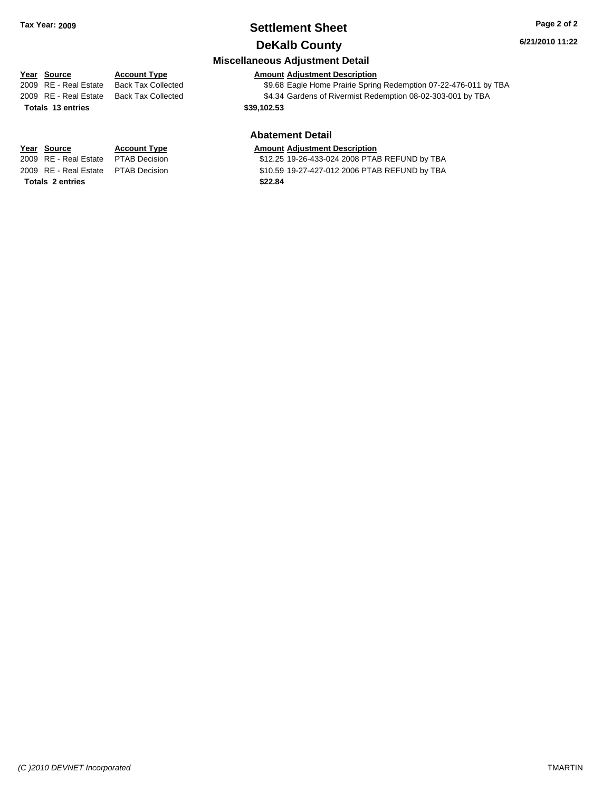# **Settlement Sheet Tax Year: 2009 Page 2 of 2**

## **DeKalb County**

**Miscellaneous Adjustment Detail**

**6/21/2010 11:22**

## **Year Source Account Type Amount Adjustment Description**

2009 RE - Real Estate Back Tax Collected \$9.68 Eagle Home Prairie Spring Redemption 07-22-476-011 by TBA 2009 RE - Real Estate Back Tax Collected \$4.34 Gardens of Rivermist Redemption 08-02-303-001 by TBA

# **Totals \$39,102.53 13 entries**

## **Abatement Detail**

### **Year Source Account Type Amount Adjustment Description**

2009 RE - Real Estate \$12.25 19-26-433-024 2008 PTAB REFUND by TBA PTAB Decision 2009 RE - Real Estate \$10.59 19-27-427-012 2006 PTAB REFUND by TBA PTAB Decision

**Totals \$22.84 2 entries**

*(C )2010 DEVNET Incorporated* TMARTIN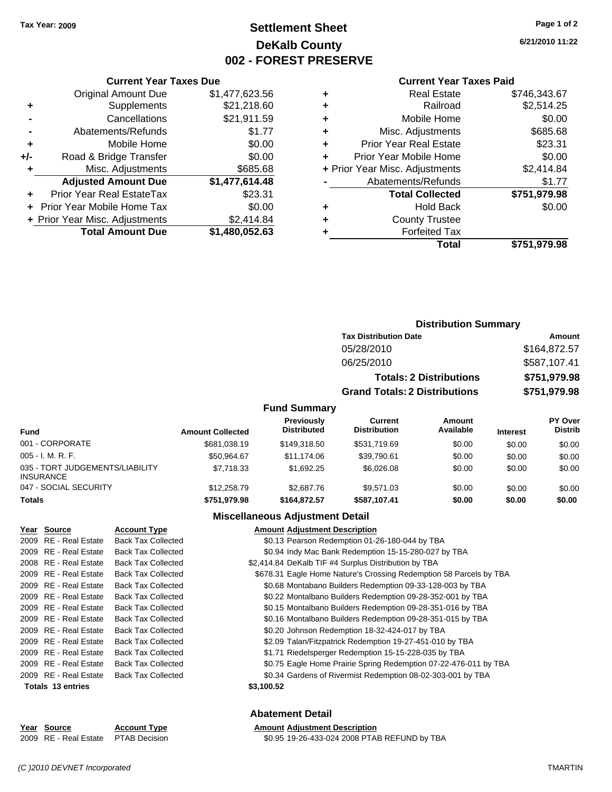## **Settlement Sheet Tax Year: 2009 Page 1 of 2 DeKalb County 002 - FOREST PRESERVE**

**6/21/2010 11:22**

### **Current Year Taxes Paid**

|     | <b>Current Year Taxes Due</b>  |                |
|-----|--------------------------------|----------------|
|     | <b>Original Amount Due</b>     | \$1,477,623.56 |
| ٠   | Supplements                    | \$21,218.60    |
|     | Cancellations                  | \$21,911.59    |
|     | Abatements/Refunds             | \$1.77         |
| ٠   | Mobile Home                    | \$0.00         |
| +/- | Road & Bridge Transfer         | \$0.00         |
| ٠   | Misc. Adjustments              | \$685.68       |
|     | <b>Adjusted Amount Due</b>     | \$1,477,614.48 |
| ٠   | Prior Year Real EstateTax      | \$23.31        |
|     | Prior Year Mobile Home Tax     | \$0.00         |
|     | + Prior Year Misc. Adjustments | \$2,414.84     |
|     | <b>Total Amount Due</b>        | \$1,480,052.63 |
|     |                                |                |

|   | <b>Real Estate</b>             | \$746,343.67 |
|---|--------------------------------|--------------|
| ٠ | Railroad                       | \$2,514.25   |
| ٠ | Mobile Home                    | \$0.00       |
| ٠ | Misc. Adjustments              | \$685.68     |
| ٠ | <b>Prior Year Real Estate</b>  | \$23.31      |
|   | Prior Year Mobile Home         | \$0.00       |
|   | + Prior Year Misc. Adjustments | \$2,414.84   |
|   | Abatements/Refunds             | \$1.77       |
|   | <b>Total Collected</b>         | \$751,979.98 |
| ٠ | <b>Hold Back</b>               | \$0.00       |
|   | <b>County Trustee</b>          |              |
|   | <b>Forfeited Tax</b>           |              |
|   | Total                          | \$751,979.98 |
|   |                                |              |

### **Distribution Summary Tax Distribution Date Amount**

| 05/28/2010                           | \$164,872.57 |
|--------------------------------------|--------------|
| 06/25/2010                           | \$587,107.41 |
| <b>Totals: 2 Distributions</b>       | \$751,979.98 |
| <b>Grand Totals: 2 Distributions</b> | \$751,979.98 |

## **Fund Summary**

| Fund                                                | <b>Amount Collected</b> | Previously<br><b>Distributed</b> | Current<br><b>Distribution</b> | Amount<br>Available | <b>Interest</b> | <b>PY Over</b><br><b>Distrib</b> |
|-----------------------------------------------------|-------------------------|----------------------------------|--------------------------------|---------------------|-----------------|----------------------------------|
| 001 - CORPORATE                                     | \$681.038.19            | \$149.318.50                     | \$531.719.69                   | \$0.00              | \$0.00          | \$0.00                           |
| $005 - I. M. R. F.$                                 | \$50.964.67             | \$11.174.06                      | \$39.790.61                    | \$0.00              | \$0.00          | \$0.00                           |
| 035 - TORT JUDGEMENTS/LIABILITY<br><b>INSURANCE</b> | \$7.718.33              | \$1,692.25                       | \$6,026,08                     | \$0.00              | \$0.00          | \$0.00                           |
| 047 - SOCIAL SECURITY                               | \$12,258.79             | \$2,687.76                       | \$9.571.03                     | \$0.00              | \$0.00          | \$0.00                           |
| <b>Totals</b>                                       | \$751.979.98            | \$164,872.57                     | \$587.107.41                   | \$0.00              | \$0.00          | \$0.00                           |

## **Miscellaneous Adjustment Detail**

| Year Source           | <b>Account Type</b>       | <b>Amount Adjustment Description</b>                               |  |
|-----------------------|---------------------------|--------------------------------------------------------------------|--|
| 2009 RE - Real Estate | <b>Back Tax Collected</b> | \$0.13 Pearson Redemption 01-26-180-044 by TBA                     |  |
| 2009 RE - Real Estate | <b>Back Tax Collected</b> | \$0.94 Indy Mac Bank Redemption 15-15-280-027 by TBA               |  |
| 2008 RE - Real Estate | <b>Back Tax Collected</b> | \$2,414.84 DeKalb TIF #4 Surplus Distribution by TBA               |  |
| 2009 RE - Real Estate | <b>Back Tax Collected</b> | \$678.31 Eagle Home Nature's Crossing Redemption 58 Parcels by TBA |  |
| 2009 RE - Real Estate | <b>Back Tax Collected</b> | \$0.68 Montabano Builders Redemption 09-33-128-003 by TBA          |  |
| 2009 RE - Real Estate | <b>Back Tax Collected</b> | \$0.22 Montalbano Builders Redemption 09-28-352-001 by TBA         |  |
| 2009 RE - Real Estate | <b>Back Tax Collected</b> | \$0.15 Montalbano Builders Redemption 09-28-351-016 by TBA         |  |
| 2009 RE - Real Estate | <b>Back Tax Collected</b> | \$0.16 Montalbano Builders Redemption 09-28-351-015 by TBA         |  |
| 2009 RE - Real Estate | <b>Back Tax Collected</b> | \$0.20 Johnson Redemption 18-32-424-017 by TBA                     |  |
| 2009 RE - Real Estate | <b>Back Tax Collected</b> | \$2.09 Talan/Fitzpatrick Redemption 19-27-451-010 by TBA           |  |
| 2009 RE - Real Estate | <b>Back Tax Collected</b> | \$1.71 Riedelsperger Redemption 15-15-228-035 by TBA               |  |
| 2009 RE - Real Estate | <b>Back Tax Collected</b> | \$0.75 Eagle Home Prairie Spring Redemption 07-22-476-011 by TBA   |  |
| 2009 RE - Real Estate | <b>Back Tax Collected</b> | \$0.34 Gardens of Rivermist Redemption 08-02-303-001 by TBA        |  |
| Totals 13 entries     |                           | \$3,100.52                                                         |  |
|                       |                           |                                                                    |  |

| Year Source                         | <b>Account Type</b> | <b>Amount Adjustment Description</b>         |
|-------------------------------------|---------------------|----------------------------------------------|
| 2009 RE - Real Estate PTAB Decision |                     | \$0.95 19-26-433-024 2008 PTAB REFUND by TBA |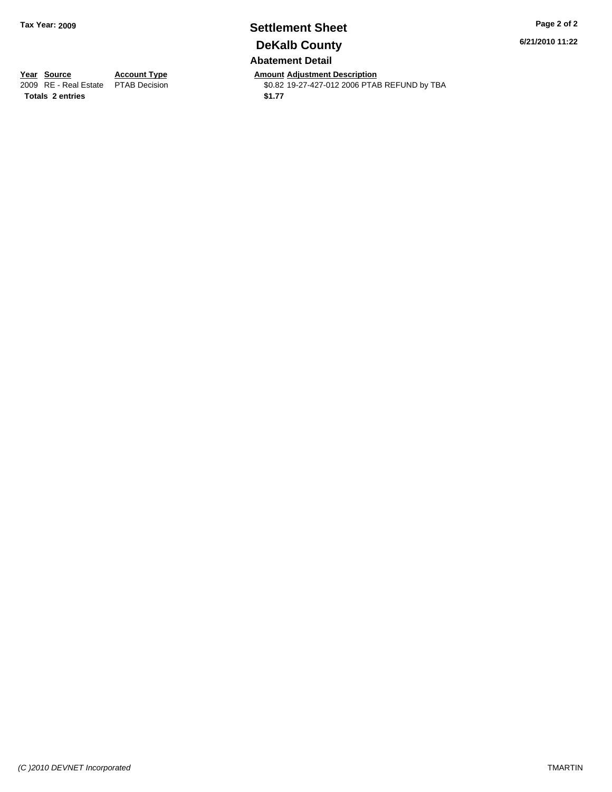## **Settlement Sheet Tax Year: 2009 Page 2 of 2 DeKalb County Abatement Detail**

**6/21/2010 11:22**

**Totals \$1.77 2 entries**

**Year Source Account Type Amount Adjustment Description**<br> **Amount Adjustment Description**<br> **Amount Adjustment Description**<br> **Amount Adjustment Description** \$0.82 19-27-427-012 2006 PTAB REFUND by TBA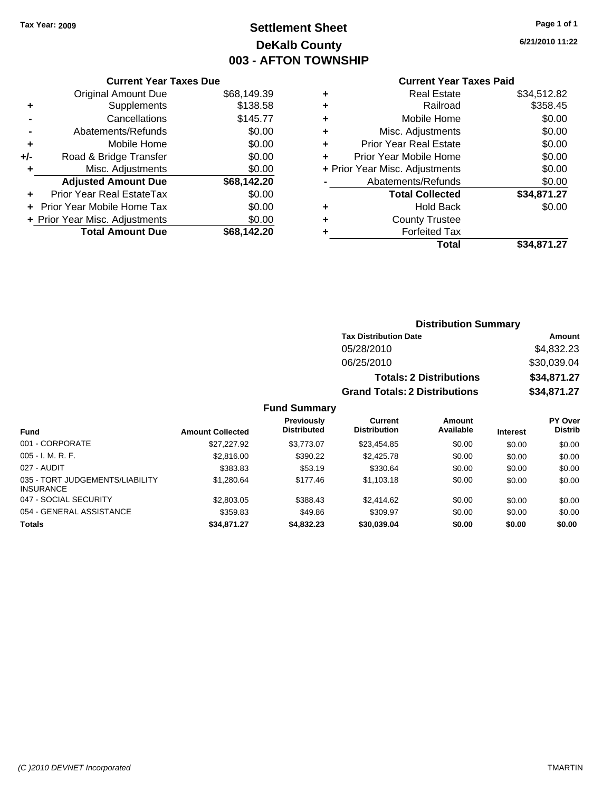# **Settlement Sheet Tax Year: 2009 Page 1 of 1 DeKalb County 003 - AFTON TOWNSHIP**

**6/21/2010 11:22**

### **Current Year Taxes Paid**

| <b>Current Year Taxes Due</b> |  |  |  |  |
|-------------------------------|--|--|--|--|
| \$68,149.39                   |  |  |  |  |
| \$138.58                      |  |  |  |  |
| \$145.77                      |  |  |  |  |
| \$0.00                        |  |  |  |  |
| \$0.00                        |  |  |  |  |
| \$0.00                        |  |  |  |  |
| \$0.00                        |  |  |  |  |
| \$68,142.20                   |  |  |  |  |
| \$0.00                        |  |  |  |  |
| \$0.00                        |  |  |  |  |
| \$0.00                        |  |  |  |  |
| \$68.142.20                   |  |  |  |  |
|                               |  |  |  |  |

|   | Total                          | \$34,871.27 |
|---|--------------------------------|-------------|
|   | <b>Forfeited Tax</b>           |             |
| ٠ | <b>County Trustee</b>          |             |
| ٠ | <b>Hold Back</b>               | \$0.00      |
|   | <b>Total Collected</b>         | \$34,871.27 |
|   | Abatements/Refunds             | \$0.00      |
|   | + Prior Year Misc. Adjustments | \$0.00      |
| ٠ | Prior Year Mobile Home         | \$0.00      |
| ÷ | <b>Prior Year Real Estate</b>  | \$0.00      |
| ٠ | Misc. Adjustments              | \$0.00      |
| ÷ | Mobile Home                    | \$0.00      |
| ÷ | Railroad                       | \$358.45    |
| ٠ | <b>Real Estate</b>             | \$34,512.82 |
|   |                                |             |

### **Distribution Summary Tax Distribution Date Amount** 05/28/2010 \$4,832.23 06/25/2010 \$30,039.04 **Totals: 2 Distributions \$34,871.27 Grand Totals: 2 Distributions \$34,871.27 Fund Summary PY Over Amount Current Previously**

| <b>Fund</b>                                         | <b>Amount Collected</b> | <b>Previously</b><br><b>Distributed</b> | Current<br><b>Distribution</b> | Amount<br>Available | <b>Interest</b> | <b>PY Over</b><br><b>Distrib</b> |
|-----------------------------------------------------|-------------------------|-----------------------------------------|--------------------------------|---------------------|-----------------|----------------------------------|
| 001 - CORPORATE                                     | \$27,227.92             | \$3.773.07                              | \$23,454.85                    | \$0.00              | \$0.00          | \$0.00                           |
| $005 - I. M. R. F.$                                 | \$2,816.00              | \$390.22                                | \$2,425.78                     | \$0.00              | \$0.00          | \$0.00                           |
| 027 - AUDIT                                         | \$383.83                | \$53.19                                 | \$330.64                       | \$0.00              | \$0.00          | \$0.00                           |
| 035 - TORT JUDGEMENTS/LIABILITY<br><b>INSURANCE</b> | \$1,280.64              | \$177.46                                | \$1,103.18                     | \$0.00              | \$0.00          | \$0.00                           |
| 047 - SOCIAL SECURITY                               | \$2,803.05              | \$388.43                                | \$2,414.62                     | \$0.00              | \$0.00          | \$0.00                           |
| 054 - GENERAL ASSISTANCE                            | \$359.83                | \$49.86                                 | \$309.97                       | \$0.00              | \$0.00          | \$0.00                           |
| <b>Totals</b>                                       | \$34,871.27             | \$4,832.23                              | \$30,039.04                    | \$0.00              | \$0.00          | \$0.00                           |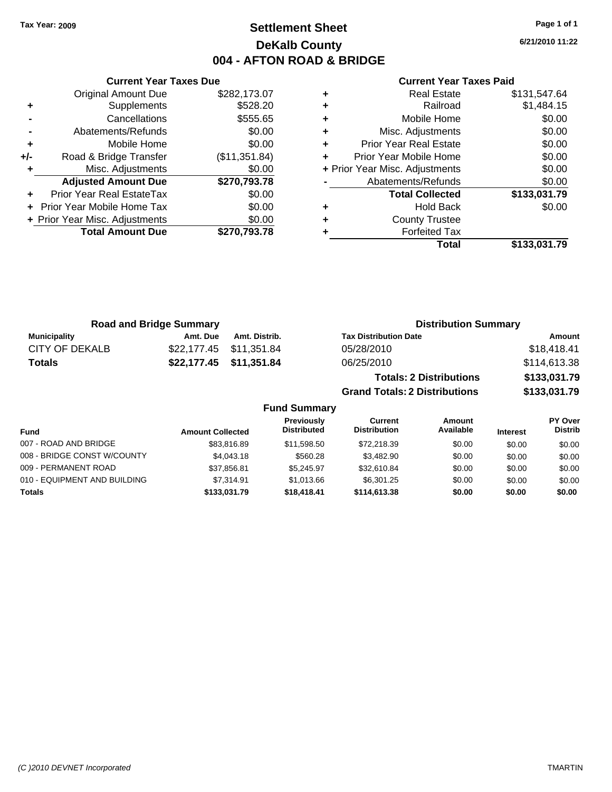## **Settlement Sheet Tax Year: 2009 Page 1 of 1 DeKalb County 004 - AFTON ROAD & BRIDGE**

**6/21/2010 11:22**

|     | <b>Current Year Taxes Due</b>  |               |
|-----|--------------------------------|---------------|
|     | <b>Original Amount Due</b>     | \$282,173.07  |
| ٠   | Supplements                    | \$528.20      |
|     | Cancellations                  | \$555.65      |
|     | Abatements/Refunds             | \$0.00        |
| ٠   | Mobile Home                    | \$0.00        |
| +/- | Road & Bridge Transfer         | (\$11,351.84) |
| ٠   | Misc. Adjustments              | \$0.00        |
|     | <b>Adjusted Amount Due</b>     | \$270,793.78  |
|     | Prior Year Real EstateTax      | \$0.00        |
|     | Prior Year Mobile Home Tax     | \$0.00        |
|     | + Prior Year Misc. Adjustments | \$0.00        |
|     | <b>Total Amount Due</b>        | \$270,793.78  |
|     |                                |               |

| <b>Real Estate</b>             | \$131,547.64 |
|--------------------------------|--------------|
| Railroad                       | \$1,484.15   |
| Mobile Home                    | \$0.00       |
| Misc. Adjustments              | \$0.00       |
| <b>Prior Year Real Estate</b>  | \$0.00       |
| Prior Year Mobile Home         | \$0.00       |
| + Prior Year Misc. Adjustments | \$0.00       |
| Abatements/Refunds             | \$0.00       |
| <b>Total Collected</b>         | \$133,031.79 |
| <b>Hold Back</b>               | \$0.00       |
| <b>County Trustee</b>          |              |
| <b>Forfeited Tax</b>           |              |
| Total                          | \$133,031.79 |
|                                |              |

| <b>Road and Bridge Summary</b> |          |                         | <b>Distribution Summary</b>          |              |  |  |
|--------------------------------|----------|-------------------------|--------------------------------------|--------------|--|--|
| <b>Municipality</b>            | Amt. Due | Amt. Distrib.           | <b>Tax Distribution Date</b>         | Amount       |  |  |
| <b>CITY OF DEKALB</b>          |          | \$22,177.45 \$11,351.84 | 05/28/2010                           | \$18,418.41  |  |  |
| <b>Totals</b>                  |          | \$22,177.45 \$11,351.84 | 06/25/2010                           | \$114,613.38 |  |  |
|                                |          |                         | <b>Totals: 2 Distributions</b>       | \$133,031.79 |  |  |
|                                |          |                         | <b>Grand Totals: 2 Distributions</b> | \$133,031.79 |  |  |

|                              |                         | <b>Fund Summary</b>                     |                                |                     |                 |                           |
|------------------------------|-------------------------|-----------------------------------------|--------------------------------|---------------------|-----------------|---------------------------|
| <b>Fund</b>                  | <b>Amount Collected</b> | <b>Previously</b><br><b>Distributed</b> | Current<br><b>Distribution</b> | Amount<br>Available | <b>Interest</b> | PY Over<br><b>Distrib</b> |
| 007 - ROAD AND BRIDGE        | \$83,816.89             | \$11.598.50                             | \$72,218.39                    | \$0.00              | \$0.00          | \$0.00                    |
| 008 - BRIDGE CONST W/COUNTY  | \$4,043.18              | \$560.28                                | \$3.482.90                     | \$0.00              | \$0.00          | \$0.00                    |
| 009 - PERMANENT ROAD         | \$37.856.81             | \$5.245.97                              | \$32,610.84                    | \$0.00              | \$0.00          | \$0.00                    |
| 010 - EQUIPMENT AND BUILDING | \$7.314.91              | \$1.013.66                              | \$6.301.25                     | \$0.00              | \$0.00          | \$0.00                    |
| Totals                       | \$133,031.79            | \$18,418,41                             | \$114,613,38                   | \$0.00              | \$0.00          | \$0.00                    |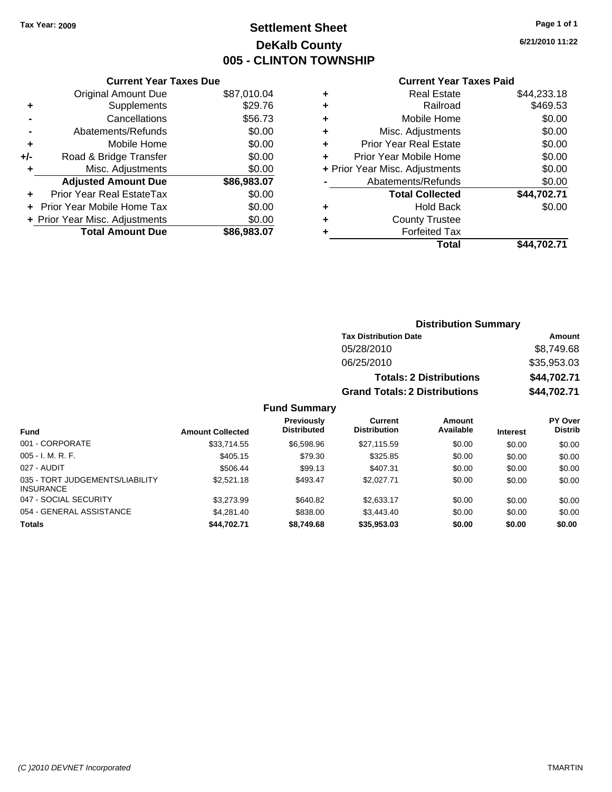## **Settlement Sheet Tax Year: 2009 Page 1 of 1 DeKalb County 005 - CLINTON TOWNSHIP**

**6/21/2010 11:22**

### **Current Year Taxes Paid**

| <b>Original Amount Due</b>     | \$87,010.04                   |
|--------------------------------|-------------------------------|
| Supplements                    | \$29.76                       |
| Cancellations                  | \$56.73                       |
| Abatements/Refunds             | \$0.00                        |
| Mobile Home                    | \$0.00                        |
| Road & Bridge Transfer         | \$0.00                        |
| Misc. Adjustments              | \$0.00                        |
| <b>Adjusted Amount Due</b>     | \$86,983.07                   |
| Prior Year Real EstateTax      | \$0.00                        |
| Prior Year Mobile Home Tax     | \$0.00                        |
| + Prior Year Misc. Adjustments | \$0.00                        |
| <b>Total Amount Due</b>        | \$86,983.07                   |
|                                | <b>Current Year Taxes Due</b> |

| ٠ | <b>Real Estate</b>             | \$44,233.18 |
|---|--------------------------------|-------------|
| ٠ | Railroad                       | \$469.53    |
| ٠ | Mobile Home                    | \$0.00      |
| ٠ | Misc. Adjustments              | \$0.00      |
| ٠ | Prior Year Real Estate         | \$0.00      |
| ٠ | Prior Year Mobile Home         | \$0.00      |
|   | + Prior Year Misc. Adjustments | \$0.00      |
|   | Abatements/Refunds             | \$0.00      |
|   | <b>Total Collected</b>         | \$44,702.71 |
| ٠ | <b>Hold Back</b>               | \$0.00      |
| ٠ | <b>County Trustee</b>          |             |
| ٠ | <b>Forfeited Tax</b>           |             |
|   | Total                          | \$44,702.71 |
|   |                                |             |

## **Distribution Summary Tax Distribution Date Amount** 05/28/2010 \$8,749.68 06/25/2010 \$35,953.03 **Totals: 2 Distributions \$44,702.71 Grand Totals: 2 Distributions \$44,702.71 Fund Summary**

| <b>Amount Collected</b> | <b>Previously</b><br><b>Distributed</b> | <b>Current</b><br><b>Distribution</b> | Amount<br>Available | <b>Interest</b> | <b>PY Over</b><br><b>Distrib</b> |
|-------------------------|-----------------------------------------|---------------------------------------|---------------------|-----------------|----------------------------------|
| \$33,714.55             | \$6,598.96                              | \$27,115.59                           | \$0.00              | \$0.00          | \$0.00                           |
| \$405.15                | \$79.30                                 | \$325.85                              | \$0.00              | \$0.00          | \$0.00                           |
| \$506.44                | \$99.13                                 | \$407.31                              | \$0.00              | \$0.00          | \$0.00                           |
| \$2,521.18              | \$493.47                                | \$2,027.71                            | \$0.00              | \$0.00          | \$0.00                           |
| \$3,273.99              | \$640.82                                | \$2,633.17                            | \$0.00              | \$0.00          | \$0.00                           |
| \$4,281.40              | \$838.00                                | \$3,443.40                            | \$0.00              | \$0.00          | \$0.00                           |
| \$44.702.71             | \$8,749.68                              | \$35,953.03                           | \$0.00              | \$0.00          | \$0.00                           |
|                         |                                         |                                       |                     |                 |                                  |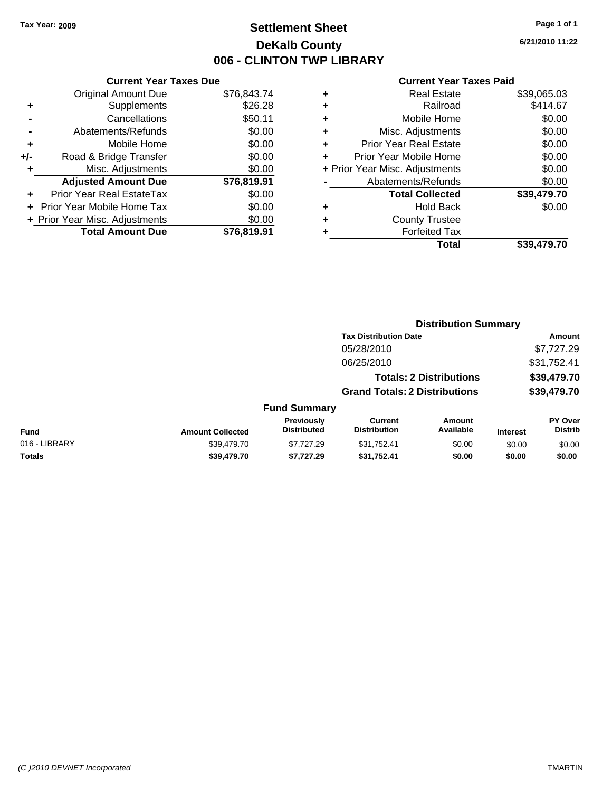## **Settlement Sheet Tax Year: 2009 Page 1 of 1 DeKalb County 006 - CLINTON TWP LIBRARY**

**6/21/2010 11:22**

| <b>Current Year Taxes Due</b>     |                                |
|-----------------------------------|--------------------------------|
| <b>Original Amount Due</b>        | \$76,843.74                    |
| Supplements                       | \$26.28                        |
| Cancellations                     | \$50.11                        |
| Abatements/Refunds                | \$0.00                         |
| Mobile Home                       | \$0.00                         |
| Road & Bridge Transfer            | \$0.00                         |
| Misc. Adjustments                 | \$0.00                         |
| <b>Adjusted Amount Due</b>        | \$76,819.91                    |
| Prior Year Real EstateTax         | \$0.00                         |
| <b>Prior Year Mobile Home Tax</b> | \$0.00                         |
|                                   | \$0.00                         |
| <b>Total Amount Due</b>           | \$76.819.91                    |
|                                   | + Prior Year Misc. Adjustments |

|   | <b>Current Year Taxes Paid</b> |             |
|---|--------------------------------|-------------|
| ٠ | <b>Real Estate</b>             | \$39,065.03 |
| ٠ | Railroad                       | \$414.67    |
| ٠ | Mobile Home                    | \$0.00      |
| ٠ | Misc. Adjustments              | \$0.00      |
| ٠ | <b>Prior Year Real Estate</b>  | \$0.00      |
| ٠ | Prior Year Mobile Home         | \$0.00      |
|   | + Prior Year Misc. Adjustments | \$0.00      |
|   | Abatements/Refunds             | \$0.00      |
|   | <b>Total Collected</b>         | \$39,479.70 |
| ٠ | <b>Hold Back</b>               | \$0.00      |
| ٠ | <b>County Trustee</b>          |             |
| ٠ | <b>Forfeited Tax</b>           |             |
|   | Total                          | \$39,479.70 |

|               |                         |                                  |                                       | <b>Distribution Summary</b>    |                 |                           |  |
|---------------|-------------------------|----------------------------------|---------------------------------------|--------------------------------|-----------------|---------------------------|--|
|               |                         |                                  | <b>Tax Distribution Date</b>          |                                |                 | Amount                    |  |
|               |                         |                                  | 05/28/2010                            |                                |                 | \$7,727.29                |  |
|               |                         |                                  | 06/25/2010                            |                                |                 | \$31,752.41               |  |
|               |                         |                                  |                                       | <b>Totals: 2 Distributions</b> |                 | \$39,479.70               |  |
|               |                         |                                  | <b>Grand Totals: 2 Distributions</b>  |                                |                 | \$39,479.70               |  |
|               |                         | <b>Fund Summary</b>              |                                       |                                |                 |                           |  |
| <b>Fund</b>   | <b>Amount Collected</b> | Previously<br><b>Distributed</b> | <b>Current</b><br><b>Distribution</b> | Amount<br>Available            | <b>Interest</b> | PY Over<br><b>Distrib</b> |  |
| 016 - LIBRARY | \$39,479.70             | \$7,727.29                       | \$31,752.41                           | \$0.00                         | \$0.00          | \$0.00                    |  |
| Totals        | \$39,479.70             | \$7,727.29                       | \$31,752.41                           | \$0.00                         | \$0.00          | \$0.00                    |  |
|               |                         |                                  |                                       |                                |                 |                           |  |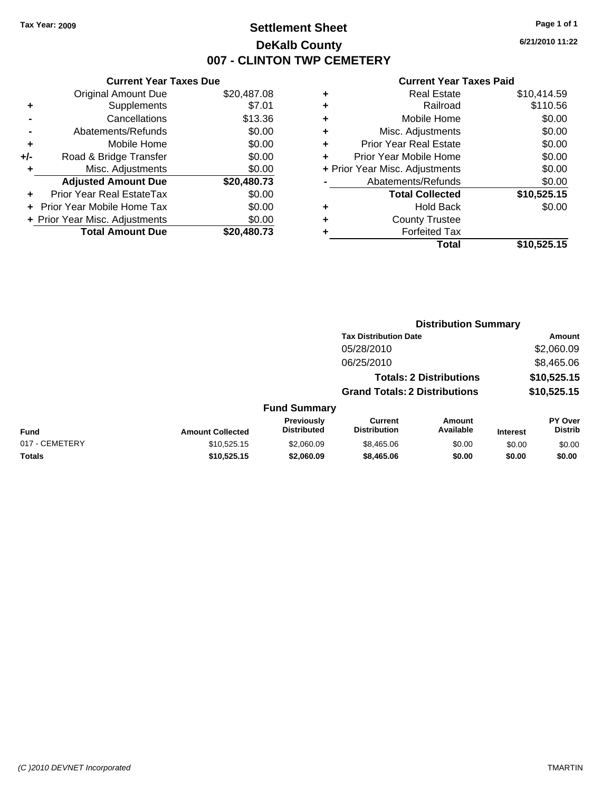## **Settlement Sheet Tax Year: 2009 Page 1 of 1 DeKalb County 007 - CLINTON TWP CEMETERY**

## **6/21/2010 11:22**

| <b>Current Year Taxes Paid</b> |  |  |  |
|--------------------------------|--|--|--|
|--------------------------------|--|--|--|

| <b>Current Year Taxes Due</b>  |             |
|--------------------------------|-------------|
| <b>Original Amount Due</b>     | \$20,487.08 |
| Supplements                    | \$7.01      |
| Cancellations                  | \$13.36     |
| Abatements/Refunds             | \$0.00      |
| Mobile Home                    | \$0.00      |
| Road & Bridge Transfer         | \$0.00      |
| Misc. Adjustments              | \$0.00      |
| <b>Adjusted Amount Due</b>     | \$20,480.73 |
| Prior Year Real EstateTax      | \$0.00      |
| Prior Year Mobile Home Tax     | \$0.00      |
| + Prior Year Misc. Adjustments | \$0.00      |
| <b>Total Amount Due</b>        | \$20,480.73 |
|                                |             |

| ٠ | <b>Real Estate</b>             | \$10,414.59 |
|---|--------------------------------|-------------|
| ٠ | Railroad                       | \$110.56    |
| ٠ | Mobile Home                    | \$0.00      |
| ٠ | Misc. Adjustments              | \$0.00      |
| ÷ | <b>Prior Year Real Estate</b>  | \$0.00      |
| ÷ | Prior Year Mobile Home         | \$0.00      |
|   | + Prior Year Misc. Adjustments | \$0.00      |
|   | Abatements/Refunds             | \$0.00      |
|   | <b>Total Collected</b>         | \$10,525.15 |
| ٠ | <b>Hold Back</b>               | \$0.00      |
| ٠ | <b>County Trustee</b>          |             |
| ٠ | <b>Forfeited Tax</b>           |             |
|   | Total                          | \$10,525.15 |
|   |                                |             |

|                |                         |                                  |                                       | <b>Distribution Summary</b>    |                 |                                  |
|----------------|-------------------------|----------------------------------|---------------------------------------|--------------------------------|-----------------|----------------------------------|
|                |                         |                                  | <b>Tax Distribution Date</b>          |                                |                 | Amount                           |
|                |                         |                                  | 05/28/2010                            |                                |                 | \$2,060.09                       |
|                |                         |                                  | 06/25/2010                            |                                |                 | \$8,465.06                       |
|                |                         |                                  |                                       | <b>Totals: 2 Distributions</b> |                 | \$10,525.15                      |
|                |                         |                                  | <b>Grand Totals: 2 Distributions</b>  |                                |                 | \$10,525.15                      |
|                |                         | <b>Fund Summary</b>              |                                       |                                |                 |                                  |
| <b>Fund</b>    | <b>Amount Collected</b> | Previously<br><b>Distributed</b> | <b>Current</b><br><b>Distribution</b> | Amount<br>Available            | <b>Interest</b> | <b>PY Over</b><br><b>Distrib</b> |
| 017 - CEMETERY | \$10,525.15             | \$2,060.09                       | \$8,465.06                            | \$0.00                         | \$0.00          | \$0.00                           |
| Totals         | \$10,525.15             | \$2,060.09                       | \$8,465.06                            | \$0.00                         | \$0.00          | \$0.00                           |
|                |                         |                                  |                                       |                                |                 |                                  |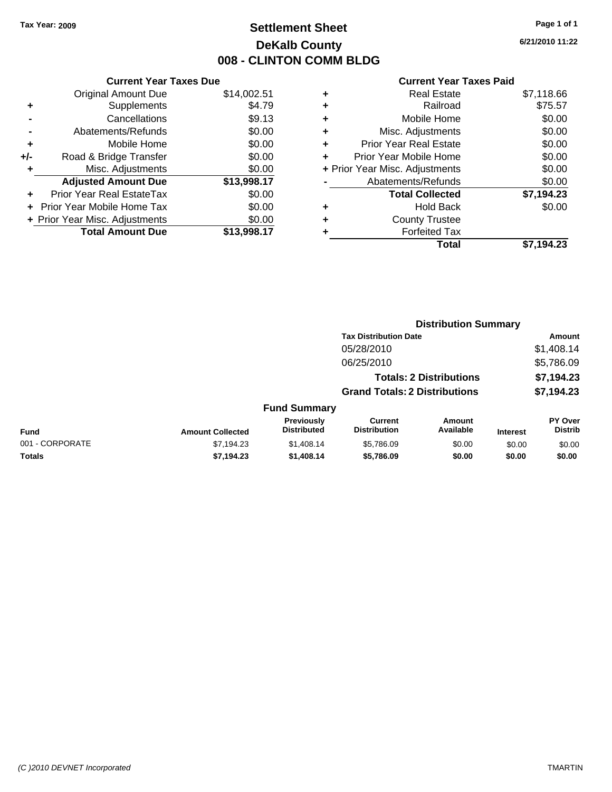## **Settlement Sheet Tax Year: 2009 Page 1 of 1 DeKalb County 008 - CLINTON COMM BLDG**

**6/21/2010 11:22**

|     | <b>Current Year Taxes Due</b>  |             |
|-----|--------------------------------|-------------|
|     | <b>Original Amount Due</b>     | \$14,002.51 |
| ٠   | Supplements                    | \$4.79      |
|     | Cancellations                  | \$9.13      |
|     | Abatements/Refunds             | \$0.00      |
| ٠   | Mobile Home                    | \$0.00      |
| +/- | Road & Bridge Transfer         | \$0.00      |
| ٠   | Misc. Adjustments              | \$0.00      |
|     | <b>Adjusted Amount Due</b>     | \$13,998.17 |
| ÷   | Prior Year Real EstateTax      | \$0.00      |
|     | Prior Year Mobile Home Tax     | \$0.00      |
|     | + Prior Year Misc. Adjustments | \$0.00      |
|     | <b>Total Amount Due</b>        | \$13,998.17 |
|     |                                |             |

|   | <b>Real Estate</b>             | \$7,118.66 |
|---|--------------------------------|------------|
| ٠ | Railroad                       | \$75.57    |
| ٠ | Mobile Home                    | \$0.00     |
| ٠ | Misc. Adjustments              | \$0.00     |
| ٠ | <b>Prior Year Real Estate</b>  | \$0.00     |
|   | Prior Year Mobile Home         | \$0.00     |
|   | + Prior Year Misc. Adjustments | \$0.00     |
|   | Abatements/Refunds             | \$0.00     |
|   | <b>Total Collected</b>         | \$7,194.23 |
| ٠ | <b>Hold Back</b>               | \$0.00     |
| ٠ | <b>County Trustee</b>          |            |
| ٠ | <b>Forfeited Tax</b>           |            |
|   | Total                          | \$7.194.23 |
|   |                                |            |

|                         |                                  |                                       | <b>Distribution Summary</b> |                                                                                                        |                           |
|-------------------------|----------------------------------|---------------------------------------|-----------------------------|--------------------------------------------------------------------------------------------------------|---------------------------|
|                         |                                  |                                       |                             |                                                                                                        | Amount                    |
|                         |                                  | 05/28/2010                            |                             |                                                                                                        | \$1,408.14                |
|                         |                                  | 06/25/2010                            |                             |                                                                                                        | \$5,786.09                |
|                         |                                  |                                       |                             |                                                                                                        | \$7,194.23                |
|                         |                                  |                                       |                             |                                                                                                        | \$7,194.23                |
|                         |                                  |                                       |                             |                                                                                                        |                           |
| <b>Amount Collected</b> | Previously<br><b>Distributed</b> | <b>Current</b><br><b>Distribution</b> | <b>Amount</b><br>Available  | <b>Interest</b>                                                                                        | PY Over<br><b>Distrib</b> |
| \$7,194.23              | \$1,408.14                       | \$5,786.09                            | \$0.00                      | \$0.00                                                                                                 | \$0.00                    |
| \$7,194.23              | \$1,408.14                       | \$5,786.09                            | \$0.00                      | \$0.00                                                                                                 | \$0.00                    |
|                         |                                  |                                       | <b>Fund Summary</b>         | <b>Tax Distribution Date</b><br><b>Totals: 2 Distributions</b><br><b>Grand Totals: 2 Distributions</b> |                           |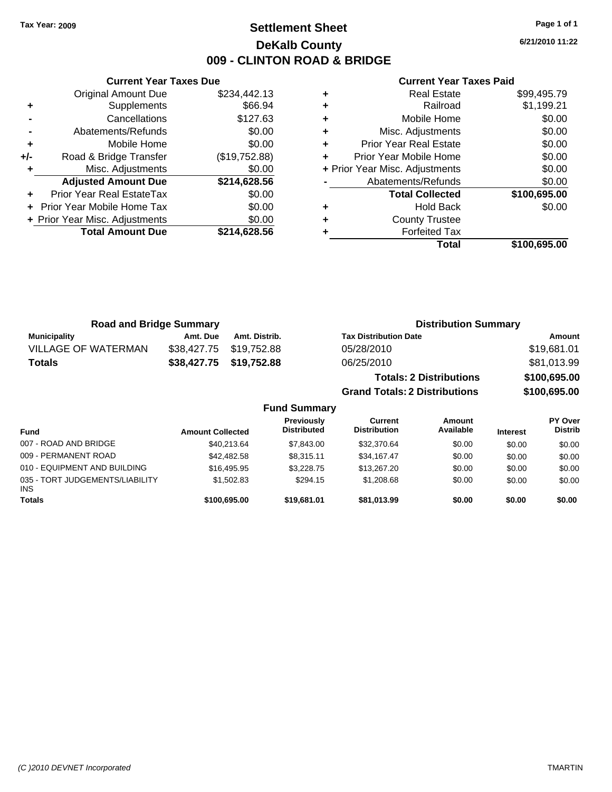## **Settlement Sheet Tax Year: 2009 Page 1 of 1 DeKalb County 009 - CLINTON ROAD & BRIDGE**

**6/21/2010 11:22**

| Curr                   |   |               | <b>Current Year Taxes Due</b>  |       |
|------------------------|---|---------------|--------------------------------|-------|
| Re                     | ٠ | \$234,442.13  | <b>Original Amount Due</b>     |       |
|                        | ٠ | \$66.94       | Supplements                    | ٠     |
| Mob                    | ٠ | \$127.63      | Cancellations                  |       |
| Misc. Adj              |   | \$0.00        | Abatements/Refunds             |       |
| Prior Year Re          |   | \$0.00        | Mobile Home                    | ٠     |
| Prior Year Mob         |   | (\$19,752.88) | Road & Bridge Transfer         | $+/-$ |
| + Prior Year Misc. Adj |   | \$0.00        | Misc. Adjustments              |       |
| Abatements             |   | \$214,628.56  | <b>Adjusted Amount Due</b>     |       |
| <b>Total C</b>         |   | \$0.00        | Prior Year Real EstateTax      |       |
| h                      | ٠ | \$0.00        | + Prior Year Mobile Home Tax   |       |
| Count                  | ٠ | \$0.00        | + Prior Year Misc. Adjustments |       |
| Forf                   |   | \$214,628.56  | <b>Total Amount Due</b>        |       |
|                        |   |               |                                |       |

|   | Total                          | \$100,695.00 |
|---|--------------------------------|--------------|
|   | <b>Forfeited Tax</b>           |              |
|   | <b>County Trustee</b>          |              |
| ٠ | <b>Hold Back</b>               | \$0.00       |
|   | <b>Total Collected</b>         | \$100,695.00 |
|   | Abatements/Refunds             | \$0.00       |
|   | + Prior Year Misc. Adjustments | \$0.00       |
|   | Prior Year Mobile Home         | \$0.00       |
| ٠ | <b>Prior Year Real Estate</b>  | \$0.00       |
| ÷ | Misc. Adjustments              | \$0.00       |
|   | Mobile Home                    | \$0.00       |
|   | Railroad                       | \$1,199.21   |
| ٠ | <b>Real Estate</b>             | \$99,495.79  |

| <b>Road and Bridge Summary</b> |                                         |                                         |                                      | <b>Distribution Summary</b>    |                   |                           |  |
|--------------------------------|-----------------------------------------|-----------------------------------------|--------------------------------------|--------------------------------|-------------------|---------------------------|--|
| <b>Municipality</b>            | Amt. Due                                | Amt. Distrib.                           | <b>Tax Distribution Date</b>         |                                |                   | Amount                    |  |
| <b>VILLAGE OF WATERMAN</b>     | \$38,427,75                             | \$19,752.88                             | 05/28/2010                           |                                |                   | \$19,681.01               |  |
| <b>Totals</b>                  | \$38,427.75                             | \$19,752.88                             | 06/25/2010                           |                                |                   | \$81,013.99               |  |
|                                |                                         |                                         |                                      | <b>Totals: 2 Distributions</b> |                   | \$100,695.00              |  |
|                                |                                         |                                         | <b>Grand Totals: 2 Distributions</b> |                                |                   | \$100,695.00              |  |
|                                |                                         | <b>Fund Summary</b>                     |                                      |                                |                   |                           |  |
| . <b>.</b>                     | A constant $\mathbf{A}$ of the standard | <b>Previously</b><br><b>Dictributed</b> | Current<br><b>Distribution</b>       | <b>Amount</b><br>Availahle     | the discussion of | PY Over<br><b>Dictrib</b> |  |

| Fund                                   | <b>Amount Collected</b> | <b>Distributed</b> | <b>Distribution</b> | Available | <b>Interest</b> | <b>Distrib</b> |
|----------------------------------------|-------------------------|--------------------|---------------------|-----------|-----------------|----------------|
| 007 - ROAD AND BRIDGE                  | \$40.213.64             | \$7.843.00         | \$32,370.64         | \$0.00    | \$0.00          | \$0.00         |
| 009 - PERMANENT ROAD                   | \$42,482.58             | \$8.315.11         | \$34,167,47         | \$0.00    | \$0.00          | \$0.00         |
| 010 - EQUIPMENT AND BUILDING           | \$16,495.95             | \$3,228,75         | \$13,267.20         | \$0.00    | \$0.00          | \$0.00         |
| 035 - TORT JUDGEMENTS/LIABILITY<br>INS | \$1,502.83              | \$294.15           | \$1,208.68          | \$0.00    | \$0.00          | \$0.00         |
| Totals                                 | \$100,695.00            | \$19,681.01        | \$81,013.99         | \$0.00    | \$0.00          | \$0.00         |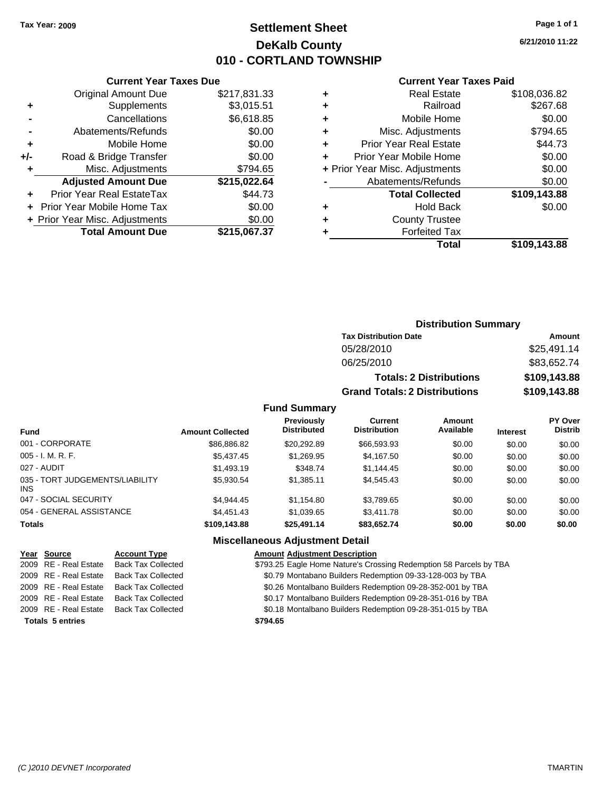## **Settlement Sheet Tax Year: 2009 Page 1 of 1 DeKalb County 010 - CORTLAND TOWNSHIP**

**6/21/2010 11:22**

### **Current Year Taxes Paid**

|       | <b>Original Amount Due</b>     | \$217,831.33 |
|-------|--------------------------------|--------------|
| ٠     | Supplements                    | \$3,015.51   |
|       | Cancellations                  | \$6,618.85   |
|       | Abatements/Refunds             | \$0.00       |
| ٠     | Mobile Home                    | \$0.00       |
| $+/-$ | Road & Bridge Transfer         | \$0.00       |
| ٠     | Misc. Adjustments              | \$794.65     |
|       | <b>Adjusted Amount Due</b>     | \$215,022.64 |
|       | Prior Year Real EstateTax      | \$44.73      |
|       | Prior Year Mobile Home Tax     | \$0.00       |
|       | + Prior Year Misc. Adjustments | \$0.00       |
|       | <b>Total Amount Due</b>        | \$215,067.37 |
|       |                                |              |

**Current Year Taxes Due**

| ٠ | <b>Real Estate</b>             | \$108,036.82 |
|---|--------------------------------|--------------|
| ٠ | Railroad                       | \$267.68     |
| ٠ | Mobile Home                    | \$0.00       |
| ٠ | Misc. Adjustments              | \$794.65     |
| ٠ | <b>Prior Year Real Estate</b>  | \$44.73      |
|   | Prior Year Mobile Home         | \$0.00       |
|   | + Prior Year Misc. Adjustments | \$0.00       |
|   | Abatements/Refunds             | \$0.00       |
|   | <b>Total Collected</b>         | \$109,143.88 |
| ٠ | Hold Back                      | \$0.00       |
| ٠ | <b>County Trustee</b>          |              |
| ٠ | <b>Forfeited Tax</b>           |              |
|   | Total                          | \$109,143.88 |
|   |                                |              |

## **Distribution Summary Tax Distribution Date Amount** 05/28/2010 \$25,491.14 06/25/2010 \$83,652.74 **Totals: 2 Distributions \$109,143.88 Grand Totals: 2 Distributions \$109,143.88**

## **Fund Summary**

| <b>Fund</b>                            | <b>Amount Collected</b> | <b>Previously</b><br><b>Distributed</b> | Current<br><b>Distribution</b> | Amount<br>Available | <b>Interest</b> | <b>PY Over</b><br><b>Distrib</b> |
|----------------------------------------|-------------------------|-----------------------------------------|--------------------------------|---------------------|-----------------|----------------------------------|
| 001 - CORPORATE                        | \$86,886.82             | \$20.292.89                             | \$66,593,93                    | \$0.00              | \$0.00          | \$0.00                           |
| $005 - I. M. R. F.$                    | \$5,437.45              | \$1,269.95                              | \$4,167.50                     | \$0.00              | \$0.00          | \$0.00                           |
| 027 - AUDIT                            | \$1,493.19              | \$348.74                                | \$1,144.45                     | \$0.00              | \$0.00          | \$0.00                           |
| 035 - TORT JUDGEMENTS/LIABILITY<br>INS | \$5,930.54              | \$1.385.11                              | \$4,545,43                     | \$0.00              | \$0.00          | \$0.00                           |
| 047 - SOCIAL SECURITY                  | \$4.944.45              | \$1.154.80                              | \$3,789.65                     | \$0.00              | \$0.00          | \$0.00                           |
| 054 - GENERAL ASSISTANCE               | \$4,451.43              | \$1.039.65                              | \$3,411.78                     | \$0.00              | \$0.00          | \$0.00                           |
| <b>Totals</b>                          | \$109,143.88            | \$25,491.14                             | \$83,652.74                    | \$0.00              | \$0.00          | \$0.00                           |

## **Miscellaneous Adjustment Detail**

| Year Source             | <b>Account Type</b>       | <b>Amount Adjustment Description</b>                               |
|-------------------------|---------------------------|--------------------------------------------------------------------|
| 2009 RE - Real Estate   | <b>Back Tax Collected</b> | \$793.25 Eagle Home Nature's Crossing Redemption 58 Parcels by TBA |
| 2009 RE - Real Estate   | <b>Back Tax Collected</b> | \$0.79 Montabano Builders Redemption 09-33-128-003 by TBA          |
| 2009 RE - Real Estate   | <b>Back Tax Collected</b> | \$0.26 Montalbano Builders Redemption 09-28-352-001 by TBA         |
| 2009 RE - Real Estate   | <b>Back Tax Collected</b> | \$0.17 Montalbano Builders Redemption 09-28-351-016 by TBA         |
| 2009 RE - Real Estate   | <b>Back Tax Collected</b> | \$0.18 Montalbano Builders Redemption 09-28-351-015 by TBA         |
| <b>Totals 5 entries</b> |                           | \$794.65                                                           |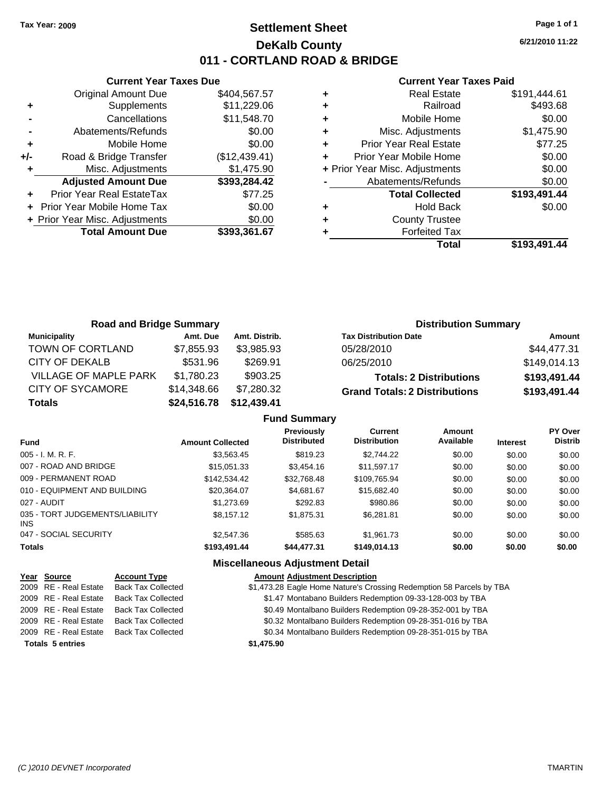## **Settlement Sheet Tax Year: 2009 Page 1 of 1 DeKalb County 011 - CORTLAND ROAD & BRIDGE**

**6/21/2010 11:22**

### **Current Year Taxes Paid**

|       | <b>Current Year Taxes Due</b>  |               |  |  |  |  |  |
|-------|--------------------------------|---------------|--|--|--|--|--|
|       | <b>Original Amount Due</b>     | \$404,567.57  |  |  |  |  |  |
| ٠     | Supplements                    | \$11,229.06   |  |  |  |  |  |
|       | Cancellations                  | \$11,548.70   |  |  |  |  |  |
|       | Abatements/Refunds             | \$0.00        |  |  |  |  |  |
| ٠     | Mobile Home                    | \$0.00        |  |  |  |  |  |
| $+/-$ | Road & Bridge Transfer         | (\$12,439.41) |  |  |  |  |  |
|       | Misc. Adjustments              | \$1,475.90    |  |  |  |  |  |
|       | <b>Adjusted Amount Due</b>     | \$393,284.42  |  |  |  |  |  |
|       | Prior Year Real EstateTax      | \$77.25       |  |  |  |  |  |
|       | Prior Year Mobile Home Tax     | \$0.00        |  |  |  |  |  |
|       | + Prior Year Misc. Adjustments | \$0.00        |  |  |  |  |  |
|       | <b>Total Amount Due</b>        | \$393,361.67  |  |  |  |  |  |
|       |                                |               |  |  |  |  |  |

|   | <b>Real Estate</b>             | \$191,444.61 |
|---|--------------------------------|--------------|
| ٠ | Railroad                       | \$493.68     |
| ٠ | Mobile Home                    | \$0.00       |
| ٠ | Misc. Adjustments              | \$1,475.90   |
| ٠ | <b>Prior Year Real Estate</b>  | \$77.25      |
|   | Prior Year Mobile Home         | \$0.00       |
|   | + Prior Year Misc. Adjustments | \$0.00       |
|   | Abatements/Refunds             | \$0.00       |
|   | <b>Total Collected</b>         | \$193,491.44 |
| ٠ | <b>Hold Back</b>               | \$0.00       |
| ٠ | <b>County Trustee</b>          |              |
|   | <b>Forfeited Tax</b>           |              |
|   | Total                          | \$193,491.44 |

| <b>Road and Bridge Summary</b> |             |               | <b>Distribution Summary</b>          |              |  |  |
|--------------------------------|-------------|---------------|--------------------------------------|--------------|--|--|
| <b>Municipality</b>            | Amt. Due    | Amt. Distrib. | <b>Tax Distribution Date</b>         | Amount       |  |  |
| TOWN OF CORTLAND               | \$7,855.93  | \$3.985.93    | 05/28/2010                           | \$44,477.31  |  |  |
| CITY OF DEKALB                 | \$531.96    | \$269.91      | 06/25/2010                           | \$149,014.13 |  |  |
| <b>VILLAGE OF MAPLE PARK</b>   | \$1,780.23  | \$903.25      | <b>Totals: 2 Distributions</b>       | \$193,491.44 |  |  |
| <b>CITY OF SYCAMORE</b>        | \$14,348.66 | \$7,280.32    | <b>Grand Totals: 2 Distributions</b> | \$193,491.44 |  |  |
| <b>Totals</b>                  | \$24,516.78 | \$12,439.41   |                                      |              |  |  |

|                                         |                         | <b>Fund Summary</b>                     |                                       |                     |                 |                                  |
|-----------------------------------------|-------------------------|-----------------------------------------|---------------------------------------|---------------------|-----------------|----------------------------------|
| <b>Fund</b>                             | <b>Amount Collected</b> | <b>Previously</b><br><b>Distributed</b> | <b>Current</b><br><b>Distribution</b> | Amount<br>Available | <b>Interest</b> | <b>PY Over</b><br><b>Distrib</b> |
| 005 - I. M. R. F.                       | \$3.563.45              | \$819.23                                | \$2,744.22                            | \$0.00              | \$0.00          | \$0.00                           |
| 007 - ROAD AND BRIDGE                   | \$15.051.33             | \$3,454.16                              | \$11.597.17                           | \$0.00              | \$0.00          | \$0.00                           |
| 009 - PERMANENT ROAD                    | \$142,534.42            | \$32.768.48                             | \$109.765.94                          | \$0.00              | \$0.00          | \$0.00                           |
| 010 - EQUIPMENT AND BUILDING            | \$20.364.07             | \$4.681.67                              | \$15,682,40                           | \$0.00              | \$0.00          | \$0.00                           |
| 027 - AUDIT                             | \$1,273.69              | \$292.83                                | \$980.86                              | \$0.00              | \$0.00          | \$0.00                           |
| 035 - TORT JUDGEMENTS/LIABILITY<br>INS. | \$8.157.12              | \$1,875.31                              | \$6.281.81                            | \$0.00              | \$0.00          | \$0.00                           |
| 047 - SOCIAL SECURITY                   | \$2,547.36              | \$585.63                                | \$1.961.73                            | \$0.00              | \$0.00          | \$0.00                           |
| Totals                                  | \$193,491.44            | \$44,477.31                             | \$149,014.13                          | \$0.00              | \$0.00          | \$0.00                           |

## **Miscellaneous Adjustment Detail**

| Year Source             | <b>Account Type</b>       | <b>Amount Adjustment Description</b>                                 |
|-------------------------|---------------------------|----------------------------------------------------------------------|
| 2009 RE - Real Estate   | <b>Back Tax Collected</b> | \$1,473.28 Eagle Home Nature's Crossing Redemption 58 Parcels by TBA |
| 2009 RE - Real Estate   | <b>Back Tax Collected</b> | \$1.47 Montabano Builders Redemption 09-33-128-003 by TBA            |
| 2009 RE - Real Estate   | <b>Back Tax Collected</b> | \$0.49 Montalbano Builders Redemption 09-28-352-001 by TBA           |
| 2009 RE - Real Estate   | <b>Back Tax Collected</b> | \$0.32 Montalbano Builders Redemption 09-28-351-016 by TBA           |
| 2009 RE - Real Estate   | <b>Back Tax Collected</b> | \$0.34 Montalbano Builders Redemption 09-28-351-015 by TBA           |
| <b>Totals 5 entries</b> |                           | \$1,475.90                                                           |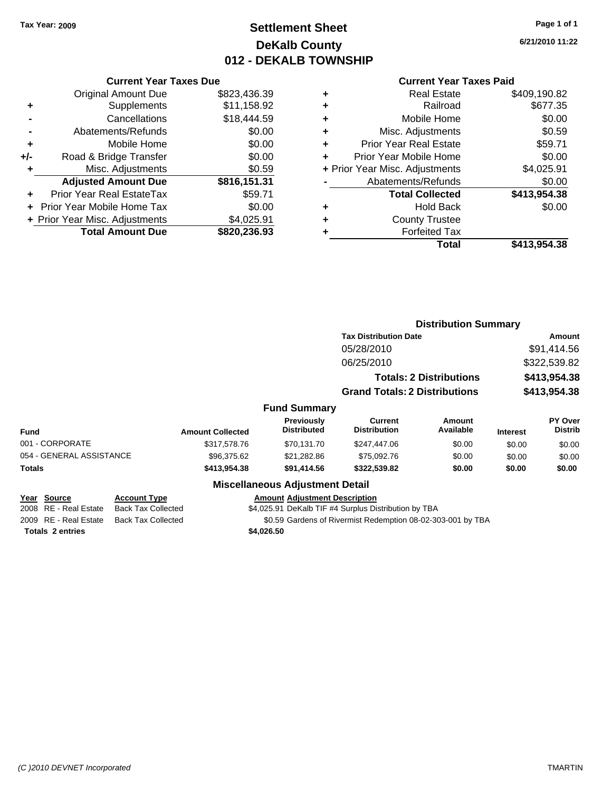## **Settlement Sheet Tax Year: 2009 Page 1 of 1 DeKalb County 012 - DEKALB TOWNSHIP**

**6/21/2010 11:22**

|     | <b>Current Year Taxes Due</b>                |              |  |  |  |  |  |  |
|-----|----------------------------------------------|--------------|--|--|--|--|--|--|
|     | <b>Original Amount Due</b>                   | \$823,436.39 |  |  |  |  |  |  |
| ٠   | Supplements                                  | \$11,158.92  |  |  |  |  |  |  |
|     | Cancellations                                | \$18,444.59  |  |  |  |  |  |  |
|     | Abatements/Refunds                           | \$0.00       |  |  |  |  |  |  |
| ٠   | Mobile Home                                  | \$0.00       |  |  |  |  |  |  |
| +/- | Road & Bridge Transfer                       | \$0.00       |  |  |  |  |  |  |
| ٠   | Misc. Adjustments                            | \$0.59       |  |  |  |  |  |  |
|     | <b>Adjusted Amount Due</b>                   | \$816,151.31 |  |  |  |  |  |  |
| ٠   | <b>Prior Year Real EstateTax</b>             | \$59.71      |  |  |  |  |  |  |
|     | Prior Year Mobile Home Tax                   | \$0.00       |  |  |  |  |  |  |
|     | \$4,025.91<br>+ Prior Year Misc. Adjustments |              |  |  |  |  |  |  |
|     | <b>Total Amount Due</b>                      | \$820,236.93 |  |  |  |  |  |  |
|     |                                              |              |  |  |  |  |  |  |

|   | <b>Real Estate</b>             | \$409,190.82 |
|---|--------------------------------|--------------|
| ٠ | Railroad                       | \$677.35     |
| ٠ | Mobile Home                    | \$0.00       |
| ٠ | Misc. Adjustments              | \$0.59       |
| ٠ | <b>Prior Year Real Estate</b>  | \$59.71      |
| ÷ | Prior Year Mobile Home         | \$0.00       |
|   | + Prior Year Misc. Adjustments | \$4,025.91   |
|   | Abatements/Refunds             | \$0.00       |
|   | <b>Total Collected</b>         | \$413,954.38 |
| ٠ | <b>Hold Back</b>               | \$0.00       |
| ٠ | <b>County Trustee</b>          |              |
| ٠ | <b>Forfeited Tax</b>           |              |
|   | Total                          | \$413,954.38 |
|   |                                |              |

|                          |                           |                         |                                         |                                                             | <b>Distribution Summary</b>    |                 |                                  |
|--------------------------|---------------------------|-------------------------|-----------------------------------------|-------------------------------------------------------------|--------------------------------|-----------------|----------------------------------|
|                          |                           |                         |                                         | <b>Tax Distribution Date</b>                                |                                |                 | <b>Amount</b>                    |
|                          |                           |                         |                                         | 05/28/2010                                                  |                                |                 | \$91,414.56                      |
|                          |                           |                         |                                         | 06/25/2010                                                  |                                | \$322,539.82    |                                  |
|                          |                           |                         |                                         |                                                             | <b>Totals: 2 Distributions</b> |                 | \$413,954.38                     |
|                          |                           |                         |                                         | <b>Grand Totals: 2 Distributions</b>                        |                                | \$413,954.38    |                                  |
|                          |                           |                         | <b>Fund Summary</b>                     |                                                             |                                |                 |                                  |
| Fund                     |                           | <b>Amount Collected</b> | <b>Previously</b><br><b>Distributed</b> | Current<br><b>Distribution</b>                              | Amount<br>Available            | <b>Interest</b> | <b>PY Over</b><br><b>Distrib</b> |
| 001 - CORPORATE          |                           | \$317,578.76            | \$70,131.70                             | \$247,447.06                                                | \$0.00                         | \$0.00          | \$0.00                           |
| 054 - GENERAL ASSISTANCE |                           | \$96,375.62             | \$21,282.86                             | \$75,092.76                                                 | \$0.00                         | \$0.00          | \$0.00                           |
| Totals                   |                           | \$413,954.38            | \$91,414.56                             | \$322,539.82                                                | \$0.00                         | \$0.00          | \$0.00                           |
|                          |                           |                         | <b>Miscellaneous Adjustment Detail</b>  |                                                             |                                |                 |                                  |
| Year Source              | <b>Account Type</b>       |                         | <b>Amount Adjustment Description</b>    |                                                             |                                |                 |                                  |
| 2008 RE - Real Estate    | <b>Back Tax Collected</b> |                         |                                         | \$4,025.91 DeKalb TIF #4 Surplus Distribution by TBA        |                                |                 |                                  |
| 2009 RE - Real Estate    | <b>Back Tax Collected</b> |                         |                                         | \$0.59 Gardens of Rivermist Redemption 08-02-303-001 by TBA |                                |                 |                                  |
| <b>Totals 2 entries</b>  |                           |                         | \$4,026.50                              |                                                             |                                |                 |                                  |
|                          |                           |                         |                                         |                                                             |                                |                 |                                  |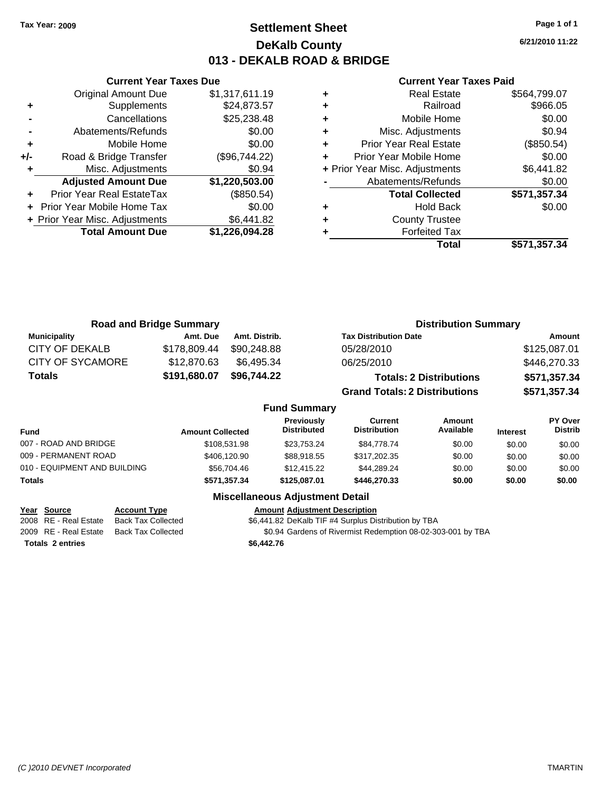**Current Year Taxes Due** Original Amount Due \$1,317,611.19

**Adjusted Amount Due \$1,220,503.00**

**Total Amount Due \$1,226,094.28**

**+** Supplements \$24,873.57 **-** Cancellations \$25,238.48 **-** Abatements/Refunds \$0.00 **+** Mobile Home \$0.00 **+/-** Road & Bridge Transfer (\$96,744.22) **+** Misc. Adjustments \$0.94

**+** Prior Year Real EstateTax (\$850.54) **+** Prior Year Mobile Home Tax \$0.00 **+ Prior Year Misc. Adjustments \$6,441.82** 

## **Settlement Sheet Tax Year: 2009 Page 1 of 1 DeKalb County 013 - DEKALB ROAD & BRIDGE**

**6/21/2010 11:22**

### **Current Year Taxes Paid**

| ٠ | <b>Real Estate</b>             | \$564,799.07 |
|---|--------------------------------|--------------|
| ٠ | Railroad                       | \$966.05     |
| ٠ | Mobile Home                    | \$0.00       |
| ٠ | Misc. Adjustments              | \$0.94       |
| ٠ | <b>Prior Year Real Estate</b>  | (\$850.54)   |
| ÷ | Prior Year Mobile Home         | \$0.00       |
|   | + Prior Year Misc. Adjustments | \$6,441.82   |
|   | Abatements/Refunds             | \$0.00       |
|   | <b>Total Collected</b>         | \$571,357.34 |
| ٠ | <b>Hold Back</b>               | \$0.00       |
| ٠ | <b>County Trustee</b>          |              |
|   | <b>Forfeited Tax</b>           |              |
|   | Total                          | \$571,357.34 |

|                         | <b>Road and Bridge Summary</b> |               | <b>Distribution Summary</b>          |              |
|-------------------------|--------------------------------|---------------|--------------------------------------|--------------|
| <b>Municipality</b>     | Amt. Due                       | Amt. Distrib. | <b>Tax Distribution Date</b>         | Amount       |
| <b>CITY OF DEKALB</b>   | \$178,809.44                   | \$90,248.88   | 05/28/2010                           | \$125,087.01 |
| <b>CITY OF SYCAMORE</b> | \$12,870.63                    | \$6.495.34    | 06/25/2010                           | \$446,270.33 |
| <b>Totals</b>           | \$191,680.07                   | \$96,744.22   | <b>Totals: 2 Distributions</b>       | \$571,357.34 |
|                         |                                |               | <b>Grand Totals: 2 Distributions</b> | \$571,357.34 |

|                              |                         | <b>Fund Summary</b>              |                                       |                     |                 |                           |
|------------------------------|-------------------------|----------------------------------|---------------------------------------|---------------------|-----------------|---------------------------|
| <b>Fund</b>                  | <b>Amount Collected</b> | <b>Previously</b><br>Distributed | <b>Current</b><br><b>Distribution</b> | Amount<br>Available | <b>Interest</b> | PY Over<br><b>Distrib</b> |
| 007 - ROAD AND BRIDGE        | \$108,531.98            | \$23.753.24                      | \$84.778.74                           | \$0.00              | \$0.00          | \$0.00                    |
| 009 - PERMANENT ROAD         | \$406,120.90            | \$88.918.55                      | \$317,202.35                          | \$0.00              | \$0.00          | \$0.00                    |
| 010 - EQUIPMENT AND BUILDING | \$56,704.46             | \$12,415.22                      | \$44.289.24                           | \$0.00              | \$0.00          | \$0.00                    |
| <b>Totals</b>                | \$571,357.34            | \$125.087.01                     | \$446,270,33                          | \$0.00              | \$0.00          | \$0.00                    |

**Fund Summary**

## **Miscellaneous Adjustment Detail**

### **Year Source Account Type Amount Adjustment Description**

2008 RE - Real Estate Back Tax Collected \$6,441.82 DeKalb TIF #4 Surplus Distribution by TBA

2009 RE - Real Estate Back Tax Collected \$0.94 Gardens of Rivermist Redemption 08-02-303-001 by TBA

**Totals \$6,442.76 2 entries**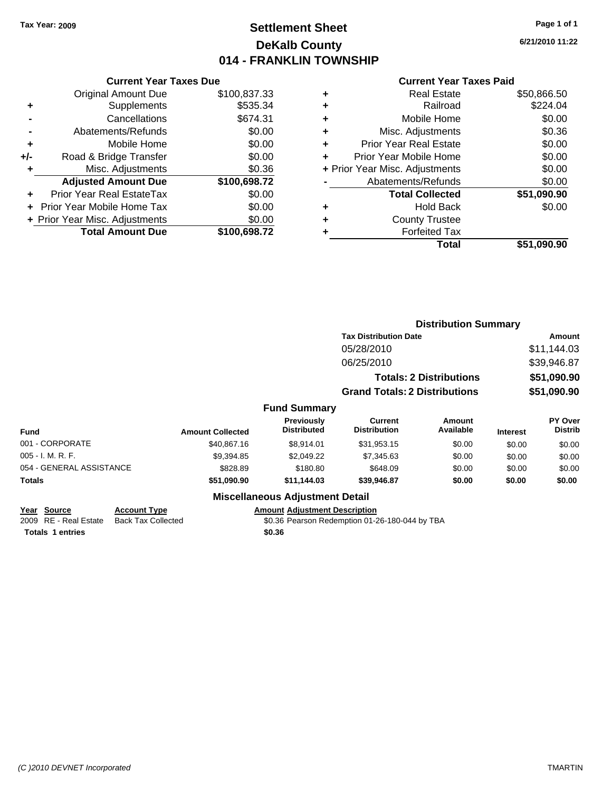## **Settlement Sheet Tax Year: 2009 Page 1 of 1 DeKalb County 014 - FRANKLIN TOWNSHIP**

**6/21/2010 11:22**

### **Current Year Taxes Paid**

|       | <b>Current Year Taxes Due</b>  |              |  |  |  |  |  |
|-------|--------------------------------|--------------|--|--|--|--|--|
|       | <b>Original Amount Due</b>     | \$100,837.33 |  |  |  |  |  |
| ٠     | Supplements                    | \$535.34     |  |  |  |  |  |
|       | \$674.31<br>Cancellations      |              |  |  |  |  |  |
|       | \$0.00<br>Abatements/Refunds   |              |  |  |  |  |  |
| ٠     | Mobile Home                    | \$0.00       |  |  |  |  |  |
| $+/-$ | Road & Bridge Transfer         | \$0.00       |  |  |  |  |  |
|       | Misc. Adjustments              | \$0.36       |  |  |  |  |  |
|       | <b>Adjusted Amount Due</b>     | \$100,698.72 |  |  |  |  |  |
|       | Prior Year Real EstateTax      | \$0.00       |  |  |  |  |  |
|       | Prior Year Mobile Home Tax     | \$0.00       |  |  |  |  |  |
|       | + Prior Year Misc. Adjustments | \$0.00       |  |  |  |  |  |
|       | <b>Total Amount Due</b>        | \$100,698.72 |  |  |  |  |  |
|       |                                |              |  |  |  |  |  |

|   | <b>Real Estate</b>             | \$50,866.50 |
|---|--------------------------------|-------------|
| ٠ | Railroad                       | \$224.04    |
| ٠ | Mobile Home                    | \$0.00      |
| ٠ | Misc. Adjustments              | \$0.36      |
| ٠ | Prior Year Real Estate         | \$0.00      |
|   | Prior Year Mobile Home         | \$0.00      |
|   | + Prior Year Misc. Adjustments | \$0.00      |
|   | Abatements/Refunds             | \$0.00      |
|   | <b>Total Collected</b>         | \$51,090.90 |
| ٠ | <b>Hold Back</b>               | \$0.00      |
| ٠ | <b>County Trustee</b>          |             |
| ٠ | <b>Forfeited Tax</b>           |             |
|   | Total                          | \$51,090.90 |
|   |                                |             |

|                          |                         |                                         |                                      | <b>Distribution Summary</b>    |                 |                           |
|--------------------------|-------------------------|-----------------------------------------|--------------------------------------|--------------------------------|-----------------|---------------------------|
|                          |                         |                                         | <b>Tax Distribution Date</b>         |                                |                 | Amount                    |
|                          |                         |                                         | 05/28/2010                           |                                |                 | \$11,144.03               |
|                          |                         |                                         | 06/25/2010                           |                                |                 | \$39,946.87               |
|                          |                         |                                         |                                      | <b>Totals: 2 Distributions</b> |                 | \$51,090.90               |
|                          |                         |                                         | <b>Grand Totals: 2 Distributions</b> |                                |                 | \$51,090.90               |
|                          |                         | <b>Fund Summary</b>                     |                                      |                                |                 |                           |
| <b>Fund</b>              | <b>Amount Collected</b> | <b>Previously</b><br><b>Distributed</b> | Current<br><b>Distribution</b>       | Amount<br>Available            | <b>Interest</b> | PY Over<br><b>Distrib</b> |
| 001 - CORPORATE          | \$40.867.16             | \$8,914.01                              | \$31,953.15                          | \$0.00                         | \$0.00          | \$0.00                    |
| 005 - I. M. R. F.        | \$9,394.85              | \$2,049.22                              | \$7,345.63                           | \$0.00                         | \$0.00          | \$0.00                    |
| 054 - GENERAL ASSISTANCE | \$828.89                | \$180.80                                | \$648.09                             | \$0.00                         | \$0.00          | \$0.00                    |
| Totals                   | \$51,090.90             | \$11,144.03                             | \$39,946.87                          | \$0.00                         | \$0.00          | \$0.00                    |
|                          |                         | <b>Miscellaneous Adjustment Detail</b>  |                                      |                                |                 |                           |

# **Year Source Account Type Amount Adjustment Description**

2009 RE - Real Estate Back Tax Collected \$0.36 Pearson Redemption 01-26-180-044 by TBA

**Totals \$0.36 1 entries**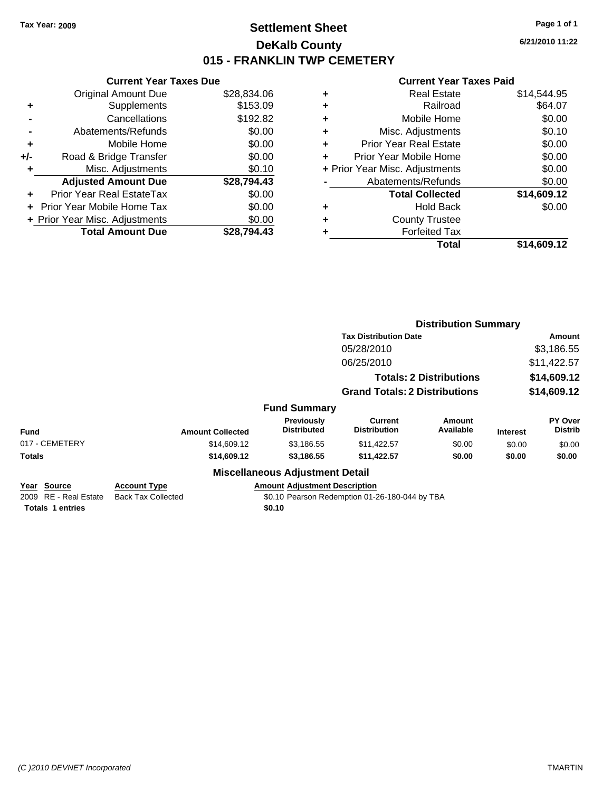## **Settlement Sheet Tax Year: 2009 Page 1 of 1 DeKalb County 015 - FRANKLIN TWP CEMETERY**

**6/21/2010 11:22**

| <b>Original Amount Due</b>     | \$28,834.06 |                               |
|--------------------------------|-------------|-------------------------------|
| Supplements                    | \$153.09    | ٠                             |
| Cancellations                  | \$192.82    |                               |
| Abatements/Refunds             | \$0.00      | ٠                             |
| Mobile Home                    | \$0.00      | ٠                             |
| Road & Bridge Transfer         | \$0.00      |                               |
| Misc. Adjustments              | \$0.10      | + Prior                       |
| <b>Adjusted Amount Due</b>     | \$28,794.43 |                               |
| Prior Year Real EstateTax      | \$0.00      |                               |
| Prior Year Mobile Home Tax     | \$0.00      |                               |
| + Prior Year Misc. Adjustments | \$0.00      |                               |
| <b>Total Amount Due</b>        | \$28,794.43 |                               |
|                                |             | <b>Current Year Taxes Due</b> |

|   | <b>Real Estate</b>             | \$14,544.95 |
|---|--------------------------------|-------------|
| ٠ | Railroad                       | \$64.07     |
| ٠ | Mobile Home                    | \$0.00      |
| ٠ | Misc. Adjustments              | \$0.10      |
| ٠ | <b>Prior Year Real Estate</b>  | \$0.00      |
|   | Prior Year Mobile Home         | \$0.00      |
|   | + Prior Year Misc. Adjustments | \$0.00      |
|   | Abatements/Refunds             | \$0.00      |
|   | <b>Total Collected</b>         | \$14,609.12 |
| ٠ | <b>Hold Back</b>               | \$0.00      |
| ٠ | <b>County Trustee</b>          |             |
|   | <b>Forfeited Tax</b>           |             |
|   | Total                          | \$14,609.12 |
|   |                                |             |

|                                                                 |                                                  |                                                | <b>Distribution Summary</b>                    |                                |                 |                           |
|-----------------------------------------------------------------|--------------------------------------------------|------------------------------------------------|------------------------------------------------|--------------------------------|-----------------|---------------------------|
|                                                                 |                                                  |                                                | <b>Tax Distribution Date</b>                   |                                | Amount          |                           |
|                                                                 |                                                  |                                                | 05/28/2010                                     |                                |                 | \$3,186.55                |
|                                                                 |                                                  |                                                | 06/25/2010                                     |                                |                 | \$11,422.57               |
|                                                                 |                                                  |                                                |                                                | <b>Totals: 2 Distributions</b> |                 | \$14,609.12               |
|                                                                 |                                                  |                                                | <b>Grand Totals: 2 Distributions</b>           |                                | \$14,609.12     |                           |
|                                                                 |                                                  | <b>Fund Summary</b>                            |                                                |                                |                 |                           |
| <b>Fund</b>                                                     | <b>Amount Collected</b>                          | <b>Previously</b><br><b>Distributed</b>        | Current<br><b>Distribution</b>                 | Amount<br>Available            | <b>Interest</b> | PY Over<br><b>Distrib</b> |
| 017 - CEMETERY                                                  | \$14,609.12                                      | \$3,186.55                                     | \$11,422.57                                    | \$0.00                         | \$0.00          | \$0.00                    |
| <b>Totals</b>                                                   | \$14,609.12                                      | \$3,186.55                                     | \$11,422.57                                    | \$0.00                         | \$0.00          | \$0.00                    |
|                                                                 |                                                  | <b>Miscellaneous Adjustment Detail</b>         |                                                |                                |                 |                           |
| Year Source<br>2009 RE - Real Estate<br><b>Totals 1 entries</b> | <b>Account Type</b><br><b>Back Tax Collected</b> | <b>Amount Adjustment Description</b><br>\$0.10 | \$0.10 Pearson Redemption 01-26-180-044 by TBA |                                |                 |                           |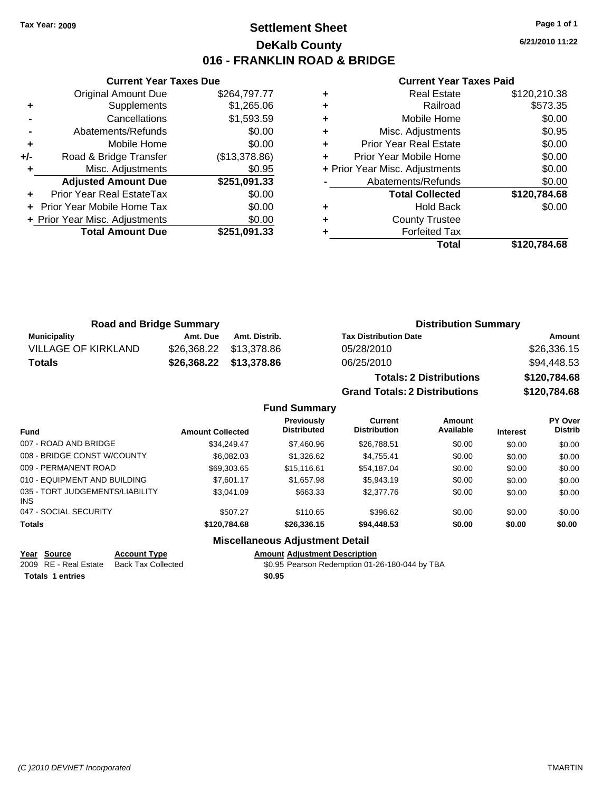## **Settlement Sheet Tax Year: 2009 Page 1 of 1 DeKalb County 016 - FRANKLIN ROAD & BRIDGE**

**6/21/2010 11:22**

### **Current Year Taxes Paid**

|     | <b>Current Year Taxes Due</b>  |               |  |  |  |  |  |
|-----|--------------------------------|---------------|--|--|--|--|--|
|     | <b>Original Amount Due</b>     | \$264,797.77  |  |  |  |  |  |
| ٠   | Supplements                    | \$1,265.06    |  |  |  |  |  |
|     | Cancellations                  | \$1,593.59    |  |  |  |  |  |
|     | \$0.00<br>Abatements/Refunds   |               |  |  |  |  |  |
| ٠   | Mobile Home                    | \$0.00        |  |  |  |  |  |
| +/- | Road & Bridge Transfer         | (\$13,378.86) |  |  |  |  |  |
|     | Misc. Adjustments              | \$0.95        |  |  |  |  |  |
|     | <b>Adjusted Amount Due</b>     | \$251,091.33  |  |  |  |  |  |
| ÷   | Prior Year Real EstateTax      | \$0.00        |  |  |  |  |  |
|     | Prior Year Mobile Home Tax     | \$0.00        |  |  |  |  |  |
|     | + Prior Year Misc. Adjustments | \$0.00        |  |  |  |  |  |
|     | <b>Total Amount Due</b>        | \$251,091.33  |  |  |  |  |  |
|     |                                |               |  |  |  |  |  |

|   | Total                          | \$120,784.68 |
|---|--------------------------------|--------------|
|   | <b>Forfeited Tax</b>           |              |
| ٠ | <b>County Trustee</b>          |              |
| ٠ | <b>Hold Back</b>               | \$0.00       |
|   | <b>Total Collected</b>         | \$120,784.68 |
|   | Abatements/Refunds             | \$0.00       |
|   | + Prior Year Misc. Adjustments | \$0.00       |
| ÷ | Prior Year Mobile Home         | \$0.00       |
| ÷ | <b>Prior Year Real Estate</b>  | \$0.00       |
| ٠ | Misc. Adjustments              | \$0.95       |
| ٠ | Mobile Home                    | \$0.00       |
| ٠ | Railroad                       | \$573.35     |
| ٠ | Real Estate                    | \$120,210.38 |

| <b>Road and Bridge Summary</b> |          |                         | <b>Distribution Summary</b>    |              |  |  |
|--------------------------------|----------|-------------------------|--------------------------------|--------------|--|--|
| <b>Municipality</b>            | Amt. Due | Amt. Distrib.           | <b>Tax Distribution Date</b>   | Amount       |  |  |
| <b>VILLAGE OF KIRKLAND</b>     |          |                         | 05/28/2010                     | \$26,336.15  |  |  |
| <b>Totals</b>                  |          | \$26,368.22 \$13,378.86 | 06/25/2010                     | \$94,448.53  |  |  |
|                                |          |                         | <b>Totals: 2 Distributions</b> | \$120,784.68 |  |  |

**Grand Totals: 2 Distributions \$120,784.68**

|                                         |                         | <b>Fund Summary</b>                     |                                       |                     |                 |                                  |
|-----------------------------------------|-------------------------|-----------------------------------------|---------------------------------------|---------------------|-----------------|----------------------------------|
| <b>Fund</b>                             | <b>Amount Collected</b> | <b>Previously</b><br><b>Distributed</b> | <b>Current</b><br><b>Distribution</b> | Amount<br>Available | <b>Interest</b> | <b>PY Over</b><br><b>Distrib</b> |
| 007 - ROAD AND BRIDGE                   | \$34.249.47             | \$7,460.96                              | \$26.788.51                           | \$0.00              | \$0.00          | \$0.00                           |
| 008 - BRIDGE CONST W/COUNTY             | \$6.082.03              | \$1,326.62                              | \$4.755.41                            | \$0.00              | \$0.00          | \$0.00                           |
| 009 - PERMANENT ROAD                    | \$69,303.65             | \$15.116.61                             | \$54.187.04                           | \$0.00              | \$0.00          | \$0.00                           |
| 010 - EQUIPMENT AND BUILDING            | \$7.601.17              | \$1,657.98                              | \$5.943.19                            | \$0.00              | \$0.00          | \$0.00                           |
| 035 - TORT JUDGEMENTS/LIABILITY<br>INS. | \$3.041.09              | \$663.33                                | \$2,377.76                            | \$0.00              | \$0.00          | \$0.00                           |
| 047 - SOCIAL SECURITY                   | \$507.27                | \$110.65                                | \$396.62                              | \$0.00              | \$0.00          | \$0.00                           |
| <b>Totals</b>                           | \$120,784,68            | \$26,336,15                             | \$94,448.53                           | \$0.00              | \$0.00          | \$0.00                           |
|                                         |                         | Miscellaneous Adiustment Detail         |                                       |                     |                 |                                  |

## **Miscellaneous Adjustment Detail**

**Year Source Account Type Amount Adjustment Description** 2009 RE - Real Estate Back Tax Collected \$0.95 Pearson Redemption 01-26-180-044 by TBA

**Totals \$0.95 1 entries**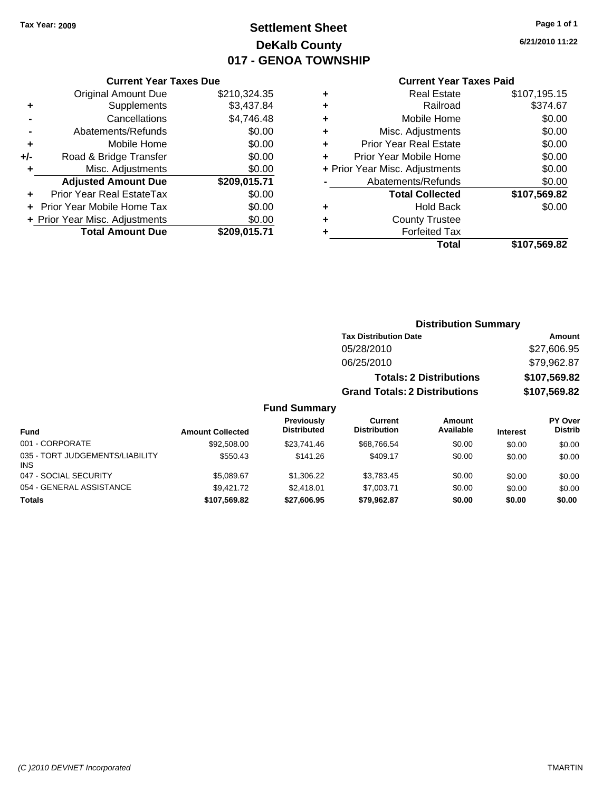INS

# **Settlement Sheet Tax Year: 2009 Page 1 of 1 DeKalb County 017 - GENOA TOWNSHIP**

**6/21/2010 11:22**

### **Current Year Taxes Paid**

|     | OUITCHL TCUL TUACS DUC         |              |   |
|-----|--------------------------------|--------------|---|
|     | <b>Original Amount Due</b>     | \$210,324.35 |   |
| ٠   | Supplements                    | \$3,437.84   |   |
|     | Cancellations                  | \$4,746.48   | ٠ |
|     | Abatements/Refunds             | \$0.00       | ٠ |
| ٠   | Mobile Home                    | \$0.00       | ٠ |
| +/- | Road & Bridge Transfer         | \$0.00       | ۰ |
| ٠   | Misc. Adjustments              | \$0.00       | ۰ |
|     | <b>Adjusted Amount Due</b>     | \$209,015.71 |   |
|     | Prior Year Real EstateTax      | \$0.00       |   |
|     | Prior Year Mobile Home Tax     | \$0.00       |   |
|     | + Prior Year Misc. Adjustments | \$0.00       | 4 |
|     | <b>Total Amount Due</b>        | \$209,015.71 |   |
|     |                                |              |   |

**Current Year Taxes Due**

| ٠ | <b>Real Estate</b>             | \$107,195.15 |
|---|--------------------------------|--------------|
| ٠ | Railroad                       | \$374.67     |
| ٠ | Mobile Home                    | \$0.00       |
| ٠ | Misc. Adjustments              | \$0.00       |
| ÷ | <b>Prior Year Real Estate</b>  | \$0.00       |
|   | Prior Year Mobile Home         | \$0.00       |
|   | + Prior Year Misc. Adjustments | \$0.00       |
|   | Abatements/Refunds             | \$0.00       |
|   | <b>Total Collected</b>         | \$107,569.82 |
| ٠ | Hold Back                      | \$0.00       |
|   | <b>County Trustee</b>          |              |
| ٠ | <b>Forfeited Tax</b>           |              |
|   | Total                          | \$107,569.82 |
|   |                                |              |

### **Distribution Summary Tax Distribution Date Amount** 05/28/2010 \$27,606.95 06/25/2010 \$79,962.87 **Totals: 2 Distributions \$107,569.82 Grand Totals: 2 Distributions \$107,569.82 Fund Summary Fund Interest Amount Collected Distributed PY Over Distrib Amount Available Current Distribution Previously** 001 - CORPORATE 6000 \$92,508.00 \$23,741.46 \$68,766.54 \$0.00 \$0.00 \$0.00 \$0.00 035 - TORT JUDGEMENTS/LIABILITY \$550.43 \$141.26 \$409.17 \$0.00 \$0.00 \$0.00

047 - SOCIAL SECURITY \$5,089.67 \$1,306.22 \$3,783.45 \$0.00 \$0.00 \$0.00 054 - GENERAL ASSISTANCE  $$9,421.72$   $$2,418.01$   $$7,003.71$   $$0.00$   $$0.00$   $$0.00$ **Totals \$107,569.82 \$27,606.95 \$79,962.87 \$0.00 \$0.00 \$0.00**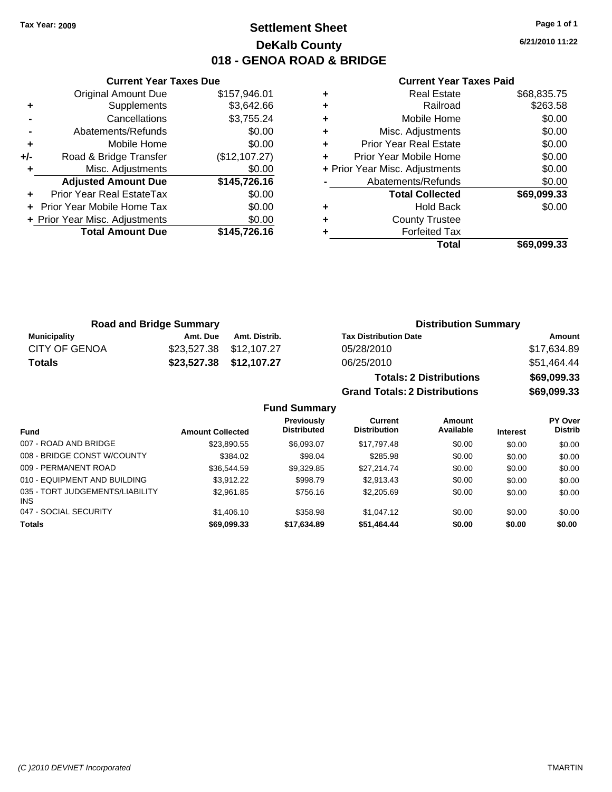## **Settlement Sheet Tax Year: 2009 Page 1 of 1 DeKalb County 018 - GENOA ROAD & BRIDGE**

**6/21/2010 11:22**

### **Current Year Taxes Paid**

|     | <b>Original Amount Due</b>     | \$157,946.01  |
|-----|--------------------------------|---------------|
| ٠   | Supplements                    | \$3,642.66    |
|     | Cancellations                  | \$3,755.24    |
|     | Abatements/Refunds             | \$0.00        |
| ٠   | Mobile Home                    | \$0.00        |
| +/- | Road & Bridge Transfer         | (\$12,107.27) |
| ٠   | Misc. Adjustments              | \$0.00        |
|     | <b>Adjusted Amount Due</b>     | \$145,726.16  |
| ٠   | Prior Year Real EstateTax      | \$0.00        |
|     | Prior Year Mobile Home Tax     | \$0.00        |
|     | + Prior Year Misc. Adjustments | \$0.00        |
|     | <b>Total Amount Due</b>        | \$145,726.16  |
|     |                                |               |

**Current Year Taxes Due**

|   | Total                          | \$69,099.33 |
|---|--------------------------------|-------------|
|   | <b>Forfeited Tax</b>           |             |
| ٠ | <b>County Trustee</b>          |             |
| ٠ | Hold Back                      | \$0.00      |
|   | <b>Total Collected</b>         | \$69,099.33 |
|   | Abatements/Refunds             | \$0.00      |
|   | + Prior Year Misc. Adjustments | \$0.00      |
|   | Prior Year Mobile Home         | \$0.00      |
| ٠ | <b>Prior Year Real Estate</b>  | \$0.00      |
| ٠ | Misc. Adjustments              | \$0.00      |
| ٠ | Mobile Home                    | \$0.00      |
| ٠ | Railroad                       | \$263.58    |
|   | <b>Real Estate</b>             | \$68,835.75 |

**Grand Totals: 2 Distributions \$69,099.33**

|                      | <b>Road and Bridge Summary</b> |                         | <b>Distribution Summary</b>    |             |
|----------------------|--------------------------------|-------------------------|--------------------------------|-------------|
| Municipality         | Amt. Due                       | Amt. Distrib.           | <b>Tax Distribution Date</b>   | Amount      |
| <b>CITY OF GENOA</b> |                                | \$23,527.38 \$12,107.27 | 05/28/2010                     | \$17,634.89 |
| Totals               |                                | \$23,527.38 \$12,107.27 | 06/25/2010                     | \$51,464.44 |
|                      |                                |                         | <b>Totals: 2 Distributions</b> | \$69,099.33 |

**Fund Summary Fund Interest Amount Collected Distributed PY Over Distrib Amount Available Current Distribution Previously** 007 - ROAD AND BRIDGE 60.00 \$23,890.55 \$6,093.07 \$17,797.48 \$0.00 \$0.00 \$0.00 \$0.00 008 - BRIDGE CONST W/COUNTY  $$384.02$   $$98.04$   $$285.98$   $$0.00$   $$0.00$   $$0.00$ 009 - PERMANENT ROAD \$36,544.59 \$9,329.85 \$27,214.74 \$0.00 \$0.00 \$0.00 010 - EQUIPMENT AND BUILDING \$3,912.22 \$998.79 \$2,913.43 \$0.00 \$0.00 \$0.00 \$0.00 035 - TORT JUDGEMENTS/LIABILITY INS \$2,961.85 \$756.16 \$2,205.69 \$0.00 \$0.00 \$0.00 047 - SOCIAL SECURITY \$1,406.10 \$358.98 \$1,047.12 \$0.00 \$0.00 \$0.00 **Totals \$69,099.33 \$17,634.89 \$51,464.44 \$0.00 \$0.00 \$0.00**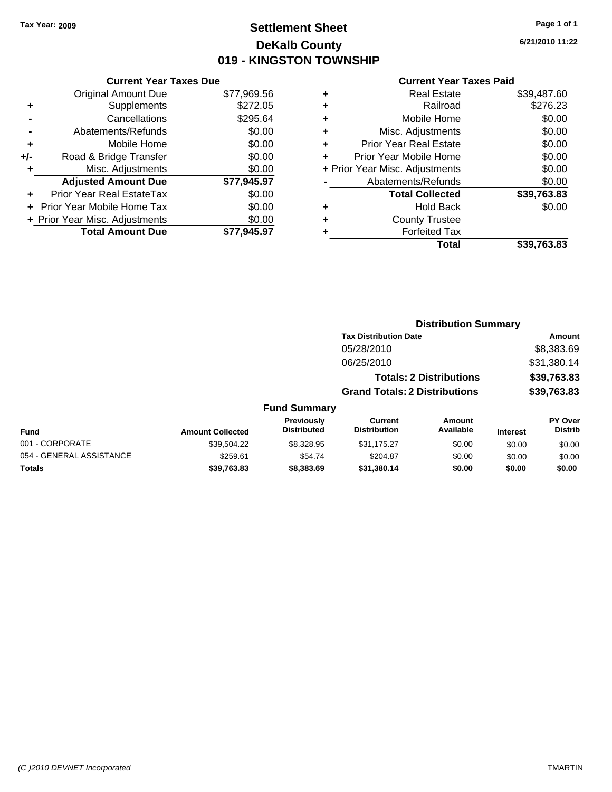## **Settlement Sheet Tax Year: 2009 Page 1 of 1 DeKalb County 019 - KINGSTON TOWNSHIP**

**6/21/2010 11:22**

| <b>Current Year 1</b>          |   |             | <b>Current Year Taxes Due</b>  |       |
|--------------------------------|---|-------------|--------------------------------|-------|
| <b>Real Estate</b>             | ٠ | \$77,969.56 | <b>Original Amount Due</b>     |       |
| Railroad                       | ٠ | \$272.05    | Supplements                    |       |
| Mobile Home                    | ٠ | \$295.64    | Cancellations                  |       |
| Misc. Adjustments              | ٠ | \$0.00      | Abatements/Refunds             |       |
| <b>Prior Year Real Estate</b>  | ٠ | \$0.00      | Mobile Home                    |       |
| Prior Year Mobile Home         |   | \$0.00      | Road & Bridge Transfer         | $+/-$ |
| + Prior Year Misc. Adjustments |   | \$0.00      | Misc. Adjustments              |       |
| Abatements/Refunds             |   | \$77,945.97 | <b>Adjusted Amount Due</b>     |       |
| <b>Total Collected</b>         |   | \$0.00      | Prior Year Real EstateTax      |       |
| <b>Hold Back</b>               | ٠ | \$0.00      | Prior Year Mobile Home Tax     |       |
| <b>County Trustee</b>          | ٠ | \$0.00      | + Prior Year Misc. Adjustments |       |
| <b>Forfeited Tax</b>           |   | \$77,945.97 | <b>Total Amount Due</b>        |       |
| Total.                         |   |             |                                |       |

|   | Total                          | \$39.763.83 |
|---|--------------------------------|-------------|
|   | <b>Forfeited Tax</b>           |             |
| ÷ | <b>County Trustee</b>          |             |
|   | <b>Hold Back</b>               | \$0.00      |
|   | <b>Total Collected</b>         | \$39,763.83 |
|   | Abatements/Refunds             | \$0.00      |
|   | + Prior Year Misc. Adjustments | \$0.00      |
|   | Prior Year Mobile Home         | \$0.00      |
| ÷ | <b>Prior Year Real Estate</b>  | \$0.00      |
| ٠ | Misc. Adjustments              | \$0.00      |
|   | Mobile Home                    | \$0.00      |
|   | Railroad                       | \$276.23    |
|   | <b>Real Estate</b>             | \$39,487.60 |

|                          |                                      | <b>Distribution Summary</b>             |                                       |                                |                 |                           |
|--------------------------|--------------------------------------|-----------------------------------------|---------------------------------------|--------------------------------|-----------------|---------------------------|
|                          |                                      |                                         | <b>Tax Distribution Date</b>          |                                |                 | Amount                    |
|                          |                                      |                                         | 05/28/2010                            |                                |                 | \$8,383.69                |
|                          |                                      |                                         | 06/25/2010                            |                                |                 | \$31,380.14               |
|                          |                                      |                                         |                                       | <b>Totals: 2 Distributions</b> |                 | \$39,763.83               |
|                          | <b>Grand Totals: 2 Distributions</b> |                                         |                                       | \$39,763.83                    |                 |                           |
|                          |                                      | <b>Fund Summary</b>                     |                                       |                                |                 |                           |
| <b>Fund</b>              | <b>Amount Collected</b>              | <b>Previously</b><br><b>Distributed</b> | <b>Current</b><br><b>Distribution</b> | Amount<br>Available            | <b>Interest</b> | PY Over<br><b>Distrib</b> |
| 001 - CORPORATE          | \$39,504.22                          | \$8,328.95                              | \$31,175.27                           | \$0.00                         | \$0.00          | \$0.00                    |
| 054 - GENERAL ASSISTANCE | \$259.61                             | \$54.74                                 | \$204.87                              | \$0.00                         | \$0.00          | \$0.00                    |
| <b>Totals</b>            | \$39.763.83                          | \$8,383.69                              | \$31,380.14                           | \$0.00                         | \$0.00          | \$0.00                    |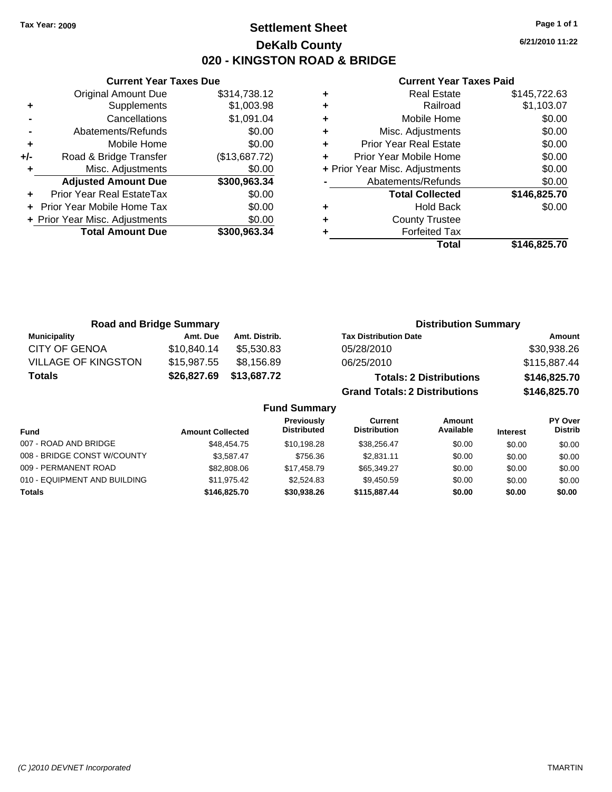## **Settlement Sheet Tax Year: 2009 Page 1 of 1 DeKalb County 020 - KINGSTON ROAD & BRIDGE**

**6/21/2010 11:22**

|                    |   |               | <b>Current Year Taxes Due</b>  |       |
|--------------------|---|---------------|--------------------------------|-------|
|                    | ٠ | \$314,738.12  | <b>Original Amount Due</b>     |       |
|                    | ٠ | \$1,003.98    | Supplements                    | ٠     |
|                    | ٠ | \$1,091.04    | Cancellations                  |       |
| Misc.              | ٠ | \$0.00        | Abatements/Refunds             |       |
| Prior Year         |   | \$0.00        | Mobile Home                    | ٠     |
| Prior Year I       |   | (\$13,687.72) | Road & Bridge Transfer         | $+/-$ |
| + Prior Year Misc. |   | \$0.00        | Misc. Adjustments              | ٠     |
| Abateme            |   | \$300,963.34  | <b>Adjusted Amount Due</b>     |       |
| Tot                |   | \$0.00        | Prior Year Real EstateTax      |       |
|                    |   | \$0.00        | + Prior Year Mobile Home Tax   |       |
| Co                 | ٠ | \$0.00        | + Prior Year Misc. Adjustments |       |
|                    |   | \$300,963.34  | <b>Total Amount Due</b>        |       |
|                    |   |               |                                |       |

|   | Total                          | \$146,825.70 |
|---|--------------------------------|--------------|
|   | <b>Forfeited Tax</b>           |              |
| ٠ | <b>County Trustee</b>          |              |
| ٠ | <b>Hold Back</b>               | \$0.00       |
|   | <b>Total Collected</b>         | \$146,825.70 |
|   | Abatements/Refunds             | \$0.00       |
|   | + Prior Year Misc. Adjustments | \$0.00       |
|   | Prior Year Mobile Home         | \$0.00       |
| ÷ | <b>Prior Year Real Estate</b>  | \$0.00       |
|   | Misc. Adjustments              | \$0.00       |
| ٠ | Mobile Home                    | \$0.00       |
|   | Railroad                       | \$1,103.07   |
| ٠ | <b>Real Estate</b>             | \$145,722.63 |

| <b>Road and Bridge Summary</b> |             |               | <b>Distribution Summary</b>          |              |  |
|--------------------------------|-------------|---------------|--------------------------------------|--------------|--|
| <b>Municipality</b>            | Amt. Due    | Amt. Distrib. | <b>Tax Distribution Date</b>         | Amount       |  |
| <b>CITY OF GENOA</b>           | \$10,840.14 | \$5.530.83    | 05/28/2010                           | \$30,938.26  |  |
| <b>VILLAGE OF KINGSTON</b>     | \$15,987.55 | \$8,156.89    | 06/25/2010                           | \$115,887.44 |  |
| <b>Totals</b>                  | \$26,827.69 | \$13,687.72   | <b>Totals: 2 Distributions</b>       | \$146,825.70 |  |
|                                |             |               | <b>Grand Totals: 2 Distributions</b> | \$146,825.70 |  |
| <b>Fund Summary</b>            |             |               |                                      |              |  |

| <b>Fund</b>                  | <b>Amount Collected</b> | <b>Previously</b><br><b>Distributed</b> | Current<br><b>Distribution</b> | Amount<br>Available | <b>Interest</b> | PY Over<br><b>Distrib</b> |
|------------------------------|-------------------------|-----------------------------------------|--------------------------------|---------------------|-----------------|---------------------------|
| 007 - ROAD AND BRIDGE        | \$48,454,75             | \$10.198.28                             | \$38.256.47                    | \$0.00              | \$0.00          | \$0.00                    |
| 008 - BRIDGE CONST W/COUNTY  | \$3.587.47              | \$756.36                                | \$2.831.11                     | \$0.00              | \$0.00          | \$0.00                    |
| 009 - PERMANENT ROAD         | \$82,808,06             | \$17,458.79                             | \$65,349.27                    | \$0.00              | \$0.00          | \$0.00                    |
| 010 - EQUIPMENT AND BUILDING | \$11.975.42             | \$2.524.83                              | \$9.450.59                     | \$0.00              | \$0.00          | \$0.00                    |
| <b>Totals</b>                | \$146,825,70            | \$30.938.26                             | \$115,887,44                   | \$0.00              | \$0.00          | \$0.00                    |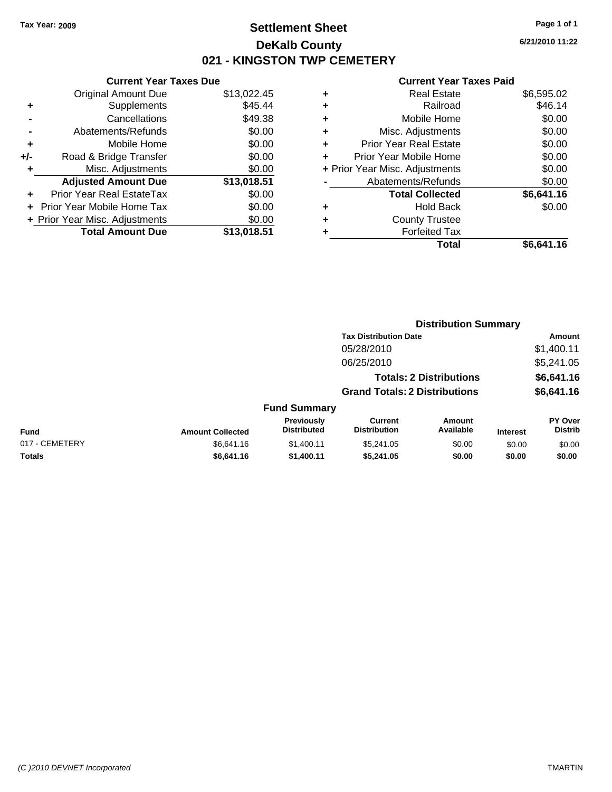## **Settlement Sheet Tax Year: 2009 Page 1 of 1 DeKalb County 021 - KINGSTON TWP CEMETERY**

## **Current Year Taxes Due**

|     | <b>Original Amount Due</b>     | \$13,022.45 |
|-----|--------------------------------|-------------|
| ٠   | Supplements                    | \$45.44     |
|     | Cancellations                  | \$49.38     |
|     | Abatements/Refunds             | \$0.00      |
| ٠   | Mobile Home                    | \$0.00      |
| +/- | Road & Bridge Transfer         | \$0.00      |
| ٠   | Misc. Adjustments              | \$0.00      |
|     | <b>Adjusted Amount Due</b>     | \$13,018.51 |
|     | Prior Year Real EstateTax      | \$0.00      |
|     | Prior Year Mobile Home Tax     | \$0.00      |
|     | + Prior Year Misc. Adjustments | \$0.00      |
|     | <b>Total Amount Due</b>        | \$13,018.51 |

|   | <b>Real Estate</b>             | \$6,595.02 |
|---|--------------------------------|------------|
| ٠ | Railroad                       | \$46.14    |
| ٠ | Mobile Home                    | \$0.00     |
| ٠ | Misc. Adjustments              | \$0.00     |
| ٠ | <b>Prior Year Real Estate</b>  | \$0.00     |
|   | Prior Year Mobile Home         | \$0.00     |
|   | + Prior Year Misc. Adjustments | \$0.00     |
|   | Abatements/Refunds             | \$0.00     |
|   | <b>Total Collected</b>         | \$6,641.16 |
| ٠ | <b>Hold Back</b>               | \$0.00     |
| ٠ | <b>County Trustee</b>          |            |
| ٠ | <b>Forfeited Tax</b>           |            |
|   | Total                          | \$6,641.16 |
|   |                                |            |

|          |                                      | <b>Distribution Summary</b>    |            |
|----------|--------------------------------------|--------------------------------|------------|
|          | <b>Tax Distribution Date</b>         |                                | Amount     |
|          | 05/28/2010                           |                                | \$1,400.11 |
|          | 06/25/2010                           |                                | \$5,241.05 |
|          |                                      | <b>Totals: 2 Distributions</b> | \$6,641.16 |
|          | <b>Grand Totals: 2 Distributions</b> |                                | \$6,641.16 |
| Summary  |                                      |                                |            |
| avinuelv | Curront                              | Amount                         | PY ∩ver    |

| <b>Fund Summary</b> |                         |                                         |                                |                     |                 |                                  |
|---------------------|-------------------------|-----------------------------------------|--------------------------------|---------------------|-----------------|----------------------------------|
| Fund                | <b>Amount Collected</b> | <b>Previously</b><br><b>Distributed</b> | Current<br><b>Distribution</b> | Amount<br>Available | <b>Interest</b> | <b>PY Over</b><br><b>Distrib</b> |
| 017 - CEMETERY      | \$6.641.16              | \$1.400.11                              | \$5,241.05                     | \$0.00              | \$0.00          | \$0.00                           |
| <b>Totals</b>       | \$6.641.16              | \$1,400.11                              | \$5.241.05                     | \$0.00              | \$0.00          | \$0.00                           |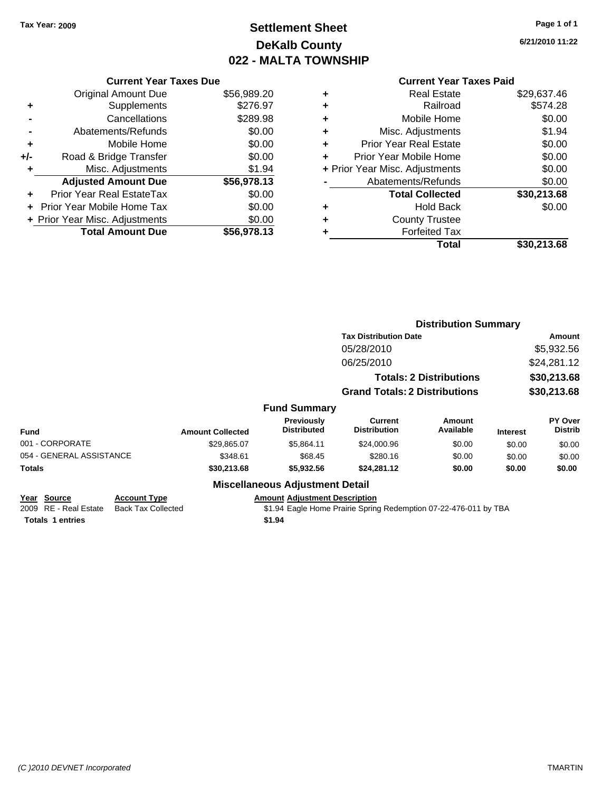# **Settlement Sheet Tax Year: 2009 Page 1 of 1 DeKalb County 022 - MALTA TOWNSHIP**

**6/21/2010 11:22**

|     | <b>Current Year Taxes Due</b>     |             |  |  |
|-----|-----------------------------------|-------------|--|--|
|     | <b>Original Amount Due</b>        | \$56,989.20 |  |  |
| ٠   | Supplements                       | \$276.97    |  |  |
|     | Cancellations                     | \$289.98    |  |  |
|     | Abatements/Refunds                | \$0.00      |  |  |
| ٠   | Mobile Home                       | \$0.00      |  |  |
| +/- | Road & Bridge Transfer            | \$0.00      |  |  |
| ٠   | Misc. Adjustments                 | \$1.94      |  |  |
|     | <b>Adjusted Amount Due</b>        | \$56,978.13 |  |  |
| ٠   | Prior Year Real EstateTax         | \$0.00      |  |  |
|     | <b>Prior Year Mobile Home Tax</b> | \$0.00      |  |  |
|     | + Prior Year Misc. Adjustments    | \$0.00      |  |  |
|     | <b>Total Amount Due</b>           | \$56,978.13 |  |  |
|     |                                   |             |  |  |

## **Current Year Taxes Paid**

|   | <b>Real Estate</b>             | \$29,637.46 |
|---|--------------------------------|-------------|
| ٠ | Railroad                       | \$574.28    |
| ٠ | Mobile Home                    | \$0.00      |
| ٠ | Misc. Adjustments              | \$1.94      |
| ٠ | <b>Prior Year Real Estate</b>  | \$0.00      |
|   | Prior Year Mobile Home         | \$0.00      |
|   | + Prior Year Misc. Adjustments | \$0.00      |
|   | Abatements/Refunds             | \$0.00      |
|   | <b>Total Collected</b>         | \$30,213.68 |
| ٠ | <b>Hold Back</b>               | \$0.00      |
| ٠ | <b>County Trustee</b>          |             |
|   | <b>Forfeited Tax</b>           |             |
|   | Total                          | \$30,213.68 |
|   |                                |             |

|                          |                           |                                                                  | <b>Distribution Summary</b>          |                                |                 |                           |
|--------------------------|---------------------------|------------------------------------------------------------------|--------------------------------------|--------------------------------|-----------------|---------------------------|
|                          |                           |                                                                  | <b>Tax Distribution Date</b>         |                                |                 | Amount                    |
|                          |                           |                                                                  | 05/28/2010                           |                                |                 | \$5,932.56                |
|                          |                           |                                                                  | 06/25/2010                           |                                |                 | \$24,281.12               |
|                          |                           |                                                                  |                                      | <b>Totals: 2 Distributions</b> |                 | \$30,213.68               |
|                          |                           |                                                                  | <b>Grand Totals: 2 Distributions</b> |                                |                 | \$30,213.68               |
|                          |                           | <b>Fund Summary</b>                                              |                                      |                                |                 |                           |
| Fund                     | <b>Amount Collected</b>   | <b>Previously</b><br><b>Distributed</b>                          | Current<br><b>Distribution</b>       | Amount<br>Available            | <b>Interest</b> | PY Over<br><b>Distrib</b> |
| 001 - CORPORATE          | \$29,865.07               | \$5,864.11                                                       | \$24,000.96                          | \$0.00                         | \$0.00          | \$0.00                    |
| 054 - GENERAL ASSISTANCE | \$348.61                  | \$68.45                                                          | \$280.16                             | \$0.00                         | \$0.00          | \$0.00                    |
| Totals                   | \$30,213.68               | \$5,932.56                                                       | \$24,281.12                          | \$0.00                         | \$0.00          | \$0.00                    |
|                          |                           | <b>Miscellaneous Adjustment Detail</b>                           |                                      |                                |                 |                           |
| Year Source              | <b>Account Type</b>       | <b>Amount Adjustment Description</b>                             |                                      |                                |                 |                           |
| 2009 RE - Real Estate    | <b>Back Tax Collected</b> | \$1.94 Eagle Home Prairie Spring Redemption 07-22-476-011 by TBA |                                      |                                |                 |                           |

**Totals 1 entries** \$1.94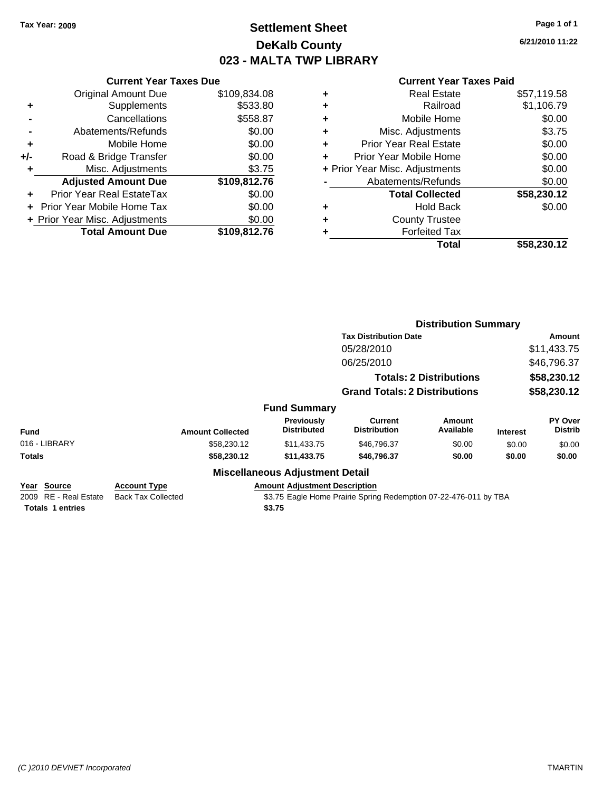## **Settlement Sheet Tax Year: 2009 Page 1 of 1 DeKalb County 023 - MALTA TWP LIBRARY**

**6/21/2010 11:22**

|     | <b>Current Year Taxes Due</b>  |              |  |  |  |
|-----|--------------------------------|--------------|--|--|--|
|     | <b>Original Amount Due</b>     | \$109,834.08 |  |  |  |
| ٠   | Supplements                    | \$533.80     |  |  |  |
|     | Cancellations                  | \$558.87     |  |  |  |
|     | Abatements/Refunds             | \$0.00       |  |  |  |
| ٠   | Mobile Home                    | \$0.00       |  |  |  |
| +/- | Road & Bridge Transfer         | \$0.00       |  |  |  |
| ٠   | Misc. Adjustments              | \$3.75       |  |  |  |
|     | <b>Adjusted Amount Due</b>     | \$109,812.76 |  |  |  |
|     | Prior Year Real EstateTax      | \$0.00       |  |  |  |
|     | Prior Year Mobile Home Tax     | \$0.00       |  |  |  |
|     | + Prior Year Misc. Adjustments | \$0.00       |  |  |  |
|     | <b>Total Amount Due</b>        | \$109.812.76 |  |  |  |

|   | <b>Real Estate</b>             | \$57,119.58 |
|---|--------------------------------|-------------|
| ٠ | Railroad                       | \$1,106.79  |
| ٠ | Mobile Home                    | \$0.00      |
| ٠ | Misc. Adjustments              | \$3.75      |
| ٠ | <b>Prior Year Real Estate</b>  | \$0.00      |
| ÷ | Prior Year Mobile Home         | \$0.00      |
|   | + Prior Year Misc. Adjustments | \$0.00      |
|   | Abatements/Refunds             | \$0.00      |
|   | <b>Total Collected</b>         | \$58,230.12 |
| ٠ | <b>Hold Back</b>               | \$0.00      |
| ٠ | <b>County Trustee</b>          |             |
|   | <b>Forfeited Tax</b>           |             |
|   | Total                          | \$58,230.12 |
|   |                                |             |

|                                                                 |                                                  |                                                                                                                    | <b>Distribution Summary</b>           |                                |                 |                           |
|-----------------------------------------------------------------|--------------------------------------------------|--------------------------------------------------------------------------------------------------------------------|---------------------------------------|--------------------------------|-----------------|---------------------------|
|                                                                 |                                                  |                                                                                                                    | <b>Tax Distribution Date</b>          |                                | Amount          |                           |
|                                                                 |                                                  |                                                                                                                    | 05/28/2010                            |                                |                 | \$11,433.75               |
|                                                                 |                                                  |                                                                                                                    | 06/25/2010                            |                                |                 | \$46,796.37               |
|                                                                 |                                                  |                                                                                                                    |                                       | <b>Totals: 2 Distributions</b> |                 | \$58,230.12               |
|                                                                 |                                                  |                                                                                                                    | <b>Grand Totals: 2 Distributions</b>  |                                |                 | \$58,230.12               |
|                                                                 |                                                  | <b>Fund Summary</b>                                                                                                |                                       |                                |                 |                           |
| <b>Fund</b>                                                     | <b>Amount Collected</b>                          | <b>Previously</b><br><b>Distributed</b>                                                                            | <b>Current</b><br><b>Distribution</b> | Amount<br>Available            | <b>Interest</b> | PY Over<br><b>Distrib</b> |
| 016 - LIBRARY                                                   | \$58,230.12                                      | \$11,433.75                                                                                                        | \$46,796.37                           | \$0.00                         | \$0.00          | \$0.00                    |
| Totals                                                          | \$58,230.12                                      | \$11,433.75                                                                                                        | \$46,796.37                           | \$0.00                         | \$0.00          | \$0.00                    |
|                                                                 |                                                  | <b>Miscellaneous Adjustment Detail</b>                                                                             |                                       |                                |                 |                           |
| Year Source<br>2009 RE - Real Estate<br><b>Totals 1 entries</b> | <b>Account Type</b><br><b>Back Tax Collected</b> | <b>Amount Adjustment Description</b><br>\$3.75 Eagle Home Prairie Spring Redemption 07-22-476-011 by TBA<br>\$3.75 |                                       |                                |                 |                           |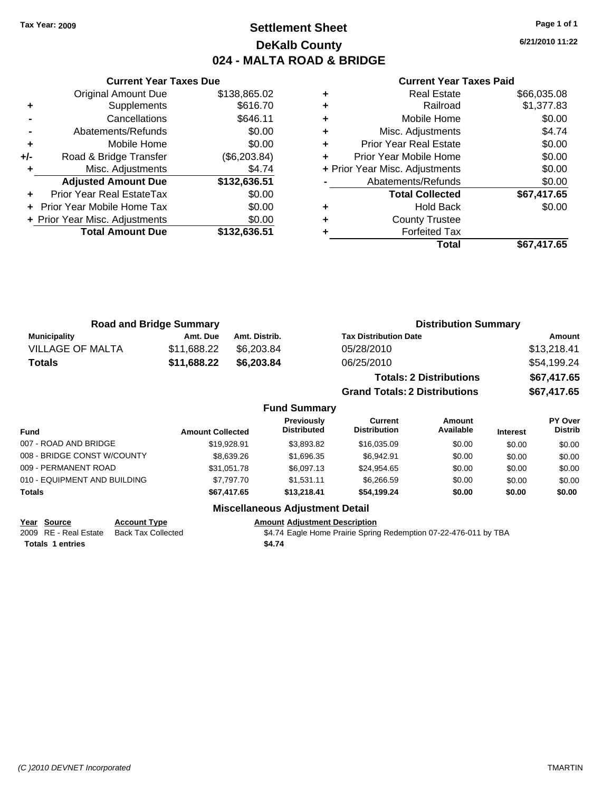## **Settlement Sheet Tax Year: 2009 Page 1 of 1 DeKalb County 024 - MALTA ROAD & BRIDGE**

**6/21/2010 11:22**

|     | <b>Current Year Taxes Due</b>  |              |  |  |  |
|-----|--------------------------------|--------------|--|--|--|
|     | Original Amount Due            | \$138,865.02 |  |  |  |
| ٠   | Supplements                    | \$616.70     |  |  |  |
|     | Cancellations                  | \$646.11     |  |  |  |
|     | Abatements/Refunds             | \$0.00       |  |  |  |
| ٠   | Mobile Home                    | \$0.00       |  |  |  |
| +/- | Road & Bridge Transfer         | (\$6,203.84) |  |  |  |
|     | Misc. Adjustments              | \$4.74       |  |  |  |
|     | <b>Adjusted Amount Due</b>     | \$132,636.51 |  |  |  |
| ÷   | Prior Year Real EstateTax      | \$0.00       |  |  |  |
|     | Prior Year Mobile Home Tax     | \$0.00       |  |  |  |
|     | + Prior Year Misc. Adjustments | \$0.00       |  |  |  |
|     | <b>Total Amount Due</b>        | \$132,636.51 |  |  |  |
|     |                                |              |  |  |  |

### **Current Year Taxes Paid**

|   | <b>Real Estate</b>             | \$66,035.08 |
|---|--------------------------------|-------------|
| ٠ | Railroad                       | \$1,377.83  |
| ÷ | Mobile Home                    | \$0.00      |
| ٠ | Misc. Adjustments              | \$4.74      |
| ٠ | <b>Prior Year Real Estate</b>  | \$0.00      |
|   | Prior Year Mobile Home         | \$0.00      |
|   | + Prior Year Misc. Adjustments | \$0.00      |
|   | Abatements/Refunds             | \$0.00      |
|   | <b>Total Collected</b>         | \$67,417.65 |
| ٠ | <b>Hold Back</b>               | \$0.00      |
| ٠ | <b>County Trustee</b>          |             |
|   | <b>Forfeited Tax</b>           |             |
|   | Total                          | \$67,417.65 |
|   |                                |             |

**Grand Totals: 2 Distributions \$67,417.65**

|                         | <b>Road and Bridge Summary</b> |               | <b>Distribution Summary</b>    |             |
|-------------------------|--------------------------------|---------------|--------------------------------|-------------|
| <b>Municipality</b>     | Amt. Due                       | Amt. Distrib. | <b>Tax Distribution Date</b>   | Amount      |
| <b>VILLAGE OF MALTA</b> | \$11.688.22                    | \$6.203.84    | 05/28/2010                     | \$13,218.41 |
| <b>Totals</b>           | \$11,688.22                    | \$6,203,84    | 06/25/2010                     | \$54,199.24 |
|                         |                                |               | <b>Totals: 2 Distributions</b> | \$67,417.65 |

**Fund Summary Fund Interest Amount Collected Distributed PY Over Distrib Amount Available Current Distribution Previously** 007 - ROAD AND BRIDGE 60.00 \$19,928.91 \$3,893.82 \$16,035.09 \$0.00 \$0.00 \$0.00 \$0.00 008 - BRIDGE CONST W/COUNTY  $$8,639.26$   $$1,696.35$   $$6,942.91$   $$0.00$   $$0.00$   $$0.00$ 009 - PERMANENT ROAD \$31,051.78 \$6,097.13 \$24,954.65 \$0.00 \$0.00 \$0.00 \$0.00 010 - EQUIPMENT AND BUILDING \$7,797.70 \$1,531.11 \$6,266.59 \$0.00 \$0.00 \$0.00 **Totals \$67,417.65 \$13,218.41 \$54,199.24 \$0.00 \$0.00 \$0.00**

## **Miscellaneous Adjustment Detail**

**Year Source Account Type Amount Adjustment Description**

2009 RE - Real Estate Back Tax Collected \$4.74 Eagle Home Prairie Spring Redemption 07-22-476-011 by TBA

**Totals \$4.74 1 entries**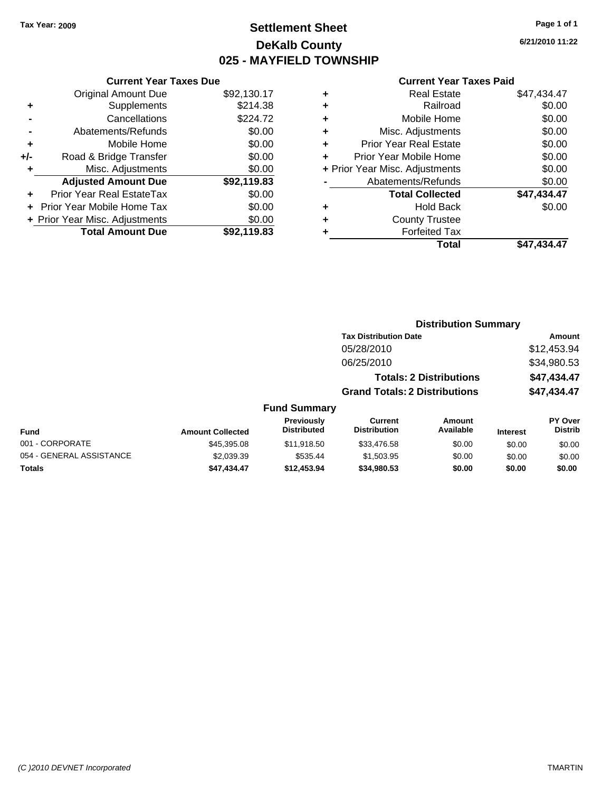**Original Amount Due** 

**Total Amount Due** 

**+** Supplements **-** Cancellations **-** Abatements/Refunds **+** Mobile Home **+/-** Road & Bridge Transfer **+** Misc. Adjustments **Adjusted Amount Due** 

**+** Prior Year Real EstateTax **+** Prior Year Mobile Home Tax \$0.00 **+ Prior Year Misc. Adjustments** 

## **Settlement Sheet Tax Year: 2009 Page 1 of 1 DeKalb County 025 - MAYFIELD TOWNSHIP**

**6/21/2010 11:22**

### **Current Year Taxes Paid**

| <b>Current Year Taxes Due</b> |             |   | <b>Current Year Taxe</b>       |
|-------------------------------|-------------|---|--------------------------------|
| ıl Amount Due                 | \$92,130.17 | ٠ | <b>Real Estate</b>             |
| Supplements                   | \$214.38    | ٠ | Railroad                       |
| Cancellations                 | \$224.72    | ÷ | Mobile Home                    |
| าents/Refunds                 | \$0.00      | ٠ | Misc. Adjustments              |
| Mobile Home                   | \$0.00      | ÷ | <b>Prior Year Real Estate</b>  |
| ridge Transfer                | \$0.00      | ÷ | Prior Year Mobile Home         |
| . Adjustments                 | \$0.00      |   | + Prior Year Misc. Adjustments |
| <b>Amount Due</b>             | \$92,119.83 |   | Abatements/Refunds             |
| eal EstateTax                 | \$0.00      |   | <b>Total Collected</b>         |
| pile Home Tax                 | \$0.00      | ٠ | <b>Hold Back</b>               |
| . Adjustments                 | \$0.00      | ٠ | <b>County Trustee</b>          |
| <b>Amount Due</b>             | \$92,119.83 | ٠ | <b>Forfeited Tax</b>           |
|                               |             |   | Total                          |

|   | Guright rear raxes Falu        |             |
|---|--------------------------------|-------------|
| ÷ | <b>Real Estate</b>             | \$47.434.47 |
| ÷ | Railroad                       | \$0.00      |
| ÷ | Mobile Home                    | \$0.00      |
| ÷ | Misc. Adjustments              | \$0.00      |
| ÷ | <b>Prior Year Real Estate</b>  | \$0.00      |
| ÷ | Prior Year Mobile Home         | \$0.00      |
|   | + Prior Year Misc. Adjustments | \$0.00      |
|   | Abatements/Refunds             | \$0.00      |
|   | <b>Total Collected</b>         | \$47,434.47 |
| ÷ | <b>Hold Back</b>               | \$0.00      |
| ÷ | <b>County Trustee</b>          |             |
| ÷ | <b>Forfeited Tax</b>           |             |
|   | Total                          | \$47.434.47 |
|   |                                |             |

### **Distribution Summary Tax Distribution Date Amount** 05/28/2010 \$12,453.94 06/25/2010 \$34,980.53 **Totals: 2 Distributions \$47,434.47 Grand Totals: 2 Distributions \$47,434.47 Fund Summary Fund Interest Amount Collected Distributed PY Over Distrib Amount Available Current Distribution Previously** 001 - CORPORATE \$45,395.08 \$11,918.50 \$33,476.58 \$0.00 \$0.00 \$0.00 054 - GENERAL ASSISTANCE \$2,039.39 \$535.44 \$1,503.95 \$0.00 \$0.00 \$0.00 **Totals \$47,434.47 \$12,453.94 \$34,980.53 \$0.00 \$0.00 \$0.00**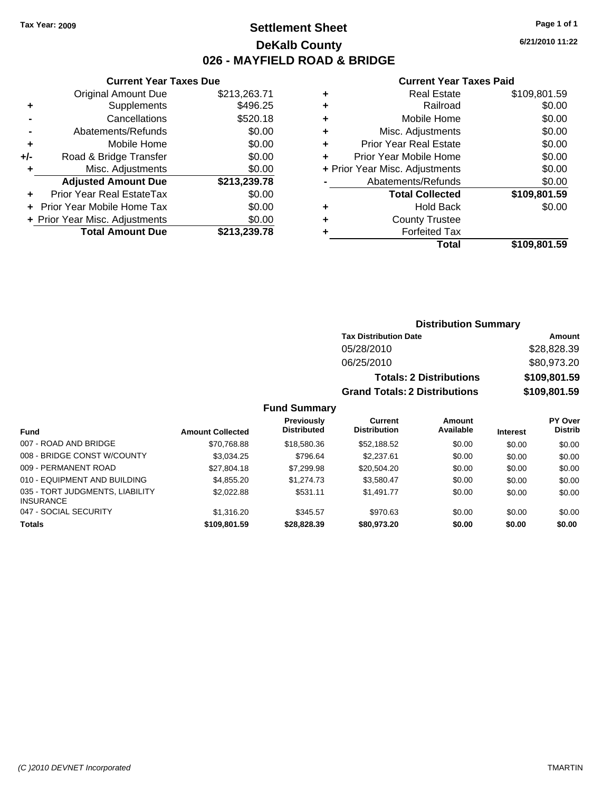## **Settlement Sheet Tax Year: 2009 Page 1 of 1 DeKalb County 026 - MAYFIELD ROAD & BRIDGE**

**6/21/2010 11:22**

## **Current Year Taxes Paid**

| ٠ | Real Estate                    | \$109,801.59 |
|---|--------------------------------|--------------|
| ٠ | Railroad                       | \$0.00       |
| ٠ | Mobile Home                    | \$0.00       |
| ٠ | Misc. Adjustments              | \$0.00       |
| ÷ | <b>Prior Year Real Estate</b>  | \$0.00       |
|   | Prior Year Mobile Home         | \$0.00       |
|   | + Prior Year Misc. Adjustments | \$0.00       |
|   | Abatements/Refunds             | \$0.00       |
|   | <b>Total Collected</b>         | \$109,801.59 |
| ٠ | <b>Hold Back</b>               | \$0.00       |
|   | <b>County Trustee</b>          |              |
|   | <b>Forfeited Tax</b>           |              |
|   | Total                          | \$109,801.59 |

|     | <b>Total Amount Due</b>        | \$213,239.78 |
|-----|--------------------------------|--------------|
|     | + Prior Year Misc. Adjustments | \$0.00       |
|     | + Prior Year Mobile Home Tax   | \$0.00       |
|     | Prior Year Real EstateTax      | \$0.00       |
|     | <b>Adjusted Amount Due</b>     | \$213,239.78 |
| ٠   | Misc. Adjustments              | \$0.00       |
| +/- | Road & Bridge Transfer         | \$0.00       |
| ٠   | Mobile Home                    | \$0.00       |
|     | Abatements/Refunds             | \$0.00       |
|     | Cancellations                  | \$520.18     |
| ٠   | Supplements                    | \$496.25     |
|     | <b>Original Amount Due</b>     | \$213,263.71 |

**Current Year Taxes Due**

## **Distribution Summary**

| <b>Tax Distribution Date</b>         | Amount       |
|--------------------------------------|--------------|
| 05/28/2010                           | \$28,828.39  |
| 06/25/2010                           | \$80,973.20  |
| <b>Totals: 2 Distributions</b>       | \$109,801.59 |
| <b>Grand Totals: 2 Distributions</b> | \$109,801.59 |

## **Fund Summary**

|                                                     |                         | <b>Previously</b>  | Current             | Amount    |                 | PY Over        |
|-----------------------------------------------------|-------------------------|--------------------|---------------------|-----------|-----------------|----------------|
| Fund                                                | <b>Amount Collected</b> | <b>Distributed</b> | <b>Distribution</b> | Available | <b>Interest</b> | <b>Distrib</b> |
| 007 - ROAD AND BRIDGE                               | \$70,768.88             | \$18,580.36        | \$52,188.52         | \$0.00    | \$0.00          | \$0.00         |
| 008 - BRIDGE CONST W/COUNTY                         | \$3,034.25              | \$796.64           | \$2,237.61          | \$0.00    | \$0.00          | \$0.00         |
| 009 - PERMANENT ROAD                                | \$27.804.18             | \$7,299.98         | \$20,504.20         | \$0.00    | \$0.00          | \$0.00         |
| 010 - EQUIPMENT AND BUILDING                        | \$4,855.20              | \$1,274.73         | \$3,580.47          | \$0.00    | \$0.00          | \$0.00         |
| 035 - TORT JUDGMENTS, LIABILITY<br><b>INSURANCE</b> | \$2,022.88              | \$531.11           | \$1,491.77          | \$0.00    | \$0.00          | \$0.00         |
| 047 - SOCIAL SECURITY                               | \$1,316.20              | \$345.57           | \$970.63            | \$0.00    | \$0.00          | \$0.00         |
| <b>Totals</b>                                       | \$109,801.59            | \$28,828,39        | \$80,973.20         | \$0.00    | \$0.00          | \$0.00         |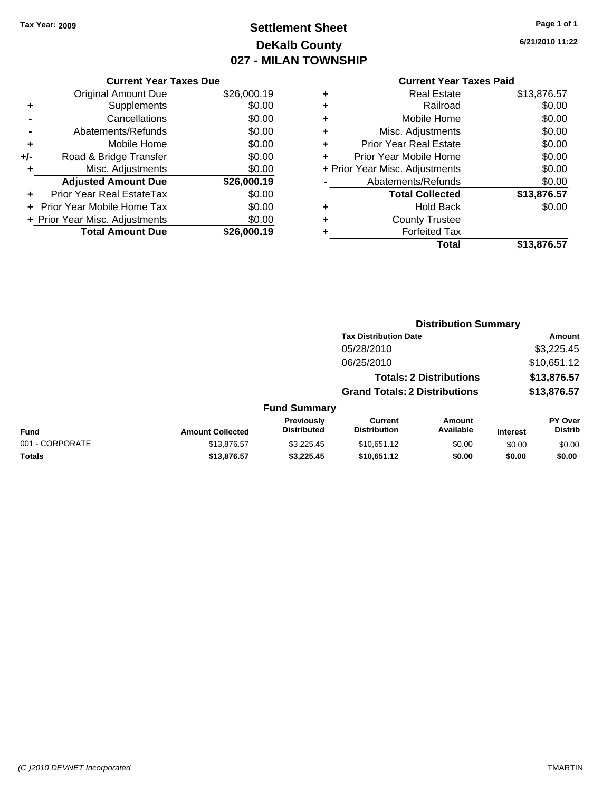# **Settlement Sheet Tax Year: 2009 Page 1 of 1 DeKalb County 027 - MILAN TOWNSHIP**

**6/21/2010 11:22**

| <b>Original Amount Due</b>        | \$26,000.19                                                     |
|-----------------------------------|-----------------------------------------------------------------|
| Supplements                       | \$0.00                                                          |
| Cancellations                     | \$0.00                                                          |
| Abatements/Refunds                | \$0.00                                                          |
| Mobile Home                       | \$0.00                                                          |
| Road & Bridge Transfer            | \$0.00                                                          |
| Misc. Adjustments                 | \$0.00                                                          |
| <b>Adjusted Amount Due</b>        | \$26,000.19                                                     |
| Prior Year Real EstateTax         | \$0.00                                                          |
| <b>Prior Year Mobile Home Tax</b> | \$0.00                                                          |
|                                   | \$0.00                                                          |
| <b>Total Amount Due</b>           | \$26,000.19                                                     |
|                                   | <b>Current Year Taxes Due</b><br>+ Prior Year Misc. Adjustments |

| <b>Real Estate</b>            | \$13,876.57                    |
|-------------------------------|--------------------------------|
| Railroad                      | \$0.00                         |
| Mobile Home                   | \$0.00                         |
| Misc. Adjustments             | \$0.00                         |
| <b>Prior Year Real Estate</b> | \$0.00                         |
| Prior Year Mobile Home        | \$0.00                         |
|                               | \$0.00                         |
| Abatements/Refunds            | \$0.00                         |
| <b>Total Collected</b>        | \$13,876.57                    |
| Hold Back                     | \$0.00                         |
| <b>County Trustee</b>         |                                |
| <b>Forfeited Tax</b>          |                                |
| Total                         | \$13,876.57                    |
|                               | + Prior Year Misc. Adjustments |

|                 |                         |                                  | <b>Distribution Summary</b>           |                                |                 |                           |
|-----------------|-------------------------|----------------------------------|---------------------------------------|--------------------------------|-----------------|---------------------------|
|                 |                         |                                  | <b>Tax Distribution Date</b>          |                                |                 | Amount                    |
|                 |                         |                                  | 05/28/2010                            |                                |                 | \$3,225.45                |
|                 |                         |                                  | 06/25/2010                            |                                |                 | \$10,651.12               |
|                 |                         |                                  |                                       | <b>Totals: 2 Distributions</b> |                 | \$13,876.57               |
|                 |                         |                                  | <b>Grand Totals: 2 Distributions</b>  |                                |                 | \$13,876.57               |
|                 |                         | <b>Fund Summary</b>              |                                       |                                |                 |                           |
| <b>Fund</b>     | <b>Amount Collected</b> | Previously<br><b>Distributed</b> | <b>Current</b><br><b>Distribution</b> | Amount<br>Available            | <b>Interest</b> | PY Over<br><b>Distrib</b> |
| 001 - CORPORATE | \$13,876.57             | \$3.225.45                       | \$10,651.12                           | \$0.00                         | \$0.00          | \$0.00                    |
| Totals          | \$13,876.57             | \$3,225.45                       | \$10,651.12                           | \$0.00                         | \$0.00          | \$0.00                    |
|                 |                         |                                  |                                       |                                |                 |                           |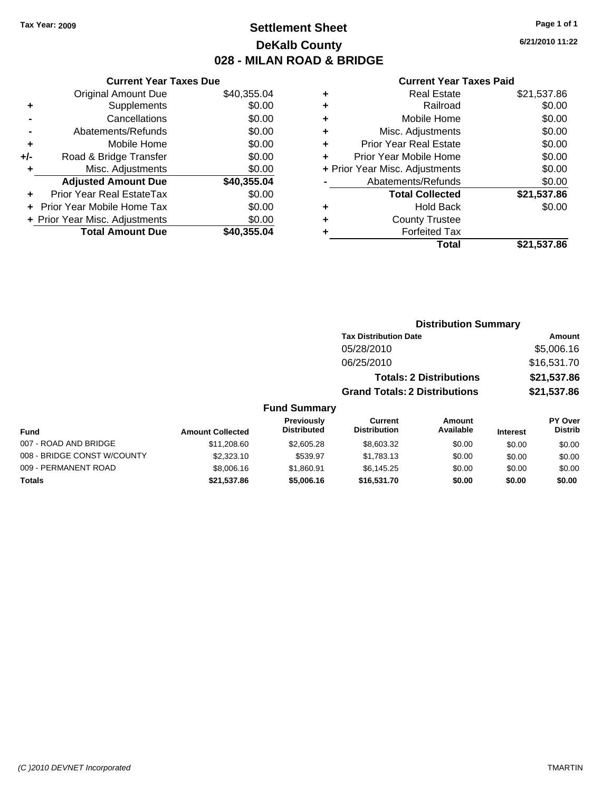## **Settlement Sheet Tax Year: 2009 Page 1 of 1 DeKalb County 028 - MILAN ROAD & BRIDGE**

**6/21/2010 11:22**

|     | <b>Current Year Taxes Due</b>  |             |
|-----|--------------------------------|-------------|
|     | <b>Original Amount Due</b>     | \$40,355.04 |
| ÷   | Supplements                    | \$0.00      |
|     | Cancellations                  | \$0.00      |
|     | Abatements/Refunds             | \$0.00      |
| ٠   | Mobile Home                    | \$0.00      |
| +/- | Road & Bridge Transfer         | \$0.00      |
|     | Misc. Adjustments              | \$0.00      |
|     | <b>Adjusted Amount Due</b>     | \$40,355.04 |
| ٠   | Prior Year Real EstateTax      | \$0.00      |
|     | Prior Year Mobile Home Tax     | \$0.00      |
|     | + Prior Year Misc. Adjustments | \$0.00      |
|     | <b>Total Amount Due</b>        | \$40,355,04 |
|     |                                |             |

| ٠ | <b>Real Estate</b>             | \$21,537.86 |
|---|--------------------------------|-------------|
| ٠ | Railroad                       | \$0.00      |
| ٠ | Mobile Home                    | \$0.00      |
| ٠ | Misc. Adjustments              | \$0.00      |
| ٠ | <b>Prior Year Real Estate</b>  | \$0.00      |
|   | Prior Year Mobile Home         | \$0.00      |
|   | + Prior Year Misc. Adjustments | \$0.00      |
|   | Abatements/Refunds             | \$0.00      |
|   | <b>Total Collected</b>         | \$21,537.86 |
| ٠ | <b>Hold Back</b>               | \$0.00      |
| ٠ | <b>County Trustee</b>          |             |
| ٠ | <b>Forfeited Tax</b>           |             |
|   | Total                          | \$21,537.86 |
|   |                                |             |

|                             |                         | <b>Distribution Summary</b>             |                                      |                                |                 |                                  |
|-----------------------------|-------------------------|-----------------------------------------|--------------------------------------|--------------------------------|-----------------|----------------------------------|
|                             |                         |                                         | <b>Tax Distribution Date</b>         |                                |                 | Amount                           |
|                             |                         |                                         | 05/28/2010                           |                                |                 | \$5,006.16                       |
|                             |                         |                                         | 06/25/2010                           |                                |                 | \$16,531.70                      |
|                             |                         |                                         |                                      | <b>Totals: 2 Distributions</b> |                 | \$21,537.86                      |
|                             |                         |                                         | <b>Grand Totals: 2 Distributions</b> |                                |                 | \$21,537.86                      |
|                             |                         | <b>Fund Summary</b>                     |                                      |                                |                 |                                  |
| Fund                        | <b>Amount Collected</b> | <b>Previously</b><br><b>Distributed</b> | Current<br><b>Distribution</b>       | Amount<br>Available            | <b>Interest</b> | <b>PY Over</b><br><b>Distrib</b> |
| 007 - ROAD AND BRIDGE       | \$11,208.60             | \$2,605.28                              | \$8,603.32                           | \$0.00                         | \$0.00          | \$0.00                           |
| 008 - BRIDGE CONST W/COUNTY | \$2,323.10              | \$539.97                                | \$1,783.13                           | \$0.00                         | \$0.00          | \$0.00                           |
| 009 - PERMANENT ROAD        | \$8,006.16              | \$1,860.91                              | \$6,145.25                           | \$0.00                         | \$0.00          | \$0.00                           |
| Totals                      | \$21,537.86             | \$5,006.16                              | \$16,531.70                          | \$0.00                         | \$0.00          | \$0.00                           |
|                             |                         |                                         |                                      |                                |                 |                                  |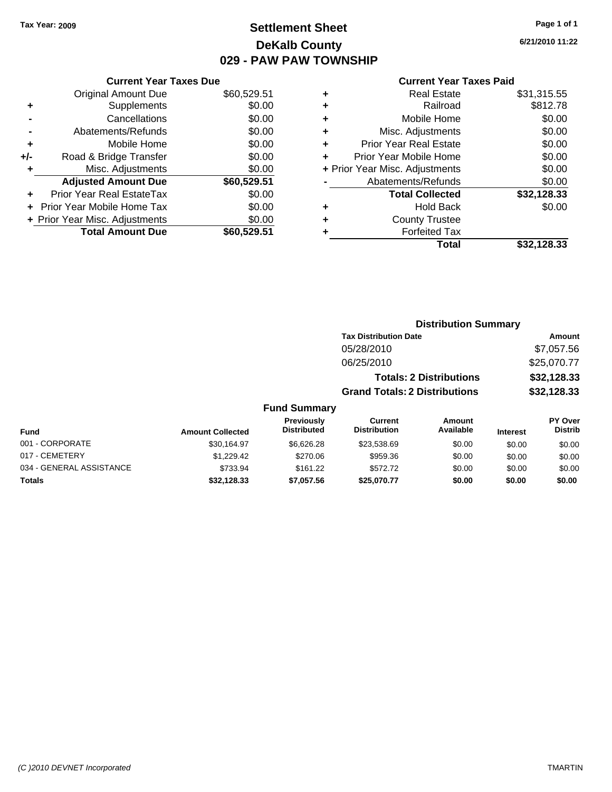## **Settlement Sheet Tax Year: 2009 Page 1 of 1 DeKalb County 029 - PAW PAW TOWNSHIP**

**6/21/2010 11:22**

|  | <b>Current Year Taxes Paid</b> |  |  |  |
|--|--------------------------------|--|--|--|
|--|--------------------------------|--|--|--|

|     | <b>Current Year Taxes Due</b>  |             |
|-----|--------------------------------|-------------|
|     | <b>Original Amount Due</b>     | \$60,529.51 |
| ٠   | Supplements                    | \$0.00      |
|     | Cancellations                  | \$0.00      |
|     | Abatements/Refunds             | \$0.00      |
| ٠   | Mobile Home                    | \$0.00      |
| +/- | Road & Bridge Transfer         | \$0.00      |
| ٠   | Misc. Adjustments              | \$0.00      |
|     | <b>Adjusted Amount Due</b>     | \$60,529.51 |
|     | Prior Year Real EstateTax      | \$0.00      |
|     | Prior Year Mobile Home Tax     | \$0.00      |
|     | + Prior Year Misc. Adjustments | \$0.00      |
|     | <b>Total Amount Due</b>        | \$60,529.51 |

| ٠ | <b>Real Estate</b>             | \$31,315.55 |
|---|--------------------------------|-------------|
| ٠ | Railroad                       | \$812.78    |
| ٠ | Mobile Home                    | \$0.00      |
| ٠ | Misc. Adjustments              | \$0.00      |
| ٠ | <b>Prior Year Real Estate</b>  | \$0.00      |
| ÷ | Prior Year Mobile Home         | \$0.00      |
|   | + Prior Year Misc. Adjustments | \$0.00      |
|   | Abatements/Refunds             | \$0.00      |
|   | <b>Total Collected</b>         | \$32,128.33 |
| ٠ | <b>Hold Back</b>               | \$0.00      |
| ٠ | <b>County Trustee</b>          |             |
| ٠ | <b>Forfeited Tax</b>           |             |
|   | Total                          | \$32,128.33 |

|                          |                         |                                  | <b>Distribution Summary</b>           |                                |                 |                           |
|--------------------------|-------------------------|----------------------------------|---------------------------------------|--------------------------------|-----------------|---------------------------|
|                          |                         |                                  | <b>Tax Distribution Date</b>          |                                |                 | Amount                    |
|                          |                         |                                  | 05/28/2010                            |                                |                 | \$7,057.56                |
|                          |                         |                                  | 06/25/2010                            |                                |                 | \$25,070.77               |
|                          |                         |                                  |                                       | <b>Totals: 2 Distributions</b> |                 | \$32,128.33               |
|                          |                         |                                  | <b>Grand Totals: 2 Distributions</b>  |                                |                 | \$32,128.33               |
|                          |                         | <b>Fund Summary</b>              |                                       |                                |                 |                           |
| Fund                     | <b>Amount Collected</b> | Previously<br><b>Distributed</b> | <b>Current</b><br><b>Distribution</b> | Amount<br>Available            | <b>Interest</b> | PY Over<br><b>Distrib</b> |
| 001 - CORPORATE          | \$30,164.97             | \$6,626.28                       | \$23,538.69                           | \$0.00                         | \$0.00          | \$0.00                    |
| 017 - CEMETERY           | \$1,229.42              | \$270.06                         | \$959.36                              | \$0.00                         | \$0.00          | \$0.00                    |
| 034 - GENERAL ASSISTANCE | \$733.94                | \$161.22                         | \$572.72                              | \$0.00                         | \$0.00          | \$0.00                    |
| Totals                   | \$32,128.33             | \$7,057.56                       | \$25,070.77                           | \$0.00                         | \$0.00          | \$0.00                    |
|                          |                         |                                  |                                       |                                |                 |                           |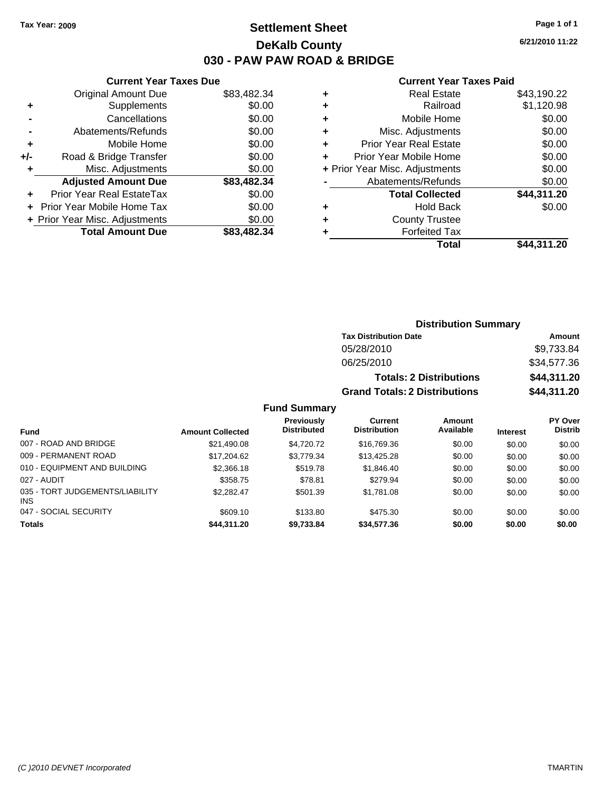**Current Year Taxes Due** Original Amount Due \$83,482.34

**Adjusted Amount Due \$83,482.34**

**Total Amount Due \$83,482.34**

**+** Supplements \$0.00 **-** Cancellations \$0.00 **-** Abatements/Refunds \$0.00 **+** Mobile Home \$0.00 **+/-** Road & Bridge Transfer \$0.00 **+** Misc. Adjustments \$0.00

**+** Prior Year Real EstateTax \$0.00 **+** Prior Year Mobile Home Tax \$0.00 **+ Prior Year Misc. Adjustments**  $$0.00$ 

## **Settlement Sheet Tax Year: 2009 Page 1 of 1 DeKalb County 030 - PAW PAW ROAD & BRIDGE**

**6/21/2010 11:22**

### **Current Year Taxes Paid**

**Distribution Summary**

|   | Total                          | \$44,311.20 |
|---|--------------------------------|-------------|
|   | <b>Forfeited Tax</b>           |             |
|   | <b>County Trustee</b>          |             |
| ÷ | <b>Hold Back</b>               | \$0.00      |
|   | <b>Total Collected</b>         | \$44,311.20 |
|   | Abatements/Refunds             | \$0.00      |
|   | + Prior Year Misc. Adjustments | \$0.00      |
|   | Prior Year Mobile Home         | \$0.00      |
| ٠ | <b>Prior Year Real Estate</b>  | \$0.00      |
| ٠ | Misc. Adjustments              | \$0.00      |
| ٠ | Mobile Home                    | \$0.00      |
|   | Railroad                       | \$1,120.98  |
| ÷ | <b>Real Estate</b>             | \$43,190.22 |
|   |                                |             |

|                                         |                         | PIJU INUUTI VUIIIIIUI V                 |                                       |                                |                 |                           |
|-----------------------------------------|-------------------------|-----------------------------------------|---------------------------------------|--------------------------------|-----------------|---------------------------|
|                                         |                         |                                         | <b>Tax Distribution Date</b>          |                                |                 | Amount                    |
|                                         |                         |                                         | 05/28/2010                            |                                |                 | \$9,733.84                |
|                                         |                         |                                         | 06/25/2010                            |                                |                 | \$34,577.36               |
|                                         |                         |                                         |                                       | <b>Totals: 2 Distributions</b> |                 | \$44,311.20               |
|                                         |                         |                                         | <b>Grand Totals: 2 Distributions</b>  |                                |                 | \$44,311.20               |
|                                         |                         | <b>Fund Summary</b>                     |                                       |                                |                 |                           |
| Fund                                    | <b>Amount Collected</b> | <b>Previously</b><br><b>Distributed</b> | <b>Current</b><br><b>Distribution</b> | <b>Amount</b><br>Available     | <b>Interest</b> | PY Over<br><b>Distrib</b> |
| 007 - ROAD AND BRIDGE                   | \$21,490.08             | \$4,720.72                              | \$16,769.36                           | \$0.00                         | \$0.00          | \$0.00                    |
| 009 - PERMANENT ROAD                    | \$17,204.62             | \$3,779.34                              | \$13,425.28                           | \$0.00                         | \$0.00          | \$0.00                    |
| 010 - EQUIPMENT AND BUILDING            | \$2,366.18              | \$519.78                                | \$1,846.40                            | \$0.00                         | \$0.00          | \$0.00                    |
| 027 - AUDIT                             | \$358.75                | \$78.81                                 | \$279.94                              | \$0.00                         | \$0.00          | \$0.00                    |
| 035 - TORT JUDGEMENTS/LIABILITY<br>INS. | \$2,282.47              | \$501.39                                | \$1,781.08                            | \$0.00                         | \$0.00          | \$0.00                    |
| 047 - SOCIAL SECURITY                   | \$609.10                | \$133.80                                | \$475.30                              | \$0.00                         | \$0.00          | \$0.00                    |
| Totals                                  | \$44,311.20             | \$9,733.84                              | \$34,577.36                           | \$0.00                         | \$0.00          | \$0.00                    |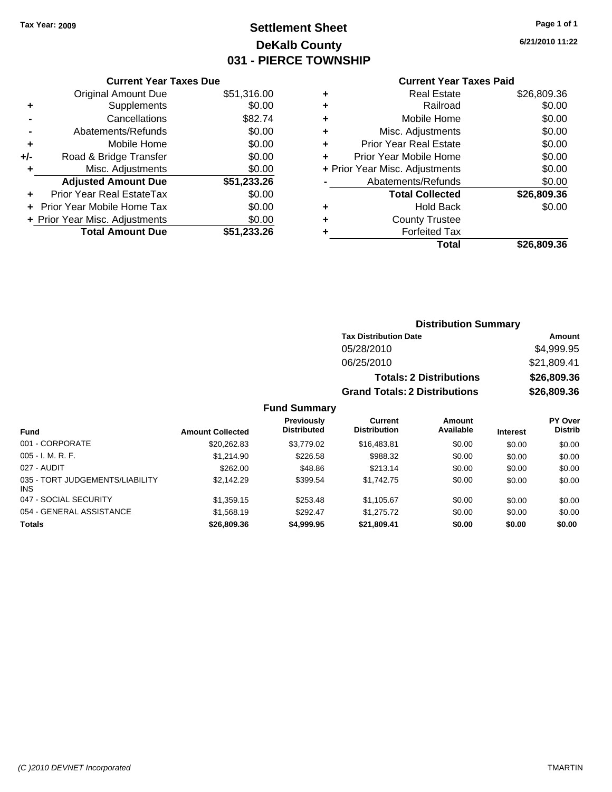# **Settlement Sheet Tax Year: 2009 Page 1 of 1 DeKalb County 031 - PIERCE TOWNSHIP**

**6/21/2010 11:22**

## **Current Year Taxes Paid**

|     | <b>Current Year Taxes Due</b>  |             |
|-----|--------------------------------|-------------|
|     | <b>Original Amount Due</b>     | \$51,316.00 |
| ٠   | Supplements                    | \$0.00      |
|     | Cancellations                  | \$82.74     |
|     | Abatements/Refunds             | \$0.00      |
| ٠   | Mobile Home                    | \$0.00      |
| +/- | Road & Bridge Transfer         | \$0.00      |
| ٠   | Misc. Adjustments              | \$0.00      |
|     | <b>Adjusted Amount Due</b>     | \$51,233.26 |
| ٠   | Prior Year Real EstateTax      | \$0.00      |
|     | Prior Year Mobile Home Tax     | \$0.00      |
|     | + Prior Year Misc. Adjustments | \$0.00      |
|     | <b>Total Amount Due</b>        | \$51,233.26 |

|   | <b>Real Estate</b>             | \$26,809.36 |
|---|--------------------------------|-------------|
| ٠ | Railroad                       | \$0.00      |
| ٠ | Mobile Home                    | \$0.00      |
| ٠ | Misc. Adjustments              | \$0.00      |
| ٠ | Prior Year Real Estate         | \$0.00      |
|   | Prior Year Mobile Home         | \$0.00      |
|   | + Prior Year Misc. Adjustments | \$0.00      |
|   | Abatements/Refunds             | \$0.00      |
|   | <b>Total Collected</b>         | \$26,809.36 |
| ٠ | <b>Hold Back</b>               | \$0.00      |
| ٠ | <b>County Trustee</b>          |             |
| ٠ | <b>Forfeited Tax</b>           |             |
|   | Total                          | \$26.809.36 |
|   |                                |             |

## **Distribution Summary Tax Distribution Date Amount** 05/28/2010 \$4,999.95 06/25/2010 \$21,809.41 **Totals: 2 Distributions \$26,809.36 Grand Totals: 2 Distributions \$26,809.36 Fund Summary**

| <b>Fund</b>                             | <b>Amount Collected</b> | <b>Previously</b><br><b>Distributed</b> | Current<br><b>Distribution</b> | Amount<br>Available | <b>Interest</b> | <b>PY Over</b><br><b>Distrib</b> |
|-----------------------------------------|-------------------------|-----------------------------------------|--------------------------------|---------------------|-----------------|----------------------------------|
| 001 - CORPORATE                         | \$20,262.83             | \$3,779.02                              | \$16,483.81                    | \$0.00              | \$0.00          | \$0.00                           |
| $005 - I. M. R. F.$                     | \$1,214.90              | \$226.58                                | \$988.32                       | \$0.00              | \$0.00          | \$0.00                           |
| 027 - AUDIT                             | \$262.00                | \$48.86                                 | \$213.14                       | \$0.00              | \$0.00          | \$0.00                           |
| 035 - TORT JUDGEMENTS/LIABILITY<br>INS. | \$2,142.29              | \$399.54                                | \$1,742.75                     | \$0.00              | \$0.00          | \$0.00                           |
| 047 - SOCIAL SECURITY                   | \$1,359.15              | \$253.48                                | \$1,105.67                     | \$0.00              | \$0.00          | \$0.00                           |
| 054 - GENERAL ASSISTANCE                | \$1,568.19              | \$292.47                                | \$1,275.72                     | \$0.00              | \$0.00          | \$0.00                           |
| <b>Totals</b>                           | \$26,809.36             | \$4,999.95                              | \$21,809.41                    | \$0.00              | \$0.00          | \$0.00                           |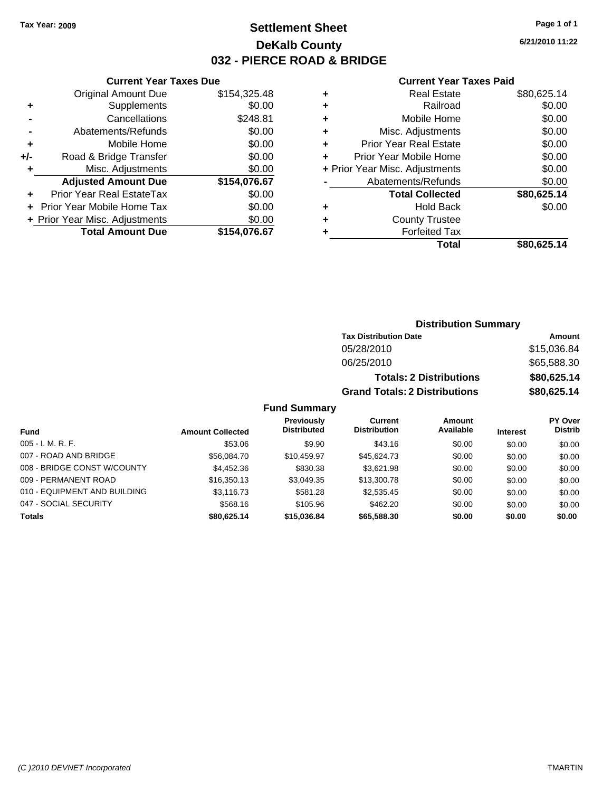## **Settlement Sheet Tax Year: 2009 Page 1 of 1 DeKalb County 032 - PIERCE ROAD & BRIDGE**

**6/21/2010 11:22**

## **Current Year Taxes Paid**

|   | Total                          | \$80.625.14 |
|---|--------------------------------|-------------|
| ٠ | <b>Forfeited Tax</b>           |             |
| ٠ | <b>County Trustee</b>          |             |
| ٠ | <b>Hold Back</b>               | \$0.00      |
|   | <b>Total Collected</b>         | \$80,625.14 |
|   | Abatements/Refunds             | \$0.00      |
|   | + Prior Year Misc. Adjustments | \$0.00      |
| ٠ | Prior Year Mobile Home         | \$0.00      |
| ÷ | <b>Prior Year Real Estate</b>  | \$0.00      |
| ٠ | Misc. Adjustments              | \$0.00      |
| ٠ | Mobile Home                    | \$0.00      |
| ٠ | Railroad                       | \$0.00      |
| ٠ | <b>Real Estate</b>             | \$80,625.14 |
|   |                                |             |

|     | <b>Current Year Taxes Due</b>  |              |
|-----|--------------------------------|--------------|
|     | <b>Original Amount Due</b>     | \$154,325.48 |
| ٠   | Supplements                    | \$0.00       |
|     | Cancellations                  | \$248.81     |
|     | Abatements/Refunds             | \$0.00       |
| ٠   | Mobile Home                    | \$0.00       |
| +/- | Road & Bridge Transfer         | \$0.00       |
| ٠   | Misc. Adjustments              | \$0.00       |
|     | <b>Adjusted Amount Due</b>     | \$154,076.67 |
|     | Prior Year Real EstateTax      | \$0.00       |
|     | Prior Year Mobile Home Tax     | \$0.00       |
|     | + Prior Year Misc. Adjustments | \$0.00       |
|     | <b>Total Amount Due</b>        | \$154.076.67 |
|     |                                |              |

## **Distribution Summary**

| <b>Tax Distribution Date</b>         | Amount      |
|--------------------------------------|-------------|
| 05/28/2010                           | \$15,036.84 |
| 06/25/2010                           | \$65,588,30 |
| <b>Totals: 2 Distributions</b>       | \$80,625,14 |
| <b>Grand Totals: 2 Distributions</b> | \$80,625.14 |

## **Fund Summary**

|                              |                         | Previously         | Current             | <b>Amount</b> |                 | PY Over        |
|------------------------------|-------------------------|--------------------|---------------------|---------------|-----------------|----------------|
| Fund                         | <b>Amount Collected</b> | <b>Distributed</b> | <b>Distribution</b> | Available     | <b>Interest</b> | <b>Distrib</b> |
| $005 - I. M. R. F.$          | \$53.06                 | \$9.90             | \$43.16             | \$0.00        | \$0.00          | \$0.00         |
| 007 - ROAD AND BRIDGE        | \$56,084.70             | \$10,459.97        | \$45,624.73         | \$0.00        | \$0.00          | \$0.00         |
| 008 - BRIDGE CONST W/COUNTY  | \$4,452.36              | \$830.38           | \$3.621.98          | \$0.00        | \$0.00          | \$0.00         |
| 009 - PERMANENT ROAD         | \$16,350.13             | \$3.049.35         | \$13,300.78         | \$0.00        | \$0.00          | \$0.00         |
| 010 - EQUIPMENT AND BUILDING | \$3,116.73              | \$581.28           | \$2,535.45          | \$0.00        | \$0.00          | \$0.00         |
| 047 - SOCIAL SECURITY        | \$568.16                | \$105.96           | \$462.20            | \$0.00        | \$0.00          | \$0.00         |
| <b>Totals</b>                | \$80.625.14             | \$15,036,84        | \$65,588,30         | \$0.00        | \$0.00          | \$0.00         |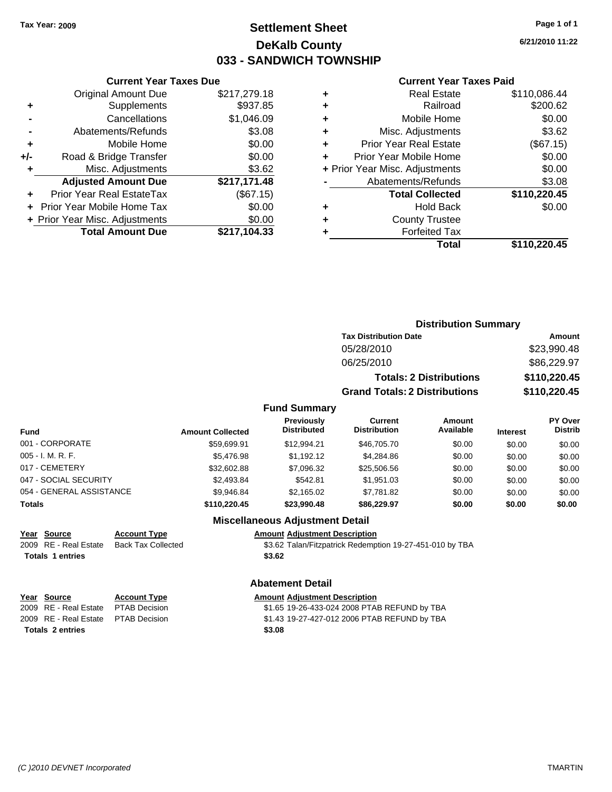## **Settlement Sheet Tax Year: 2009 Page 1 of 1 DeKalb County 033 - SANDWICH TOWNSHIP**

**6/21/2010 11:22**

### **Current Year Taxes Paid**

|      |   | Total                          | \$110,220.45 |
|------|---|--------------------------------|--------------|
| 4.33 | ٠ | <b>Forfeited Tax</b>           |              |
| 0.00 | ٠ | <b>County Trustee</b>          |              |
| 0.00 | ٠ | <b>Hold Back</b>               | \$0.00       |
| (15) |   | <b>Total Collected</b>         | \$110,220.45 |
| 1.48 |   | Abatements/Refunds             | \$3.08       |
| 3.62 |   | + Prior Year Misc. Adjustments | \$0.00       |
| 0.00 | ÷ | Prior Year Mobile Home         | \$0.00       |
| 0.00 | ÷ | <b>Prior Year Real Estate</b>  | (\$67.15)    |
| 3.08 | ٠ | Misc. Adjustments              | \$3.62       |
| 6.09 | ٠ | Mobile Home                    | \$0.00       |
| 7.85 | ٠ | Railroad                       | \$200.62     |
| 9.18 | ٠ | <b>Real Estate</b>             | \$110,086.44 |
|      |   |                                |              |

|     | <b>Current Year Taxes Due</b>  |              |
|-----|--------------------------------|--------------|
|     | <b>Original Amount Due</b>     | \$217,279.18 |
| ٠   | Supplements                    | \$937.85     |
|     | Cancellations                  | \$1,046.09   |
|     | Abatements/Refunds             | \$3.08       |
| ٠   | Mobile Home                    | \$0.00       |
| +/- | Road & Bridge Transfer         | \$0.00       |
| ٠   | Misc. Adjustments              | \$3.62       |
|     | <b>Adjusted Amount Due</b>     | \$217,171.48 |
|     | Prior Year Real EstateTax      | (\$67.15)    |
|     | Prior Year Mobile Home Tax     | \$0.00       |
|     | + Prior Year Misc. Adjustments | \$0.00       |
|     | <b>Total Amount Due</b>        | \$217,104.33 |
|     |                                |              |

| <b>Distribution Summary</b>  |             |  |  |
|------------------------------|-------------|--|--|
| <b>Tax Distribution Date</b> | Amount      |  |  |
| 05/28/2010                   | \$23,990.48 |  |  |

| 06/25/2010                           | \$86,229.97  |
|--------------------------------------|--------------|
| <b>Totals: 2 Distributions</b>       | \$110,220.45 |
| <b>Grand Totals: 2 Distributions</b> | \$110,220.45 |

### **Fund Summary**

| Fund                     | <b>Amount Collected</b> | Previously<br><b>Distributed</b> | Current<br><b>Distribution</b> | Amount<br>Available | <b>Interest</b> | PY Over<br><b>Distrib</b> |
|--------------------------|-------------------------|----------------------------------|--------------------------------|---------------------|-----------------|---------------------------|
| 001 - CORPORATE          | \$59.699.91             | \$12.994.21                      | \$46,705.70                    | \$0.00              | \$0.00          | \$0.00                    |
| 005 - I. M. R. F.        | \$5,476.98              | \$1.192.12                       | \$4,284.86                     | \$0.00              | \$0.00          | \$0.00                    |
| 017 - CEMETERY           | \$32,602.88             | \$7,096.32                       | \$25,506.56                    | \$0.00              | \$0.00          | \$0.00                    |
| 047 - SOCIAL SECURITY    | \$2,493.84              | \$542.81                         | \$1,951.03                     | \$0.00              | \$0.00          | \$0.00                    |
| 054 - GENERAL ASSISTANCE | \$9.946.84              | \$2,165.02                       | \$7,781.82                     | \$0.00              | \$0.00          | \$0.00                    |
| Totals                   | \$110,220.45            | \$23,990.48                      | \$86.229.97                    | \$0.00              | \$0.00          | \$0.00                    |

### **Miscellaneous Adjustment Detail**

## **Year Source Account Type Amount Adjustment Description**

2009 RE - Real Estate Back Tax Collected \$3.62 Talan/Fitzpatrick Redemption 19-27-451-010 by TBA Totals 1 entries \$3.62

## **Abatement Detail**

| Year Source                          | <b>Account Type</b> | <b>Amount Adjustment Description</b>         |
|--------------------------------------|---------------------|----------------------------------------------|
| 2009 RE - Real Estate PTAB Decision  |                     | \$1.65 19-26-433-024 2008 PTAB REFUND by TBA |
| 2009 RE - Real Estate  PTAB Decision |                     | \$1.43 19-27-427-012 2006 PTAB REFUND by TBA |
| <b>Totals 2 entries</b>              |                     | \$3.08                                       |
|                                      |                     |                                              |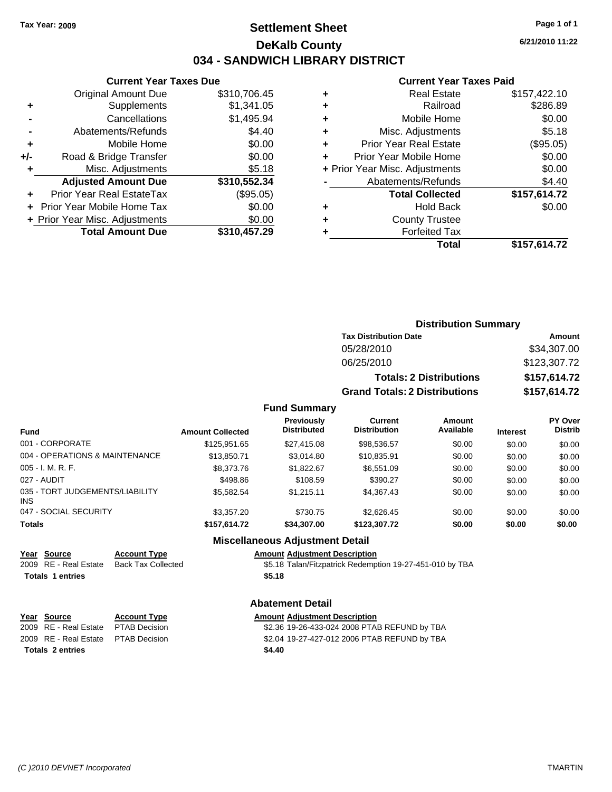## **Settlement Sheet Tax Year: 2009 Page 1 of 1 DeKalb County 034 - SANDWICH LIBRARY DISTRICT**

**6/21/2010 11:22**

### **Current Year Taxes Paid**

|       | <b>Current Year Taxes Due</b>  |              |
|-------|--------------------------------|--------------|
|       | <b>Original Amount Due</b>     | \$310,706.45 |
| ٠     | Supplements                    | \$1,341.05   |
|       | Cancellations                  | \$1,495.94   |
|       | Abatements/Refunds             | \$4.40       |
| ٠     | Mobile Home                    | \$0.00       |
| $+/-$ | Road & Bridge Transfer         | \$0.00       |
| ٠     | Misc. Adjustments              | \$5.18       |
|       | <b>Adjusted Amount Due</b>     | \$310,552.34 |
|       | Prior Year Real EstateTax      | (\$95.05)    |
|       | Prior Year Mobile Home Tax     | \$0.00       |
|       | + Prior Year Misc. Adjustments | \$0.00       |
|       | <b>Total Amount Due</b>        | \$310,457.29 |
|       |                                |              |

|   | <b>Real Estate</b>             | \$157,422.10 |
|---|--------------------------------|--------------|
| ٠ | Railroad                       | \$286.89     |
| ٠ | Mobile Home                    | \$0.00       |
| ÷ | Misc. Adjustments              | \$5.18       |
| ٠ | <b>Prior Year Real Estate</b>  | (\$95.05)    |
|   | Prior Year Mobile Home         | \$0.00       |
|   | + Prior Year Misc. Adjustments | \$0.00       |
|   | Abatements/Refunds             | \$4.40       |
|   | <b>Total Collected</b>         | \$157,614.72 |
| ٠ | <b>Hold Back</b>               | \$0.00       |
| ٠ | <b>County Trustee</b>          |              |
|   | <b>Forfeited Tax</b>           |              |
|   | Total                          | \$157,614.72 |
|   |                                |              |

|                     | <b>Distribution Summary</b>          |              |
|---------------------|--------------------------------------|--------------|
|                     | <b>Tax Distribution Date</b>         | Amount       |
|                     | 05/28/2010                           | \$34,307.00  |
|                     | 06/25/2010                           | \$123,307.72 |
|                     | <b>Totals: 2 Distributions</b>       | \$157,614.72 |
|                     | <b>Grand Totals: 2 Distributions</b> | \$157,614.72 |
| <b>Fund Summary</b> |                                      |              |

| <b>Fund</b>                             | <b>Amount Collected</b> | <b>Previously</b><br><b>Distributed</b> | Current<br><b>Distribution</b> | Amount<br>Available | <b>Interest</b> | PY Over<br><b>Distrib</b> |  |
|-----------------------------------------|-------------------------|-----------------------------------------|--------------------------------|---------------------|-----------------|---------------------------|--|
| 001 - CORPORATE                         | \$125,951.65            | \$27,415,08                             | \$98,536.57                    | \$0.00              | \$0.00          | \$0.00                    |  |
| 004 - OPERATIONS & MAINTENANCE          | \$13,850.71             | \$3.014.80                              | \$10,835.91                    | \$0.00              | \$0.00          | \$0.00                    |  |
| 005 - I. M. R. F.                       | \$8,373.76              | \$1,822.67                              | \$6,551.09                     | \$0.00              | \$0.00          | \$0.00                    |  |
| 027 - AUDIT                             | \$498.86                | \$108.59                                | \$390.27                       | \$0.00              | \$0.00          | \$0.00                    |  |
| 035 - TORT JUDGEMENTS/LIABILITY<br>INS. | \$5,582.54              | \$1.215.11                              | \$4,367.43                     | \$0.00              | \$0.00          | \$0.00                    |  |
| 047 - SOCIAL SECURITY                   | \$3,357,20              | \$730.75                                | \$2.626.45                     | \$0.00              | \$0.00          | \$0.00                    |  |
| <b>Totals</b>                           | \$157,614.72            | \$34,307.00                             | \$123,307.72                   | \$0.00              | \$0.00          | \$0.00                    |  |
|                                         |                         |                                         |                                |                     |                 |                           |  |

### **Miscellaneous Adjustment Detail**

### **Year Source Account Type Amount Adjustment Description**

2009 RE - Real Estate Back Tax Collected \$5.18 Talan/Fitzpatrick Redemption 19-27-451-010 by TBA **Totals \$5.18 1 entries**

## **Abatement Detail**

|                         | Year Source                          | <b>Account Type</b> | <b>Amount Adjustment Description</b>         |
|-------------------------|--------------------------------------|---------------------|----------------------------------------------|
|                         | 2009 RE - Real Estate  PTAB Decision |                     | \$2.36 19-26-433-024 2008 PTAB REFUND by TBA |
|                         | 2009 RE - Real Estate  PTAB Decision |                     | \$2.04 19-27-427-012 2006 PTAB REFUND by TBA |
| <b>Totals 2 entries</b> |                                      |                     | \$4.40                                       |
|                         |                                      |                     |                                              |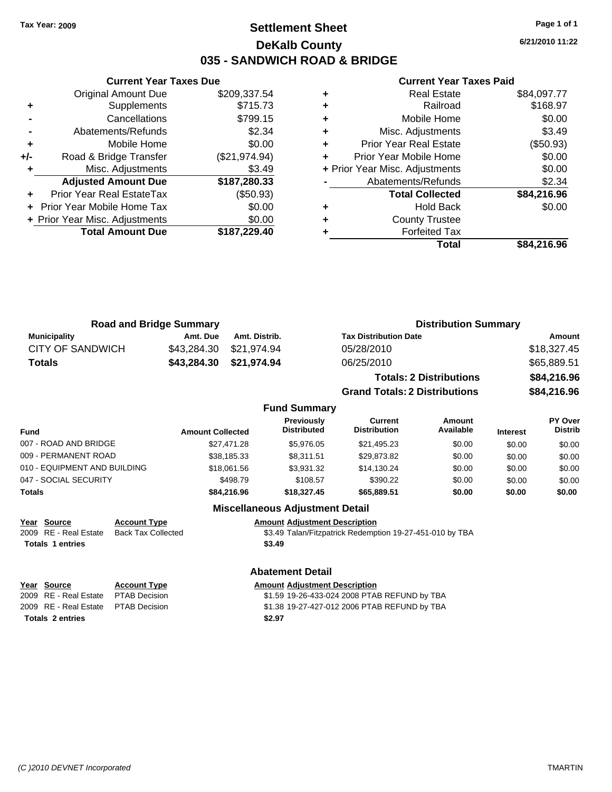### **Settlement Sheet Tax Year: 2009 Page 1 of 1 DeKalb County 035 - SANDWICH ROAD & BRIDGE**

**6/21/2010 11:22**

#### **Current Year Taxes Paid**

|     | <b>Original Amount Due</b>     | \$209,337.54  |
|-----|--------------------------------|---------------|
| ٠   | Supplements                    | \$715.73      |
|     | Cancellations                  | \$799.15      |
|     | Abatements/Refunds             | \$2.34        |
| ٠   | Mobile Home                    | \$0.00        |
| +/- | Road & Bridge Transfer         | (\$21,974.94) |
| ٠   | Misc. Adjustments              | \$3.49        |
|     | <b>Adjusted Amount Due</b>     | \$187,280.33  |
|     | Prior Year Real EstateTax      | (\$50.93)     |
|     | Prior Year Mobile Home Tax     | \$0.00        |
|     | + Prior Year Misc. Adjustments | \$0.00        |
|     | <b>Total Amount Due</b>        | \$187,229.40  |
|     |                                |               |

**Current Year Taxes Due**

|   | <b>Real Estate</b>             | \$84,097.77 |
|---|--------------------------------|-------------|
| ٠ | Railroad                       | \$168.97    |
| ٠ | Mobile Home                    | \$0.00      |
| ٠ | Misc. Adjustments              | \$3.49      |
| ٠ | <b>Prior Year Real Estate</b>  | (\$50.93)   |
| ٠ | Prior Year Mobile Home         | \$0.00      |
|   | + Prior Year Misc. Adjustments | \$0.00      |
|   | Abatements/Refunds             | \$2.34      |
|   | <b>Total Collected</b>         | \$84,216.96 |
| ٠ | <b>Hold Back</b>               | \$0.00      |
| ٠ | <b>County Trustee</b>          |             |
|   | <b>Forfeited Tax</b>           |             |
|   | Total                          | \$84.216.96 |

| <b>Road and Bridge Summary</b> |          |                         | <b>Distribution Summary</b>    |             |  |
|--------------------------------|----------|-------------------------|--------------------------------|-------------|--|
| Municipality                   | Amt. Due | Amt. Distrib.           | <b>Tax Distribution Date</b>   | Amount      |  |
| CITY OF SANDWICH               |          | \$43,284.30 \$21,974.94 | 05/28/2010                     | \$18,327.45 |  |
| Totals                         |          | \$43,284.30 \$21,974.94 | 06/25/2010                     | \$65,889.51 |  |
|                                |          |                         | <b>Totals: 2 Distributions</b> | \$84,216.96 |  |

**Grand Totals: 2 Distributions \$84,216.96 Fund Summary**

| <b>Fund</b>                  | <b>Amount Collected</b> | <b>Previously</b><br><b>Distributed</b> | Current<br><b>Distribution</b> | Amount<br>Available | <b>Interest</b> | PY Over<br><b>Distrib</b> |
|------------------------------|-------------------------|-----------------------------------------|--------------------------------|---------------------|-----------------|---------------------------|
| 007 - ROAD AND BRIDGE        | \$27.471.28             | \$5,976.05                              | \$21,495.23                    | \$0.00              | \$0.00          | \$0.00                    |
| 009 - PERMANENT ROAD         | \$38,185.33             | \$8.311.51                              | \$29.873.82                    | \$0.00              | \$0.00          | \$0.00                    |
| 010 - EQUIPMENT AND BUILDING | \$18,061.56             | \$3,931.32                              | \$14,130.24                    | \$0.00              | \$0.00          | \$0.00                    |
| 047 - SOCIAL SECURITY        | \$498.79                | \$108.57                                | \$390.22                       | \$0.00              | \$0.00          | \$0.00                    |
| Totals                       | \$84,216.96             | \$18,327.45                             | \$65,889.51                    | \$0.00              | \$0.00          | \$0.00                    |
|                              |                         |                                         |                                |                     |                 |                           |

### **Miscellaneous Adjustment Detail**

**Year Source Account Type Amount Adjustment Description** \$3.49 Talan/Fitzpatrick Redemption 19-27-451-010 by TBA

**Totals \$3.49 1 entries**

**Year Source Account Type Amount Adjustment Description** 2009 RE - Real Estate \$1.59 19-26-433-024 2008 PTAB REFUND by TBA PTAB Decision **Totals \$2.97 2 entries**

**Abatement Detail**

2009 RE - Real Estate \$1.38 19-27-427-012 2006 PTAB REFUND by TBA PTAB Decision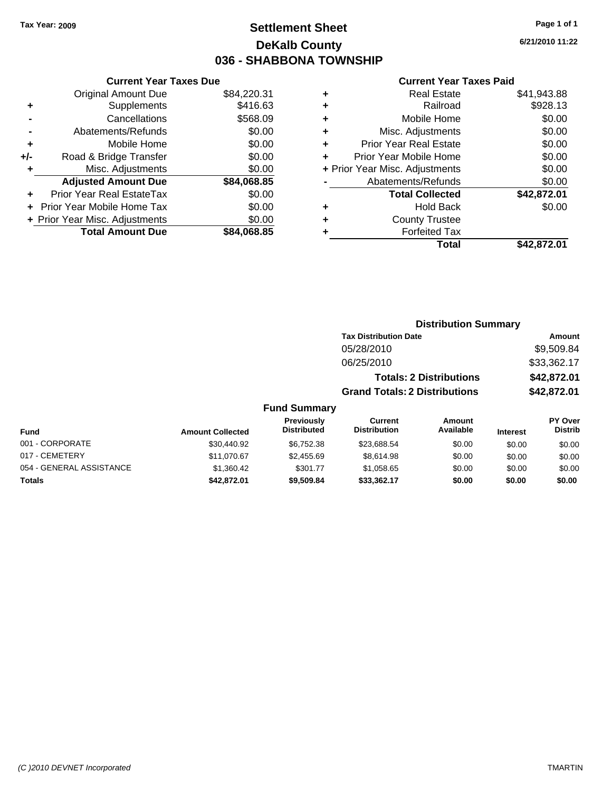### **Settlement Sheet Tax Year: 2009 Page 1 of 1 DeKalb County 036 - SHABBONA TOWNSHIP**

**6/21/2010 11:22**

#### **Current Year Taxes Paid**

|     | OGNOM TOGET GAOS DUC           |             |
|-----|--------------------------------|-------------|
|     | <b>Original Amount Due</b>     | \$84,220.31 |
| ٠   | Supplements                    | \$416.63    |
|     | Cancellations                  | \$568.09    |
|     | Abatements/Refunds             | \$0.00      |
| ٠   | Mobile Home                    | \$0.00      |
| +/- | Road & Bridge Transfer         | \$0.00      |
| ٠   | Misc. Adjustments              | \$0.00      |
|     | <b>Adjusted Amount Due</b>     | \$84,068.85 |
|     | Prior Year Real EstateTax      | \$0.00      |
|     | Prior Year Mobile Home Tax     | \$0.00      |
|     | + Prior Year Misc. Adjustments | \$0.00      |
|     | <b>Total Amount Due</b>        | \$84,068.85 |
|     |                                |             |

**Current Year Taxes Due**

| ٠ | <b>Real Estate</b>             | \$41,943.88 |
|---|--------------------------------|-------------|
| ٠ | Railroad                       | \$928.13    |
| ٠ | Mobile Home                    | \$0.00      |
| ٠ | Misc. Adjustments              | \$0.00      |
| ٠ | <b>Prior Year Real Estate</b>  | \$0.00      |
|   | Prior Year Mobile Home         | \$0.00      |
|   | + Prior Year Misc. Adjustments | \$0.00      |
|   | Abatements/Refunds             | \$0.00      |
|   | <b>Total Collected</b>         | \$42,872.01 |
| ٠ | <b>Hold Back</b>               | \$0.00      |
| ٠ | <b>County Trustee</b>          |             |
|   | <b>Forfeited Tax</b>           |             |
|   | Total                          | \$42,872.01 |
|   |                                |             |

#### **Distribution Summary Tax Distribution Date Amount** 05/28/2010 \$9,509.84 06/25/2010 \$33,362.17 **Totals: 2 Distributions \$42,872.01 Grand Totals: 2 Distributions \$42,872.01 Fund Summary Fund Interest Amount Collected Distributed PY Over Distrib Amount Available Current Distribution Previously** 001 - CORPORATE 6 \$30,440.92 \$6,752.38 \$23,688.54 \$0.00 \$0.00 \$0.00 017 - CEMETERY \$11,070.67 \$2,455.69 \$8,614.98 \$0.00 \$0.00 \$0.00 054 - GENERAL ASSISTANCE  $$1,360.42$   $$301.77$   $$1,058.65$   $$0.00$   $$0.00$   $$0.00$ **Totals \$42,872.01 \$9,509.84 \$33,362.17 \$0.00 \$0.00 \$0.00**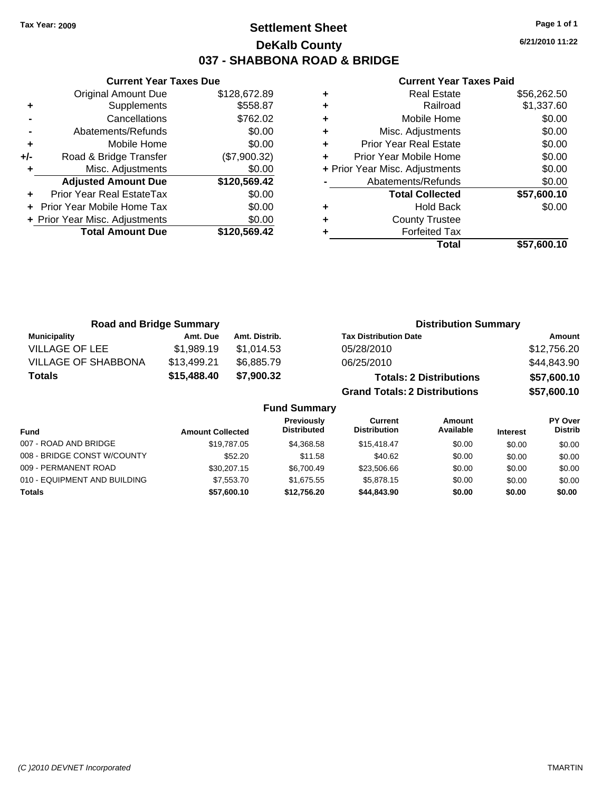### **Settlement Sheet Tax Year: 2009 Page 1 of 1 DeKalb County 037 - SHABBONA ROAD & BRIDGE**

**6/21/2010 11:22**

#### **Current Year Taxes Paid**

|     | <b>Current Year Taxes Due</b>  |              |  |  |  |
|-----|--------------------------------|--------------|--|--|--|
|     | <b>Original Amount Due</b>     | \$128,672.89 |  |  |  |
| ٠   | Supplements                    | \$558.87     |  |  |  |
|     | Cancellations                  | \$762.02     |  |  |  |
|     | Abatements/Refunds             | \$0.00       |  |  |  |
| ٠   | Mobile Home                    | \$0.00       |  |  |  |
| +/- | Road & Bridge Transfer         | (\$7,900.32) |  |  |  |
|     | Misc. Adjustments              | \$0.00       |  |  |  |
|     | <b>Adjusted Amount Due</b>     | \$120,569.42 |  |  |  |
|     | Prior Year Real EstateTax      | \$0.00       |  |  |  |
|     | Prior Year Mobile Home Tax     | \$0.00       |  |  |  |
|     | + Prior Year Misc. Adjustments | \$0.00       |  |  |  |
|     | <b>Total Amount Due</b>        | \$120,569.42 |  |  |  |
|     |                                |              |  |  |  |

| <b>Real Estate</b>            | \$56,262.50                    |
|-------------------------------|--------------------------------|
| Railroad                      | \$1,337.60                     |
| Mobile Home                   | \$0.00                         |
| Misc. Adjustments             | \$0.00                         |
| <b>Prior Year Real Estate</b> | \$0.00                         |
| Prior Year Mobile Home        | \$0.00                         |
|                               | \$0.00                         |
| Abatements/Refunds            | \$0.00                         |
| <b>Total Collected</b>        | \$57,600.10                    |
| <b>Hold Back</b>              | \$0.00                         |
| <b>County Trustee</b>         |                                |
| <b>Forfeited Tax</b>          |                                |
| Total                         | \$57,600.10                    |
|                               | + Prior Year Misc. Adjustments |

| <b>Road and Bridge Summary</b> |             |                     | <b>Distribution Summary</b>          |             |
|--------------------------------|-------------|---------------------|--------------------------------------|-------------|
| <b>Municipality</b>            | Amt. Due    | Amt. Distrib.       | <b>Tax Distribution Date</b>         | Amount      |
| <b>VILLAGE OF LEE</b>          | \$1,989.19  | \$1.014.53          | 05/28/2010                           | \$12,756.20 |
| <b>VILLAGE OF SHABBONA</b>     | \$13,499.21 | \$6,885.79          | 06/25/2010                           | \$44,843.90 |
| Totals                         | \$15,488.40 | \$7,900.32          | <b>Totals: 2 Distributions</b>       | \$57,600.10 |
|                                |             |                     | <b>Grand Totals: 2 Distributions</b> | \$57,600.10 |
|                                |             | <b>Fund Summary</b> |                                      |             |

| unu vunnnar y                |                         |                                         |                                |                     |                 |                           |
|------------------------------|-------------------------|-----------------------------------------|--------------------------------|---------------------|-----------------|---------------------------|
| Fund                         | <b>Amount Collected</b> | <b>Previously</b><br><b>Distributed</b> | Current<br><b>Distribution</b> | Amount<br>Available | <b>Interest</b> | PY Over<br><b>Distrib</b> |
| 007 - ROAD AND BRIDGE        | \$19,787.05             | \$4.368.58                              | \$15,418,47                    | \$0.00              | \$0.00          | \$0.00                    |
| 008 - BRIDGE CONST W/COUNTY  | \$52.20                 | \$11.58                                 | \$40.62                        | \$0.00              | \$0.00          | \$0.00                    |
| 009 - PERMANENT ROAD         | \$30,207.15             | \$6.700.49                              | \$23,506.66                    | \$0.00              | \$0.00          | \$0.00                    |
| 010 - EQUIPMENT AND BUILDING | \$7,553,70              | \$1.675.55                              | \$5.878.15                     | \$0.00              | \$0.00          | \$0.00                    |
| <b>Totals</b>                | \$57,600.10             | \$12,756.20                             | \$44,843,90                    | \$0.00              | \$0.00          | \$0.00                    |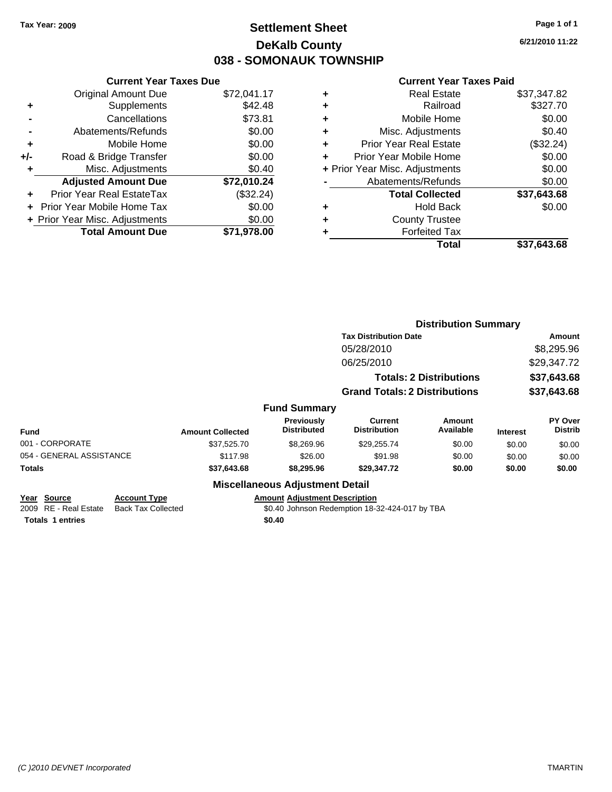### **Settlement Sheet Tax Year: 2009 Page 1 of 1 DeKalb County 038 - SOMONAUK TOWNSHIP**

**6/21/2010 11:22**

#### **Current Year Taxes Paid**

|     | <b>Current Year Taxes Due</b>     |             |  |  |  |
|-----|-----------------------------------|-------------|--|--|--|
|     | <b>Original Amount Due</b>        | \$72,041.17 |  |  |  |
| ٠   | Supplements                       | \$42.48     |  |  |  |
|     | Cancellations                     | \$73.81     |  |  |  |
|     | Abatements/Refunds                | \$0.00      |  |  |  |
| ٠   | Mobile Home                       | \$0.00      |  |  |  |
| +/- | Road & Bridge Transfer            | \$0.00      |  |  |  |
|     | Misc. Adjustments                 | \$0.40      |  |  |  |
|     | <b>Adjusted Amount Due</b>        | \$72,010.24 |  |  |  |
| ÷   | Prior Year Real EstateTax         | (\$32.24)   |  |  |  |
|     | <b>Prior Year Mobile Home Tax</b> | \$0.00      |  |  |  |
|     | + Prior Year Misc. Adjustments    | \$0.00      |  |  |  |
|     | <b>Total Amount Due</b>           | \$71.978.00 |  |  |  |
|     |                                   |             |  |  |  |

| ٠ | <b>Real Estate</b>             | \$37,347.82 |
|---|--------------------------------|-------------|
| ٠ | Railroad                       | \$327.70    |
| ٠ | Mobile Home                    | \$0.00      |
| ٠ | Misc. Adjustments              | \$0.40      |
| ÷ | Prior Year Real Estate         | (\$32.24)   |
|   | Prior Year Mobile Home         | \$0.00      |
|   | + Prior Year Misc. Adjustments | \$0.00      |
|   | Abatements/Refunds             | \$0.00      |
|   | <b>Total Collected</b>         | \$37,643.68 |
| ٠ | <b>Hold Back</b>               | \$0.00      |
| ٠ | <b>County Trustee</b>          |             |
| ٠ | <b>Forfeited Tax</b>           |             |
|   | Total                          | \$37,643.68 |
|   |                                |             |

|                                      |                                                  |                         |                                         |                                                | <b>Distribution Summary</b>    |                 |                           |
|--------------------------------------|--------------------------------------------------|-------------------------|-----------------------------------------|------------------------------------------------|--------------------------------|-----------------|---------------------------|
|                                      |                                                  |                         |                                         | <b>Tax Distribution Date</b>                   |                                |                 | Amount                    |
|                                      |                                                  |                         |                                         | 05/28/2010                                     |                                |                 | \$8,295.96                |
|                                      |                                                  |                         |                                         | 06/25/2010                                     |                                |                 | \$29,347.72               |
|                                      |                                                  |                         |                                         |                                                | <b>Totals: 2 Distributions</b> |                 | \$37,643.68               |
|                                      |                                                  |                         |                                         | <b>Grand Totals: 2 Distributions</b>           | \$37,643.68                    |                 |                           |
|                                      |                                                  |                         | <b>Fund Summary</b>                     |                                                |                                |                 |                           |
| <b>Fund</b>                          |                                                  | <b>Amount Collected</b> | <b>Previously</b><br><b>Distributed</b> | Current<br><b>Distribution</b>                 | Amount<br>Available            | <b>Interest</b> | PY Over<br><b>Distrib</b> |
| 001 - CORPORATE                      |                                                  | \$37,525.70             | \$8,269.96                              | \$29,255.74                                    | \$0.00                         | \$0.00          | \$0.00                    |
| 054 - GENERAL ASSISTANCE             |                                                  | \$117.98                | \$26.00                                 | \$91.98                                        | \$0.00                         | \$0.00          | \$0.00                    |
| Totals                               |                                                  | \$37,643.68             | \$8,295.96                              | \$29,347.72                                    | \$0.00                         | \$0.00          | \$0.00                    |
|                                      |                                                  |                         | <b>Miscellaneous Adjustment Detail</b>  |                                                |                                |                 |                           |
| Year Source<br>2009 RE - Real Estate | <b>Account Type</b><br><b>Back Tax Collected</b> |                         | <b>Amount Adjustment Description</b>    | \$0.40 Johnson Redemption 18-32-424-017 by TBA |                                |                 |                           |

**Totals 1 entries** \$0.40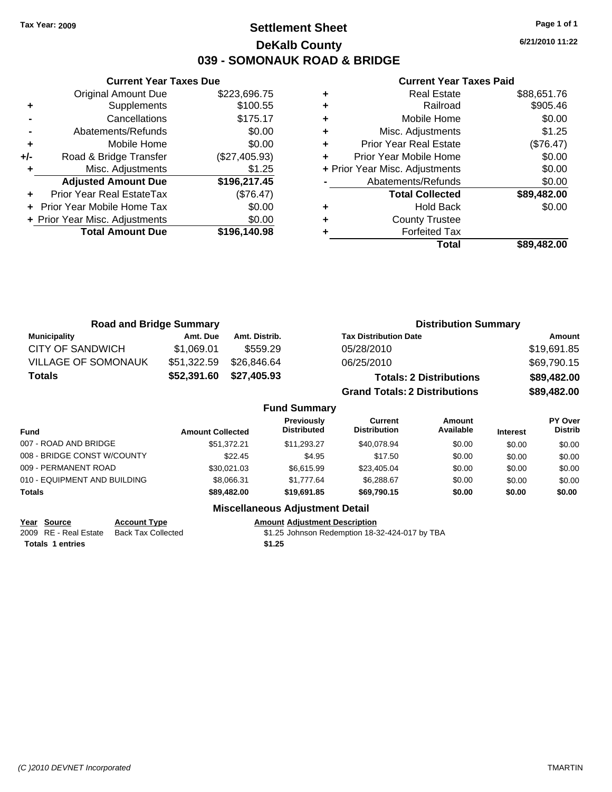**Current Year Taxes Due** Original Amount Due \$223,696.75

**Adjusted Amount Due \$196,217.45**

**Total Amount Due \$196,140.98**

**+** Supplements \$100.55 **-** Cancellations \$175.17 **-** Abatements/Refunds \$0.00 **+** Mobile Home \$0.00 **+/-** Road & Bridge Transfer (\$27,405.93) **+** Misc. Adjustments \$1.25

**+** Prior Year Real EstateTax (\$76.47) **+** Prior Year Mobile Home Tax \$0.00 **+ Prior Year Misc. Adjustments**  $$0.00$ 

### **Settlement Sheet Tax Year: 2009 Page 1 of 1 DeKalb County 039 - SOMONAUK ROAD & BRIDGE**

**6/21/2010 11:22**

#### **Current Year Taxes Paid**

|   | <b>Real Estate</b>             | \$88,651.76 |
|---|--------------------------------|-------------|
| ٠ | Railroad                       | \$905.46    |
| ٠ | Mobile Home                    | \$0.00      |
| ٠ | Misc. Adjustments              | \$1.25      |
| ٠ | <b>Prior Year Real Estate</b>  | (\$76.47)   |
|   | Prior Year Mobile Home         | \$0.00      |
|   | + Prior Year Misc. Adjustments | \$0.00      |
|   | Abatements/Refunds             | \$0.00      |
|   | <b>Total Collected</b>         | \$89,482.00 |
| ٠ | <b>Hold Back</b>               | \$0.00      |
|   | <b>County Trustee</b>          |             |
|   | <b>Forfeited Tax</b>           |             |
|   | Total                          | \$89.482.00 |

| <b>Road and Bridge Summary</b> |                         |               |                                         |                                       | <b>Distribution Summary</b>    |                 |                                  |
|--------------------------------|-------------------------|---------------|-----------------------------------------|---------------------------------------|--------------------------------|-----------------|----------------------------------|
| <b>Municipality</b>            | Amt. Due                | Amt. Distrib. |                                         | <b>Tax Distribution Date</b>          |                                |                 | Amount                           |
| <b>CITY OF SANDWICH</b>        | \$1,069.01              | \$559.29      |                                         | 05/28/2010                            |                                |                 | \$19,691.85                      |
| VILLAGE OF SOMONAUK            | \$51,322.59             | \$26,846,64   |                                         | 06/25/2010                            |                                |                 | \$69,790.15                      |
| <b>Totals</b>                  | \$52,391.60             | \$27,405.93   |                                         |                                       | <b>Totals: 2 Distributions</b> |                 | \$89,482.00                      |
|                                |                         |               |                                         | <b>Grand Totals: 2 Distributions</b>  |                                |                 | \$89,482.00                      |
|                                |                         |               | <b>Fund Summary</b>                     |                                       |                                |                 |                                  |
| Fund                           | <b>Amount Collected</b> |               | <b>Previously</b><br><b>Distributed</b> | <b>Current</b><br><b>Distribution</b> | Amount<br>Available            | <b>Interest</b> | <b>PY Over</b><br><b>Distrib</b> |
| 007 - ROAD AND BRIDGE          |                         | \$51.372.21   | \$11.293.27                             | \$40.078.94                           | \$0.00                         | \$0.00          | \$0.00                           |
| 008 - BRIDGE CONST W/COUNTY    |                         | \$22.45       | \$4.95                                  | \$17.50                               | \$0.00                         | \$0.00          | \$0.00                           |

|                                     |             | Micrallangous Adiustmant Datail |             |        |        |        |
|-------------------------------------|-------------|---------------------------------|-------------|--------|--------|--------|
| Totals                              | \$89.482.00 | \$19,691.85                     | \$69.790.15 | \$0.00 | \$0.00 | \$0.00 |
| 010 - EQUIPMENT AND BUILDING        | \$8,066.31  | \$1.777.64                      | \$6,288,67  | \$0.00 | \$0.00 | \$0.00 |
| 009 - PERMANENT ROAD                | \$30.021.03 | \$6.615.99                      | \$23,405.04 | \$0.00 | \$0.00 | \$0.00 |
| <u> 008 - BRIDGE CONST W/COUNTY</u> | \$22.45     | \$4.95                          | \$17.50     | \$0.00 | \$0.00 | \$0.00 |

### **Miscellaneous Adjustment Detail**

**Year Source Account Type Amount Adjustment Description**

Back Tax Collected **2009 S1.25** Johnson Redemption 18-32-424-017 by TBA

**Totals \$1.25 1 entries**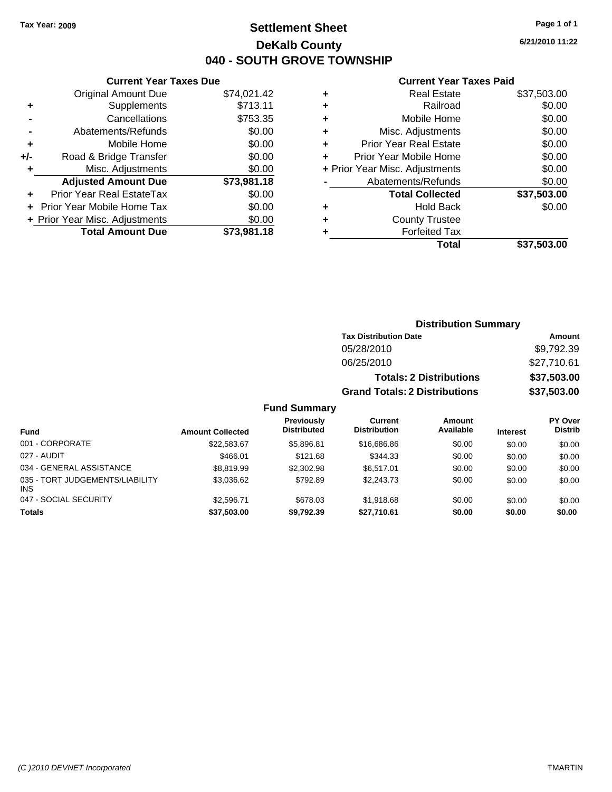**Current Year Taxes Due**

### **Settlement Sheet Tax Year: 2009 Page 1 of 1 DeKalb County 040 - SOUTH GROVE TOWNSHIP**

**6/21/2010 11:22**

#### **Current Year Taxes Paid**

|     |                                  |             |   | <b>Total</b>                   | \$37,503.00 |
|-----|----------------------------------|-------------|---|--------------------------------|-------------|
|     | <b>Total Amount Due</b>          | \$73,981.18 |   | <b>Forfeited Tax</b>           |             |
|     | + Prior Year Misc. Adjustments   | \$0.00      | ٠ | <b>County Trustee</b>          |             |
|     | + Prior Year Mobile Home Tax     | \$0.00      | ٠ | <b>Hold Back</b>               | \$0.00      |
| ٠   | <b>Prior Year Real EstateTax</b> | \$0.00      |   | <b>Total Collected</b>         | \$37,503.00 |
|     | <b>Adjusted Amount Due</b>       | \$73,981.18 |   | Abatements/Refunds             | \$0.00      |
|     | Misc. Adjustments                | \$0.00      |   | + Prior Year Misc. Adjustments | \$0.00      |
| +/- | Road & Bridge Transfer           | \$0.00      |   | Prior Year Mobile Home         | \$0.00      |
| ٠   | Mobile Home                      | \$0.00      | ٠ | <b>Prior Year Real Estate</b>  | \$0.00      |
|     | Abatements/Refunds               | \$0.00      | ٠ | Misc. Adjustments              | \$0.00      |
|     | Cancellations                    | \$753.35    |   | Mobile Home                    | \$0.00      |
| ٠   | Supplements                      | \$713.11    | ٠ | Railroad                       | \$0.00      |
|     | <b>Original Amount Due</b>       | \$74,021.42 | ٠ | <b>Real Estate</b>             | \$37,503.00 |
|     |                                  |             |   |                                |             |

|                                         |                         |                                         |                                       | <b>Distribution Summary</b>    |                 |                                  |
|-----------------------------------------|-------------------------|-----------------------------------------|---------------------------------------|--------------------------------|-----------------|----------------------------------|
|                                         |                         |                                         | <b>Tax Distribution Date</b>          |                                |                 | Amount                           |
|                                         |                         |                                         | 05/28/2010                            |                                |                 | \$9,792.39                       |
|                                         |                         |                                         | 06/25/2010                            |                                |                 | \$27,710.61                      |
|                                         |                         |                                         |                                       | <b>Totals: 2 Distributions</b> |                 | \$37,503.00                      |
|                                         |                         |                                         | <b>Grand Totals: 2 Distributions</b>  |                                |                 | \$37,503.00                      |
|                                         |                         | <b>Fund Summary</b>                     |                                       |                                |                 |                                  |
| <b>Fund</b>                             | <b>Amount Collected</b> | <b>Previously</b><br><b>Distributed</b> | <b>Current</b><br><b>Distribution</b> | Amount<br>Available            | <b>Interest</b> | <b>PY Over</b><br><b>Distrib</b> |
| 001 - CORPORATE                         | \$22,583.67             | \$5,896.81                              | \$16,686.86                           | \$0.00                         | \$0.00          | \$0.00                           |
| 027 - AUDIT                             | \$466.01                | \$121.68                                | \$344.33                              | \$0.00                         | \$0.00          | \$0.00                           |
| 034 - GENERAL ASSISTANCE                | \$8,819.99              | \$2,302.98                              | \$6,517.01                            | \$0.00                         | \$0.00          | \$0.00                           |
| 035 - TORT JUDGEMENTS/LIABILITY<br>INS. | \$3,036.62              | \$792.89                                | \$2,243.73                            | \$0.00                         | \$0.00          | \$0.00                           |
| 047 - SOCIAL SECURITY                   | \$2,596.71              | \$678.03                                | \$1,918.68                            | \$0.00                         | \$0.00          | \$0.00                           |
|                                         |                         |                                         |                                       |                                |                 |                                  |

**Totals \$37,503.00 \$9,792.39 \$27,710.61 \$0.00 \$0.00 \$0.00**

| (C) 2010 DEVNET Incorporated | <b>TMARTIN</b> |
|------------------------------|----------------|
|------------------------------|----------------|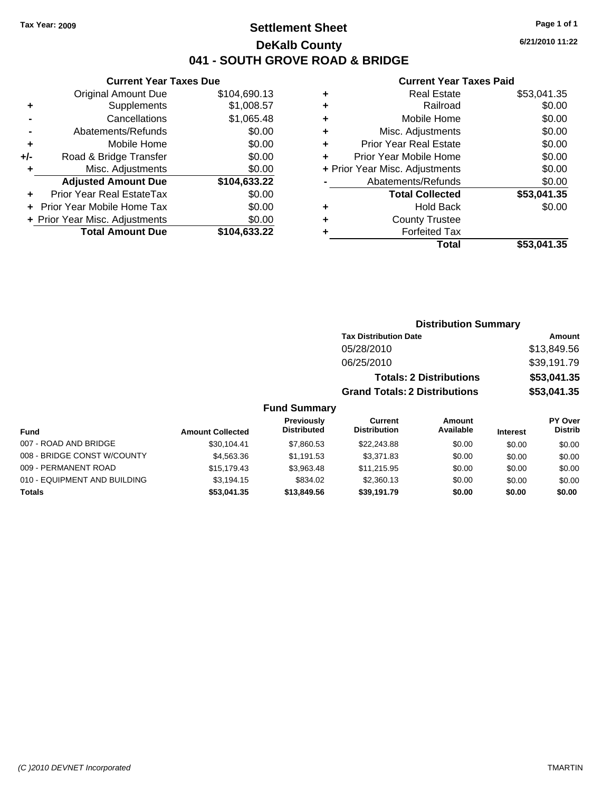### **Settlement Sheet Tax Year: 2009 Page 1 of 1 DeKalb County 041 - SOUTH GROVE ROAD & BRIDGE**

### **Current Year Taxes Due**

| ٠   | Supplements                    | \$1,008.57   |
|-----|--------------------------------|--------------|
|     | Cancellations                  | \$1,065.48   |
|     | Abatements/Refunds             | \$0.00       |
| ٠   | Mobile Home                    | \$0.00       |
| +/- | Road & Bridge Transfer         | \$0.00       |
| ٠   | Misc. Adjustments              | \$0.00       |
|     |                                |              |
|     | <b>Adjusted Amount Due</b>     | \$104,633.22 |
|     | Prior Year Real EstateTax      | \$0.00       |
|     | Prior Year Mobile Home Tax     | \$0.00       |
|     | + Prior Year Misc. Adjustments | \$0.00       |

#### **Current Year Taxes Paid**

|   | <b>Real Estate</b>             | \$53,041.35 |
|---|--------------------------------|-------------|
| ÷ | Railroad                       | \$0.00      |
| ÷ | Mobile Home                    | \$0.00      |
| ٠ | Misc. Adjustments              | \$0.00      |
| ٠ | <b>Prior Year Real Estate</b>  | \$0.00      |
|   | Prior Year Mobile Home         | \$0.00      |
|   | + Prior Year Misc. Adjustments | \$0.00      |
|   | Abatements/Refunds             | \$0.00      |
|   | <b>Total Collected</b>         | \$53,041.35 |
| ٠ | <b>Hold Back</b>               | \$0.00      |
|   | <b>County Trustee</b>          |             |
|   | <b>Forfeited Tax</b>           |             |
|   | Total                          | \$53,041,35 |
|   |                                |             |

| <b>Distribution Summary</b>          |             |  |  |  |
|--------------------------------------|-------------|--|--|--|
| <b>Tax Distribution Date</b>         | Amount      |  |  |  |
| 05/28/2010                           | \$13,849.56 |  |  |  |
| 06/25/2010                           | \$39,191.79 |  |  |  |
| <b>Totals: 2 Distributions</b>       | \$53,041.35 |  |  |  |
| <b>Grand Totals: 2 Distributions</b> | \$53,041.35 |  |  |  |

### **Fund Summary**

| Fund                         | <b>Amount Collected</b> | <b>Previously</b><br><b>Distributed</b> | Current<br><b>Distribution</b> | Amount<br>Available | <b>Interest</b> | PY Over<br><b>Distrib</b> |
|------------------------------|-------------------------|-----------------------------------------|--------------------------------|---------------------|-----------------|---------------------------|
| 007 - ROAD AND BRIDGE        | \$30,104.41             | \$7,860.53                              | \$22,243.88                    | \$0.00              | \$0.00          | \$0.00                    |
| 008 - BRIDGE CONST W/COUNTY  | \$4,563,36              | \$1.191.53                              | \$3.371.83                     | \$0.00              | \$0.00          | \$0.00                    |
| 009 - PERMANENT ROAD         | \$15.179.43             | \$3.963.48                              | \$11.215.95                    | \$0.00              | \$0.00          | \$0.00                    |
| 010 - EQUIPMENT AND BUILDING | \$3,194.15              | \$834.02                                | \$2,360.13                     | \$0.00              | \$0.00          | \$0.00                    |
| <b>Totals</b>                | \$53,041.35             | \$13,849.56                             | \$39.191.79                    | \$0.00              | \$0.00          | \$0.00                    |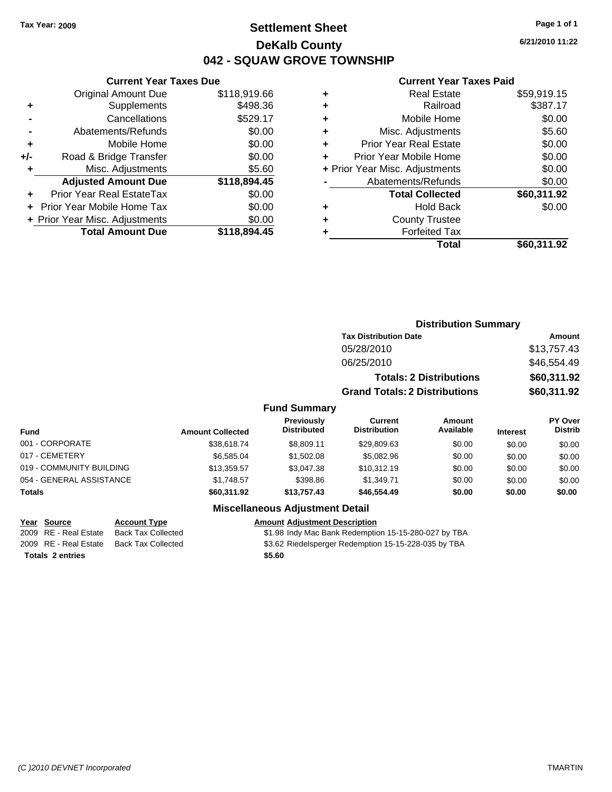### **Settlement Sheet Tax Year: 2009 Page 1 of 1 DeKalb County 042 - SQUAW GROVE TOWNSHIP**

**6/21/2010 11:22**

#### **Current Year Taxes Paid**

| \$118,919.66 |                                |     |
|--------------|--------------------------------|-----|
|              | <b>Original Amount Due</b>     |     |
| \$498.36     | Supplements                    | ٠   |
| \$529.17     | Cancellations                  |     |
| \$0.00       | Abatements/Refunds             |     |
| \$0.00       | Mobile Home                    | ٠   |
| \$0.00       | Road & Bridge Transfer         | +/- |
| \$5.60       | Misc. Adjustments              | ٠   |
| \$118,894.45 | <b>Adjusted Amount Due</b>     |     |
| \$0.00       | Prior Year Real EstateTax      | ٠   |
| \$0.00       | Prior Year Mobile Home Tax     |     |
|              |                                |     |
| \$0.00       | + Prior Year Misc. Adjustments |     |
|              |                                |     |

|   | <b>Real Estate</b>             | \$59,919.15 |
|---|--------------------------------|-------------|
| ٠ | Railroad                       | \$387.17    |
| ٠ | Mobile Home                    | \$0.00      |
| ٠ | Misc. Adjustments              | \$5.60      |
| ÷ | Prior Year Real Estate         | \$0.00      |
| ÷ | Prior Year Mobile Home         | \$0.00      |
|   | + Prior Year Misc. Adjustments | \$0.00      |
|   | Abatements/Refunds             | \$0.00      |
|   | <b>Total Collected</b>         | \$60,311.92 |
| ٠ | <b>Hold Back</b>               | \$0.00      |
| ٠ | <b>County Trustee</b>          |             |
| ٠ | <b>Forfeited Tax</b>           |             |
|   | Total                          | \$60,311.92 |
|   |                                |             |

|                          |                         |                                  | <b>Distribution Summary</b>           |                     |                 |                           |
|--------------------------|-------------------------|----------------------------------|---------------------------------------|---------------------|-----------------|---------------------------|
|                          |                         |                                  | <b>Tax Distribution Date</b>          |                     |                 | Amount                    |
|                          |                         |                                  | 05/28/2010                            |                     |                 | \$13,757.43               |
|                          |                         |                                  | 06/25/2010                            |                     |                 | \$46,554.49               |
|                          |                         |                                  | <b>Totals: 2 Distributions</b>        |                     | \$60,311.92     |                           |
|                          |                         |                                  | <b>Grand Totals: 2 Distributions</b>  |                     |                 | \$60,311.92               |
|                          |                         | <b>Fund Summary</b>              |                                       |                     |                 |                           |
| <b>Fund</b>              | <b>Amount Collected</b> | Previously<br><b>Distributed</b> | <b>Current</b><br><b>Distribution</b> | Amount<br>Available | <b>Interest</b> | PY Over<br><b>Distrib</b> |
| 001 - CORPORATE          | \$38,618.74             | \$8,809.11                       | \$29,809.63                           | \$0.00              | \$0.00          | \$0.00                    |
| 017 - CEMETERY           | \$6.585.04              | \$1,502.08                       | \$5,082.96                            | \$0.00              | \$0.00          | \$0.00                    |
| 019 - COMMUNITY BUILDING | \$13,359.57             | \$3,047.38                       | \$10,312.19                           | \$0.00              | \$0.00          | \$0.00                    |
| 054 - GENERAL ASSISTANCE | \$1,748.57              | \$398.86                         | \$1,349.71                            | \$0.00              | \$0.00          | \$0.00                    |
| Totals                   | \$60,311.92             | \$13,757.43                      | \$46,554.49                           | \$0.00              | \$0.00          | \$0.00                    |
|                          |                         | Micoollangous Adjustment Detail  |                                       |                     |                 |                           |

### **Miscellaneous Adjustment Detail**

**Totals \$5.60 2 entries**

**Year Source Account Type Amount Adjustment Description** \$1.98 Indy Mac Bank Redemption 15-15-280-027 by TBA 2009 RE - Real Estate Back Tax Collected \$3.62 Riedelsperger Redemption 15-15-228-035 by TBA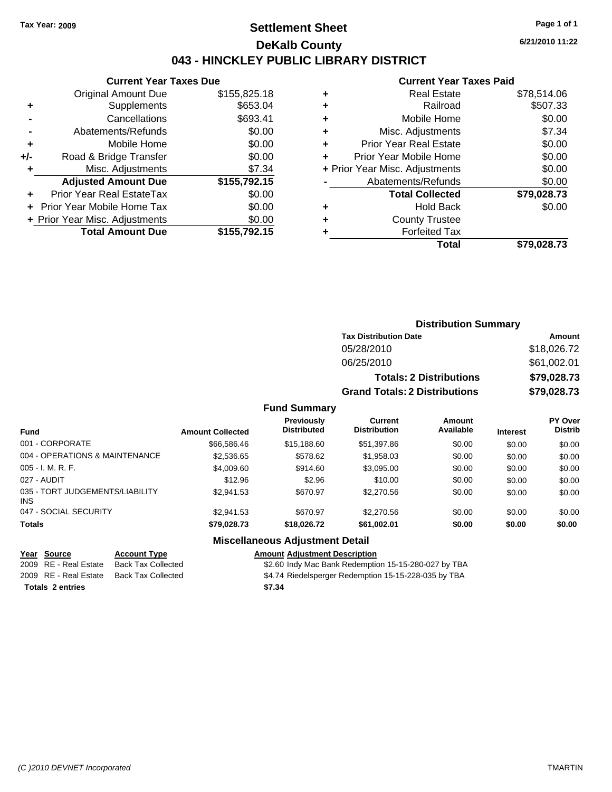### **Settlement Sheet Tax Year: 2009 Page 1 of 1 DeKalb County 043 - HINCKLEY PUBLIC LIBRARY DISTRICT**

**6/21/2010 11:22**

### **Current Year Taxes Paid**

|     | <b>Current Year Taxes Due</b>  |              |  |  |  |
|-----|--------------------------------|--------------|--|--|--|
|     | <b>Original Amount Due</b>     | \$155,825.18 |  |  |  |
| ٠   | Supplements                    | \$653.04     |  |  |  |
|     | Cancellations                  | \$693.41     |  |  |  |
|     | Abatements/Refunds             | \$0.00       |  |  |  |
| ٠   | Mobile Home                    | \$0.00       |  |  |  |
| +/- | Road & Bridge Transfer         | \$0.00       |  |  |  |
| ٠   | Misc. Adjustments              | \$7.34       |  |  |  |
|     | <b>Adjusted Amount Due</b>     | \$155,792.15 |  |  |  |
| ٠   | Prior Year Real EstateTax      | \$0.00       |  |  |  |
|     | Prior Year Mobile Home Tax     | \$0.00       |  |  |  |
|     | + Prior Year Misc. Adjustments | \$0.00       |  |  |  |
|     | <b>Total Amount Due</b>        | \$155,792.15 |  |  |  |

|   | <b>Real Estate</b>             | \$78,514.06 |
|---|--------------------------------|-------------|
| ٠ | Railroad                       | \$507.33    |
| ٠ | Mobile Home                    | \$0.00      |
| ٠ | Misc. Adjustments              | \$7.34      |
| ٠ | <b>Prior Year Real Estate</b>  | \$0.00      |
|   | Prior Year Mobile Home         | \$0.00      |
|   | + Prior Year Misc. Adjustments | \$0.00      |
|   | Abatements/Refunds             | \$0.00      |
|   | <b>Total Collected</b>         | \$79,028.73 |
| ٠ | Hold Back                      | \$0.00      |
| ٠ | <b>County Trustee</b>          |             |
|   | <b>Forfeited Tax</b>           |             |
|   | Total                          | \$79.028.73 |
|   |                                |             |

### **Distribution Summary Tax Distribution Date Amount** 05/28/2010 \$18,026.72 06/25/2010 \$61,002.01 **Totals: 2 Distributions \$79,028.73 Grand Totals: 2 Distributions \$79,028.73**

#### **Fund Summary**

| <b>Fund</b>                                   | <b>Amount Collected</b> | <b>Previously</b><br><b>Distributed</b> | Current<br><b>Distribution</b> | Amount<br>Available | <b>Interest</b> | PY Over<br><b>Distrib</b> |
|-----------------------------------------------|-------------------------|-----------------------------------------|--------------------------------|---------------------|-----------------|---------------------------|
| 001 - CORPORATE                               | \$66,586.46             | \$15,188.60                             | \$51,397.86                    | \$0.00              | \$0.00          | \$0.00                    |
| 004 - OPERATIONS & MAINTENANCE                | \$2,536.65              | \$578.62                                | \$1,958.03                     | \$0.00              | \$0.00          | \$0.00                    |
| $005 - I. M. R. F.$                           | \$4,009.60              | \$914.60                                | \$3,095.00                     | \$0.00              | \$0.00          | \$0.00                    |
| 027 - AUDIT                                   | \$12.96                 | \$2.96                                  | \$10.00                        | \$0.00              | \$0.00          | \$0.00                    |
| 035 - TORT JUDGEMENTS/LIABILITY<br><b>INS</b> | \$2.941.53              | \$670.97                                | \$2,270.56                     | \$0.00              | \$0.00          | \$0.00                    |
| 047 - SOCIAL SECURITY                         | \$2.941.53              | \$670.97                                | \$2,270.56                     | \$0.00              | \$0.00          | \$0.00                    |
| <b>Totals</b>                                 | \$79,028.73             | \$18,026,72                             | \$61,002.01                    | \$0.00              | \$0.00          | \$0.00                    |

### **Miscellaneous Adjustment Detail**

| Year Source             | <b>Account Type</b> | <b>Amount Adjustment Description</b>                 |
|-------------------------|---------------------|------------------------------------------------------|
| 2009 RE - Real Estate   | Back Tax Collected  | \$2.60 Indy Mac Bank Redemption 15-15-280-027 by TBA |
| 2009 RE - Real Estate   | Back Tax Collected  | \$4.74 Riedelsperger Redemption 15-15-228-035 by TBA |
| <b>Totals 2 entries</b> |                     | \$7.34                                               |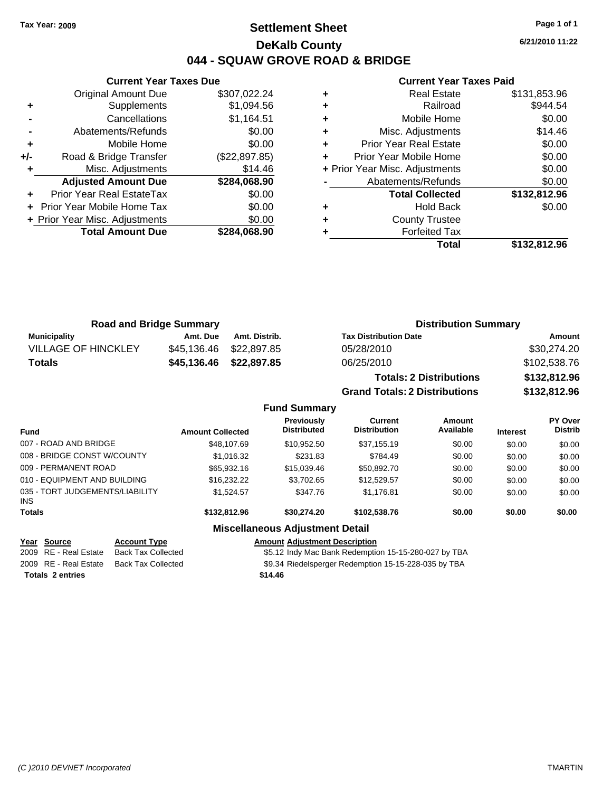### **Settlement Sheet Tax Year: 2009 Page 1 of 1 DeKalb County 044 - SQUAW GROVE ROAD & BRIDGE**

**6/21/2010 11:22**

#### **Current Year Taxes Paid**

|       | <b>Original Amount Due</b>     | \$307,022.24  |
|-------|--------------------------------|---------------|
| ٠     | Supplements                    | \$1,094.56    |
|       | Cancellations                  | \$1,164.51    |
|       | Abatements/Refunds             | \$0.00        |
| ÷     | Mobile Home                    | \$0.00        |
| $+/-$ | Road & Bridge Transfer         | (\$22,897.85) |
| ٠     | Misc. Adjustments              | \$14.46       |
|       | <b>Adjusted Amount Due</b>     | \$284,068.90  |
|       | Prior Year Real EstateTax      | \$0.00        |
|       | Prior Year Mobile Home Tax     | \$0.00        |
|       | + Prior Year Misc. Adjustments | \$0.00        |
|       | <b>Total Amount Due</b>        | \$284,068.90  |
|       |                                |               |

**Current Year Taxes Due**

|   | <b>Real Estate</b>             | \$131,853.96 |
|---|--------------------------------|--------------|
| ٠ | Railroad                       | \$944.54     |
| ٠ | Mobile Home                    | \$0.00       |
| ٠ | Misc. Adjustments              | \$14.46      |
| ٠ | <b>Prior Year Real Estate</b>  | \$0.00       |
|   | Prior Year Mobile Home         | \$0.00       |
|   | + Prior Year Misc. Adjustments | \$0.00       |
|   | Abatements/Refunds             | \$0.00       |
|   | <b>Total Collected</b>         | \$132,812.96 |
|   | Hold Back                      | \$0.00       |
| ٠ | <b>County Trustee</b>          |              |
|   | <b>Forfeited Tax</b>           |              |
|   | Total                          | \$132,812.96 |

**Grand Totals: 2 Distributions \$132,812.96**

| <b>Road and Bridge Summary</b> |             |                         | <b>Distribution Summary</b>    |              |  |
|--------------------------------|-------------|-------------------------|--------------------------------|--------------|--|
| <b>Municipality</b>            | Amt. Due    | Amt. Distrib.           | <b>Tax Distribution Date</b>   | Amount       |  |
| <b>VILLAGE OF HINCKLEY</b>     |             | \$45,136.46 \$22,897.85 | 05/28/2010                     | \$30,274.20  |  |
| Totals                         | \$45,136.46 | \$22,897.85             | 06/25/2010                     | \$102,538.76 |  |
|                                |             |                         | <b>Totals: 2 Distributions</b> | \$132,812.96 |  |

**Fund Summary Fund Interest Amount Collected Distributed PY Over Distrib Amount Available Current Distribution Previously** 007 - ROAD AND BRIDGE 60.00 \$48,107.69 \$10,952.50 \$37,155.19 \$0.00 \$0.00 \$0.00 008 - BRIDGE CONST W/COUNTY  $$1,016.32$   $$231.83$   $$784.49$   $$0.00$   $$0.00$   $$0.00$ 009 - PERMANENT ROAD \$65,932.16 \$15,039.46 \$50,892.70 \$0.00 \$0.00 \$0.00 010 - EQUIPMENT AND BUILDING \$16,232.22 \$3,702.65 \$12,529.57 \$0.00 \$0.00 \$0.00 035 - TORT JUDGEMENTS/LIABILITY INS \$1,524.57 \$347.76 \$1,176.81 \$0.00 \$0.00 \$0.00 **Totals \$132,812.96 \$30,274.20 \$102,538.76 \$0.00 \$0.00 \$0.00 Miscellaneous Adjustment Detail Year Source Account Type Amount Adjustment Description**

# **Totals \$14.46 2 entries**

2009 RE - Real Estate Back Tax Collected \$5.12 Indy Mac Bank Redemption 15-15-280-027 by TBA 2009 RE - Real Estate Back Tax Collected \$9.34 Riedelsperger Redemption 15-15-228-035 by TBA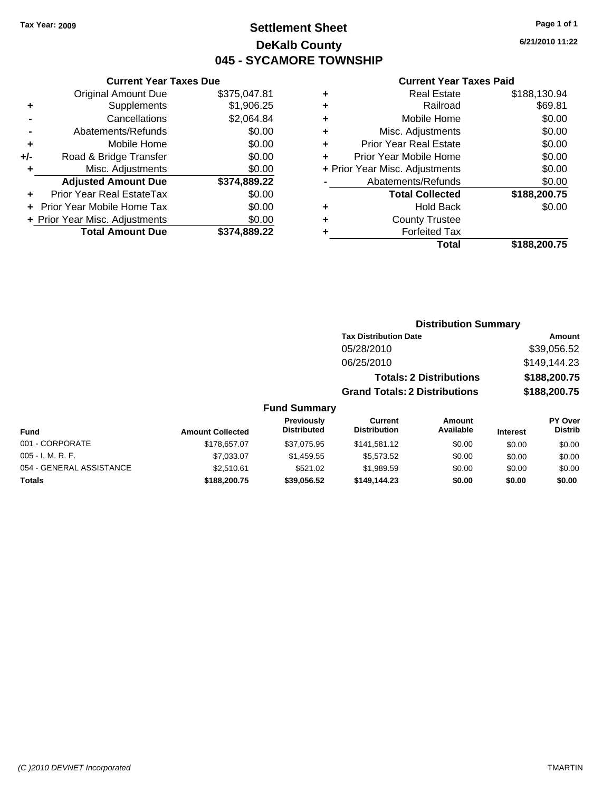### **Settlement Sheet Tax Year: 2009 Page 1 of 1 DeKalb County 045 - SYCAMORE TOWNSHIP**

### **Current Year Taxes Due**

|       | <b>Original Amount Due</b>     | \$375,047.81 |
|-------|--------------------------------|--------------|
| ٠     | Supplements                    | \$1,906.25   |
|       | Cancellations                  | \$2,064.84   |
|       | Abatements/Refunds             | \$0.00       |
| ٠     | Mobile Home                    | \$0.00       |
| $+/-$ | Road & Bridge Transfer         | \$0.00       |
| ٠     | Misc. Adjustments              | \$0.00       |
|       | <b>Adjusted Amount Due</b>     | \$374,889.22 |
|       | Prior Year Real EstateTax      | \$0.00       |
|       | Prior Year Mobile Home Tax     | \$0.00       |
|       | + Prior Year Misc. Adjustments | \$0.00       |
|       | <b>Total Amount Due</b>        | \$374.889.22 |

#### **Current Year Taxes Paid**

|   | <b>Real Estate</b>             | \$188,130.94 |
|---|--------------------------------|--------------|
| ٠ | Railroad                       | \$69.81      |
| ٠ | Mobile Home                    | \$0.00       |
| ÷ | Misc. Adjustments              | \$0.00       |
| ٠ | <b>Prior Year Real Estate</b>  | \$0.00       |
|   | Prior Year Mobile Home         | \$0.00       |
|   | + Prior Year Misc. Adjustments | \$0.00       |
|   | Abatements/Refunds             | \$0.00       |
|   | <b>Total Collected</b>         | \$188,200.75 |
| ٠ | <b>Hold Back</b>               | \$0.00       |
|   | <b>County Trustee</b>          |              |
|   | <b>Forfeited Tax</b>           |              |
|   | Total                          | \$188,200.75 |
|   |                                |              |

**6/21/2010 11:22**

|           |                                         |                                       | <b>Distribution Summary</b>    |                 |                                  |
|-----------|-----------------------------------------|---------------------------------------|--------------------------------|-----------------|----------------------------------|
|           |                                         | <b>Tax Distribution Date</b>          |                                |                 | Amount                           |
|           |                                         | 05/28/2010                            |                                |                 | \$39,056.52                      |
|           |                                         | 06/25/2010                            |                                |                 | \$149,144.23                     |
|           |                                         |                                       | <b>Totals: 2 Distributions</b> |                 | \$188,200.75                     |
|           |                                         | <b>Grand Totals: 2 Distributions</b>  |                                |                 | \$188,200.75                     |
|           | <b>Fund Summary</b>                     |                                       |                                |                 |                                  |
| ollected: | <b>Previously</b><br><b>Distributed</b> | <b>Current</b><br><b>Distribution</b> | Amount<br>Available            | <b>Interest</b> | <b>PY Over</b><br><b>Distrib</b> |

| <b>Amount Collected</b> | <b>FICVIOUSIV</b><br><b>Distributed</b> | <b>VULLELLE</b><br><b>Distribution</b> | Allivulit<br>Available | <b>Interest</b> | г і меі<br><b>Distrib</b> |
|-------------------------|-----------------------------------------|----------------------------------------|------------------------|-----------------|---------------------------|
| \$178,657.07            | \$37.075.95                             | \$141.581.12                           | \$0.00                 | \$0.00          | \$0.00                    |
| \$7.033.07              | \$1.459.55                              | \$5,573,52                             | \$0.00                 | \$0.00          | \$0.00                    |
| \$2.510.61              | \$521.02                                | \$1,989.59                             | \$0.00                 | \$0.00          | \$0.00                    |
| \$188,200.75            | \$39.056.52                             | \$149,144.23                           | \$0.00                 | \$0.00          | \$0.00                    |
|                         |                                         |                                        |                        |                 |                           |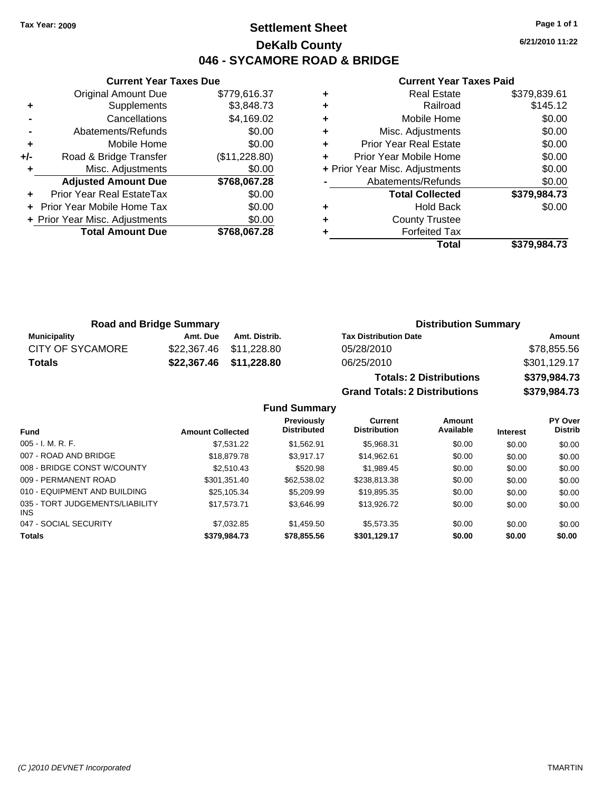### **Settlement Sheet Tax Year: 2009 Page 1 of 1 DeKalb County 046 - SYCAMORE ROAD & BRIDGE**

**6/21/2010 11:22**

#### **Current Year Taxes Paid**

|     | <b>Current Year Taxes Due</b>     |               |
|-----|-----------------------------------|---------------|
|     | <b>Original Amount Due</b>        | \$779,616.37  |
| ٠   | Supplements                       | \$3,848.73    |
|     | Cancellations                     | \$4,169.02    |
|     | Abatements/Refunds                | \$0.00        |
| ٠   | Mobile Home                       | \$0.00        |
| +/- | Road & Bridge Transfer            | (\$11,228.80) |
| ٠   | Misc. Adjustments                 | \$0.00        |
|     | <b>Adjusted Amount Due</b>        | \$768,067.28  |
|     | Prior Year Real EstateTax         | \$0.00        |
|     | <b>Prior Year Mobile Home Tax</b> | \$0.00        |
|     | + Prior Year Misc. Adjustments    | \$0.00        |
|     | <b>Total Amount Due</b>           | \$768,067.28  |
|     |                                   |               |

|   | <b>Real Estate</b>             | \$379,839.61 |
|---|--------------------------------|--------------|
| ٠ | Railroad                       | \$145.12     |
| ٠ | Mobile Home                    | \$0.00       |
| ٠ | Misc. Adjustments              | \$0.00       |
| ÷ | <b>Prior Year Real Estate</b>  | \$0.00       |
| ٠ | Prior Year Mobile Home         | \$0.00       |
|   | + Prior Year Misc. Adjustments | \$0.00       |
|   | Abatements/Refunds             | \$0.00       |
|   | <b>Total Collected</b>         | \$379,984.73 |
| ٠ | <b>Hold Back</b>               | \$0.00       |
| ٠ | <b>County Trustee</b>          |              |
| ٠ | <b>Forfeited Tax</b>           |              |
|   | Total                          | \$379.984.73 |

**Grand Totals: 2 Distributions \$379,984.73**

| <b>Road and Bridge Summary</b> |          | <b>Distribution Summary</b> |                                |              |
|--------------------------------|----------|-----------------------------|--------------------------------|--------------|
| Municipality                   | Amt. Due | Amt. Distrib.               | <b>Tax Distribution Date</b>   | Amount       |
| <b>CITY OF SYCAMORE</b>        |          | \$22,367.46 \$11,228.80     | 05/28/2010                     | \$78,855.56  |
| Totals                         |          | \$22,367.46 \$11,228.80     | 06/25/2010                     | \$301,129.17 |
|                                |          |                             | <b>Totals: 2 Distributions</b> | \$379,984.73 |

**Fund Summary Fund Interest Amount Collected Distributed PY Over Distrib Amount Available Current Distribution Previously** 005 - I. M. R. F. \$7,531.22 \$1,562.91 \$5,968.31 \$0.00 \$0.00 \$0.00 007 - ROAD AND BRIDGE \$18,879.78 \$3,917.17 \$14,962.61 \$0.00 \$0.00 \$0.00 008 - BRIDGE CONST W/COUNTY  $$2,510.43$   $$520.98$   $$1,989.45$   $$0.00$   $$0.00$   $$0.00$ 009 - PERMANENT ROAD \$301,351.40 \$62,538.02 \$238,813.38 \$0.00 \$0.00 \$0.00 \$0.00 010 - EQUIPMENT AND BUILDING \$25,105.34 \$5,209.99 \$19,895.35 \$0.00 \$0.00 \$0.00 035 - TORT JUDGEMENTS/LIABILITY INS \$17,573.71 \$3,646.99 \$13,926.72 \$0.00 \$0.00 \$0.00 047 - SOCIAL SECURITY \$7,032.85 \$1,459.50 \$5,573.35 \$0.00 \$0.00 \$0.00 **Totals \$379,984.73 \$78,855.56 \$301,129.17 \$0.00 \$0.00 \$0.00**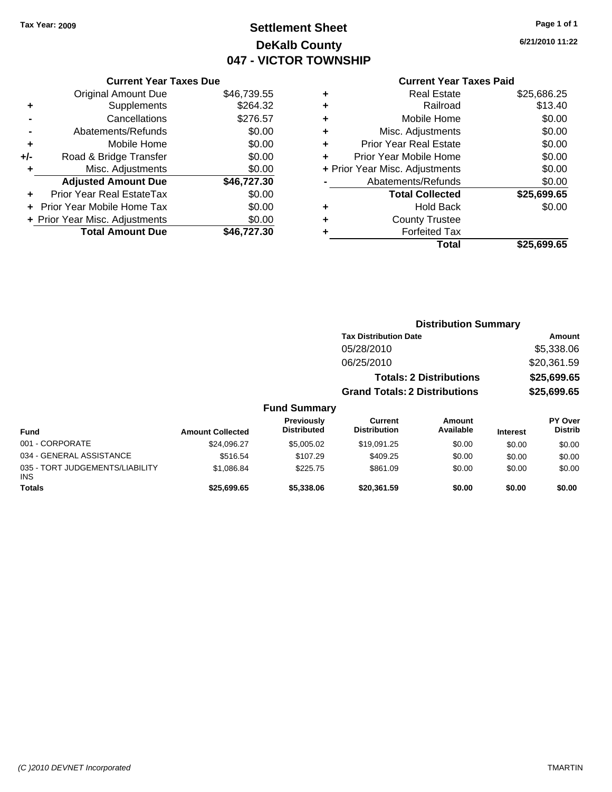### **Settlement Sheet Tax Year: 2009 Page 1 of 1 DeKalb County 047 - VICTOR TOWNSHIP**

**6/21/2010 11:22**

### **Current Year Taxes Paid**

|     | <b>Current Year Taxes Due</b>     |             |
|-----|-----------------------------------|-------------|
|     | <b>Original Amount Due</b>        | \$46,739.55 |
| ٠   | Supplements                       | \$264.32    |
|     | Cancellations                     | \$276.57    |
|     | Abatements/Refunds                | \$0.00      |
| ÷   | Mobile Home                       | \$0.00      |
| +/- | Road & Bridge Transfer            | \$0.00      |
|     | Misc. Adjustments                 | \$0.00      |
|     | <b>Adjusted Amount Due</b>        | \$46,727.30 |
|     | Prior Year Real EstateTax         | \$0.00      |
|     | <b>Prior Year Mobile Home Tax</b> | \$0.00      |
|     | + Prior Year Misc. Adjustments    | \$0.00      |
|     | <b>Total Amount Due</b>           | \$46.727.30 |

| ٠ | <b>Real Estate</b>             | \$25,686.25 |
|---|--------------------------------|-------------|
| ٠ | Railroad                       | \$13.40     |
| ٠ | Mobile Home                    | \$0.00      |
| ٠ | Misc. Adjustments              | \$0.00      |
| ÷ | <b>Prior Year Real Estate</b>  | \$0.00      |
| ÷ | Prior Year Mobile Home         | \$0.00      |
|   | + Prior Year Misc. Adjustments | \$0.00      |
|   | Abatements/Refunds             | \$0.00      |
|   | <b>Total Collected</b>         | \$25,699.65 |
| ٠ | Hold Back                      | \$0.00      |
| ٠ | <b>County Trustee</b>          |             |
| ٠ | <b>Forfeited Tax</b>           |             |
|   | Total                          | \$25,699.65 |
|   |                                |             |

|                                         |                         |                                  | <b>Distribution Summary</b>          |                                |                 |                           |
|-----------------------------------------|-------------------------|----------------------------------|--------------------------------------|--------------------------------|-----------------|---------------------------|
|                                         |                         |                                  | <b>Tax Distribution Date</b>         |                                |                 | Amount                    |
|                                         |                         |                                  | 05/28/2010                           |                                |                 | \$5,338.06                |
|                                         |                         |                                  | 06/25/2010                           |                                |                 | \$20,361.59               |
|                                         |                         |                                  |                                      | <b>Totals: 2 Distributions</b> |                 | \$25,699.65               |
|                                         |                         |                                  | <b>Grand Totals: 2 Distributions</b> |                                |                 | \$25,699.65               |
|                                         |                         | <b>Fund Summary</b>              |                                      |                                |                 |                           |
| <b>Fund</b>                             | <b>Amount Collected</b> | Previously<br><b>Distributed</b> | Current<br><b>Distribution</b>       | Amount<br>Available            | <b>Interest</b> | PY Over<br><b>Distrib</b> |
| 001 - CORPORATE                         | \$24,096.27             | \$5,005.02                       | \$19,091.25                          | \$0.00                         | \$0.00          | \$0.00                    |
| 034 - GENERAL ASSISTANCE                | \$516.54                | \$107.29                         | \$409.25                             | \$0.00                         | \$0.00          | \$0.00                    |
| 035 - TORT JUDGEMENTS/LIABILITY<br>INS. | \$1,086.84              | \$225.75                         | \$861.09                             | \$0.00                         | \$0.00          | \$0.00                    |
| <b>Totals</b>                           | \$25,699.65             | \$5,338.06                       | \$20,361.59                          | \$0.00                         | \$0.00          | \$0.00                    |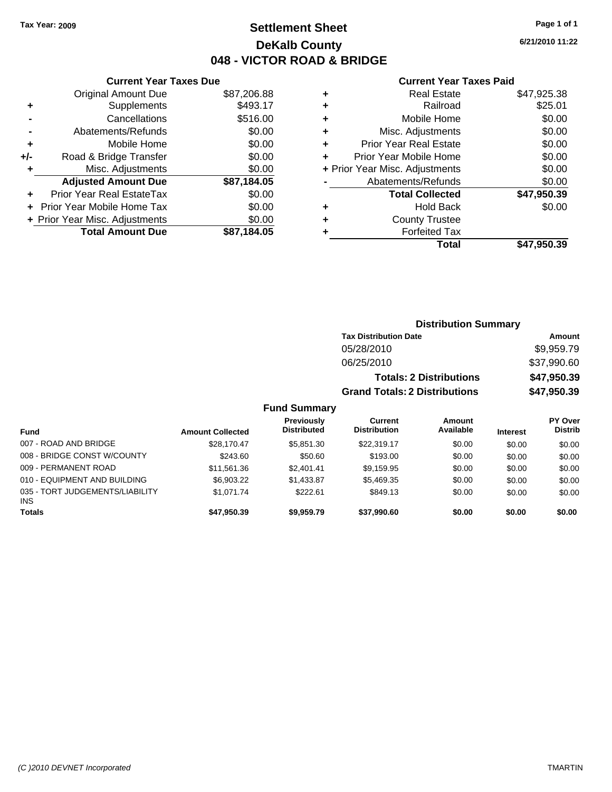### **Settlement Sheet Tax Year: 2009 Page 1 of 1 DeKalb County 048 - VICTOR ROAD & BRIDGE**

009 - PERMANENT ROAD \$11,561.36 \$2,401.41 \$9,159.95 \$0.00 \$0.00 \$0.00 \$0.00 010 - EQUIPMENT AND BUILDING \$6,903.22 \$1,433.87 \$5,469.35 \$0.00 \$0.00 \$0.00

**Totals \$47,950.39 \$9,959.79 \$37,990.60 \$0.00 \$0.00 \$0.00**

**6/21/2010 11:22**

#### **Current Year Taxes Paid**

| ٠ | Total                                         | \$47.950.39 |
|---|-----------------------------------------------|-------------|
| ٠ | <b>County Trustee</b><br><b>Forfeited Tax</b> |             |
| ٠ | <b>Hold Back</b>                              | \$0.00      |
|   | <b>Total Collected</b>                        | \$47,950.39 |
|   | Abatements/Refunds                            | \$0.00      |
|   | + Prior Year Misc. Adjustments                | \$0.00      |
| ÷ | Prior Year Mobile Home                        | \$0.00      |
| ÷ | <b>Prior Year Real Estate</b>                 | \$0.00      |
| ÷ | Misc. Adjustments                             | \$0.00      |
| ÷ | Mobile Home                                   | \$0.00      |
| ٠ | Railroad                                      | \$25.01     |
| ٠ | <b>Real Estate</b>                            | \$47,925.38 |

|     | <b>Current Year Taxes Due</b>    |             |  |  |  |  |  |
|-----|----------------------------------|-------------|--|--|--|--|--|
|     | <b>Original Amount Due</b>       | \$87,206.88 |  |  |  |  |  |
| ٠   | Supplements                      | \$493.17    |  |  |  |  |  |
|     | Cancellations                    | \$516.00    |  |  |  |  |  |
|     | Abatements/Refunds               | \$0.00      |  |  |  |  |  |
| ٠   | Mobile Home                      | \$0.00      |  |  |  |  |  |
| +/- | Road & Bridge Transfer           | \$0.00      |  |  |  |  |  |
| ٠   | Misc. Adjustments                | \$0.00      |  |  |  |  |  |
|     | <b>Adjusted Amount Due</b>       | \$87,184.05 |  |  |  |  |  |
|     | <b>Prior Year Real EstateTax</b> | \$0.00      |  |  |  |  |  |
|     | Prior Year Mobile Home Tax       | \$0.00      |  |  |  |  |  |
|     | + Prior Year Misc. Adjustments   | \$0.00      |  |  |  |  |  |
|     | <b>Total Amount Due</b>          | \$87,184.05 |  |  |  |  |  |

|                             |                         | <b>Distribution Summary</b>             |                                       |                                |                 |                                  |
|-----------------------------|-------------------------|-----------------------------------------|---------------------------------------|--------------------------------|-----------------|----------------------------------|
|                             |                         |                                         | <b>Tax Distribution Date</b>          |                                |                 | Amount                           |
|                             |                         |                                         | 05/28/2010                            |                                |                 | \$9,959.79                       |
|                             |                         |                                         | 06/25/2010                            |                                |                 | \$37,990.60                      |
|                             |                         |                                         |                                       | <b>Totals: 2 Distributions</b> |                 | \$47,950.39                      |
|                             |                         |                                         | <b>Grand Totals: 2 Distributions</b>  |                                |                 | \$47,950.39                      |
|                             |                         | <b>Fund Summary</b>                     |                                       |                                |                 |                                  |
| <b>Fund</b>                 | <b>Amount Collected</b> | <b>Previously</b><br><b>Distributed</b> | <b>Current</b><br><b>Distribution</b> | <b>Amount</b><br>Available     | <b>Interest</b> | <b>PY Over</b><br><b>Distrib</b> |
| 007 - ROAD AND BRIDGE       | \$28,170.47             | \$5,851,30                              | \$22,319.17                           | \$0.00                         | \$0.00          | \$0.00                           |
| 008 - BRIDGE CONST W/COUNTY | \$243.60                | \$50.60                                 | \$193.00                              | \$0.00                         | \$0.00          | \$0.00                           |

\$1,071.74 \$222.61 \$849.13 \$0.00 \$0.00 \$0.00

INS

035 - TORT JUDGEMENTS/LIABILITY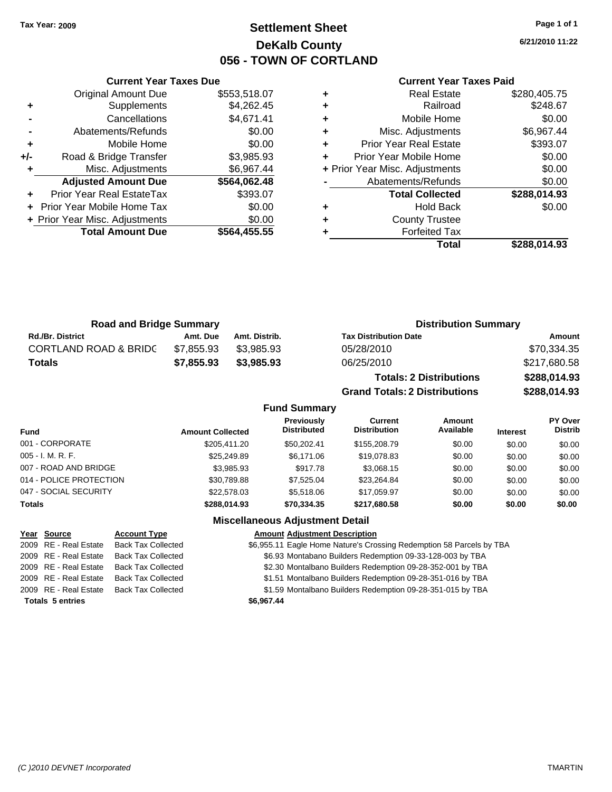### **Settlement Sheet Tax Year: 2009 Page 1 of 1 DeKalb County 056 - TOWN OF CORTLAND**

**6/21/2010 11:22**

#### **Current Year Taxes Paid**

**Grand Totals: 2 Distributions \$288,014.93**

| ٠ | <b>Real Estate</b>             | \$280,405.75 |
|---|--------------------------------|--------------|
| ÷ | Railroad                       | \$248.67     |
| ÷ | Mobile Home                    | \$0.00       |
| ٠ | Misc. Adjustments              | \$6,967.44   |
| ٠ | <b>Prior Year Real Estate</b>  | \$393.07     |
|   | Prior Year Mobile Home         | \$0.00       |
|   | + Prior Year Misc. Adjustments | \$0.00       |
|   | Abatements/Refunds             | \$0.00       |
|   | <b>Total Collected</b>         | \$288,014.93 |
| ٠ | <b>Hold Back</b>               | \$0.00       |
| ٠ | <b>County Trustee</b>          |              |
| ٠ | <b>Forfeited Tax</b>           |              |
|   | Total                          | \$288.014.93 |

| <b>Road and Bridge Summary</b>   |            | <b>Distribution Summary</b> |                                |              |
|----------------------------------|------------|-----------------------------|--------------------------------|--------------|
| <b>Rd./Br. District</b>          | Amt. Due   | Amt. Distrib.               | <b>Tax Distribution Date</b>   | Amount       |
| <b>CORTLAND ROAD &amp; BRIDC</b> | \$7.855.93 | \$3.985.93                  | 05/28/2010                     | \$70,334.35  |
| <b>Totals</b>                    | \$7.855.93 | \$3.985.93                  | 06/25/2010                     | \$217,680.58 |
|                                  |            |                             | <b>Totals: 2 Distributions</b> | \$288,014.93 |

**Fund Summary Fund Interest Amount Collected Distributed PY Over Distrib Amount Available Current Distribution Previously** 001 - CORPORATE \$205,411.20 \$50,202.41 \$155,208.79 \$0.00 \$0.00 \$0.00 005 - I. M. R. F. \$25,249.89 \$6,171.06 \$19,078.83 \$0.00 \$0.00 \$0.00 007 - ROAD AND BRIDGE \$3,085.93 \$3,985.93 \$917.78 \$3,068.15 \$0.00 \$0.00 \$0.00 \$0.00 014 - POLICE PROTECTION \$30,789.88 \$7,525.04 \$23,264.84 \$0.00 \$0.00 \$0.00 \$0.00 047 - SOCIAL SECURITY \$22,578.03 \$5,518.06 \$17,059.97 \$0.00 \$0.00 \$0.00 **Totals \$288,014.93 \$70,334.35 \$217,680.58 \$0.00 \$0.00 \$0.00 Miscellaneous Adjustment Detail**

|                         | Year Source           | <b>Account Type</b>       | <b>Amount Adjustment Description</b>                                 |
|-------------------------|-----------------------|---------------------------|----------------------------------------------------------------------|
|                         | 2009 RE - Real Estate | <b>Back Tax Collected</b> | \$6,955.11 Eagle Home Nature's Crossing Redemption 58 Parcels by TBA |
|                         | 2009 RE - Real Estate | <b>Back Tax Collected</b> | \$6.93 Montabano Builders Redemption 09-33-128-003 by TBA            |
|                         | 2009 RE - Real Estate | Back Tax Collected        | \$2.30 Montalbano Builders Redemption 09-28-352-001 by TBA           |
|                         | 2009 RE - Real Estate | <b>Back Tax Collected</b> | \$1.51 Montalbano Builders Redemption 09-28-351-016 by TBA           |
|                         | 2009 RE - Real Estate | Back Tax Collected        | \$1.59 Montalbano Builders Redemption 09-28-351-015 by TBA           |
| <b>Totals 5 entries</b> |                       |                           | \$6,967.44                                                           |

### **Current Year Taxes Due**

|       | <b>Original Amount Due</b>        | \$553,518.07 |
|-------|-----------------------------------|--------------|
| ٠     | Supplements                       | \$4,262.45   |
|       | Cancellations                     | \$4,671.41   |
|       | Abatements/Refunds                | \$0.00       |
| ٠     | Mobile Home                       | \$0.00       |
| $+/-$ | Road & Bridge Transfer            | \$3,985.93   |
| ٠     | Misc. Adjustments                 | \$6,967.44   |
|       | <b>Adjusted Amount Due</b>        | \$564,062.48 |
|       | Prior Year Real EstateTax         | \$393.07     |
| ÷     | <b>Prior Year Mobile Home Tax</b> | \$0.00       |
|       | + Prior Year Misc. Adjustments    | \$0.00       |
|       | <b>Total Amount Due</b>           | \$564,455.55 |
|       |                                   |              |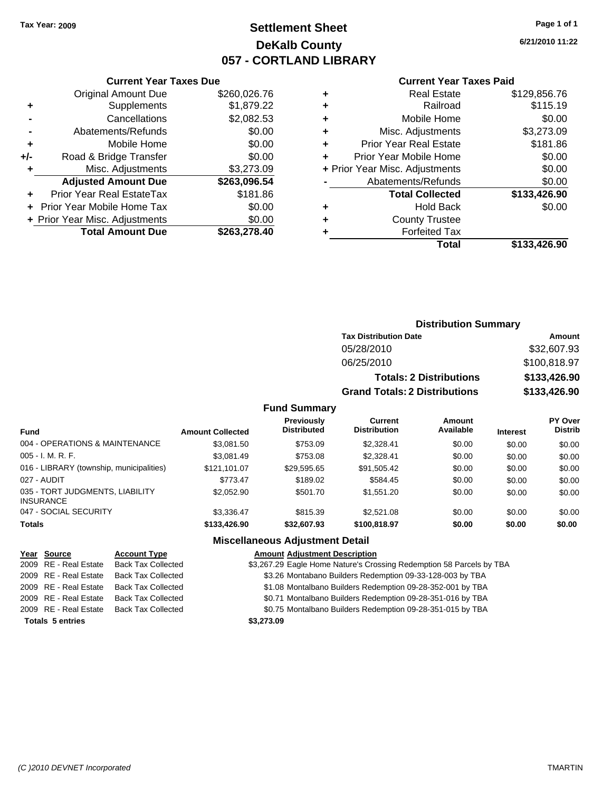### **Settlement Sheet Tax Year: 2009 Page 1 of 1 DeKalb County 057 - CORTLAND LIBRARY**

**6/21/2010 11:22**

|     | <b>Total Amount Due</b>           | \$263,278.40 |
|-----|-----------------------------------|--------------|
|     | + Prior Year Misc. Adjustments    | \$0.00       |
|     | <b>Prior Year Mobile Home Tax</b> | \$0.00       |
|     | Prior Year Real EstateTax         | \$181.86     |
|     | <b>Adjusted Amount Due</b>        | \$263,096.54 |
| ٠   | Misc. Adjustments                 | \$3,273.09   |
| +/- | Road & Bridge Transfer            | \$0.00       |
| ٠   | Mobile Home                       | \$0.00       |
|     | Abatements/Refunds                | \$0.00       |
|     | Cancellations                     | \$2,082.53   |
| ٠   | Supplements                       | \$1,879.22   |
|     | <b>Original Amount Due</b>        | \$260,026.76 |
|     |                                   |              |

#### **Current Year Taxes Paid**

| ٠ | <b>Real Estate</b>             | \$129,856.76 |
|---|--------------------------------|--------------|
| ٠ | Railroad                       | \$115.19     |
| ٠ | Mobile Home                    | \$0.00       |
| ٠ | Misc. Adjustments              | \$3,273.09   |
| ٠ | <b>Prior Year Real Estate</b>  | \$181.86     |
| ÷ | Prior Year Mobile Home         | \$0.00       |
|   | + Prior Year Misc. Adjustments | \$0.00       |
|   | Abatements/Refunds             | \$0.00       |
|   | <b>Total Collected</b>         | \$133,426.90 |
| ٠ | Hold Back                      | \$0.00       |
| ٠ | <b>County Trustee</b>          |              |
| ٠ | <b>Forfeited Tax</b>           |              |
|   | Total                          | \$133,426.90 |
|   |                                |              |

### **Distribution Summary Tax Distribution Date Amount** 05/28/2010 \$32,607.93 06/25/2010 \$100,818.97 **Totals: 2 Distributions \$133,426.90 Grand Totals: 2 Distributions \$133,426.90**

#### **Fund Summary**

| <b>Fund</b>                                         | <b>Amount Collected</b> | <b>Previously</b><br><b>Distributed</b> | Current<br><b>Distribution</b> | <b>Amount</b><br>Available | <b>Interest</b> | <b>PY Over</b><br><b>Distrib</b> |
|-----------------------------------------------------|-------------------------|-----------------------------------------|--------------------------------|----------------------------|-----------------|----------------------------------|
| 004 - OPERATIONS & MAINTENANCE                      | \$3.081.50              | \$753.09                                | \$2.328.41                     | \$0.00                     | \$0.00          | \$0.00                           |
| $005 - I. M. R. F.$                                 | \$3.081.49              | \$753.08                                | \$2.328.41                     | \$0.00                     | \$0.00          | \$0.00                           |
| 016 - LIBRARY (township, municipalities)            | \$121.101.07            | \$29,595.65                             | \$91,505.42                    | \$0.00                     | \$0.00          | \$0.00                           |
| 027 - AUDIT                                         | \$773.47                | \$189.02                                | \$584.45                       | \$0.00                     | \$0.00          | \$0.00                           |
| 035 - TORT JUDGMENTS, LIABILITY<br><b>INSURANCE</b> | \$2,052.90              | \$501.70                                | \$1,551.20                     | \$0.00                     | \$0.00          | \$0.00                           |
| 047 - SOCIAL SECURITY                               | \$3.336.47              | \$815.39                                | \$2,521.08                     | \$0.00                     | \$0.00          | \$0.00                           |
| <b>Totals</b>                                       | \$133,426.90            | \$32,607.93                             | \$100.818.97                   | \$0.00                     | \$0.00          | \$0.00                           |

#### **Miscellaneous Adjustment Detail**

|                         | Year Source           | <b>Account Type</b>       | <b>Amount Adjustment Description</b>                                 |
|-------------------------|-----------------------|---------------------------|----------------------------------------------------------------------|
|                         | 2009 RE - Real Estate | <b>Back Tax Collected</b> | \$3,267.29 Eagle Home Nature's Crossing Redemption 58 Parcels by TBA |
|                         | 2009 RE - Real Estate | <b>Back Tax Collected</b> | \$3.26 Montabano Builders Redemption 09-33-128-003 by TBA            |
|                         | 2009 RE - Real Estate | <b>Back Tax Collected</b> | \$1.08 Montalbano Builders Redemption 09-28-352-001 by TBA           |
|                         | 2009 RE - Real Estate | <b>Back Tax Collected</b> | \$0.71 Montalbano Builders Redemption 09-28-351-016 by TBA           |
|                         | 2009 RE - Real Estate | <b>Back Tax Collected</b> | \$0.75 Montalbano Builders Redemption 09-28-351-015 by TBA           |
| <b>Totals 5 entries</b> |                       |                           | \$3,273.09                                                           |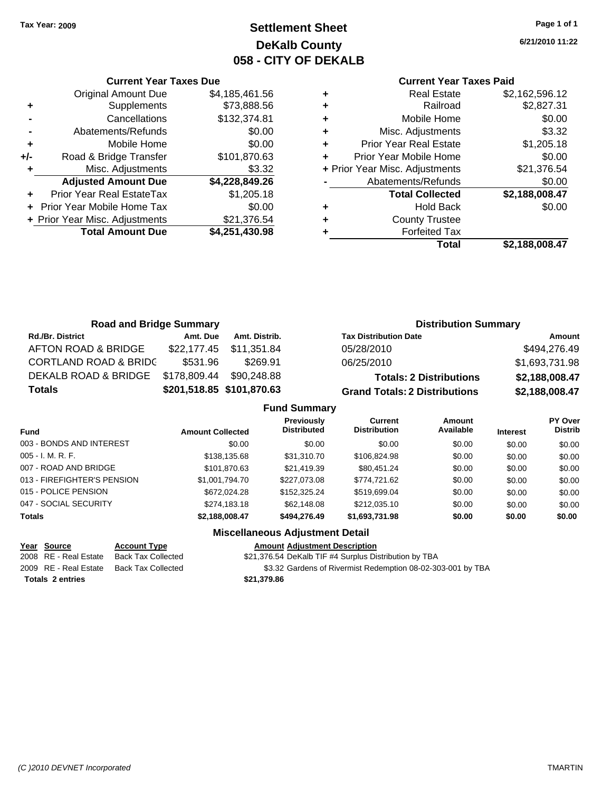### **Settlement Sheet Tax Year: 2009 Page 1 of 1 DeKalb County 058 - CITY OF DEKALB**

**6/21/2010 11:22**

### **Current Year Taxes Paid**

|     | <b>Current Year Taxes Due</b>  |                |
|-----|--------------------------------|----------------|
|     | <b>Original Amount Due</b>     | \$4,185,461.56 |
| ٠   | Supplements                    | \$73,888.56    |
|     | Cancellations                  | \$132,374.81   |
| ۰   | Abatements/Refunds             | \$0.00         |
| ٠   | Mobile Home                    | \$0.00         |
| +/- | Road & Bridge Transfer         | \$101,870.63   |
| ٠   | Misc. Adjustments              | \$3.32         |
|     | <b>Adjusted Amount Due</b>     | \$4,228,849.26 |
| ٠   | Prior Year Real EstateTax      | \$1,205.18     |
|     | Prior Year Mobile Home Tax     | \$0.00         |
|     | + Prior Year Misc. Adjustments | \$21,376.54    |
|     | <b>Total Amount Due</b>        | \$4,251,430.98 |
|     |                                |                |

| ٠ | <b>Real Estate</b>             | \$2,162,596.12 |
|---|--------------------------------|----------------|
| ٠ | Railroad                       | \$2,827.31     |
| ٠ | Mobile Home                    | \$0.00         |
| ٠ | Misc. Adjustments              | \$3.32         |
| ٠ | <b>Prior Year Real Estate</b>  | \$1,205.18     |
| ٠ | Prior Year Mobile Home         | \$0.00         |
|   | + Prior Year Misc. Adjustments | \$21,376.54    |
|   | Abatements/Refunds             | \$0.00         |
|   | <b>Total Collected</b>         | \$2,188,008.47 |
| ٠ | <b>Hold Back</b>               | \$0.00         |
| ٠ | <b>County Trustee</b>          |                |
|   | <b>Forfeited Tax</b>           |                |
|   | Total                          | \$2,188,008.47 |
|   |                                |                |

| <b>Road and Bridge Summary</b>   |              |                           |                                      | <b>Distribution Summary</b> |  |  |
|----------------------------------|--------------|---------------------------|--------------------------------------|-----------------------------|--|--|
| <b>Rd./Br. District</b>          | Amt. Due     | Amt. Distrib.             | <b>Tax Distribution Date</b>         | Amount                      |  |  |
| AFTON ROAD & BRIDGE              | \$22,177.45  | \$11,351.84               | 05/28/2010                           | \$494,276.49                |  |  |
| <b>CORTLAND ROAD &amp; BRIDC</b> | \$531.96     | \$269.91                  | 06/25/2010                           | \$1,693,731.98              |  |  |
| DEKALB ROAD & BRIDGE             | \$178,809.44 | \$90,248.88               | <b>Totals: 2 Distributions</b>       | \$2,188,008.47              |  |  |
| <b>Totals</b>                    |              | \$201,518.85 \$101,870.63 | <b>Grand Totals: 2 Distributions</b> | \$2,188,008.47              |  |  |
| <b>Fund Summary</b>              |              |                           |                                      |                             |  |  |

| <b>Previously</b><br>Current<br>Amount<br><b>Distribution</b><br>Available<br><b>Distributed</b><br><b>Fund</b><br><b>Amount Collected</b><br><b>Interest</b><br>003 - BONDS AND INTEREST<br>\$0.00<br>\$0.00<br>\$0.00<br>\$0.00<br>\$0.00<br>005 - I. M. R. F.<br>\$138,135.68<br>\$31,310.70<br>\$106,824.98<br>\$0.00<br>\$0.00<br>007 - ROAD AND BRIDGE<br>\$21,419.39<br>\$101,870.63<br>\$80,451.24<br>\$0.00<br>\$0.00<br>013 - FIREFIGHTER'S PENSION<br>\$1,001,794.70<br>\$227,073.08<br>\$774.721.62<br>\$0.00<br>\$0.00<br>015 - POLICE PENSION<br>\$519,699.04<br>\$672,024.28<br>\$152,325,24<br>\$0.00<br>\$0.00<br>047 - SOCIAL SECURITY<br>\$274.183.18<br>\$62,148.08<br>\$212,035.10<br>\$0.00<br>\$0.00<br><b>Totals</b><br>\$0.00<br>\$2,188,008.47<br>\$494,276.49<br>\$1,693,731.98<br>\$0.00 |  |  |  |  |  |                                  |  |
|----------------------------------------------------------------------------------------------------------------------------------------------------------------------------------------------------------------------------------------------------------------------------------------------------------------------------------------------------------------------------------------------------------------------------------------------------------------------------------------------------------------------------------------------------------------------------------------------------------------------------------------------------------------------------------------------------------------------------------------------------------------------------------------------------------------------|--|--|--|--|--|----------------------------------|--|
|                                                                                                                                                                                                                                                                                                                                                                                                                                                                                                                                                                                                                                                                                                                                                                                                                      |  |  |  |  |  | <b>PY Over</b><br><b>Distrib</b> |  |
|                                                                                                                                                                                                                                                                                                                                                                                                                                                                                                                                                                                                                                                                                                                                                                                                                      |  |  |  |  |  | \$0.00                           |  |
|                                                                                                                                                                                                                                                                                                                                                                                                                                                                                                                                                                                                                                                                                                                                                                                                                      |  |  |  |  |  | \$0.00                           |  |
|                                                                                                                                                                                                                                                                                                                                                                                                                                                                                                                                                                                                                                                                                                                                                                                                                      |  |  |  |  |  | \$0.00                           |  |
|                                                                                                                                                                                                                                                                                                                                                                                                                                                                                                                                                                                                                                                                                                                                                                                                                      |  |  |  |  |  | \$0.00                           |  |
|                                                                                                                                                                                                                                                                                                                                                                                                                                                                                                                                                                                                                                                                                                                                                                                                                      |  |  |  |  |  | \$0.00                           |  |
|                                                                                                                                                                                                                                                                                                                                                                                                                                                                                                                                                                                                                                                                                                                                                                                                                      |  |  |  |  |  | \$0.00                           |  |
|                                                                                                                                                                                                                                                                                                                                                                                                                                                                                                                                                                                                                                                                                                                                                                                                                      |  |  |  |  |  | \$0.00                           |  |

### **Miscellaneous Adjustment Detail**

**Totals \$21,379.86 2 entries**

**Year Source Account Type Amount Adjustment Description** 2008 RE - Real Estate Back Tax Collected \$21,376.54 DeKalb TIF #4 Surplus Distribution by TBA

2009 RE - Real Estate Back Tax Collected \$3.32 Gardens of Rivermist Redemption 08-02-303-001 by TBA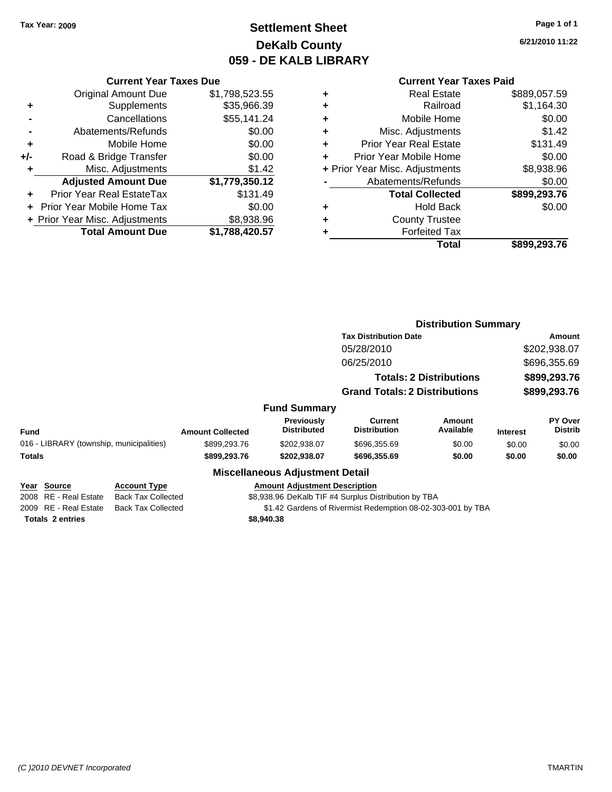Original Amount Due

**Road & Bridge Transfer** 

**Adjusted Amount Due** 

**Total Amount Due** 

**+** Supplements **-** Cancellations **-** Abatements/Refunds **+** Mobile Home<br>**+/-** Road & Bridge Transfer

**+** Misc. Adjustments

**+** Prior Year Real EstateTax **+** Prior Year Mobile Home Tax **+ Prior Year Misc. Adjustments** 

### **Settlement Sheet Tax Year: 2009 Page 1 of 1 DeKalb County 059 - DE KALB LIBRARY**

**6/21/2010 11:22**

**Total \$899,293.76**

### **Current Year Taxes Paid**

| <b>Current Year Taxes Due</b> |                |   | <b>Current Year Taxes Paid</b> |              |  |
|-------------------------------|----------------|---|--------------------------------|--------------|--|
| ıl Amount Due                 | \$1,798,523.55 | ÷ | <b>Real Estate</b>             | \$889,057.59 |  |
| Supplements                   | \$35,966.39    | ٠ | Railroad                       | \$1,164.30   |  |
| Cancellations                 | \$55,141.24    | ÷ | Mobile Home                    | \$0.00       |  |
| าents/Refunds                 | \$0.00         | ÷ | Misc. Adjustments              | \$1.42       |  |
| Mobile Home                   | \$0.00         | ÷ | <b>Prior Year Real Estate</b>  | \$131.49     |  |
| ridge Transfer                | \$0.00         | ٠ | Prior Year Mobile Home         | \$0.00       |  |
| :. Adjustments                | \$1.42         |   | + Prior Year Misc. Adjustments | \$8,938.96   |  |
| <b>Amount Due</b>             | \$1,779,350.12 |   | Abatements/Refunds             | \$0.00       |  |
| eal EstateTax                 | \$131.49       |   | <b>Total Collected</b>         | \$899,293.76 |  |
| pile Home Tax                 | \$0.00         | ٠ | <b>Hold Back</b>               | \$0.00       |  |
| . Adjustments                 | \$8,938.96     | ÷ | <b>County Trustee</b>          |              |  |
| <b>Amount Due</b>             | \$1,788,420.57 |   | <b>Forfeited Tax</b>           |              |  |
|                               |                |   | Total                          | \$899.293.76 |  |

|                                          |                           |                         |                                         |                                                             | <b>Distribution Summary</b>    |                 |                           |
|------------------------------------------|---------------------------|-------------------------|-----------------------------------------|-------------------------------------------------------------|--------------------------------|-----------------|---------------------------|
|                                          |                           |                         |                                         | <b>Tax Distribution Date</b>                                |                                |                 | Amount                    |
|                                          |                           |                         |                                         | 05/28/2010                                                  |                                |                 | \$202,938.07              |
|                                          |                           |                         |                                         | 06/25/2010                                                  |                                |                 | \$696,355.69              |
|                                          |                           |                         |                                         |                                                             | <b>Totals: 2 Distributions</b> |                 | \$899,293.76              |
|                                          |                           |                         |                                         | <b>Grand Totals: 2 Distributions</b>                        |                                |                 | \$899,293.76              |
|                                          |                           |                         |                                         |                                                             |                                |                 |                           |
|                                          |                           |                         | <b>Fund Summary</b>                     |                                                             |                                |                 |                           |
| <b>Fund</b>                              |                           | <b>Amount Collected</b> | <b>Previously</b><br><b>Distributed</b> | <b>Current</b><br><b>Distribution</b>                       | Amount<br>Available            | <b>Interest</b> | PY Over<br><b>Distrib</b> |
| 016 - LIBRARY (township, municipalities) |                           | \$899,293.76            | \$202,938.07                            | \$696,355.69                                                | \$0.00                         | \$0.00          | \$0.00                    |
| Totals                                   |                           | \$899,293.76            | \$202,938.07                            | \$696,355.69                                                | \$0.00                         | \$0.00          | \$0.00                    |
|                                          |                           |                         | <b>Miscellaneous Adjustment Detail</b>  |                                                             |                                |                 |                           |
| Year Source                              | <b>Account Type</b>       |                         | <b>Amount Adjustment Description</b>    |                                                             |                                |                 |                           |
| 2008 RE - Real Estate                    | <b>Back Tax Collected</b> |                         |                                         | \$8,938.96 DeKalb TIF #4 Surplus Distribution by TBA        |                                |                 |                           |
| 2009 RE - Real Estate                    | <b>Back Tax Collected</b> |                         |                                         | \$1.42 Gardens of Rivermist Redemption 08-02-303-001 by TBA |                                |                 |                           |
| <b>Totals 2 entries</b>                  |                           |                         | \$8,940.38                              |                                                             |                                |                 |                           |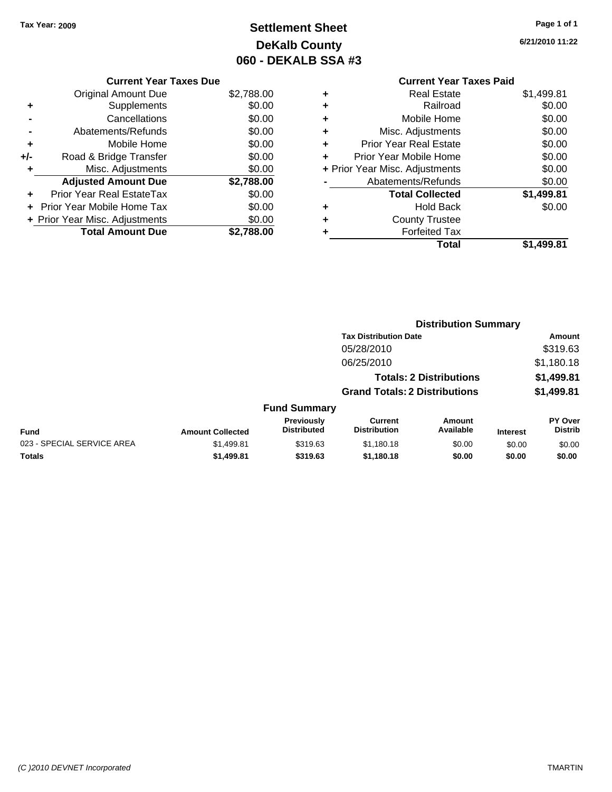## **Settlement Sheet Tax Year: 2009 Page 1 of 1 DeKalb County 060 - DEKALB SSA #3**

**6/21/2010 11:22**

| <b>Current Year Taxes Due</b> |            |  |
|-------------------------------|------------|--|
| il Amount Due.                | \$2 788 00 |  |

|     | <b>Total Amount Due</b>          | \$2.788.00 |
|-----|----------------------------------|------------|
|     | + Prior Year Misc. Adjustments   | \$0.00     |
|     | + Prior Year Mobile Home Tax     | \$0.00     |
|     | <b>Prior Year Real EstateTax</b> | \$0.00     |
|     | <b>Adjusted Amount Due</b>       | \$2,788.00 |
| ٠   | Misc. Adjustments                | \$0.00     |
| +/- | Road & Bridge Transfer           | \$0.00     |
| ÷   | Mobile Home                      | \$0.00     |
|     | Abatements/Refunds               | \$0.00     |
|     | Cancellations                    | \$0.00     |
| ٠   | Supplements                      | \$0.00     |
|     | <b>Original Amount Due</b>       | \$2,788.00 |

### **Current Year Taxes Paid +** Real Estate \$1,499.81 **+** Railroad \$0.00 **+** Mobile Home \$0.00 **+** Misc. Adjustments \$0.00 **+** Prior Year Real Estate \$0.00 **+** Prior Year Mobile Home \$0.00 **+ Prior Year Misc. Adjustments**  $$0.00$ **-** Abatements/Refunds \$0.00 **Total Collected \$1,499.81 +** Hold Back \$0.00 **+** County Trustee **+** Forfeited Tax **Total \$1,499.81**

|                            |                         |                                         | <b>Distribution Summary</b>           |                                |                 |                                  |
|----------------------------|-------------------------|-----------------------------------------|---------------------------------------|--------------------------------|-----------------|----------------------------------|
|                            |                         |                                         | <b>Tax Distribution Date</b>          |                                |                 | Amount                           |
|                            |                         |                                         | 05/28/2010                            |                                |                 | \$319.63                         |
|                            |                         |                                         | 06/25/2010                            |                                |                 | \$1,180.18                       |
|                            |                         |                                         |                                       | <b>Totals: 2 Distributions</b> |                 | \$1,499.81                       |
|                            |                         |                                         | <b>Grand Totals: 2 Distributions</b>  |                                |                 | \$1,499.81                       |
|                            |                         | <b>Fund Summary</b>                     |                                       |                                |                 |                                  |
| <b>Fund</b>                | <b>Amount Collected</b> | <b>Previously</b><br><b>Distributed</b> | <b>Current</b><br><b>Distribution</b> | Amount<br>Available            | <b>Interest</b> | <b>PY Over</b><br><b>Distrib</b> |
| 023 - SPECIAL SERVICE AREA | \$1,499.81              | \$319.63                                | \$1,180.18                            | \$0.00                         | \$0.00          | \$0.00                           |
| Totals                     | \$1,499.81              | \$319.63                                | \$1,180.18                            | \$0.00                         | \$0.00          | \$0.00                           |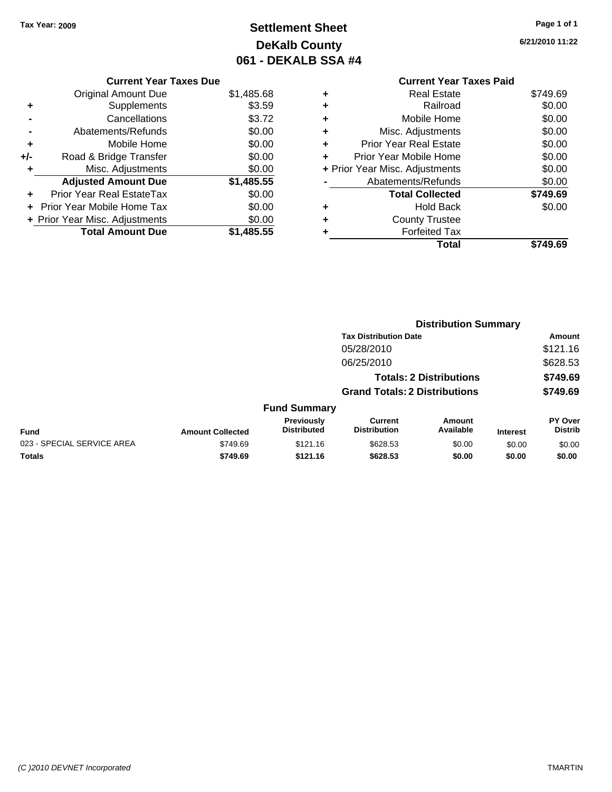## **Settlement Sheet Tax Year: 2009 Page 1 of 1 DeKalb County 061 - DEKALB SSA #4**

**6/21/2010 11:22**

|   | <b>Current Year Taxes Paid</b> |          |
|---|--------------------------------|----------|
|   | <b>Real Estate</b>             | \$749.69 |
|   | Railroad                       | \$0.00   |
| ٠ | Mobile Home                    | \$0.00   |
|   | Misc. Adjustments              | \$0.00   |
| ٠ | <b>Prior Year Real Estate</b>  | \$0.00   |
| ÷ | Prior Year Mobile Home         | \$0.00   |
|   | + Prior Year Misc. Adjustments | \$0.00   |
|   | Abatements/Refunds             | \$0.00   |
|   | <b>Total Collected</b>         | \$749.69 |
|   | Hold Back                      | \$0.00   |
|   | <b>County Trustee</b>          |          |
|   | <b>Forfeited Tax</b>           |          |
|   | Total                          |          |
|   |                                |          |

|     | <b>Current Year Taxes Due</b>  |            |
|-----|--------------------------------|------------|
|     | Original Amount Due            | \$1,485.68 |
| ٠   | Supplements                    | \$3.59     |
|     | Cancellations                  | \$3.72     |
|     | Abatements/Refunds             | \$0.00     |
| ٠   | Mobile Home                    | \$0.00     |
| +/- | Road & Bridge Transfer         | \$0.00     |
| ٠   | Misc. Adjustments              | \$0.00     |
|     | <b>Adjusted Amount Due</b>     | \$1,485.55 |
|     | Prior Year Real EstateTax      | \$0.00     |
|     | Prior Year Mobile Home Tax     | \$0.00     |
|     | + Prior Year Misc. Adjustments | \$0.00     |
|     | <b>Total Amount Due</b>        | \$1,485.55 |
|     |                                |            |

|                            |                         |                                         | <b>Distribution Summary</b>           |                                |                 |                           |
|----------------------------|-------------------------|-----------------------------------------|---------------------------------------|--------------------------------|-----------------|---------------------------|
|                            |                         |                                         | <b>Tax Distribution Date</b>          |                                |                 | Amount                    |
|                            |                         |                                         | 05/28/2010                            |                                |                 | \$121.16                  |
|                            |                         |                                         | 06/25/2010                            |                                |                 | \$628.53                  |
|                            |                         |                                         |                                       | <b>Totals: 2 Distributions</b> |                 | \$749.69                  |
|                            |                         |                                         | <b>Grand Totals: 2 Distributions</b>  |                                |                 | \$749.69                  |
|                            |                         | <b>Fund Summary</b>                     |                                       |                                |                 |                           |
| <b>Fund</b>                | <b>Amount Collected</b> | <b>Previously</b><br><b>Distributed</b> | <b>Current</b><br><b>Distribution</b> | Amount<br>Available            | <b>Interest</b> | PY Over<br><b>Distrib</b> |
| 023 - SPECIAL SERVICE AREA | \$749.69                | \$121.16                                | \$628.53                              | \$0.00                         | \$0.00          | \$0.00                    |
| Totals                     | \$749.69                | \$121.16                                | \$628.53                              | \$0.00                         | \$0.00          | \$0.00                    |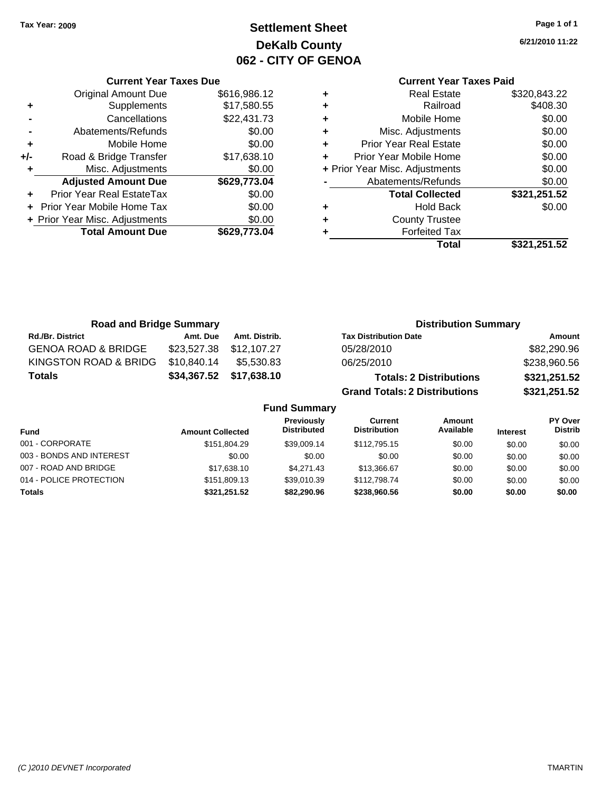**Current Year Taxes Due** Original Amount Due \$616,986.12

**Adjusted Amount Due \$629,773.04**

**Total Amount Due \$629,773.04**

**+** Supplements \$17,580.55 **-** Cancellations \$22,431.73 **-** Abatements/Refunds \$0.00 **+** Mobile Home \$0.00 **+/-** Road & Bridge Transfer \$17,638.10 **+** Misc. Adjustments \$0.00

**+** Prior Year Real EstateTax \$0.00 **+** Prior Year Mobile Home Tax \$0.00 **+ Prior Year Misc. Adjustments**  $$0.00$ 

### **Settlement Sheet Tax Year: 2009 Page 1 of 1 DeKalb County 062 - CITY OF GENOA**

**6/21/2010 11:22**

### **Current Year Taxes Paid**

|   | Total                          | \$321,251.52 |
|---|--------------------------------|--------------|
|   | <b>Forfeited Tax</b>           |              |
| ٠ | <b>County Trustee</b>          |              |
| ٠ | <b>Hold Back</b>               | \$0.00       |
|   | <b>Total Collected</b>         | \$321,251.52 |
|   | Abatements/Refunds             | \$0.00       |
|   | + Prior Year Misc. Adjustments | \$0.00       |
|   | Prior Year Mobile Home         | \$0.00       |
| ٠ | <b>Prior Year Real Estate</b>  | \$0.00       |
| ٠ | Misc. Adjustments              | \$0.00       |
| ٠ | Mobile Home                    | \$0.00       |
| ٠ | Railroad                       | \$408.30     |
|   | <b>Real Estate</b>             | \$320,843.22 |

| <b>Road and Bridge Summary</b> |             |                     | <b>Distribution Summary</b>          |              |
|--------------------------------|-------------|---------------------|--------------------------------------|--------------|
| <b>Rd./Br. District</b>        | Amt. Due    | Amt. Distrib.       | <b>Tax Distribution Date</b>         | Amount       |
| <b>GENOA ROAD &amp; BRIDGE</b> | \$23,527.38 | \$12,107.27         | 05/28/2010                           | \$82,290.96  |
| KINGSTON ROAD & BRIDG          | \$10,840.14 | \$5,530.83          | 06/25/2010                           | \$238,960.56 |
| <b>Totals</b>                  | \$34,367.52 | \$17,638.10         | <b>Totals: 2 Distributions</b>       | \$321,251.52 |
|                                |             |                     | <b>Grand Totals: 2 Distributions</b> | \$321,251.52 |
|                                |             | <b>Fund Summary</b> |                                      |              |

| <b>Fund</b>              | <b>Amount Collected</b> | <b>Previously</b><br><b>Distributed</b> | Current<br><b>Distribution</b> | Amount<br>Available | <b>Interest</b> | PY Over<br><b>Distrib</b> |
|--------------------------|-------------------------|-----------------------------------------|--------------------------------|---------------------|-----------------|---------------------------|
| 001 - CORPORATE          | \$151,804.29            | \$39,009.14                             | \$112,795.15                   | \$0.00              | \$0.00          | \$0.00                    |
| 003 - BONDS AND INTEREST | \$0.00                  | \$0.00                                  | \$0.00                         | \$0.00              | \$0.00          | \$0.00                    |
| 007 - ROAD AND BRIDGE    | \$17,638.10             | \$4,271,43                              | \$13,366.67                    | \$0.00              | \$0.00          | \$0.00                    |
| 014 - POLICE PROTECTION  | \$151,809.13            | \$39,010.39                             | \$112,798.74                   | \$0.00              | \$0.00          | \$0.00                    |
| Totals                   | \$321.251.52            | \$82,290.96                             | \$238,960.56                   | \$0.00              | \$0.00          | \$0.00                    |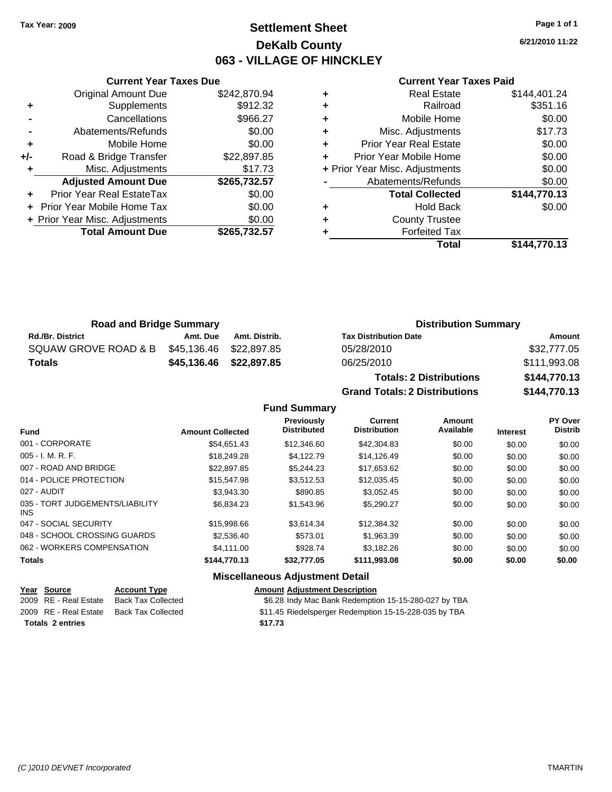### **Settlement Sheet Tax Year: 2009 Page 1 of 1 DeKalb County 063 - VILLAGE OF HINCKLEY**

**6/21/2010 11:22**

#### **Current Year Taxes Paid**

|                | <b>Original Amount Due</b>     | \$242,870.94 |
|----------------|--------------------------------|--------------|
| ٠              | Supplements                    | \$912.32     |
|                | Cancellations                  | \$966.27     |
| $\blacksquare$ | Abatements/Refunds             | \$0.00       |
| ٠              | Mobile Home                    | \$0.00       |
| +/-            | Road & Bridge Transfer         | \$22,897.85  |
|                | Misc. Adjustments              | \$17.73      |
|                | <b>Adjusted Amount Due</b>     | \$265,732.57 |
| ÷              | Prior Year Real EstateTax      | \$0.00       |
| ÷              | Prior Year Mobile Home Tax     | \$0.00       |
|                | + Prior Year Misc. Adjustments | \$0.00       |
|                | <b>Total Amount Due</b>        | \$265,732.57 |
|                |                                |              |

**Current Year Taxes Due**

|   | <b>Real Estate</b>             | \$144,401.24 |
|---|--------------------------------|--------------|
| ٠ | Railroad                       | \$351.16     |
| ٠ | Mobile Home                    | \$0.00       |
| ٠ | Misc. Adjustments              | \$17.73      |
| ٠ | <b>Prior Year Real Estate</b>  | \$0.00       |
| ٠ | Prior Year Mobile Home         | \$0.00       |
|   | + Prior Year Misc. Adjustments | \$0.00       |
|   | Abatements/Refunds             | \$0.00       |
|   | <b>Total Collected</b>         | \$144,770.13 |
| ٠ | <b>Hold Back</b>               | \$0.00       |
| ٠ | <b>County Trustee</b>          |              |
|   | <b>Forfeited Tax</b>           |              |
|   | Total                          | \$144.770.13 |

| <b>Road and Bridge Summary</b> |          |                         | <b>Distribution Summary</b>    |              |  |
|--------------------------------|----------|-------------------------|--------------------------------|--------------|--|
| <b>Rd./Br. District</b>        | Amt. Due | Amt. Distrib.           | <b>Tax Distribution Date</b>   | Amount       |  |
| SQUAW GROVE ROAD & B           |          | \$45,136.46 \$22,897.85 | 05/28/2010                     | \$32,777.05  |  |
| Totals                         |          | \$45,136.46 \$22,897.85 | 06/25/2010                     | \$111,993.08 |  |
|                                |          |                         | <b>Totals: 2 Distributions</b> | \$144,770.13 |  |

**Grand Totals: 2 Distributions \$144,770.13 Fund Summary Fund Interest Amount Collected Distributed PY Over Distrib Amount Available Current Distribution Previously** 001 - CORPORATE \$54,651.43 \$12,346.60 \$42,304.83 \$0.00 \$0.00 \$0.00 005 - I. M. R. F. \$18,249.28 \$4,122.79 \$14,126.49 \$0.00 \$0.00 \$0.00 007 - ROAD AND BRIDGE 60.00 \$22,897.85 \$5,244.23 \$17,653.62 \$0.00 \$0.00 \$0.00 \$0.00 014 - POLICE PROTECTION \$15,547.98 \$3,512.53 \$12,035.45 \$0.00 \$0.00 \$0.00 027 - AUDIT \$3,943.30 \$890.85 \$3,052.45 \$0.00 \$0.00 \$0.00 035 - TORT JUDGEMENTS/LIABILITY \$6,834.23 \$1,543.96 \$5,290.27 \$0.00 \$0.00 \$0.00

INS 047 - SOCIAL SECURITY \$15,998.66 \$3,614.34 \$12,384.32 \$0.00 \$0.00 \$0.00 048 - SCHOOL CROSSING GUARDS \$2,536.40 \$573.01 \$1,963.39 \$0.00 \$0.00 \$0.00 062 - WORKERS COMPENSATION \$4,111.00 \$928.74 \$3,182.26 \$0.00 \$0.00 \$0.00 **Totals \$144,770.13 \$32,777.05 \$111,993.08 \$0.00 \$0.00 \$0.00 Miscellaneous Adjustment Detail**

| Year Source             | <b>Account Type</b> | <b>Amount Adjustment Description</b>                  |
|-------------------------|---------------------|-------------------------------------------------------|
| 2009 RE - Real Estate   | Back Tax Collected  | \$6.28 Indy Mac Bank Redemption 15-15-280-027 by TBA  |
| 2009 RE - Real Estate   | Back Tax Collected  | \$11.45 Riedelsperger Redemption 15-15-228-035 by TBA |
| <b>Totals 2 entries</b> |                     | \$17.73                                               |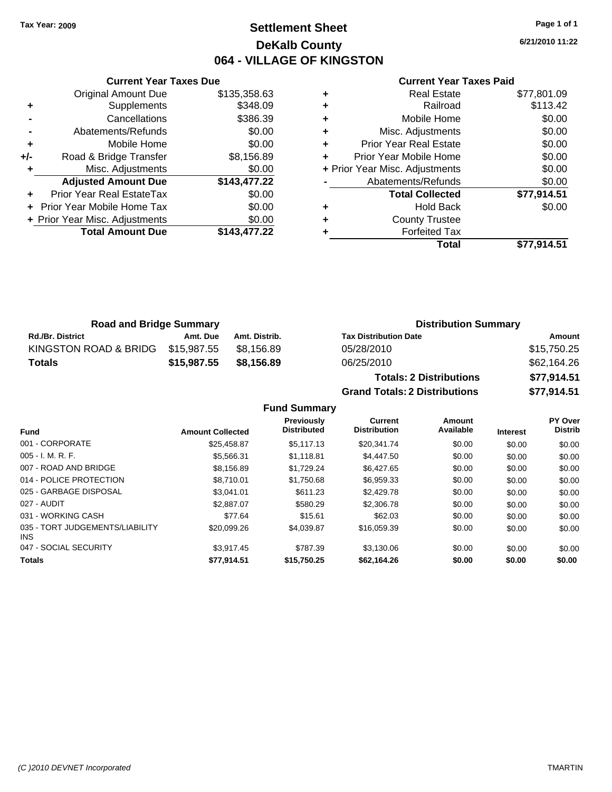### **Settlement Sheet Tax Year: 2009 Page 1 of 1 DeKalb County 064 - VILLAGE OF KINGSTON**

**6/21/2010 11:22**

#### **Current Year Taxes Paid**

|                | <b>Original Amount Due</b>     | \$135,358.63 |
|----------------|--------------------------------|--------------|
| ٠              | Supplements                    | \$348.09     |
|                | Cancellations                  | \$386.39     |
| $\blacksquare$ | Abatements/Refunds             | \$0.00       |
| ÷              | Mobile Home                    | \$0.00       |
| +/-            | Road & Bridge Transfer         | \$8,156.89   |
|                | Misc. Adjustments              | \$0.00       |
|                | <b>Adjusted Amount Due</b>     | \$143,477.22 |
|                | Prior Year Real EstateTax      | \$0.00       |
|                | Prior Year Mobile Home Tax     | \$0.00       |
|                | + Prior Year Misc. Adjustments | \$0.00       |
|                |                                |              |
|                | <b>Total Amount Due</b>        | \$143,477.22 |

**Current Year Taxes Due**

|   | Total                          | \$77,914.51 |
|---|--------------------------------|-------------|
|   | <b>Forfeited Tax</b>           |             |
| ٠ | <b>County Trustee</b>          |             |
| ٠ | <b>Hold Back</b>               | \$0.00      |
|   | <b>Total Collected</b>         | \$77,914.51 |
|   | Abatements/Refunds             | \$0.00      |
|   | + Prior Year Misc. Adjustments | \$0.00      |
| ÷ | Prior Year Mobile Home         | \$0.00      |
| ÷ | <b>Prior Year Real Estate</b>  | \$0.00      |
| ٠ | Misc. Adjustments              | \$0.00      |
| ٠ | Mobile Home                    | \$0.00      |
| ٠ | Railroad                       | \$113.42    |
| ٠ | <b>Real Estate</b>             | \$77,801.09 |

**Grand Totals: 2 Distributions \$77,914.51**

| <b>Road and Bridge Summary</b> |             |               | <b>Distribution Summary</b>    |             |  |
|--------------------------------|-------------|---------------|--------------------------------|-------------|--|
| <b>Rd./Br. District</b>        | Amt. Due    | Amt. Distrib. | <b>Tax Distribution Date</b>   | Amount      |  |
| KINGSTON ROAD & BRIDG          | \$15.987.55 | \$8.156.89    | 05/28/2010                     | \$15,750.25 |  |
| Totals                         | \$15,987.55 | \$8.156.89    | 06/25/2010                     | \$62,164.26 |  |
|                                |             |               | <b>Totals: 2 Distributions</b> | \$77,914.51 |  |

**Fund Summary Fund Interest Amount Collected Distributed PY Over Distrib Amount Available Current Distribution Previously** 001 - CORPORATE \$25,458.87 \$5,117.13 \$20,341.74 \$0.00 \$0.00 \$0.00 005 - I. M. R. F. \$5,566.31 \$1,118.81 \$4,447.50 \$0.00 \$0.00 \$0.00 007 - ROAD AND BRIDGE \$8,156.89 \$8,156.89 \$1,729.24 \$6,427.65 \$0.00 \$0.00 \$0.00 \$0.00 014 - POLICE PROTECTION \$8,710.01 \$1,750.68 \$6,959.33 \$0.00 \$0.00 \$0.00 \$0.00 025 - GARBAGE DISPOSAL \$3,041.01 \$611.23 \$2,429.78 \$0.00 \$0.00 \$0.00 027 - AUDIT \$2,887.07 \$580.29 \$2,306.78 \$0.00 \$0.00 \$0.00 031 - WORKING CASH \$77.64 \$15.61 \$62.03 \$0.00 \$0.00 \$0.00 035 - TORT JUDGEMENTS/LIABILITY INS \$20,099.26 \$4,039.87 \$16,059.39 \$0.00 \$0.00 \$0.00 047 - SOCIAL SECURITY \$3,917.45 \$787.39 \$3,130.06 \$0.00 \$0.00 \$0.00 **Totals \$77,914.51 \$15,750.25 \$62,164.26 \$0.00 \$0.00 \$0.00**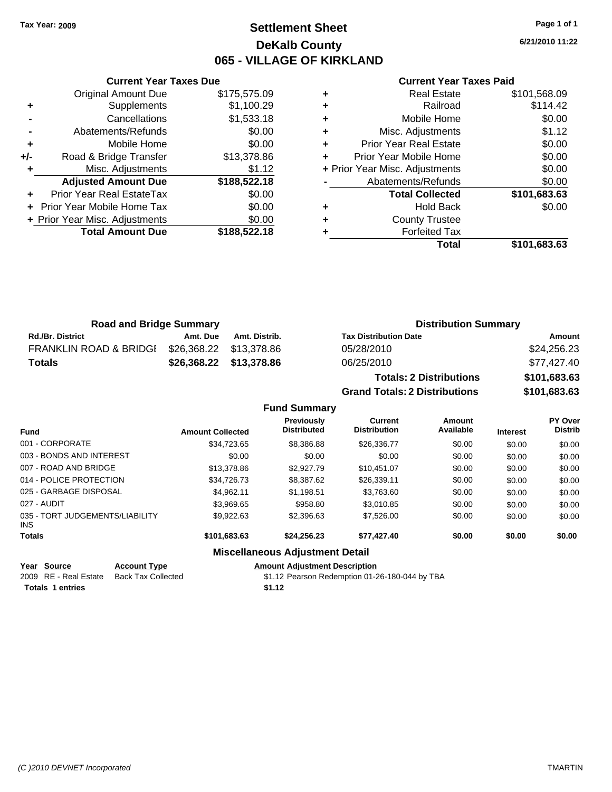### **Settlement Sheet Tax Year: 2009 Page 1 of 1 DeKalb County 065 - VILLAGE OF KIRKLAND**

**6/21/2010 11:22**

#### **Current Year Taxes Paid**

|     | <b>Current Year Taxes Due</b>  |              |
|-----|--------------------------------|--------------|
|     | <b>Original Amount Due</b>     | \$175,575.09 |
| ٠   | Supplements                    | \$1,100.29   |
|     | Cancellations                  | \$1,533.18   |
|     | Abatements/Refunds             | \$0.00       |
| ٠   | Mobile Home                    | \$0.00       |
| +/- | Road & Bridge Transfer         | \$13,378.86  |
| ٠   | Misc. Adjustments              | \$1.12       |
|     | <b>Adjusted Amount Due</b>     | \$188,522.18 |
|     | Prior Year Real EstateTax      | \$0.00       |
|     | Prior Year Mobile Home Tax     | \$0.00       |
|     | + Prior Year Misc. Adjustments | \$0.00       |
|     | <b>Total Amount Due</b>        | \$188,522.18 |
|     |                                |              |

|   | <b>Real Estate</b>             | \$101,568.09 |
|---|--------------------------------|--------------|
| ٠ | Railroad                       | \$114.42     |
| ٠ | Mobile Home                    | \$0.00       |
| ٠ | Misc. Adjustments              | \$1.12       |
| ÷ | <b>Prior Year Real Estate</b>  | \$0.00       |
| ٠ | Prior Year Mobile Home         | \$0.00       |
|   | + Prior Year Misc. Adjustments | \$0.00       |
|   | Abatements/Refunds             | \$0.00       |
|   | <b>Total Collected</b>         | \$101,683.63 |
| ٠ | <b>Hold Back</b>               | \$0.00       |
| ٠ | <b>County Trustee</b>          |              |
| ٠ | <b>Forfeited Tax</b>           |              |
|   | Total                          | \$101,683.63 |

| <b>Road and Bridge Summary</b>    |                         |                         | <b>Distribution Summary</b>  |                 |  |
|-----------------------------------|-------------------------|-------------------------|------------------------------|-----------------|--|
| <b>Rd./Br. District</b>           | Amt. Due                | Amt. Distrib.           | <b>Tax Distribution Date</b> | Amount          |  |
| <b>FRANKLIN ROAD &amp; BRIDGI</b> | \$26,368.22 \$13,378.86 |                         | 05/28/2010                   | \$24,256.23     |  |
| Totals                            |                         | \$26,368.22 \$13,378.86 | 06/25/2010                   | \$77,427.40     |  |
|                                   |                         |                         | Tetals: O.Distributions      | A A A A B A A B |  |

**Totals: 2 Distributions \$101,683.63 Grand Totals: 2 Distributions \$101,683.63**

**Fund Summary**

| <b>Fund</b>                                   | <b>Amount Collected</b> | <b>Previously</b><br><b>Distributed</b> | <b>Current</b><br><b>Distribution</b> | Amount<br>Available | <b>Interest</b> | <b>PY Over</b><br><b>Distrib</b> |
|-----------------------------------------------|-------------------------|-----------------------------------------|---------------------------------------|---------------------|-----------------|----------------------------------|
| 001 - CORPORATE                               | \$34,723.65             | \$8,386.88                              | \$26,336.77                           | \$0.00              | \$0.00          | \$0.00                           |
| 003 - BONDS AND INTEREST                      | \$0.00                  | \$0.00                                  | \$0.00                                | \$0.00              | \$0.00          | \$0.00                           |
| 007 - ROAD AND BRIDGE                         | \$13,378.86             | \$2,927.79                              | \$10.451.07                           | \$0.00              | \$0.00          | \$0.00                           |
| 014 - POLICE PROTECTION                       | \$34,726.73             | \$8,387.62                              | \$26,339.11                           | \$0.00              | \$0.00          | \$0.00                           |
| 025 - GARBAGE DISPOSAL                        | \$4.962.11              | \$1,198.51                              | \$3,763.60                            | \$0.00              | \$0.00          | \$0.00                           |
| 027 - AUDIT                                   | \$3.969.65              | \$958.80                                | \$3.010.85                            | \$0.00              | \$0.00          | \$0.00                           |
| 035 - TORT JUDGEMENTS/LIABILITY<br><b>INS</b> | \$9,922.63              | \$2,396.63                              | \$7,526.00                            | \$0.00              | \$0.00          | \$0.00                           |
| <b>Totals</b>                                 | \$101,683.63            | \$24,256.23                             | \$77,427.40                           | \$0.00              | \$0.00          | \$0.00                           |
|                                               |                         |                                         |                                       |                     |                 |                                  |

#### **Miscellaneous Adjustment Detail**

**Year Source Account Type Amount Adjustment Description**

2009 RE - Real Estate Back Tax Collected \$1.12 Pearson Redemption 01-26-180-044 by TBA **Totals 1 entries** \$1.12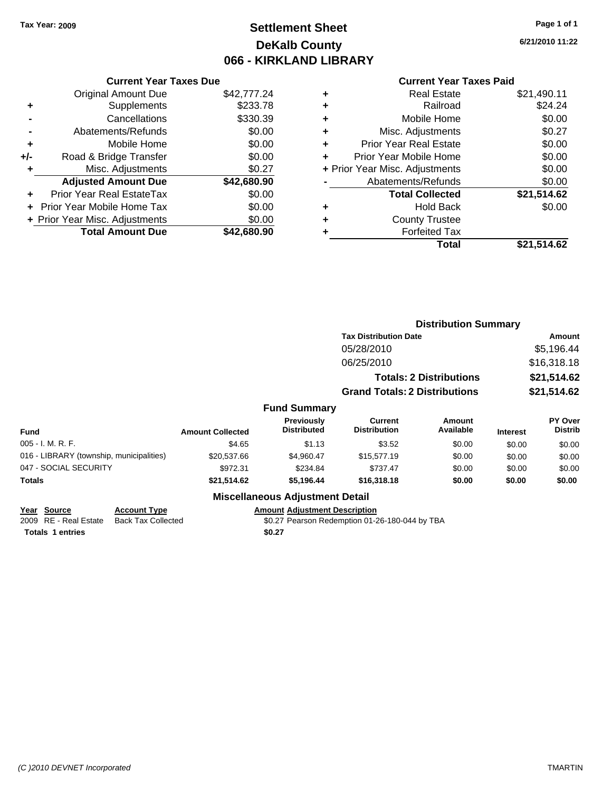### **Settlement Sheet Tax Year: 2009 Page 1 of 1 DeKalb County 066 - KIRKLAND LIBRARY**

**6/21/2010 11:22**

#### **Current Year Taxes Paid**

|       | <b>Current Year Taxes Due</b>  |             |
|-------|--------------------------------|-------------|
|       | <b>Original Amount Due</b>     | \$42,777.24 |
| ٠     | Supplements                    | \$233.78    |
|       | Cancellations                  | \$330.39    |
|       | Abatements/Refunds             | \$0.00      |
| ٠     | Mobile Home                    | \$0.00      |
| $+/-$ | Road & Bridge Transfer         | \$0.00      |
| ٠     | Misc. Adjustments              | \$0.27      |
|       | <b>Adjusted Amount Due</b>     | \$42,680.90 |
|       | Prior Year Real EstateTax      | \$0.00      |
|       | Prior Year Mobile Home Tax     | \$0.00      |
|       | + Prior Year Misc. Adjustments | \$0.00      |
|       | <b>Total Amount Due</b>        | \$42,680.90 |
|       |                                |             |

|   | <b>Real Estate</b>             | \$21,490.11 |
|---|--------------------------------|-------------|
| ٠ | Railroad                       | \$24.24     |
| ٠ | Mobile Home                    | \$0.00      |
| ٠ | Misc. Adjustments              | \$0.27      |
| ٠ | Prior Year Real Estate         | \$0.00      |
|   | Prior Year Mobile Home         | \$0.00      |
|   | + Prior Year Misc. Adjustments | \$0.00      |
|   | Abatements/Refunds             | \$0.00      |
|   | <b>Total Collected</b>         | \$21,514.62 |
| ٠ | <b>Hold Back</b>               | \$0.00      |
| ٠ | <b>County Trustee</b>          |             |
| ٠ | <b>Forfeited Tax</b>           |             |
|   | Total                          | \$21,514.62 |
|   |                                |             |

|                                          |                         |                                        |                                       | <b>Distribution Summary</b>    |                 |                           |  |
|------------------------------------------|-------------------------|----------------------------------------|---------------------------------------|--------------------------------|-----------------|---------------------------|--|
|                                          |                         |                                        | <b>Tax Distribution Date</b>          |                                |                 | Amount                    |  |
|                                          |                         |                                        | 05/28/2010                            |                                |                 | \$5,196.44                |  |
|                                          |                         |                                        | 06/25/2010                            |                                |                 | \$16,318.18               |  |
|                                          |                         |                                        |                                       | <b>Totals: 2 Distributions</b> |                 | \$21,514.62               |  |
|                                          |                         |                                        | <b>Grand Totals: 2 Distributions</b>  |                                |                 | \$21,514.62               |  |
|                                          |                         | <b>Fund Summary</b>                    |                                       |                                |                 |                           |  |
| <b>Fund</b>                              | <b>Amount Collected</b> | Previously<br><b>Distributed</b>       | <b>Current</b><br><b>Distribution</b> | <b>Amount</b><br>Available     | <b>Interest</b> | PY Over<br><b>Distrib</b> |  |
| 005 - I. M. R. F.                        | \$4.65                  | \$1.13                                 | \$3.52                                | \$0.00                         | \$0.00          | \$0.00                    |  |
| 016 - LIBRARY (township, municipalities) | \$20,537.66             | \$4,960.47                             | \$15,577.19                           | \$0.00                         | \$0.00          | \$0.00                    |  |
| 047 - SOCIAL SECURITY                    | \$972.31                | \$234.84                               | \$737.47                              | \$0.00                         | \$0.00          | \$0.00                    |  |
| Totals                                   | \$21,514.62             | \$5,196.44                             | \$16,318.18                           | \$0.00                         | \$0.00          | \$0.00                    |  |
|                                          |                         | <b>Miscellaneous Adjustment Detail</b> |                                       |                                |                 |                           |  |

### **Year Source Account Type Amount Adjustment Description**

2009 RE - Real Estate Back Tax Collected \$0.27 Pearson Redemption 01-26-180-044 by TBA

**Totals 1 entries** \$0.27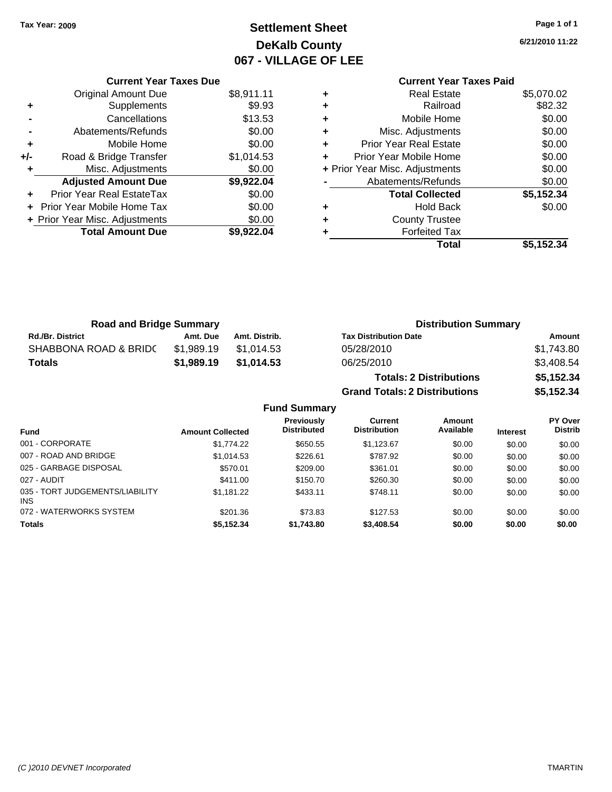## **Settlement Sheet Tax Year: 2009 Page 1 of 1 DeKalb County 067 - VILLAGE OF LEE**

**6/21/2010 11:22**

|     | <b>Current Year Taxes Due</b>  |            |
|-----|--------------------------------|------------|
|     | <b>Original Amount Due</b>     | \$8,911.11 |
| ٠   | Supplements                    | \$9.93     |
|     | Cancellations                  | \$13.53    |
|     | Abatements/Refunds             | \$0.00     |
| ٠   | Mobile Home                    | \$0.00     |
| +/- | Road & Bridge Transfer         | \$1,014.53 |
| ٠   | Misc. Adjustments              | \$0.00     |
|     | <b>Adjusted Amount Due</b>     | \$9,922.04 |
|     | Prior Year Real EstateTax      | \$0.00     |
|     | Prior Year Mobile Home Tax     | \$0.00     |
|     | + Prior Year Misc. Adjustments | \$0.00     |
|     | <b>Total Amount Due</b>        | \$9,922.04 |
|     |                                |            |

## **Current Year Taxes Paid**

|   | Real Estate                    | \$5,070.02 |
|---|--------------------------------|------------|
|   | Railroad                       | \$82.32    |
| ٠ | Mobile Home                    | \$0.00     |
| ٠ | Misc. Adjustments              | \$0.00     |
| ٠ | <b>Prior Year Real Estate</b>  | \$0.00     |
|   | Prior Year Mobile Home         | \$0.00     |
|   | + Prior Year Misc. Adjustments | \$0.00     |
|   | Abatements/Refunds             | \$0.00     |
|   | <b>Total Collected</b>         | \$5,152.34 |
| ٠ | <b>Hold Back</b>               | \$0.00     |
| ٠ | <b>County Trustee</b>          |            |
|   | <b>Forfeited Tax</b>           |            |
|   | Total                          | \$5,152.34 |
|   |                                |            |

**Grand Totals: 2 Distributions \$5,152.34**

| <b>Road and Bridge Summary</b> |            |               | <b>Distribution Summary</b>    |            |
|--------------------------------|------------|---------------|--------------------------------|------------|
| <b>Rd./Br. District</b>        | Amt. Due   | Amt. Distrib. | <b>Tax Distribution Date</b>   | Amount     |
| SHABBONA ROAD & BRIDC          | \$1.989.19 | \$1.014.53    | 05/28/2010                     | \$1,743.80 |
| Totals                         | \$1.989.19 | \$1.014.53    | 06/25/2010                     | \$3.408.54 |
|                                |            |               | <b>Totals: 2 Distributions</b> | \$5,152.34 |

**Fund Summary Fund Interest Amount Collected Distributed PY Over Distrib Amount Available Current Distribution Previously** 001 - CORPORATE 60.00 \$1,774.22 \$650.55 \$1,123.67 \$0.00 \$0.00 \$0.00 007 - ROAD AND BRIDGE  $$1,014.53$   $$226.61$   $$787.92$   $$0.00$   $$0.00$   $$0.00$ 025 - GARBAGE DISPOSAL \$570.01 \$209.00 \$361.01 \$0.00 \$0.00 \$0.00 027 - AUDIT \$411.00 \$150.70 \$260.30 \$0.00 \$0.00 \$0.00 035 - TORT JUDGEMENTS/LIABILITY INS \$1,181.22 \$433.11 \$748.11 \$0.00 \$0.00 \$0.00 072 - WATERWORKS SYSTEM \$201.36 \$73.83 \$127.53 \$0.00 \$0.00 \$0.00 \$0.00 **Totals \$5,152.34 \$1,743.80 \$3,408.54 \$0.00 \$0.00 \$0.00**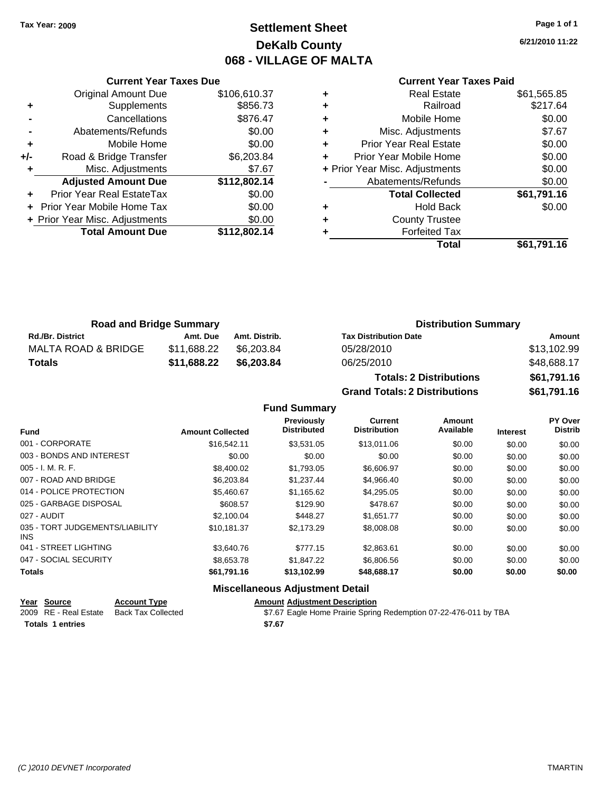### **Settlement Sheet Tax Year: 2009 Page 1 of 1 DeKalb County 068 - VILLAGE OF MALTA**

**6/21/2010 11:22**

#### **Current Year Taxes Paid**

|     | <b>Current Year Taxes Due</b>  |              |
|-----|--------------------------------|--------------|
|     | <b>Original Amount Due</b>     | \$106,610.37 |
| ٠   | Supplements                    | \$856.73     |
|     | Cancellations                  | \$876.47     |
|     | Abatements/Refunds             | \$0.00       |
| ٠   | Mobile Home                    | \$0.00       |
| +/- | Road & Bridge Transfer         | \$6,203.84   |
| ٠   | Misc. Adjustments              | \$7.67       |
|     | <b>Adjusted Amount Due</b>     | \$112,802.14 |
| ٠   | Prior Year Real EstateTax      | \$0.00       |
|     | Prior Year Mobile Home Tax     | \$0.00       |
|     | + Prior Year Misc. Adjustments | \$0.00       |
|     | <b>Total Amount Due</b>        | \$112,802.14 |
|     |                                |              |

| ٠ | <b>Real Estate</b>             | \$61,565.85 |
|---|--------------------------------|-------------|
| ٠ | Railroad                       | \$217.64    |
| ٠ | Mobile Home                    | \$0.00      |
| ٠ | Misc. Adjustments              | \$7.67      |
| ÷ | <b>Prior Year Real Estate</b>  | \$0.00      |
| ٠ | Prior Year Mobile Home         | \$0.00      |
|   | + Prior Year Misc. Adjustments | \$0.00      |
|   | Abatements/Refunds             | \$0.00      |
|   | <b>Total Collected</b>         | \$61,791.16 |
| ٠ | <b>Hold Back</b>               | \$0.00      |
| ٠ | <b>County Trustee</b>          |             |
|   | <b>Forfeited Tax</b>           |             |
|   | Total                          | \$61,791.16 |

| <b>Road and Bridge Summary</b> |             |               | <b>Distribution Summary</b>  |             |
|--------------------------------|-------------|---------------|------------------------------|-------------|
| <b>Rd./Br. District</b>        | Amt. Due    | Amt. Distrib. | <b>Tax Distribution Date</b> | Amount      |
| MALTA ROAD & BRIDGE            | \$11.688.22 | \$6.203.84    | 05/28/2010                   | \$13,102.99 |
| <b>Totals</b>                  | \$11.688.22 | \$6,203,84    | 06/25/2010                   | \$48,688.17 |

**Totals: 2 Distributions \$61,791.16 Grand Totals: 2 Distributions \$61,791.16**

|                                         |                         | <b>Fund Summary</b>                     |                                       |                     |                 |                                  |
|-----------------------------------------|-------------------------|-----------------------------------------|---------------------------------------|---------------------|-----------------|----------------------------------|
| <b>Fund</b>                             | <b>Amount Collected</b> | <b>Previously</b><br><b>Distributed</b> | <b>Current</b><br><b>Distribution</b> | Amount<br>Available | <b>Interest</b> | <b>PY Over</b><br><b>Distrib</b> |
| 001 - CORPORATE                         | \$16,542.11             | \$3.531.05                              | \$13,011.06                           | \$0.00              | \$0.00          | \$0.00                           |
| 003 - BONDS AND INTEREST                | \$0.00                  | \$0.00                                  | \$0.00                                | \$0.00              | \$0.00          | \$0.00                           |
| 005 - I. M. R. F.                       | \$8,400.02              | \$1,793.05                              | \$6,606.97                            | \$0.00              | \$0.00          | \$0.00                           |
| 007 - ROAD AND BRIDGE                   | \$6,203.84              | \$1,237.44                              | \$4,966.40                            | \$0.00              | \$0.00          | \$0.00                           |
| 014 - POLICE PROTECTION                 | \$5,460.67              | \$1,165.62                              | \$4,295.05                            | \$0.00              | \$0.00          | \$0.00                           |
| 025 - GARBAGE DISPOSAL                  | \$608.57                | \$129.90                                | \$478.67                              | \$0.00              | \$0.00          | \$0.00                           |
| 027 - AUDIT                             | \$2,100.04              | \$448.27                                | \$1.651.77                            | \$0.00              | \$0.00          | \$0.00                           |
| 035 - TORT JUDGEMENTS/LIABILITY<br>INS. | \$10,181.37             | \$2,173.29                              | \$8,008.08                            | \$0.00              | \$0.00          | \$0.00                           |
| 041 - STREET LIGHTING                   | \$3,640.76              | \$777.15                                | \$2,863.61                            | \$0.00              | \$0.00          | \$0.00                           |
| 047 - SOCIAL SECURITY                   | \$8,653.78              | \$1,847.22                              | \$6,806.56                            | \$0.00              | \$0.00          | \$0.00                           |
| Totals                                  | \$61,791.16             | \$13,102.99                             | \$48,688.17                           | \$0.00              | \$0.00          | \$0.00                           |
|                                         |                         | <b>Miscellaneous Adjustment Detail</b>  |                                       |                     |                 |                                  |

| Year Source             | <b>Account Type</b> | <b>Amount Adiustment Description</b>                             |
|-------------------------|---------------------|------------------------------------------------------------------|
| 2009 RE - Real Estate   | Back Tax Collected  | \$7.67 Eagle Home Prairie Spring Redemption 07-22-476-011 by TBA |
| <b>Totals 1 entries</b> |                     | \$7.67                                                           |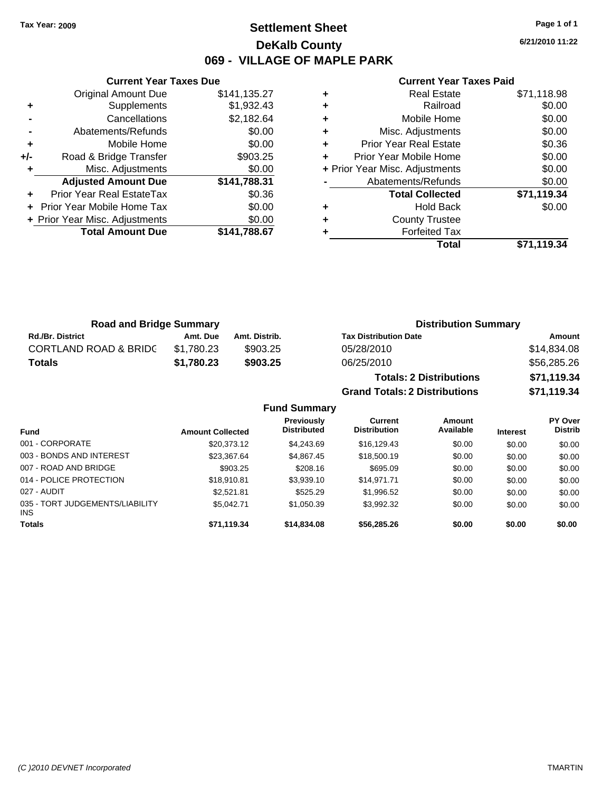### **Settlement Sheet Tax Year: 2009 Page 1 of 1 DeKalb County 069 - VILLAGE OF MAPLE PARK**

**6/21/2010 11:22**

#### **Current Year Taxes Paid**

|       | <b>Original Amount Due</b>     | \$141,135.27 |
|-------|--------------------------------|--------------|
| ٠     | Supplements                    | \$1,932.43   |
|       | Cancellations                  | \$2,182.64   |
|       | Abatements/Refunds             | \$0.00       |
| ÷     | Mobile Home                    | \$0.00       |
| $+/-$ | Road & Bridge Transfer         | \$903.25     |
| ٠     | Misc. Adjustments              | \$0.00       |
|       | <b>Adjusted Amount Due</b>     | \$141,788.31 |
|       | Prior Year Real EstateTax      | \$0.36       |
| ÷     | Prior Year Mobile Home Tax     | \$0.00       |
|       | + Prior Year Misc. Adjustments | \$0.00       |
|       | <b>Total Amount Due</b>        | \$141,788.67 |
|       |                                |              |

**Current Year Taxes Due**

|   | Real Estate                    | \$71,118.98 |
|---|--------------------------------|-------------|
| ٠ | Railroad                       | \$0.00      |
| ٠ | Mobile Home                    | \$0.00      |
| ٠ | Misc. Adjustments              | \$0.00      |
| ٠ | <b>Prior Year Real Estate</b>  | \$0.36      |
| ٠ | Prior Year Mobile Home         | \$0.00      |
|   | + Prior Year Misc. Adjustments | \$0.00      |
|   | Abatements/Refunds             | \$0.00      |
|   | <b>Total Collected</b>         | \$71,119.34 |
| ٠ | <b>Hold Back</b>               | \$0.00      |
| ٠ | <b>County Trustee</b>          |             |
|   | <b>Forfeited Tax</b>           |             |
|   | Total                          | \$71.119.34 |

**Grand Totals: 2 Distributions \$71,119.34**

| <b>Road and Bridge Summary</b>   |            |               | <b>Distribution Summary</b>    |             |
|----------------------------------|------------|---------------|--------------------------------|-------------|
| <b>Rd./Br. District</b>          | Amt. Due   | Amt. Distrib. | <b>Tax Distribution Date</b>   | Amount      |
| <b>CORTLAND ROAD &amp; BRIDC</b> | \$1.780.23 | \$903.25      | 05/28/2010                     | \$14,834.08 |
| Totals                           | \$1,780.23 | \$903.25      | 06/25/2010                     | \$56,285.26 |
|                                  |            |               | <b>Totals: 2 Distributions</b> | \$71,119.34 |

**Fund Summary Fund Interest Amount Collected Distributed PY Over Distrib Amount Available Current Distribution Previously** 001 - CORPORATE \$20,373.12 \$4,243.69 \$16,129.43 \$0.00 \$0.00 \$0.00 003 - BONDS AND INTEREST  $$23,367.64$   $$4,867.45$   $$18,500.19$   $$0.00$   $$0.00$   $$0.00$ 007 - ROAD AND BRIDGE 60.00 \$1.00 \$1.00 \$1.00 \$0.00 \$0.00 \$0.00 \$0.00 \$0.00 \$0.00 \$0.00 \$0.00 \$0.00 014 - POLICE PROTECTION \$18,910.81 \$3,939.10 \$14,971.71 \$0.00 \$0.00 \$0.00 \$0.00 027 - AUDIT \$2,521.81 \$525.29 \$1,996.52 \$0.00 \$0.00 \$0.00 035 - TORT JUDGEMENTS/LIABILITY INS \$5,042.71 \$1,050.39 \$3,992.32 \$0.00 \$0.00 \$0.00 **Totals \$71,119.34 \$14,834.08 \$56,285.26 \$0.00 \$0.00 \$0.00**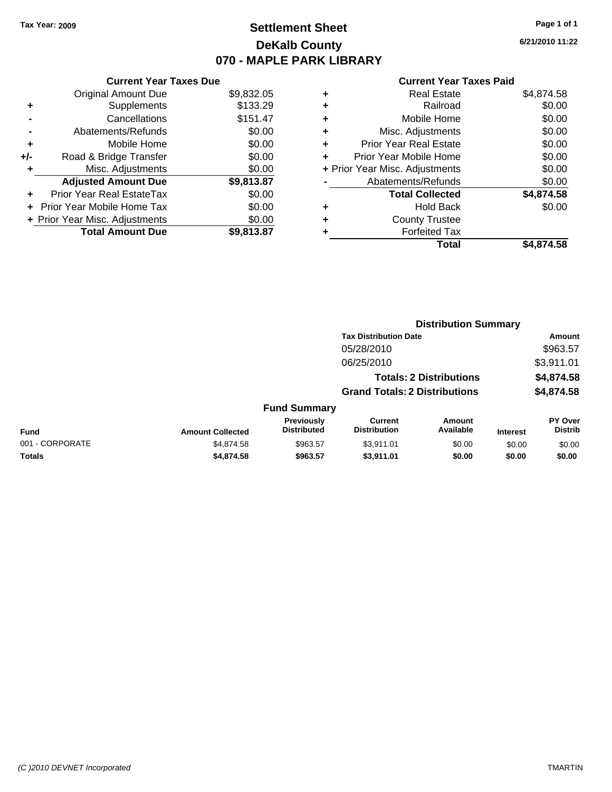### **Settlement Sheet Tax Year: 2009 Page 1 of 1 DeKalb County 070 - MAPLE PARK LIBRARY**

**6/21/2010 11:22**

#### **Current Year Taxes Paid**

| <b>Original Amount Due</b>        | \$9,832.05 |
|-----------------------------------|------------|
| Supplements<br>٠                  | \$133.29   |
| Cancellations                     | \$151.47   |
| Abatements/Refunds                | \$0.00     |
| Mobile Home<br>٠                  | \$0.00     |
| Road & Bridge Transfer<br>+/-     | \$0.00     |
| Misc. Adjustments                 | \$0.00     |
| <b>Adjusted Amount Due</b>        | \$9,813.87 |
| Prior Year Real EstateTax         | \$0.00     |
| <b>Prior Year Mobile Home Tax</b> | \$0.00     |
|                                   |            |
| + Prior Year Misc. Adjustments    | \$0.00     |

| ٠ | <b>Real Estate</b>             | \$4,874.58 |
|---|--------------------------------|------------|
| ٠ | Railroad                       | \$0.00     |
| ٠ | Mobile Home                    | \$0.00     |
| ٠ | Misc. Adjustments              | \$0.00     |
| ÷ | Prior Year Real Estate         | \$0.00     |
| ÷ | Prior Year Mobile Home         | \$0.00     |
|   | + Prior Year Misc. Adjustments | \$0.00     |
|   | Abatements/Refunds             | \$0.00     |
|   | <b>Total Collected</b>         | \$4,874.58 |
| ٠ | <b>Hold Back</b>               | \$0.00     |
| ٠ | <b>County Trustee</b>          |            |
| ٠ | <b>Forfeited Tax</b>           |            |
|   | Total                          | \$4,874.58 |
|   |                                |            |

|                 |                         |                                  | <b>Distribution Summary</b>           |                                |                 |                           |  |
|-----------------|-------------------------|----------------------------------|---------------------------------------|--------------------------------|-----------------|---------------------------|--|
|                 |                         |                                  | <b>Tax Distribution Date</b>          |                                |                 | Amount                    |  |
|                 |                         |                                  | 05/28/2010                            |                                |                 | \$963.57                  |  |
|                 |                         |                                  | 06/25/2010                            |                                |                 | \$3,911.01                |  |
|                 |                         |                                  |                                       | <b>Totals: 2 Distributions</b> |                 | \$4,874.58                |  |
|                 |                         |                                  | <b>Grand Totals: 2 Distributions</b>  |                                |                 | \$4,874.58                |  |
|                 |                         | <b>Fund Summary</b>              |                                       |                                |                 |                           |  |
| <b>Fund</b>     | <b>Amount Collected</b> | Previously<br><b>Distributed</b> | <b>Current</b><br><b>Distribution</b> | <b>Amount</b><br>Available     | <b>Interest</b> | PY Over<br><b>Distrib</b> |  |
| 001 - CORPORATE | \$4,874.58              | \$963.57                         | \$3.911.01                            | \$0.00                         | \$0.00          | \$0.00                    |  |
| Totals          | \$4,874.58              | \$963.57                         | \$3,911.01                            | \$0.00                         | \$0.00          | \$0.00                    |  |
|                 |                         |                                  |                                       |                                |                 |                           |  |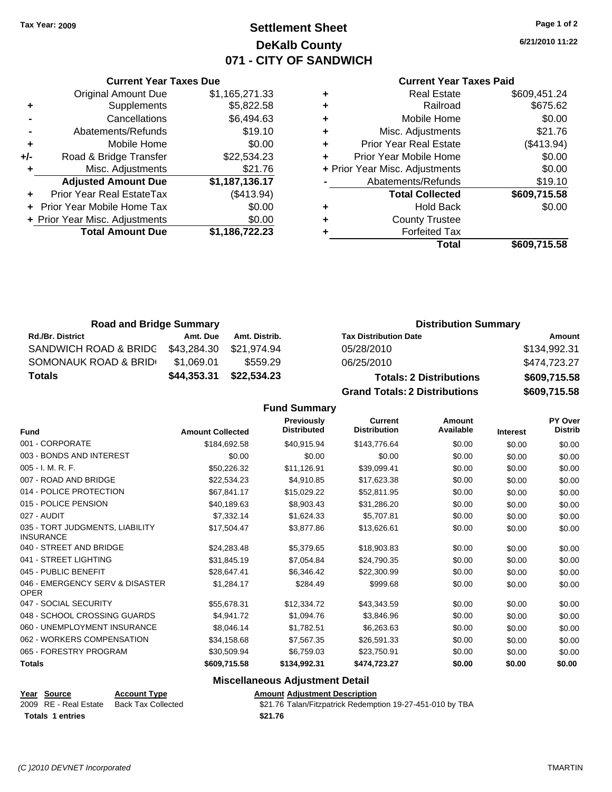**Current Year Taxes Due** Original Amount Due \$1,165,271.33

**Adjusted Amount Due \$1,187,136.17**

**Total Amount Due \$1,186,722.23**

**-** Cancellations \$6,494.63

**+** Supplements \$5,822.58

**-** Abatements/Refunds \$19.10 **+** Mobile Home \$0.00 **+/-** Road & Bridge Transfer \$22,534.23 **+** Misc. Adjustments \$21.76

**+** Prior Year Real EstateTax (\$413.94) **+** Prior Year Mobile Home Tax \$0.00 **+** Prior Year Misc. Adjustments  $$0.00$ 

### **Settlement Sheet Tax Year: 2009 Page 1 of 2 DeKalb County 071 - CITY OF SANDWICH**

**6/21/2010 11:22**

#### **Current Year Taxes Paid**

|   | Total                          | \$609,715.58 |
|---|--------------------------------|--------------|
| ٠ | <b>Forfeited Tax</b>           |              |
| ٠ | <b>County Trustee</b>          |              |
| ٠ | Hold Back                      | \$0.00       |
|   | <b>Total Collected</b>         | \$609,715.58 |
|   | Abatements/Refunds             | \$19.10      |
|   | + Prior Year Misc. Adjustments | \$0.00       |
| ÷ | Prior Year Mobile Home         | \$0.00       |
| ٠ | <b>Prior Year Real Estate</b>  | (\$413.94)   |
| ٠ | Misc. Adjustments              | \$21.76      |
| ٠ | Mobile Home                    | \$0.00       |
| ٠ | Railroad                       | \$675.62     |
| ٠ | <b>Real Estate</b>             | \$609,451.24 |

**Grand Totals: 2 Distributions \$609,715.58**

| <b>Road and Bridge Summary</b> |             |               | <b>Distribution Summary</b>    |              |  |
|--------------------------------|-------------|---------------|--------------------------------|--------------|--|
| <b>Rd./Br. District</b>        | Amt. Due    | Amt. Distrib. | <b>Tax Distribution Date</b>   | Amount       |  |
| SANDWICH ROAD & BRIDC          | \$43.284.30 | \$21.974.94   | 05/28/2010                     | \$134,992.31 |  |
| SOMONAUK ROAD & BRID           | \$1.069.01  | \$559.29      | 06/25/2010                     | \$474.723.27 |  |
| Totals                         | \$44,353.31 | \$22,534.23   | <b>Totals: 2 Distributions</b> | \$609,715.58 |  |

**Fund Summary Fund Interest Amount Collected Distributed PY Over Distrib Amount Available Current Distribution Previously** 001 - CORPORATE \$184,692.58 \$40,915.94 \$143,776.64 \$0.00 \$0.00 \$0.00 003 - BONDS AND INTEREST  $$0.00$   $$0.00$   $$0.00$   $$0.00$   $$0.00$   $$0.00$   $$0.00$   $$0.00$ 005 - I. M. R. F. \$50,226.32 \$11,126.91 \$39,099.41 \$0.00 \$0.00 \$0.00 007 - ROAD AND BRIDGE \$22,534.23 \$4,910.85 \$17,623.38 \$0.00 \$0.00 \$0.00 014 - POLICE PROTECTION \$67,841.17 \$15,029.22 \$52,811.95 \$0.00 \$0.00 \$0.00 \$0.00 015 - POLICE PENSION \$40,189.63 \$8,903.43 \$31,286.20 \$0.00 \$0.00 \$0.00 027 - AUDIT \$7,332.14 \$1,624.33 \$5,707.81 \$0.00 \$0.00 \$0.00 035 - TORT JUDGMENTS, LIABILITY **INSURANCE** \$17,504.47 \$3,877.86 \$13,626.61 \$0.00 \$0.00 \$0.00 040 - STREET AND BRIDGE \$24,283.48 \$5,379.65 \$18,903.83 \$0.00 \$0.00 \$0.00 041 - STREET LIGHTING \$31,845.19 \$7,054.84 \$24,790.35 \$0.00 \$0.00 \$0.00 045 - PUBLIC BENEFIT \$28,647.41 \$6,346.42 \$22,300.99 \$0.00 \$0.00 \$0.00 046 - EMERGENCY SERV & DISASTER OPER \$1,284.17 \$284.49 \$999.68 \$0.00 \$0.00 \$0.00 047 - SOCIAL SECURITY \$55,678.31 \$12,334.72 \$43,343.59 \$0.00 \$0.00 \$0.00 048 - SCHOOL CROSSING GUARDS \$4,941.72 \$1,094.76 \$3,846.96 \$0.00 \$0.00 \$0.00 060 - UNEMPLOYMENT INSURANCE \$8,046.14 \$1,782.51 \$6,263.63 \$0.00 \$0.00 \$0.00 062 - WORKERS COMPENSATION \$34,158.68 \$7,567.35 \$26,591.33 \$0.00 \$0.00 \$0.00 065 - FORESTRY PROGRAM \$30,509.94 \$6,759.03 \$23,750.91 \$0.00 \$0.00 \$0.00 **Totals \$609,715.58 \$134,992.31 \$474,723.27 \$0.00 \$0.00 \$0.00**

#### **Miscellaneous Adjustment Detail**

#### **Year Source Account Type Amount Adjustment Description** 2009 RE - Real Estate Back Tax Collected \$21.76 Talan/Fitzpatrick Redemption 19-27-451-010 by TBA **Totals \$21.76 1 entries**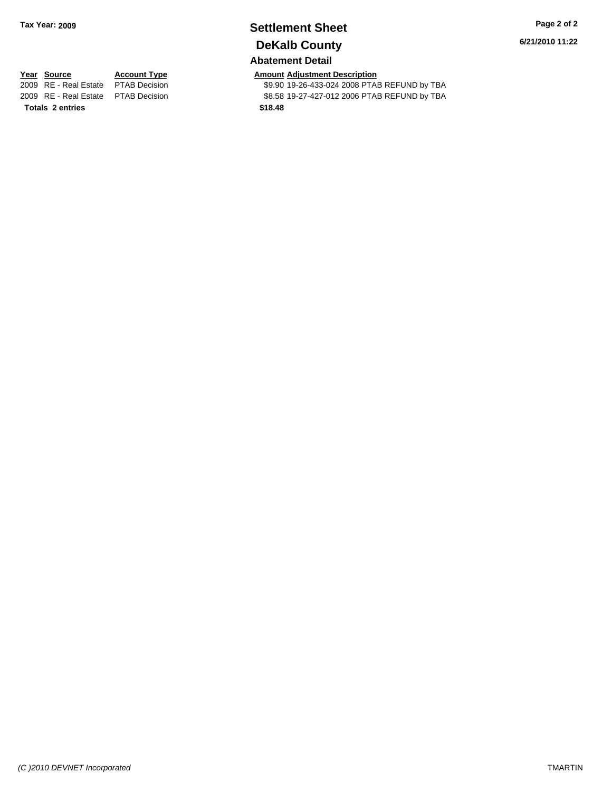## **Settlement Sheet Tax Year: 2009 Page 2 of 2 DeKalb County**

### **Abatement Detail**

**6/21/2010 11:22**

**Totals \$18.48 2 entries**

**Year Source Account Type Amount Adjustment Description**<br> **2009** RE - Real Estate PTAB Decision **Amount 49.90 19-26-433-024 2008** PTAI \$9.90 19-26-433-024 2008 PTAB REFUND by TBA 2009 RE - Real Estate \$8.58 19-27-427-012 2006 PTAB REFUND by TBA PTAB Decision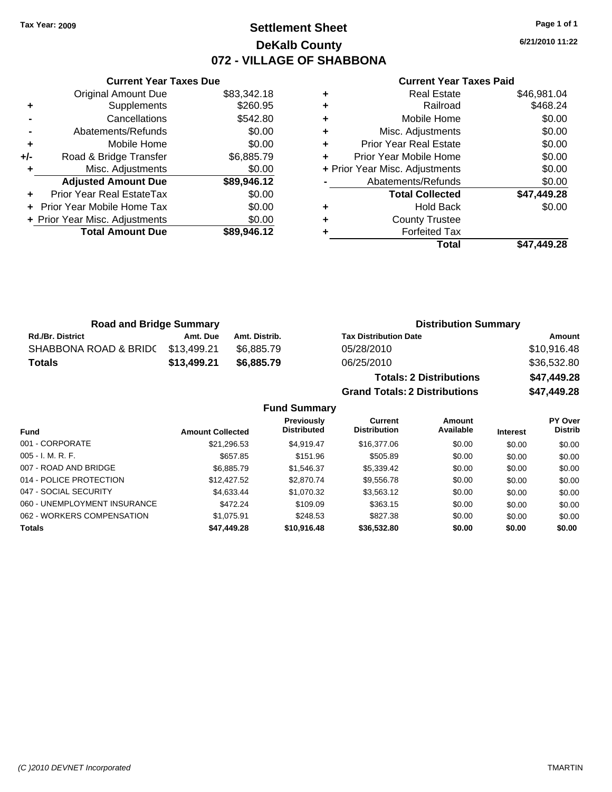### **Settlement Sheet Tax Year: 2009 Page 1 of 1 DeKalb County 072 - VILLAGE OF SHABBONA**

**6/21/2010 11:22**

#### **Current Year Taxes Paid**

|     | <b>Original Amount Due</b>        | \$83,342.18 |        |
|-----|-----------------------------------|-------------|--------|
|     | Supplements                       | \$260.95    | ٠      |
|     | Cancellations                     | \$542.80    | ٠      |
|     | Abatements/Refunds                | \$0.00      | ٠      |
|     | Mobile Home                       | \$0.00      | ٠      |
| +/- | Road & Bridge Transfer            | \$6,885.79  | ٠      |
|     | Misc. Adjustments                 | \$0.00      | + Pric |
|     | <b>Adjusted Amount Due</b>        | \$89,946.12 |        |
|     | Prior Year Real EstateTax         | \$0.00      |        |
|     | <b>Prior Year Mobile Home Tax</b> | \$0.00      | ٠      |
|     | + Prior Year Misc. Adjustments    | \$0.00      | ٠      |
|     | <b>Total Amount Due</b>           | \$89,946.12 |        |
|     |                                   |             |        |

**Current Year Taxes Due**

| <b>Real Estate</b>             | \$46,981.04 |
|--------------------------------|-------------|
| Railroad                       | \$468.24    |
| Mobile Home                    | \$0.00      |
| Misc. Adjustments              | \$0.00      |
| <b>Prior Year Real Estate</b>  | \$0.00      |
| Prior Year Mobile Home         | \$0.00      |
| + Prior Year Misc. Adjustments | \$0.00      |
| Abatements/Refunds             | \$0.00      |
| <b>Total Collected</b>         | \$47,449.28 |
| <b>Hold Back</b>               | \$0.00      |
| <b>County Trustee</b>          |             |
| <b>Forfeited Tax</b>           |             |
| Total                          | \$47.449.28 |
|                                |             |

**Grand Totals: 2 Distributions \$47,449.28**

| <b>Road and Bridge Summary</b> |             |               | <b>Distribution Summary</b>    |             |  |
|--------------------------------|-------------|---------------|--------------------------------|-------------|--|
| <b>Rd./Br. District</b>        | Amt. Due    | Amt. Distrib. | <b>Tax Distribution Date</b>   | Amount      |  |
| SHABBONA ROAD & BRIDC          | \$13,499.21 | \$6.885.79    | 05/28/2010                     | \$10,916.48 |  |
| <b>Totals</b>                  | \$13,499.21 | \$6,885,79    | 06/25/2010                     | \$36,532.80 |  |
|                                |             |               | <b>Totals: 2 Distributions</b> | \$47,449.28 |  |

**Fund Summary Fund Interest Amount Collected Distributed PY Over Distrib Amount Available Current Distribution Previously** 001 - CORPORATE \$21,296.53 \$4,919.47 \$16,377.06 \$0.00 \$0.00 \$0.00 005 - I. M. R. F. Channel Communication (State of the State of the State of the State of the State of the State O 007 - ROAD AND BRIDGE \$6,885.79 \$6,885.79 \$1,546.37 \$5,339.42 \$0.00 \$0.00 \$0.00 014 - POLICE PROTECTION \$12,427.52 \$2,870.74 \$9,556.78 \$0.00 \$0.00 \$0.00 \$0.00 047 - SOCIAL SECURITY \$4,633.44 \$1,070.32 \$3,563.12 \$0.00 \$0.00 \$0.00 060 - UNEMPLOYMENT INSURANCE \$472.24 \$109.09 \$363.15 \$0.00 \$0.00 \$0.00 062 - WORKERS COMPENSATION \$1,075.91 \$248.53 \$827.38 \$0.00 \$0.00 \$0.00 \$0.00 **Totals \$47,449.28 \$10,916.48 \$36,532.80 \$0.00 \$0.00 \$0.00**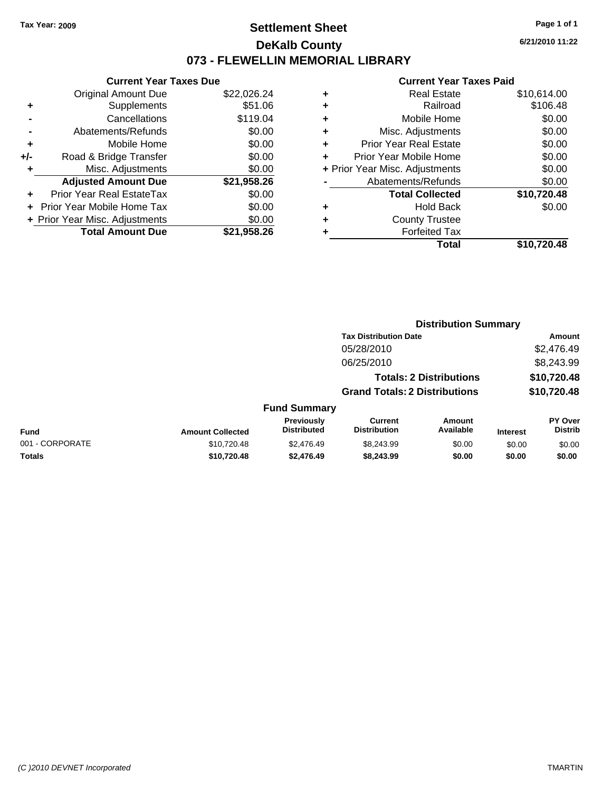### **Settlement Sheet Tax Year: 2009 Page 1 of 1 DeKalb County 073 - FLEWELLIN MEMORIAL LIBRARY**

**6/21/2010 11:22**

#### **Current Year Taxes Paid**

**Distribution Summary**

|   | Total                          | \$10,720.48 |
|---|--------------------------------|-------------|
|   | <b>Forfeited Tax</b>           |             |
|   | <b>County Trustee</b>          |             |
| ٠ | <b>Hold Back</b>               | \$0.00      |
|   | <b>Total Collected</b>         | \$10,720.48 |
|   | Abatements/Refunds             | \$0.00      |
|   | + Prior Year Misc. Adjustments | \$0.00      |
|   | Prior Year Mobile Home         | \$0.00      |
|   | <b>Prior Year Real Estate</b>  | \$0.00      |
| ٠ | Misc. Adjustments              | \$0.00      |
| ٠ | Mobile Home                    | \$0.00      |
| ٠ | Railroad                       | \$106.48    |
| ٠ | <b>Real Estate</b>             | \$10,614.00 |
|   |                                |             |

|     | <b>Current Year Taxes Due</b>  |             |
|-----|--------------------------------|-------------|
|     | <b>Original Amount Due</b>     | \$22,026.24 |
| ٠   | Supplements                    | \$51.06     |
|     | Cancellations                  | \$119.04    |
|     | Abatements/Refunds             | \$0.00      |
| ٠   | Mobile Home                    | \$0.00      |
| +/- | Road & Bridge Transfer         | \$0.00      |
| ٠   | Misc. Adjustments              | \$0.00      |
|     | <b>Adjusted Amount Due</b>     | \$21,958.26 |
|     | Prior Year Real EstateTax      | \$0.00      |
|     | Prior Year Mobile Home Tax     | \$0.00      |
|     | + Prior Year Misc. Adjustments | \$0.00      |
|     | <b>Total Amount Due</b>        | \$21,958.26 |

|                 |                         |                                         | <b>Tax Distribution Date</b>          |                                |                 | Amount                           |
|-----------------|-------------------------|-----------------------------------------|---------------------------------------|--------------------------------|-----------------|----------------------------------|
|                 |                         |                                         | 05/28/2010                            |                                |                 | \$2,476.49                       |
|                 |                         |                                         | 06/25/2010                            |                                |                 | \$8,243.99                       |
|                 |                         |                                         |                                       | <b>Totals: 2 Distributions</b> |                 | \$10,720.48                      |
|                 |                         |                                         | <b>Grand Totals: 2 Distributions</b>  |                                |                 | \$10,720.48                      |
|                 |                         | <b>Fund Summary</b>                     |                                       |                                |                 |                                  |
| <b>Fund</b>     | <b>Amount Collected</b> | <b>Previously</b><br><b>Distributed</b> | <b>Current</b><br><b>Distribution</b> | Amount<br>Available            | <b>Interest</b> | <b>PY Over</b><br><b>Distrib</b> |
| 001 - CORPORATE | \$10,720.48             | \$2,476.49                              | \$8,243.99                            | \$0.00                         | \$0.00          | \$0.00                           |
| <b>Totals</b>   | \$10,720.48             | \$2,476.49                              | \$8,243.99                            | \$0.00                         | \$0.00          | \$0.00                           |
|                 |                         |                                         |                                       |                                |                 |                                  |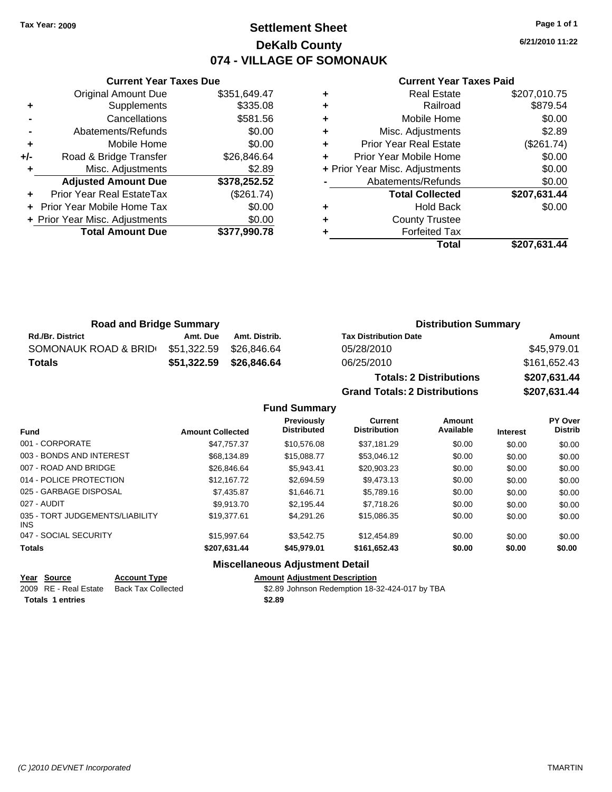### **Settlement Sheet Tax Year: 2009 Page 1 of 1 DeKalb County 074 - VILLAGE OF SOMONAUK**

**6/21/2010 11:22**

#### **Current Year Taxes Paid**

|     | <b>Current Year Taxes Due</b>  |              |  |  |  |  |
|-----|--------------------------------|--------------|--|--|--|--|
|     | <b>Original Amount Due</b>     | \$351,649.47 |  |  |  |  |
| ٠   | Supplements                    | \$335.08     |  |  |  |  |
|     | Cancellations                  | \$581.56     |  |  |  |  |
|     | Abatements/Refunds             | \$0.00       |  |  |  |  |
| ٠   | Mobile Home                    | \$0.00       |  |  |  |  |
| +/- | Road & Bridge Transfer         | \$26,846.64  |  |  |  |  |
| ٠   | Misc. Adjustments              | \$2.89       |  |  |  |  |
|     | <b>Adjusted Amount Due</b>     | \$378,252.52 |  |  |  |  |
| ٠   | Prior Year Real EstateTax      | (\$261.74)   |  |  |  |  |
|     | Prior Year Mobile Home Tax     | \$0.00       |  |  |  |  |
|     | + Prior Year Misc. Adjustments | \$0.00       |  |  |  |  |
|     | <b>Total Amount Due</b>        | \$377,990.78 |  |  |  |  |
|     |                                |              |  |  |  |  |

|   | Real Estate                    | \$207,010.75 |
|---|--------------------------------|--------------|
| ٠ | Railroad                       | \$879.54     |
| ٠ | Mobile Home                    | \$0.00       |
| ٠ | Misc. Adjustments              | \$2.89       |
| ٠ | <b>Prior Year Real Estate</b>  | (\$261.74)   |
|   | Prior Year Mobile Home         | \$0.00       |
|   | + Prior Year Misc. Adjustments | \$0.00       |
|   | Abatements/Refunds             | \$0.00       |
|   | <b>Total Collected</b>         | \$207,631.44 |
| ٠ | <b>Hold Back</b>               | \$0.00       |
| ٠ | <b>County Trustee</b>          |              |
|   | <b>Forfeited Tax</b>           |              |
|   | Total                          | \$207,631.44 |
|   |                                |              |

| <b>Road and Bridge Summary</b> |             |               | <b>Distribution Summary</b>    |              |  |
|--------------------------------|-------------|---------------|--------------------------------|--------------|--|
| <b>Rd./Br. District</b>        | Amt. Due    | Amt. Distrib. | <b>Tax Distribution Date</b>   | Amount       |  |
| SOMONAUK ROAD & BRID           | \$51,322.59 | \$26.846.64   | 05/28/2010                     | \$45.979.01  |  |
| <b>Totals</b>                  | \$51,322.59 | \$26,846.64   | 06/25/2010                     | \$161,652.43 |  |
|                                |             |               | <b>Totals: 2 Distributions</b> | \$207,631.44 |  |

**Grand Totals: 2 Distributions \$207,631.44**

**Fund Summary**

| <b>Fund</b>                             | <b>Amount Collected</b> | <b>Previously</b><br><b>Distributed</b>      | <b>Current</b><br><b>Distribution</b> | Amount<br>Available | <b>Interest</b> | PY Over<br><b>Distrib</b> |
|-----------------------------------------|-------------------------|----------------------------------------------|---------------------------------------|---------------------|-----------------|---------------------------|
| 001 - CORPORATE                         | \$47.757.37             | \$10.576.08                                  | \$37.181.29                           | \$0.00              | \$0.00          | \$0.00                    |
| 003 - BONDS AND INTEREST                | \$68,134.89             | \$15,088.77                                  | \$53,046.12                           | \$0.00              | \$0.00          | \$0.00                    |
| 007 - ROAD AND BRIDGE                   | \$26,846.64             | \$5.943.41                                   | \$20,903.23                           | \$0.00              | \$0.00          | \$0.00                    |
| 014 - POLICE PROTECTION                 | \$12.167.72             | \$2.694.59                                   | \$9.473.13                            | \$0.00              | \$0.00          | \$0.00                    |
| 025 - GARBAGE DISPOSAL                  | \$7,435.87              | \$1,646.71                                   | \$5,789.16                            | \$0.00              | \$0.00          | \$0.00                    |
| 027 - AUDIT                             | \$9.913.70              | \$2.195.44                                   | \$7.718.26                            | \$0.00              | \$0.00          | \$0.00                    |
| 035 - TORT JUDGEMENTS/LIABILITY<br>INS. | \$19,377.61             | \$4.291.26                                   | \$15,086.35                           | \$0.00              | \$0.00          | \$0.00                    |
| 047 - SOCIAL SECURITY                   | \$15,997.64             | \$3.542.75                                   | \$12,454.89                           | \$0.00              | \$0.00          | \$0.00                    |
| <b>Totals</b>                           | \$207,631.44            | \$45,979.01                                  | \$161,652.43                          | \$0.00              | \$0.00          | \$0.00                    |
|                                         |                         | <b>Missellanessen, Adirective and Detail</b> |                                       |                     |                 |                           |

### **Miscellaneous Adjustment Detail**

|  | <b>Amount Adiustment Description</b> |  |
|--|--------------------------------------|--|
|  |                                      |  |

2009 RE - Real Estate Back Tax Collected \$2.89 Johnson Redemption 18-32-424-017 by TBA

**Year Source Account Type** 

**Totals \$2.89 1 entries**

*(C )2010 DEVNET Incorporated* TMARTIN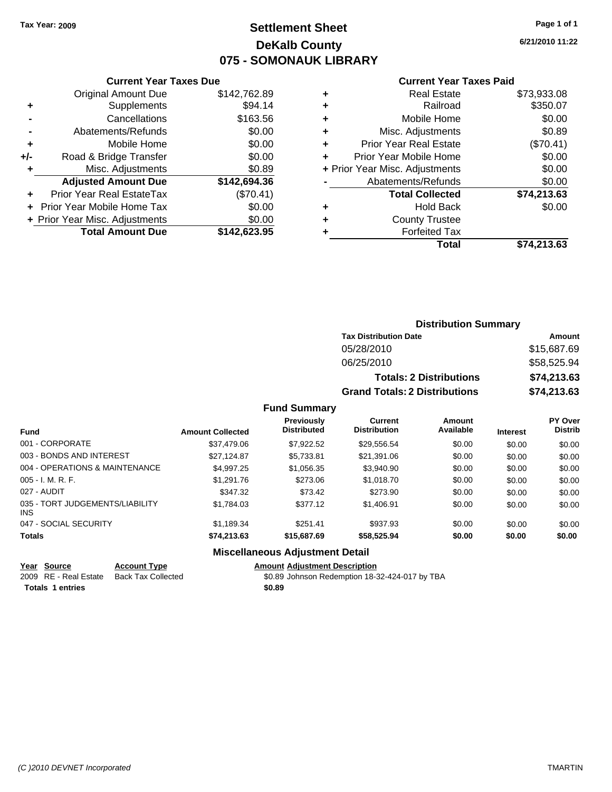### **Settlement Sheet Tax Year: 2009 Page 1 of 1 DeKalb County 075 - SOMONAUK LIBRARY**

**6/21/2010 11:22**

#### **Current Year Taxes Paid**

|     | <b>Current Year Taxes Due</b>  |              |
|-----|--------------------------------|--------------|
|     | <b>Original Amount Due</b>     | \$142,762.89 |
| ٠   | Supplements                    | \$94.14      |
|     | Cancellations                  | \$163.56     |
|     | Abatements/Refunds             | \$0.00       |
| ٠   | Mobile Home                    | \$0.00       |
| +/- | Road & Bridge Transfer         | \$0.00       |
| ٠   | Misc. Adjustments              | \$0.89       |
|     | <b>Adjusted Amount Due</b>     | \$142,694.36 |
|     | Prior Year Real EstateTax      | (\$70.41)    |
|     | Prior Year Mobile Home Tax     | \$0.00       |
|     | + Prior Year Misc. Adjustments | \$0.00       |
|     | <b>Total Amount Due</b>        | \$142,623.95 |
|     |                                |              |

| ٠ | <b>Real Estate</b>             | \$73,933.08 |
|---|--------------------------------|-------------|
| ٠ | Railroad                       | \$350.07    |
| ٠ | Mobile Home                    | \$0.00      |
| ٠ | Misc. Adjustments              | \$0.89      |
| ÷ | Prior Year Real Estate         | (\$70.41)   |
| ٠ | Prior Year Mobile Home         | \$0.00      |
|   | + Prior Year Misc. Adjustments | \$0.00      |
|   | Abatements/Refunds             | \$0.00      |
|   | <b>Total Collected</b>         | \$74,213.63 |
| ٠ | <b>Hold Back</b>               | \$0.00      |
| ٠ | <b>County Trustee</b>          |             |
| ٠ | <b>Forfeited Tax</b>           |             |
|   | Total                          | \$74,213.63 |
|   |                                |             |

| <b>Distribution Summary</b>          |             |
|--------------------------------------|-------------|
| <b>Tax Distribution Date</b>         | Amount      |
| 05/28/2010                           | \$15,687.69 |
| 06/25/2010                           | \$58,525.94 |
| <b>Totals: 2 Distributions</b>       | \$74,213.63 |
| <b>Grand Totals: 2 Distributions</b> | \$74,213.63 |

#### **Fund Summary**

| <b>Fund</b>                            | <b>Amount Collected</b> | <b>Previously</b><br><b>Distributed</b> | Current<br><b>Distribution</b> | Amount<br>Available | <b>Interest</b> | PY Over<br><b>Distrib</b> |
|----------------------------------------|-------------------------|-----------------------------------------|--------------------------------|---------------------|-----------------|---------------------------|
| 001 - CORPORATE                        | \$37,479.06             | \$7.922.52                              | \$29,556.54                    | \$0.00              | \$0.00          | \$0.00                    |
| 003 - BONDS AND INTEREST               | \$27,124.87             | \$5,733.81                              | \$21,391.06                    | \$0.00              | \$0.00          | \$0.00                    |
| 004 - OPERATIONS & MAINTENANCE         | \$4,997.25              | \$1,056.35                              | \$3,940.90                     | \$0.00              | \$0.00          | \$0.00                    |
| $005 - I. M. R. F.$                    | \$1,291.76              | \$273.06                                | \$1,018.70                     | \$0.00              | \$0.00          | \$0.00                    |
| 027 - AUDIT                            | \$347.32                | \$73.42                                 | \$273.90                       | \$0.00              | \$0.00          | \$0.00                    |
| 035 - TORT JUDGEMENTS/LIABILITY<br>INS | \$1,784.03              | \$377.12                                | \$1,406.91                     | \$0.00              | \$0.00          | \$0.00                    |
| 047 - SOCIAL SECURITY                  | \$1,189.34              | \$251.41                                | \$937.93                       | \$0.00              | \$0.00          | \$0.00                    |
| <b>Totals</b>                          | \$74,213.63             | \$15,687.69                             | \$58,525.94                    | \$0.00              | \$0.00          | \$0.00                    |

### **Miscellaneous Adjustment Detail**

### **Year Source Account Type Amount Adjustment Description**

2009 RE - Real Estate Back Tax Collected \$0.89 Johnson Redemption 18-32-424-017 by TBA **Totals \$0.89 1 entries**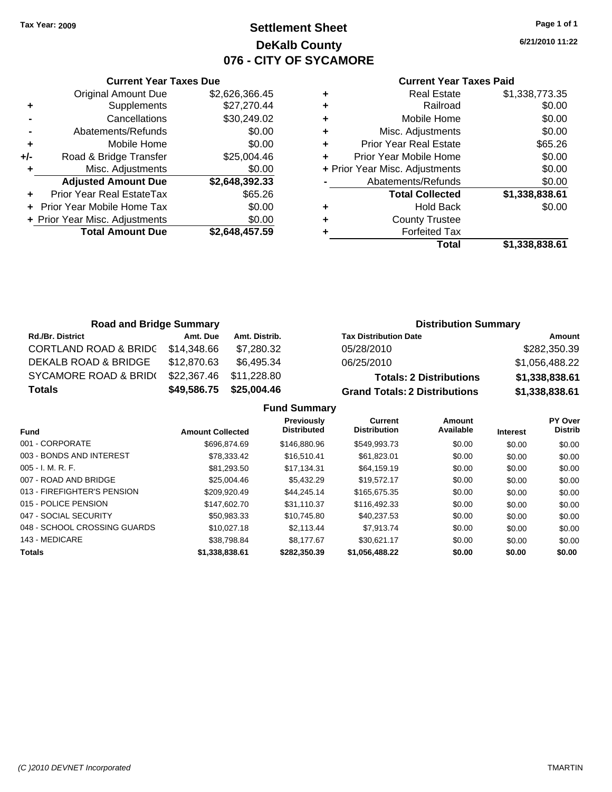### **Settlement Sheet Tax Year: 2009 Page 1 of 1 DeKalb County 076 - CITY OF SYCAMORE**

**6/21/2010 11:22**

#### **Current Year Taxes Paid**

|       | <b>Current Year Taxes Due</b>  |                |  |  |  |  |  |
|-------|--------------------------------|----------------|--|--|--|--|--|
|       | <b>Original Amount Due</b>     | \$2,626,366.45 |  |  |  |  |  |
| ٠     | Supplements                    | \$27,270.44    |  |  |  |  |  |
|       | Cancellations                  | \$30,249.02    |  |  |  |  |  |
|       | Abatements/Refunds             | \$0.00         |  |  |  |  |  |
| ٠     | Mobile Home                    | \$0.00         |  |  |  |  |  |
| $+/-$ | Road & Bridge Transfer         | \$25,004.46    |  |  |  |  |  |
| ٠     | Misc. Adjustments              | \$0.00         |  |  |  |  |  |
|       | <b>Adjusted Amount Due</b>     | \$2,648,392.33 |  |  |  |  |  |
|       | Prior Year Real EstateTax      | \$65.26        |  |  |  |  |  |
|       | Prior Year Mobile Home Tax     | \$0.00         |  |  |  |  |  |
|       | + Prior Year Misc. Adjustments | \$0.00         |  |  |  |  |  |
|       | <b>Total Amount Due</b>        | \$2,648,457.59 |  |  |  |  |  |
|       |                                |                |  |  |  |  |  |

|   | <b>Real Estate</b>             | \$1,338,773.35 |
|---|--------------------------------|----------------|
| ٠ | Railroad                       | \$0.00         |
| ٠ | Mobile Home                    | \$0.00         |
| ٠ | Misc. Adjustments              | \$0.00         |
| ÷ | <b>Prior Year Real Estate</b>  | \$65.26        |
|   | Prior Year Mobile Home         | \$0.00         |
|   | + Prior Year Misc. Adjustments | \$0.00         |
|   | Abatements/Refunds             | \$0.00         |
|   | <b>Total Collected</b>         | \$1,338,838.61 |
| ٠ | <b>Hold Back</b>               | \$0.00         |
| ٠ | <b>County Trustee</b>          |                |
|   | <b>Forfeited Tax</b>           |                |
|   | Total                          | \$1,338,838.61 |
|   |                                |                |

| <b>Road and Bridge Summary</b>   |             |               | <b>Distribution Summary</b>          |                |  |
|----------------------------------|-------------|---------------|--------------------------------------|----------------|--|
| <b>Rd./Br. District</b>          | Amt. Due    | Amt. Distrib. | <b>Tax Distribution Date</b>         | Amount         |  |
| <b>CORTLAND ROAD &amp; BRIDC</b> | \$14,348.66 | \$7,280.32    | 05/28/2010                           | \$282,350.39   |  |
| DEKALB ROAD & BRIDGE             | \$12,870.63 | \$6.495.34    | 06/25/2010                           | \$1,056,488.22 |  |
| SYCAMORE ROAD & BRID(            | \$22,367.46 | \$11,228.80   | <b>Totals: 2 Distributions</b>       | \$1,338,838.61 |  |
| <b>Totals</b>                    | \$49,586.75 | \$25,004.46   | <b>Grand Totals: 2 Distributions</b> | \$1,338,838.61 |  |

### **Fund Summary**

| <b>Fund</b>                  | <b>Amount Collected</b> | <b>Previously</b><br><b>Distributed</b> | <b>Current</b><br><b>Distribution</b> | Amount<br>Available | <b>Interest</b> | PY Over<br><b>Distrib</b> |
|------------------------------|-------------------------|-----------------------------------------|---------------------------------------|---------------------|-----------------|---------------------------|
| 001 - CORPORATE              | \$696,874.69            | \$146,880,96                            | \$549.993.73                          | \$0.00              | \$0.00          | \$0.00                    |
| 003 - BONDS AND INTEREST     | \$78.333.42             | \$16,510.41                             | \$61.823.01                           | \$0.00              | \$0.00          | \$0.00                    |
| $005 - I. M. R. F.$          | \$81.293.50             | \$17.134.31                             | \$64,159.19                           | \$0.00              | \$0.00          | \$0.00                    |
| 007 - ROAD AND BRIDGE        | \$25,004.46             | \$5,432.29                              | \$19.572.17                           | \$0.00              | \$0.00          | \$0.00                    |
| 013 - FIREFIGHTER'S PENSION  | \$209.920.49            | \$44.245.14                             | \$165,675,35                          | \$0.00              | \$0.00          | \$0.00                    |
| 015 - POLICE PENSION         | \$147,602.70            | \$31.110.37                             | \$116,492,33                          | \$0.00              | \$0.00          | \$0.00                    |
| 047 - SOCIAL SECURITY        | \$50.983.33             | \$10.745.80                             | \$40.237.53                           | \$0.00              | \$0.00          | \$0.00                    |
| 048 - SCHOOL CROSSING GUARDS | \$10,027.18             | \$2.113.44                              | \$7.913.74                            | \$0.00              | \$0.00          | \$0.00                    |
| 143 - MEDICARE               | \$38.798.84             | \$8.177.67                              | \$30.621.17                           | \$0.00              | \$0.00          | \$0.00                    |
| <b>Totals</b>                | \$1,338,838.61          | \$282,350,39                            | \$1,056,488.22                        | \$0.00              | \$0.00          | \$0.00                    |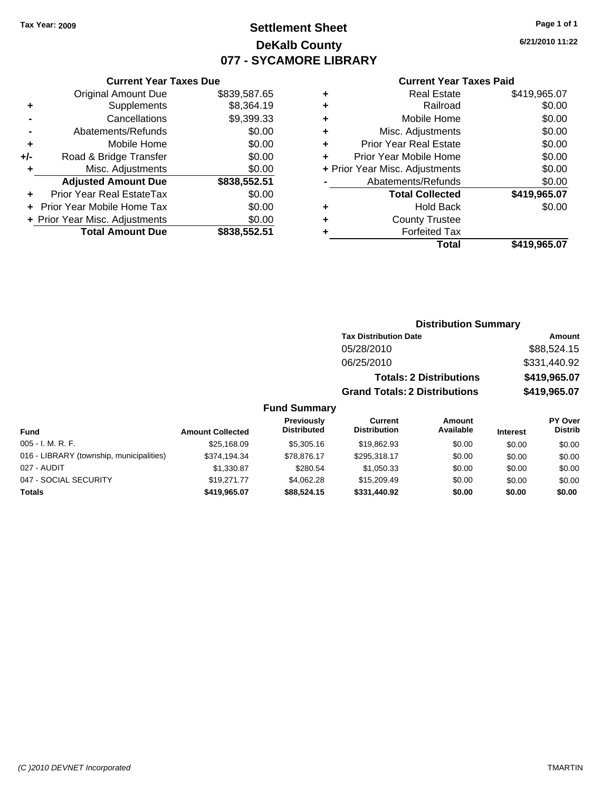# **Settlement Sheet Tax Year: 2009 Page 1 of 1 DeKalb County 077 - SYCAMORE LIBRARY**

**6/21/2010 11:22**

#### **Current Year Taxes Paid**

| ÷ | <b>Real Estate</b>             | \$419,965.07 |
|---|--------------------------------|--------------|
| ٠ | Railroad                       | \$0.00       |
| ٠ | Mobile Home                    | \$0.00       |
| ٠ | Misc. Adjustments              | \$0.00       |
| ٠ | <b>Prior Year Real Estate</b>  | \$0.00       |
| ÷ | Prior Year Mobile Home         | \$0.00       |
|   | + Prior Year Misc. Adjustments | \$0.00       |
|   | Abatements/Refunds             | \$0.00       |
|   | <b>Total Collected</b>         | \$419,965.07 |
| ٠ | <b>Hold Back</b>               | \$0.00       |
| ٠ | <b>County Trustee</b>          |              |
|   | <b>Forfeited Tax</b>           |              |
|   | Total                          | \$419.965.07 |

|                                          |                         |                                  | <b>Distribution Summary</b>           |                                |                 |                                  |
|------------------------------------------|-------------------------|----------------------------------|---------------------------------------|--------------------------------|-----------------|----------------------------------|
|                                          |                         |                                  | <b>Tax Distribution Date</b>          |                                |                 | Amount                           |
|                                          |                         |                                  | 05/28/2010                            |                                |                 | \$88,524.15                      |
|                                          |                         |                                  | 06/25/2010                            |                                |                 | \$331,440.92                     |
|                                          |                         |                                  |                                       | <b>Totals: 2 Distributions</b> |                 | \$419,965.07                     |
|                                          |                         |                                  | <b>Grand Totals: 2 Distributions</b>  |                                |                 | \$419,965.07                     |
|                                          |                         | <b>Fund Summary</b>              |                                       |                                |                 |                                  |
| Fund                                     | <b>Amount Collected</b> | Previously<br><b>Distributed</b> | <b>Current</b><br><b>Distribution</b> | <b>Amount</b><br>Available     | <b>Interest</b> | <b>PY Over</b><br><b>Distrib</b> |
| 005 - I. M. R. F.                        | \$25,168.09             | \$5,305.16                       | \$19,862.93                           | \$0.00                         | \$0.00          | \$0.00                           |
| 016 - LIBRARY (township, municipalities) | \$374,194.34            | \$78,876.17                      | \$295,318.17                          | \$0.00                         | \$0.00          | \$0.00                           |
| 027 - AUDIT                              | \$1,330.87              | \$280.54                         | \$1,050.33                            | \$0.00                         | \$0.00          | \$0.00                           |
| 047 - SOCIAL SECURITY                    | \$19,271.77             | \$4,062.28                       | \$15,209.49                           | \$0.00                         | \$0.00          | \$0.00                           |
| Totals                                   | \$419,965.07            | \$88,524.15                      | \$331,440.92                          | \$0.00                         | \$0.00          | \$0.00                           |

| <b>Current Year Taxes Due</b> |              |
|-------------------------------|--------------|
| Original Amount Due           | \$839,587.65 |

**Adjusted Amount Due \$838,552.51**

**Total Amount Due \$838,552.51**

**+** Supplements \$8,364.19 **-** Cancellations \$9,399.33 **-** Abatements/Refunds \$0.00 **+** Mobile Home \$0.00 **+/-** Road & Bridge Transfer \$0.00 **+** Misc. Adjustments \$0.00

**+** Prior Year Real EstateTax \$0.00 **+** Prior Year Mobile Home Tax \$0.00 **+ Prior Year Misc. Adjustments**  $$0.00$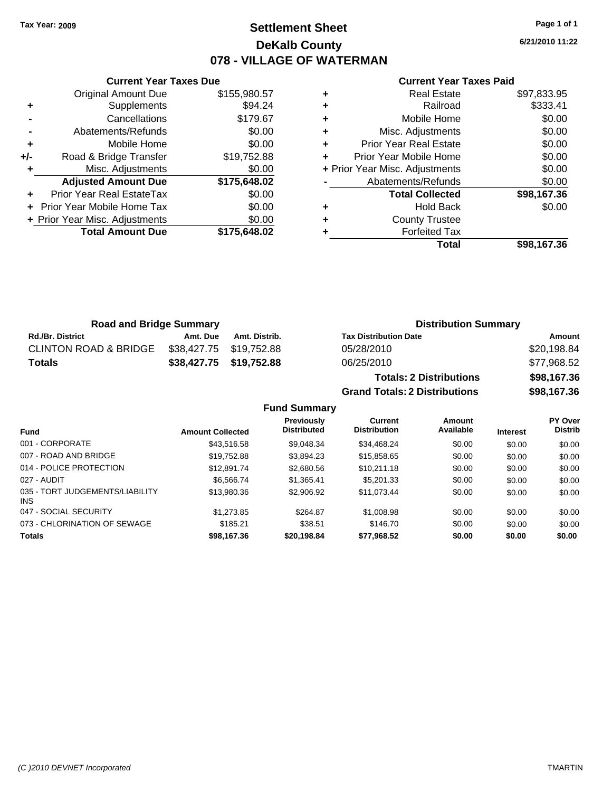### **Settlement Sheet Tax Year: 2009 Page 1 of 1 DeKalb County 078 - VILLAGE OF WATERMAN**

**6/21/2010 11:22**

|     | <b>Original Amount Due</b>     | \$155,980.57 |
|-----|--------------------------------|--------------|
| ٠   | Supplements                    | \$94.24      |
|     | Cancellations                  | \$179.67     |
|     | Abatements/Refunds             | \$0.00       |
| ٠   | Mobile Home                    | \$0.00       |
| +/- | Road & Bridge Transfer         | \$19,752.88  |
| ٠   | Misc. Adjustments              | \$0.00       |
|     | <b>Adjusted Amount Due</b>     | \$175,648.02 |
|     | Prior Year Real EstateTax      | \$0.00       |
|     | Prior Year Mobile Home Tax     | \$0.00       |
|     | + Prior Year Misc. Adjustments | \$0.00       |
|     | <b>Total Amount Due</b>        | \$175,648.02 |
|     |                                |              |

**Current Year Taxes Due**

| Real Estate                    | \$97,833.95 |
|--------------------------------|-------------|
| Railroad                       | \$333.41    |
| Mobile Home                    | \$0.00      |
| Misc. Adjustments              | \$0.00      |
| <b>Prior Year Real Estate</b>  | \$0.00      |
| Prior Year Mobile Home         | \$0.00      |
| + Prior Year Misc. Adjustments | \$0.00      |
| Abatements/Refunds             | \$0.00      |
| <b>Total Collected</b>         | \$98,167.36 |
| <b>Hold Back</b>               | \$0.00      |
| <b>County Trustee</b>          |             |
| <b>Forfeited Tax</b>           |             |
| Total                          | \$98.167.36 |
|                                |             |

**Grand Totals: 2 Distributions \$98,167.36**

| <b>Road and Bridge Summary</b>   |                         |                         | <b>Distribution Summary</b>    |             |
|----------------------------------|-------------------------|-------------------------|--------------------------------|-------------|
| <b>Rd./Br. District</b>          | Amt. Due                | Amt. Distrib.           | <b>Tax Distribution Date</b>   | Amount      |
| <b>CLINTON ROAD &amp; BRIDGE</b> | \$38,427.75 \$19,752.88 |                         | 05/28/2010                     | \$20,198.84 |
| <b>Totals</b>                    |                         | \$38,427.75 \$19,752.88 | 06/25/2010                     | \$77,968.52 |
|                                  |                         |                         | <b>Totals: 2 Distributions</b> | \$98,167.36 |

**Fund Summary Fund Interest Amount Collected Distributed PY Over Distrib Amount Available Current Distribution Previously** 001 - CORPORATE 6 \$43,516.58 \$9,048.34 \$34,468.24 \$0.00 \$0.00 \$0.00 \$0.00 007 - ROAD AND BRIDGE \$19,752.88 \$3,894.23 \$15,858.65 \$0.00 \$0.00 \$0.00 014 - POLICE PROTECTION \$12,891.74 \$2,680.56 \$10,211.18 \$0.00 \$0.00 \$0.00 \$0.00 027 - AUDIT \$6,566.74 \$1,365.41 \$5,201.33 \$0.00 \$0.00 \$0.00 035 - TORT JUDGEMENTS/LIABILITY INS \$13,980.36 \$2,906.92 \$11,073.44 \$0.00 \$0.00 \$0.00 047 - SOCIAL SECURITY 61,273.85 \$1,273.85 \$264.87 \$1,008.98 \$0.00 \$0.00 \$0.00 \$0.00 073 - CHLORINATION OF SEWAGE \$185.21 \$38.51 \$146.70 \$0.00 \$0.00 \$0.00 \$0.00 **Totals \$98,167.36 \$20,198.84 \$77,968.52 \$0.00 \$0.00 \$0.00**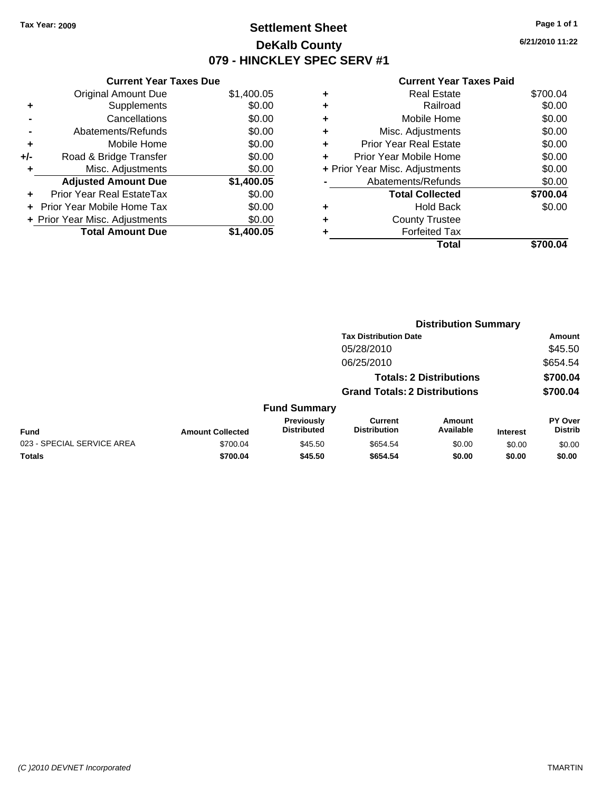### **Settlement Sheet Tax Year: 2009 Page 1 of 1 DeKalb County 079 - HINCKLEY SPEC SERV #1**

**6/21/2010 11:22**

|       | <b>Current Year Taxes Due</b>     |            |
|-------|-----------------------------------|------------|
|       | <b>Original Amount Due</b>        | \$1,400.05 |
| ٠     | Supplements                       | \$0.00     |
|       | Cancellations                     | \$0.00     |
|       | Abatements/Refunds                | \$0.00     |
| ٠     | Mobile Home                       | \$0.00     |
| $+/-$ | Road & Bridge Transfer            | \$0.00     |
| ٠     | Misc. Adjustments                 | \$0.00     |
|       | <b>Adjusted Amount Due</b>        | \$1,400.05 |
| ÷     | Prior Year Real EstateTax         | \$0.00     |
|       | <b>Prior Year Mobile Home Tax</b> | \$0.00     |
|       | + Prior Year Misc. Adjustments    | \$0.00     |
|       | <b>Total Amount Due</b>           | \$1,400.05 |
|       |                                   |            |

|   | Total                          | \$700.04 |
|---|--------------------------------|----------|
|   | <b>Forfeited Tax</b>           |          |
| ٠ | <b>County Trustee</b>          |          |
| ٠ | <b>Hold Back</b>               | \$0.00   |
|   | <b>Total Collected</b>         | \$700.04 |
|   | Abatements/Refunds             | \$0.00   |
|   | + Prior Year Misc. Adjustments | \$0.00   |
| ٠ | Prior Year Mobile Home         | \$0.00   |
| ÷ | <b>Prior Year Real Estate</b>  | \$0.00   |
| ٠ | Misc. Adjustments              | \$0.00   |
| ٠ | Mobile Home                    | \$0.00   |
| ÷ | Railroad                       | \$0.00   |
| ٠ | <b>Real Estate</b>             | \$700.04 |
|   |                                |          |

|                            |                         |                                  |                                       | <b>Distribution Summary</b>    |                 |                                  |
|----------------------------|-------------------------|----------------------------------|---------------------------------------|--------------------------------|-----------------|----------------------------------|
|                            |                         |                                  | <b>Tax Distribution Date</b>          |                                |                 | Amount                           |
|                            |                         |                                  | 05/28/2010                            |                                |                 | \$45.50                          |
|                            |                         |                                  | 06/25/2010                            |                                |                 | \$654.54                         |
|                            |                         |                                  |                                       | <b>Totals: 2 Distributions</b> |                 | \$700.04                         |
|                            |                         |                                  | <b>Grand Totals: 2 Distributions</b>  |                                |                 | \$700.04                         |
|                            |                         | <b>Fund Summary</b>              |                                       |                                |                 |                                  |
| <b>Fund</b>                | <b>Amount Collected</b> | Previously<br><b>Distributed</b> | <b>Current</b><br><b>Distribution</b> | Amount<br>Available            | <b>Interest</b> | <b>PY Over</b><br><b>Distrib</b> |
| 023 - SPECIAL SERVICE AREA | \$700.04                | \$45.50                          | \$654.54                              | \$0.00                         | \$0.00          | \$0.00                           |
| Totals                     | \$700.04                | \$45.50                          | \$654.54                              | \$0.00                         | \$0.00          | \$0.00                           |
|                            |                         |                                  |                                       |                                |                 |                                  |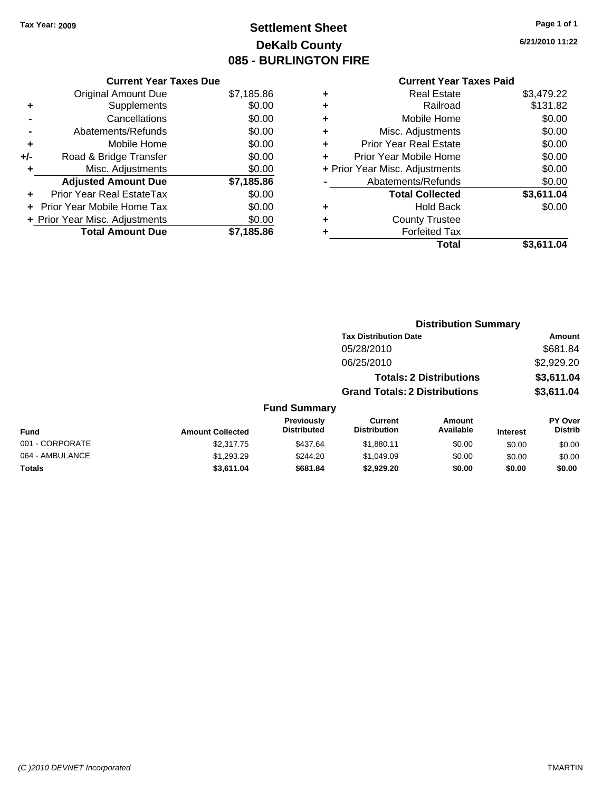# **Settlement Sheet Tax Year: 2009 Page 1 of 1 DeKalb County 085 - BURLINGTON FIRE**

**6/21/2010 11:22**

| <b>Current Year Taxes Due</b>  |            |
|--------------------------------|------------|
| <b>Original Amount Due</b>     | \$7,185.86 |
| Supplements                    | \$0.00     |
| Cancellations                  | \$0.00     |
| Abatements/Refunds             | \$0.00     |
| Mobile Home                    | \$0.00     |
| Road & Bridge Transfer         | \$0.00     |
| Misc. Adjustments              | \$0.00     |
| <b>Adjusted Amount Due</b>     | \$7,185.86 |
| Prior Year Real EstateTax      | \$0.00     |
| Prior Year Mobile Home Tax     | \$0.00     |
| + Prior Year Misc. Adjustments | \$0.00     |
| <b>Total Amount Due</b>        | \$7,185.86 |
|                                |            |

|   | <b>Real Estate</b>             | \$3,479.22 |
|---|--------------------------------|------------|
| ٠ | Railroad                       | \$131.82   |
| ٠ | Mobile Home                    | \$0.00     |
| ٠ | Misc. Adjustments              | \$0.00     |
| ÷ | <b>Prior Year Real Estate</b>  | \$0.00     |
| ٠ | Prior Year Mobile Home         | \$0.00     |
|   | + Prior Year Misc. Adjustments | \$0.00     |
|   | Abatements/Refunds             | \$0.00     |
|   | <b>Total Collected</b>         | \$3,611.04 |
| ٠ | <b>Hold Back</b>               | \$0.00     |
| ٠ | <b>County Trustee</b>          |            |
| ٠ | <b>Forfeited Tax</b>           |            |
|   | Total                          | \$3.611.04 |
|   |                                |            |

|                 |                         |                                  |                                       | <b>Distribution Summary</b>    |                 |                           |
|-----------------|-------------------------|----------------------------------|---------------------------------------|--------------------------------|-----------------|---------------------------|
|                 |                         |                                  | <b>Tax Distribution Date</b>          |                                |                 | <b>Amount</b>             |
|                 |                         |                                  | 05/28/2010                            |                                |                 | \$681.84                  |
|                 |                         |                                  | 06/25/2010                            |                                |                 | \$2,929.20                |
|                 |                         |                                  |                                       | <b>Totals: 2 Distributions</b> |                 | \$3,611.04                |
|                 |                         |                                  | <b>Grand Totals: 2 Distributions</b>  |                                |                 | \$3,611.04                |
|                 |                         | <b>Fund Summary</b>              |                                       |                                |                 |                           |
| <b>Fund</b>     | <b>Amount Collected</b> | Previously<br><b>Distributed</b> | <b>Current</b><br><b>Distribution</b> | <b>Amount</b><br>Available     | <b>Interest</b> | PY Over<br><b>Distrib</b> |
| 001 - CORPORATE | \$2,317.75              | \$437.64                         | \$1,880.11                            | \$0.00                         | \$0.00          | \$0.00                    |
| 064 - AMBULANCE | \$1,293.29              | \$244.20                         | \$1,049.09                            | \$0.00                         | \$0.00          | \$0.00                    |
| Totals          | \$3,611.04              | \$681.84                         | \$2,929.20                            | \$0.00                         | \$0.00          | \$0.00                    |
|                 |                         |                                  |                                       |                                |                 |                           |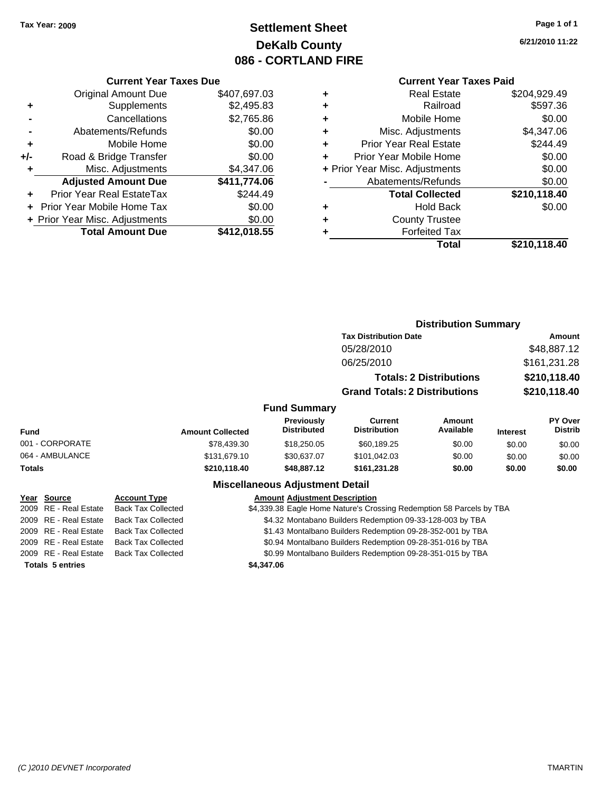# **Settlement Sheet Tax Year: 2009 Page 1 of 1 DeKalb County 086 - CORTLAND FIRE**

### **6/21/2010 11:22**

| <b>Current Year Taxes Paid</b> |  |  |  |
|--------------------------------|--|--|--|
|--------------------------------|--|--|--|

|     | <b>Current Year Taxes Due</b>  |              |  |  |  |  |  |
|-----|--------------------------------|--------------|--|--|--|--|--|
|     | <b>Original Amount Due</b>     | \$407.697.03 |  |  |  |  |  |
| ٠   | Supplements                    | \$2,495.83   |  |  |  |  |  |
|     | Cancellations                  | \$2,765.86   |  |  |  |  |  |
|     | Abatements/Refunds             | \$0.00       |  |  |  |  |  |
| ٠   | Mobile Home                    | \$0.00       |  |  |  |  |  |
| +/- | Road & Bridge Transfer         | \$0.00       |  |  |  |  |  |
| ٠   | Misc. Adjustments              | \$4,347.06   |  |  |  |  |  |
|     | <b>Adjusted Amount Due</b>     | \$411,774.06 |  |  |  |  |  |
| ٠   | Prior Year Real EstateTax      | \$244.49     |  |  |  |  |  |
|     | Prior Year Mobile Home Tax     | \$0.00       |  |  |  |  |  |
|     | + Prior Year Misc. Adjustments | \$0.00       |  |  |  |  |  |
|     | <b>Total Amount Due</b>        | \$412,018.55 |  |  |  |  |  |

| ٠ | <b>Real Estate</b>             | \$204,929.49 |
|---|--------------------------------|--------------|
| ٠ | Railroad                       | \$597.36     |
| ٠ | Mobile Home                    | \$0.00       |
| ٠ | Misc. Adjustments              | \$4,347.06   |
| ٠ | <b>Prior Year Real Estate</b>  | \$244.49     |
|   | Prior Year Mobile Home         | \$0.00       |
|   | + Prior Year Misc. Adjustments | \$0.00       |
|   | Abatements/Refunds             | \$0.00       |
|   | <b>Total Collected</b>         | \$210,118.40 |
| ٠ | <b>Hold Back</b>               | \$0.00       |
|   | <b>County Trustee</b>          |              |
|   | <b>Forfeited Tax</b>           |              |
|   | Total                          | \$210,118.40 |
|   |                                |              |

|                         |                           |                         |                                         | <b>Distribution Summary</b><br><b>Tax Distribution Date</b>          |                                |                       |                                  |  |
|-------------------------|---------------------------|-------------------------|-----------------------------------------|----------------------------------------------------------------------|--------------------------------|-----------------------|----------------------------------|--|
|                         |                           |                         |                                         | 05/28/2010                                                           |                                | Amount<br>\$48,887.12 |                                  |  |
|                         |                           |                         |                                         |                                                                      |                                |                       |                                  |  |
|                         |                           |                         |                                         | 06/25/2010                                                           |                                |                       | \$161,231.28                     |  |
|                         |                           |                         |                                         |                                                                      | <b>Totals: 2 Distributions</b> |                       | \$210,118.40                     |  |
|                         |                           |                         |                                         | <b>Grand Totals: 2 Distributions</b>                                 |                                |                       | \$210,118.40                     |  |
|                         |                           |                         | <b>Fund Summary</b>                     |                                                                      |                                |                       |                                  |  |
| Fund                    |                           | <b>Amount Collected</b> | <b>Previously</b><br><b>Distributed</b> | Current<br><b>Distribution</b>                                       | Amount<br>Available            | <b>Interest</b>       | <b>PY Over</b><br><b>Distrib</b> |  |
| 001 - CORPORATE         |                           | \$78,439.30             | \$18,250.05                             | \$60,189.25                                                          | \$0.00                         | \$0.00                | \$0.00                           |  |
| 064 - AMBULANCE         |                           | \$131,679.10            | \$30,637.07                             | \$101,042.03                                                         | \$0.00                         | \$0.00                | \$0.00                           |  |
| Totals                  |                           | \$210,118.40            | \$48,887.12                             | \$161,231.28                                                         | \$0.00                         | \$0.00                | \$0.00                           |  |
|                         |                           |                         | <b>Miscellaneous Adjustment Detail</b>  |                                                                      |                                |                       |                                  |  |
| Year Source             | <b>Account Type</b>       |                         | <b>Amount Adjustment Description</b>    |                                                                      |                                |                       |                                  |  |
| 2009 RE - Real Estate   | <b>Back Tax Collected</b> |                         |                                         | \$4,339.38 Eagle Home Nature's Crossing Redemption 58 Parcels by TBA |                                |                       |                                  |  |
| 2009 RE - Real Estate   | <b>Back Tax Collected</b> |                         |                                         | \$4.32 Montabano Builders Redemption 09-33-128-003 by TBA            |                                |                       |                                  |  |
| 2009 RE - Real Estate   | <b>Back Tax Collected</b> |                         |                                         | \$1.43 Montalbano Builders Redemption 09-28-352-001 by TBA           |                                |                       |                                  |  |
| 2009 RE - Real Estate   | <b>Back Tax Collected</b> |                         |                                         | \$0.94 Montalbano Builders Redemption 09-28-351-016 by TBA           |                                |                       |                                  |  |
| 2009 RE - Real Estate   | <b>Back Tax Collected</b> |                         |                                         | \$0.99 Montalbano Builders Redemption 09-28-351-015 by TBA           |                                |                       |                                  |  |
| <b>Totals 5 entries</b> |                           |                         | \$4,347.06                              |                                                                      |                                |                       |                                  |  |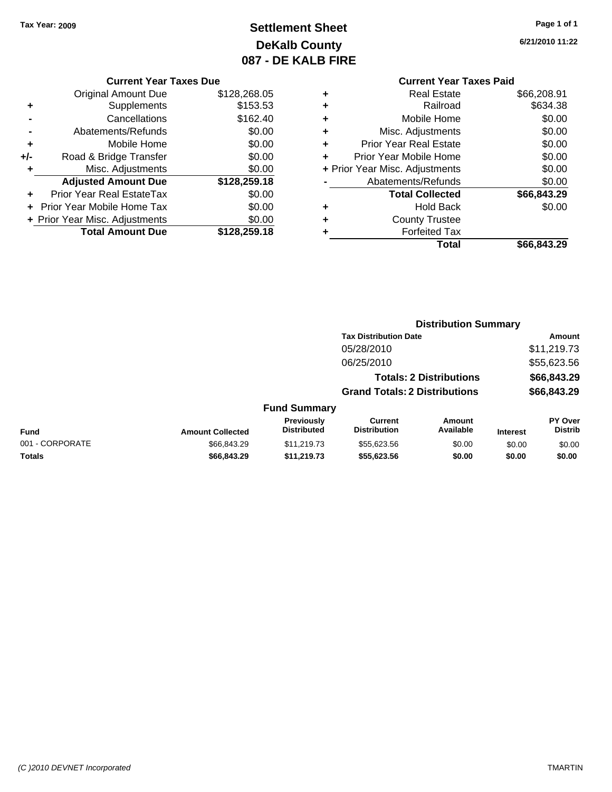# **Settlement Sheet Tax Year: 2009 Page 1 of 1 DeKalb County 087 - DE KALB FIRE**

**6/21/2010 11:22**

| <b>Current Year Taxes Due</b> |  |  |
|-------------------------------|--|--|
|                               |  |  |

|     | <b>Original Amount Due</b>       | \$128,268.05 |
|-----|----------------------------------|--------------|
| ٠   | Supplements                      | \$153.53     |
|     | Cancellations                    | \$162.40     |
|     | Abatements/Refunds               | \$0.00       |
| ÷   | Mobile Home                      | \$0.00       |
| +/- | Road & Bridge Transfer           | \$0.00       |
| ٠   | Misc. Adjustments                | \$0.00       |
|     | <b>Adjusted Amount Due</b>       | \$128,259.18 |
|     | <b>Prior Year Real EstateTax</b> | \$0.00       |
|     | Prior Year Mobile Home Tax       | \$0.00       |
|     | + Prior Year Misc. Adjustments   | \$0.00       |
|     | <b>Total Amount Due</b>          | \$128,259.18 |

|   | <b>Real Estate</b>             | \$66,208.91 |
|---|--------------------------------|-------------|
| ٠ | Railroad                       | \$634.38    |
| ٠ | Mobile Home                    | \$0.00      |
| ٠ | Misc. Adjustments              | \$0.00      |
| ٠ | <b>Prior Year Real Estate</b>  | \$0.00      |
|   | Prior Year Mobile Home         | \$0.00      |
|   | + Prior Year Misc. Adjustments | \$0.00      |
|   | Abatements/Refunds             | \$0.00      |
|   | <b>Total Collected</b>         | \$66,843.29 |
| ٠ | Hold Back                      | \$0.00      |
| ٠ | <b>County Trustee</b>          |             |
|   | <b>Forfeited Tax</b>           |             |
|   | Total                          | \$66,843.29 |
|   |                                |             |

|                 |                         |                                  |                                       | <b>Distribution Summary</b>    |                 |                           |
|-----------------|-------------------------|----------------------------------|---------------------------------------|--------------------------------|-----------------|---------------------------|
|                 |                         |                                  | <b>Tax Distribution Date</b>          |                                |                 | Amount                    |
|                 |                         |                                  | 05/28/2010                            |                                |                 | \$11,219.73               |
|                 |                         |                                  | 06/25/2010                            |                                |                 | \$55,623.56               |
|                 |                         |                                  |                                       | <b>Totals: 2 Distributions</b> |                 | \$66,843.29               |
|                 |                         |                                  | <b>Grand Totals: 2 Distributions</b>  |                                |                 | \$66,843.29               |
|                 |                         | <b>Fund Summary</b>              |                                       |                                |                 |                           |
| <b>Fund</b>     | <b>Amount Collected</b> | Previously<br><b>Distributed</b> | <b>Current</b><br><b>Distribution</b> | <b>Amount</b><br>Available     | <b>Interest</b> | PY Over<br><b>Distrib</b> |
| 001 - CORPORATE | \$66,843.29             | \$11,219.73                      | \$55,623.56                           | \$0.00                         | \$0.00          | \$0.00                    |
| Totals          | \$66,843.29             | \$11,219.73                      | \$55,623.56                           | \$0.00                         | \$0.00          | \$0.00                    |
|                 |                         |                                  |                                       |                                |                 |                           |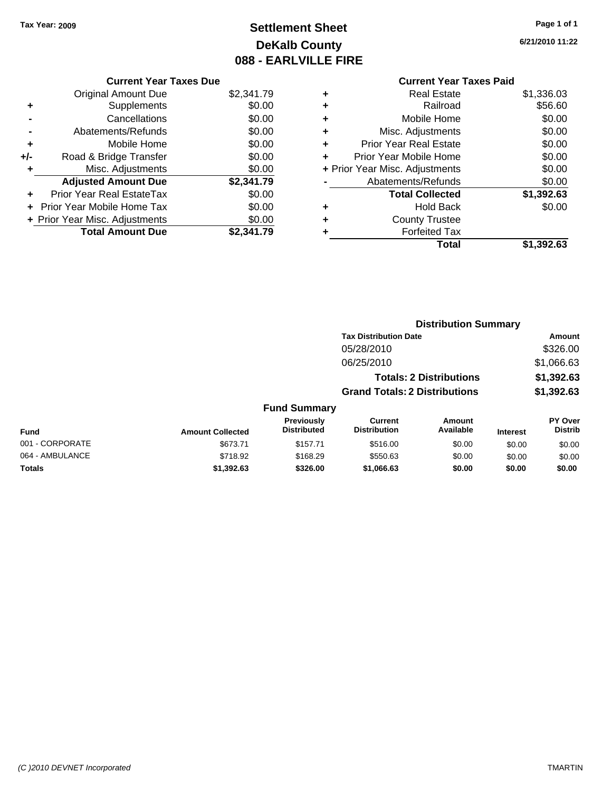# **Settlement Sheet Tax Year: 2009 Page 1 of 1 DeKalb County 088 - EARLVILLE FIRE**

**6/21/2010 11:22**

|     | <b>Current Year Taxes Due</b>  |            |
|-----|--------------------------------|------------|
|     | <b>Original Amount Due</b>     | \$2,341.79 |
| ٠   | Supplements                    | \$0.00     |
|     | Cancellations                  | \$0.00     |
|     | Abatements/Refunds             | \$0.00     |
| ٠   | Mobile Home                    | \$0.00     |
| +/- | Road & Bridge Transfer         | \$0.00     |
| ٠   | Misc. Adjustments              | \$0.00     |
|     | <b>Adjusted Amount Due</b>     | \$2,341.79 |
| ÷   | Prior Year Real EstateTax      | \$0.00     |
|     | Prior Year Mobile Home Tax     | \$0.00     |
|     | + Prior Year Misc. Adjustments | \$0.00     |
|     | <b>Total Amount Due</b>        | \$2,341.79 |
|     |                                |            |

|   | Total                          | \$1,392.63 |
|---|--------------------------------|------------|
| ٠ | <b>Forfeited Tax</b>           |            |
| ٠ | <b>County Trustee</b>          |            |
| ٠ | <b>Hold Back</b>               | \$0.00     |
|   | <b>Total Collected</b>         | \$1,392.63 |
|   | Abatements/Refunds             | \$0.00     |
|   | + Prior Year Misc. Adjustments | \$0.00     |
| ٠ | Prior Year Mobile Home         | \$0.00     |
| ÷ | <b>Prior Year Real Estate</b>  | \$0.00     |
| ٠ | Misc. Adjustments              | \$0.00     |
| ÷ | Mobile Home                    | \$0.00     |
| ÷ | Railroad                       | \$56.60    |
| ٠ | <b>Real Estate</b>             | \$1,336.03 |
|   |                                |            |

|                 | <b>Distribution Summary</b> |                                         |                                       |                                |                 |                           |
|-----------------|-----------------------------|-----------------------------------------|---------------------------------------|--------------------------------|-----------------|---------------------------|
|                 |                             |                                         | <b>Tax Distribution Date</b>          |                                |                 | <b>Amount</b>             |
|                 |                             |                                         | 05/28/2010                            |                                |                 | \$326.00                  |
|                 |                             |                                         | 06/25/2010                            |                                |                 | \$1,066.63                |
|                 |                             |                                         |                                       | <b>Totals: 2 Distributions</b> |                 | \$1,392.63                |
|                 |                             |                                         | <b>Grand Totals: 2 Distributions</b>  |                                |                 | \$1,392.63                |
|                 |                             | <b>Fund Summary</b>                     |                                       |                                |                 |                           |
| <b>Fund</b>     | <b>Amount Collected</b>     | <b>Previously</b><br><b>Distributed</b> | <b>Current</b><br><b>Distribution</b> | Amount<br>Available            | <b>Interest</b> | PY Over<br><b>Distrib</b> |
| 001 - CORPORATE | \$673.71                    | \$157.71                                | \$516.00                              | \$0.00                         | \$0.00          | \$0.00                    |
| 064 - AMBULANCE | \$718.92                    | \$168.29                                | \$550.63                              | \$0.00                         | \$0.00          | \$0.00                    |
| Totals          | \$1,392.63                  | \$326.00                                | \$1,066.63                            | \$0.00                         | \$0.00          | \$0.00                    |
|                 |                             |                                         |                                       |                                |                 |                           |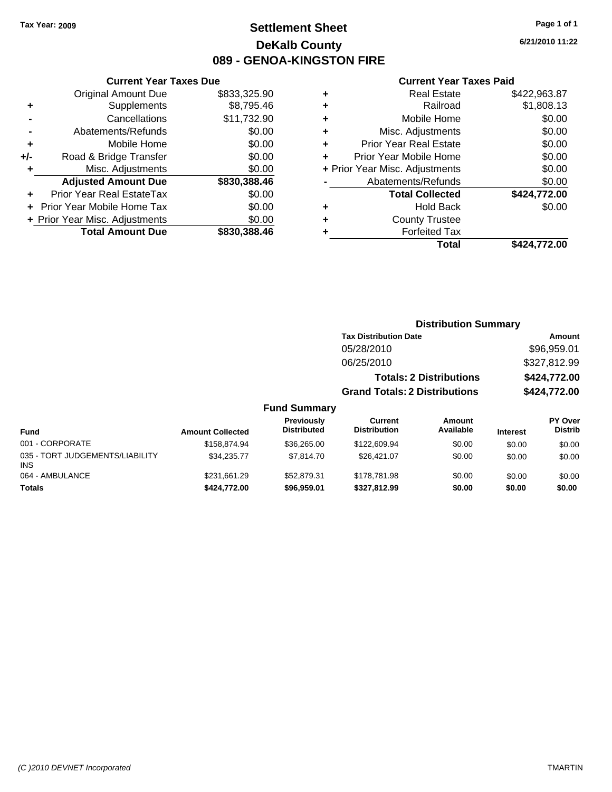### **Settlement Sheet Tax Year: 2009 Page 1 of 1 DeKalb County 089 - GENOA-KINGSTON FIRE**

**6/21/2010 11:22**

| <b>Current Year Taxes Due</b>     |              |
|-----------------------------------|--------------|
| <b>Original Amount Due</b>        | \$833,325.90 |
| Supplements                       | \$8,795.46   |
| Cancellations                     | \$11,732.90  |
| Abatements/Refunds                | \$0.00       |
| Mobile Home                       | \$0.00       |
| Road & Bridge Transfer            | \$0.00       |
| Misc. Adjustments                 | \$0.00       |
| <b>Adjusted Amount Due</b>        | \$830,388.46 |
| Prior Year Real EstateTax         | \$0.00       |
| <b>Prior Year Mobile Home Tax</b> | \$0.00       |
| + Prior Year Misc. Adjustments    | \$0.00       |
| <b>Total Amount Due</b>           | \$830.388.46 |
|                                   |              |

|   | <b>Current Year Taxes Paid</b> |              |  |  |  |  |
|---|--------------------------------|--------------|--|--|--|--|
| ÷ | <b>Real Estate</b>             | \$422,963.87 |  |  |  |  |
|   | Railroad                       | \$1,808.13   |  |  |  |  |
| ٠ | Mobile Home                    | \$0.00       |  |  |  |  |
| ٠ | Misc. Adjustments              | \$0.00       |  |  |  |  |
|   | <b>Prior Year Real Estate</b>  | \$0.00       |  |  |  |  |
| ÷ | Prior Year Mobile Home         | \$0.00       |  |  |  |  |
|   | + Prior Year Misc. Adjustments | \$0.00       |  |  |  |  |
|   | Abatements/Refunds             | \$0.00       |  |  |  |  |
|   | <b>Total Collected</b>         | \$424,772.00 |  |  |  |  |
|   | <b>Hold Back</b>               | \$0.00       |  |  |  |  |
|   | <b>County Trustee</b>          |              |  |  |  |  |
|   | <b>Forfeited Tax</b>           |              |  |  |  |  |
|   | Total                          | \$424,772.00 |  |  |  |  |

|                     | <b>Distribution Summary</b>          |                                |          |                |
|---------------------|--------------------------------------|--------------------------------|----------|----------------|
|                     | <b>Tax Distribution Date</b>         |                                |          | Amount         |
|                     | 05/28/2010                           |                                |          | \$96,959.01    |
|                     | 06/25/2010                           |                                |          | \$327,812.99   |
|                     |                                      | <b>Totals: 2 Distributions</b> |          | \$424,772.00   |
|                     | <b>Grand Totals: 2 Distributions</b> |                                |          | \$424,772.00   |
| <b>Fund Summary</b> |                                      |                                |          |                |
| <b>Previously</b>   | Current                              | Amount                         |          | <b>PY Over</b> |
| <b>Distributed</b>  | <b>Distribution</b>                  | Available                      | Intoract | <b>Distrib</b> |

| <b>Fund</b>                            | <b>Amount Collected</b> | <b>Previously</b><br><b>Distributed</b> | Current<br><b>Distribution</b> | Amount<br>Available | <b>Interest</b> | <b>PY Over</b><br><b>Distrib</b> |
|----------------------------------------|-------------------------|-----------------------------------------|--------------------------------|---------------------|-----------------|----------------------------------|
| 001 - CORPORATE                        | \$158,874.94            | \$36,265,00                             | \$122,609.94                   | \$0.00              | \$0.00          | \$0.00                           |
| 035 - TORT JUDGEMENTS/LIABILITY<br>INS | \$34.235.77             | \$7,814.70                              | \$26,421.07                    | \$0.00              | \$0.00          | \$0.00                           |
| 064 - AMBULANCE                        | \$231,661.29            | \$52,879.31                             | \$178,781.98                   | \$0.00              | \$0.00          | \$0.00                           |
| Totals                                 | \$424,772,00            | \$96,959.01                             | \$327.812.99                   | \$0.00              | \$0.00          | \$0.00                           |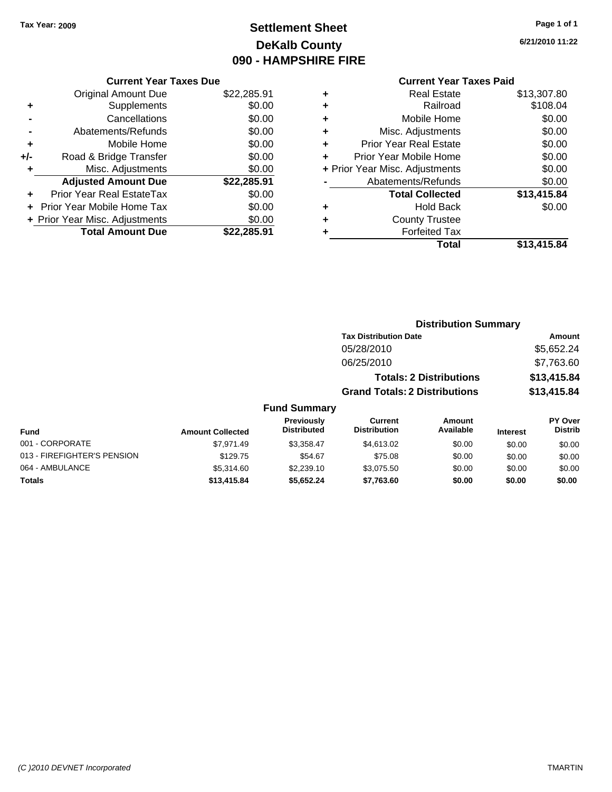# **Settlement Sheet Tax Year: 2009 Page 1 of 1 DeKalb County 090 - HAMPSHIRE FIRE**

**6/21/2010 11:22**

### **Current Year Taxes Paid**

|       | <b>Current Year Taxes Due</b>     |             |
|-------|-----------------------------------|-------------|
|       | <b>Original Amount Due</b>        | \$22,285.91 |
| ٠     | Supplements                       | \$0.00      |
|       | Cancellations                     | \$0.00      |
|       | Abatements/Refunds                | \$0.00      |
| ٠     | Mobile Home                       | \$0.00      |
| $+/-$ | Road & Bridge Transfer            | \$0.00      |
| ٠     | Misc. Adjustments                 | \$0.00      |
|       | <b>Adjusted Amount Due</b>        | \$22,285.91 |
|       | Prior Year Real EstateTax         | \$0.00      |
|       | <b>Prior Year Mobile Home Tax</b> | \$0.00      |
|       | + Prior Year Misc. Adjustments    | \$0.00      |
|       | <b>Total Amount Due</b>           | \$22.285.91 |
|       |                                   |             |

| ٠ | Real Estate                    | \$13,307.80 |
|---|--------------------------------|-------------|
| ٠ | Railroad                       | \$108.04    |
| ٠ | Mobile Home                    | \$0.00      |
| ٠ | Misc. Adjustments              | \$0.00      |
| ÷ | <b>Prior Year Real Estate</b>  | \$0.00      |
|   | Prior Year Mobile Home         | \$0.00      |
|   | + Prior Year Misc. Adjustments | \$0.00      |
|   | Abatements/Refunds             | \$0.00      |
|   | <b>Total Collected</b>         | \$13,415.84 |
| ٠ | Hold Back                      | \$0.00      |
| ٠ | <b>County Trustee</b>          |             |
| ٠ | <b>Forfeited Tax</b>           |             |
|   | Total                          | \$13,415.84 |

|                             |                         |                                         |                                       | <b>Distribution Summary</b>    |                 |                           |
|-----------------------------|-------------------------|-----------------------------------------|---------------------------------------|--------------------------------|-----------------|---------------------------|
|                             |                         |                                         | <b>Tax Distribution Date</b>          |                                |                 | Amount                    |
|                             |                         |                                         | 05/28/2010                            |                                |                 | \$5,652.24                |
|                             |                         |                                         | 06/25/2010                            |                                |                 | \$7,763.60                |
|                             |                         |                                         |                                       | <b>Totals: 2 Distributions</b> |                 | \$13,415.84               |
|                             |                         |                                         | <b>Grand Totals: 2 Distributions</b>  |                                |                 | \$13,415.84               |
|                             |                         | <b>Fund Summary</b>                     |                                       |                                |                 |                           |
| <b>Fund</b>                 | <b>Amount Collected</b> | <b>Previously</b><br><b>Distributed</b> | <b>Current</b><br><b>Distribution</b> | Amount<br>Available            | <b>Interest</b> | PY Over<br><b>Distrib</b> |
| 001 - CORPORATE             | \$7.971.49              | \$3,358.47                              | \$4,613.02                            | \$0.00                         | \$0.00          | \$0.00                    |
| 013 - FIREFIGHTER'S PENSION | \$129.75                | \$54.67                                 | \$75.08                               | \$0.00                         | \$0.00          | \$0.00                    |
| 064 - AMBULANCE             | \$5.314.60              | \$2,239.10                              | \$3.075.50                            | \$0.00                         | \$0.00          | \$0.00                    |

**Totals \$13,415.84 \$5,652.24 \$7,763.60 \$0.00 \$0.00 \$0.00**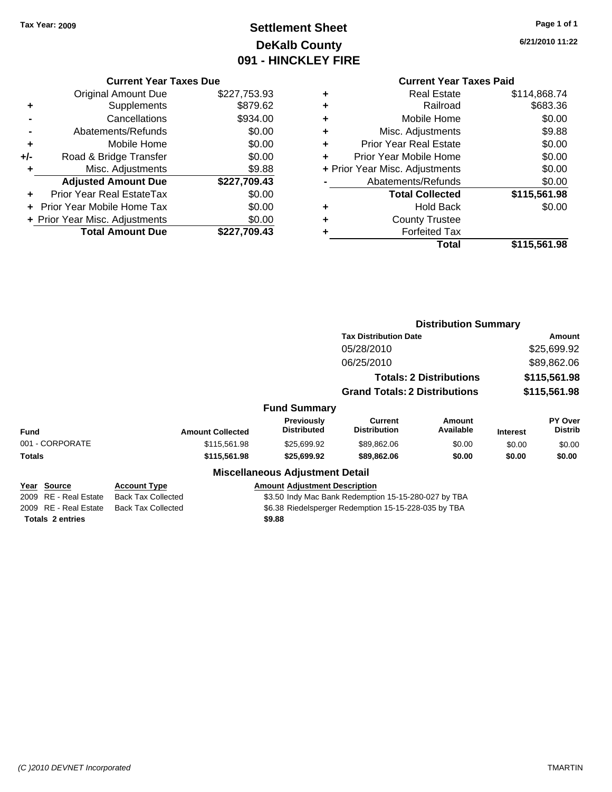# **Settlement Sheet Tax Year: 2009 Page 1 of 1 DeKalb County 091 - HINCKLEY FIRE**

**6/21/2010 11:22**

|       | <b>Current Year Taxes Due</b>  |              |
|-------|--------------------------------|--------------|
|       | <b>Original Amount Due</b>     | \$227,753.93 |
|       | Supplements                    | \$879.62     |
|       | Cancellations                  | \$934.00     |
|       | Abatements/Refunds             | \$0.00       |
| ٠     | Mobile Home                    | \$0.00       |
| $+/-$ | Road & Bridge Transfer         | \$0.00       |
| ٠     | Misc. Adjustments              | \$9.88       |
|       | <b>Adjusted Amount Due</b>     | \$227,709.43 |
| ٠     | Prior Year Real EstateTax      | \$0.00       |
|       | Prior Year Mobile Home Tax     | \$0.00       |
|       | + Prior Year Misc. Adjustments | \$0.00       |
|       | <b>Total Amount Due</b>        | \$227,709.43 |
|       |                                |              |

#### **Current Year Taxes Paid +** Real Estate \$114,868.74 **+** Railroad \$683.36 **+** Mobile Home \$0.00 **+** Misc. Adjustments \$9.88 **+** Prior Year Real Estate \$0.00 **+** Prior Year Mobile Home \$0.00<br> **+** Prior Year Misc Adjustments \$0.00 **+** Prior Year Misc. Adjustments \$0.00

|   | <b>Total</b>                                                                                                                    | \$115,561.98 |
|---|---------------------------------------------------------------------------------------------------------------------------------|--------------|
| ÷ | <b>Forfeited Tax</b>                                                                                                            |              |
| ٠ | <b>County Trustee</b>                                                                                                           |              |
| ٠ | <b>Hold Back</b>                                                                                                                | \$0.00       |
|   | <b>Total Collected</b>                                                                                                          | \$115,561.98 |
|   | Abatements/Refunds                                                                                                              | \$0.00       |
|   | $\tau$ r $\sigma$ r $\sigma$ r $\sigma$ r $\sigma$ r $\sigma$ r $\sigma$ r $\sigma$ r $\sigma$ r $\sigma$ r $\sigma$ r $\sigma$ | vv.vv        |

|                         |                           | <b>Distribution Summary</b>                          |                                                      |                                |                 |                           |
|-------------------------|---------------------------|------------------------------------------------------|------------------------------------------------------|--------------------------------|-----------------|---------------------------|
|                         |                           |                                                      | <b>Tax Distribution Date</b>                         |                                |                 | Amount                    |
|                         |                           |                                                      | 05/28/2010                                           |                                |                 | \$25,699.92               |
|                         |                           |                                                      | 06/25/2010                                           |                                |                 | \$89,862.06               |
|                         |                           |                                                      |                                                      | <b>Totals: 2 Distributions</b> |                 | \$115,561.98              |
|                         |                           |                                                      | <b>Grand Totals: 2 Distributions</b>                 |                                |                 | \$115,561.98              |
|                         |                           | <b>Fund Summary</b>                                  |                                                      |                                |                 |                           |
| Fund                    | <b>Amount Collected</b>   | <b>Previously</b><br><b>Distributed</b>              | Current<br><b>Distribution</b>                       | <b>Amount</b><br>Available     | <b>Interest</b> | PY Over<br><b>Distrib</b> |
| 001 - CORPORATE         | \$115,561.98              | \$25,699.92                                          | \$89,862.06                                          | \$0.00                         | \$0.00          | \$0.00                    |
| Totals                  | \$115,561.98              | \$25,699.92                                          | \$89,862.06                                          | \$0.00                         | \$0.00          | \$0.00                    |
|                         |                           | <b>Miscellaneous Adjustment Detail</b>               |                                                      |                                |                 |                           |
| Year Source             | <b>Account Type</b>       | <b>Amount Adjustment Description</b>                 |                                                      |                                |                 |                           |
| 2009 RE - Real Estate   | <b>Back Tax Collected</b> | \$3.50 Indy Mac Bank Redemption 15-15-280-027 by TBA |                                                      |                                |                 |                           |
| 2009 RE - Real Estate   | <b>Back Tax Collected</b> |                                                      | \$6.38 Riedelsperger Redemption 15-15-228-035 by TBA |                                |                 |                           |
| <b>Totals 2 entries</b> |                           | \$9.88                                               |                                                      |                                |                 |                           |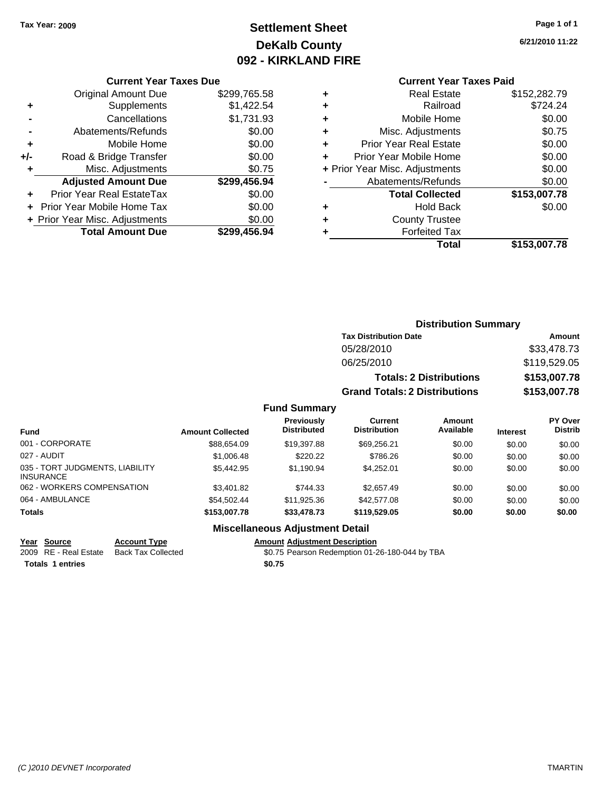# **Settlement Sheet Tax Year: 2009 Page 1 of 1 DeKalb County 092 - KIRKLAND FIRE**

**6/21/2010 11:22**

#### **Current Year Taxes Due**

|       | <b>Original Amount Due</b>       | \$299,765.58 |
|-------|----------------------------------|--------------|
|       | Supplements                      | \$1,422.54   |
|       | Cancellations                    | \$1,731.93   |
|       | Abatements/Refunds               | \$0.00       |
| ÷     | Mobile Home                      | \$0.00       |
| $+/-$ | Road & Bridge Transfer           | \$0.00       |
| ٠     | Misc. Adjustments                | \$0.75       |
|       | <b>Adjusted Amount Due</b>       | \$299,456.94 |
|       | <b>Prior Year Real EstateTax</b> | \$0.00       |
|       | Prior Year Mobile Home Tax       | \$0.00       |
|       | + Prior Year Misc. Adjustments   | \$0.00       |
|       | <b>Total Amount Due</b>          | \$299,456.94 |

### **Current Year Taxes Paid**

|   | <b>Real Estate</b>             | \$152,282.79 |
|---|--------------------------------|--------------|
| ٠ | Railroad                       | \$724.24     |
| ٠ | Mobile Home                    | \$0.00       |
| ٠ | Misc. Adjustments              | \$0.75       |
| ٠ | <b>Prior Year Real Estate</b>  | \$0.00       |
| ÷ | Prior Year Mobile Home         | \$0.00       |
|   | + Prior Year Misc. Adjustments | \$0.00       |
|   | Abatements/Refunds             | \$0.00       |
|   | <b>Total Collected</b>         | \$153,007.78 |
| ٠ | Hold Back                      | \$0.00       |
| ٠ | <b>County Trustee</b>          |              |
| ٠ | <b>Forfeited Tax</b>           |              |
|   | Total                          | \$153,007.78 |
|   |                                |              |

#### **Distribution Summary Tax Distribution Date Amount** 05/28/2010 \$33,478.73 06/25/2010 \$119,529.05 **Totals: 2 Distributions \$153,007.78 Grand Totals: 2 Distributions \$153,007.78 Fund Summary PY Over Distrib Amount Available Current Distribution Previously**

| <b>Fund</b>                                  | <b>Amount Collected</b> | <b>Distributed</b>              | <b>Distribution</b> | Available | <b>Interest</b> | <b>Distrib</b> |
|----------------------------------------------|-------------------------|---------------------------------|---------------------|-----------|-----------------|----------------|
| 001 - CORPORATE                              | \$88,654.09             | \$19,397.88                     | \$69,256.21         | \$0.00    | \$0.00          | \$0.00         |
| 027 - AUDIT                                  | \$1,006.48              | \$220.22                        | \$786.26            | \$0.00    | \$0.00          | \$0.00         |
| 035 - TORT JUDGMENTS, LIABILITY<br>INSURANCE | \$5,442.95              | \$1.190.94                      | \$4.252.01          | \$0.00    | \$0.00          | \$0.00         |
| 062 - WORKERS COMPENSATION                   | \$3,401.82              | \$744.33                        | \$2.657.49          | \$0.00    | \$0.00          | \$0.00         |
| 064 - AMBULANCE                              | \$54.502.44             | \$11,925.36                     | \$42,577.08         | \$0.00    | \$0.00          | \$0.00         |
| <b>Totals</b>                                | \$153,007.78            | \$33,478.73                     | \$119,529.05        | \$0.00    | \$0.00          | \$0.00         |
|                                              |                         | Miccollanoous Adjustmant Dotail |                     |           |                 |                |

### **Miscellaneous Adjustment Detail**

### **Year Source Account Type Amount Adjustment Description**

2009 RE - Real Estate Back Tax Collected \$0.75 Pearson Redemption 01-26-180-044 by TBA

**Totals \$0.75 1 entries**

*(C )2010 DEVNET Incorporated* TMARTIN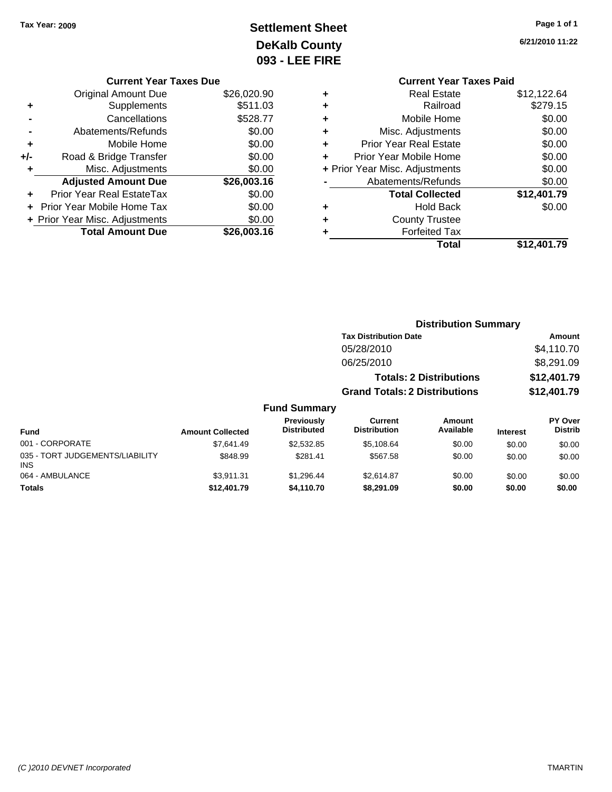# **Settlement Sheet Tax Year: 2009 Page 1 of 1 DeKalb County 093 - LEE FIRE**

**6/21/2010 11:22**

|   | <b>Current Year Taxes Paid</b> |             |
|---|--------------------------------|-------------|
| ٠ | <b>Real Estate</b>             | \$12,122.64 |
| ٠ | Railroad                       | \$279.15    |
| ٠ | Mobile Home                    | \$0.00      |
| ٠ | Misc. Adjustments              | \$0.00      |
| ÷ | <b>Prior Year Real Estate</b>  | \$0.00      |
| ٠ | Prior Year Mobile Home         | \$0.00      |
|   | + Prior Year Misc. Adjustments | \$0.00      |
|   | Abatements/Refunds             | \$0.00      |
|   | <b>Total Collected</b>         | \$12,401.79 |
| ٠ | <b>Hold Back</b>               | \$0.00      |
|   | <b>County Trustee</b>          |             |
|   | <b>Forfeited Tax</b>           |             |
|   | Total                          | \$12,401.79 |

|     | <b>Current Year Taxes Due</b>  |             |
|-----|--------------------------------|-------------|
|     | <b>Original Amount Due</b>     | \$26,020.90 |
| ٠   | Supplements                    | \$511.03    |
|     | Cancellations                  | \$528.77    |
|     | Abatements/Refunds             | \$0.00      |
| ٠   | Mobile Home                    | \$0.00      |
| +/- | Road & Bridge Transfer         | \$0.00      |
| ٠   | Misc. Adjustments              | \$0.00      |
|     | <b>Adjusted Amount Due</b>     | \$26,003.16 |
|     | Prior Year Real EstateTax      | \$0.00      |
|     | Prior Year Mobile Home Tax     | \$0.00      |
|     | + Prior Year Misc. Adjustments | \$0.00      |
|     | <b>Total Amount Due</b>        | \$26,003.16 |

|                                               |                         |                                         | <b>Distribution Summary</b>           |                                |                 |                           |
|-----------------------------------------------|-------------------------|-----------------------------------------|---------------------------------------|--------------------------------|-----------------|---------------------------|
|                                               |                         |                                         | <b>Tax Distribution Date</b>          |                                |                 | <b>Amount</b>             |
|                                               |                         |                                         | 05/28/2010                            |                                |                 | \$4,110.70                |
|                                               |                         |                                         | 06/25/2010                            |                                |                 | \$8,291.09                |
|                                               |                         |                                         |                                       | <b>Totals: 2 Distributions</b> |                 | \$12,401.79               |
|                                               |                         |                                         | <b>Grand Totals: 2 Distributions</b>  |                                |                 | \$12,401.79               |
|                                               |                         | <b>Fund Summary</b>                     |                                       |                                |                 |                           |
| <b>Fund</b>                                   | <b>Amount Collected</b> | <b>Previously</b><br><b>Distributed</b> | <b>Current</b><br><b>Distribution</b> | Amount<br>Available            | <b>Interest</b> | PY Over<br><b>Distrib</b> |
| 001 - CORPORATE                               | \$7.641.49              | \$2,532.85                              | \$5,108.64                            | \$0.00                         | \$0.00          | \$0.00                    |
| 035 - TORT JUDGEMENTS/LIABILITY<br><b>INS</b> | \$848.99                | \$281.41                                | \$567.58                              | \$0.00                         | \$0.00          | \$0.00                    |
| 064 - AMBULANCE                               | \$3.911.31              | \$1,296.44                              | \$2.614.87                            | \$0.00                         | \$0.00          | \$0.00                    |
| <b>Totals</b>                                 | \$12,401.79             | \$4,110.70                              | \$8,291.09                            | \$0.00                         | \$0.00          | \$0.00                    |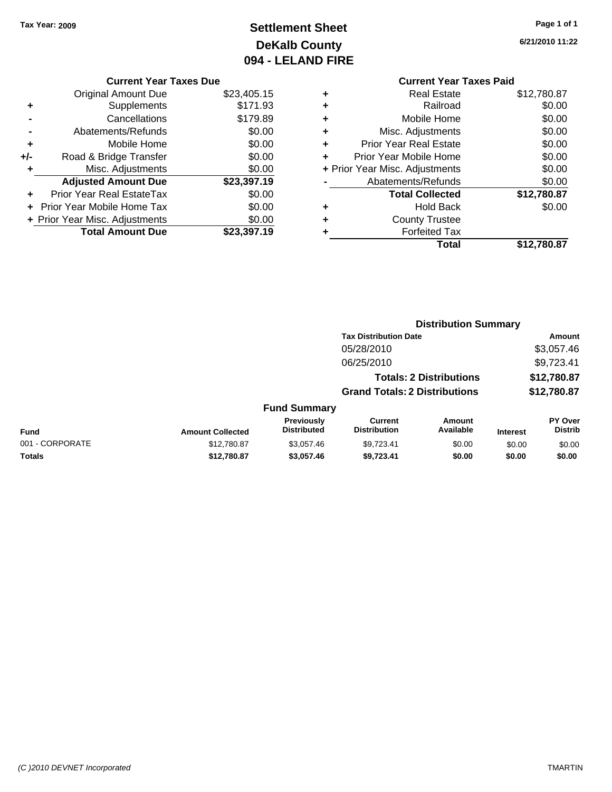# **Settlement Sheet Tax Year: 2009 Page 1 of 1 DeKalb County 094 - LELAND FIRE**

**6/21/2010 11:22**

#### **Current Year Taxes Due**

|       | <b>Original Amount Due</b>     | \$23,405.15 |
|-------|--------------------------------|-------------|
| ÷     | Supplements                    | \$171.93    |
|       | Cancellations                  | \$179.89    |
|       | Abatements/Refunds             | \$0.00      |
| ÷     | Mobile Home                    | \$0.00      |
| $+/-$ | Road & Bridge Transfer         | \$0.00      |
| ٠     | Misc. Adjustments              | \$0.00      |
|       | <b>Adjusted Amount Due</b>     | \$23,397.19 |
|       | Prior Year Real EstateTax      | \$0.00      |
|       | + Prior Year Mobile Home Tax   | \$0.00      |
|       | + Prior Year Misc. Adjustments | \$0.00      |
|       | <b>Total Amount Due</b>        | \$23,397.19 |

|   | <b>Real Estate</b>             | \$12,780.87 |
|---|--------------------------------|-------------|
|   | Railroad                       | \$0.00      |
| ٠ | Mobile Home                    | \$0.00      |
| ٠ | Misc. Adjustments              | \$0.00      |
| ٠ | <b>Prior Year Real Estate</b>  | \$0.00      |
| ÷ | Prior Year Mobile Home         | \$0.00      |
|   | + Prior Year Misc. Adjustments | \$0.00      |
|   | Abatements/Refunds             | \$0.00      |
|   | <b>Total Collected</b>         | \$12,780.87 |
| ٠ | <b>Hold Back</b>               | \$0.00      |
|   | <b>County Trustee</b>          |             |
|   | <b>Forfeited Tax</b>           |             |
|   | Total                          | \$12,780.87 |
|   |                                |             |

|                 |                         |                                         | <b>Distribution Summary</b>           |                                |                 |                           |
|-----------------|-------------------------|-----------------------------------------|---------------------------------------|--------------------------------|-----------------|---------------------------|
|                 |                         |                                         | <b>Tax Distribution Date</b>          |                                |                 | Amount                    |
|                 |                         |                                         | 05/28/2010                            |                                |                 | \$3,057.46                |
|                 |                         |                                         | 06/25/2010                            |                                |                 | \$9,723.41                |
|                 |                         |                                         |                                       | <b>Totals: 2 Distributions</b> |                 | \$12,780.87               |
|                 |                         |                                         | <b>Grand Totals: 2 Distributions</b>  |                                |                 | \$12,780.87               |
|                 |                         | <b>Fund Summary</b>                     |                                       |                                |                 |                           |
| Fund            | <b>Amount Collected</b> | <b>Previously</b><br><b>Distributed</b> | <b>Current</b><br><b>Distribution</b> | Amount<br>Available            | <b>Interest</b> | PY Over<br><b>Distrib</b> |
| 001 - CORPORATE | \$12,780.87             | \$3.057.46                              | \$9,723.41                            | \$0.00                         | \$0.00          | \$0.00                    |
| Totals          | \$12,780.87             | \$3,057.46                              | \$9,723.41                            | \$0.00                         | \$0.00          | \$0.00                    |
|                 |                         |                                         |                                       |                                |                 |                           |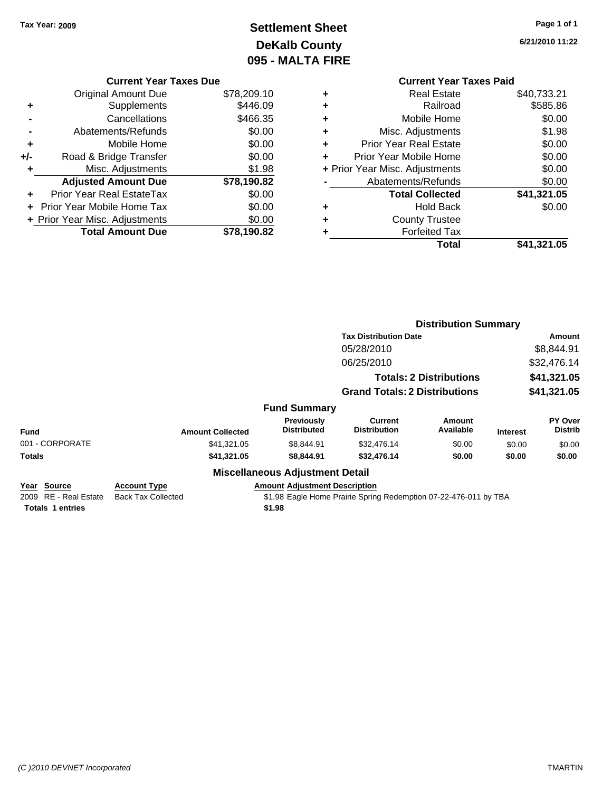# **Settlement Sheet Tax Year: 2009 Page 1 of 1 DeKalb County 095 - MALTA FIRE**

**6/21/2010 11:22**

|     | <b>Current Year Taxes Due</b>  |             |
|-----|--------------------------------|-------------|
|     | <b>Original Amount Due</b>     | \$78,209.10 |
| ٠   | Supplements                    | \$446.09    |
|     | Cancellations                  | \$466.35    |
|     | Abatements/Refunds             | \$0.00      |
| ٠   | Mobile Home                    | \$0.00      |
| +/- | Road & Bridge Transfer         | \$0.00      |
| ٠   | Misc. Adjustments              | \$1.98      |
|     | <b>Adjusted Amount Due</b>     | \$78,190.82 |
| ٠   | Prior Year Real EstateTax      | \$0.00      |
|     | Prior Year Mobile Home Tax     | \$0.00      |
|     | + Prior Year Misc. Adjustments | \$0.00      |
|     | <b>Total Amount Due</b>        | \$78,190.82 |
|     |                                |             |

### **Current Year Taxes Paid<br>Real Estate \$40 733 21 +** Real Estate \$40,733.21

|   | Total                          | \$41,321.05 |
|---|--------------------------------|-------------|
|   | <b>Forfeited Tax</b>           |             |
| ٠ | <b>County Trustee</b>          |             |
| ٠ | <b>Hold Back</b>               | \$0.00      |
|   | <b>Total Collected</b>         | \$41,321.05 |
|   | Abatements/Refunds             | \$0.00      |
|   | + Prior Year Misc. Adjustments | \$0.00      |
|   | Prior Year Mobile Home         | \$0.00      |
| ٠ | <b>Prior Year Real Estate</b>  | \$0.00      |
| ٠ | Misc. Adjustments              | \$1.98      |
| ٠ | Mobile Home                    | \$0.00      |
| ÷ | Railroad                       | \$585.86    |
| ┳ |                                |             |

|                                                                 |                                                  |                                                | <b>Distribution Summary</b>                                      |                                |                 |                           |
|-----------------------------------------------------------------|--------------------------------------------------|------------------------------------------------|------------------------------------------------------------------|--------------------------------|-----------------|---------------------------|
|                                                                 |                                                  |                                                | <b>Tax Distribution Date</b>                                     |                                |                 | <b>Amount</b>             |
|                                                                 |                                                  |                                                | 05/28/2010                                                       |                                |                 | \$8,844.91                |
|                                                                 |                                                  |                                                | 06/25/2010                                                       |                                |                 | \$32,476.14               |
|                                                                 |                                                  |                                                |                                                                  | <b>Totals: 2 Distributions</b> |                 | \$41,321.05               |
|                                                                 |                                                  |                                                | <b>Grand Totals: 2 Distributions</b>                             |                                |                 | \$41,321.05               |
|                                                                 |                                                  | <b>Fund Summary</b>                            |                                                                  |                                |                 |                           |
| <b>Fund</b>                                                     | <b>Amount Collected</b>                          | Previously<br><b>Distributed</b>               | Current<br><b>Distribution</b>                                   | Amount<br>Available            | <b>Interest</b> | PY Over<br><b>Distrib</b> |
| 001 - CORPORATE                                                 | \$41,321.05                                      | \$8,844.91                                     | \$32,476.14                                                      | \$0.00                         | \$0.00          | \$0.00                    |
| <b>Totals</b>                                                   | \$41,321.05                                      | \$8,844.91                                     | \$32,476.14                                                      | \$0.00                         | \$0.00          | \$0.00                    |
|                                                                 |                                                  | <b>Miscellaneous Adjustment Detail</b>         |                                                                  |                                |                 |                           |
| Year Source<br>2009 RE - Real Estate<br><b>Totals 1 entries</b> | <b>Account Type</b><br><b>Back Tax Collected</b> | <b>Amount Adjustment Description</b><br>\$1.98 | \$1.98 Eagle Home Prairie Spring Redemption 07-22-476-011 by TBA |                                |                 |                           |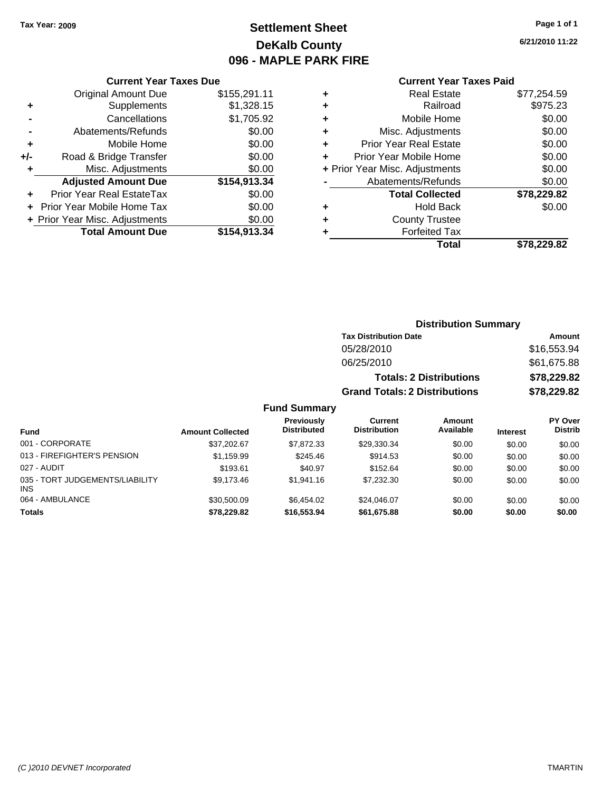# **Settlement Sheet Tax Year: 2009 Page 1 of 1 DeKalb County 096 - MAPLE PARK FIRE**

**6/21/2010 11:22**

#### **Current Year Taxes Paid**

|     | <b>Original Amount Due</b>     | \$155,291.11 |
|-----|--------------------------------|--------------|
| ٠   | Supplements                    | \$1,328.15   |
|     | Cancellations                  | \$1,705.92   |
|     | Abatements/Refunds             | \$0.00       |
| ٠   | Mobile Home                    | \$0.00       |
| +/- | Road & Bridge Transfer         | \$0.00       |
| ٠   | Misc. Adjustments              | \$0.00       |
|     | <b>Adjusted Amount Due</b>     | \$154,913.34 |
|     | Prior Year Real EstateTax      | \$0.00       |
|     | Prior Year Mobile Home Tax     | \$0.00       |
|     | + Prior Year Misc. Adjustments | \$0.00       |
|     | <b>Total Amount Due</b>        | \$154,913.34 |
|     |                                |              |

**Current Year Taxes Due**

| ٠ | <b>Real Estate</b>             | \$77,254.59 |
|---|--------------------------------|-------------|
| ٠ | Railroad                       | \$975.23    |
| ٠ | Mobile Home                    | \$0.00      |
| ٠ | Misc. Adjustments              | \$0.00      |
| ÷ | <b>Prior Year Real Estate</b>  | \$0.00      |
| ٠ | Prior Year Mobile Home         | \$0.00      |
|   | + Prior Year Misc. Adjustments | \$0.00      |
|   | Abatements/Refunds             | \$0.00      |
|   | <b>Total Collected</b>         | \$78,229.82 |
| ٠ | <b>Hold Back</b>               | \$0.00      |
|   | <b>County Trustee</b>          |             |
| ٠ | <b>Forfeited Tax</b>           |             |
|   | Total                          | \$78,229.82 |

#### **Distribution Summary Tax Distribution Date Amount** 05/28/2010 \$16,553.94 06/25/2010 \$61,675.88 **Totals: 2 Distributions \$78,229.82 Grand Totals: 2 Distributions \$78,229.82 Fund Summary Fund Interest Amount Collected Distributed PY Over Distrib Amount Available Current Distribution Previously** 001 - CORPORATE 6 \$37,202.67 \$7,872.33 \$29,330.34 \$0.00 \$0.00 \$0.00 \$0.00 013 - FIREFIGHTER'S PENSION \$1,159.99 \$245.46 \$914.53 \$0.00 \$0.00 \$0.00 \$0.00 027 - AUDIT \$193.61 \$40.97 \$152.64 \$0.00 \$0.00 \$0.00 035 - TORT JUDGEMENTS/LIABILITY \$9,173.46 \$1,941.16 \$7,232.30 \$0.00 \$0.00 \$0.00 064 - AMBULANCE 6 \$30,500.09 \$6,454.02 \$24,046.07 \$0.00 \$0.00 \$0.00 \$0.00

**Totals \$78,229.82 \$16,553.94 \$61,675.88 \$0.00 \$0.00 \$0.00**

INS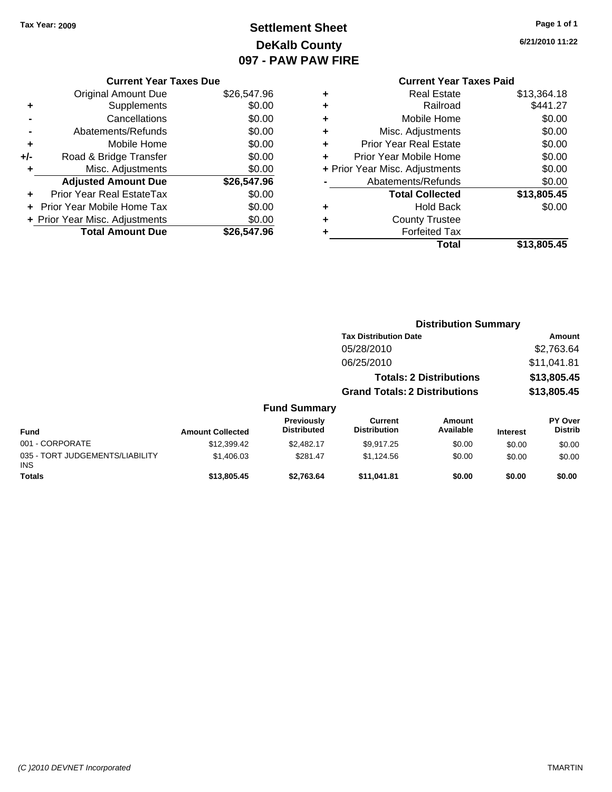# **Settlement Sheet Tax Year: 2009 Page 1 of 1 DeKalb County 097 - PAW PAW FIRE**

**6/21/2010 11:22**

| <b>Current Year Taxes Due</b> |  |  |
|-------------------------------|--|--|

|       | <b>Original Amount Due</b>     | \$26,547.96 |
|-------|--------------------------------|-------------|
| ٠     | Supplements                    | \$0.00      |
|       | Cancellations                  | \$0.00      |
|       | Abatements/Refunds             | \$0.00      |
| ÷     | Mobile Home                    | \$0.00      |
| $+/-$ | Road & Bridge Transfer         | \$0.00      |
| ٠     | Misc. Adjustments              | \$0.00      |
|       | <b>Adjusted Amount Due</b>     | \$26,547.96 |
|       | Prior Year Real EstateTax      | \$0.00      |
|       | Prior Year Mobile Home Tax     | \$0.00      |
|       | + Prior Year Misc. Adjustments | \$0.00      |
|       | <b>Total Amount Due</b>        | \$26,547.96 |

### **Current Year Taxes Paid +** Real Estate \$13,364.18 **+** Railroad \$441.27

| Mobile Home                    | \$0.00      |
|--------------------------------|-------------|
| Misc. Adjustments              | \$0.00      |
| <b>Prior Year Real Estate</b>  | \$0.00      |
| Prior Year Mobile Home         | \$0.00      |
| + Prior Year Misc. Adjustments | \$0.00      |
| Abatements/Refunds             | \$0.00      |
| <b>Total Collected</b>         | \$13,805.45 |
| <b>Hold Back</b>               | \$0.00      |
| <b>County Trustee</b>          |             |
|                                |             |
| <b>Forfeited Tax</b>           |             |
|                                |             |

|                                         | <b>Distribution Summary</b>          |                                  |                                       |                                |                 |                                  |
|-----------------------------------------|--------------------------------------|----------------------------------|---------------------------------------|--------------------------------|-----------------|----------------------------------|
|                                         |                                      |                                  | <b>Tax Distribution Date</b>          |                                |                 | Amount                           |
|                                         |                                      |                                  | 05/28/2010                            |                                |                 | \$2,763.64                       |
|                                         |                                      |                                  | 06/25/2010                            |                                |                 | \$11,041.81                      |
|                                         |                                      |                                  |                                       | <b>Totals: 2 Distributions</b> |                 | \$13,805.45                      |
|                                         | <b>Grand Totals: 2 Distributions</b> |                                  |                                       |                                | \$13,805.45     |                                  |
|                                         |                                      | <b>Fund Summary</b>              |                                       |                                |                 |                                  |
| <b>Fund</b>                             | <b>Amount Collected</b>              | Previously<br><b>Distributed</b> | <b>Current</b><br><b>Distribution</b> | Amount<br>Available            | <b>Interest</b> | <b>PY Over</b><br><b>Distrib</b> |
| 001 - CORPORATE                         | \$12,399.42                          | \$2,482.17                       | \$9,917.25                            | \$0.00                         | \$0.00          | \$0.00                           |
| 035 - TORT JUDGEMENTS/LIABILITY<br>INS. | \$1,406.03                           | \$281.47                         | \$1,124.56                            | \$0.00                         | \$0.00          | \$0.00                           |
| <b>Totals</b>                           | \$13,805.45                          | \$2.763.64                       | \$11.041.81                           | \$0.00                         | \$0.00          | \$0.00                           |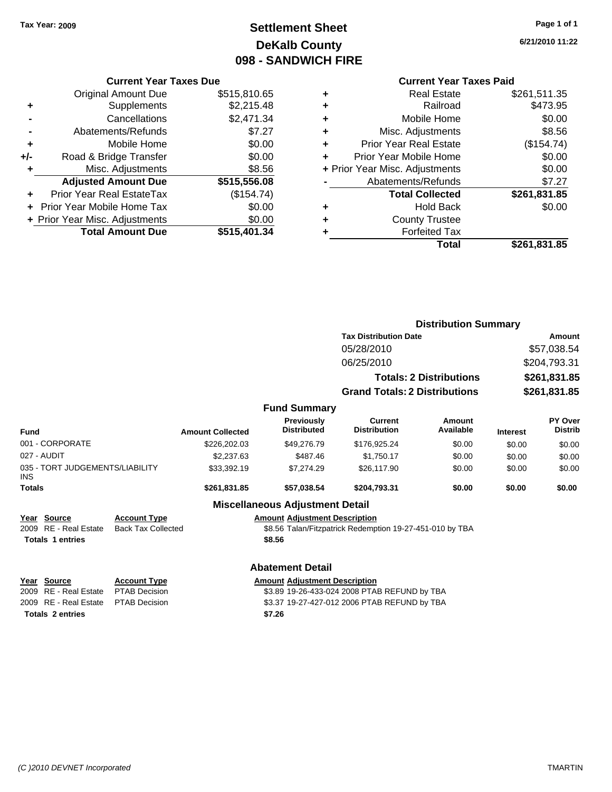# **Settlement Sheet Tax Year: 2009 Page 1 of 1 DeKalb County 098 - SANDWICH FIRE**

**6/21/2010 11:22**

#### **Current Year Taxes Paid**

|   | <b>Total</b>                   | \$261,831.85 |
|---|--------------------------------|--------------|
|   | <b>Forfeited Tax</b>           |              |
| ٠ | <b>County Trustee</b>          |              |
| ٠ | <b>Hold Back</b>               | \$0.00       |
|   | <b>Total Collected</b>         | \$261,831.85 |
|   | Abatements/Refunds             | \$7.27       |
|   | + Prior Year Misc. Adjustments | \$0.00       |
| ÷ | Prior Year Mobile Home         | \$0.00       |
| ÷ | <b>Prior Year Real Estate</b>  | (\$154.74)   |
| ٠ | Misc. Adjustments              | \$8.56       |
| ٠ | Mobile Home                    | \$0.00       |
| ٠ | Railroad                       | \$473.95     |
| ٠ | <b>Real Estate</b>             | \$261,511.35 |
|   |                                |              |

|                                                                 |                                                             |                                              |                                                | <b>Distribution Summary</b>                              |                                |                              |                                  |  |
|-----------------------------------------------------------------|-------------------------------------------------------------|----------------------------------------------|------------------------------------------------|----------------------------------------------------------|--------------------------------|------------------------------|----------------------------------|--|
|                                                                 |                                                             |                                              |                                                | <b>Tax Distribution Date</b>                             | Amount                         |                              |                                  |  |
|                                                                 |                                                             |                                              | 05/28/2010                                     |                                                          |                                | \$57,038.54                  |                                  |  |
|                                                                 |                                                             |                                              |                                                | 06/25/2010                                               |                                |                              | \$204,793.31                     |  |
|                                                                 |                                                             |                                              |                                                |                                                          | <b>Totals: 2 Distributions</b> | \$261,831.85<br>\$261,831.85 |                                  |  |
|                                                                 |                                                             |                                              |                                                | <b>Grand Totals: 2 Distributions</b>                     |                                |                              |                                  |  |
|                                                                 |                                                             |                                              | <b>Fund Summary</b>                            |                                                          |                                |                              |                                  |  |
| Fund                                                            |                                                             | <b>Amount Collected</b>                      | Previously<br><b>Distributed</b>               | <b>Current</b><br><b>Distribution</b>                    | Amount<br>Available            | <b>Interest</b>              | <b>PY Over</b><br><b>Distrib</b> |  |
| 001 - CORPORATE                                                 |                                                             | \$226,202.03                                 | \$49,276.79                                    | \$176,925.24                                             | \$0.00                         | \$0.00                       | \$0.00                           |  |
| 027 - AUDIT                                                     |                                                             | \$2,237.63                                   | \$487.46                                       | \$1,750.17                                               | \$0.00                         | \$0.00                       | \$0.00                           |  |
| 035 - TORT JUDGEMENTS/LIABILITY<br>INS                          |                                                             | \$33,392.19                                  | \$7,274.29                                     | \$26,117.90                                              | \$0.00                         | \$0.00                       | \$0.00                           |  |
| <b>Totals</b>                                                   |                                                             | \$261,831.85                                 | \$57,038.54                                    | \$204,793.31                                             | \$0.00                         | \$0.00                       | \$0.00                           |  |
|                                                                 |                                                             |                                              | <b>Miscellaneous Adjustment Detail</b>         |                                                          |                                |                              |                                  |  |
| Year Source<br>2009 RE - Real Estate<br><b>Totals 1 entries</b> | <b>Account Type</b><br><b>Back Tax Collected</b>            |                                              | <b>Amount Adjustment Description</b><br>\$8.56 | \$8.56 Talan/Fitzpatrick Redemption 19-27-451-010 by TBA |                                |                              |                                  |  |
|                                                                 |                                                             |                                              | <b>Abatement Detail</b>                        |                                                          |                                |                              |                                  |  |
| Year Source                                                     | <b>Account Type</b><br><b>Amount Adjustment Description</b> |                                              |                                                |                                                          |                                |                              |                                  |  |
| 2009 RE - Real Estate                                           | <b>PTAB Decision</b>                                        | \$3.89 19-26-433-024 2008 PTAB REFUND by TBA |                                                |                                                          |                                |                              |                                  |  |
| 2009 RE - Real Estate                                           | <b>PTAB Decision</b>                                        |                                              |                                                | \$3.37 19-27-427-012 2006 PTAB REFUND by TBA             |                                |                              |                                  |  |
| <b>Totals 2 entries</b>                                         |                                                             |                                              | \$7.26                                         |                                                          |                                |                              |                                  |  |

### Original Amount Due \$515,810.65 **+** Supplements \$2,215.48 **-** Cancellations \$2,471.34 **-** Abatements/Refunds \$7.27 **+** Mobile Home \$0.00 **+/-** Road & Bridge Transfer \$0.00 **+** Misc. Adjustments \$8.56 **Adjusted Amount Due \$515,556.08 +** Prior Year Real EstateTax (\$154.74) **+** Prior Year Mobile Home Tax \$0.00

**+ Prior Year Misc. Adjustments**  $$0.00$ 

**Total Amount Due \$515,401.34**

**Current Year Taxes Due**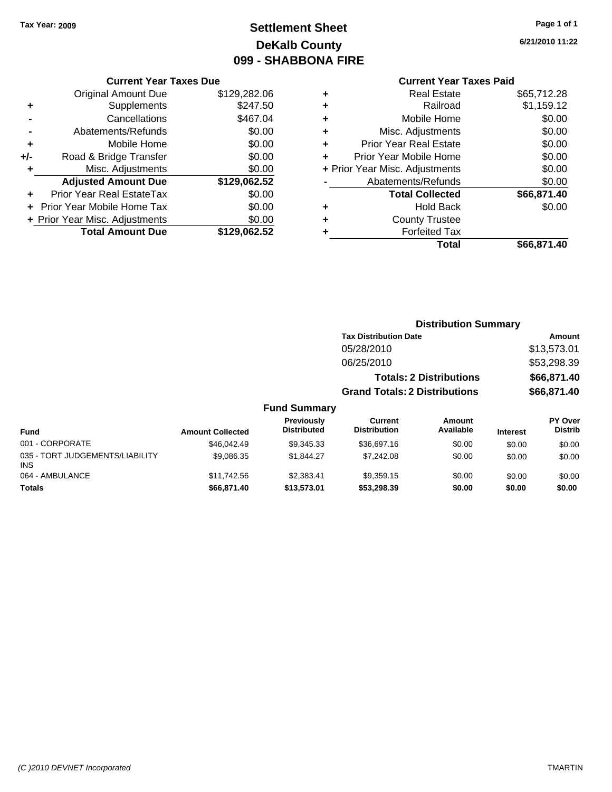# **Settlement Sheet Tax Year: 2009 Page 1 of 1 DeKalb County 099 - SHABBONA FIRE**

#### **Current Year Taxes Due**

|     | <b>Original Amount Due</b>       | \$129,282.06 |
|-----|----------------------------------|--------------|
| ٠   | Supplements                      | \$247.50     |
|     | Cancellations                    | \$467.04     |
|     | Abatements/Refunds               | \$0.00       |
| ٠   | Mobile Home                      | \$0.00       |
| +/- | Road & Bridge Transfer           | \$0.00       |
| ٠   | Misc. Adjustments                | \$0.00       |
|     | <b>Adjusted Amount Due</b>       | \$129,062.52 |
|     | <b>Prior Year Real EstateTax</b> | \$0.00       |
|     | Prior Year Mobile Home Tax       | \$0.00       |
|     | + Prior Year Misc. Adjustments   | \$0.00       |
|     | <b>Total Amount Due</b>          | \$129.062.52 |

### **Current Year Taxes Paid**

|   | <b>Real Estate</b>             | \$65,712.28 |
|---|--------------------------------|-------------|
| ٠ | Railroad                       | \$1,159.12  |
| ٠ | Mobile Home                    | \$0.00      |
| ٠ | Misc. Adjustments              | \$0.00      |
| ٠ | <b>Prior Year Real Estate</b>  | \$0.00      |
| ٠ | Prior Year Mobile Home         | \$0.00      |
|   | + Prior Year Misc. Adjustments | \$0.00      |
|   | Abatements/Refunds             | \$0.00      |
|   | <b>Total Collected</b>         | \$66,871.40 |
| ٠ | Hold Back                      | \$0.00      |
| ٠ | <b>County Trustee</b>          |             |
|   | <b>Forfeited Tax</b>           |             |
|   | Total                          | \$66,871.40 |
|   |                                |             |

| <b>Tax Distribution Date</b>         | Amount      |  |  |  |
|--------------------------------------|-------------|--|--|--|
| 05/28/2010                           | \$13,573.01 |  |  |  |
| 06/25/2010                           | \$53,298.39 |  |  |  |
| <b>Totals: 2 Distributions</b>       | \$66,871.40 |  |  |  |
| <b>Grand Totals: 2 Distributions</b> | \$66,871.40 |  |  |  |

| <b>Fund</b>                            | <b>Amount Collected</b> | <b>Previously</b><br><b>Distributed</b> | Current<br><b>Distribution</b> | Amount<br>Available | <b>Interest</b> | PY Over<br><b>Distrib</b> |
|----------------------------------------|-------------------------|-----------------------------------------|--------------------------------|---------------------|-----------------|---------------------------|
| 001 - CORPORATE                        | \$46,042.49             | \$9.345.33                              | \$36,697.16                    | \$0.00              | \$0.00          | \$0.00                    |
| 035 - TORT JUDGEMENTS/LIABILITY<br>INS | \$9,086.35              | \$1.844.27                              | \$7,242.08                     | \$0.00              | \$0.00          | \$0.00                    |
| 064 - AMBULANCE                        | \$11,742.56             | \$2.383.41                              | \$9.359.15                     | \$0.00              | \$0.00          | \$0.00                    |
| <b>Totals</b>                          | \$66,871.40             | \$13,573,01                             | \$53,298.39                    | \$0.00              | \$0.00          | \$0.00                    |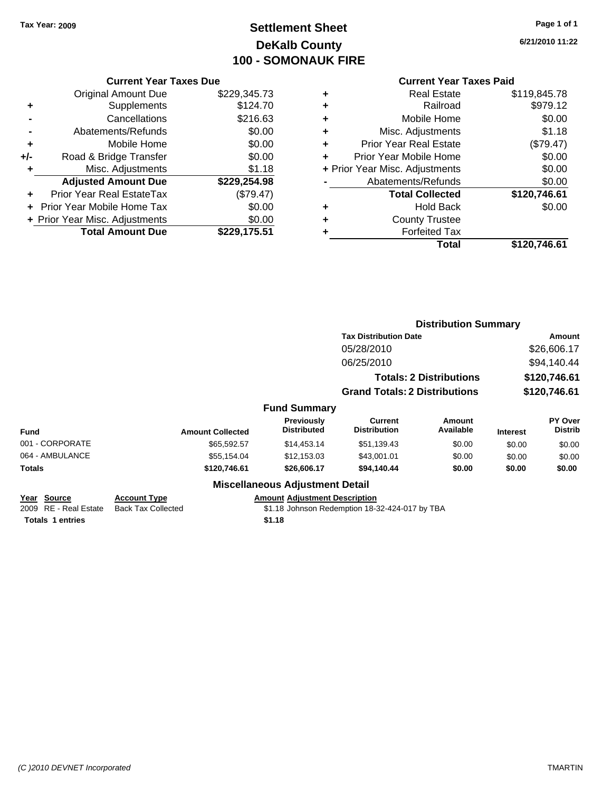# **Settlement Sheet Tax Year: 2009 Page 1 of 1 DeKalb County 100 - SOMONAUK FIRE**

**6/21/2010 11:22**

|     | <b>Original Amount Due</b>        | \$229,345.73 |
|-----|-----------------------------------|--------------|
|     | Supplements                       | \$124.70     |
|     | Cancellations                     | \$216.63     |
|     | Abatements/Refunds                | \$0.00       |
| ٠   | Mobile Home                       | \$0.00       |
| +/- | Road & Bridge Transfer            | \$0.00       |
|     | Misc. Adjustments                 | \$1.18       |
|     | <b>Adjusted Amount Due</b>        | \$229,254.98 |
|     | Prior Year Real EstateTax         | (\$79.47)    |
|     | <b>Prior Year Mobile Home Tax</b> | \$0.00       |
|     | + Prior Year Misc. Adjustments    | \$0.00       |
|     | <b>Total Amount Due</b>           | \$229,175.51 |

| ٠ | <b>Real Estate</b>             | \$119,845.78 |
|---|--------------------------------|--------------|
| ٠ | Railroad                       | \$979.12     |
| ٠ | Mobile Home                    | \$0.00       |
| ٠ | Misc. Adjustments              | \$1.18       |
| ٠ | <b>Prior Year Real Estate</b>  | (\$79.47)    |
| ٠ | Prior Year Mobile Home         | \$0.00       |
|   | + Prior Year Misc. Adjustments | \$0.00       |
|   | Abatements/Refunds             | \$0.00       |
|   | <b>Total Collected</b>         | \$120,746.61 |
| ٠ | Hold Back                      | \$0.00       |
| ٠ | <b>County Trustee</b>          |              |
| ٠ | <b>Forfeited Tax</b>           |              |
|   | Total                          | \$120,746.61 |
|   |                                |              |

|                                                                 |                                                  |                                                |                                                | <b>Distribution Summary</b>    |                 |                           |
|-----------------------------------------------------------------|--------------------------------------------------|------------------------------------------------|------------------------------------------------|--------------------------------|-----------------|---------------------------|
|                                                                 |                                                  |                                                | <b>Tax Distribution Date</b>                   |                                |                 | Amount                    |
|                                                                 |                                                  |                                                | 05/28/2010                                     |                                |                 | \$26,606.17               |
|                                                                 |                                                  |                                                | 06/25/2010                                     |                                |                 | \$94,140.44               |
|                                                                 |                                                  |                                                |                                                | <b>Totals: 2 Distributions</b> |                 | \$120,746.61              |
|                                                                 |                                                  |                                                | <b>Grand Totals: 2 Distributions</b>           |                                |                 | \$120,746.61              |
|                                                                 |                                                  | <b>Fund Summary</b>                            |                                                |                                |                 |                           |
| Fund                                                            | <b>Amount Collected</b>                          | <b>Previously</b><br><b>Distributed</b>        | <b>Current</b><br><b>Distribution</b>          | Amount<br>Available            | <b>Interest</b> | PY Over<br><b>Distrib</b> |
| 001 - CORPORATE                                                 | \$65,592.57                                      | \$14,453.14                                    | \$51,139.43                                    | \$0.00                         | \$0.00          | \$0.00                    |
| 064 - AMBULANCE                                                 | \$55,154.04                                      | \$12,153.03                                    | \$43,001.01                                    | \$0.00                         | \$0.00          | \$0.00                    |
| Totals                                                          | \$120,746.61                                     | \$26,606.17                                    | \$94,140.44                                    | \$0.00                         | \$0.00          | \$0.00                    |
|                                                                 |                                                  | <b>Miscellaneous Adjustment Detail</b>         |                                                |                                |                 |                           |
| Year Source<br>2009 RE - Real Estate<br><b>Totals 1 entries</b> | <b>Account Type</b><br><b>Back Tax Collected</b> | <b>Amount Adjustment Description</b><br>\$1.18 | \$1.18 Johnson Redemption 18-32-424-017 by TBA |                                |                 |                           |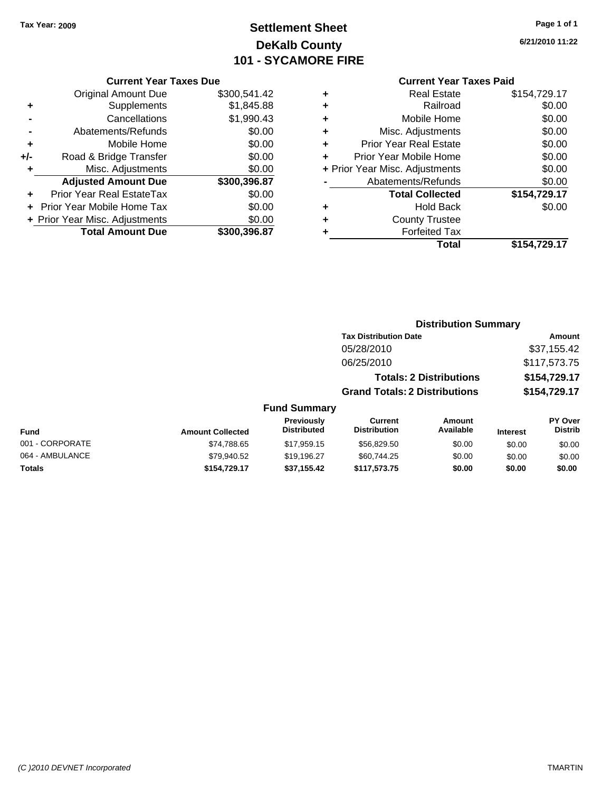Original Amount Due

**Adjusted Amount Due** 

**Total Amount Due** 

**+** Supplements **-** Cancellations **-** Abatements/Refunds **+** Mobile Home **+/-** Road & Bridge Transfer **+** Misc. Adjustments

**+** Prior Year Real EstateTax \$0.00 **+** Prior Year Mobile Home Tax **+ Prior Year Misc. Adjustments** 

# **Settlement Sheet Tax Year: 2009 Page 1 of 1 DeKalb County 101 - SYCAMORE FIRE**

**6/21/2010 11:22**

> $$0.00$ **+** Prior Year Misc. Adjustments \$0.00  $$0.00$

#### **Current Year Taxes Paid**

**Distribution Summary**

| <b>Current Year Taxes Due</b> |              |   | <b>Current Year Taxes Paid</b> |              |  |  |
|-------------------------------|--------------|---|--------------------------------|--------------|--|--|
| ıl Amount Due                 | \$300,541.42 | ÷ | <b>Real Estate</b>             | \$154,729.17 |  |  |
| Supplements                   | \$1,845.88   | ٠ | Railroad                       | \$0.00       |  |  |
| Cancellations                 | \$1,990.43   | ٠ | Mobile Home                    | \$0.00       |  |  |
| าents/Refunds                 | \$0.00       | ÷ | Misc. Adjustments              | \$0.00       |  |  |
| Mobile Home                   | \$0.00       | ÷ | <b>Prior Year Real Estate</b>  | \$0.00       |  |  |
| ridge Transfer                | \$0.00       | ٠ | Prior Year Mobile Home         | \$0.00       |  |  |
| . Adjustments                 | \$0.00       |   | + Prior Year Misc. Adjustments | \$0.00       |  |  |
| <b>Amount Due</b>             | \$300,396.87 |   | Abatements/Refunds             | \$0.00       |  |  |
| eal EstateTax                 | \$0.00       |   | <b>Total Collected</b>         | \$154,729.17 |  |  |
| pile Home Tax                 | \$0.00       | ÷ | <b>Hold Back</b>               | \$0.00       |  |  |
| . Adjustments                 | \$0.00       | ٠ | <b>County Trustee</b>          |              |  |  |
| <b>Amount Due</b>             | \$300,396.87 |   | <b>Forfeited Tax</b>           |              |  |  |
|                               |              |   | Total                          | \$154 729 17 |  |  |

| ected       | \$154,729.17 |
|-------------|--------------|
| <b>Back</b> | \$0.00       |
| ustee       |              |
| d Tax       |              |
| Total       | \$154,729.17 |
|             |              |

|                 |                         |                                         | <b>Tax Distribution Date</b>          |                                |                 | <b>Amount</b>             |
|-----------------|-------------------------|-----------------------------------------|---------------------------------------|--------------------------------|-----------------|---------------------------|
|                 |                         |                                         | 05/28/2010                            |                                |                 | \$37,155.42               |
|                 |                         |                                         | 06/25/2010                            |                                |                 | \$117,573.75              |
|                 |                         |                                         |                                       | <b>Totals: 2 Distributions</b> |                 | \$154,729.17              |
|                 |                         |                                         | <b>Grand Totals: 2 Distributions</b>  |                                |                 | \$154,729.17              |
|                 |                         | <b>Fund Summary</b>                     |                                       |                                |                 |                           |
| <b>Fund</b>     | <b>Amount Collected</b> | <b>Previously</b><br><b>Distributed</b> | <b>Current</b><br><b>Distribution</b> | Amount<br>Available            | <b>Interest</b> | PY Over<br><b>Distrib</b> |
| 001 - CORPORATE | \$74,788.65             | \$17.959.15                             | \$56,829.50                           | \$0.00                         | \$0.00          | \$0.00                    |
| 064 - AMBULANCE | \$79,940.52             | \$19.196.27                             | \$60.744.25                           | \$0.00                         | \$0.00          | \$0.00                    |
| <b>Totals</b>   | \$154,729.17            | \$37,155.42                             | \$117,573.75                          | \$0.00                         | \$0.00          | \$0.00                    |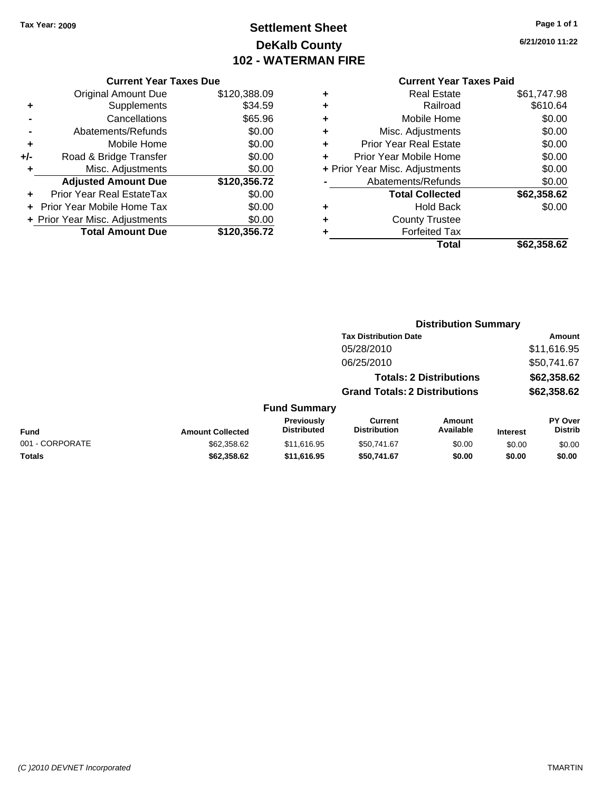# **Settlement Sheet Tax Year: 2009 Page 1 of 1 DeKalb County 102 - WATERMAN FIRE**

**6/21/2010 11:22**

|     | <b>Original Amount Due</b>       | \$120,388.09 |
|-----|----------------------------------|--------------|
| ٠   | Supplements                      | \$34.59      |
|     | Cancellations                    | \$65.96      |
|     | Abatements/Refunds               | \$0.00       |
| ÷   | Mobile Home                      | \$0.00       |
| +/- | Road & Bridge Transfer           | \$0.00       |
| ٠   | Misc. Adjustments                | \$0.00       |
|     | <b>Adjusted Amount Due</b>       | \$120,356.72 |
|     | <b>Prior Year Real EstateTax</b> | \$0.00       |
|     | Prior Year Mobile Home Tax       | \$0.00       |
|     | + Prior Year Misc. Adjustments   | \$0.00       |
|     | <b>Total Amount Due</b>          | \$120,356.72 |

|   | <b>Real Estate</b>             | \$61,747.98 |
|---|--------------------------------|-------------|
| ٠ | Railroad                       | \$610.64    |
| ٠ | Mobile Home                    | \$0.00      |
| ٠ | Misc. Adjustments              | \$0.00      |
| ٠ | Prior Year Real Estate         | \$0.00      |
| ٠ | Prior Year Mobile Home         | \$0.00      |
|   | + Prior Year Misc. Adjustments | \$0.00      |
|   | Abatements/Refunds             | \$0.00      |
|   | <b>Total Collected</b>         | \$62,358.62 |
| ٠ | Hold Back                      | \$0.00      |
| ٠ | <b>County Trustee</b>          |             |
| ٠ | <b>Forfeited Tax</b>           |             |
|   | Total                          | \$62,358.62 |
|   |                                |             |

|                 |                         |                                  |                                       | <b>Distribution Summary</b>    |                 |                           |
|-----------------|-------------------------|----------------------------------|---------------------------------------|--------------------------------|-----------------|---------------------------|
|                 |                         |                                  | <b>Tax Distribution Date</b>          |                                |                 | Amount                    |
|                 |                         |                                  | 05/28/2010                            |                                |                 | \$11,616.95               |
|                 |                         |                                  | 06/25/2010                            |                                |                 | \$50,741.67               |
|                 |                         |                                  |                                       | <b>Totals: 2 Distributions</b> |                 | \$62,358.62               |
|                 |                         |                                  | <b>Grand Totals: 2 Distributions</b>  |                                |                 | \$62,358.62               |
|                 |                         | <b>Fund Summary</b>              |                                       |                                |                 |                           |
| <b>Fund</b>     | <b>Amount Collected</b> | Previously<br><b>Distributed</b> | <b>Current</b><br><b>Distribution</b> | Amount<br>Available            | <b>Interest</b> | PY Over<br><b>Distrib</b> |
| 001 - CORPORATE | \$62,358.62             | \$11,616.95                      | \$50,741.67                           | \$0.00                         | \$0.00          | \$0.00                    |
| Totals          | \$62,358.62             | \$11,616.95                      | \$50,741.67                           | \$0.00                         | \$0.00          | \$0.00                    |
|                 |                         |                                  |                                       |                                |                 |                           |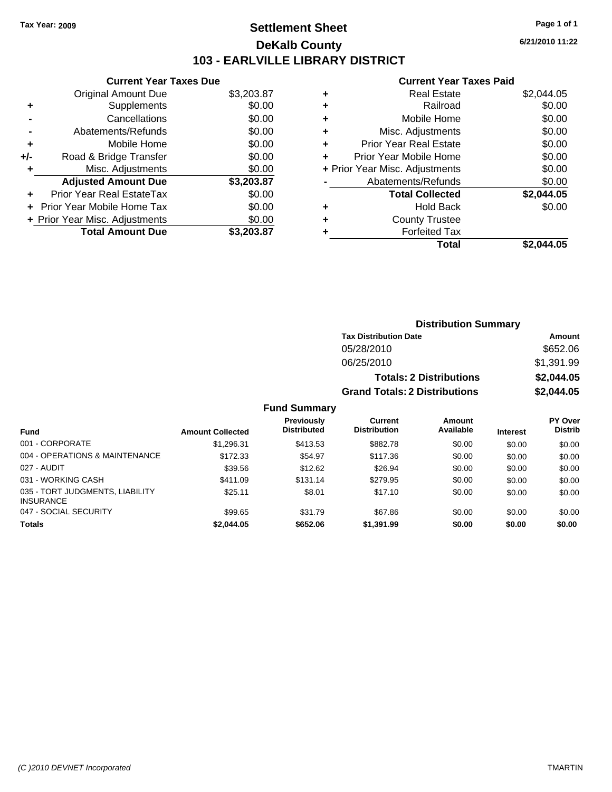### **Settlement Sheet Tax Year: 2009 Page 1 of 1 DeKalb County 103 - EARLVILLE LIBRARY DISTRICT**

**6/21/2010 11:22**

#### **Current Year Taxes Paid**

| <b>Current Year Taxes Due</b>     |            |
|-----------------------------------|------------|
| <b>Original Amount Due</b>        | \$3,203.87 |
| Supplements                       | \$0.00     |
| Cancellations                     | \$0.00     |
| Abatements/Refunds                | \$0.00     |
| Mobile Home                       | \$0.00     |
| Road & Bridge Transfer            | \$0.00     |
| Misc. Adjustments                 | \$0.00     |
| <b>Adjusted Amount Due</b>        | \$3,203.87 |
| Prior Year Real EstateTax         | \$0.00     |
| <b>Prior Year Mobile Home Tax</b> | \$0.00     |
| + Prior Year Misc. Adjustments    | \$0.00     |
| <b>Total Amount Due</b>           | \$3,203,87 |
|                                   |            |

| ٠ | <b>Real Estate</b>             | \$2,044.05 |
|---|--------------------------------|------------|
| ٠ | Railroad                       | \$0.00     |
| ٠ | Mobile Home                    | \$0.00     |
| ٠ | Misc. Adjustments              | \$0.00     |
| ٠ | <b>Prior Year Real Estate</b>  | \$0.00     |
| ٠ | Prior Year Mobile Home         | \$0.00     |
|   | + Prior Year Misc. Adjustments | \$0.00     |
|   | Abatements/Refunds             | \$0.00     |
|   | <b>Total Collected</b>         | \$2,044.05 |
| ٠ | <b>Hold Back</b>               | \$0.00     |
| ٠ | <b>County Trustee</b>          |            |
|   | <b>Forfeited Tax</b>           |            |
|   | Total                          | \$2,044.05 |

|                |                                      | <b>Distribution Summary</b>    |                |
|----------------|--------------------------------------|--------------------------------|----------------|
|                | <b>Tax Distribution Date</b>         |                                | Amount         |
|                | 05/28/2010                           |                                | \$652.06       |
|                | 06/25/2010                           |                                | \$1,391.99     |
|                |                                      | <b>Totals: 2 Distributions</b> | \$2,044.05     |
|                | <b>Grand Totals: 2 Distributions</b> |                                | \$2,044.05     |
| <b>Summary</b> |                                      |                                |                |
| reviously      | <b>Current</b>                       | Amount                         | <b>PY Over</b> |

| <b>Fund</b>                                         | <b>Amount Collected</b> | Previously<br><b>Distributed</b> | Current<br><b>Distribution</b> | Amount<br>Available | <b>Interest</b> | <b>PY Over</b><br><b>Distrib</b> |
|-----------------------------------------------------|-------------------------|----------------------------------|--------------------------------|---------------------|-----------------|----------------------------------|
| 001 - CORPORATE                                     | \$1,296.31              | \$413.53                         | \$882.78                       | \$0.00              | \$0.00          | \$0.00                           |
| 004 - OPERATIONS & MAINTENANCE                      | \$172.33                | \$54.97                          | \$117.36                       | \$0.00              | \$0.00          | \$0.00                           |
| 027 - AUDIT                                         | \$39.56                 | \$12.62                          | \$26.94                        | \$0.00              | \$0.00          | \$0.00                           |
| 031 - WORKING CASH                                  | \$411.09                | \$131.14                         | \$279.95                       | \$0.00              | \$0.00          | \$0.00                           |
| 035 - TORT JUDGMENTS, LIABILITY<br><b>INSURANCE</b> | \$25.11                 | \$8.01                           | \$17.10                        | \$0.00              | \$0.00          | \$0.00                           |
| 047 - SOCIAL SECURITY                               | \$99.65                 | \$31.79                          | \$67.86                        | \$0.00              | \$0.00          | \$0.00                           |
| <b>Totals</b>                                       | \$2,044.05              | \$652.06                         | \$1,391.99                     | \$0.00              | \$0.00          | \$0.00                           |

**Fund**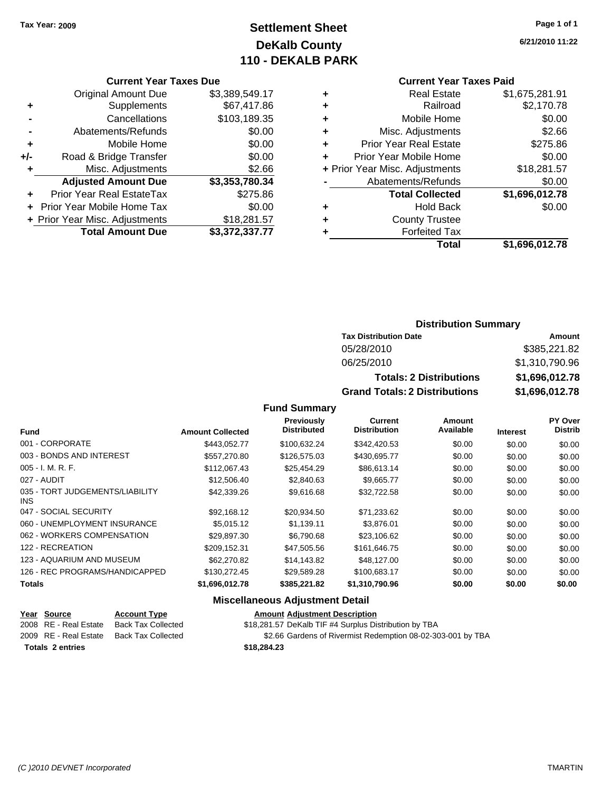# **Settlement Sheet Tax Year: 2009 Page 1 of 1 DeKalb County 110 - DEKALB PARK**

#### **Current Year Taxes Due**

|     | <b>Original Amount Due</b>       | \$3,389,549.17 |
|-----|----------------------------------|----------------|
| ٠   | Supplements                      | \$67,417.86    |
|     | Cancellations                    | \$103,189.35   |
|     | Abatements/Refunds               | \$0.00         |
| ٠   | Mobile Home                      | \$0.00         |
| +/- | Road & Bridge Transfer           | \$0.00         |
| ٠   | Misc. Adjustments                | \$2.66         |
|     | <b>Adjusted Amount Due</b>       | \$3,353,780.34 |
|     | <b>Prior Year Real EstateTax</b> | \$275.86       |
|     | Prior Year Mobile Home Tax       | \$0.00         |
|     | + Prior Year Misc. Adjustments   | \$18,281.57    |
|     | <b>Total Amount Due</b>          | \$3,372,337.77 |

#### **Current Year Taxes Paid**

| ٠ | <b>Real Estate</b>             | \$1,675,281.91 |
|---|--------------------------------|----------------|
| ٠ | Railroad                       | \$2,170.78     |
| ٠ | Mobile Home                    | \$0.00         |
| ٠ | Misc. Adjustments              | \$2.66         |
| ÷ | <b>Prior Year Real Estate</b>  | \$275.86       |
|   | Prior Year Mobile Home         | \$0.00         |
|   | + Prior Year Misc. Adjustments | \$18,281.57    |
|   | Abatements/Refunds             | \$0.00         |
|   | <b>Total Collected</b>         | \$1,696,012.78 |
| ٠ | Hold Back                      | \$0.00         |
| ٠ | <b>County Trustee</b>          |                |
| ٠ | <b>Forfeited Tax</b>           |                |
|   | Total                          | \$1,696,012.78 |
|   |                                |                |

### **Distribution Summary**

| <b>Tax Distribution Date</b>         | Amount         |
|--------------------------------------|----------------|
| 05/28/2010                           | \$385,221.82   |
| 06/25/2010                           | \$1,310,790.96 |
| <b>Totals: 2 Distributions</b>       | \$1,696,012.78 |
| <b>Grand Totals: 2 Distributions</b> | \$1,696,012.78 |

#### **Fund Summary**

| <b>Fund</b>                             | <b>Amount Collected</b> | Previously<br><b>Distributed</b> | Current<br><b>Distribution</b> | Amount<br>Available | <b>Interest</b> | PY Over<br><b>Distrib</b> |
|-----------------------------------------|-------------------------|----------------------------------|--------------------------------|---------------------|-----------------|---------------------------|
|                                         |                         |                                  |                                |                     |                 |                           |
| 001 - CORPORATE                         | \$443.052.77            | \$100.632.24                     | \$342,420.53                   | \$0.00              | \$0.00          | \$0.00                    |
| 003 - BONDS AND INTEREST                | \$557,270.80            | \$126,575.03                     | \$430,695.77                   | \$0.00              | \$0.00          | \$0.00                    |
| $005 - I. M. R. F.$                     | \$112,067.43            | \$25,454.29                      | \$86,613.14                    | \$0.00              | \$0.00          | \$0.00                    |
| 027 - AUDIT                             | \$12,506.40             | \$2,840.63                       | \$9,665.77                     | \$0.00              | \$0.00          | \$0.00                    |
| 035 - TORT JUDGEMENTS/LIABILITY<br>INS. | \$42,339.26             | \$9,616.68                       | \$32,722.58                    | \$0.00              | \$0.00          | \$0.00                    |
| 047 - SOCIAL SECURITY                   | \$92.168.12             | \$20.934.50                      | \$71,233.62                    | \$0.00              | \$0.00          | \$0.00                    |
| 060 - UNEMPLOYMENT INSURANCE            | \$5,015.12              | \$1.139.11                       | \$3,876.01                     | \$0.00              | \$0.00          | \$0.00                    |
| 062 - WORKERS COMPENSATION              | \$29,897.30             | \$6,790.68                       | \$23,106.62                    | \$0.00              | \$0.00          | \$0.00                    |
| 122 - RECREATION                        | \$209,152.31            | \$47,505.56                      | \$161,646.75                   | \$0.00              | \$0.00          | \$0.00                    |
| 123 - AQUARIUM AND MUSEUM               | \$62,270.82             | \$14,143.82                      | \$48,127,00                    | \$0.00              | \$0.00          | \$0.00                    |
| 126 - REC PROGRAMS/HANDICAPPED          | \$130,272.45            | \$29.589.28                      | \$100.683.17                   | \$0.00              | \$0.00          | \$0.00                    |
| <b>Totals</b>                           | \$1,696,012.78          | \$385,221.82                     | \$1,310,790.96                 | \$0.00              | \$0.00          | \$0.00                    |

### **Miscellaneous Adjustment Detail**

| <u>Year Source</u>      | <b>Account Type</b> | <b>Amount Adjustment Description</b>                        |
|-------------------------|---------------------|-------------------------------------------------------------|
| 2008 RE - Real Estate   | Back Tax Collected  | \$18,281.57 DeKalb TIF #4 Surplus Distribution by TBA       |
| 2009 RE - Real Estate   | Back Tax Collected  | \$2.66 Gardens of Rivermist Redemption 08-02-303-001 by TBA |
| <b>Totals 2 entries</b> |                     | \$18,284,23                                                 |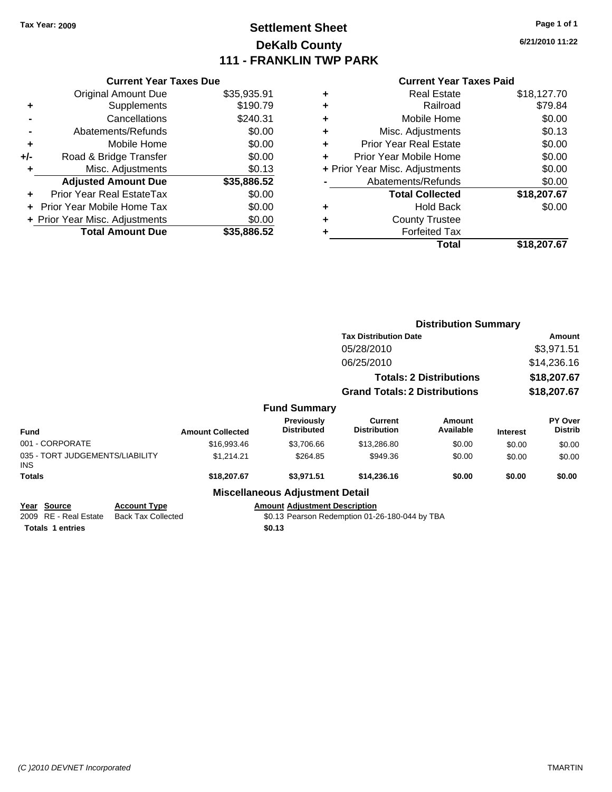# **Settlement Sheet Tax Year: 2009 Page 1 of 1 DeKalb County 111 - FRANKLIN TWP PARK**

**6/21/2010 11:22**

|     | <b>Current Year Taxes Due</b>     |             |
|-----|-----------------------------------|-------------|
|     | <b>Original Amount Due</b>        | \$35,935.91 |
| ٠   | Supplements                       | \$190.79    |
|     | Cancellations                     | \$240.31    |
|     | Abatements/Refunds                | \$0.00      |
| ٠   | Mobile Home                       | \$0.00      |
| +/- | Road & Bridge Transfer            | \$0.00      |
| ٠   | Misc. Adjustments                 | \$0.13      |
|     | <b>Adjusted Amount Due</b>        | \$35,886.52 |
| ÷   | Prior Year Real EstateTax         | \$0.00      |
|     | <b>Prior Year Mobile Home Tax</b> | \$0.00      |
|     | + Prior Year Misc. Adjustments    | \$0.00      |
|     | <b>Total Amount Due</b>           | \$35,886,52 |
|     |                                   |             |

| ٠ | <b>Real Estate</b>             | \$18,127.70 |
|---|--------------------------------|-------------|
| ٠ | Railroad                       | \$79.84     |
| ٠ | Mobile Home                    | \$0.00      |
| ٠ | Misc. Adjustments              | \$0.13      |
| ÷ | <b>Prior Year Real Estate</b>  | \$0.00      |
| ٠ | Prior Year Mobile Home         | \$0.00      |
|   | + Prior Year Misc. Adjustments | \$0.00      |
|   | Abatements/Refunds             | \$0.00      |
|   | <b>Total Collected</b>         | \$18,207.67 |
| ٠ | <b>Hold Back</b>               | \$0.00      |
|   | <b>County Trustee</b>          |             |
| ٠ | <b>Forfeited Tax</b>           |             |
|   | Total                          | \$18,207.67 |

|                                                                 |                                                  |                         |                                                |                                                | <b>Distribution Summary</b>    |                 |                           |
|-----------------------------------------------------------------|--------------------------------------------------|-------------------------|------------------------------------------------|------------------------------------------------|--------------------------------|-----------------|---------------------------|
|                                                                 |                                                  |                         |                                                | <b>Tax Distribution Date</b>                   |                                |                 | <b>Amount</b>             |
|                                                                 |                                                  |                         |                                                | 05/28/2010                                     |                                |                 | \$3,971.51                |
|                                                                 |                                                  |                         |                                                | 06/25/2010                                     |                                |                 | \$14,236.16               |
|                                                                 |                                                  |                         |                                                |                                                | <b>Totals: 2 Distributions</b> |                 | \$18,207.67               |
|                                                                 |                                                  |                         |                                                | <b>Grand Totals: 2 Distributions</b>           |                                |                 | \$18,207.67               |
|                                                                 |                                                  |                         | <b>Fund Summary</b>                            |                                                |                                |                 |                           |
| <b>Fund</b>                                                     |                                                  | <b>Amount Collected</b> | Previously<br><b>Distributed</b>               | Current<br><b>Distribution</b>                 | Amount<br>Available            | <b>Interest</b> | PY Over<br><b>Distrib</b> |
| 001 - CORPORATE                                                 |                                                  | \$16,993.46             | \$3,706.66                                     | \$13,286.80                                    | \$0.00                         | \$0.00          | \$0.00                    |
| 035 - TORT JUDGEMENTS/LIABILITY<br><b>INS</b>                   |                                                  | \$1,214.21              | \$264.85                                       | \$949.36                                       | \$0.00                         | \$0.00          | \$0.00                    |
| <b>Totals</b>                                                   |                                                  | \$18,207.67             | \$3,971.51                                     | \$14,236.16                                    | \$0.00                         | \$0.00          | \$0.00                    |
|                                                                 |                                                  |                         | <b>Miscellaneous Adjustment Detail</b>         |                                                |                                |                 |                           |
| Year Source<br>2009 RE - Real Estate<br><b>Totals 1 entries</b> | <b>Account Type</b><br><b>Back Tax Collected</b> |                         | <b>Amount Adjustment Description</b><br>\$0.13 | \$0.13 Pearson Redemption 01-26-180-044 by TBA |                                |                 |                           |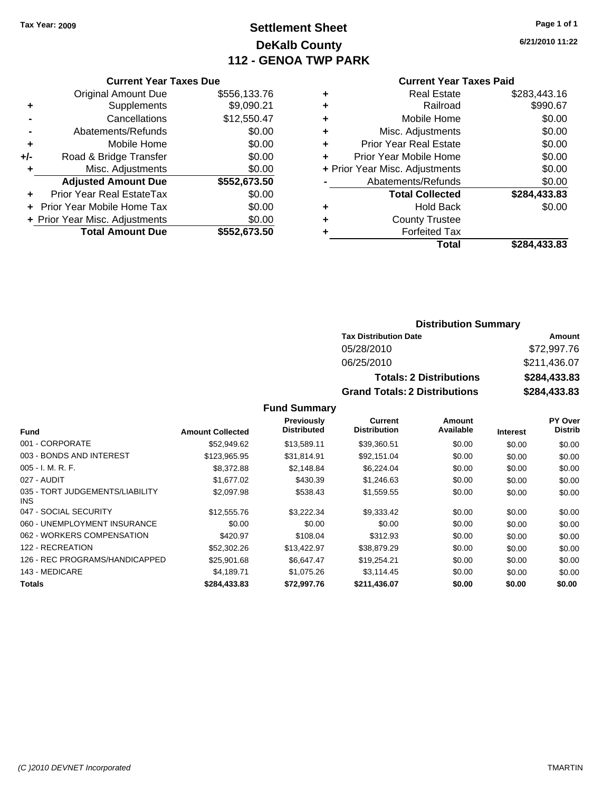# **Settlement Sheet Tax Year: 2009 Page 1 of 1 DeKalb County 112 - GENOA TWP PARK**

**6/21/2010 11:22**

|     | <b>Current Year Taxes Due</b>  |              |
|-----|--------------------------------|--------------|
|     | <b>Original Amount Due</b>     | \$556,133.76 |
|     | Supplements                    | \$9,090.21   |
|     | Cancellations                  | \$12,550.47  |
|     | Abatements/Refunds             | \$0.00       |
| ٠   | Mobile Home                    | \$0.00       |
| +/- | Road & Bridge Transfer         | \$0.00       |
| ٠   | Misc. Adjustments              | \$0.00       |
|     | <b>Adjusted Amount Due</b>     | \$552,673.50 |
| ٠   | Prior Year Real EstateTax      | \$0.00       |
|     | Prior Year Mobile Home Tax     | \$0.00       |
|     | + Prior Year Misc. Adjustments | \$0.00       |
|     | <b>Total Amount Due</b>        | \$552,673.50 |
|     |                                |              |

# **Current Year Taxes Paid +** Real Estate \$283,443.16

|   | Railroad                       | \$990.67     |
|---|--------------------------------|--------------|
| ٠ | Mobile Home                    | \$0.00       |
| ٠ | Misc. Adjustments              | \$0.00       |
| ٠ | <b>Prior Year Real Estate</b>  | \$0.00       |
| ÷ | Prior Year Mobile Home         | \$0.00       |
|   | + Prior Year Misc. Adjustments | \$0.00       |
|   | Abatements/Refunds             | \$0.00       |
|   | <b>Total Collected</b>         | \$284,433.83 |
| ٠ | <b>Hold Back</b>               | \$0.00       |
| ٠ | <b>County Trustee</b>          |              |
|   | <b>Forfeited Tax</b>           |              |
|   | Total                          | \$284,433.83 |
|   |                                |              |

### **Distribution Summary**

| <b>Tax Distribution Date</b>         | Amount       |
|--------------------------------------|--------------|
| 05/28/2010                           | \$72,997.76  |
| 06/25/2010                           | \$211,436.07 |
| <b>Totals: 2 Distributions</b>       | \$284,433.83 |
| <b>Grand Totals: 2 Distributions</b> | \$284,433.83 |

|                                               |                         | Previously         | <b>Current</b>      | Amount    |                 | PY Over        |
|-----------------------------------------------|-------------------------|--------------------|---------------------|-----------|-----------------|----------------|
| <b>Fund</b>                                   | <b>Amount Collected</b> | <b>Distributed</b> | <b>Distribution</b> | Available | <b>Interest</b> | <b>Distrib</b> |
| 001 - CORPORATE                               | \$52,949.62             | \$13,589.11        | \$39,360.51         | \$0.00    | \$0.00          | \$0.00         |
| 003 - BONDS AND INTEREST                      | \$123,965.95            | \$31,814.91        | \$92,151.04         | \$0.00    | \$0.00          | \$0.00         |
| 005 - I. M. R. F.                             | \$8,372.88              | \$2,148.84         | \$6,224.04          | \$0.00    | \$0.00          | \$0.00         |
| 027 - AUDIT                                   | \$1,677.02              | \$430.39           | \$1,246.63          | \$0.00    | \$0.00          | \$0.00         |
| 035 - TORT JUDGEMENTS/LIABILITY<br><b>INS</b> | \$2,097.98              | \$538.43           | \$1,559.55          | \$0.00    | \$0.00          | \$0.00         |
| 047 - SOCIAL SECURITY                         | \$12,555,76             | \$3,222.34         | \$9,333.42          | \$0.00    | \$0.00          | \$0.00         |
| 060 - UNEMPLOYMENT INSURANCE                  | \$0.00                  | \$0.00             | \$0.00              | \$0.00    | \$0.00          | \$0.00         |
| 062 - WORKERS COMPENSATION                    | \$420.97                | \$108.04           | \$312.93            | \$0.00    | \$0.00          | \$0.00         |
| 122 - RECREATION                              | \$52,302.26             | \$13,422.97        | \$38,879.29         | \$0.00    | \$0.00          | \$0.00         |
| 126 - REC PROGRAMS/HANDICAPPED                | \$25,901.68             | \$6.647.47         | \$19,254.21         | \$0.00    | \$0.00          | \$0.00         |
| 143 - MEDICARE                                | \$4.189.71              | \$1,075.26         | \$3.114.45          | \$0.00    | \$0.00          | \$0.00         |
| Totals                                        | \$284,433.83            | \$72,997.76        | \$211,436.07        | \$0.00    | \$0.00          | \$0.00         |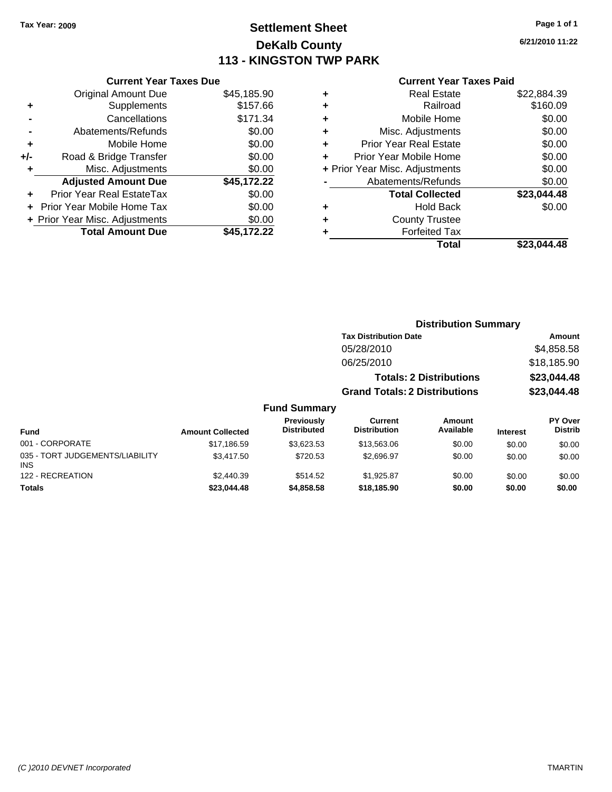**Current Year Taxes Due**

# **Settlement Sheet Tax Year: 2009 Page 1 of 1 DeKalb County 113 - KINGSTON TWP PARK**

**6/21/2010 11:22**

#### **Current Year Taxes Paid**

**Distribution Summary**

|                |                                |             |   | Total                          | \$23,044.48 |
|----------------|--------------------------------|-------------|---|--------------------------------|-------------|
|                | <b>Total Amount Due</b>        | \$45,172.22 |   | <b>Forfeited Tax</b>           |             |
|                | + Prior Year Misc. Adjustments | \$0.00      | ٠ | <b>County Trustee</b>          |             |
|                | + Prior Year Mobile Home Tax   | \$0.00      | ٠ | <b>Hold Back</b>               | \$0.00      |
| $\ddot{}$      | Prior Year Real EstateTax      | \$0.00      |   | <b>Total Collected</b>         | \$23,044.48 |
|                | <b>Adjusted Amount Due</b>     | \$45,172.22 |   | Abatements/Refunds             | \$0.00      |
| ٠              | Misc. Adjustments              | \$0.00      |   | + Prior Year Misc. Adjustments | \$0.00      |
| I-             | Road & Bridge Transfer         | \$0.00      |   | Prior Year Mobile Home         | \$0.00      |
| ÷              | Mobile Home                    | \$0.00      |   | <b>Prior Year Real Estate</b>  | \$0.00      |
| $\blacksquare$ | Abatements/Refunds             | \$0.00      |   | Misc. Adjustments              | \$0.00      |
|                | Cancellations                  | \$171.34    | ٠ | Mobile Home                    | \$0.00      |
| ÷              | Supplements                    | \$157.66    | ٠ | Railroad                       | \$160.09    |
|                | <b>Original Amount Due</b>     | \$45,185.90 | ٠ | <b>Real Estate</b>             | \$22,884.39 |
|                |                                |             |   |                                |             |

|                                         |                         |                                  | <b>PISUIDUUDII OUIIIIIIUI V</b>       |                                |                 |                                  |
|-----------------------------------------|-------------------------|----------------------------------|---------------------------------------|--------------------------------|-----------------|----------------------------------|
|                                         |                         |                                  | <b>Tax Distribution Date</b>          |                                |                 | Amount                           |
|                                         |                         |                                  | 05/28/2010                            |                                |                 | \$4,858.58                       |
|                                         |                         |                                  | 06/25/2010                            |                                |                 | \$18,185.90                      |
|                                         |                         |                                  |                                       | <b>Totals: 2 Distributions</b> | \$23,044.48     |                                  |
|                                         |                         |                                  | <b>Grand Totals: 2 Distributions</b>  |                                |                 | \$23,044.48                      |
|                                         |                         | <b>Fund Summary</b>              |                                       |                                |                 |                                  |
| <b>Fund</b>                             | <b>Amount Collected</b> | Previously<br><b>Distributed</b> | <b>Current</b><br><b>Distribution</b> | Amount<br>Available            | <b>Interest</b> | <b>PY Over</b><br><b>Distrib</b> |
| 001 - CORPORATE                         | \$17,186.59             | \$3,623.53                       | \$13,563.06                           | \$0.00                         | \$0.00          | \$0.00                           |
| 035 - TORT JUDGEMENTS/LIABILITY<br>INS. | \$3,417.50              | \$720.53                         | \$2,696.97                            | \$0.00                         | \$0.00          | \$0.00                           |
| 122 - RECREATION                        | \$2,440.39              | \$514.52                         | \$1,925.87                            | \$0.00                         | \$0.00          | \$0.00                           |
| <b>Totals</b>                           | \$23,044.48             | \$4,858.58                       | \$18,185.90                           | \$0.00                         | \$0.00          | \$0.00                           |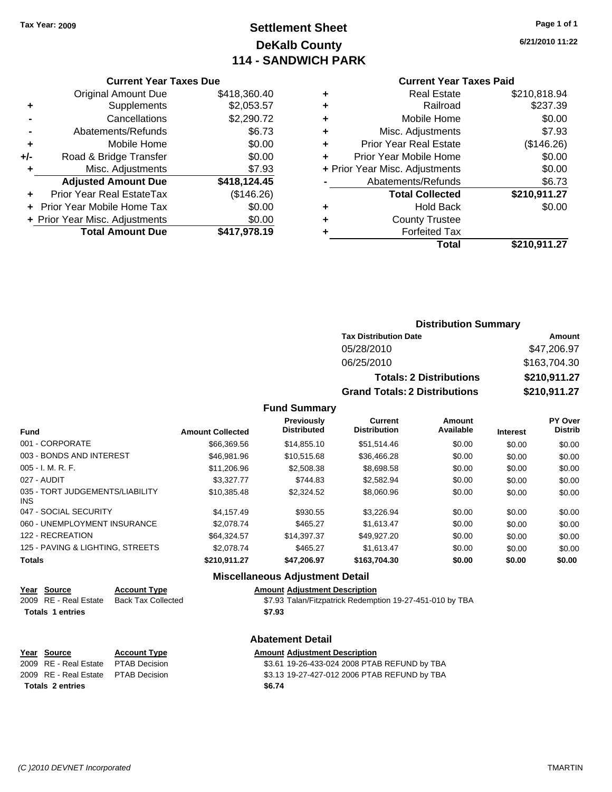# **Settlement Sheet Tax Year: 2009 Page 1 of 1 DeKalb County 114 - SANDWICH PARK**

**6/21/2010 11:22**

#### **Current Year Taxes Due**

|     | <b>Original Amount Due</b>       | \$418,360.40 |
|-----|----------------------------------|--------------|
| ٠   | Supplements                      | \$2,053.57   |
|     | Cancellations                    | \$2,290.72   |
|     | Abatements/Refunds               | \$6.73       |
| ٠   | Mobile Home                      | \$0.00       |
| +/- | Road & Bridge Transfer           | \$0.00       |
|     | Misc. Adjustments                | \$7.93       |
|     | <b>Adjusted Amount Due</b>       | \$418,124.45 |
|     | <b>Prior Year Real EstateTax</b> | (\$146.26)   |
|     | Prior Year Mobile Home Tax       | \$0.00       |
|     | + Prior Year Misc. Adjustments   | \$0.00       |
|     | <b>Total Amount Due</b>          | \$417,978.19 |

### **Current Year Taxes Paid**

| ٠ | <b>Real Estate</b>             | \$210,818.94 |
|---|--------------------------------|--------------|
| ٠ | Railroad                       | \$237.39     |
| ٠ | Mobile Home                    | \$0.00       |
| ÷ | Misc. Adjustments              | \$7.93       |
| ٠ | Prior Year Real Estate         | (\$146.26)   |
| ٠ | Prior Year Mobile Home         | \$0.00       |
|   | + Prior Year Misc. Adjustments | \$0.00       |
|   | Abatements/Refunds             | \$6.73       |
|   | <b>Total Collected</b>         | \$210,911.27 |
| ٠ | Hold Back                      | \$0.00       |
| ٠ | <b>County Trustee</b>          |              |
| ٠ | <b>Forfeited Tax</b>           |              |
|   | Total                          | \$210,911.27 |
|   |                                |              |

### **Distribution Summary**

| <b>Tax Distribution Date</b>         | Amount       |  |  |
|--------------------------------------|--------------|--|--|
| 05/28/2010                           | \$47,206.97  |  |  |
| 06/25/2010                           | \$163,704.30 |  |  |
| <b>Totals: 2 Distributions</b>       | \$210,911.27 |  |  |
| <b>Grand Totals: 2 Distributions</b> | \$210,911.27 |  |  |

#### **Fund Summary**

| <b>Fund</b>                             | <b>Amount Collected</b> | Previously<br><b>Distributed</b> | Current<br><b>Distribution</b> | Amount<br>Available | <b>Interest</b> | <b>PY Over</b><br><b>Distrib</b> |
|-----------------------------------------|-------------------------|----------------------------------|--------------------------------|---------------------|-----------------|----------------------------------|
| 001 - CORPORATE                         | \$66,369.56             | \$14,855.10                      | \$51,514.46                    | \$0.00              | \$0.00          | \$0.00                           |
| 003 - BONDS AND INTEREST                | \$46,981.96             | \$10.515.68                      | \$36,466.28                    | \$0.00              | \$0.00          | \$0.00                           |
| 005 - I. M. R. F.                       | \$11,206.96             | \$2,508.38                       | \$8,698.58                     | \$0.00              | \$0.00          | \$0.00                           |
| 027 - AUDIT                             | \$3.327.77              | \$744.83                         | \$2,582.94                     | \$0.00              | \$0.00          | \$0.00                           |
| 035 - TORT JUDGEMENTS/LIABILITY<br>INS. | \$10.385.48             | \$2,324.52                       | \$8,060.96                     | \$0.00              | \$0.00          | \$0.00                           |
| 047 - SOCIAL SECURITY                   | \$4,157.49              | \$930.55                         | \$3.226.94                     | \$0.00              | \$0.00          | \$0.00                           |
| 060 - UNEMPLOYMENT INSURANCE            | \$2,078.74              | \$465.27                         | \$1.613.47                     | \$0.00              | \$0.00          | \$0.00                           |
| 122 - RECREATION                        | \$64.324.57             | \$14,397.37                      | \$49,927.20                    | \$0.00              | \$0.00          | \$0.00                           |
| 125 - PAVING & LIGHTING, STREETS        | \$2,078.74              | \$465.27                         | \$1.613.47                     | \$0.00              | \$0.00          | \$0.00                           |
| Totals                                  | \$210,911.27            | \$47,206.97                      | \$163,704.30                   | \$0.00              | \$0.00          | \$0.00                           |

### **Miscellaneous Adjustment Detail**

| Year Source             | <b>Account Type</b>       | <b>Amount Adjustment Description</b>                     |
|-------------------------|---------------------------|----------------------------------------------------------|
| 2009 RE - Real Estate   | <b>Back Tax Collected</b> | \$7.93 Talan/Fitzpatrick Redemption 19-27-451-010 by TBA |
| <b>Totals 1 entries</b> |                           | \$7.93                                                   |
|                         |                           |                                                          |

### **Abatement Detail**

#### **Year Source Account Type Amount Adjustment Description**

| Totals 2 entries                    | \$6.74                                       |
|-------------------------------------|----------------------------------------------|
| 2009 RE - Real Estate PTAB Decision | \$3.13 19-27-427-012 2006 PTAB REFUND by TBA |
| 2009 RE - Real Estate PTAB Decision | \$3.61 19-26-433-024 2008 PTAB REFUND by TBA |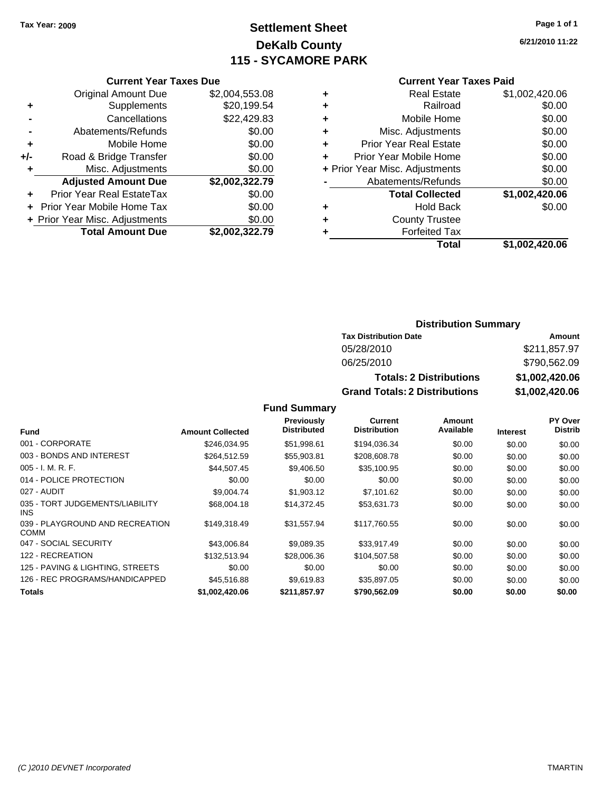# **Settlement Sheet Tax Year: 2009 Page 1 of 1 DeKalb County 115 - SYCAMORE PARK**

**6/21/2010 11:22**

#### **Current Year Taxes Paid**

|   | Total                          | \$1.002.420.06 |
|---|--------------------------------|----------------|
|   | <b>Forfeited Tax</b>           |                |
| ٠ | <b>County Trustee</b>          |                |
| ٠ | <b>Hold Back</b>               | \$0.00         |
|   | <b>Total Collected</b>         | \$1,002,420.06 |
|   | Abatements/Refunds             | \$0.00         |
|   | + Prior Year Misc. Adjustments | \$0.00         |
| ٠ | Prior Year Mobile Home         | \$0.00         |
| ٠ | <b>Prior Year Real Estate</b>  | \$0.00         |
| ٠ | Misc. Adjustments              | \$0.00         |
| ٠ | Mobile Home                    | \$0.00         |
| ٠ | Railroad                       | \$0.00         |
| ٠ | <b>Real Estate</b>             | \$1,002,420.06 |
|   |                                |                |

|     | <b>Current Year Taxes Due</b>    |                |  |  |  |  |
|-----|----------------------------------|----------------|--|--|--|--|
|     | <b>Original Amount Due</b>       | \$2,004,553.08 |  |  |  |  |
| ÷   | Supplements                      | \$20,199.54    |  |  |  |  |
|     | Cancellations                    | \$22,429.83    |  |  |  |  |
|     | Abatements/Refunds               | \$0.00         |  |  |  |  |
| ٠   | Mobile Home                      | \$0.00         |  |  |  |  |
| +/- | Road & Bridge Transfer           | \$0.00         |  |  |  |  |
| ٠   | Misc. Adjustments                |                |  |  |  |  |
|     | <b>Adjusted Amount Due</b>       | \$2,002,322.79 |  |  |  |  |
|     | <b>Prior Year Real EstateTax</b> | \$0.00         |  |  |  |  |
|     | Prior Year Mobile Home Tax       | \$0.00         |  |  |  |  |
|     | + Prior Year Misc. Adjustments   | \$0.00         |  |  |  |  |
|     | <b>Total Amount Due</b>          | \$2,002,322.79 |  |  |  |  |

### **Distribution Summary**

| <b>Tax Distribution Date</b>         | Amount         |
|--------------------------------------|----------------|
| 05/28/2010                           | \$211,857.97   |
| 06/25/2010                           | \$790,562.09   |
| <b>Totals: 2 Distributions</b>       | \$1,002,420.06 |
| <b>Grand Totals: 2 Distributions</b> | \$1,002,420.06 |

|                                                |                         | Previously<br><b>Distributed</b> | <b>Current</b><br><b>Distribution</b> | Amount<br>Available |                 | PY Over<br><b>Distrib</b> |
|------------------------------------------------|-------------------------|----------------------------------|---------------------------------------|---------------------|-----------------|---------------------------|
| <b>Fund</b>                                    | <b>Amount Collected</b> |                                  |                                       |                     | <b>Interest</b> |                           |
| 001 - CORPORATE                                | \$246,034.95            | \$51,998.61                      | \$194,036.34                          | \$0.00              | \$0.00          | \$0.00                    |
| 003 - BONDS AND INTEREST                       | \$264,512.59            | \$55,903.81                      | \$208,608.78                          | \$0.00              | \$0.00          | \$0.00                    |
| $005 - I. M. R. F.$                            | \$44,507.45             | \$9,406.50                       | \$35,100.95                           | \$0.00              | \$0.00          | \$0.00                    |
| 014 - POLICE PROTECTION                        | \$0.00                  | \$0.00                           | \$0.00                                | \$0.00              | \$0.00          | \$0.00                    |
| 027 - AUDIT                                    | \$9,004.74              | \$1,903.12                       | \$7,101.62                            | \$0.00              | \$0.00          | \$0.00                    |
| 035 - TORT JUDGEMENTS/LIABILITY<br>INS.        | \$68,004.18             | \$14,372.45                      | \$53,631.73                           | \$0.00              | \$0.00          | \$0.00                    |
| 039 - PLAYGROUND AND RECREATION<br><b>COMM</b> | \$149.318.49            | \$31,557.94                      | \$117,760.55                          | \$0.00              | \$0.00          | \$0.00                    |
| 047 - SOCIAL SECURITY                          | \$43,006.84             | \$9,089.35                       | \$33.917.49                           | \$0.00              | \$0.00          | \$0.00                    |
| 122 - RECREATION                               | \$132,513.94            | \$28,006.36                      | \$104.507.58                          | \$0.00              | \$0.00          | \$0.00                    |
| 125 - PAVING & LIGHTING, STREETS               | \$0.00                  | \$0.00                           | \$0.00                                | \$0.00              | \$0.00          | \$0.00                    |
| 126 - REC PROGRAMS/HANDICAPPED                 | \$45,516.88             | \$9.619.83                       | \$35,897.05                           | \$0.00              | \$0.00          | \$0.00                    |
| Totals                                         | \$1,002,420.06          | \$211,857.97                     | \$790,562.09                          | \$0.00              | \$0.00          | \$0.00                    |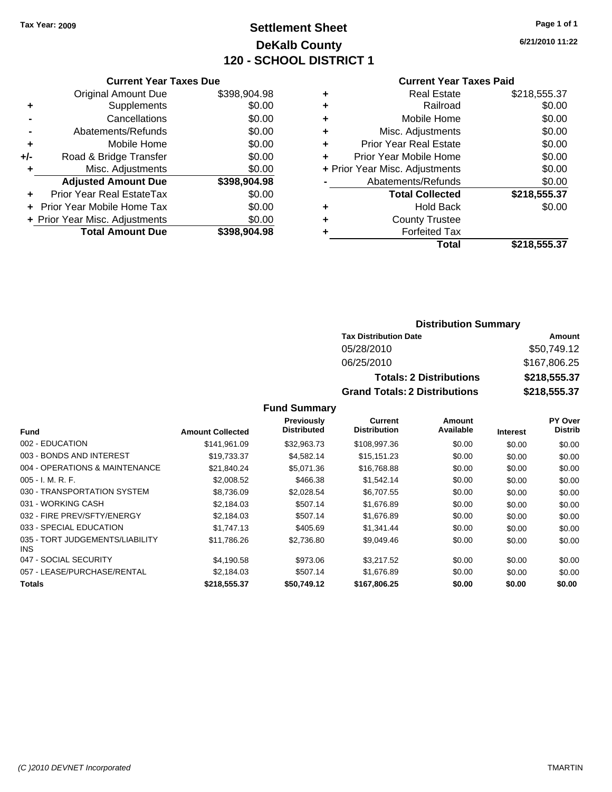# **Settlement Sheet Tax Year: 2009 Page 1 of 1 DeKalb County 120 - SCHOOL DISTRICT 1**

**6/21/2010 11:22**

#### **Current Year Taxes Due**

|     | <b>Original Amount Due</b>        | \$398,904.98 |
|-----|-----------------------------------|--------------|
|     | Supplements                       | \$0.00       |
|     | Cancellations                     | \$0.00       |
|     | Abatements/Refunds                | \$0.00       |
| ٠   | Mobile Home                       | \$0.00       |
| +/- | Road & Bridge Transfer            | \$0.00       |
|     | Misc. Adjustments                 | \$0.00       |
|     | <b>Adjusted Amount Due</b>        | \$398,904.98 |
| ٠   | Prior Year Real EstateTax         | \$0.00       |
|     | <b>Prior Year Mobile Home Tax</b> | \$0.00       |
|     | + Prior Year Misc. Adjustments    | \$0.00       |
|     | <b>Total Amount Due</b>           | \$398,904.98 |

#### **Current Year Taxes Paid**

| ٠ | <b>Real Estate</b>             | \$218,555.37 |
|---|--------------------------------|--------------|
| ٠ | Railroad                       | \$0.00       |
| ٠ | Mobile Home                    | \$0.00       |
| ٠ | Misc. Adjustments              | \$0.00       |
| ٠ | <b>Prior Year Real Estate</b>  | \$0.00       |
|   | Prior Year Mobile Home         | \$0.00       |
|   | + Prior Year Misc. Adjustments | \$0.00       |
|   | Abatements/Refunds             | \$0.00       |
|   | <b>Total Collected</b>         | \$218,555.37 |
| ٠ | Hold Back                      | \$0.00       |
| ٠ | <b>County Trustee</b>          |              |
| ٠ | <b>Forfeited Tax</b>           |              |
|   | Total                          | \$218,555.37 |
|   |                                |              |

### **Distribution Summary**

| <b>Tax Distribution Date</b>         | Amount       |
|--------------------------------------|--------------|
| 05/28/2010                           | \$50.749.12  |
| 06/25/2010                           | \$167,806.25 |
| <b>Totals: 2 Distributions</b>       | \$218,555,37 |
| <b>Grand Totals: 2 Distributions</b> | \$218,555.37 |

|                                         |                         | Previously         | <b>Current</b>      | Amount    |                 | PY Over        |
|-----------------------------------------|-------------------------|--------------------|---------------------|-----------|-----------------|----------------|
| <b>Fund</b>                             | <b>Amount Collected</b> | <b>Distributed</b> | <b>Distribution</b> | Available | <b>Interest</b> | <b>Distrib</b> |
| 002 - EDUCATION                         | \$141,961.09            | \$32,963.73        | \$108,997.36        | \$0.00    | \$0.00          | \$0.00         |
| 003 - BONDS AND INTEREST                | \$19,733.37             | \$4,582.14         | \$15,151.23         | \$0.00    | \$0.00          | \$0.00         |
| 004 - OPERATIONS & MAINTENANCE          | \$21,840.24             | \$5.071.36         | \$16,768.88         | \$0.00    | \$0.00          | \$0.00         |
| $005 - I. M. R. F.$                     | \$2,008.52              | \$466.38           | \$1,542.14          | \$0.00    | \$0.00          | \$0.00         |
| 030 - TRANSPORTATION SYSTEM             | \$8,736.09              | \$2,028.54         | \$6,707.55          | \$0.00    | \$0.00          | \$0.00         |
| 031 - WORKING CASH                      | \$2,184.03              | \$507.14           | \$1,676.89          | \$0.00    | \$0.00          | \$0.00         |
| 032 - FIRE PREV/SFTY/ENERGY             | \$2,184.03              | \$507.14           | \$1,676.89          | \$0.00    | \$0.00          | \$0.00         |
| 033 - SPECIAL EDUCATION                 | \$1,747.13              | \$405.69           | \$1,341.44          | \$0.00    | \$0.00          | \$0.00         |
| 035 - TORT JUDGEMENTS/LIABILITY<br>INS. | \$11,786.26             | \$2,736.80         | \$9,049.46          | \$0.00    | \$0.00          | \$0.00         |
| 047 - SOCIAL SECURITY                   | \$4,190.58              | \$973.06           | \$3,217.52          | \$0.00    | \$0.00          | \$0.00         |
| 057 - LEASE/PURCHASE/RENTAL             | \$2.184.03              | \$507.14           | \$1,676.89          | \$0.00    | \$0.00          | \$0.00         |
| <b>Totals</b>                           | \$218,555.37            | \$50,749.12        | \$167,806.25        | \$0.00    | \$0.00          | \$0.00         |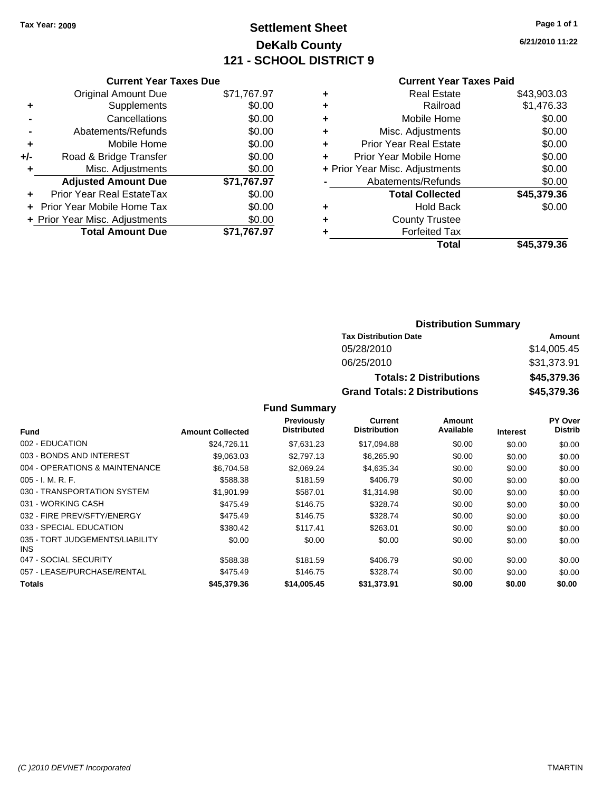# **Settlement Sheet Tax Year: 2009 Page 1 of 1 DeKalb County 121 - SCHOOL DISTRICT 9**

**6/21/2010 11:22**

#### **Current Year Taxes Paid**

|     | <b>Current Year Taxes Due</b>     |             |
|-----|-----------------------------------|-------------|
|     | <b>Original Amount Due</b>        | \$71,767.97 |
| ÷   | Supplements                       | \$0.00      |
|     | Cancellations                     | \$0.00      |
|     | Abatements/Refunds                | \$0.00      |
| ٠   | Mobile Home                       | \$0.00      |
| +/- | Road & Bridge Transfer            | \$0.00      |
|     | Misc. Adjustments                 | \$0.00      |
|     | <b>Adjusted Amount Due</b>        | \$71,767.97 |
|     | Prior Year Real EstateTax         | \$0.00      |
|     | <b>Prior Year Mobile Home Tax</b> | \$0.00      |
|     | + Prior Year Misc. Adjustments    | \$0.00      |
|     | <b>Total Amount Due</b>           | \$71.767.97 |
|     |                                   |             |

| ٠ | <b>Real Estate</b>             | \$43,903.03 |
|---|--------------------------------|-------------|
| ٠ | Railroad                       | \$1,476.33  |
| ٠ | Mobile Home                    | \$0.00      |
| ٠ | Misc. Adjustments              | \$0.00      |
| ÷ | <b>Prior Year Real Estate</b>  | \$0.00      |
| ٠ | Prior Year Mobile Home         | \$0.00      |
|   | + Prior Year Misc. Adjustments | \$0.00      |
|   | Abatements/Refunds             | \$0.00      |
|   | <b>Total Collected</b>         | \$45,379.36 |
| ٠ | <b>Hold Back</b>               | \$0.00      |
| ٠ | <b>County Trustee</b>          |             |
| ٠ | <b>Forfeited Tax</b>           |             |
|   | Total                          | \$45,379.36 |
|   |                                |             |

### **Distribution Summary**

| <b>Tax Distribution Date</b>         | Amount      |
|--------------------------------------|-------------|
| 05/28/2010                           | \$14,005.45 |
| 06/25/2010                           | \$31,373.91 |
| <b>Totals: 2 Distributions</b>       | \$45,379.36 |
| <b>Grand Totals: 2 Distributions</b> | \$45,379.36 |

|                                         |                         | Previously         | Current             | Amount    |                 | PY Over        |
|-----------------------------------------|-------------------------|--------------------|---------------------|-----------|-----------------|----------------|
| <b>Fund</b>                             | <b>Amount Collected</b> | <b>Distributed</b> | <b>Distribution</b> | Available | <b>Interest</b> | <b>Distrib</b> |
| 002 - EDUCATION                         | \$24,726.11             | \$7.631.23         | \$17,094.88         | \$0.00    | \$0.00          | \$0.00         |
| 003 - BONDS AND INTEREST                | \$9,063.03              | \$2,797.13         | \$6,265.90          | \$0.00    | \$0.00          | \$0.00         |
| 004 - OPERATIONS & MAINTENANCE          | \$6.704.58              | \$2.069.24         | \$4,635.34          | \$0.00    | \$0.00          | \$0.00         |
| $005 - I. M. R. F.$                     | \$588.38                | \$181.59           | \$406.79            | \$0.00    | \$0.00          | \$0.00         |
| 030 - TRANSPORTATION SYSTEM             | \$1,901.99              | \$587.01           | \$1,314.98          | \$0.00    | \$0.00          | \$0.00         |
| 031 - WORKING CASH                      | \$475.49                | \$146.75           | \$328.74            | \$0.00    | \$0.00          | \$0.00         |
| 032 - FIRE PREV/SFTY/ENERGY             | \$475.49                | \$146.75           | \$328.74            | \$0.00    | \$0.00          | \$0.00         |
| 033 - SPECIAL EDUCATION                 | \$380.42                | \$117.41           | \$263.01            | \$0.00    | \$0.00          | \$0.00         |
| 035 - TORT JUDGEMENTS/LIABILITY<br>INS. | \$0.00                  | \$0.00             | \$0.00              | \$0.00    | \$0.00          | \$0.00         |
| 047 - SOCIAL SECURITY                   | \$588.38                | \$181.59           | \$406.79            | \$0.00    | \$0.00          | \$0.00         |
| 057 - LEASE/PURCHASE/RENTAL             | \$475.49                | \$146.75           | \$328.74            | \$0.00    | \$0.00          | \$0.00         |
| <b>Totals</b>                           | \$45,379.36             | \$14,005.45        | \$31,373.91         | \$0.00    | \$0.00          | \$0.00         |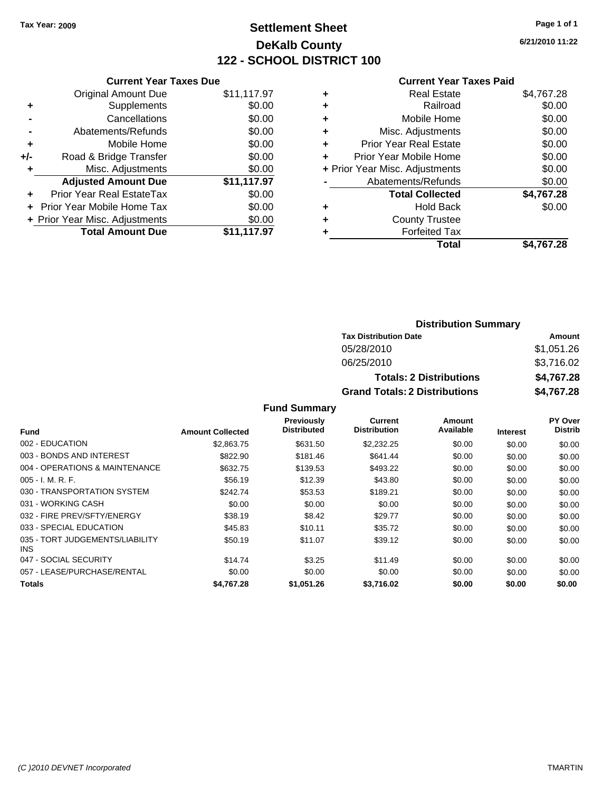# **Settlement Sheet Tax Year: 2009 Page 1 of 1 DeKalb County 122 - SCHOOL DISTRICT 100**

**6/21/2010 11:22**

#### **Current Year Taxes Paid**

|     | <b>Current Year Taxes Due</b>     |             |
|-----|-----------------------------------|-------------|
|     | <b>Original Amount Due</b>        | \$11,117.97 |
| ÷   | Supplements                       | \$0.00      |
|     | Cancellations                     | \$0.00      |
|     | Abatements/Refunds                | \$0.00      |
| ٠   | Mobile Home                       | \$0.00      |
| +/- | Road & Bridge Transfer            | \$0.00      |
|     | Misc. Adjustments                 | \$0.00      |
|     | <b>Adjusted Amount Due</b>        | \$11,117.97 |
| ٠   | Prior Year Real EstateTax         | \$0.00      |
|     | <b>Prior Year Mobile Home Tax</b> | \$0.00      |
|     | + Prior Year Misc. Adjustments    | \$0.00      |
|     | <b>Total Amount Due</b>           | \$11,117.97 |
|     |                                   |             |

| <b>Real Estate</b>             | \$4,767.28 |
|--------------------------------|------------|
| Railroad                       | \$0.00     |
| Mobile Home                    | \$0.00     |
| Misc. Adjustments              | \$0.00     |
| <b>Prior Year Real Estate</b>  | \$0.00     |
| Prior Year Mobile Home         | \$0.00     |
| + Prior Year Misc. Adjustments | \$0.00     |
| Abatements/Refunds             | \$0.00     |
| <b>Total Collected</b>         | \$4,767.28 |
| <b>Hold Back</b>               | \$0.00     |
| <b>County Trustee</b>          |            |
| <b>Forfeited Tax</b>           |            |
| Total                          | \$4.767.28 |
|                                |            |

### **Distribution Summary Tax Distribution Date Amount** 05/28/2010 \$1,051.26

06/25/2010 \$3,716.02 **Totals: 2 Distributions \$4,767.28 Grand Totals: 2 Distributions \$4,767.28**

| <b>Fund Summary</b> |  |  |
|---------------------|--|--|
|                     |  |  |

|                                         |                         | <b>Previously</b>  | Current             | Amount    |                 | PY Over        |
|-----------------------------------------|-------------------------|--------------------|---------------------|-----------|-----------------|----------------|
| <b>Fund</b>                             | <b>Amount Collected</b> | <b>Distributed</b> | <b>Distribution</b> | Available | <b>Interest</b> | <b>Distrib</b> |
| 002 - EDUCATION                         | \$2,863.75              | \$631.50           | \$2,232.25          | \$0.00    | \$0.00          | \$0.00         |
| 003 - BONDS AND INTEREST                | \$822.90                | \$181.46           | \$641.44            | \$0.00    | \$0.00          | \$0.00         |
| 004 - OPERATIONS & MAINTENANCE          | \$632.75                | \$139.53           | \$493.22            | \$0.00    | \$0.00          | \$0.00         |
| $005 - I. M. R. F.$                     | \$56.19                 | \$12.39            | \$43.80             | \$0.00    | \$0.00          | \$0.00         |
| 030 - TRANSPORTATION SYSTEM             | \$242.74                | \$53.53            | \$189.21            | \$0.00    | \$0.00          | \$0.00         |
| 031 - WORKING CASH                      | \$0.00                  | \$0.00             | \$0.00              | \$0.00    | \$0.00          | \$0.00         |
| 032 - FIRE PREV/SFTY/ENERGY             | \$38.19                 | \$8.42             | \$29.77             | \$0.00    | \$0.00          | \$0.00         |
| 033 - SPECIAL EDUCATION                 | \$45.83                 | \$10.11            | \$35.72             | \$0.00    | \$0.00          | \$0.00         |
| 035 - TORT JUDGEMENTS/LIABILITY<br>INS. | \$50.19                 | \$11.07            | \$39.12             | \$0.00    | \$0.00          | \$0.00         |
| 047 - SOCIAL SECURITY                   | \$14.74                 | \$3.25             | \$11.49             | \$0.00    | \$0.00          | \$0.00         |
| 057 - LEASE/PURCHASE/RENTAL             | \$0.00                  | \$0.00             | \$0.00              | \$0.00    | \$0.00          | \$0.00         |
| <b>Totals</b>                           | \$4,767.28              | \$1,051.26         | \$3.716.02          | \$0.00    | \$0.00          | \$0.00         |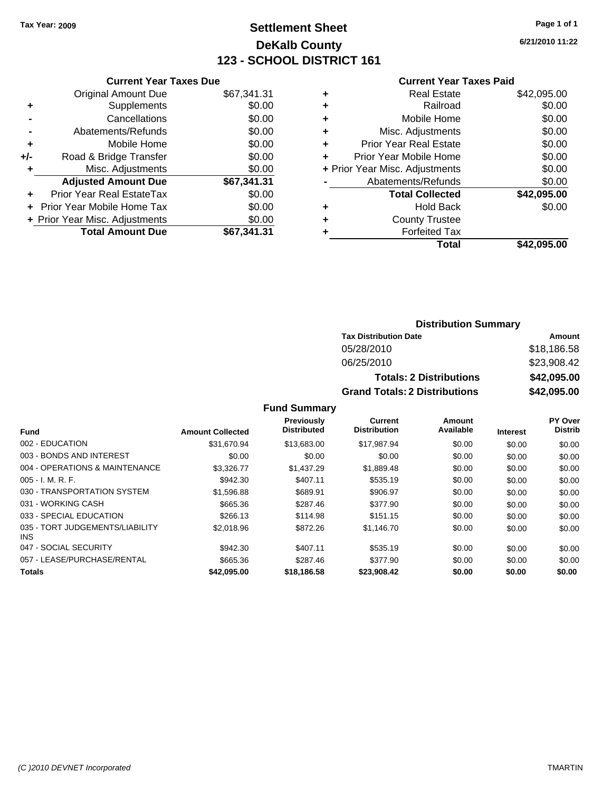# **Settlement Sheet Tax Year: 2009 Page 1 of 1 DeKalb County 123 - SCHOOL DISTRICT 161**

**6/21/2010 11:22**

#### **Current Year Taxes Paid**

| <b>Current Year Taxes Due</b>     |                                |
|-----------------------------------|--------------------------------|
| <b>Original Amount Due</b>        | \$67,341.31                    |
| Supplements                       | \$0.00                         |
| Cancellations                     | \$0.00                         |
| Abatements/Refunds                | \$0.00                         |
| Mobile Home                       | \$0.00                         |
| Road & Bridge Transfer            | \$0.00                         |
| Misc. Adjustments                 | \$0.00                         |
| <b>Adjusted Amount Due</b>        | \$67,341.31                    |
| Prior Year Real EstateTax         | \$0.00                         |
| <b>Prior Year Mobile Home Tax</b> | \$0.00                         |
|                                   | \$0.00                         |
| <b>Total Amount Due</b>           | \$67,341.31                    |
|                                   | + Prior Year Misc. Adjustments |

| ٠ | <b>Real Estate</b>             | \$42,095.00 |
|---|--------------------------------|-------------|
| ٠ | Railroad                       | \$0.00      |
| ٠ | Mobile Home                    | \$0.00      |
| ٠ | Misc. Adjustments              | \$0.00      |
| ÷ | <b>Prior Year Real Estate</b>  | \$0.00      |
| ÷ | Prior Year Mobile Home         | \$0.00      |
|   | + Prior Year Misc. Adjustments | \$0.00      |
|   | Abatements/Refunds             | \$0.00      |
|   | <b>Total Collected</b>         | \$42,095.00 |
| ٠ | <b>Hold Back</b>               | \$0.00      |
| ٠ | <b>County Trustee</b>          |             |
| ٠ | <b>Forfeited Tax</b>           |             |
|   | Total                          | \$42,095.00 |
|   |                                |             |

### **Distribution Summary**

| <b>Tax Distribution Date</b>         | Amount      |
|--------------------------------------|-------------|
| 05/28/2010                           | \$18,186.58 |
| 06/25/2010                           | \$23,908.42 |
| <b>Totals: 2 Distributions</b>       | \$42,095.00 |
| <b>Grand Totals: 2 Distributions</b> | \$42,095.00 |

|                                         |                         | <b>Previously</b>  | Current             | Amount    |                 | PY Over        |
|-----------------------------------------|-------------------------|--------------------|---------------------|-----------|-----------------|----------------|
| Fund                                    | <b>Amount Collected</b> | <b>Distributed</b> | <b>Distribution</b> | Available | <b>Interest</b> | <b>Distrib</b> |
| 002 - EDUCATION                         | \$31,670.94             | \$13,683,00        | \$17.987.94         | \$0.00    | \$0.00          | \$0.00         |
| 003 - BONDS AND INTEREST                | \$0.00                  | \$0.00             | \$0.00              | \$0.00    | \$0.00          | \$0.00         |
| 004 - OPERATIONS & MAINTENANCE          | \$3.326.77              | \$1.437.29         | \$1,889.48          | \$0.00    | \$0.00          | \$0.00         |
| $005 - I. M. R. F.$                     | \$942.30                | \$407.11           | \$535.19            | \$0.00    | \$0.00          | \$0.00         |
| 030 - TRANSPORTATION SYSTEM             | \$1,596.88              | \$689.91           | \$906.97            | \$0.00    | \$0.00          | \$0.00         |
| 031 - WORKING CASH                      | \$665.36                | \$287.46           | \$377.90            | \$0.00    | \$0.00          | \$0.00         |
| 033 - SPECIAL EDUCATION                 | \$266.13                | \$114.98           | \$151.15            | \$0.00    | \$0.00          | \$0.00         |
| 035 - TORT JUDGEMENTS/LIABILITY<br>INS. | \$2,018.96              | \$872.26           | \$1,146.70          | \$0.00    | \$0.00          | \$0.00         |
| 047 - SOCIAL SECURITY                   | \$942.30                | \$407.11           | \$535.19            | \$0.00    | \$0.00          | \$0.00         |
| 057 - LEASE/PURCHASE/RENTAL             | \$665.36                | \$287.46           | \$377.90            | \$0.00    | \$0.00          | \$0.00         |
| <b>Totals</b>                           | \$42,095.00             | \$18,186.58        | \$23,908.42         | \$0.00    | \$0.00          | \$0.00         |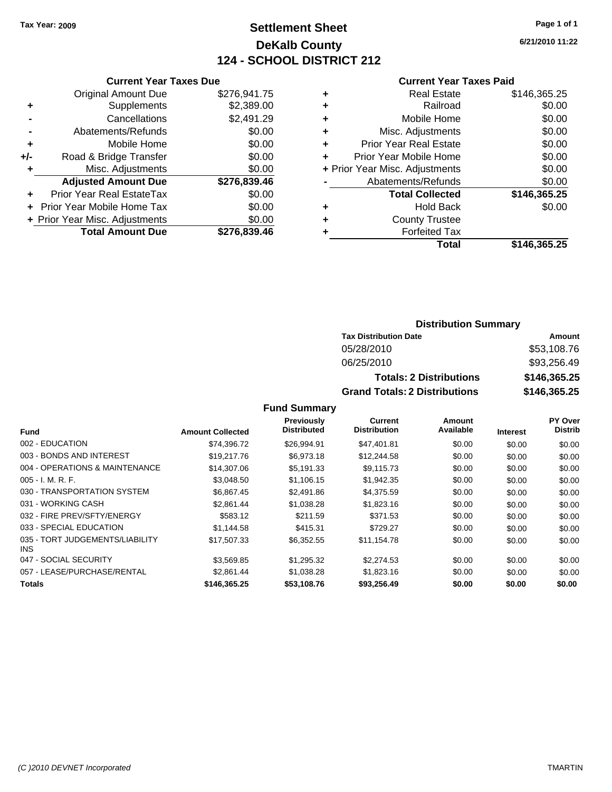### **Settlement Sheet Tax Year: 2009 Page 1 of 1 DeKalb County 124 - SCHOOL DISTRICT 212**

**6/21/2010 11:22**

#### **Current Year Taxes Paid**

|     | <b>Current Year Taxes Due</b>  |              |
|-----|--------------------------------|--------------|
|     | <b>Original Amount Due</b>     | \$276,941.75 |
| ٠   | Supplements                    | \$2,389.00   |
|     | Cancellations                  | \$2,491.29   |
|     | Abatements/Refunds             | \$0.00       |
| ٠   | Mobile Home                    | \$0.00       |
| +/- | Road & Bridge Transfer         | \$0.00       |
| ٠   | Misc. Adjustments              | \$0.00       |
|     | <b>Adjusted Amount Due</b>     | \$276,839.46 |
| ٠   | Prior Year Real EstateTax      | \$0.00       |
|     | Prior Year Mobile Home Tax     | \$0.00       |
|     | + Prior Year Misc. Adjustments | \$0.00       |
|     | <b>Total Amount Due</b>        | \$276.839.46 |
|     |                                |              |

|   | <b>Real Estate</b>             | \$146,365.25 |
|---|--------------------------------|--------------|
| ٠ | Railroad                       | \$0.00       |
| ٠ | Mobile Home                    | \$0.00       |
| ٠ | Misc. Adjustments              | \$0.00       |
| ÷ | <b>Prior Year Real Estate</b>  | \$0.00       |
| ٠ | Prior Year Mobile Home         | \$0.00       |
|   | + Prior Year Misc. Adjustments | \$0.00       |
|   | Abatements/Refunds             | \$0.00       |
|   | <b>Total Collected</b>         | \$146,365.25 |
| ٠ | <b>Hold Back</b>               | \$0.00       |
| ٠ | <b>County Trustee</b>          |              |
| ٠ | <b>Forfeited Tax</b>           |              |
|   | Total                          | \$146,365.25 |
|   |                                |              |

### **Distribution Summary**

| <b>Tax Distribution Date</b>         | Amount       |  |  |
|--------------------------------------|--------------|--|--|
| 05/28/2010                           | \$53,108.76  |  |  |
| 06/25/2010                           | \$93,256.49  |  |  |
| <b>Totals: 2 Distributions</b>       | \$146.365.25 |  |  |
| <b>Grand Totals: 2 Distributions</b> | \$146,365.25 |  |  |

|                                         |                         | Previously         | <b>Current</b>      | Amount    |                 | <b>PY Over</b> |
|-----------------------------------------|-------------------------|--------------------|---------------------|-----------|-----------------|----------------|
| <b>Fund</b>                             | <b>Amount Collected</b> | <b>Distributed</b> | <b>Distribution</b> | Available | <b>Interest</b> | <b>Distrib</b> |
| 002 - EDUCATION                         | \$74,396.72             | \$26,994.91        | \$47,401.81         | \$0.00    | \$0.00          | \$0.00         |
| 003 - BONDS AND INTEREST                | \$19,217.76             | \$6,973.18         | \$12,244.58         | \$0.00    | \$0.00          | \$0.00         |
| 004 - OPERATIONS & MAINTENANCE          | \$14,307.06             | \$5.191.33         | \$9,115.73          | \$0.00    | \$0.00          | \$0.00         |
| $005 - I. M. R. F.$                     | \$3,048.50              | \$1,106.15         | \$1,942.35          | \$0.00    | \$0.00          | \$0.00         |
| 030 - TRANSPORTATION SYSTEM             | \$6,867.45              | \$2,491.86         | \$4,375.59          | \$0.00    | \$0.00          | \$0.00         |
| 031 - WORKING CASH                      | \$2,861.44              | \$1,038.28         | \$1,823.16          | \$0.00    | \$0.00          | \$0.00         |
| 032 - FIRE PREV/SFTY/ENERGY             | \$583.12                | \$211.59           | \$371.53            | \$0.00    | \$0.00          | \$0.00         |
| 033 - SPECIAL EDUCATION                 | \$1,144.58              | \$415.31           | \$729.27            | \$0.00    | \$0.00          | \$0.00         |
| 035 - TORT JUDGEMENTS/LIABILITY<br>INS. | \$17,507.33             | \$6,352.55         | \$11.154.78         | \$0.00    | \$0.00          | \$0.00         |
| 047 - SOCIAL SECURITY                   | \$3,569.85              | \$1,295.32         | \$2,274.53          | \$0.00    | \$0.00          | \$0.00         |
| 057 - LEASE/PURCHASE/RENTAL             | \$2,861.44              | \$1,038.28         | \$1,823.16          | \$0.00    | \$0.00          | \$0.00         |
| <b>Totals</b>                           | \$146,365.25            | \$53,108.76        | \$93,256.49         | \$0.00    | \$0.00          | \$0.00         |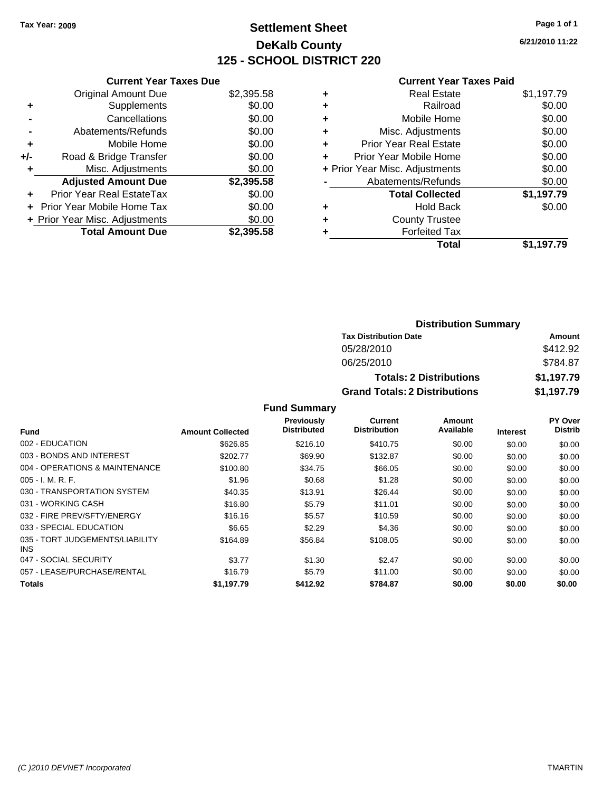## **Settlement Sheet Tax Year: 2009 Page 1 of 1 DeKalb County 125 - SCHOOL DISTRICT 220**

**6/21/2010 11:22**

|     | <b>Current Year Taxes Due</b>     |            |
|-----|-----------------------------------|------------|
|     | <b>Original Amount Due</b>        | \$2,395.58 |
| ٠   | Supplements                       | \$0.00     |
|     | Cancellations                     | \$0.00     |
|     | Abatements/Refunds                | \$0.00     |
| ٠   | Mobile Home                       | \$0.00     |
| +/- | Road & Bridge Transfer            | \$0.00     |
| ٠   | Misc. Adjustments                 | \$0.00     |
|     | <b>Adjusted Amount Due</b>        | \$2,395.58 |
| ٠   | Prior Year Real EstateTax         | \$0.00     |
|     | <b>Prior Year Mobile Home Tax</b> | \$0.00     |
|     | + Prior Year Misc. Adjustments    | \$0.00     |
|     | <b>Total Amount Due</b>           | \$2,395.58 |

#### **Current Year Taxes Paid**

|   | Total                          | \$1,197.79 |
|---|--------------------------------|------------|
| ٠ | <b>Forfeited Tax</b>           |            |
| ٠ | <b>County Trustee</b>          |            |
| ٠ | Hold Back                      | \$0.00     |
|   | <b>Total Collected</b>         | \$1,197.79 |
|   | Abatements/Refunds             | \$0.00     |
|   | + Prior Year Misc. Adjustments | \$0.00     |
|   | Prior Year Mobile Home         | \$0.00     |
| ÷ | <b>Prior Year Real Estate</b>  | \$0.00     |
| ÷ | Misc. Adjustments              | \$0.00     |
| ÷ | Mobile Home                    | \$0.00     |
| ٠ | Railroad                       | \$0.00     |
|   | <b>Real Estate</b>             | \$1,197.79 |

### **Distribution Summary Tax Distribution Date Amount** 05/28/2010 \$412.92 06/25/2010 \$784.87 **Totals: 2 Distributions \$1,197.79 Grand Totals: 2 Distributions \$1,197.79**

| <b>Fund</b>                             | <b>Amount Collected</b> | <b>Previously</b><br><b>Distributed</b> | Current<br><b>Distribution</b> | Amount<br>Available | <b>Interest</b> | <b>PY Over</b><br><b>Distrib</b> |
|-----------------------------------------|-------------------------|-----------------------------------------|--------------------------------|---------------------|-----------------|----------------------------------|
| 002 - EDUCATION                         | \$626.85                | \$216.10                                | \$410.75                       | \$0.00              | \$0.00          | \$0.00                           |
| 003 - BONDS AND INTEREST                | \$202.77                | \$69.90                                 | \$132.87                       | \$0.00              | \$0.00          | \$0.00                           |
| 004 - OPERATIONS & MAINTENANCE          | \$100.80                | \$34.75                                 | \$66.05                        | \$0.00              | \$0.00          | \$0.00                           |
| $005 - I. M. R. F.$                     | \$1.96                  | \$0.68                                  | \$1.28                         | \$0.00              | \$0.00          | \$0.00                           |
| 030 - TRANSPORTATION SYSTEM             | \$40.35                 | \$13.91                                 | \$26.44                        | \$0.00              | \$0.00          | \$0.00                           |
| 031 - WORKING CASH                      | \$16.80                 | \$5.79                                  | \$11.01                        | \$0.00              | \$0.00          | \$0.00                           |
| 032 - FIRE PREV/SFTY/ENERGY             | \$16.16                 | \$5.57                                  | \$10.59                        | \$0.00              | \$0.00          | \$0.00                           |
| 033 - SPECIAL EDUCATION                 | \$6.65                  | \$2.29                                  | \$4.36                         | \$0.00              | \$0.00          | \$0.00                           |
| 035 - TORT JUDGEMENTS/LIABILITY<br>INS. | \$164.89                | \$56.84                                 | \$108.05                       | \$0.00              | \$0.00          | \$0.00                           |
| 047 - SOCIAL SECURITY                   | \$3.77                  | \$1.30                                  | \$2.47                         | \$0.00              | \$0.00          | \$0.00                           |
| 057 - LEASE/PURCHASE/RENTAL             | \$16.79                 | \$5.79                                  | \$11.00                        | \$0.00              | \$0.00          | \$0.00                           |
| <b>Totals</b>                           | \$1.197.79              | \$412.92                                | \$784.87                       | \$0.00              | \$0.00          | \$0.00                           |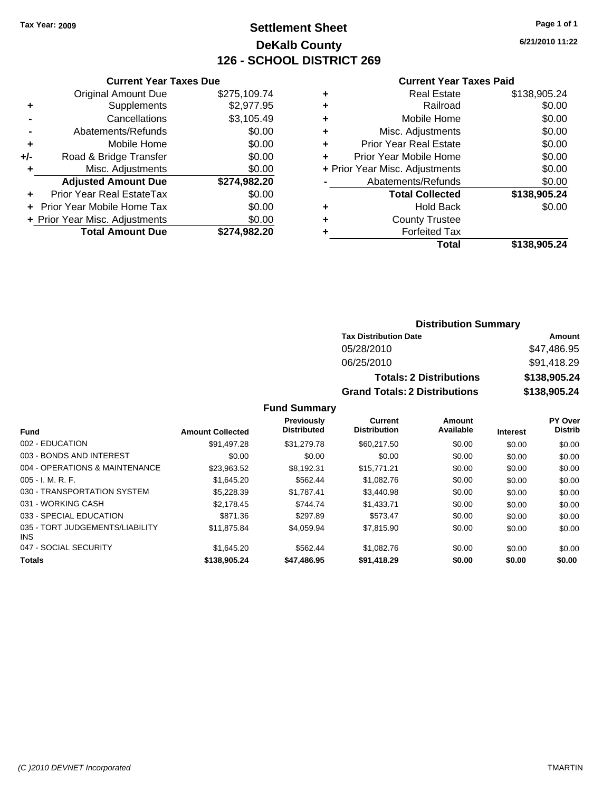### **Settlement Sheet Tax Year: 2009 Page 1 of 1 DeKalb County 126 - SCHOOL DISTRICT 269**

**6/21/2010 11:22**

#### **Current Year Taxes Paid**

|     | <b>Current Year Taxes Due</b>     |              |  |  |  |  |
|-----|-----------------------------------|--------------|--|--|--|--|
|     | <b>Original Amount Due</b>        | \$275,109.74 |  |  |  |  |
| ٠   | Supplements                       | \$2,977.95   |  |  |  |  |
|     | Cancellations                     | \$3,105.49   |  |  |  |  |
|     | Abatements/Refunds                | \$0.00       |  |  |  |  |
| ٠   | Mobile Home                       | \$0.00       |  |  |  |  |
| +/- | Road & Bridge Transfer            | \$0.00       |  |  |  |  |
| ٠   | Misc. Adjustments                 | \$0.00       |  |  |  |  |
|     | <b>Adjusted Amount Due</b>        | \$274,982.20 |  |  |  |  |
|     | Prior Year Real EstateTax         | \$0.00       |  |  |  |  |
|     | <b>Prior Year Mobile Home Tax</b> | \$0.00       |  |  |  |  |
|     | + Prior Year Misc. Adjustments    | \$0.00       |  |  |  |  |
|     | <b>Total Amount Due</b>           | \$274.982.20 |  |  |  |  |
|     |                                   |              |  |  |  |  |

| ٠                              | Real Estate                   | \$138,905.24 |
|--------------------------------|-------------------------------|--------------|
| ٠                              | Railroad                      | \$0.00       |
| ٠                              | Mobile Home                   | \$0.00       |
| ٠                              | Misc. Adjustments             | \$0.00       |
| ٠                              | <b>Prior Year Real Estate</b> | \$0.00       |
| ٠                              | Prior Year Mobile Home        | \$0.00       |
| + Prior Year Misc. Adjustments |                               | \$0.00       |
|                                | Abatements/Refunds            | \$0.00       |
|                                | <b>Total Collected</b>        | \$138,905.24 |
| ٠                              | <b>Hold Back</b>              | \$0.00       |
| ٠                              | <b>County Trustee</b>         |              |
| ٠                              | <b>Forfeited Tax</b>          |              |
|                                | Total                         | \$138,905.24 |
|                                |                               |              |

### **Distribution Summary**

| <b>Tax Distribution Date</b>         | Amount       |
|--------------------------------------|--------------|
| 05/28/2010                           | \$47,486.95  |
| 06/25/2010                           | \$91.418.29  |
| <b>Totals: 2 Distributions</b>       | \$138,905.24 |
| <b>Grand Totals: 2 Distributions</b> | \$138,905.24 |

|                                               |                         | <b>Previously</b>  | Current             | Amount    |                 | <b>PY Over</b> |
|-----------------------------------------------|-------------------------|--------------------|---------------------|-----------|-----------------|----------------|
| <b>Fund</b>                                   | <b>Amount Collected</b> | <b>Distributed</b> | <b>Distribution</b> | Available | <b>Interest</b> | <b>Distrib</b> |
| 002 - EDUCATION                               | \$91.497.28             | \$31.279.78        | \$60,217.50         | \$0.00    | \$0.00          | \$0.00         |
| 003 - BONDS AND INTEREST                      | \$0.00                  | \$0.00             | \$0.00              | \$0.00    | \$0.00          | \$0.00         |
| 004 - OPERATIONS & MAINTENANCE                | \$23,963.52             | \$8.192.31         | \$15,771.21         | \$0.00    | \$0.00          | \$0.00         |
| $005 - I. M. R. F.$                           | \$1.645.20              | \$562.44           | \$1,082.76          | \$0.00    | \$0.00          | \$0.00         |
| 030 - TRANSPORTATION SYSTEM                   | \$5.228.39              | \$1.787.41         | \$3,440.98          | \$0.00    | \$0.00          | \$0.00         |
| 031 - WORKING CASH                            | \$2.178.45              | \$744.74           | \$1.433.71          | \$0.00    | \$0.00          | \$0.00         |
| 033 - SPECIAL EDUCATION                       | \$871.36                | \$297.89           | \$573.47            | \$0.00    | \$0.00          | \$0.00         |
| 035 - TORT JUDGEMENTS/LIABILITY<br><b>INS</b> | \$11,875.84             | \$4.059.94         | \$7,815.90          | \$0.00    | \$0.00          | \$0.00         |
| 047 - SOCIAL SECURITY                         | \$1.645.20              | \$562.44           | \$1,082.76          | \$0.00    | \$0.00          | \$0.00         |
| <b>Totals</b>                                 | \$138,905.24            | \$47,486.95        | \$91,418.29         | \$0.00    | \$0.00          | \$0.00         |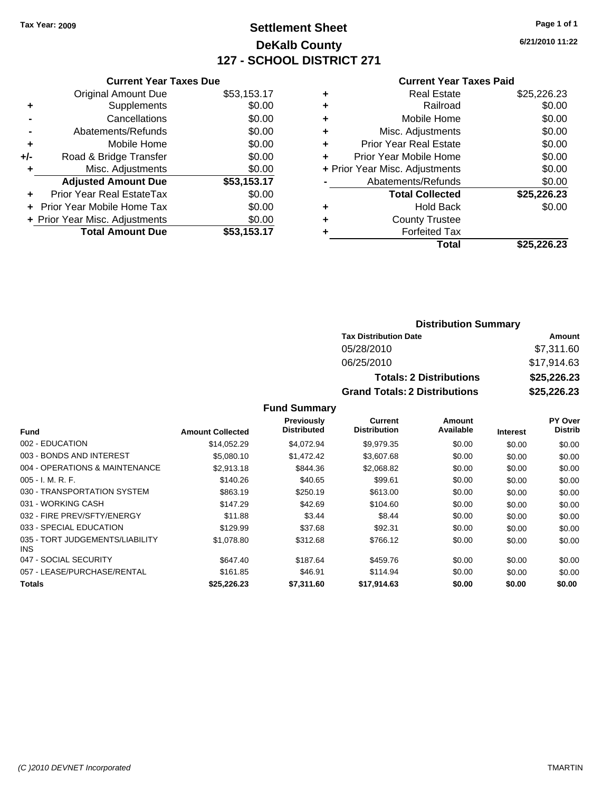# **Settlement Sheet Tax Year: 2009 Page 1 of 1 DeKalb County 127 - SCHOOL DISTRICT 271**

**6/21/2010 11:22**

#### **Current Year Taxes Paid**

| <b>Current Year Taxes Due</b>     |             |
|-----------------------------------|-------------|
| <b>Original Amount Due</b>        | \$53,153.17 |
| Supplements                       | \$0.00      |
| Cancellations                     | \$0.00      |
| Abatements/Refunds                | \$0.00      |
| Mobile Home                       | \$0.00      |
| Road & Bridge Transfer            | \$0.00      |
| Misc. Adjustments                 | \$0.00      |
| <b>Adjusted Amount Due</b>        | \$53,153.17 |
| Prior Year Real EstateTax         | \$0.00      |
| <b>Prior Year Mobile Home Tax</b> | \$0.00      |
| + Prior Year Misc. Adjustments    | \$0.00      |
| <b>Total Amount Due</b>           | \$53,153.17 |
|                                   |             |

| ٠ | Real Estate                    | \$25,226.23 |
|---|--------------------------------|-------------|
| ٠ | Railroad                       | \$0.00      |
| ٠ | Mobile Home                    | \$0.00      |
| ٠ | Misc. Adjustments              | \$0.00      |
| ٠ | <b>Prior Year Real Estate</b>  | \$0.00      |
| ٠ | Prior Year Mobile Home         | \$0.00      |
|   | + Prior Year Misc. Adjustments | \$0.00      |
|   | Abatements/Refunds             | \$0.00      |
|   | <b>Total Collected</b>         | \$25,226.23 |
| ٠ | Hold Back                      | \$0.00      |
| ٠ | <b>County Trustee</b>          |             |
|   | <b>Forfeited Tax</b>           |             |
|   | Total                          | \$25.226.23 |

### **Distribution Summary**

| <b>Tax Distribution Date</b>         | Amount      |  |  |
|--------------------------------------|-------------|--|--|
| 05/28/2010                           | \$7,311.60  |  |  |
| 06/25/2010                           | \$17,914.63 |  |  |
| <b>Totals: 2 Distributions</b>       | \$25,226.23 |  |  |
| <b>Grand Totals: 2 Distributions</b> | \$25,226.23 |  |  |

|                                         |                         | Previously         | Current             | Amount    |                 | <b>PY Over</b> |
|-----------------------------------------|-------------------------|--------------------|---------------------|-----------|-----------------|----------------|
| <b>Fund</b>                             | <b>Amount Collected</b> | <b>Distributed</b> | <b>Distribution</b> | Available | <b>Interest</b> | <b>Distrib</b> |
| 002 - EDUCATION                         | \$14,052.29             | \$4,072.94         | \$9,979.35          | \$0.00    | \$0.00          | \$0.00         |
| 003 - BONDS AND INTEREST                | \$5,080.10              | \$1,472.42         | \$3,607.68          | \$0.00    | \$0.00          | \$0.00         |
| 004 - OPERATIONS & MAINTENANCE          | \$2,913.18              | \$844.36           | \$2,068.82          | \$0.00    | \$0.00          | \$0.00         |
| $005 - I. M. R. F.$                     | \$140.26                | \$40.65            | \$99.61             | \$0.00    | \$0.00          | \$0.00         |
| 030 - TRANSPORTATION SYSTEM             | \$863.19                | \$250.19           | \$613.00            | \$0.00    | \$0.00          | \$0.00         |
| 031 - WORKING CASH                      | \$147.29                | \$42.69            | \$104.60            | \$0.00    | \$0.00          | \$0.00         |
| 032 - FIRE PREV/SFTY/ENERGY             | \$11.88                 | \$3.44             | \$8.44              | \$0.00    | \$0.00          | \$0.00         |
| 033 - SPECIAL EDUCATION                 | \$129.99                | \$37.68            | \$92.31             | \$0.00    | \$0.00          | \$0.00         |
| 035 - TORT JUDGEMENTS/LIABILITY<br>INS. | \$1,078.80              | \$312.68           | \$766.12            | \$0.00    | \$0.00          | \$0.00         |
| 047 - SOCIAL SECURITY                   | \$647.40                | \$187.64           | \$459.76            | \$0.00    | \$0.00          | \$0.00         |
| 057 - LEASE/PURCHASE/RENTAL             | \$161.85                | \$46.91            | \$114.94            | \$0.00    | \$0.00          | \$0.00         |
| <b>Totals</b>                           | \$25,226.23             | \$7,311.60         | \$17,914.63         | \$0.00    | \$0.00          | \$0.00         |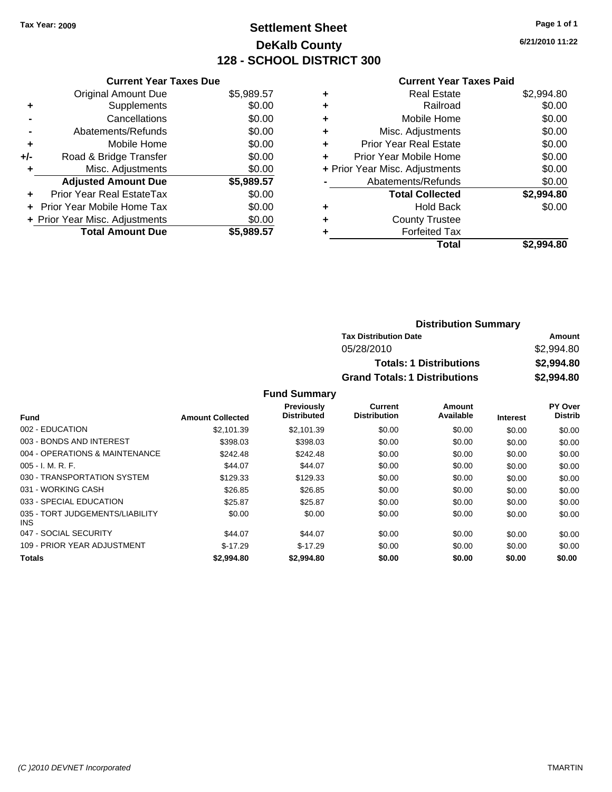### **Settlement Sheet Tax Year: 2009 Page 1 of 1 DeKalb County 128 - SCHOOL DISTRICT 300**

**6/21/2010 11:22**

#### **Current Year Taxes Paid**

|     | <b>Current Year Taxes Due</b>  |            |
|-----|--------------------------------|------------|
|     | <b>Original Amount Due</b>     | \$5,989.57 |
| ٠   | Supplements                    | \$0.00     |
|     | Cancellations                  | \$0.00     |
|     | Abatements/Refunds             | \$0.00     |
| ٠   | Mobile Home                    | \$0.00     |
| +/- | Road & Bridge Transfer         | \$0.00     |
|     | Misc. Adjustments              | \$0.00     |
|     | <b>Adjusted Amount Due</b>     | \$5,989.57 |
| ÷   | Prior Year Real EstateTax      | \$0.00     |
|     | Prior Year Mobile Home Tax     | \$0.00     |
|     | + Prior Year Misc. Adjustments | \$0.00     |
|     | <b>Total Amount Due</b>        | \$5,989,57 |

|   | <b>Real Estate</b>             | \$2,994.80 |
|---|--------------------------------|------------|
| ٠ | Railroad                       | \$0.00     |
| ٠ | Mobile Home                    | \$0.00     |
| ٠ | Misc. Adjustments              | \$0.00     |
| ÷ | Prior Year Real Estate         | \$0.00     |
| ٠ | Prior Year Mobile Home         | \$0.00     |
|   | + Prior Year Misc. Adjustments | \$0.00     |
|   | Abatements/Refunds             | \$0.00     |
|   | <b>Total Collected</b>         | \$2,994.80 |
| ٠ | <b>Hold Back</b>               | \$0.00     |
| ٠ | <b>County Trustee</b>          |            |
| ٠ | <b>Forfeited Tax</b>           |            |
|   | Total                          | \$2.994.80 |

| <b>Distribution Summary</b>          |            |
|--------------------------------------|------------|
| <b>Tax Distribution Date</b>         | Amount     |
| 05/28/2010                           | \$2,994.80 |
| <b>Totals: 1 Distributions</b>       | \$2,994.80 |
| <b>Grand Totals: 1 Distributions</b> | \$2,994.80 |

|                                               |                         | <b>Previously</b><br><b>Distributed</b> | Current<br><b>Distribution</b> | Amount<br>Available |                 | PY Over<br><b>Distrib</b> |
|-----------------------------------------------|-------------------------|-----------------------------------------|--------------------------------|---------------------|-----------------|---------------------------|
| Fund                                          | <b>Amount Collected</b> |                                         |                                |                     | <b>Interest</b> |                           |
| 002 - EDUCATION                               | \$2.101.39              | \$2.101.39                              | \$0.00                         | \$0.00              | \$0.00          | \$0.00                    |
| 003 - BONDS AND INTEREST                      | \$398.03                | \$398.03                                | \$0.00                         | \$0.00              | \$0.00          | \$0.00                    |
| 004 - OPERATIONS & MAINTENANCE                | \$242.48                | \$242.48                                | \$0.00                         | \$0.00              | \$0.00          | \$0.00                    |
| $005 - I. M. R. F.$                           | \$44.07                 | \$44.07                                 | \$0.00                         | \$0.00              | \$0.00          | \$0.00                    |
| 030 - TRANSPORTATION SYSTEM                   | \$129.33                | \$129.33                                | \$0.00                         | \$0.00              | \$0.00          | \$0.00                    |
| 031 - WORKING CASH                            | \$26.85                 | \$26.85                                 | \$0.00                         | \$0.00              | \$0.00          | \$0.00                    |
| 033 - SPECIAL EDUCATION                       | \$25.87                 | \$25.87                                 | \$0.00                         | \$0.00              | \$0.00          | \$0.00                    |
| 035 - TORT JUDGEMENTS/LIABILITY<br><b>INS</b> | \$0.00                  | \$0.00                                  | \$0.00                         | \$0.00              | \$0.00          | \$0.00                    |
| 047 - SOCIAL SECURITY                         | \$44.07                 | \$44.07                                 | \$0.00                         | \$0.00              | \$0.00          | \$0.00                    |
| 109 - PRIOR YEAR ADJUSTMENT                   | $$-17.29$               | $$-17.29$                               | \$0.00                         | \$0.00              | \$0.00          | \$0.00                    |
| <b>Totals</b>                                 | \$2,994.80              | \$2,994.80                              | \$0.00                         | \$0.00              | \$0.00          | \$0.00                    |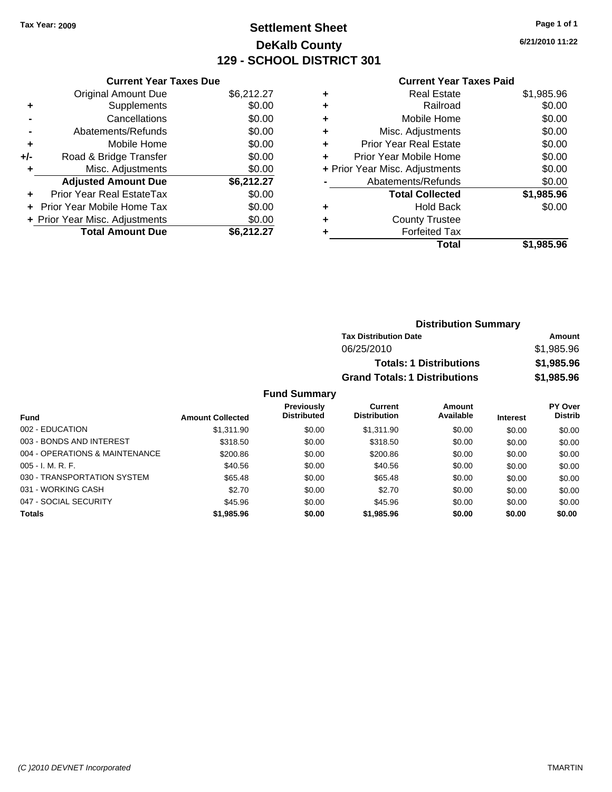### **Settlement Sheet Tax Year: 2009 Page 1 of 1 DeKalb County 129 - SCHOOL DISTRICT 301**

**6/21/2010 11:22**

#### **Current Year Taxes Paid**

| <b>Current Year Taxes Due</b>     |                                |
|-----------------------------------|--------------------------------|
| <b>Original Amount Due</b>        | \$6,212.27                     |
| Supplements                       | \$0.00                         |
| Cancellations                     | \$0.00                         |
| Abatements/Refunds                | \$0.00                         |
| Mobile Home                       | \$0.00                         |
| Road & Bridge Transfer            | \$0.00                         |
| Misc. Adjustments                 | \$0.00                         |
| <b>Adjusted Amount Due</b>        | \$6,212.27                     |
| Prior Year Real EstateTax         | \$0.00                         |
| <b>Prior Year Mobile Home Tax</b> | \$0.00                         |
|                                   | \$0.00                         |
| <b>Total Amount Due</b>           | \$6,212,27                     |
|                                   | + Prior Year Misc. Adjustments |

| ٠ | <b>Real Estate</b>             | \$1,985.96 |
|---|--------------------------------|------------|
| ٠ | Railroad                       | \$0.00     |
| ٠ | Mobile Home                    | \$0.00     |
| ٠ | Misc. Adjustments              | \$0.00     |
| ÷ | <b>Prior Year Real Estate</b>  | \$0.00     |
| ٠ | Prior Year Mobile Home         | \$0.00     |
|   | + Prior Year Misc. Adjustments | \$0.00     |
|   | Abatements/Refunds             | \$0.00     |
|   | <b>Total Collected</b>         | \$1,985.96 |
| ٠ | <b>Hold Back</b>               | \$0.00     |
| ٠ | <b>County Trustee</b>          |            |
| ٠ | <b>Forfeited Tax</b>           |            |
|   | Total                          | \$1,985.96 |
|   |                                |            |

| <b>Distribution Summary</b>          |            |
|--------------------------------------|------------|
| <b>Tax Distribution Date</b>         | Amount     |
| 06/25/2010                           | \$1,985.96 |
| <b>Totals: 1 Distributions</b>       | \$1,985.96 |
| <b>Grand Totals: 1 Distributions</b> | \$1,985.96 |

|                                |                         | <b>Previously</b>  | Current             | Amount    |                 | <b>PY Over</b> |
|--------------------------------|-------------------------|--------------------|---------------------|-----------|-----------------|----------------|
| <b>Fund</b>                    | <b>Amount Collected</b> | <b>Distributed</b> | <b>Distribution</b> | Available | <b>Interest</b> | <b>Distrib</b> |
| 002 - EDUCATION                | \$1.311.90              | \$0.00             | \$1.311.90          | \$0.00    | \$0.00          | \$0.00         |
| 003 - BONDS AND INTEREST       | \$318.50                | \$0.00             | \$318.50            | \$0.00    | \$0.00          | \$0.00         |
| 004 - OPERATIONS & MAINTENANCE | \$200.86                | \$0.00             | \$200.86            | \$0.00    | \$0.00          | \$0.00         |
| $005 - I. M. R. F.$            | \$40.56                 | \$0.00             | \$40.56             | \$0.00    | \$0.00          | \$0.00         |
| 030 - TRANSPORTATION SYSTEM    | \$65.48                 | \$0.00             | \$65.48             | \$0.00    | \$0.00          | \$0.00         |
| 031 - WORKING CASH             | \$2.70                  | \$0.00             | \$2.70              | \$0.00    | \$0.00          | \$0.00         |
| 047 - SOCIAL SECURITY          | \$45.96                 | \$0.00             | \$45.96             | \$0.00    | \$0.00          | \$0.00         |
| <b>Totals</b>                  | \$1,985.96              | \$0.00             | \$1,985.96          | \$0.00    | \$0.00          | \$0.00         |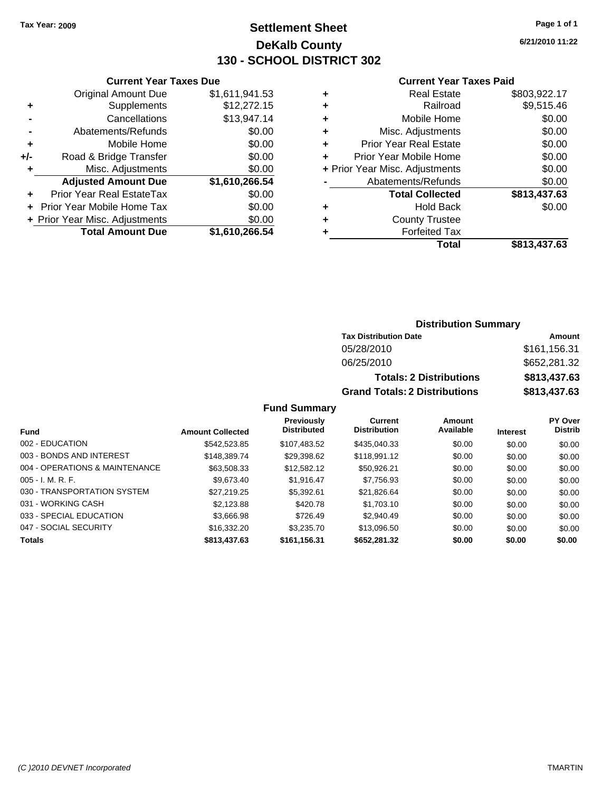### **Settlement Sheet Tax Year: 2009 Page 1 of 1 DeKalb County 130 - SCHOOL DISTRICT 302**

**6/21/2010 11:22**

#### **Current Year Taxes Paid**

| <b>Current Year Taxes Due</b> |                                |                |   |  |  |
|-------------------------------|--------------------------------|----------------|---|--|--|
|                               | <b>Original Amount Due</b>     | \$1,611,941.53 |   |  |  |
| ٠                             | Supplements                    | \$12,272.15    | ٠ |  |  |
|                               | Cancellations                  | \$13,947.14    | ÷ |  |  |
|                               | Abatements/Refunds             | \$0.00         | ٠ |  |  |
|                               | Mobile Home                    | \$0.00         | ÷ |  |  |
| +/-                           | Road & Bridge Transfer         | \$0.00         | ٠ |  |  |
|                               | Misc. Adjustments              | \$0.00         | ٠ |  |  |
|                               | <b>Adjusted Amount Due</b>     | \$1,610,266.54 |   |  |  |
| ٠                             | Prior Year Real EstateTax      | \$0.00         |   |  |  |
|                               | Prior Year Mobile Home Tax     | \$0.00         |   |  |  |
|                               | + Prior Year Misc. Adjustments | \$0.00         | ٠ |  |  |
|                               | <b>Total Amount Due</b>        | \$1,610,266.54 |   |  |  |
|                               |                                |                |   |  |  |

|   | <b>Real Estate</b>             | \$803,922.17 |
|---|--------------------------------|--------------|
| ٠ | Railroad                       | \$9,515.46   |
| ٠ | Mobile Home                    | \$0.00       |
| ٠ | Misc. Adjustments              | \$0.00       |
| ٠ | <b>Prior Year Real Estate</b>  | \$0.00       |
|   | Prior Year Mobile Home         | \$0.00       |
|   | + Prior Year Misc. Adjustments | \$0.00       |
|   | Abatements/Refunds             | \$0.00       |
|   | <b>Total Collected</b>         | \$813,437.63 |
| ٠ | <b>Hold Back</b>               | \$0.00       |
| ٠ | <b>County Trustee</b>          |              |
| ٠ | <b>Forfeited Tax</b>           |              |
|   | <b>Total</b>                   | \$813,437.63 |
|   |                                |              |

#### **Distribution Summary**

| <b>Tax Distribution Date</b>         | Amount       |
|--------------------------------------|--------------|
| 05/28/2010                           | \$161.156.31 |
| 06/25/2010                           | \$652,281.32 |
| <b>Totals: 2 Distributions</b>       | \$813,437.63 |
| <b>Grand Totals: 2 Distributions</b> | \$813,437.63 |

|                                |                         | <b>Previously</b><br><b>Distributed</b> | Current<br><b>Distribution</b> | Amount<br>Available |                 | PY Over<br><b>Distrib</b> |
|--------------------------------|-------------------------|-----------------------------------------|--------------------------------|---------------------|-----------------|---------------------------|
| Fund                           | <b>Amount Collected</b> |                                         |                                |                     | <b>Interest</b> |                           |
| 002 - EDUCATION                | \$542,523.85            | \$107,483.52                            | \$435,040.33                   | \$0.00              | \$0.00          | \$0.00                    |
| 003 - BONDS AND INTEREST       | \$148,389,74            | \$29,398.62                             | \$118,991.12                   | \$0.00              | \$0.00          | \$0.00                    |
| 004 - OPERATIONS & MAINTENANCE | \$63,508.33             | \$12,582.12                             | \$50.926.21                    | \$0.00              | \$0.00          | \$0.00                    |
| $005 - I. M. R. F.$            | \$9.673.40              | \$1.916.47                              | \$7,756.93                     | \$0.00              | \$0.00          | \$0.00                    |
| 030 - TRANSPORTATION SYSTEM    | \$27,219.25             | \$5,392.61                              | \$21,826.64                    | \$0.00              | \$0.00          | \$0.00                    |
| 031 - WORKING CASH             | \$2,123.88              | \$420.78                                | \$1,703.10                     | \$0.00              | \$0.00          | \$0.00                    |
| 033 - SPECIAL EDUCATION        | \$3,666.98              | \$726.49                                | \$2,940.49                     | \$0.00              | \$0.00          | \$0.00                    |
| 047 - SOCIAL SECURITY          | \$16,332,20             | \$3.235.70                              | \$13,096.50                    | \$0.00              | \$0.00          | \$0.00                    |
| <b>Totals</b>                  | \$813,437.63            | \$161,156.31                            | \$652,281,32                   | \$0.00              | \$0.00          | \$0.00                    |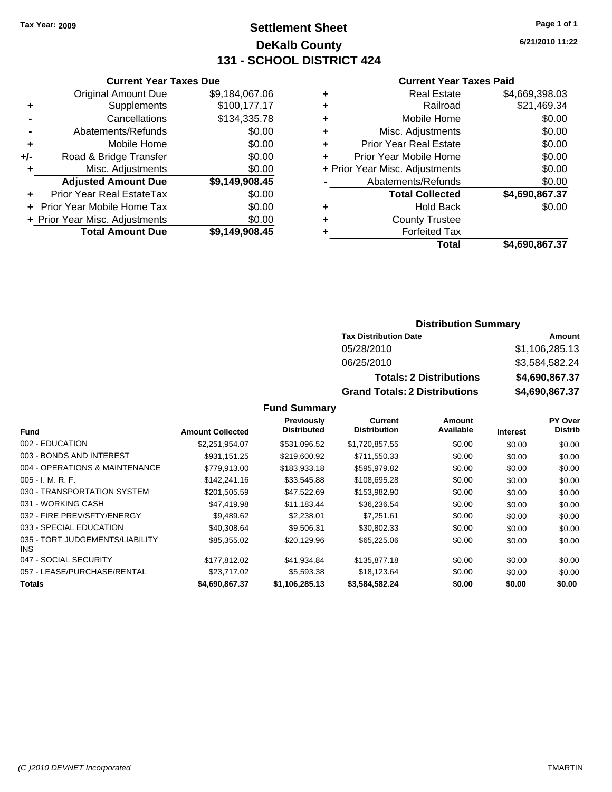### **Settlement Sheet Tax Year: 2009 Page 1 of 1 DeKalb County 131 - SCHOOL DISTRICT 424**

**Current Year Taxes Due**

|     | <b>Original Amount Due</b>        | \$9,184,067.06 |
|-----|-----------------------------------|----------------|
| ٠   | Supplements                       | \$100,177.17   |
|     | Cancellations                     | \$134,335.78   |
|     | Abatements/Refunds                | \$0.00         |
| ÷   | Mobile Home                       | \$0.00         |
| +/- | Road & Bridge Transfer            | \$0.00         |
| ٠   | Misc. Adjustments                 | \$0.00         |
|     | <b>Adjusted Amount Due</b>        | \$9,149,908.45 |
|     | <b>Prior Year Real EstateTax</b>  | \$0.00         |
|     | <b>Prior Year Mobile Home Tax</b> | \$0.00         |
|     | + Prior Year Misc. Adjustments    | \$0.00         |
|     | <b>Total Amount Due</b>           | \$9,149,908.45 |

#### **Current Year Taxes Paid**

|   | <b>Real Estate</b>             | \$4,669,398.03 |
|---|--------------------------------|----------------|
| ٠ | Railroad                       | \$21,469.34    |
| ٠ | Mobile Home                    | \$0.00         |
| ٠ | Misc. Adjustments              | \$0.00         |
| ٠ | <b>Prior Year Real Estate</b>  | \$0.00         |
| ٠ | Prior Year Mobile Home         | \$0.00         |
|   | + Prior Year Misc. Adjustments | \$0.00         |
|   | Abatements/Refunds             | \$0.00         |
|   | <b>Total Collected</b>         | \$4,690,867.37 |
| ٠ | <b>Hold Back</b>               | \$0.00         |
| ٠ | <b>County Trustee</b>          |                |
| ٠ | <b>Forfeited Tax</b>           |                |
|   | Total                          | \$4,690,867.37 |
|   |                                |                |

#### **Distribution Summary**

| <b>Tax Distribution Date</b>         | Amount         |
|--------------------------------------|----------------|
| 05/28/2010                           | \$1,106,285.13 |
| 06/25/2010                           | \$3,584,582.24 |
| <b>Totals: 2 Distributions</b>       | \$4,690,867.37 |
| <b>Grand Totals: 2 Distributions</b> | \$4,690,867.37 |

**Fund Summary**

|                                         |                         | <b>Previously</b>  | <b>Current</b>      | Amount    |                 | <b>PY Over</b> |
|-----------------------------------------|-------------------------|--------------------|---------------------|-----------|-----------------|----------------|
| <b>Fund</b>                             | <b>Amount Collected</b> | <b>Distributed</b> | <b>Distribution</b> | Available | <b>Interest</b> | <b>Distrib</b> |
| 002 - EDUCATION                         | \$2,251,954.07          | \$531,096.52       | \$1,720,857.55      | \$0.00    | \$0.00          | \$0.00         |
| 003 - BONDS AND INTEREST                | \$931,151.25            | \$219,600.92       | \$711,550.33        | \$0.00    | \$0.00          | \$0.00         |
| 004 - OPERATIONS & MAINTENANCE          | \$779.913.00            | \$183.933.18       | \$595,979.82        | \$0.00    | \$0.00          | \$0.00         |
| $005 - I. M. R. F.$                     | \$142,241.16            | \$33,545.88        | \$108,695.28        | \$0.00    | \$0.00          | \$0.00         |
| 030 - TRANSPORTATION SYSTEM             | \$201,505.59            | \$47,522.69        | \$153,982.90        | \$0.00    | \$0.00          | \$0.00         |
| 031 - WORKING CASH                      | \$47,419.98             | \$11.183.44        | \$36,236.54         | \$0.00    | \$0.00          | \$0.00         |
| 032 - FIRE PREV/SFTY/ENERGY             | \$9,489.62              | \$2,238.01         | \$7,251.61          | \$0.00    | \$0.00          | \$0.00         |
| 033 - SPECIAL EDUCATION                 | \$40,308.64             | \$9.506.31         | \$30.802.33         | \$0.00    | \$0.00          | \$0.00         |
| 035 - TORT JUDGEMENTS/LIABILITY<br>INS. | \$85,355.02             | \$20,129.96        | \$65,225.06         | \$0.00    | \$0.00          | \$0.00         |
| 047 - SOCIAL SECURITY                   | \$177.812.02            | \$41,934.84        | \$135,877.18        | \$0.00    | \$0.00          | \$0.00         |
| 057 - LEASE/PURCHASE/RENTAL             | \$23,717.02             | \$5,593.38         | \$18,123.64         | \$0.00    | \$0.00          | \$0.00         |
| <b>Totals</b>                           | \$4,690,867.37          | \$1.106.285.13     | \$3.584.582.24      | \$0.00    | \$0.00          | \$0.00         |

**6/21/2010 11:22**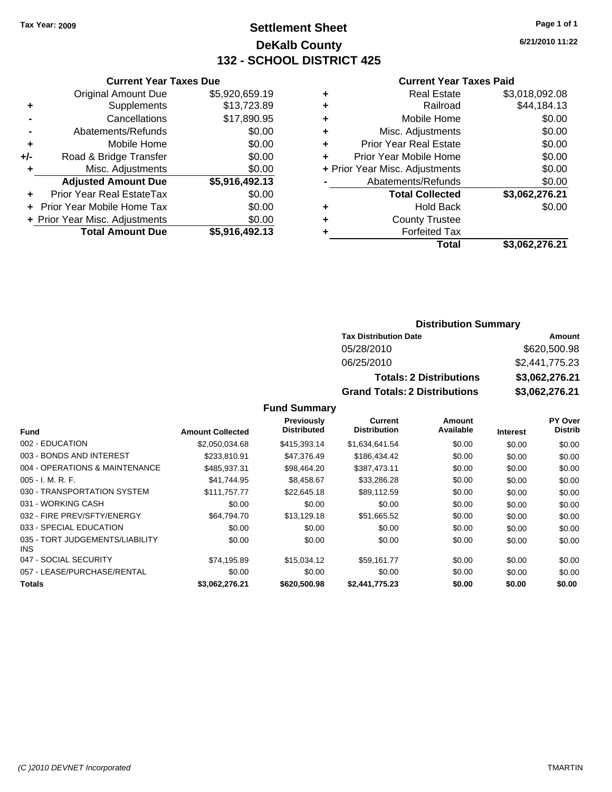### **Settlement Sheet Tax Year: 2009 Page 1 of 1 DeKalb County 132 - SCHOOL DISTRICT 425**

**6/21/2010 11:22**

#### **Current Year Taxes Paid**

|     | <b>Current Year Taxes Due</b>  |                |       |
|-----|--------------------------------|----------------|-------|
|     | <b>Original Amount Due</b>     | \$5,920,659.19 | ٠     |
|     | <b>Supplements</b>             | \$13,723.89    | ٠     |
|     | Cancellations                  | \$17,890.95    | ٠     |
|     | Abatements/Refunds             | \$0.00         | ٠     |
|     | Mobile Home                    | \$0.00         | ٠     |
| +/- | Road & Bridge Transfer         | \$0.00         | ٠     |
|     | Misc. Adjustments              | \$0.00         | + Pri |
|     | <b>Adjusted Amount Due</b>     | \$5,916,492.13 |       |
|     | Prior Year Real EstateTax      | \$0.00         |       |
|     | Prior Year Mobile Home Tax     | \$0.00         | ٠     |
|     | + Prior Year Misc. Adjustments | \$0.00         | ٠     |
|     | <b>Total Amount Due</b>        | \$5,916,492.13 |       |
|     |                                |                |       |

|   | <b>Real Estate</b>             | \$3,018,092.08 |
|---|--------------------------------|----------------|
| ٠ | Railroad                       | \$44,184.13    |
| ٠ | Mobile Home                    | \$0.00         |
| ٠ | Misc. Adjustments              | \$0.00         |
| ٠ | <b>Prior Year Real Estate</b>  | \$0.00         |
|   | Prior Year Mobile Home         | \$0.00         |
|   | + Prior Year Misc. Adjustments | \$0.00         |
|   | Abatements/Refunds             | \$0.00         |
|   | <b>Total Collected</b>         | \$3,062,276.21 |
| ٠ | Hold Back                      | \$0.00         |
| ٠ | <b>County Trustee</b>          |                |
| ٠ | <b>Forfeited Tax</b>           |                |
|   | Total                          | \$3,062,276.21 |
|   |                                |                |

#### **Distribution Summary**

| <b>Tax Distribution Date</b>         | Amount         |  |  |
|--------------------------------------|----------------|--|--|
| 05/28/2010                           | \$620,500.98   |  |  |
| 06/25/2010                           | \$2,441,775,23 |  |  |
| <b>Totals: 2 Distributions</b>       | \$3,062,276.21 |  |  |
| <b>Grand Totals: 2 Distributions</b> | \$3,062,276.21 |  |  |

|                                         |                         | <b>Previously</b>  | <b>Current</b>      | Amount    |                 | <b>PY Over</b> |
|-----------------------------------------|-------------------------|--------------------|---------------------|-----------|-----------------|----------------|
| <b>Fund</b>                             | <b>Amount Collected</b> | <b>Distributed</b> | <b>Distribution</b> | Available | <b>Interest</b> | <b>Distrib</b> |
| 002 - EDUCATION                         | \$2,050,034.68          | \$415,393.14       | \$1,634,641.54      | \$0.00    | \$0.00          | \$0.00         |
| 003 - BONDS AND INTEREST                | \$233,810.91            | \$47,376.49        | \$186,434.42        | \$0.00    | \$0.00          | \$0.00         |
| 004 - OPERATIONS & MAINTENANCE          | \$485.937.31            | \$98,464.20        | \$387.473.11        | \$0.00    | \$0.00          | \$0.00         |
| $005 - I. M. R. F.$                     | \$41.744.95             | \$8,458.67         | \$33,286.28         | \$0.00    | \$0.00          | \$0.00         |
| 030 - TRANSPORTATION SYSTEM             | \$111.757.77            | \$22,645.18        | \$89.112.59         | \$0.00    | \$0.00          | \$0.00         |
| 031 - WORKING CASH                      | \$0.00                  | \$0.00             | \$0.00              | \$0.00    | \$0.00          | \$0.00         |
| 032 - FIRE PREV/SFTY/ENERGY             | \$64,794.70             | \$13,129.18        | \$51,665.52         | \$0.00    | \$0.00          | \$0.00         |
| 033 - SPECIAL EDUCATION                 | \$0.00                  | \$0.00             | \$0.00              | \$0.00    | \$0.00          | \$0.00         |
| 035 - TORT JUDGEMENTS/LIABILITY<br>INS. | \$0.00                  | \$0.00             | \$0.00              | \$0.00    | \$0.00          | \$0.00         |
| 047 - SOCIAL SECURITY                   | \$74,195.89             | \$15.034.12        | \$59.161.77         | \$0.00    | \$0.00          | \$0.00         |
| 057 - LEASE/PURCHASE/RENTAL             | \$0.00                  | \$0.00             | \$0.00              | \$0.00    | \$0.00          | \$0.00         |
| <b>Totals</b>                           | \$3.062.276.21          | \$620,500.98       | \$2.441.775.23      | \$0.00    | \$0.00          | \$0.00         |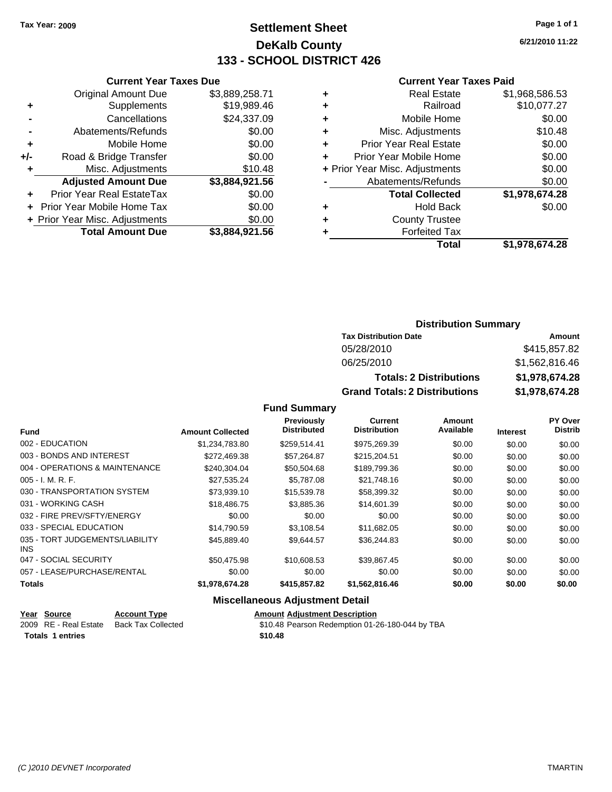**Original Amount Due** 

**Adjusted Amount Due** 

**Total Amount Due** 

**+** Supplements **-** Cancellations **-** Abatements/Refunds **+** Mobile Home **+/-** Road & Bridge Transfer **+** Misc. Adjustments

**+** Prior Year Real EstateTax \$0.00 **+** Prior Year Mobile Home Tax **+ Prior Year Misc. Adjustments** 

### **Settlement Sheet Tax Year: 2009 Page 1 of 1 DeKalb County 133 - SCHOOL DISTRICT 426**

**6/21/2010 11:22**

#### **Current Year Taxes Paid**

| <b>Current Year Taxes Due</b> |                |   | <b>Current Year Taxes Paid</b> |                |  |
|-------------------------------|----------------|---|--------------------------------|----------------|--|
| ıl Amount Due                 | \$3,889,258.71 | ٠ | <b>Real Estate</b>             | \$1,968,586.53 |  |
| Supplements                   | \$19,989.46    | ٠ | Railroad                       | \$10,077.27    |  |
| Cancellations                 | \$24,337.09    | ٠ | Mobile Home                    | \$0.00         |  |
| าents/Refunds                 | \$0.00         | ÷ | Misc. Adjustments              | \$10.48        |  |
| Mobile Home                   | \$0.00         | ÷ | <b>Prior Year Real Estate</b>  | \$0.00         |  |
| ridge Transfer                | \$0.00         | ÷ | Prior Year Mobile Home         | \$0.00         |  |
| :. Adjustments                | \$10.48        |   | + Prior Year Misc. Adjustments | \$0.00         |  |
| <b>Amount Due</b>             | \$3,884,921.56 |   | Abatements/Refunds             | \$0.00         |  |
| eal EstateTax                 | \$0.00         |   | <b>Total Collected</b>         | \$1,978,674.28 |  |
| pile Home Tax                 | \$0.00         | ÷ | <b>Hold Back</b>               | \$0.00         |  |
| . Adjustments                 | \$0.00         | ÷ | <b>County Trustee</b>          |                |  |
| <b>Amount Due</b>             | \$3,884,921.56 |   | <b>Forfeited Tax</b>           |                |  |
|                               |                |   | Total                          | \$1,978,674.28 |  |

| Total | \$1,978,674.28 |
|-------|----------------|
| d Tax |                |
| ustee |                |

#### **Distribution Summary**

| <b>Tax Distribution Date</b>         | Amount         |
|--------------------------------------|----------------|
| 05/28/2010                           | \$415,857.82   |
| 06/25/2010                           | \$1,562,816.46 |
| <b>Totals: 2 Distributions</b>       | \$1,978,674.28 |
| <b>Grand Totals: 2 Distributions</b> | \$1,978,674.28 |

**Fund Summary**

|                                         |                         | <b>Previously</b>  | Current             | Amount    |                 | <b>PY Over</b> |
|-----------------------------------------|-------------------------|--------------------|---------------------|-----------|-----------------|----------------|
| <b>Fund</b>                             | <b>Amount Collected</b> | <b>Distributed</b> | <b>Distribution</b> | Available | <b>Interest</b> | <b>Distrib</b> |
| 002 - EDUCATION                         | \$1,234,783.80          | \$259,514.41       | \$975,269.39        | \$0.00    | \$0.00          | \$0.00         |
| 003 - BONDS AND INTEREST                | \$272,469.38            | \$57,264.87        | \$215,204.51        | \$0.00    | \$0.00          | \$0.00         |
| 004 - OPERATIONS & MAINTENANCE          | \$240.304.04            | \$50.504.68        | \$189.799.36        | \$0.00    | \$0.00          | \$0.00         |
| $005 - I. M. R. F.$                     | \$27,535.24             | \$5,787.08         | \$21,748.16         | \$0.00    | \$0.00          | \$0.00         |
| 030 - TRANSPORTATION SYSTEM             | \$73,939.10             | \$15,539.78        | \$58,399.32         | \$0.00    | \$0.00          | \$0.00         |
| 031 - WORKING CASH                      | \$18,486.75             | \$3,885.36         | \$14,601.39         | \$0.00    | \$0.00          | \$0.00         |
| 032 - FIRE PREV/SFTY/ENERGY             | \$0.00                  | \$0.00             | \$0.00              | \$0.00    | \$0.00          | \$0.00         |
| 033 - SPECIAL EDUCATION                 | \$14,790.59             | \$3,108.54         | \$11,682.05         | \$0.00    | \$0.00          | \$0.00         |
| 035 - TORT JUDGEMENTS/LIABILITY<br>INS. | \$45,889,40             | \$9.644.57         | \$36,244.83         | \$0.00    | \$0.00          | \$0.00         |
| 047 - SOCIAL SECURITY                   | \$50.475.98             | \$10,608.53        | \$39.867.45         | \$0.00    | \$0.00          | \$0.00         |
| 057 - LEASE/PURCHASE/RENTAL             | \$0.00                  | \$0.00             | \$0.00              | \$0.00    | \$0.00          | \$0.00         |
| Totals                                  | \$1,978,674.28          | \$415,857.82       | \$1,562,816.46      | \$0.00    | \$0.00          | \$0.00         |

| Year Source             | <b>Account Type</b> | <b>Amount Adiustment Description</b>            |
|-------------------------|---------------------|-------------------------------------------------|
| 2009 RE - Real Estate   | Back Tax Collected  | \$10.48 Pearson Redemption 01-26-180-044 by TBA |
| <b>Totals 1 entries</b> |                     | \$10.48                                         |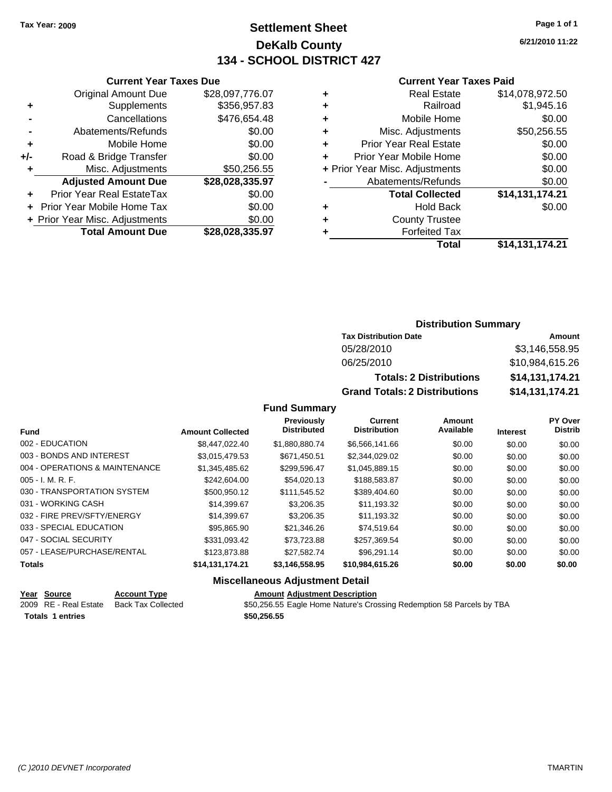### **Settlement Sheet Tax Year: 2009 Page 1 of 1 DeKalb County 134 - SCHOOL DISTRICT 427**

**6/21/2010 11:22**

#### **Current Year Taxes Paid**

|     | <b>Current Year Taxes Due</b>    |                 |  |
|-----|----------------------------------|-----------------|--|
|     | <b>Original Amount Due</b>       | \$28,097,776.07 |  |
| ٠   | Supplements                      | \$356,957.83    |  |
|     | Cancellations                    | \$476,654.48    |  |
|     | Abatements/Refunds               | \$0.00          |  |
| ٠   | Mobile Home                      | \$0.00          |  |
| +/- | Road & Bridge Transfer           | \$0.00          |  |
| ٠   | Misc. Adjustments                | \$50,256.55     |  |
|     | <b>Adjusted Amount Due</b>       | \$28,028,335.97 |  |
| ÷   | <b>Prior Year Real EstateTax</b> | \$0.00          |  |
|     | Prior Year Mobile Home Tax       | \$0.00          |  |
|     | + Prior Year Misc. Adjustments   | \$0.00          |  |
|     | <b>Total Amount Due</b>          | \$28,028,335.97 |  |
|     |                                  |                 |  |

| ٠ | <b>Real Estate</b>             | \$14,078,972.50 |
|---|--------------------------------|-----------------|
| ٠ | Railroad                       | \$1,945.16      |
| ٠ | Mobile Home                    | \$0.00          |
| ٠ | Misc. Adjustments              | \$50,256.55     |
| ÷ | <b>Prior Year Real Estate</b>  | \$0.00          |
| ÷ | Prior Year Mobile Home         | \$0.00          |
|   | + Prior Year Misc. Adjustments | \$0.00          |
|   | Abatements/Refunds             | \$0.00          |
|   | <b>Total Collected</b>         | \$14,131,174.21 |
| ٠ | <b>Hold Back</b>               | \$0.00          |
| ٠ | <b>County Trustee</b>          |                 |
|   | <b>Forfeited Tax</b>           |                 |
|   | Total                          | \$14,131,174.21 |
|   |                                |                 |

#### **Distribution Summary**

| <b>Tax Distribution Date</b>         | Amount          |  |  |
|--------------------------------------|-----------------|--|--|
| 05/28/2010                           | \$3.146.558.95  |  |  |
| 06/25/2010                           | \$10,984,615.26 |  |  |
| <b>Totals: 2 Distributions</b>       | \$14,131,174.21 |  |  |
| <b>Grand Totals: 2 Distributions</b> | \$14,131,174.21 |  |  |

**Fund Summary**

|                                |                         | <b>Previously</b>  | Current             | <b>Amount</b> |                 | <b>PY Over</b> |
|--------------------------------|-------------------------|--------------------|---------------------|---------------|-----------------|----------------|
| <b>Fund</b>                    | <b>Amount Collected</b> | <b>Distributed</b> | <b>Distribution</b> | Available     | <b>Interest</b> | <b>Distrib</b> |
| 002 - EDUCATION                | \$8,447,022.40          | \$1,880,880.74     | \$6,566,141.66      | \$0.00        | \$0.00          | \$0.00         |
| 003 - BONDS AND INTEREST       | \$3.015.479.53          | \$671.450.51       | \$2,344,029.02      | \$0.00        | \$0.00          | \$0.00         |
| 004 - OPERATIONS & MAINTENANCE | \$1.345.485.62          | \$299,596.47       | \$1,045,889.15      | \$0.00        | \$0.00          | \$0.00         |
| 005 - I. M. R. F.              | \$242,604.00            | \$54,020.13        | \$188,583,87        | \$0.00        | \$0.00          | \$0.00         |
| 030 - TRANSPORTATION SYSTEM    | \$500.950.12            | \$111.545.52       | \$389,404.60        | \$0.00        | \$0.00          | \$0.00         |
| 031 - WORKING CASH             | \$14.399.67             | \$3,206,35         | \$11,193.32         | \$0.00        | \$0.00          | \$0.00         |
| 032 - FIRE PREV/SFTY/ENERGY    | \$14,399.67             | \$3,206.35         | \$11,193.32         | \$0.00        | \$0.00          | \$0.00         |
| 033 - SPECIAL EDUCATION        | \$95.865.90             | \$21.346.26        | \$74.519.64         | \$0.00        | \$0.00          | \$0.00         |
| 047 - SOCIAL SECURITY          | \$331.093.42            | \$73.723.88        | \$257,369.54        | \$0.00        | \$0.00          | \$0.00         |
| 057 - LEASE/PURCHASE/RENTAL    | \$123,873,88            | \$27.582.74        | \$96.291.14         | \$0.00        | \$0.00          | \$0.00         |
| <b>Totals</b>                  | \$14,131,174.21         | \$3,146,558.95     | \$10,984,615.26     | \$0.00        | \$0.00          | \$0.00         |

|                         | Year Source           | <b>Account Type</b>       | <b>Amount Adiustment Description</b>                                  |
|-------------------------|-----------------------|---------------------------|-----------------------------------------------------------------------|
|                         | 2009 RE - Real Estate | <b>Back Tax Collected</b> | \$50,256.55 Eagle Home Nature's Crossing Redemption 58 Parcels by TBA |
| <b>Totals 1 entries</b> |                       |                           | \$50.256.55                                                           |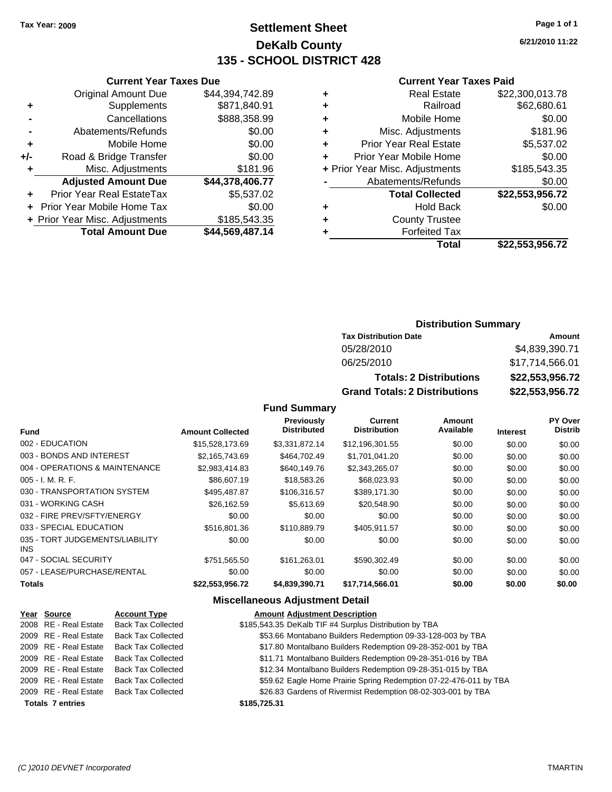### **Settlement Sheet Tax Year: 2009 Page 1 of 1 DeKalb County 135 - SCHOOL DISTRICT 428**

**6/21/2010 11:22**

#### **Current Year Taxes Paid**

|   | <b>Real Estate</b>             | \$22,300,013.78 |
|---|--------------------------------|-----------------|
| ٠ | Railroad                       | \$62,680.61     |
| ٠ | Mobile Home                    | \$0.00          |
| ٠ | Misc. Adjustments              | \$181.96        |
| ٠ | <b>Prior Year Real Estate</b>  | \$5,537.02      |
| ÷ | Prior Year Mobile Home         | \$0.00          |
|   | + Prior Year Misc. Adjustments | \$185,543.35    |
|   | Abatements/Refunds             | \$0.00          |
|   | <b>Total Collected</b>         | \$22,553,956.72 |
| ٠ | <b>Hold Back</b>               | \$0.00          |
| ٠ | <b>County Trustee</b>          |                 |
|   | <b>Forfeited Tax</b>           |                 |
|   | Total                          | \$22.553.956.72 |

|     | <b>Current Year Taxes Due</b>  |                 |  |  |  |
|-----|--------------------------------|-----------------|--|--|--|
|     | <b>Original Amount Due</b>     | \$44,394,742.89 |  |  |  |
| ٠   | Supplements                    | \$871,840.91    |  |  |  |
|     | Cancellations                  | \$888,358.99    |  |  |  |
|     | Abatements/Refunds             | \$0.00          |  |  |  |
| ٠   | Mobile Home                    | \$0.00          |  |  |  |
| +/- | Road & Bridge Transfer         | \$0.00          |  |  |  |
| ٠   | Misc. Adjustments              | \$181.96        |  |  |  |
|     | <b>Adjusted Amount Due</b>     | \$44,378,406.77 |  |  |  |
|     | Prior Year Real EstateTax      | \$5,537.02      |  |  |  |
|     | Prior Year Mobile Home Tax     | \$0.00          |  |  |  |
|     | + Prior Year Misc. Adjustments | \$185,543.35    |  |  |  |
|     | <b>Total Amount Due</b>        | \$44,569,487.14 |  |  |  |

#### **Distribution Summary**

| <b>Tax Distribution Date</b>         | Amount          |
|--------------------------------------|-----------------|
| 05/28/2010                           | \$4,839,390.71  |
| 06/25/2010                           | \$17,714,566.01 |
| <b>Totals: 2 Distributions</b>       | \$22,553,956.72 |
| <b>Grand Totals: 2 Distributions</b> | \$22,553,956.72 |

#### **Fund Summary**

|                                               |                         | Previously         | Current             | Amount    |                 | PY Over        |
|-----------------------------------------------|-------------------------|--------------------|---------------------|-----------|-----------------|----------------|
| <b>Fund</b>                                   | <b>Amount Collected</b> | <b>Distributed</b> | <b>Distribution</b> | Available | <b>Interest</b> | <b>Distrib</b> |
| 002 - EDUCATION                               | \$15,528,173.69         | \$3,331,872.14     | \$12,196,301.55     | \$0.00    | \$0.00          | \$0.00         |
| 003 - BONDS AND INTEREST                      | \$2,165,743.69          | \$464,702.49       | \$1,701,041.20      | \$0.00    | \$0.00          | \$0.00         |
| 004 - OPERATIONS & MAINTENANCE                | \$2,983,414.83          | \$640,149.76       | \$2,343,265.07      | \$0.00    | \$0.00          | \$0.00         |
| $005 - I. M. R. F.$                           | \$86,607.19             | \$18,583.26        | \$68,023.93         | \$0.00    | \$0.00          | \$0.00         |
| 030 - TRANSPORTATION SYSTEM                   | \$495,487.87            | \$106,316.57       | \$389,171.30        | \$0.00    | \$0.00          | \$0.00         |
| 031 - WORKING CASH                            | \$26,162.59             | \$5,613.69         | \$20,548.90         | \$0.00    | \$0.00          | \$0.00         |
| 032 - FIRE PREV/SFTY/ENERGY                   | \$0.00                  | \$0.00             | \$0.00              | \$0.00    | \$0.00          | \$0.00         |
| 033 - SPECIAL EDUCATION                       | \$516,801,36            | \$110,889.79       | \$405,911.57        | \$0.00    | \$0.00          | \$0.00         |
| 035 - TORT JUDGEMENTS/LIABILITY<br><b>INS</b> | \$0.00                  | \$0.00             | \$0.00              | \$0.00    | \$0.00          | \$0.00         |
| 047 - SOCIAL SECURITY                         | \$751.565.50            | \$161.263.01       | \$590,302.49        | \$0.00    | \$0.00          | \$0.00         |
| 057 - LEASE/PURCHASE/RENTAL                   | \$0.00                  | \$0.00             | \$0.00              | \$0.00    | \$0.00          | \$0.00         |
| <b>Totals</b>                                 | \$22,553,956.72         | \$4,839,390.71     | \$17,714,566.01     | \$0.00    | \$0.00          | \$0.00         |

| Year Source             | <b>Account Type</b>       | <b>Amount Adjustment Description</b>                              |
|-------------------------|---------------------------|-------------------------------------------------------------------|
| 2008 RE - Real Estate   | <b>Back Tax Collected</b> | \$185,543.35 DeKalb TIF #4 Surplus Distribution by TBA            |
| 2009 RE - Real Estate   | <b>Back Tax Collected</b> | \$53.66 Montabano Builders Redemption 09-33-128-003 by TBA        |
| 2009 RE - Real Estate   | <b>Back Tax Collected</b> | \$17.80 Montalbano Builders Redemption 09-28-352-001 by TBA       |
| 2009 RE - Real Estate   | <b>Back Tax Collected</b> | \$11.71 Montalbano Builders Redemption 09-28-351-016 by TBA       |
| 2009 RE - Real Estate   | <b>Back Tax Collected</b> | \$12.34 Montalbano Builders Redemption 09-28-351-015 by TBA       |
| 2009 RE - Real Estate   | <b>Back Tax Collected</b> | \$59.62 Eagle Home Prairie Spring Redemption 07-22-476-011 by TBA |
| 2009 RE - Real Estate   | <b>Back Tax Collected</b> | \$26.83 Gardens of Rivermist Redemption 08-02-303-001 by TBA      |
| <b>Totals 7 entries</b> |                           | \$185,725,31                                                      |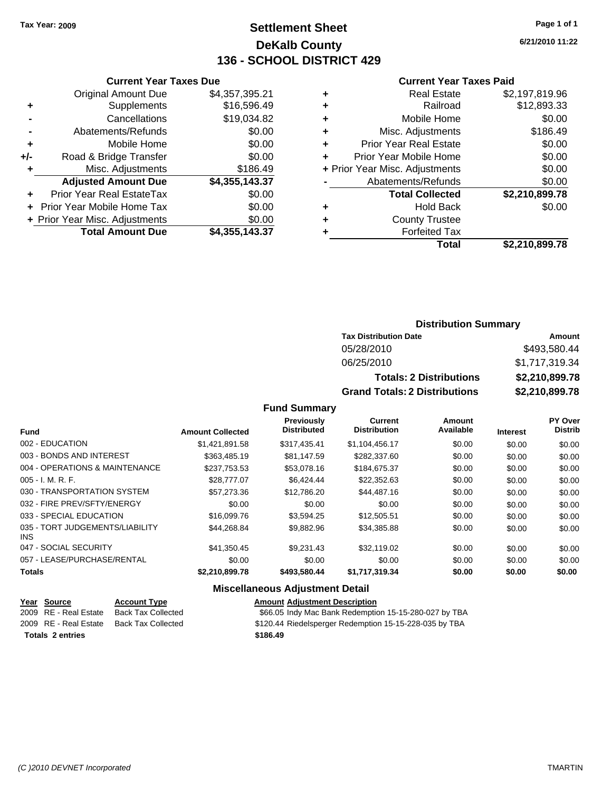### **Settlement Sheet Tax Year: 2009 Page 1 of 1 DeKalb County 136 - SCHOOL DISTRICT 429**

**6/21/2010 11:22**

#### **Current Year Taxes Paid**

|     | <b>Current Year Taxes Due</b>  |                |  |  |  |  |  |
|-----|--------------------------------|----------------|--|--|--|--|--|
|     | <b>Original Amount Due</b>     | \$4,357,395.21 |  |  |  |  |  |
| ٠   | Supplements                    | \$16,596.49    |  |  |  |  |  |
|     | Cancellations                  | \$19,034.82    |  |  |  |  |  |
|     | Abatements/Refunds             | \$0.00         |  |  |  |  |  |
| ٠   | Mobile Home                    | \$0.00         |  |  |  |  |  |
| +/- | Road & Bridge Transfer         | \$0.00         |  |  |  |  |  |
| ٠   | Misc. Adjustments              | \$186.49       |  |  |  |  |  |
|     | <b>Adjusted Amount Due</b>     | \$4,355,143.37 |  |  |  |  |  |
| ٠   | Prior Year Real EstateTax      | \$0.00         |  |  |  |  |  |
|     | Prior Year Mobile Home Tax     | \$0.00         |  |  |  |  |  |
|     | + Prior Year Misc. Adjustments | \$0.00         |  |  |  |  |  |
|     | <b>Total Amount Due</b>        | \$4,355,143.37 |  |  |  |  |  |

| ٠ | <b>Real Estate</b>             | \$2,197,819.96 |
|---|--------------------------------|----------------|
| ٠ | Railroad                       | \$12,893.33    |
| ٠ | Mobile Home                    | \$0.00         |
| ٠ | Misc. Adjustments              | \$186.49       |
| ٠ | <b>Prior Year Real Estate</b>  | \$0.00         |
| ÷ | Prior Year Mobile Home         | \$0.00         |
|   | + Prior Year Misc. Adjustments | \$0.00         |
|   | Abatements/Refunds             | \$0.00         |
|   | <b>Total Collected</b>         | \$2,210,899.78 |
| ٠ | Hold Back                      | \$0.00         |
| ٠ | <b>County Trustee</b>          |                |
| ٠ | <b>Forfeited Tax</b>           |                |
|   | Total                          | \$2,210,899.78 |
|   |                                |                |

#### **Distribution Summary**

| <b>Tax Distribution Date</b>         | Amount         |
|--------------------------------------|----------------|
| 05/28/2010                           | \$493,580.44   |
| 06/25/2010                           | \$1,717,319.34 |
| <b>Totals: 2 Distributions</b>       | \$2,210,899.78 |
| <b>Grand Totals: 2 Distributions</b> | \$2,210,899.78 |

**Fund Summary**

|                                         |                         | Previously         | Current             | Amount    |                 | PY Over        |
|-----------------------------------------|-------------------------|--------------------|---------------------|-----------|-----------------|----------------|
| <b>Fund</b>                             | <b>Amount Collected</b> | <b>Distributed</b> | <b>Distribution</b> | Available | <b>Interest</b> | <b>Distrib</b> |
| 002 - EDUCATION                         | \$1,421,891.58          | \$317,435.41       | \$1,104,456.17      | \$0.00    | \$0.00          | \$0.00         |
| 003 - BONDS AND INTEREST                | \$363,485.19            | \$81.147.59        | \$282,337.60        | \$0.00    | \$0.00          | \$0.00         |
| 004 - OPERATIONS & MAINTENANCE          | \$237,753.53            | \$53,078.16        | \$184,675.37        | \$0.00    | \$0.00          | \$0.00         |
| $005 - I. M. R. F.$                     | \$28,777.07             | \$6,424.44         | \$22,352.63         | \$0.00    | \$0.00          | \$0.00         |
| 030 - TRANSPORTATION SYSTEM             | \$57,273,36             | \$12,786.20        | \$44,487.16         | \$0.00    | \$0.00          | \$0.00         |
| 032 - FIRE PREV/SFTY/ENERGY             | \$0.00                  | \$0.00             | \$0.00              | \$0.00    | \$0.00          | \$0.00         |
| 033 - SPECIAL EDUCATION                 | \$16,099.76             | \$3.594.25         | \$12,505.51         | \$0.00    | \$0.00          | \$0.00         |
| 035 - TORT JUDGEMENTS/LIABILITY<br>INS. | \$44.268.84             | \$9,882.96         | \$34,385.88         | \$0.00    | \$0.00          | \$0.00         |
| 047 - SOCIAL SECURITY                   | \$41,350.45             | \$9.231.43         | \$32,119.02         | \$0.00    | \$0.00          | \$0.00         |
| 057 - LEASE/PURCHASE/RENTAL             | \$0.00                  | \$0.00             | \$0.00              | \$0.00    | \$0.00          | \$0.00         |
| <b>Totals</b>                           | \$2,210,899.78          | \$493,580.44       | \$1,717,319.34      | \$0.00    | \$0.00          | \$0.00         |

| Year Source             | <b>Account Type</b> | <b>Amount Adjustment Description</b>                   |
|-------------------------|---------------------|--------------------------------------------------------|
| 2009 RE - Real Estate   | Back Tax Collected  | \$66.05 Indy Mac Bank Redemption 15-15-280-027 by TBA  |
| 2009 RE - Real Estate   | Back Tax Collected  | \$120.44 Riedelsperger Redemption 15-15-228-035 by TBA |
| <b>Totals 2 entries</b> |                     | \$186.49                                               |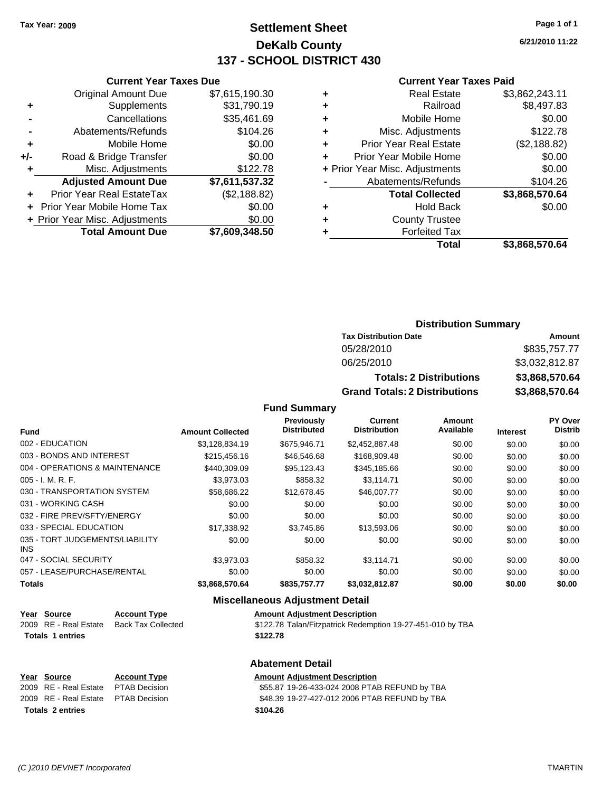**Current Year Taxes Due** Original Amount Due \$7,615,190.30

**Adjusted Amount Due \$7,611,537.32**

**Total Amount Due \$7,609,348.50**

**+** Supplements \$31,790.19 **-** Cancellations \$35,461.69 **-** Abatements/Refunds \$104.26 **+** Mobile Home \$0.00 **+/-** Road & Bridge Transfer \$0.00 **+** Misc. Adjustments \$122.78

**+** Prior Year Real EstateTax (\$2,188.82) **+** Prior Year Mobile Home Tax \$0.00 **+ Prior Year Misc. Adjustments**  $$0.00$ 

### **Settlement Sheet Tax Year: 2009 Page 1 of 1 DeKalb County 137 - SCHOOL DISTRICT 430**

**6/21/2010 11:22**

#### **Current Year Taxes Paid**

| ٠ | <b>Real Estate</b>             | \$3,862,243.11 |
|---|--------------------------------|----------------|
| ٠ | Railroad                       | \$8,497.83     |
| ٠ | Mobile Home                    | \$0.00         |
| ٠ | Misc. Adjustments              | \$122.78       |
| ٠ | <b>Prior Year Real Estate</b>  | (\$2,188.82)   |
| ÷ | Prior Year Mobile Home         | \$0.00         |
|   | + Prior Year Misc. Adjustments | \$0.00         |
|   | Abatements/Refunds             | \$104.26       |
|   | <b>Total Collected</b>         | \$3,868,570.64 |
| ٠ | <b>Hold Back</b>               | \$0.00         |
| ٠ | <b>County Trustee</b>          |                |
| ٠ | <b>Forfeited Tax</b>           |                |
|   | Total                          | \$3.868.570.64 |

| <b>Distribution Summary</b> |  |
|-----------------------------|--|
|                             |  |

| <b>Tax Distribution Date</b>         | Amount         |
|--------------------------------------|----------------|
| 05/28/2010                           | \$835,757.77   |
| 06/25/2010                           | \$3,032,812.87 |
| <b>Totals: 2 Distributions</b>       | \$3,868,570.64 |
| <b>Grand Totals: 2 Distributions</b> | \$3,868,570.64 |

**Fund Summary**

| <b>Fund</b>                                   | <b>Amount Collected</b> | Previously<br><b>Distributed</b> | <b>Current</b><br><b>Distribution</b> | Amount<br>Available | <b>Interest</b> | PY Over<br><b>Distrib</b> |
|-----------------------------------------------|-------------------------|----------------------------------|---------------------------------------|---------------------|-----------------|---------------------------|
| 002 - EDUCATION                               |                         |                                  |                                       |                     |                 |                           |
|                                               | \$3,128,834.19          | \$675,946.71                     | \$2,452,887.48                        | \$0.00              | \$0.00          | \$0.00                    |
| 003 - BONDS AND INTEREST                      | \$215,456.16            | \$46,546.68                      | \$168,909.48                          | \$0.00              | \$0.00          | \$0.00                    |
| 004 - OPERATIONS & MAINTENANCE                | \$440.309.09            | \$95,123.43                      | \$345,185.66                          | \$0.00              | \$0.00          | \$0.00                    |
| $005 - I. M. R. F.$                           | \$3.973.03              | \$858.32                         | \$3.114.71                            | \$0.00              | \$0.00          | \$0.00                    |
| 030 - TRANSPORTATION SYSTEM                   | \$58,686.22             | \$12,678.45                      | \$46,007.77                           | \$0.00              | \$0.00          | \$0.00                    |
| 031 - WORKING CASH                            | \$0.00                  | \$0.00                           | \$0.00                                | \$0.00              | \$0.00          | \$0.00                    |
| 032 - FIRE PREV/SFTY/ENERGY                   | \$0.00                  | \$0.00                           | \$0.00                                | \$0.00              | \$0.00          | \$0.00                    |
| 033 - SPECIAL EDUCATION                       | \$17.338.92             | \$3,745.86                       | \$13,593.06                           | \$0.00              | \$0.00          | \$0.00                    |
| 035 - TORT JUDGEMENTS/LIABILITY<br><b>INS</b> | \$0.00                  | \$0.00                           | \$0.00                                | \$0.00              | \$0.00          | \$0.00                    |
| 047 - SOCIAL SECURITY                         | \$3.973.03              | \$858.32                         | \$3.114.71                            | \$0.00              | \$0.00          | \$0.00                    |
| 057 - LEASE/PURCHASE/RENTAL                   | \$0.00                  | \$0.00                           | \$0.00                                | \$0.00              | \$0.00          | \$0.00                    |
| <b>Totals</b>                                 | \$3,868,570.64          | \$835,757.77                     | \$3,032,812.87                        | \$0.00              | \$0.00          | \$0.00                    |

#### **Miscellaneous Adjustment Detail**

|                         | Year Source<br>2009 RE - Real Estate | <b>Account Type</b><br><b>Back Tax Collected</b> | <b>Amount Adjustment Description</b><br>\$122.78 Talan/Fitzpatrick Redemption 19-27-451-010 by TBA |
|-------------------------|--------------------------------------|--------------------------------------------------|----------------------------------------------------------------------------------------------------|
| <b>Totals 1 entries</b> |                                      |                                                  | \$122.78                                                                                           |
|                         |                                      |                                                  |                                                                                                    |

### **Abatement Detail**

|                         | Year Source                          | <b>Account Type</b> | <b>Amount Adjustment Description</b>          |
|-------------------------|--------------------------------------|---------------------|-----------------------------------------------|
|                         | 2009 RE - Real Estate  PTAB Decision |                     | \$55.87 19-26-433-024 2008 PTAB REFUND by TBA |
|                         | 2009 RE - Real Estate  PTAB Decision |                     | \$48.39 19-27-427-012 2006 PTAB REFUND by TBA |
| <b>Totals 2 entries</b> |                                      |                     | \$104.26                                      |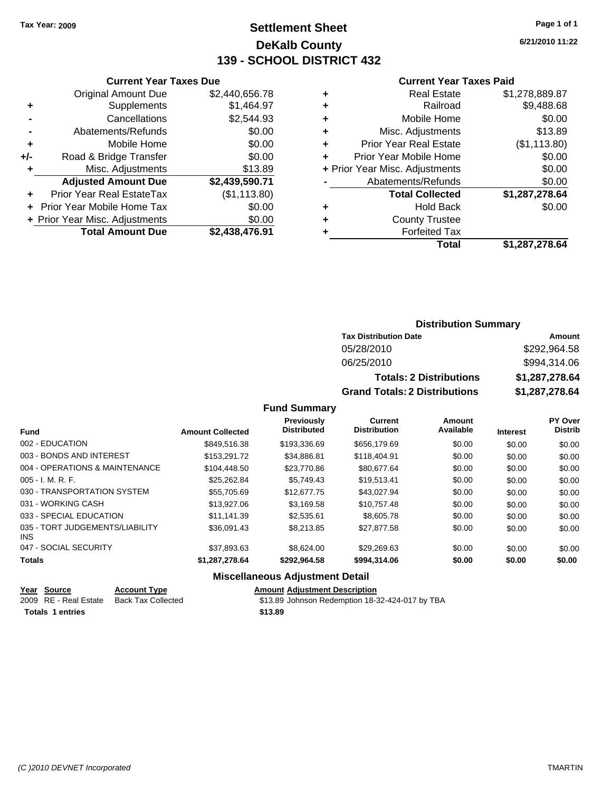### **Settlement Sheet Tax Year: 2009 Page 1 of 1 DeKalb County 139 - SCHOOL DISTRICT 432**

**6/21/2010 11:22**

#### **Current Year Taxes Paid**

|     | <b>Current Year Taxes Due</b>  |                |
|-----|--------------------------------|----------------|
|     | <b>Original Amount Due</b>     | \$2,440,656.78 |
| ٠   | Supplements                    | \$1,464.97     |
|     | Cancellations                  | \$2,544.93     |
|     | Abatements/Refunds             | \$0.00         |
| ٠   | Mobile Home                    | \$0.00         |
| +/- | Road & Bridge Transfer         | \$0.00         |
| ٠   | Misc. Adjustments              | \$13.89        |
|     | <b>Adjusted Amount Due</b>     | \$2,439,590.71 |
| ٠   | Prior Year Real EstateTax      | (\$1,113.80)   |
|     | Prior Year Mobile Home Tax     | \$0.00         |
|     | + Prior Year Misc. Adjustments | \$0.00         |
|     | <b>Total Amount Due</b>        | \$2,438,476.91 |
|     |                                |                |

| \$1,278,889.87 |
|----------------|
| \$9,488.68     |
| \$0.00         |
| \$13.89        |
| (\$1,113.80)   |
| \$0.00         |
| \$0.00         |
| \$0.00         |
| \$1,287,278.64 |
| \$0.00         |
|                |
|                |
| \$1,287,278.64 |
|                |

### **Distribution Summary**

| <b>Tax Distribution Date</b>         | Amount         |
|--------------------------------------|----------------|
| 05/28/2010                           | \$292.964.58   |
| 06/25/2010                           | \$994,314.06   |
| <b>Totals: 2 Distributions</b>       | \$1,287,278.64 |
| <b>Grand Totals: 2 Distributions</b> | \$1,287,278.64 |

**Fund Summary**

|                                               |                         | Previously         | <b>Current</b>      | Amount    |                 | PY Over        |
|-----------------------------------------------|-------------------------|--------------------|---------------------|-----------|-----------------|----------------|
| <b>Fund</b>                                   | <b>Amount Collected</b> | <b>Distributed</b> | <b>Distribution</b> | Available | <b>Interest</b> | <b>Distrib</b> |
| 002 - EDUCATION                               | \$849.516.38            | \$193.336.69       | \$656,179.69        | \$0.00    | \$0.00          | \$0.00         |
| 003 - BONDS AND INTEREST                      | \$153.291.72            | \$34.886.81        | \$118,404.91        | \$0.00    | \$0.00          | \$0.00         |
| 004 - OPERATIONS & MAINTENANCE                | \$104.448.50            | \$23,770.86        | \$80,677,64         | \$0.00    | \$0.00          | \$0.00         |
| $005 - I. M. R. F.$                           | \$25.262.84             | \$5.749.43         | \$19,513.41         | \$0.00    | \$0.00          | \$0.00         |
| 030 - TRANSPORTATION SYSTEM                   | \$55,705.69             | \$12,677.75        | \$43,027.94         | \$0.00    | \$0.00          | \$0.00         |
| 031 - WORKING CASH                            | \$13,927.06             | \$3.169.58         | \$10.757.48         | \$0.00    | \$0.00          | \$0.00         |
| 033 - SPECIAL EDUCATION                       | \$11.141.39             | \$2.535.61         | \$8,605.78          | \$0.00    | \$0.00          | \$0.00         |
| 035 - TORT JUDGEMENTS/LIABILITY<br><b>INS</b> | \$36,091.43             | \$8,213,85         | \$27,877.58         | \$0.00    | \$0.00          | \$0.00         |
| 047 - SOCIAL SECURITY                         | \$37,893.63             | \$8.624.00         | \$29,269.63         | \$0.00    | \$0.00          | \$0.00         |
| <b>Totals</b>                                 | \$1,287,278.64          | \$292.964.58       | \$994,314.06        | \$0.00    | \$0.00          | \$0.00         |
|                                               | --- --                  |                    |                     |           |                 |                |

| Year Source           | <b>Account Type</b> | <b>Amount Adiustment Description</b>            |
|-----------------------|---------------------|-------------------------------------------------|
| 2009 RE - Real Estate | Back Tax Collected  | \$13.89 Johnson Redemption 18-32-424-017 by TBA |
| Totals 1 entries      |                     | \$13.89                                         |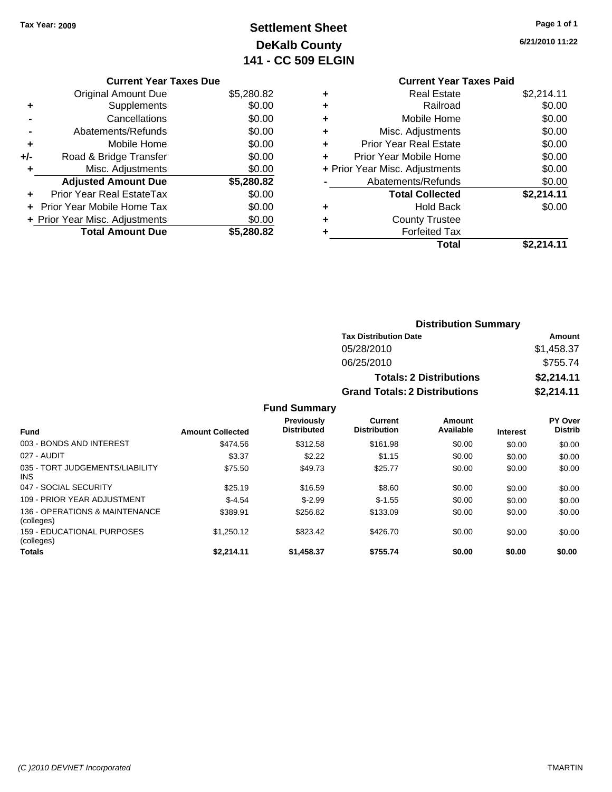### **Settlement Sheet Tax Year: 2009 Page 1 of 1 DeKalb County 141 - CC 509 ELGIN**

**6/21/2010 11:22**

## **Current Year Taxes Paid**

|     | <b>Original Amount Due</b>     | \$5,280.82 |
|-----|--------------------------------|------------|
| ٠   | Supplements                    | \$0.00     |
|     | Cancellations                  | \$0.00     |
|     | Abatements/Refunds             | \$0.00     |
| ÷   | Mobile Home                    | \$0.00     |
| +/- | Road & Bridge Transfer         | \$0.00     |
| ٠   | Misc. Adjustments              | \$0.00     |
|     | <b>Adjusted Amount Due</b>     | \$5,280.82 |
|     | Prior Year Real EstateTax      | \$0.00     |
|     | Prior Year Mobile Home Tax     | \$0.00     |
|     | + Prior Year Misc. Adjustments | \$0.00     |
|     | <b>Total Amount Due</b>        | \$5,280.82 |
|     |                                |            |

| ٠ | <b>Real Estate</b>             | \$2,214.11 |
|---|--------------------------------|------------|
| ٠ | Railroad                       | \$0.00     |
| ٠ | Mobile Home                    | \$0.00     |
| ٠ | Misc. Adjustments              | \$0.00     |
| ÷ | <b>Prior Year Real Estate</b>  | \$0.00     |
| ÷ | Prior Year Mobile Home         | \$0.00     |
|   | + Prior Year Misc. Adjustments | \$0.00     |
|   | Abatements/Refunds             | \$0.00     |
|   | <b>Total Collected</b>         | \$2,214.11 |
| ٠ | Hold Back                      | \$0.00     |
| ٠ | <b>County Trustee</b>          |            |
| ٠ | <b>Forfeited Tax</b>           |            |
|   | Total                          | \$2.214.11 |
|   |                                |            |

| <b>Distribution Summary</b>          |            |
|--------------------------------------|------------|
| <b>Tax Distribution Date</b>         | Amount     |
| 05/28/2010                           | \$1,458.37 |
| 06/25/2010                           | \$755.74   |
| <b>Totals: 2 Distributions</b>       | \$2,214.11 |
| <b>Grand Totals: 2 Distributions</b> | \$2,214.11 |

|                                               |                         | <b>Fund Summary</b>                     |                                       |                     |                 |                           |
|-----------------------------------------------|-------------------------|-----------------------------------------|---------------------------------------|---------------------|-----------------|---------------------------|
| <b>Fund</b>                                   | <b>Amount Collected</b> | <b>Previously</b><br><b>Distributed</b> | <b>Current</b><br><b>Distribution</b> | Amount<br>Available | <b>Interest</b> | PY Over<br><b>Distrib</b> |
| 003 - BONDS AND INTEREST                      | \$474.56                | \$312.58                                | \$161.98                              | \$0.00              | \$0.00          | \$0.00                    |
| 027 - AUDIT                                   | \$3.37                  | \$2.22                                  | \$1.15                                | \$0.00              | \$0.00          | \$0.00                    |
| 035 - TORT JUDGEMENTS/LIABILITY<br><b>INS</b> | \$75.50                 | \$49.73                                 | \$25.77                               | \$0.00              | \$0.00          | \$0.00                    |
| 047 - SOCIAL SECURITY                         | \$25.19                 | \$16.59                                 | \$8.60                                | \$0.00              | \$0.00          | \$0.00                    |
| 109 - PRIOR YEAR ADJUSTMENT                   | $$-4.54$                | $$-2.99$                                | $$-1.55$                              | \$0.00              | \$0.00          | \$0.00                    |
| 136 - OPERATIONS & MAINTENANCE<br>(colleges)  | \$389.91                | \$256.82                                | \$133.09                              | \$0.00              | \$0.00          | \$0.00                    |
| 159 - EDUCATIONAL PURPOSES<br>(colleges)      | \$1,250.12              | \$823.42                                | \$426.70                              | \$0.00              | \$0.00          | \$0.00                    |
| <b>Totals</b>                                 | \$2,214.11              | \$1,458.37                              | \$755.74                              | \$0.00              | \$0.00          | \$0.00                    |

### **Current Year Taxes Due**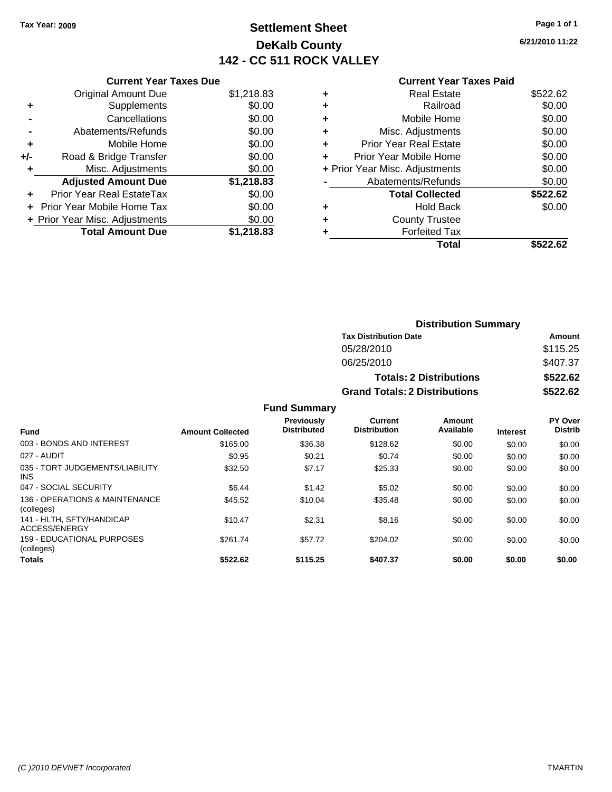### **Settlement Sheet Tax Year: 2009 Page 1 of 1 DeKalb County 142 - CC 511 ROCK VALLEY**

**6/21/2010 11:22**

| <b>Current Year Taxes Due</b> |  |  |
|-------------------------------|--|--|
|                               |  |  |

|     | <b>Original Amount Due</b>       | \$1,218.83 |
|-----|----------------------------------|------------|
| ٠   | Supplements                      | \$0.00     |
|     | Cancellations                    | \$0.00     |
|     | Abatements/Refunds               | \$0.00     |
| ÷   | Mobile Home                      | \$0.00     |
| +/- | Road & Bridge Transfer           | \$0.00     |
| ٠   | Misc. Adjustments                | \$0.00     |
|     | <b>Adjusted Amount Due</b>       | \$1,218.83 |
|     | <b>Prior Year Real EstateTax</b> | \$0.00     |
|     | Prior Year Mobile Home Tax       | \$0.00     |
|     | + Prior Year Misc. Adjustments   | \$0.00     |
|     | <b>Total Amount Due</b>          | \$1,218.83 |

| <b>Real Estate</b>            | \$522.62                       |
|-------------------------------|--------------------------------|
| Railroad                      | \$0.00                         |
| Mobile Home                   | \$0.00                         |
| Misc. Adjustments             | \$0.00                         |
| <b>Prior Year Real Estate</b> | \$0.00                         |
| Prior Year Mobile Home        | \$0.00                         |
|                               | \$0.00                         |
| Abatements/Refunds            | \$0.00                         |
| <b>Total Collected</b>        | \$522.62                       |
| <b>Hold Back</b>              | \$0.00                         |
| <b>County Trustee</b>         |                                |
| <b>Forfeited Tax</b>          |                                |
| Total                         | \$522.62                       |
|                               | + Prior Year Misc. Adjustments |

|                     |                                      | <b>Distribution Summary</b>    |                |
|---------------------|--------------------------------------|--------------------------------|----------------|
|                     | <b>Tax Distribution Date</b>         |                                | Amount         |
|                     | 05/28/2010                           |                                | \$115.25       |
|                     | 06/25/2010                           |                                | \$407.37       |
|                     |                                      | <b>Totals: 2 Distributions</b> | \$522.62       |
|                     | <b>Grand Totals: 2 Distributions</b> |                                | \$522.62       |
| <b>Fund Summary</b> |                                      |                                |                |
| Previously          | Current                              | Amount                         | <b>PY Over</b> |

| <b>Fund</b>                                  | <b>Amount Collected</b> | <b>Previously</b><br><b>Distributed</b> | Current<br><b>Distribution</b> | Amount<br>Available | <b>Interest</b> | PY Over<br><b>Distrib</b> |
|----------------------------------------------|-------------------------|-----------------------------------------|--------------------------------|---------------------|-----------------|---------------------------|
| 003 - BONDS AND INTEREST                     | \$165.00                | \$36.38                                 | \$128.62                       | \$0.00              | \$0.00          | \$0.00                    |
| 027 - AUDIT                                  | \$0.95                  | \$0.21                                  | \$0.74                         | \$0.00              | \$0.00          | \$0.00                    |
| 035 - TORT JUDGEMENTS/LIABILITY<br>INS.      | \$32.50                 | \$7.17                                  | \$25.33                        | \$0.00              | \$0.00          | \$0.00                    |
| 047 - SOCIAL SECURITY                        | \$6.44                  | \$1.42                                  | \$5.02                         | \$0.00              | \$0.00          | \$0.00                    |
| 136 - OPERATIONS & MAINTENANCE<br>(colleges) | \$45.52                 | \$10.04                                 | \$35.48                        | \$0.00              | \$0.00          | \$0.00                    |
| 141 - HLTH, SFTY/HANDICAP<br>ACCESS/ENERGY   | \$10.47                 | \$2.31                                  | \$8.16                         | \$0.00              | \$0.00          | \$0.00                    |
| 159 - EDUCATIONAL PURPOSES<br>(colleges)     | \$261.74                | \$57.72                                 | \$204.02                       | \$0.00              | \$0.00          | \$0.00                    |
| <b>Totals</b>                                | \$522.62                | \$115.25                                | \$407.37                       | \$0.00              | \$0.00          | \$0.00                    |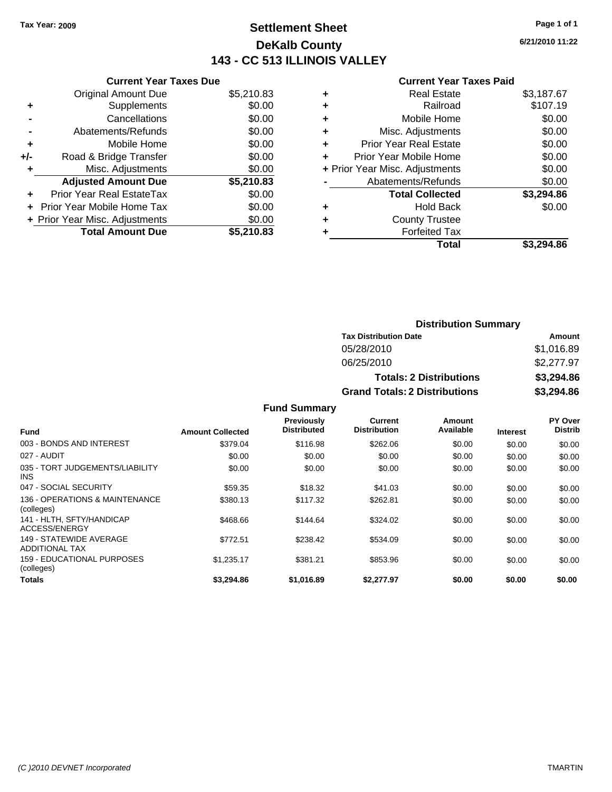### **Settlement Sheet Tax Year: 2009 Page 1 of 1 DeKalb County 143 - CC 513 ILLINOIS VALLEY**

**6/21/2010 11:22**

|     | <b>Current Year Taxes Due</b>  |            |
|-----|--------------------------------|------------|
|     | <b>Original Amount Due</b>     | \$5,210.83 |
| ٠   | Supplements                    | \$0.00     |
|     | Cancellations                  | \$0.00     |
|     | Abatements/Refunds             | \$0.00     |
| ٠   | Mobile Home                    | \$0.00     |
| +/- | Road & Bridge Transfer         | \$0.00     |
|     | Misc. Adjustments              | \$0.00     |
|     | <b>Adjusted Amount Due</b>     | \$5,210.83 |
|     | Prior Year Real EstateTax      | \$0.00     |
|     | Prior Year Mobile Home Tax     | \$0.00     |
|     | + Prior Year Misc. Adjustments | \$0.00     |
|     | <b>Total Amount Due</b>        | \$5,210.83 |
|     |                                |            |

|   | <b>Real Estate</b>             | \$3,187.67 |
|---|--------------------------------|------------|
| ٠ | Railroad                       | \$107.19   |
| ٠ | Mobile Home                    | \$0.00     |
| ٠ | Misc. Adjustments              | \$0.00     |
| ٠ | <b>Prior Year Real Estate</b>  | \$0.00     |
| ÷ | Prior Year Mobile Home         | \$0.00     |
|   | + Prior Year Misc. Adjustments | \$0.00     |
|   | Abatements/Refunds             | \$0.00     |
|   | <b>Total Collected</b>         | \$3,294.86 |
| ٠ | <b>Hold Back</b>               | \$0.00     |
| ٠ | <b>County Trustee</b>          |            |
| ٠ | <b>Forfeited Tax</b>           |            |
|   | Total                          | \$3.294.86 |
|   |                                |            |

| <b>Distribution Summary</b>          |            |  |  |
|--------------------------------------|------------|--|--|
| <b>Tax Distribution Date</b>         | Amount     |  |  |
| 05/28/2010                           | \$1,016.89 |  |  |
| 06/25/2010                           | \$2,277.97 |  |  |
| <b>Totals: 2 Distributions</b>       | \$3,294.86 |  |  |
| <b>Grand Totals: 2 Distributions</b> | \$3,294.86 |  |  |

|                                                  |                         | <b>Fund Summary</b>                     |                                |                     |                 |                           |
|--------------------------------------------------|-------------------------|-----------------------------------------|--------------------------------|---------------------|-----------------|---------------------------|
| <b>Fund</b>                                      | <b>Amount Collected</b> | <b>Previously</b><br><b>Distributed</b> | Current<br><b>Distribution</b> | Amount<br>Available | <b>Interest</b> | PY Over<br><b>Distrib</b> |
| 003 - BONDS AND INTEREST                         | \$379.04                | \$116.98                                | \$262.06                       | \$0.00              | \$0.00          | \$0.00                    |
| 027 - AUDIT                                      | \$0.00                  | \$0.00                                  | \$0.00                         | \$0.00              | \$0.00          | \$0.00                    |
| 035 - TORT JUDGEMENTS/LIABILITY<br><b>INS</b>    | \$0.00                  | \$0.00                                  | \$0.00                         | \$0.00              | \$0.00          | \$0.00                    |
| 047 - SOCIAL SECURITY                            | \$59.35                 | \$18.32                                 | \$41.03                        | \$0.00              | \$0.00          | \$0.00                    |
| 136 - OPERATIONS & MAINTENANCE<br>(colleges)     | \$380.13                | \$117.32                                | \$262.81                       | \$0.00              | \$0.00          | \$0.00                    |
| 141 - HLTH. SFTY/HANDICAP<br>ACCESS/ENERGY       | \$468.66                | \$144.64                                | \$324.02                       | \$0.00              | \$0.00          | \$0.00                    |
| 149 - STATEWIDE AVERAGE<br><b>ADDITIONAL TAX</b> | \$772.51                | \$238.42                                | \$534.09                       | \$0.00              | \$0.00          | \$0.00                    |
| 159 - EDUCATIONAL PURPOSES<br>(colleges)         | \$1,235.17              | \$381.21                                | \$853.96                       | \$0.00              | \$0.00          | \$0.00                    |
| Totals                                           | \$3,294.86              | \$1.016.89                              | \$2,277.97                     | \$0.00              | \$0.00          | \$0.00                    |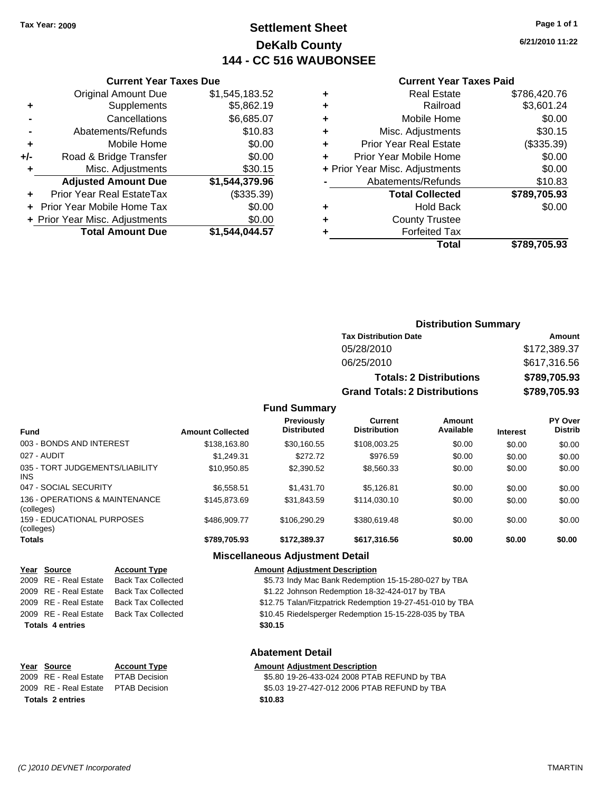### **Settlement Sheet Tax Year: 2009 Page 1 of 1 DeKalb County 144 - CC 516 WAUBONSEE**

**6/21/2010 11:22**

#### **Current Year Taxes Paid**

| ٠ | <b>Real Estate</b>             | \$786,420.76 |
|---|--------------------------------|--------------|
| ÷ | Railroad                       | \$3,601.24   |
| ٠ | Mobile Home                    | \$0.00       |
| ٠ | Misc. Adjustments              | \$30.15      |
| ٠ | <b>Prior Year Real Estate</b>  | (\$335.39)   |
| ÷ | Prior Year Mobile Home         | \$0.00       |
|   | + Prior Year Misc. Adjustments | \$0.00       |
|   | Abatements/Refunds             | \$10.83      |
|   | <b>Total Collected</b>         | \$789,705.93 |
| ٠ | <b>Hold Back</b>               | \$0.00       |
| ٠ | <b>County Trustee</b>          |              |
|   | <b>Forfeited Tax</b>           |              |
|   | Total                          | \$789.705.93 |
|   |                                |              |

|     | <b>Current Year Taxes Due</b>  |                |  |  |  |
|-----|--------------------------------|----------------|--|--|--|
|     | <b>Original Amount Due</b>     | \$1,545,183.52 |  |  |  |
| ٠   | Supplements                    | \$5,862.19     |  |  |  |
|     | Cancellations                  | \$6,685.07     |  |  |  |
|     | Abatements/Refunds             | \$10.83        |  |  |  |
| ٠   | Mobile Home                    | \$0.00         |  |  |  |
| +/- | Road & Bridge Transfer         | \$0.00         |  |  |  |
| ٠   | Misc. Adjustments              | \$30.15        |  |  |  |
|     | <b>Adjusted Amount Due</b>     | \$1,544,379.96 |  |  |  |
|     | Prior Year Real EstateTax      | (\$335.39)     |  |  |  |
|     | Prior Year Mobile Home Tax     | \$0.00         |  |  |  |
|     | + Prior Year Misc. Adjustments | \$0.00         |  |  |  |
|     | <b>Total Amount Due</b>        | \$1.544.044.57 |  |  |  |
|     |                                |                |  |  |  |

| <b>Distribution Summary</b>  |              |  |  |
|------------------------------|--------------|--|--|
| <b>Tax Distribution Date</b> | Amount       |  |  |
| 05/28/2010                   | \$172,389.37 |  |  |

| 06/25/2010                           | \$617,316.56 |
|--------------------------------------|--------------|
| <b>Totals: 2 Distributions</b>       | \$789,705.93 |
| <b>Grand Totals: 2 Distributions</b> | \$789,705.93 |

#### **Fund Summary**

| <b>Fund</b>                                  | <b>Amount Collected</b> | Previously<br><b>Distributed</b> | Current<br><b>Distribution</b> | Amount<br>Available | <b>Interest</b> | PY Over<br><b>Distrib</b> |
|----------------------------------------------|-------------------------|----------------------------------|--------------------------------|---------------------|-----------------|---------------------------|
| 003 - BONDS AND INTEREST                     | \$138,163.80            | \$30,160.55                      | \$108,003.25                   | \$0.00              | \$0.00          | \$0.00                    |
| 027 - AUDIT                                  | \$1.249.31              | \$272.72                         | \$976.59                       | \$0.00              | \$0.00          | \$0.00                    |
| 035 - TORT JUDGEMENTS/LIABILITY<br>INS.      | \$10,950.85             | \$2,390.52                       | \$8,560.33                     | \$0.00              | \$0.00          | \$0.00                    |
| 047 - SOCIAL SECURITY                        | \$6.558.51              | \$1,431.70                       | \$5.126.81                     | \$0.00              | \$0.00          | \$0.00                    |
| 136 - OPERATIONS & MAINTENANCE<br>(colleges) | \$145,873,69            | \$31.843.59                      | \$114,030.10                   | \$0.00              | \$0.00          | \$0.00                    |
| 159 - EDUCATIONAL PURPOSES<br>(colleges)     | \$486,909.77            | \$106.290.29                     | \$380.619.48                   | \$0.00              | \$0.00          | \$0.00                    |
| <b>Totals</b>                                | \$789,705.93            | \$172,389.37                     | \$617,316.56                   | \$0.00              | \$0.00          | \$0.00                    |

#### **Miscellaneous Adjustment Detail**

#### **Year Source Account Type Amount Adjustment Description**

2009 RE - Real Estate Back Tax Collected \$5.73 Indy Mac Bank Redemption 15-15-280-027 by TBA

- 2009 RE Real Estate Back Tax Collected \$1.22 Johnson Redemption 18-32-424-017 by TBA
- 2009 RE Real Estate Back Tax Collected \$12.75 Talan/Fitzpatrick Redemption 19-27-451-010 by TBA

2009 RE - Real Estate Back Tax Collected \$10.45 Riedelsperger Redemption 15-15-228-035 by TBA

**Totals \$30.15 4 entries**

#### **Abatement Detail**

#### **Year Source Account Type Amount Adjustment Description** \$5.80 19-26-433-024 2008 PTAB REFUND by TBA 2009 RE - Real Estate \$5.03 19-27-427-012 2006 PTAB REFUND by TBA PTAB Decision **Totals \$10.83 2 entries**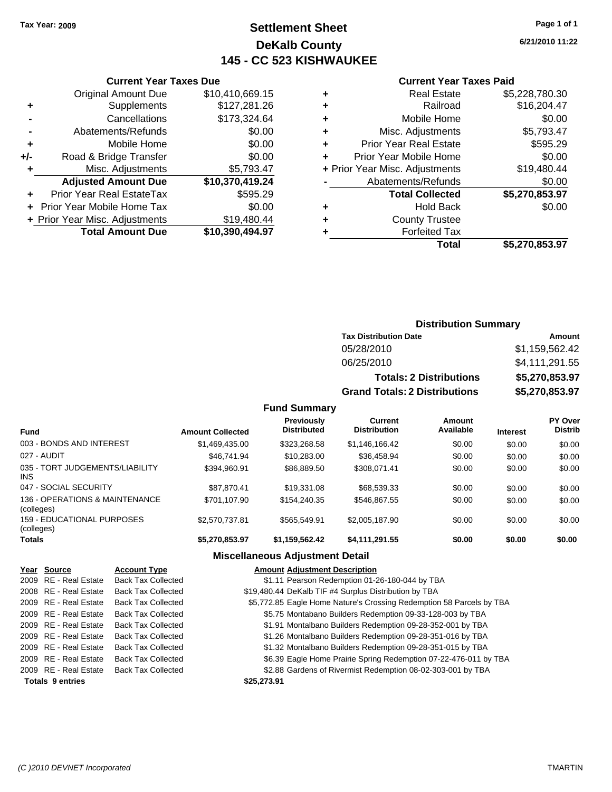**Current Year Taxes Due** Original Amount Due \$10,410,669.15

**Adjusted Amount Due \$10,370,419.24**

**Total Amount Due \$10,390,494.97**

**+** Supplements \$127,281.26 **-** Cancellations \$173,324.64 **-** Abatements/Refunds \$0.00 **+** Mobile Home \$0.00 **+/-** Road & Bridge Transfer \$0.00 **+** Misc. Adjustments \$5,793.47

**+** Prior Year Real EstateTax \$595.29 **+** Prior Year Mobile Home Tax \$0.00 + Prior Year Misc. Adjustments \$19,480.44

### **Settlement Sheet Tax Year: 2009 Page 1 of 1 DeKalb County 145 - CC 523 KISHWAUKEE**

**6/21/2010 11:22**

#### **Current Year Taxes Paid**

|   | Total                          | \$5,270,853.97 |
|---|--------------------------------|----------------|
| ٠ | <b>Forfeited Tax</b>           |                |
| ٠ | <b>County Trustee</b>          |                |
| ٠ | <b>Hold Back</b>               | \$0.00         |
|   | <b>Total Collected</b>         | \$5,270,853.97 |
|   | Abatements/Refunds             | \$0.00         |
|   | + Prior Year Misc. Adjustments | \$19,480.44    |
|   | Prior Year Mobile Home         | \$0.00         |
| ٠ | <b>Prior Year Real Estate</b>  | \$595.29       |
| ٠ | Misc. Adjustments              | \$5,793.47     |
| ٠ | Mobile Home                    | \$0.00         |
| ٠ | Railroad                       | \$16,204.47    |
| ٠ | <b>Real Estate</b>             | \$5,228,780.30 |
|   |                                |                |

| <b>Distribution Summary</b> |  |
|-----------------------------|--|

| <b>Tax Distribution Date</b>         | Amount         |
|--------------------------------------|----------------|
| 05/28/2010                           | \$1,159,562.42 |
| 06/25/2010                           | \$4,111,291.55 |
| <b>Totals: 2 Distributions</b>       | \$5,270,853.97 |
| <b>Grand Totals: 2 Distributions</b> | \$5,270,853.97 |

#### **Fund Summary**

| <b>Fund</b>                                   | <b>Amount Collected</b> | Previously<br><b>Distributed</b> | Current<br><b>Distribution</b> | Amount<br>Available | <b>Interest</b> | PY Over<br><b>Distrib</b> |
|-----------------------------------------------|-------------------------|----------------------------------|--------------------------------|---------------------|-----------------|---------------------------|
| 003 - BONDS AND INTEREST                      | \$1,469,435.00          | \$323,268.58                     | \$1.146.166.42                 | \$0.00              | \$0.00          | \$0.00                    |
| 027 - AUDIT                                   | \$46,741.94             | \$10,283.00                      | \$36,458.94                    | \$0.00              | \$0.00          | \$0.00                    |
| 035 - TORT JUDGEMENTS/LIABILITY<br><b>INS</b> | \$394.960.91            | \$86,889.50                      | \$308.071.41                   | \$0.00              | \$0.00          | \$0.00                    |
| 047 - SOCIAL SECURITY                         | \$87.870.41             | \$19,331.08                      | \$68,539.33                    | \$0.00              | \$0.00          | \$0.00                    |
| 136 - OPERATIONS & MAINTENANCE<br>(colleges)  | \$701.107.90            | \$154,240.35                     | \$546.867.55                   | \$0.00              | \$0.00          | \$0.00                    |
| 159 - EDUCATIONAL PURPOSES<br>(colleges)      | \$2,570,737.81          | \$565.549.91                     | \$2,005,187.90                 | \$0.00              | \$0.00          | \$0.00                    |
| <b>Totals</b>                                 | \$5,270,853.97          | \$1,159,562.42                   | \$4,111,291.55                 | \$0.00              | \$0.00          | \$0.00                    |

#### **Miscellaneous Adjustment Detail**

### **Year Source Account Type Amount Adjustment Description**

| <b>Totals 9 entries</b> |                           | \$25,273.91                                                          |
|-------------------------|---------------------------|----------------------------------------------------------------------|
| 2009 RE - Real Estate   | <b>Back Tax Collected</b> | \$2.88 Gardens of Rivermist Redemption 08-02-303-001 by TBA          |
| 2009 RE - Real Estate   | <b>Back Tax Collected</b> | \$6.39 Eagle Home Prairie Spring Redemption 07-22-476-011 by TBA     |
| 2009 RE - Real Estate   | <b>Back Tax Collected</b> | \$1.32 Montalbano Builders Redemption 09-28-351-015 by TBA           |
| 2009 RE - Real Estate   | <b>Back Tax Collected</b> | \$1.26 Montalbano Builders Redemption 09-28-351-016 by TBA           |
| 2009 RE - Real Estate   | <b>Back Tax Collected</b> | \$1.91 Montalbano Builders Redemption 09-28-352-001 by TBA           |
| 2009 RE - Real Estate   | <b>Back Tax Collected</b> | \$5.75 Montabano Builders Redemption 09-33-128-003 by TBA            |
| 2009 RE - Real Estate   | <b>Back Tax Collected</b> | \$5,772.85 Eagle Home Nature's Crossing Redemption 58 Parcels by TBA |
| 2008 RE - Real Estate   | <b>Back Tax Collected</b> | \$19,480.44 DeKalb TIF #4 Surplus Distribution by TBA                |
| 2009 RE - Real Estate   | <b>Back Tax Collected</b> | \$1.11 Pearson Redemption 01-26-180-044 by TBA                       |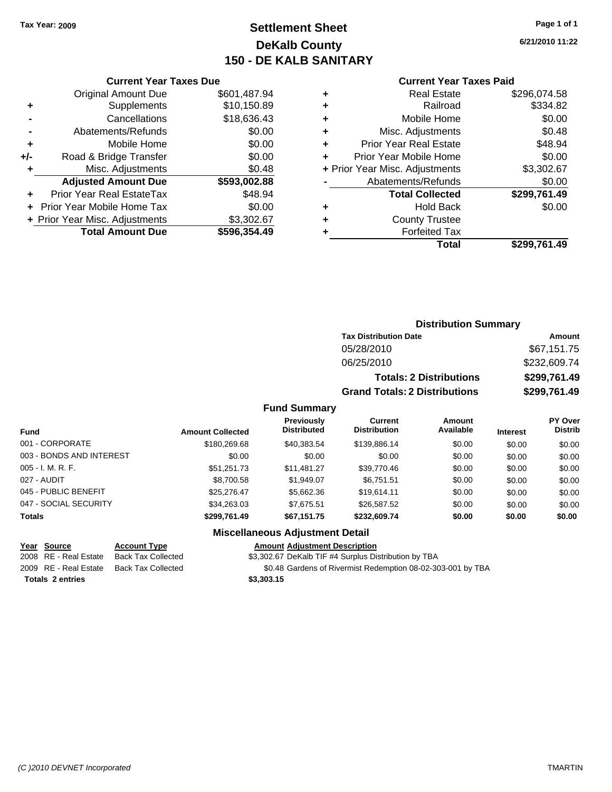### **Settlement Sheet Tax Year: 2009 Page 1 of 1 DeKalb County 150 - DE KALB SANITARY**

**6/21/2010 11:22**

| <b>Original Amount Due</b>     | \$601,487.94                  |
|--------------------------------|-------------------------------|
| Supplements                    | \$10,150.89                   |
| Cancellations                  | \$18,636.43                   |
| Abatements/Refunds             | \$0.00                        |
| Mobile Home                    | \$0.00                        |
| Road & Bridge Transfer         | \$0.00                        |
| Misc. Adjustments              | \$0.48                        |
| <b>Adjusted Amount Due</b>     | \$593,002.88                  |
| Prior Year Real EstateTax      | \$48.94                       |
| Prior Year Mobile Home Tax     | \$0.00                        |
| + Prior Year Misc. Adjustments | \$3,302.67                    |
| <b>Total Amount Due</b>        | \$596,354.49                  |
|                                | <b>Current Year Taxes Due</b> |

|   | <b>Current Year Taxes Paid</b> |              |  |  |  |  |
|---|--------------------------------|--------------|--|--|--|--|
| ٠ | <b>Real Estate</b>             | \$296,074.58 |  |  |  |  |
| ٠ | Railroad                       | \$334.82     |  |  |  |  |
| ٠ | Mobile Home                    | \$0.00       |  |  |  |  |
| ٠ | Misc. Adjustments              | \$0.48       |  |  |  |  |
| ٠ | <b>Prior Year Real Estate</b>  | \$48.94      |  |  |  |  |
|   | Prior Year Mobile Home         | \$0.00       |  |  |  |  |
|   | + Prior Year Misc. Adjustments | \$3,302.67   |  |  |  |  |
|   | Abatements/Refunds             | \$0.00       |  |  |  |  |
|   | <b>Total Collected</b>         | \$299,761.49 |  |  |  |  |
|   | <b>Hold Back</b>               | \$0.00       |  |  |  |  |
| ٠ | <b>County Trustee</b>          |              |  |  |  |  |
|   | <b>Forfeited Tax</b>           |              |  |  |  |  |

| Total | \$299,761.49 |
|-------|--------------|
|       |              |

| <b>Distribution Summary</b> |  |
|-----------------------------|--|

| <b>Tax Distribution Date</b>         | Amount       |
|--------------------------------------|--------------|
| 05/28/2010                           | \$67,151.75  |
| 06/25/2010                           | \$232,609.74 |
| <b>Totals: 2 Distributions</b>       | \$299,761.49 |
| <b>Grand Totals: 2 Distributions</b> | \$299.761.49 |

#### **Fund Summary**

| <b>Fund</b>              | <b>Amount Collected</b> | <b>Previously</b><br><b>Distributed</b> | <b>Current</b><br><b>Distribution</b> | <b>Amount</b><br>Available | <b>Interest</b> | <b>PY Over</b><br><b>Distrib</b> |
|--------------------------|-------------------------|-----------------------------------------|---------------------------------------|----------------------------|-----------------|----------------------------------|
| 001 - CORPORATE          | \$180,269.68            | \$40.383.54                             | \$139,886.14                          | \$0.00                     | \$0.00          | \$0.00                           |
| 003 - BONDS AND INTEREST | \$0.00                  | \$0.00                                  | \$0.00                                | \$0.00                     | \$0.00          | \$0.00                           |
| $005 - I. M. R. F.$      | \$51,251.73             | \$11,481.27                             | \$39,770.46                           | \$0.00                     | \$0.00          | \$0.00                           |
| 027 - AUDIT              | \$8,700.58              | \$1,949.07                              | \$6,751.51                            | \$0.00                     | \$0.00          | \$0.00                           |
| 045 - PUBLIC BENEFIT     | \$25.276.47             | \$5,662.36                              | \$19.614.11                           | \$0.00                     | \$0.00          | \$0.00                           |
| 047 - SOCIAL SECURITY    | \$34.263.03             | \$7,675.51                              | \$26,587.52                           | \$0.00                     | \$0.00          | \$0.00                           |
| <b>Totals</b>            | \$299.761.49            | \$67,151.75                             | \$232.609.74                          | \$0.00                     | \$0.00          | \$0.00                           |

#### **Miscellaneous Adjustment Detail**

# **Totals \$3,303.15 2 entries**

**Year Source Account Type Amount Adjustment Description** 2008 RE - Real Estate Back Tax Collected \$3,302.67 DeKalb TIF #4 Surplus Distribution by TBA

2009 RE - Real Estate Back Tax Collected \$0.48 Gardens of Rivermist Redemption 08-02-303-001 by TBA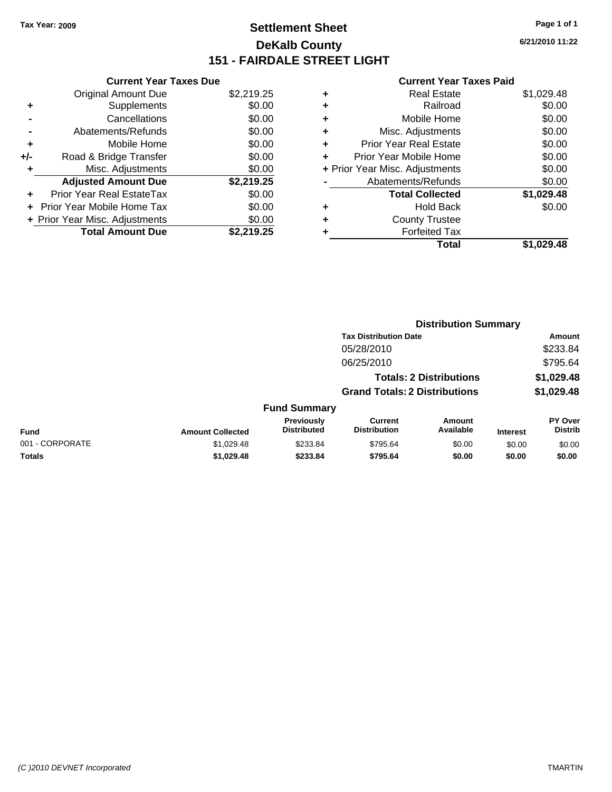### **Settlement Sheet Tax Year: 2009 Page 1 of 1 DeKalb County 151 - FAIRDALE STREET LIGHT**

**6/21/2010 11:22**

| <b>Current Year Taxes Due</b>     |            |
|-----------------------------------|------------|
| <b>Original Amount Due</b>        | \$2,219.25 |
| Supplements<br>٠                  | \$0.00     |
| Cancellations                     | \$0.00     |
| Abatements/Refunds                | \$0.00     |
| Mobile Home<br>÷                  | \$0.00     |
| Road & Bridge Transfer<br>+/-     | \$0.00     |
| Misc. Adjustments                 | \$0.00     |
| <b>Adjusted Amount Due</b>        | \$2,219.25 |
| Prior Year Real EstateTax         | \$0.00     |
| <b>Prior Year Mobile Home Tax</b> | \$0.00     |
| + Prior Year Misc. Adjustments    | \$0.00     |
| <b>Total Amount Due</b>           | \$2,219.25 |

| \$1,029.48<br><b>Real Estate</b>         |
|------------------------------------------|
| \$0.00<br>Railroad                       |
| \$0.00<br>Mobile Home                    |
| \$0.00<br>Misc. Adjustments              |
| \$0.00<br><b>Prior Year Real Estate</b>  |
| \$0.00<br>Prior Year Mobile Home         |
| \$0.00<br>+ Prior Year Misc. Adjustments |
| \$0.00<br>Abatements/Refunds             |
| \$1,029.48<br><b>Total Collected</b>     |
| \$0.00<br>Hold Back                      |
| <b>County Trustee</b>                    |
| <b>Forfeited Tax</b>                     |
| Total<br>\$1.029.48                      |
|                                          |

|                 |                         |                                  |                                       | <b>Distribution Summary</b>    |                 |                           |
|-----------------|-------------------------|----------------------------------|---------------------------------------|--------------------------------|-----------------|---------------------------|
|                 |                         |                                  | <b>Tax Distribution Date</b>          |                                |                 | Amount                    |
|                 |                         |                                  | 05/28/2010                            |                                |                 | \$233.84                  |
|                 |                         |                                  | 06/25/2010                            |                                |                 | \$795.64                  |
|                 |                         |                                  |                                       | <b>Totals: 2 Distributions</b> |                 | \$1,029.48                |
|                 |                         |                                  | <b>Grand Totals: 2 Distributions</b>  |                                |                 | \$1,029.48                |
|                 |                         | <b>Fund Summary</b>              |                                       |                                |                 |                           |
| <b>Fund</b>     | <b>Amount Collected</b> | Previously<br><b>Distributed</b> | <b>Current</b><br><b>Distribution</b> | Amount<br>Available            | <b>Interest</b> | PY Over<br><b>Distrib</b> |
| 001 - CORPORATE | \$1,029.48              | \$233.84                         | \$795.64                              | \$0.00                         | \$0.00          | \$0.00                    |
| Totals          | \$1,029.48              | \$233.84                         | \$795.64                              | \$0.00                         | \$0.00          | \$0.00                    |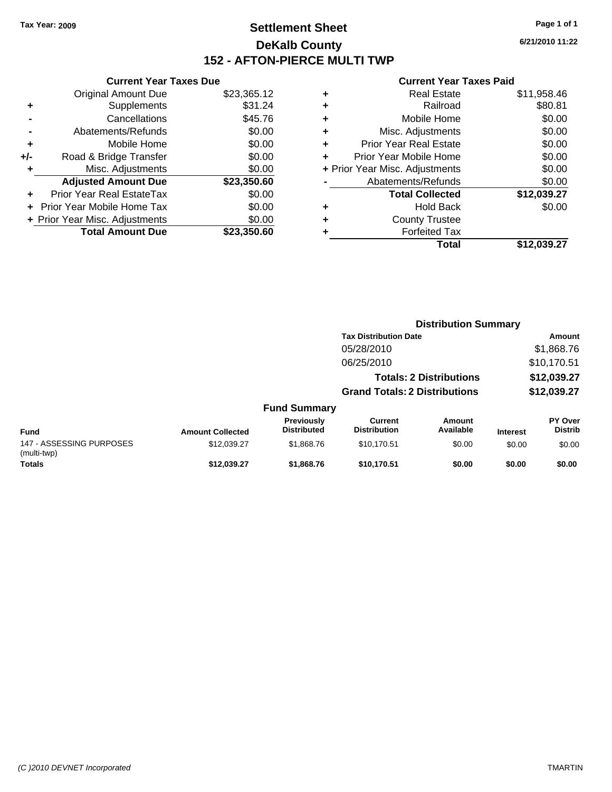### **Settlement Sheet Tax Year: 2009 Page 1 of 1 DeKalb County 152 - AFTON-PIERCE MULTI TWP**

**6/21/2010 11:22**

|       | <b>Current Year Taxes Due</b>     |             |  |  |  |
|-------|-----------------------------------|-------------|--|--|--|
|       | <b>Original Amount Due</b>        | \$23,365.12 |  |  |  |
| ٠     | Supplements                       | \$31.24     |  |  |  |
|       | Cancellations                     | \$45.76     |  |  |  |
|       | Abatements/Refunds                | \$0.00      |  |  |  |
| ٠     | Mobile Home                       | \$0.00      |  |  |  |
| $+/-$ | Road & Bridge Transfer            | \$0.00      |  |  |  |
| ٠     | Misc. Adjustments                 | \$0.00      |  |  |  |
|       | <b>Adjusted Amount Due</b>        | \$23,350.60 |  |  |  |
|       | Prior Year Real EstateTax         | \$0.00      |  |  |  |
|       | <b>Prior Year Mobile Home Tax</b> | \$0.00      |  |  |  |
|       | + Prior Year Misc. Adjustments    | \$0.00      |  |  |  |
|       | <b>Total Amount Due</b>           | \$23.350.60 |  |  |  |
|       |                                   |             |  |  |  |

| ٠ | <b>Real Estate</b>             | \$11,958.46 |
|---|--------------------------------|-------------|
| ٠ | Railroad                       | \$80.81     |
| ٠ | Mobile Home                    | \$0.00      |
| ٠ | Misc. Adjustments              | \$0.00      |
| ٠ | <b>Prior Year Real Estate</b>  | \$0.00      |
| ٠ | Prior Year Mobile Home         | \$0.00      |
|   | + Prior Year Misc. Adjustments | \$0.00      |
|   | Abatements/Refunds             | \$0.00      |
|   | <b>Total Collected</b>         | \$12,039.27 |
| ٠ | <b>Hold Back</b>               | \$0.00      |
| ٠ | <b>County Trustee</b>          |             |
| ٠ | <b>Forfeited Tax</b>           |             |
|   | Total                          | \$12,039.27 |
|   |                                |             |

| <b>Distribution Summary</b><br><b>Tax Distribution Date</b><br>05/28/2010 |                         |                                         |                                       |                                |                 |                                  |
|---------------------------------------------------------------------------|-------------------------|-----------------------------------------|---------------------------------------|--------------------------------|-----------------|----------------------------------|
|                                                                           |                         |                                         |                                       |                                |                 | Amount                           |
|                                                                           |                         |                                         |                                       |                                |                 | \$1,868.76                       |
|                                                                           |                         |                                         | 06/25/2010                            |                                |                 | \$10,170.51                      |
|                                                                           |                         |                                         |                                       | <b>Totals: 2 Distributions</b> |                 | \$12,039.27                      |
|                                                                           |                         |                                         | <b>Grand Totals: 2 Distributions</b>  |                                |                 | \$12,039.27                      |
|                                                                           |                         | <b>Fund Summary</b>                     |                                       |                                |                 |                                  |
| <b>Fund</b>                                                               | <b>Amount Collected</b> | <b>Previously</b><br><b>Distributed</b> | <b>Current</b><br><b>Distribution</b> | Amount<br>Available            | <b>Interest</b> | <b>PY Over</b><br><b>Distrib</b> |
| 147 - ASSESSING PURPOSES<br>(multi-twp)                                   | \$12,039.27             | \$1,868.76                              | \$10,170.51                           | \$0.00                         | \$0.00          | \$0.00                           |
| <b>Totals</b>                                                             | \$12,039.27             | \$1,868.76                              | \$10,170.51                           | \$0.00                         | \$0.00          | \$0.00                           |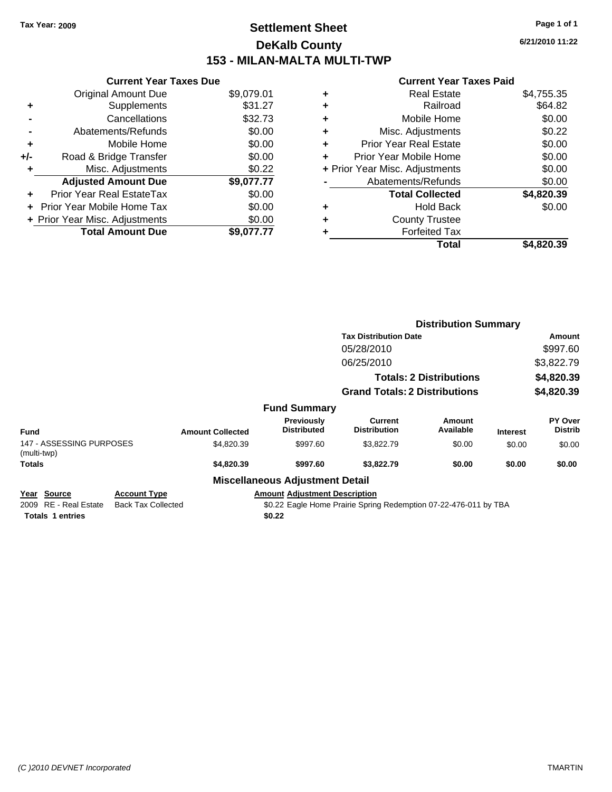### **Settlement Sheet Tax Year: 2009 Page 1 of 1 DeKalb County 153 - MILAN-MALTA MULTI-TWP**

**6/21/2010 11:22**

| <b>Current Year Taxes Due</b>  |            |  |  |  |  |
|--------------------------------|------------|--|--|--|--|
| <b>Original Amount Due</b>     | \$9,079.01 |  |  |  |  |
| Supplements                    | \$31.27    |  |  |  |  |
| Cancellations                  | \$32.73    |  |  |  |  |
| Abatements/Refunds             | \$0.00     |  |  |  |  |
| Mobile Home                    | \$0.00     |  |  |  |  |
| Road & Bridge Transfer         | \$0.00     |  |  |  |  |
| Misc. Adjustments              | \$0.22     |  |  |  |  |
|                                |            |  |  |  |  |
| <b>Adjusted Amount Due</b>     | \$9,077.77 |  |  |  |  |
| Prior Year Real EstateTax      | \$0.00     |  |  |  |  |
| Prior Year Mobile Home Tax     | \$0.00     |  |  |  |  |
| + Prior Year Misc. Adjustments | \$0.00     |  |  |  |  |
|                                |            |  |  |  |  |

| <b>Real Estate</b>             | \$4,755.35 |
|--------------------------------|------------|
| Railroad                       | \$64.82    |
| Mobile Home                    | \$0.00     |
| Misc. Adjustments              | \$0.22     |
| <b>Prior Year Real Estate</b>  | \$0.00     |
| Prior Year Mobile Home         | \$0.00     |
| + Prior Year Misc. Adjustments | \$0.00     |
| Abatements/Refunds             | \$0.00     |
| <b>Total Collected</b>         | \$4,820.39 |
| <b>Hold Back</b>               | \$0.00     |
| <b>County Trustee</b>          |            |
| <b>Forfeited Tax</b>           |            |
| Total                          | \$4,820.39 |
|                                |            |

|                                                                                     |                                                  |                         |                                                |                                                                  | <b>Distribution Summary</b>    |                 |                           |
|-------------------------------------------------------------------------------------|--------------------------------------------------|-------------------------|------------------------------------------------|------------------------------------------------------------------|--------------------------------|-----------------|---------------------------|
|                                                                                     |                                                  |                         |                                                | <b>Tax Distribution Date</b>                                     |                                |                 | Amount                    |
|                                                                                     |                                                  |                         |                                                | 05/28/2010                                                       |                                |                 | \$997.60                  |
|                                                                                     |                                                  |                         |                                                | 06/25/2010                                                       |                                |                 | \$3,822.79                |
|                                                                                     |                                                  |                         |                                                |                                                                  | <b>Totals: 2 Distributions</b> |                 | \$4,820.39                |
|                                                                                     |                                                  |                         |                                                | <b>Grand Totals: 2 Distributions</b>                             |                                |                 | \$4,820.39                |
|                                                                                     |                                                  |                         | <b>Fund Summary</b>                            |                                                                  |                                |                 |                           |
| <b>Fund</b>                                                                         |                                                  | <b>Amount Collected</b> | <b>Previously</b><br><b>Distributed</b>        | Current<br><b>Distribution</b>                                   | Amount<br>Available            | <b>Interest</b> | PY Over<br><b>Distrib</b> |
| 147 - ASSESSING PURPOSES<br>(multi-twp)                                             |                                                  | \$4,820.39              | \$997.60                                       | \$3,822.79                                                       | \$0.00                         | \$0.00          | \$0.00                    |
| <b>Totals</b>                                                                       |                                                  | \$4,820.39              | \$997.60                                       | \$3,822.79                                                       | \$0.00                         | \$0.00          | \$0.00                    |
|                                                                                     |                                                  |                         | <b>Miscellaneous Adjustment Detail</b>         |                                                                  |                                |                 |                           |
| Source<br><u>Year</u><br><b>RE</b> - Real Estate<br>2009<br><b>Totals 1 entries</b> | <b>Account Type</b><br><b>Back Tax Collected</b> |                         | <b>Amount Adjustment Description</b><br>\$0.22 | \$0.22 Eagle Home Prairie Spring Redemption 07-22-476-011 by TBA |                                |                 |                           |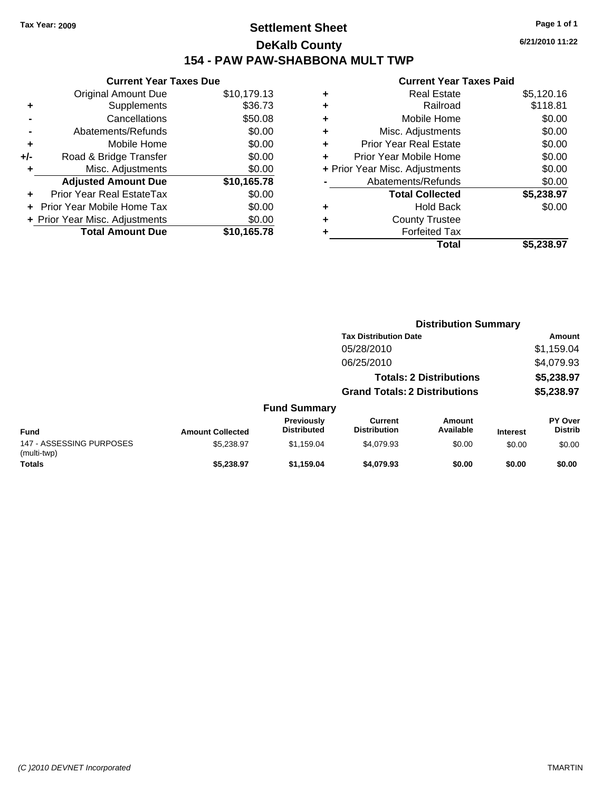### **Settlement Sheet Tax Year: 2009 Page 1 of 1 DeKalb County 154 - PAW PAW-SHABBONA MULT TWP**

**6/21/2010 11:22**

|     | <b>Current Year Taxes Due</b>  |             |  |  |  |  |
|-----|--------------------------------|-------------|--|--|--|--|
|     | Original Amount Due            | \$10,179.13 |  |  |  |  |
| ٠   | Supplements                    | \$36.73     |  |  |  |  |
|     | Cancellations                  | \$50.08     |  |  |  |  |
|     | Abatements/Refunds             | \$0.00      |  |  |  |  |
| ٠   | Mobile Home                    | \$0.00      |  |  |  |  |
| +/- | Road & Bridge Transfer         | \$0.00      |  |  |  |  |
|     | Misc. Adjustments              | \$0.00      |  |  |  |  |
|     | <b>Adjusted Amount Due</b>     | \$10,165.78 |  |  |  |  |
|     | Prior Year Real EstateTax      | \$0.00      |  |  |  |  |
|     | Prior Year Mobile Home Tax     | \$0.00      |  |  |  |  |
|     | + Prior Year Misc. Adjustments | \$0.00      |  |  |  |  |
|     | <b>Total Amount Due</b>        | \$10.165.78 |  |  |  |  |
|     |                                |             |  |  |  |  |

|   | <b>Real Estate</b>             | \$5,120.16 |
|---|--------------------------------|------------|
| ٠ | Railroad                       | \$118.81   |
| ٠ | Mobile Home                    | \$0.00     |
| ٠ | Misc. Adjustments              | \$0.00     |
| ÷ | Prior Year Real Estate         | \$0.00     |
| ٠ | Prior Year Mobile Home         | \$0.00     |
|   | + Prior Year Misc. Adjustments | \$0.00     |
|   | Abatements/Refunds             | \$0.00     |
|   | <b>Total Collected</b>         | \$5,238.97 |
| ٠ | Hold Back                      | \$0.00     |
| ٠ | <b>County Trustee</b>          |            |
| ٠ | <b>Forfeited Tax</b>           |            |
|   | Total                          | \$5,238.97 |

|                                         |                         |                                  | <b>Distribution Summary</b>          |                                |                 |                           |  |
|-----------------------------------------|-------------------------|----------------------------------|--------------------------------------|--------------------------------|-----------------|---------------------------|--|
|                                         |                         |                                  | <b>Tax Distribution Date</b>         |                                |                 | Amount                    |  |
|                                         |                         |                                  | 05/28/2010                           |                                |                 | \$1,159.04                |  |
|                                         |                         |                                  | 06/25/2010                           |                                |                 | \$4,079.93                |  |
|                                         |                         |                                  |                                      | <b>Totals: 2 Distributions</b> |                 | \$5,238.97                |  |
|                                         |                         |                                  | <b>Grand Totals: 2 Distributions</b> |                                |                 | \$5,238.97                |  |
|                                         |                         | <b>Fund Summary</b>              |                                      |                                |                 |                           |  |
| <b>Fund</b>                             | <b>Amount Collected</b> | Previously<br><b>Distributed</b> | Current<br><b>Distribution</b>       | Amount<br>Available            | <b>Interest</b> | PY Over<br><b>Distrib</b> |  |
| 147 - ASSESSING PURPOSES<br>(multi-twp) | \$5,238.97              | \$1,159.04                       | \$4,079.93                           | \$0.00                         | \$0.00          | \$0.00                    |  |
| <b>Totals</b>                           | \$5,238.97              | \$1,159.04                       | \$4,079.93                           | \$0.00                         | \$0.00          | \$0.00                    |  |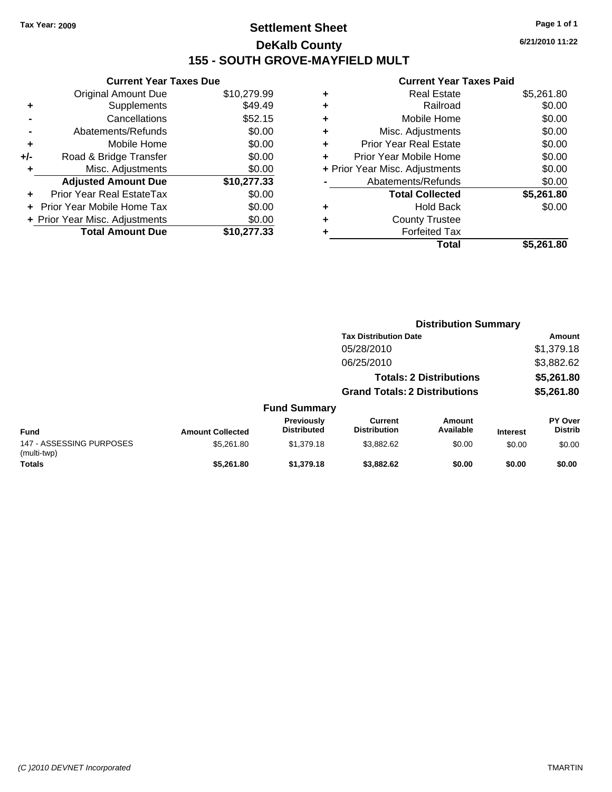### **Settlement Sheet Tax Year: 2009 Page 1 of 1 DeKalb County 155 - SOUTH GROVE-MAYFIELD MULT**

**6/21/2010 11:22**

|     | <b>Current Year Taxes Due</b>     |             |  |  |  |
|-----|-----------------------------------|-------------|--|--|--|
|     | Original Amount Due               | \$10,279.99 |  |  |  |
| ٠   | Supplements                       | \$49.49     |  |  |  |
|     | Cancellations                     | \$52.15     |  |  |  |
|     | Abatements/Refunds                | \$0.00      |  |  |  |
| ٠   | Mobile Home                       | \$0.00      |  |  |  |
| +/- | Road & Bridge Transfer            | \$0.00      |  |  |  |
|     | Misc. Adjustments                 | \$0.00      |  |  |  |
|     | <b>Adjusted Amount Due</b>        | \$10,277.33 |  |  |  |
| ÷   | Prior Year Real EstateTax         | \$0.00      |  |  |  |
|     | <b>Prior Year Mobile Home Tax</b> | \$0.00      |  |  |  |
|     | + Prior Year Misc. Adjustments    | \$0.00      |  |  |  |
|     | <b>Total Amount Due</b>           | \$10,277.33 |  |  |  |
|     |                                   |             |  |  |  |

| <b>Real Estate</b>            | \$5,261.80                     |
|-------------------------------|--------------------------------|
| Railroad                      | \$0.00                         |
| Mobile Home                   | \$0.00                         |
| Misc. Adjustments             | \$0.00                         |
| <b>Prior Year Real Estate</b> | \$0.00                         |
| Prior Year Mobile Home        | \$0.00                         |
|                               | \$0.00                         |
| Abatements/Refunds            | \$0.00                         |
| <b>Total Collected</b>        | \$5,261.80                     |
| <b>Hold Back</b>              | \$0.00                         |
| <b>County Trustee</b>         |                                |
| <b>Forfeited Tax</b>          |                                |
| Total                         | \$5,261.80                     |
|                               | + Prior Year Misc. Adjustments |

|                                         |                         |                                  |                                       | <b>Distribution Summary</b>    |                 |                                  |  |
|-----------------------------------------|-------------------------|----------------------------------|---------------------------------------|--------------------------------|-----------------|----------------------------------|--|
|                                         |                         |                                  | <b>Tax Distribution Date</b>          |                                |                 | Amount                           |  |
|                                         |                         |                                  | 05/28/2010                            |                                |                 | \$1,379.18                       |  |
|                                         |                         |                                  | 06/25/2010                            |                                |                 | \$3,882.62                       |  |
|                                         |                         |                                  |                                       | <b>Totals: 2 Distributions</b> |                 | \$5,261.80                       |  |
|                                         |                         |                                  | <b>Grand Totals: 2 Distributions</b>  |                                |                 | \$5,261.80                       |  |
|                                         |                         | <b>Fund Summary</b>              |                                       |                                |                 |                                  |  |
| <b>Fund</b>                             | <b>Amount Collected</b> | Previously<br><b>Distributed</b> | <b>Current</b><br><b>Distribution</b> | Amount<br>Available            | <b>Interest</b> | <b>PY Over</b><br><b>Distrib</b> |  |
| 147 - ASSESSING PURPOSES<br>(multi-twp) | \$5,261.80              | \$1.379.18                       | \$3,882.62                            | \$0.00                         | \$0.00          | \$0.00                           |  |
| <b>Totals</b>                           | \$5.261.80              | \$1,379.18                       | \$3,882.62                            | \$0.00                         | \$0.00          | \$0.00                           |  |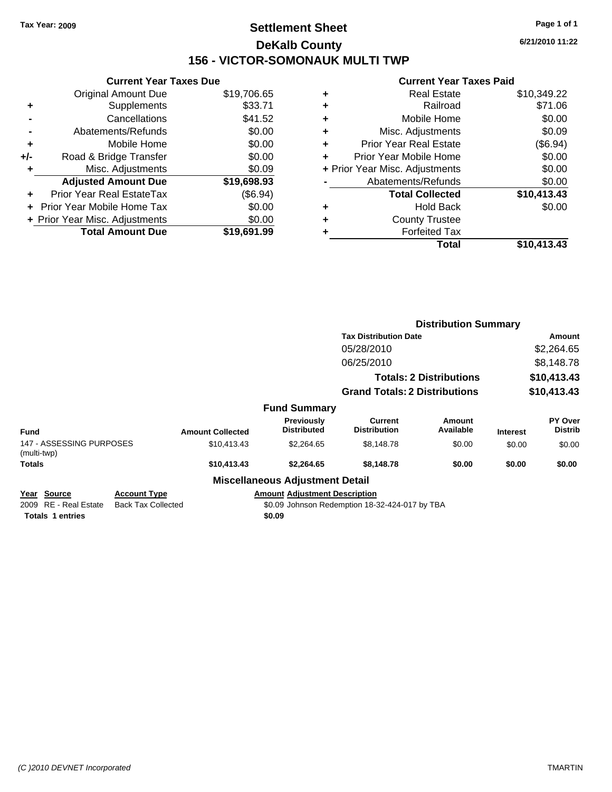### **Settlement Sheet Tax Year: 2009 Page 1 of 1 DeKalb County 156 - VICTOR-SOMONAUK MULTI TWP**

**6/21/2010 11:22**

|     | <b>Current Year Taxes Due</b>  |             |  |  |
|-----|--------------------------------|-------------|--|--|
|     | <b>Original Amount Due</b>     | \$19,706.65 |  |  |
| ٠   | Supplements                    | \$33.71     |  |  |
|     | Cancellations                  | \$41.52     |  |  |
|     | Abatements/Refunds             | \$0.00      |  |  |
| ٠   | Mobile Home                    | \$0.00      |  |  |
| +/- | Road & Bridge Transfer         | \$0.00      |  |  |
| ٠   | Misc. Adjustments              | \$0.09      |  |  |
|     | <b>Adjusted Amount Due</b>     | \$19,698.93 |  |  |
|     | Prior Year Real EstateTax      | (\$6.94)    |  |  |
|     | Prior Year Mobile Home Tax     | \$0.00      |  |  |
|     | + Prior Year Misc. Adjustments | \$0.00      |  |  |
|     | <b>Total Amount Due</b>        | \$19.691.99 |  |  |
|     |                                |             |  |  |

|   | Total                          | \$10,413.43 |
|---|--------------------------------|-------------|
| ٠ | <b>Forfeited Tax</b>           |             |
| ٠ | <b>County Trustee</b>          |             |
| ٠ | <b>Hold Back</b>               | \$0.00      |
|   | <b>Total Collected</b>         | \$10,413.43 |
|   | Abatements/Refunds             | \$0.00      |
|   | + Prior Year Misc. Adjustments | \$0.00      |
| ٠ | Prior Year Mobile Home         | \$0.00      |
| ÷ | <b>Prior Year Real Estate</b>  | (\$6.94)    |
| ٠ | Misc. Adjustments              | \$0.09      |
| ٠ | Mobile Home                    | \$0.00      |
| ٠ | Railroad                       | \$71.06     |
| ٠ | <b>Real Estate</b>             | \$10,349.22 |
|   |                                |             |

|                                                                    |                                                  |                         |                                                | <b>Distribution Summary</b>                    |                                |                 |                           |
|--------------------------------------------------------------------|--------------------------------------------------|-------------------------|------------------------------------------------|------------------------------------------------|--------------------------------|-----------------|---------------------------|
|                                                                    |                                                  |                         |                                                | <b>Tax Distribution Date</b>                   |                                | Amount          |                           |
|                                                                    |                                                  |                         |                                                | 05/28/2010                                     |                                |                 | \$2,264.65                |
|                                                                    |                                                  |                         |                                                | 06/25/2010                                     |                                |                 | \$8,148.78                |
|                                                                    |                                                  |                         |                                                |                                                | <b>Totals: 2 Distributions</b> |                 | \$10,413.43               |
|                                                                    |                                                  |                         |                                                | <b>Grand Totals: 2 Distributions</b>           |                                |                 | \$10,413.43               |
|                                                                    |                                                  |                         | <b>Fund Summary</b>                            |                                                |                                |                 |                           |
| <b>Fund</b>                                                        |                                                  | <b>Amount Collected</b> | <b>Previously</b><br><b>Distributed</b>        | <b>Current</b><br><b>Distribution</b>          | <b>Amount</b><br>Available     | <b>Interest</b> | PY Over<br><b>Distrib</b> |
| 147 - ASSESSING PURPOSES<br>(multi-twp)                            |                                                  | \$10,413.43             | \$2,264.65                                     | \$8,148.78                                     | \$0.00                         | \$0.00          | \$0.00                    |
| <b>Totals</b>                                                      |                                                  | \$10,413.43             | \$2,264.65                                     | \$8,148.78                                     | \$0.00                         | \$0.00          | \$0.00                    |
|                                                                    |                                                  |                         | <b>Miscellaneous Adjustment Detail</b>         |                                                |                                |                 |                           |
| Year Source<br>RE - Real Estate<br>2009<br><b>Totals 1 entries</b> | <b>Account Type</b><br><b>Back Tax Collected</b> |                         | <b>Amount Adjustment Description</b><br>\$0.09 | \$0.09 Johnson Redemption 18-32-424-017 by TBA |                                |                 |                           |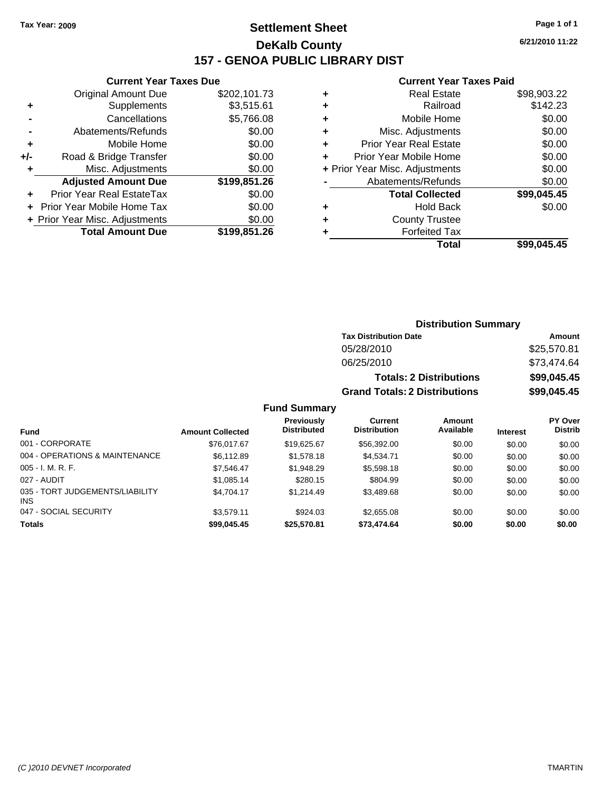**Current Year Taxes Due** Original Amount Due \$202,101.73

**Adjusted Amount Due \$199,851.26**

**Total Amount Due \$199,851.26**

**+** Supplements \$3,515.61 **-** Cancellations \$5,766.08 **-** Abatements/Refunds \$0.00 **+** Mobile Home \$0.00 **+/-** Road & Bridge Transfer \$0.00 **+** Misc. Adjustments \$0.00

**+** Prior Year Real EstateTax \$0.00 **+** Prior Year Mobile Home Tax \$0.00 **+ Prior Year Misc. Adjustments**  $$0.00$ 

### **Settlement Sheet Tax Year: 2009 Page 1 of 1 DeKalb County 157 - GENOA PUBLIC LIBRARY DIST**

**6/21/2010 11:22**

#### **Current Year Taxes Paid**

| ٠ | <b>Real Estate</b>             | \$98,903.22 |
|---|--------------------------------|-------------|
| ٠ | Railroad                       | \$142.23    |
| ٠ | Mobile Home                    | \$0.00      |
| ٠ | Misc. Adjustments              | \$0.00      |
| ٠ | <b>Prior Year Real Estate</b>  | \$0.00      |
| ٠ | Prior Year Mobile Home         | \$0.00      |
|   | + Prior Year Misc. Adjustments | \$0.00      |
|   | Abatements/Refunds             | \$0.00      |
|   | <b>Total Collected</b>         | \$99,045.45 |
| ٠ | <b>Hold Back</b>               | \$0.00      |
| ÷ | <b>County Trustee</b>          |             |
| ٠ | <b>Forfeited Tax</b>           |             |
|   | Total                          | \$99.045.45 |

|                                         | <b>Distribution Summary</b> |                                         |                                       |                                |                 |                                  |
|-----------------------------------------|-----------------------------|-----------------------------------------|---------------------------------------|--------------------------------|-----------------|----------------------------------|
|                                         |                             |                                         | <b>Tax Distribution Date</b>          |                                |                 | Amount                           |
|                                         |                             |                                         | 05/28/2010                            |                                |                 | \$25,570.81                      |
|                                         |                             |                                         | 06/25/2010                            |                                |                 | \$73,474.64                      |
|                                         |                             |                                         |                                       | <b>Totals: 2 Distributions</b> |                 | \$99,045.45                      |
|                                         |                             |                                         | <b>Grand Totals: 2 Distributions</b>  |                                |                 | \$99,045.45                      |
|                                         |                             | <b>Fund Summary</b>                     |                                       |                                |                 |                                  |
| <b>Fund</b>                             | <b>Amount Collected</b>     | <b>Previously</b><br><b>Distributed</b> | <b>Current</b><br><b>Distribution</b> | Amount<br>Available            | <b>Interest</b> | <b>PY Over</b><br><b>Distrib</b> |
| 001 - CORPORATE                         | \$76,017.67                 | \$19,625.67                             | \$56,392.00                           | \$0.00                         | \$0.00          | \$0.00                           |
| 004 - OPERATIONS & MAINTENANCE          | \$6,112.89                  | \$1,578.18                              | \$4,534.71                            | \$0.00                         | \$0.00          | \$0.00                           |
| 005 - I. M. R. F.                       | \$7,546.47                  | \$1,948.29                              | \$5,598.18                            | \$0.00                         | \$0.00          | \$0.00                           |
| 027 - AUDIT                             | \$1,085.14                  | \$280.15                                | \$804.99                              | \$0.00                         | \$0.00          | \$0.00                           |
| 035 - TORT JUDGEMENTS/LIABILITY<br>INS. | \$4.704.17                  | \$1,214.49                              | \$3,489.68                            | \$0.00                         | \$0.00          | \$0.00                           |
| 047 - SOCIAL SECURITY                   | \$3,579.11                  | \$924.03                                | \$2,655.08                            | \$0.00                         | \$0.00          | \$0.00                           |
|                                         |                             |                                         |                                       |                                |                 |                                  |

**Totals \$99,045.45 \$25,570.81 \$73,474.64 \$0.00 \$0.00 \$0.00**

#### *(C )2010 DEVNET Incorporated* TMARTIN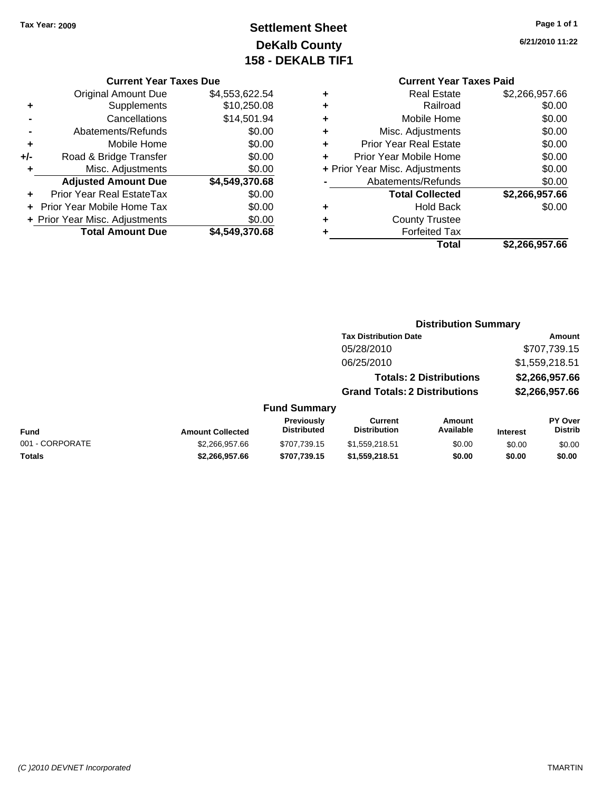### **Settlement Sheet Tax Year: 2009 Page 1 of 1 DeKalb County 158 - DEKALB TIF1**

**6/21/2010 11:22**

#### **Current Year Taxes Due**

|     | <b>Original Amount Due</b>     | \$4,553,622.54 |
|-----|--------------------------------|----------------|
| ٠   | Supplements                    | \$10,250.08    |
|     | Cancellations                  | \$14,501.94    |
|     | Abatements/Refunds             | \$0.00         |
| ٠   | Mobile Home                    | \$0.00         |
| +/- | Road & Bridge Transfer         | \$0.00         |
| ٠   | Misc. Adjustments              | \$0.00         |
|     | <b>Adjusted Amount Due</b>     | \$4,549,370.68 |
|     | Prior Year Real EstateTax      | \$0.00         |
|     | Prior Year Mobile Home Tax     | \$0.00         |
|     | + Prior Year Misc. Adjustments | \$0.00         |
|     | <b>Total Amount Due</b>        | \$4,549,370.68 |

### **Current Year Taxes Paid**

| ٠ | Real Estate                    | \$2,266,957.66 |
|---|--------------------------------|----------------|
| ٠ | Railroad                       | \$0.00         |
| ٠ | Mobile Home                    | \$0.00         |
| ٠ | Misc. Adjustments              | \$0.00         |
| ٠ | <b>Prior Year Real Estate</b>  | \$0.00         |
| ٠ | Prior Year Mobile Home         | \$0.00         |
|   | + Prior Year Misc. Adjustments | \$0.00         |
|   | Abatements/Refunds             | \$0.00         |
|   | <b>Total Collected</b>         | \$2,266,957.66 |
| ٠ | <b>Hold Back</b>               | \$0.00         |
| ٠ | <b>County Trustee</b>          |                |
| ٠ | <b>Forfeited Tax</b>           |                |
|   | Total                          | \$2,266,957.66 |
|   |                                |                |

#### **Distribution Summary**

|                     | <b>Tax Distribution Date</b>         | <b>Amount</b>  |
|---------------------|--------------------------------------|----------------|
|                     | 05/28/2010                           | \$707,739.15   |
|                     | 06/25/2010                           | \$1,559,218.51 |
|                     | <b>Totals: 2 Distributions</b>       | \$2,266,957.66 |
|                     | <b>Grand Totals: 2 Distributions</b> | \$2,266,957.66 |
| <b>Fund Summary</b> |                                      |                |

#### **Fund Interest Amount Collected Distributed PY Over Distrib Amount Available Current Distribution Previously** 001 - CORPORATE 60.00 \$2,266,957.66 \$707,739.15 \$1,559,218.51 \$0.00 \$0.00 \$0.00 **Totals \$2,266,957.66 \$707,739.15 \$1,559,218.51 \$0.00 \$0.00 \$0.00**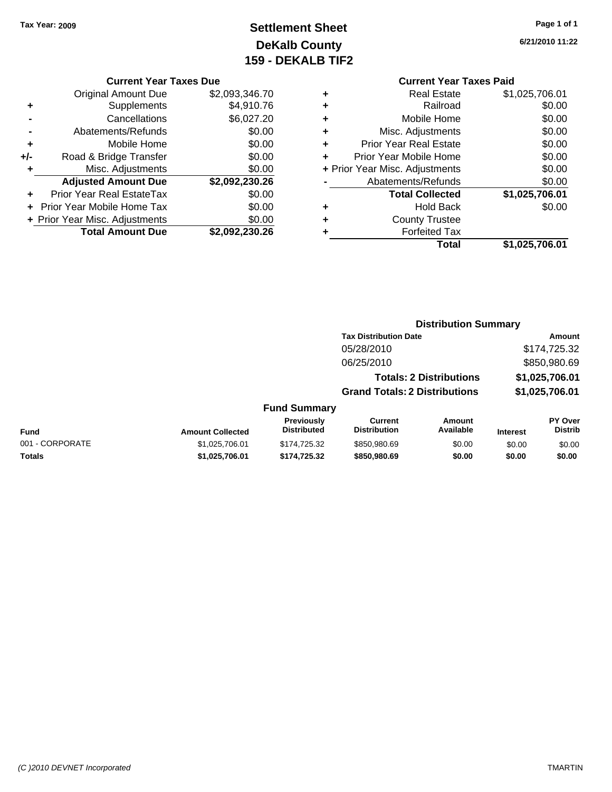### **Settlement Sheet Tax Year: 2009 Page 1 of 1 DeKalb County 159 - DEKALB TIF2**

### **6/21/2010 11:22**

### **Current Year Taxes Paid**

|     | <b>Current Year Taxes Due</b>    |                |  |  |  |
|-----|----------------------------------|----------------|--|--|--|
|     | Original Amount Due              | \$2,093,346.70 |  |  |  |
| ٠   | Supplements                      | \$4,910.76     |  |  |  |
|     | Cancellations                    | \$6,027.20     |  |  |  |
|     | Abatements/Refunds               | \$0.00         |  |  |  |
| ٠   | Mobile Home                      | \$0.00         |  |  |  |
| +/- | Road & Bridge Transfer           | \$0.00         |  |  |  |
| ٠   | Misc. Adjustments                | \$0.00         |  |  |  |
|     | <b>Adjusted Amount Due</b>       | \$2,092,230.26 |  |  |  |
| ٠   | <b>Prior Year Real EstateTax</b> | \$0.00         |  |  |  |
|     | Prior Year Mobile Home Tax       | \$0.00         |  |  |  |
|     | + Prior Year Misc. Adjustments   | \$0.00         |  |  |  |
|     | <b>Total Amount Due</b>          | \$2,092,230.26 |  |  |  |
|     |                                  |                |  |  |  |

|   | Total                          | \$1,025,706.01 |
|---|--------------------------------|----------------|
| ٠ | <b>Forfeited Tax</b>           |                |
| ٠ | <b>County Trustee</b>          |                |
| ٠ | <b>Hold Back</b>               | \$0.00         |
|   | <b>Total Collected</b>         | \$1,025,706.01 |
|   | Abatements/Refunds             | \$0.00         |
|   | + Prior Year Misc. Adjustments | \$0.00         |
| ٠ | Prior Year Mobile Home         | \$0.00         |
| ÷ | <b>Prior Year Real Estate</b>  | \$0.00         |
| ٠ | Misc. Adjustments              | \$0.00         |
| ٠ | Mobile Home                    | \$0.00         |
| ٠ | Railroad                       | \$0.00         |
| ٠ | <b>Real Estate</b>             | \$1,025,706.01 |
|   |                                |                |

#### **Distribution Summary**

|                     | <b>Tax Distribution Date</b>         | Amount         |
|---------------------|--------------------------------------|----------------|
|                     | 05/28/2010                           | \$174,725.32   |
|                     | 06/25/2010                           | \$850,980.69   |
|                     | <b>Totals: 2 Distributions</b>       | \$1,025,706.01 |
|                     | <b>Grand Totals: 2 Distributions</b> | \$1,025,706.01 |
| <b>Fund Summary</b> |                                      |                |

| Fund            | <b>Amount Collected</b> | <b>Previously</b><br>Distributed | Current<br><b>Distribution</b> | Amount<br>Available | <b>Interest</b> | PY Over<br>Distrib |
|-----------------|-------------------------|----------------------------------|--------------------------------|---------------------|-----------------|--------------------|
| 001 - CORPORATE | \$1.025.706.01          | \$174,725,32                     | \$850,980.69                   | \$0.00              | \$0.00          | \$0.00             |
| Totals          | \$1.025.706.01          | \$174,725,32                     | \$850,980.69                   | \$0.00              | \$0.00          | \$0.00             |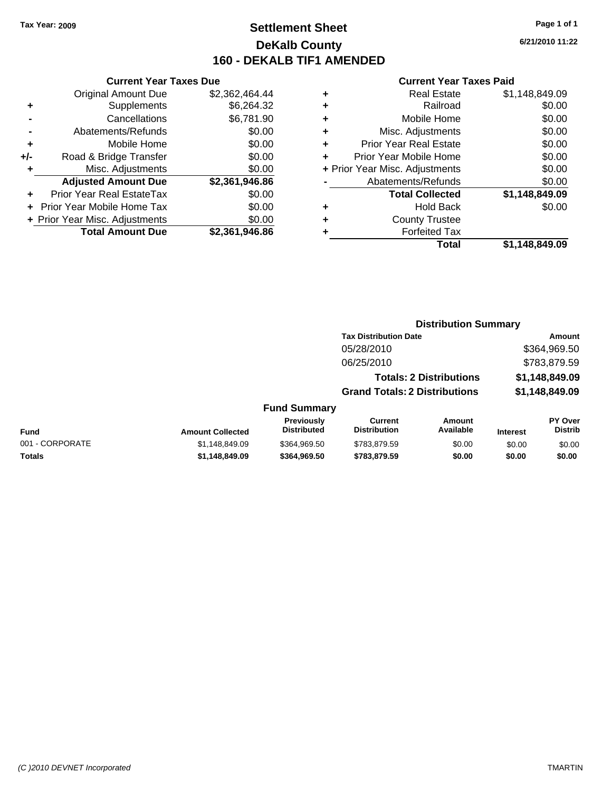### **Settlement Sheet Tax Year: 2009 Page 1 of 1 DeKalb County 160 - DEKALB TIF1 AMENDED**

|   | <b>Current Year Taxes Paid</b> |                |
|---|--------------------------------|----------------|
| ٠ | <b>Real Estate</b>             | \$1,148,849.09 |
| ٠ | Railroad                       | \$0.00         |
| ٠ | Mobile Home                    | \$0.00         |
| ٠ | Misc. Adjustments              | \$0.00         |
| ٠ | Prior Year Real Estate         | \$0.00         |
|   | Prior Year Mobile Home         | \$0.00         |
|   | + Prior Year Misc. Adjustments | \$0.00         |
|   | Abatements/Refunds             | \$0.00         |
|   | <b>Total Collected</b>         | \$1,148,849.09 |
| ٠ | Hold Back                      | \$0.00         |
| ٠ | <b>County Trustee</b>          |                |
|   | <b>Forfeited Tax</b>           |                |
|   | Total                          | \$1.148.849.09 |

|     | <b>Current Year Taxes Due</b>    |                |  |
|-----|----------------------------------|----------------|--|
|     | <b>Original Amount Due</b>       | \$2,362,464.44 |  |
| ٠   | Supplements                      | \$6,264.32     |  |
|     | Cancellations                    | \$6,781.90     |  |
|     | Abatements/Refunds               | \$0.00         |  |
| ٠   | Mobile Home                      | \$0.00         |  |
| +/- | Road & Bridge Transfer           | \$0.00         |  |
|     | Misc. Adjustments                | \$0.00         |  |
|     | <b>Adjusted Amount Due</b>       | \$2,361,946.86 |  |
|     | <b>Prior Year Real EstateTax</b> | \$0.00         |  |
|     | Prior Year Mobile Home Tax       | \$0.00         |  |
|     | + Prior Year Misc. Adjustments   | \$0.00         |  |
|     | <b>Total Amount Due</b>          | \$2,361,946.86 |  |

| <b>Tax Distribution Date</b>         | Amount         |
|--------------------------------------|----------------|
| 05/28/2010                           | \$364,969.50   |
| 06/25/2010                           | \$783,879.59   |
| <b>Totals: 2 Distributions</b>       | \$1,148,849.09 |
| <b>Grand Totals: 2 Distributions</b> | \$1,148,849.09 |
|                                      |                |

#### **Fund Summary**

| Fund            | <b>Amount Collected</b> | <b>Previously</b><br><b>Distributed</b> | Current<br><b>Distribution</b> | Amount<br>Available | <b>Interest</b> | PY Over<br>Distrib |
|-----------------|-------------------------|-----------------------------------------|--------------------------------|---------------------|-----------------|--------------------|
| 001 - CORPORATE | \$1.148.849.09          | \$364,969.50                            | \$783.879.59                   | \$0.00              | \$0.00          | \$0.00             |
| Totals          | \$1,148,849.09          | \$364.969.50                            | \$783.879.59                   | \$0.00              | \$0.00          | \$0.00             |

**6/21/2010 11:22**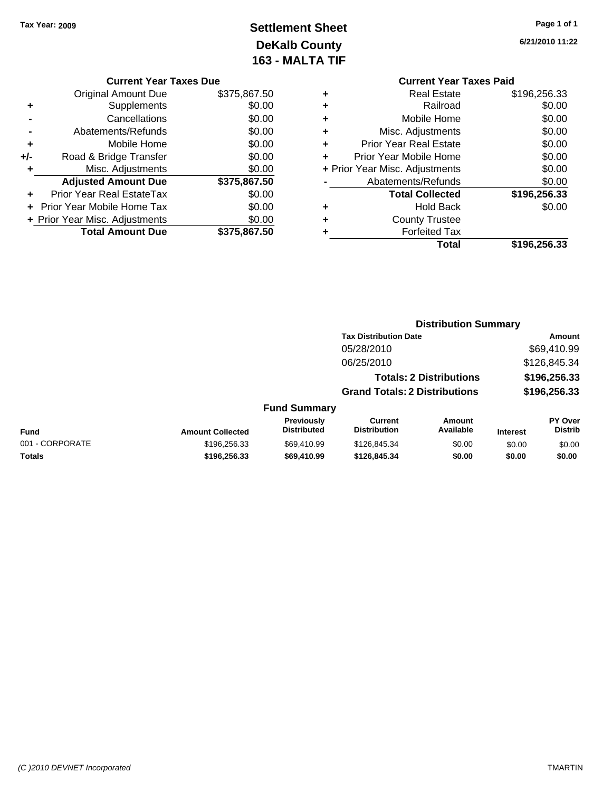### **Settlement Sheet Tax Year: 2009 Page 1 of 1 DeKalb County 163 - MALTA TIF**

**6/21/2010 11:22**

| <b>Current Year Taxes Paid</b>     |              |
|------------------------------------|--------------|
| <b>Real Estate</b><br>٠            | \$196,256.33 |
| Railroad<br>٠                      | \$0.00       |
| Mobile Home<br>٠                   | \$0.00       |
| Misc. Adjustments<br>٠             | \$0.00       |
| <b>Prior Year Real Estate</b><br>÷ | \$0.00       |
| Prior Year Mobile Home             | \$0.00       |
| + Prior Year Misc. Adjustments     | \$0.00       |
| Abatements/Refunds                 | \$0.00       |
| <b>Total Collected</b>             | \$196,256.33 |
| Hold Back                          | \$0.00       |
| <b>County Trustee</b>              |              |
| <b>Forfeited Tax</b>               |              |
| Total                              | \$196.256.33 |

|     | <b>Current Year Taxes Due</b>    |              |
|-----|----------------------------------|--------------|
|     | <b>Original Amount Due</b>       | \$375,867.50 |
| ٠   | Supplements                      | \$0.00       |
|     | Cancellations                    | \$0.00       |
|     | Abatements/Refunds               | \$0.00       |
| ٠   | Mobile Home                      | \$0.00       |
| +/- | Road & Bridge Transfer           | \$0.00       |
| ٠   | Misc. Adjustments                | \$0.00       |
|     | <b>Adjusted Amount Due</b>       | \$375,867.50 |
|     | <b>Prior Year Real EstateTax</b> | \$0.00       |
|     | Prior Year Mobile Home Tax       | \$0.00       |
|     | + Prior Year Misc. Adjustments   | \$0.00       |
|     | <b>Total Amount Due</b>          | \$375,867.50 |

#### **Distribution Summary**

|                         |                                         | <b>Tax Distribution Date</b>         |                                |                 | Amount                           |
|-------------------------|-----------------------------------------|--------------------------------------|--------------------------------|-----------------|----------------------------------|
|                         |                                         | 05/28/2010                           |                                |                 | \$69,410.99                      |
|                         |                                         | 06/25/2010                           |                                |                 | \$126,845.34                     |
|                         |                                         |                                      | <b>Totals: 2 Distributions</b> |                 | \$196,256.33                     |
|                         |                                         | <b>Grand Totals: 2 Distributions</b> |                                |                 | \$196,256.33                     |
|                         | <b>Fund Summary</b>                     |                                      |                                |                 |                                  |
| <b>Amount Collected</b> | <b>Previously</b><br><b>Distributed</b> | Current<br><b>Distribution</b>       | Amount<br>Available            | <b>Interest</b> | <b>PY Over</b><br><b>Distrib</b> |
| \$106, 256, 33          | \$69.410.99                             | \$126.845.34                         | ደሰ ሰሰ                          | en nn           | 2000                             |

| Fund            | <b>Amount Collected</b> | Previously<br>Distributed | Current<br><b>Distribution</b> | Amount<br>Available | <b>Interest</b> | PY Over<br>Distrib |
|-----------------|-------------------------|---------------------------|--------------------------------|---------------------|-----------------|--------------------|
| 001 - CORPORATE | \$196,256.33            | \$69.410.99               | \$126,845,34                   | \$0.00              | \$0.00          | \$0.00             |
| Totals          | \$196.256.33            | \$69,410.99               | \$126,845,34                   | \$0.00              | \$0.00          | \$0.00             |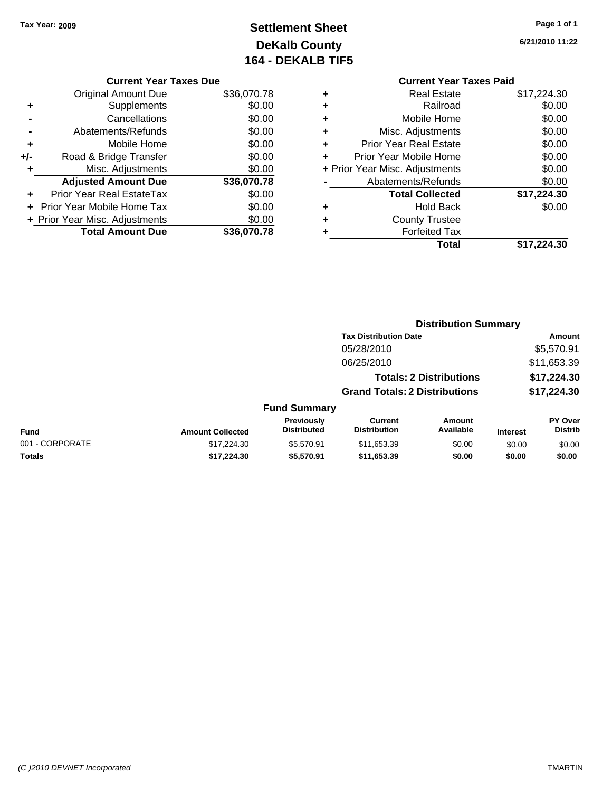### **Settlement Sheet Tax Year: 2009 Page 1 of 1 DeKalb County 164 - DEKALB TIF5**

**6/21/2010 11:22**

|     | <b>Current Year Taxes Due</b>  |             |
|-----|--------------------------------|-------------|
|     | <b>Original Amount Due</b>     | \$36,070.78 |
| ٠   | Supplements                    | \$0.00      |
|     | Cancellations                  | \$0.00      |
|     | Abatements/Refunds             | \$0.00      |
| ٠   | Mobile Home                    | \$0.00      |
| +/- | Road & Bridge Transfer         | \$0.00      |
| ٠   | Misc. Adjustments              | \$0.00      |
|     | <b>Adjusted Amount Due</b>     | \$36,070.78 |
| ٠   | Prior Year Real EstateTax      | \$0.00      |
|     | Prior Year Mobile Home Tax     | \$0.00      |
|     | + Prior Year Misc. Adjustments | \$0.00      |
|     | <b>Total Amount Due</b>        | \$36,070.78 |
|     |                                |             |

# **Current Year Taxes Paid**

|   | Total                          | \$17.224.30 |
|---|--------------------------------|-------------|
| ٠ | <b>Forfeited Tax</b>           |             |
| ٠ | <b>County Trustee</b>          |             |
| ٠ | <b>Hold Back</b>               | \$0.00      |
|   | <b>Total Collected</b>         | \$17,224.30 |
|   | Abatements/Refunds             | \$0.00      |
|   | + Prior Year Misc. Adjustments | \$0.00      |
| ÷ | Prior Year Mobile Home         | \$0.00      |
| ٠ | <b>Prior Year Real Estate</b>  | \$0.00      |
| ٠ | Misc. Adjustments              | \$0.00      |
| ٠ | Mobile Home                    | \$0.00      |
| ٠ | Railroad                       | \$0.00      |
| ٠ | Real Estate                    | \$17,224.30 |

#### **Distribution Summary Tax Distribution Date Amount** 05/28/2010 \$5,570.91 06/25/2010 \$11,653.39 **Totals: 2 Distributions \$17,224.30 Grand Totals: 2 Distributions \$17,224.30 Fund Summary Fund Interest Amount Collected Distributed PY Over Distrib Amount Available Current Distribution Previously** 001 - CORPORATE 6 \$17,224.30 \$5,570.91 \$11,653.39 \$0.00 \$0.00 \$0.00 \$0.00 **Totals \$17,224.30 \$5,570.91 \$11,653.39 \$0.00 \$0.00 \$0.00**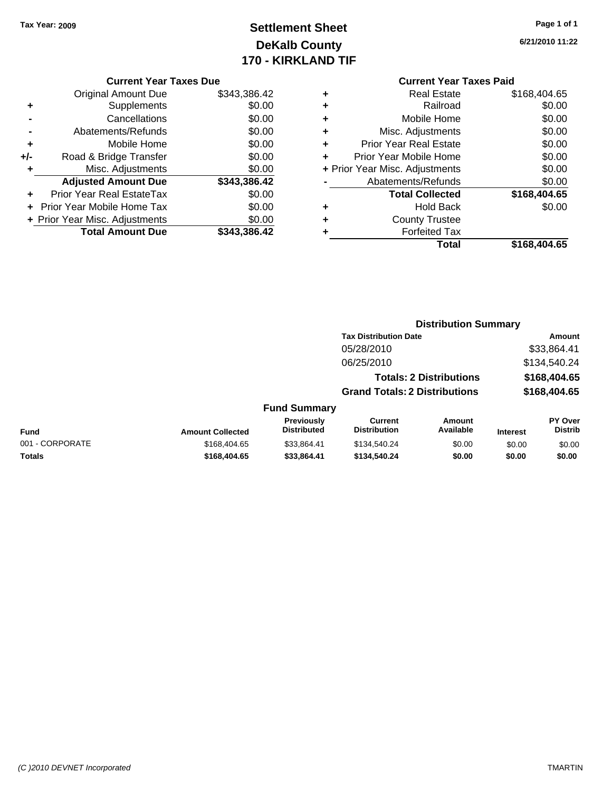### **Settlement Sheet Tax Year: 2009 Page 1 of 1 DeKalb County 170 - KIRKLAND TIF**

**6/21/2010 11:22**

#### **Current Year Taxes Due**

|     | <b>Original Amount Due</b>       | \$343,386.42 |
|-----|----------------------------------|--------------|
| ٠   | Supplements                      | \$0.00       |
|     | Cancellations                    | \$0.00       |
|     | Abatements/Refunds               | \$0.00       |
| ٠   | Mobile Home                      | \$0.00       |
| +/- | Road & Bridge Transfer           | \$0.00       |
| ٠   | Misc. Adjustments                | \$0.00       |
|     | <b>Adjusted Amount Due</b>       | \$343,386.42 |
|     | <b>Prior Year Real EstateTax</b> | \$0.00       |
|     | Prior Year Mobile Home Tax       | \$0.00       |
|     | + Prior Year Misc. Adjustments   | \$0.00       |
|     | <b>Total Amount Due</b>          | \$343.386.42 |

### **Current Year Taxes Paid**

|   | Total                          | \$168,404.65 |
|---|--------------------------------|--------------|
| ٠ | <b>Forfeited Tax</b>           |              |
| ٠ | <b>County Trustee</b>          |              |
| ٠ | <b>Hold Back</b>               | \$0.00       |
|   | <b>Total Collected</b>         | \$168,404.65 |
|   | Abatements/Refunds             | \$0.00       |
|   | + Prior Year Misc. Adjustments | \$0.00       |
|   | Prior Year Mobile Home         | \$0.00       |
| ٠ | Prior Year Real Estate         | \$0.00       |
| ٠ | Misc. Adjustments              | \$0.00       |
| ÷ | Mobile Home                    | \$0.00       |
| ÷ | Railroad                       | \$0.00       |
| ٠ | <b>Real Estate</b>             | \$168,404.65 |

#### **Distribution Summary Tax Distribution Date Amount** 05/28/2010 \$33,864.41 06/25/2010 \$134,540.24 **Totals: 2 Distributions \$168,404.65 Grand Totals: 2 Distributions \$168,404.65 Fund Summary Fund Interest Amount Collected Distributed PY Over Distrib Amount Available Current Distribution Previously** 001 - CORPORATE \$168,404.65 \$168,404.65 \$33,864.41 \$134,540.24 \$0.00 \$0.00 \$0.00 **Totals \$168,404.65 \$33,864.41 \$134,540.24 \$0.00 \$0.00 \$0.00**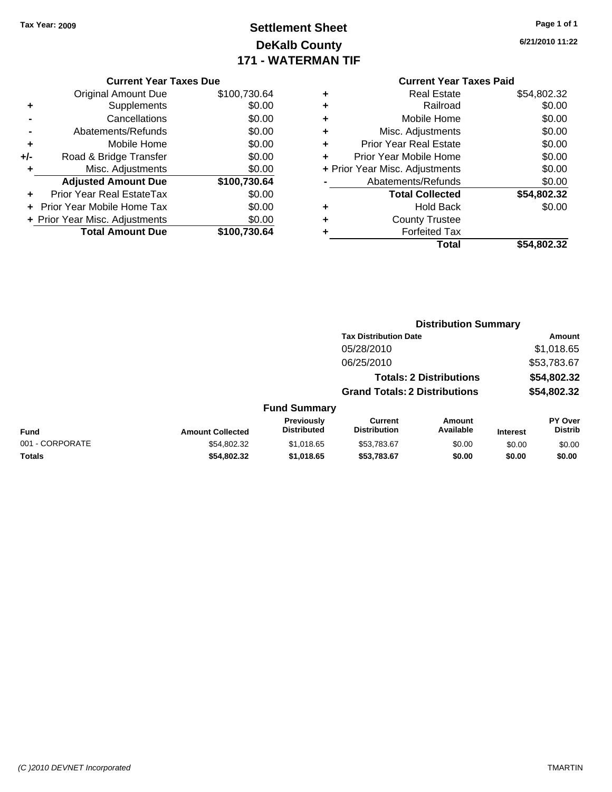### **Settlement Sheet Tax Year: 2009 Page 1 of 1 DeKalb County 171 - WATERMAN TIF**

### **6/21/2010 11:22**

|     | <b>Original Amount Due</b>       | \$100,730.64 |
|-----|----------------------------------|--------------|
| ٠   | Supplements                      | \$0.00       |
|     | Cancellations                    | \$0.00       |
|     | Abatements/Refunds               | \$0.00       |
| ÷   | Mobile Home                      | \$0.00       |
| +/- | Road & Bridge Transfer           | \$0.00       |
| ٠   | Misc. Adjustments                | \$0.00       |
|     | <b>Adjusted Amount Due</b>       | \$100,730.64 |
|     | <b>Prior Year Real EstateTax</b> | \$0.00       |
|     | Prior Year Mobile Home Tax       | \$0.00       |
|     | + Prior Year Misc. Adjustments   | \$0.00       |
|     | <b>Total Amount Due</b>          | \$100,730.64 |

|   | <b>Real Estate</b>             | \$54,802.32 |
|---|--------------------------------|-------------|
| ٠ | Railroad                       | \$0.00      |
| ٠ | Mobile Home                    | \$0.00      |
| ٠ | Misc. Adjustments              | \$0.00      |
| ٠ | <b>Prior Year Real Estate</b>  | \$0.00      |
|   | Prior Year Mobile Home         | \$0.00      |
|   | + Prior Year Misc. Adjustments | \$0.00      |
|   | Abatements/Refunds             | \$0.00      |
|   | <b>Total Collected</b>         | \$54,802.32 |
| ٠ | Hold Back                      | \$0.00      |
| ٠ | <b>County Trustee</b>          |             |
|   | <b>Forfeited Tax</b>           |             |
|   | Total                          | \$54,802.32 |
|   |                                |             |

|                 |                         |                                  | <b>Distribution Summary</b>           |                                |                 |                                  |  |
|-----------------|-------------------------|----------------------------------|---------------------------------------|--------------------------------|-----------------|----------------------------------|--|
|                 |                         |                                  | <b>Tax Distribution Date</b>          |                                |                 | Amount                           |  |
|                 |                         |                                  | 05/28/2010                            |                                |                 | \$1,018.65                       |  |
|                 |                         |                                  | 06/25/2010                            |                                |                 | \$53,783.67                      |  |
|                 |                         |                                  |                                       | <b>Totals: 2 Distributions</b> |                 | \$54,802.32                      |  |
|                 |                         |                                  | <b>Grand Totals: 2 Distributions</b>  |                                |                 | \$54,802.32                      |  |
|                 |                         | <b>Fund Summary</b>              |                                       |                                |                 |                                  |  |
| Fund            | <b>Amount Collected</b> | Previously<br><b>Distributed</b> | <b>Current</b><br><b>Distribution</b> | Amount<br>Available            | <b>Interest</b> | <b>PY Over</b><br><b>Distrib</b> |  |
| 001 - CORPORATE | \$54.802.32             | \$1.018.65                       | \$53.783.67                           | \$0.00                         | \$0.00          | \$0.00                           |  |
| Totals          | \$54,802.32             | \$1,018.65                       | \$53,783.67                           | \$0.00                         | \$0.00          | \$0.00                           |  |
|                 |                         |                                  |                                       |                                |                 |                                  |  |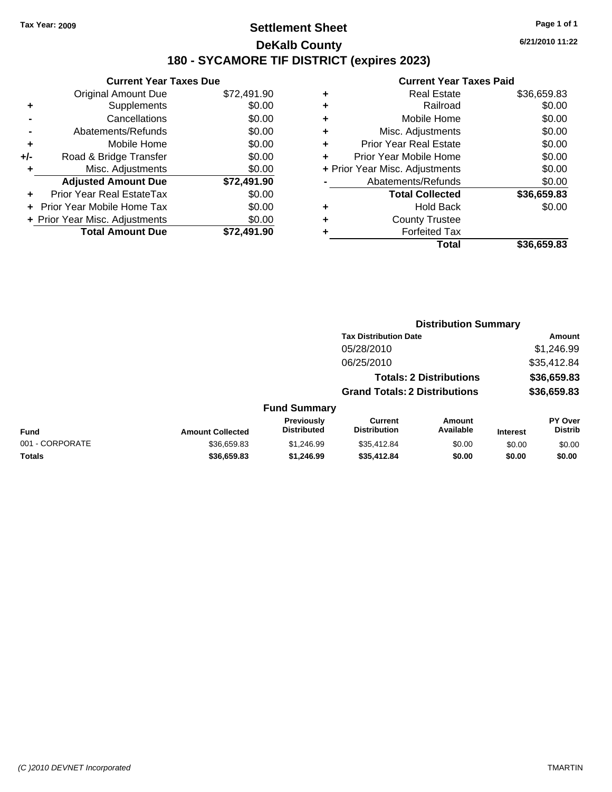### **Settlement Sheet Tax Year: 2009 Page 1 of 1 DeKalb County 180 - SYCAMORE TIF DISTRICT (expires 2023)**

**6/21/2010 11:22**

|       | <b>Current Year Taxes Due</b>  |             |  |  |  |  |
|-------|--------------------------------|-------------|--|--|--|--|
|       | <b>Original Amount Due</b>     | \$72,491.90 |  |  |  |  |
|       | Supplements                    | \$0.00      |  |  |  |  |
|       | Cancellations                  | \$0.00      |  |  |  |  |
|       | Abatements/Refunds             | \$0.00      |  |  |  |  |
| ٠     | Mobile Home                    | \$0.00      |  |  |  |  |
| $+/-$ | Road & Bridge Transfer         | \$0.00      |  |  |  |  |
| ٠     | Misc. Adjustments              | \$0.00      |  |  |  |  |
|       | <b>Adjusted Amount Due</b>     | \$72,491.90 |  |  |  |  |
|       | Prior Year Real EstateTax      | \$0.00      |  |  |  |  |
|       | Prior Year Mobile Home Tax     | \$0.00      |  |  |  |  |
|       | + Prior Year Misc. Adjustments | \$0.00      |  |  |  |  |
|       | <b>Total Amount Due</b>        | \$72.491.90 |  |  |  |  |
|       |                                |             |  |  |  |  |

| <b>Current Year Taxes Paid</b>     |             |  |  |  |  |
|------------------------------------|-------------|--|--|--|--|
| <b>Real Estate</b><br>٠            | \$36,659.83 |  |  |  |  |
| Railroad<br>٠                      | \$0.00      |  |  |  |  |
| Mobile Home<br>٠                   | \$0.00      |  |  |  |  |
| Misc. Adjustments<br>٠             | \$0.00      |  |  |  |  |
| <b>Prior Year Real Estate</b><br>٠ | \$0.00      |  |  |  |  |
| Prior Year Mobile Home<br>÷        | \$0.00      |  |  |  |  |
| + Prior Year Misc. Adjustments     | \$0.00      |  |  |  |  |
| Abatements/Refunds                 | \$0.00      |  |  |  |  |
| <b>Total Collected</b>             | \$36,659.83 |  |  |  |  |
| <b>Hold Back</b><br>٠              | \$0.00      |  |  |  |  |
| <b>County Trustee</b><br>٠         |             |  |  |  |  |
| <b>Forfeited Tax</b>               |             |  |  |  |  |
| Total                              | \$36,659.83 |  |  |  |  |

|                 |                         |                                  | <b>Distribution Summary</b>           |                                |                 |                                  |  |
|-----------------|-------------------------|----------------------------------|---------------------------------------|--------------------------------|-----------------|----------------------------------|--|
|                 |                         |                                  | <b>Tax Distribution Date</b>          |                                |                 | Amount                           |  |
|                 |                         |                                  | 05/28/2010                            |                                |                 | \$1,246.99                       |  |
|                 |                         |                                  | 06/25/2010                            |                                |                 | \$35,412.84                      |  |
|                 |                         |                                  |                                       | <b>Totals: 2 Distributions</b> |                 | \$36,659.83                      |  |
|                 |                         |                                  | <b>Grand Totals: 2 Distributions</b>  |                                |                 | \$36,659.83                      |  |
|                 |                         | <b>Fund Summary</b>              |                                       |                                |                 |                                  |  |
| Fund            | <b>Amount Collected</b> | Previously<br><b>Distributed</b> | <b>Current</b><br><b>Distribution</b> | Amount<br>Available            | <b>Interest</b> | <b>PY Over</b><br><b>Distrib</b> |  |
| 001 - CORPORATE | \$36,659.83             | \$1,246.99                       | \$35,412.84                           | \$0.00                         | \$0.00          | \$0.00                           |  |
| Totals          | \$36,659.83             | \$1,246.99                       | \$35,412.84                           | \$0.00                         | \$0.00          | \$0.00                           |  |
|                 |                         |                                  |                                       |                                |                 |                                  |  |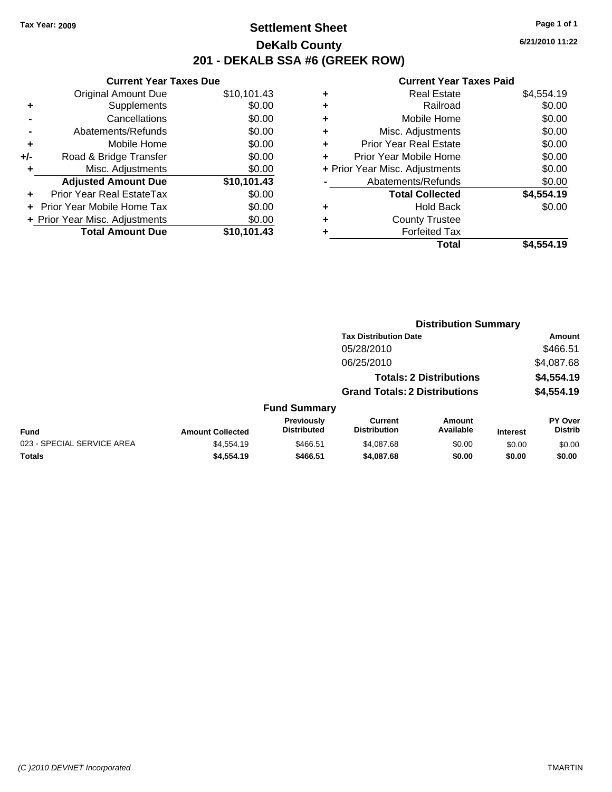### **Settlement Sheet Tax Year: 2009 Page 1 of 1 DeKalb County 201 - DEKALB SSA #6 (GREEK ROW)**

**6/21/2010 11:22**

|     | <b>Current Year Taxes Due</b>  |             |  |  |  |  |
|-----|--------------------------------|-------------|--|--|--|--|
|     | <b>Original Amount Due</b>     | \$10,101.43 |  |  |  |  |
| ٠   | Supplements                    | \$0.00      |  |  |  |  |
|     | Cancellations                  | \$0.00      |  |  |  |  |
|     | Abatements/Refunds             | \$0.00      |  |  |  |  |
| ٠   | Mobile Home                    | \$0.00      |  |  |  |  |
| +/- | Road & Bridge Transfer         | \$0.00      |  |  |  |  |
| ٠   | Misc. Adjustments              | \$0.00      |  |  |  |  |
|     | <b>Adjusted Amount Due</b>     | \$10,101.43 |  |  |  |  |
| ٠   | Prior Year Real EstateTax      | \$0.00      |  |  |  |  |
|     | Prior Year Mobile Home Tax     | \$0.00      |  |  |  |  |
|     | + Prior Year Misc. Adjustments | \$0.00      |  |  |  |  |
|     | <b>Total Amount Due</b>        | \$10.101.43 |  |  |  |  |
|     |                                |             |  |  |  |  |

| \$4,554.19 |
|------------|
| \$0.00     |
| \$0.00     |
| \$0.00     |
| \$0.00     |
| \$0.00     |
| \$0.00     |
| \$0.00     |
| \$4,554.19 |
| \$0.00     |
|            |
|            |
| \$4.554.19 |
|            |

|                            |                         |                                  |                                       | <b>Distribution Summary</b>    |                 |                           |  |
|----------------------------|-------------------------|----------------------------------|---------------------------------------|--------------------------------|-----------------|---------------------------|--|
|                            |                         |                                  | <b>Tax Distribution Date</b>          |                                |                 | Amount                    |  |
|                            |                         |                                  | 05/28/2010                            |                                |                 | \$466.51                  |  |
|                            |                         |                                  | 06/25/2010                            |                                |                 | \$4,087.68                |  |
|                            |                         |                                  |                                       | <b>Totals: 2 Distributions</b> |                 | \$4,554.19                |  |
|                            |                         |                                  | <b>Grand Totals: 2 Distributions</b>  |                                |                 | \$4,554.19                |  |
|                            |                         | <b>Fund Summary</b>              |                                       |                                |                 |                           |  |
| <b>Fund</b>                | <b>Amount Collected</b> | Previously<br><b>Distributed</b> | <b>Current</b><br><b>Distribution</b> | <b>Amount</b><br>Available     | <b>Interest</b> | PY Over<br><b>Distrib</b> |  |
| 023 - SPECIAL SERVICE AREA | \$4,554.19              | \$466.51                         | \$4,087.68                            | \$0.00                         | \$0.00          | \$0.00                    |  |
| Totals                     | \$4,554.19              | \$466.51                         | \$4,087.68                            | \$0.00                         | \$0.00          | \$0.00                    |  |
|                            |                         |                                  |                                       |                                |                 |                           |  |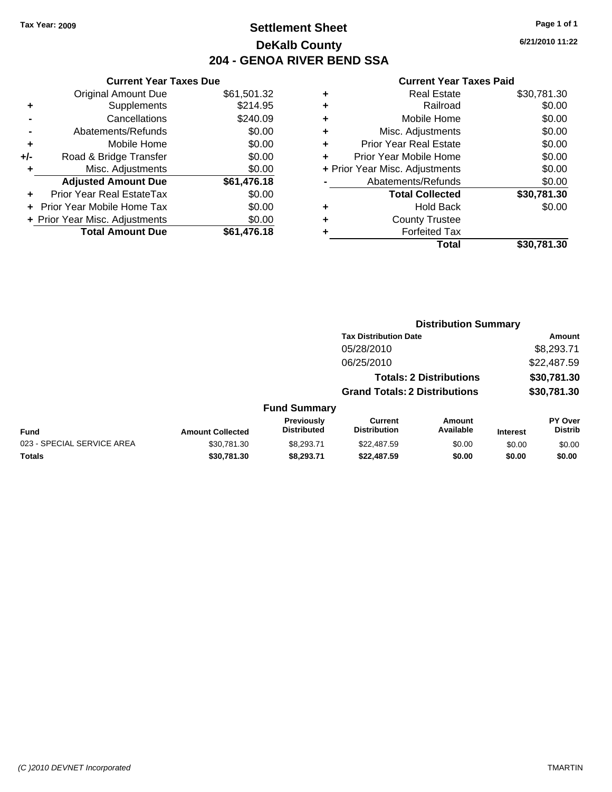### **Settlement Sheet Tax Year: 2009 Page 1 of 1 DeKalb County 204 - GENOA RIVER BEND SSA**

**6/21/2010 11:22**

|     | <b>Current Year Taxes Due</b>  |             |     |
|-----|--------------------------------|-------------|-----|
|     | <b>Original Amount Due</b>     | \$61,501.32 |     |
|     | Supplements                    | \$214.95    |     |
|     | Cancellations                  | \$240.09    |     |
|     | Abatements/Refunds             | \$0.00      |     |
|     | Mobile Home                    | \$0.00      |     |
| +/- | Road & Bridge Transfer         | \$0.00      |     |
|     | Misc. Adjustments              | \$0.00      | + P |
|     | <b>Adjusted Amount Due</b>     | \$61,476.18 |     |
|     | Prior Year Real EstateTax      | \$0.00      |     |
|     | Prior Year Mobile Home Tax     | \$0.00      |     |
|     | + Prior Year Misc. Adjustments | \$0.00      |     |
|     | <b>Total Amount Due</b>        | \$61,476.18 |     |
|     |                                |             |     |

|   | <b>Real Estate</b>             | \$30,781.30 |
|---|--------------------------------|-------------|
| ٠ | Railroad                       | \$0.00      |
| ٠ | Mobile Home                    | \$0.00      |
| ٠ | Misc. Adjustments              | \$0.00      |
| ٠ | <b>Prior Year Real Estate</b>  | \$0.00      |
|   | Prior Year Mobile Home         | \$0.00      |
|   | + Prior Year Misc. Adjustments | \$0.00      |
|   | Abatements/Refunds             | \$0.00      |
|   | <b>Total Collected</b>         | \$30,781.30 |
| ٠ | <b>Hold Back</b>               | \$0.00      |
|   | <b>County Trustee</b>          |             |
|   | <b>Forfeited Tax</b>           |             |
|   | Total                          | \$30,781.30 |
|   |                                |             |

|                            |                         |                                  | <b>Distribution Summary</b>           |                            |                 |                                  |  |
|----------------------------|-------------------------|----------------------------------|---------------------------------------|----------------------------|-----------------|----------------------------------|--|
|                            |                         |                                  | <b>Tax Distribution Date</b>          |                            | Amount          |                                  |  |
|                            |                         |                                  | 05/28/2010                            |                            |                 | \$8,293.71                       |  |
|                            |                         |                                  | 06/25/2010                            |                            |                 | \$22,487.59                      |  |
|                            |                         |                                  | <b>Totals: 2 Distributions</b>        |                            | \$30,781.30     |                                  |  |
|                            |                         |                                  | <b>Grand Totals: 2 Distributions</b>  |                            |                 | \$30,781.30                      |  |
|                            |                         | <b>Fund Summary</b>              |                                       |                            |                 |                                  |  |
| <b>Fund</b>                | <b>Amount Collected</b> | Previously<br><b>Distributed</b> | <b>Current</b><br><b>Distribution</b> | <b>Amount</b><br>Available | <b>Interest</b> | <b>PY Over</b><br><b>Distrib</b> |  |
| 023 - SPECIAL SERVICE AREA | \$30.781.30             | \$8,293.71                       | \$22,487.59                           | \$0.00                     | \$0.00          | \$0.00                           |  |
| Totals                     | \$30,781.30             | \$8.293.71                       | \$22,487.59                           | \$0.00                     | \$0.00          | \$0.00                           |  |
|                            |                         |                                  |                                       |                            |                 |                                  |  |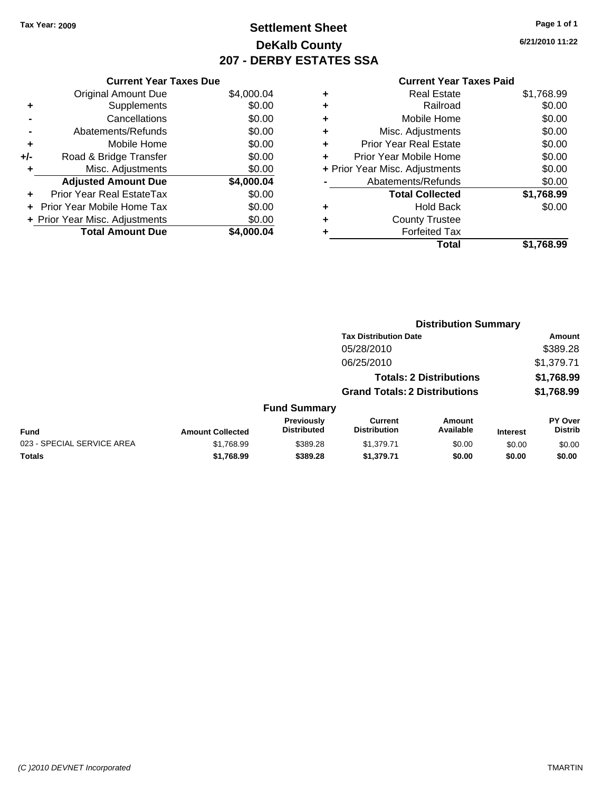### **Settlement Sheet Tax Year: 2009 Page 1 of 1 DeKalb County 207 - DERBY ESTATES SSA**

**6/21/2010 11:22**

|     | <b>Current Year Taxes Due</b>     |            |  |  |  |  |
|-----|-----------------------------------|------------|--|--|--|--|
|     | <b>Original Amount Due</b>        | \$4,000.04 |  |  |  |  |
| ٠   | Supplements                       | \$0.00     |  |  |  |  |
|     | Cancellations                     | \$0.00     |  |  |  |  |
|     | Abatements/Refunds                | \$0.00     |  |  |  |  |
| ٠   | Mobile Home                       | \$0.00     |  |  |  |  |
| +/- | Road & Bridge Transfer            | \$0.00     |  |  |  |  |
|     | Misc. Adjustments                 | \$0.00     |  |  |  |  |
|     | <b>Adjusted Amount Due</b>        | \$4,000.04 |  |  |  |  |
|     | Prior Year Real EstateTax         | \$0.00     |  |  |  |  |
|     | <b>Prior Year Mobile Home Tax</b> | \$0.00     |  |  |  |  |
|     | + Prior Year Misc. Adjustments    | \$0.00     |  |  |  |  |
|     | <b>Total Amount Due</b>           | \$4.000.04 |  |  |  |  |

|                                | <b>Real Estate</b>            | \$1,768.99 |
|--------------------------------|-------------------------------|------------|
| ٠                              | Railroad                      | \$0.00     |
| ٠                              | Mobile Home                   | \$0.00     |
| ٠                              | Misc. Adjustments             | \$0.00     |
| ٠                              | <b>Prior Year Real Estate</b> | \$0.00     |
| ÷                              | Prior Year Mobile Home        | \$0.00     |
| + Prior Year Misc. Adjustments |                               | \$0.00     |
|                                | Abatements/Refunds            | \$0.00     |
|                                | <b>Total Collected</b>        | \$1,768.99 |
| ٠                              | <b>Hold Back</b>              | \$0.00     |
| ٠                              | <b>County Trustee</b>         |            |
| ٠                              | <b>Forfeited Tax</b>          |            |
|                                | Total                         | \$1.768.99 |
|                                |                               |            |

|                            |                         |                                  | <b>Distribution Summary</b>           |                     |                 |                                  |  |
|----------------------------|-------------------------|----------------------------------|---------------------------------------|---------------------|-----------------|----------------------------------|--|
|                            |                         |                                  | <b>Tax Distribution Date</b>          |                     |                 | Amount                           |  |
|                            |                         |                                  | 05/28/2010                            |                     |                 | \$389.28                         |  |
|                            |                         |                                  | 06/25/2010                            |                     |                 | \$1,379.71                       |  |
|                            |                         |                                  | <b>Totals: 2 Distributions</b>        |                     |                 | \$1,768.99                       |  |
|                            |                         |                                  | <b>Grand Totals: 2 Distributions</b>  |                     |                 | \$1,768.99                       |  |
|                            |                         | <b>Fund Summary</b>              |                                       |                     |                 |                                  |  |
| Fund                       | <b>Amount Collected</b> | Previously<br><b>Distributed</b> | <b>Current</b><br><b>Distribution</b> | Amount<br>Available | <b>Interest</b> | <b>PY Over</b><br><b>Distrib</b> |  |
| 023 - SPECIAL SERVICE AREA | \$1,768.99              | \$389.28                         | \$1,379.71                            | \$0.00              | \$0.00          | \$0.00                           |  |
| Totals                     | \$1,768.99              | \$389.28                         | \$1,379.71                            | \$0.00              | \$0.00          | \$0.00                           |  |
|                            |                         |                                  |                                       |                     |                 |                                  |  |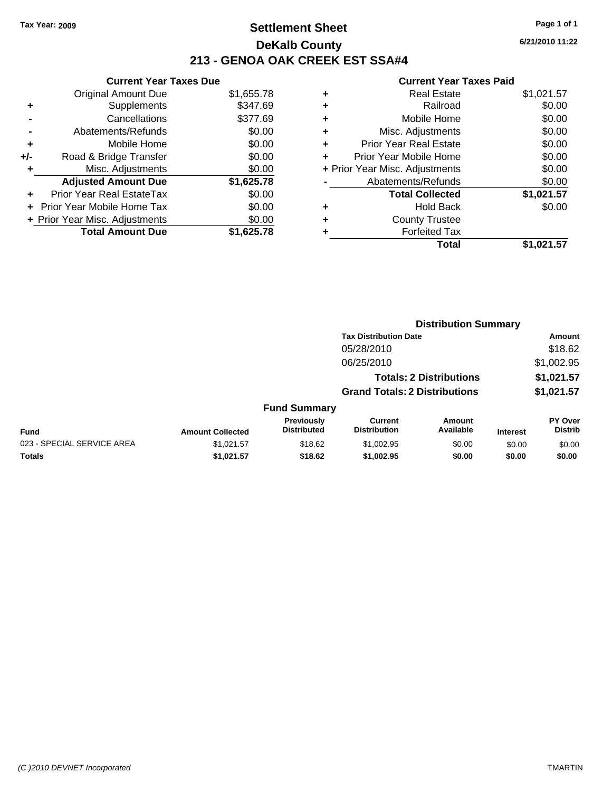### **Settlement Sheet Tax Year: 2009 Page 1 of 1 DeKalb County 213 - GENOA OAK CREEK EST SSA#4**

**6/21/2010 11:22**

| <b>Current Year Taxes Due</b>  |            |
|--------------------------------|------------|
| <b>Original Amount Due</b>     | \$1,655.78 |
| Supplements                    | \$347.69   |
| Cancellations                  | \$377.69   |
| Abatements/Refunds             | \$0.00     |
| Mobile Home                    | \$0.00     |
| Road & Bridge Transfer         | \$0.00     |
| Misc. Adjustments              | \$0.00     |
| <b>Adjusted Amount Due</b>     | \$1,625.78 |
| Prior Year Real EstateTax      | \$0.00     |
|                                |            |
| Prior Year Mobile Home Tax     | \$0.00     |
| + Prior Year Misc. Adjustments | \$0.00     |
|                                |            |

| ٠                              | <b>Real Estate</b>     | \$1,021.57 |
|--------------------------------|------------------------|------------|
| ٠                              | Railroad               | \$0.00     |
| ٠                              | Mobile Home            | \$0.00     |
| ٠                              | Misc. Adjustments      | \$0.00     |
| ÷                              | Prior Year Real Estate | \$0.00     |
| ÷                              | Prior Year Mobile Home | \$0.00     |
| + Prior Year Misc. Adjustments |                        | \$0.00     |
|                                | Abatements/Refunds     | \$0.00     |
|                                | <b>Total Collected</b> | \$1,021.57 |
| ٠                              | <b>Hold Back</b>       | \$0.00     |
| ٠                              | <b>County Trustee</b>  |            |
| ٠                              | <b>Forfeited Tax</b>   |            |
|                                | Total                  | \$1.021.57 |
|                                |                        |            |

|                                            | <b>Distribution Summary</b> |                                  |                                       |                     |                 |                                  |  |
|--------------------------------------------|-----------------------------|----------------------------------|---------------------------------------|---------------------|-----------------|----------------------------------|--|
| <b>Tax Distribution Date</b><br>05/28/2010 |                             |                                  |                                       | Amount              |                 |                                  |  |
|                                            |                             |                                  |                                       | \$18.62             |                 |                                  |  |
|                                            |                             |                                  | 06/25/2010                            |                     |                 | \$1,002.95                       |  |
| <b>Totals: 2 Distributions</b>             |                             |                                  | \$1,021.57                            |                     |                 |                                  |  |
|                                            |                             |                                  | <b>Grand Totals: 2 Distributions</b>  |                     |                 | \$1,021.57                       |  |
|                                            |                             | <b>Fund Summary</b>              |                                       |                     |                 |                                  |  |
| <b>Fund</b>                                | <b>Amount Collected</b>     | Previously<br><b>Distributed</b> | <b>Current</b><br><b>Distribution</b> | Amount<br>Available | <b>Interest</b> | <b>PY Over</b><br><b>Distrib</b> |  |
| 023 - SPECIAL SERVICE AREA                 | \$1,021.57                  | \$18.62                          | \$1,002.95                            | \$0.00              | \$0.00          | \$0.00                           |  |
| Totals                                     | \$1,021.57                  | \$18.62                          | \$1,002.95                            | \$0.00              | \$0.00          | \$0.00                           |  |
|                                            |                             |                                  |                                       |                     |                 |                                  |  |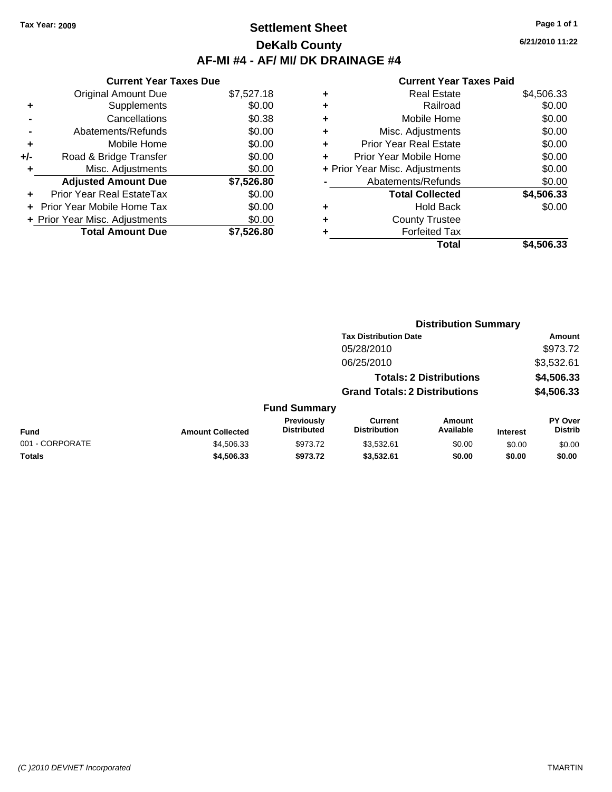# **Settlement Sheet Tax Year: 2009 Page 1 of 1 DeKalb County AF-MI #4 - AF/ MI/ DK DRAINAGE #4**

|     | <b>Current Year Taxes Due</b>  |            |
|-----|--------------------------------|------------|
|     | <b>Original Amount Due</b>     | \$7,527.18 |
| ٠   | Supplements                    | \$0.00     |
|     | Cancellations                  | \$0.38     |
|     | Abatements/Refunds             | \$0.00     |
| ٠   | Mobile Home                    | \$0.00     |
| +/- | Road & Bridge Transfer         | \$0.00     |
| ٠   | Misc. Adjustments              | \$0.00     |
|     | <b>Adjusted Amount Due</b>     | \$7,526.80 |
|     | Prior Year Real EstateTax      | \$0.00     |
|     | Prior Year Mobile Home Tax     | \$0.00     |
|     | + Prior Year Misc. Adjustments | \$0.00     |
|     | <b>Total Amount Due</b>        | \$7.526.80 |

### **Current Year Taxes Paid**

|   | <b>Real Estate</b>             | \$4,506.33 |
|---|--------------------------------|------------|
| ÷ | Railroad                       | \$0.00     |
| ٠ | Mobile Home                    | \$0.00     |
| ٠ | Misc. Adjustments              | \$0.00     |
| ٠ | <b>Prior Year Real Estate</b>  | \$0.00     |
|   | Prior Year Mobile Home         | \$0.00     |
|   | + Prior Year Misc. Adjustments | \$0.00     |
|   | Abatements/Refunds             | \$0.00     |
|   | <b>Total Collected</b>         | \$4,506.33 |
| ٠ | <b>Hold Back</b>               | \$0.00     |
| ٠ | <b>County Trustee</b>          |            |
|   | <b>Forfeited Tax</b>           |            |
|   | Total                          | \$4,506.33 |
|   |                                |            |

|                 |                         |                                  | <b>Distribution Summary</b>           |                                |                 |                           |  |
|-----------------|-------------------------|----------------------------------|---------------------------------------|--------------------------------|-----------------|---------------------------|--|
|                 |                         |                                  | <b>Tax Distribution Date</b>          |                                |                 | Amount                    |  |
|                 |                         |                                  | 05/28/2010                            |                                |                 | \$973.72                  |  |
|                 |                         |                                  | 06/25/2010                            |                                |                 | \$3,532.61                |  |
|                 |                         |                                  |                                       | <b>Totals: 2 Distributions</b> |                 | \$4,506.33                |  |
|                 |                         |                                  | <b>Grand Totals: 2 Distributions</b>  |                                |                 | \$4,506.33                |  |
|                 |                         | <b>Fund Summary</b>              |                                       |                                |                 |                           |  |
| <b>Fund</b>     | <b>Amount Collected</b> | Previously<br><b>Distributed</b> | <b>Current</b><br><b>Distribution</b> | <b>Amount</b><br>Available     | <b>Interest</b> | PY Over<br><b>Distrib</b> |  |
| 001 - CORPORATE | \$4,506.33              | \$973.72                         | \$3,532.61                            | \$0.00                         | \$0.00          | \$0.00                    |  |
| Totals          | \$4,506.33              | \$973.72                         | \$3,532.61                            | \$0.00                         | \$0.00          | \$0.00                    |  |

**6/21/2010 11:22**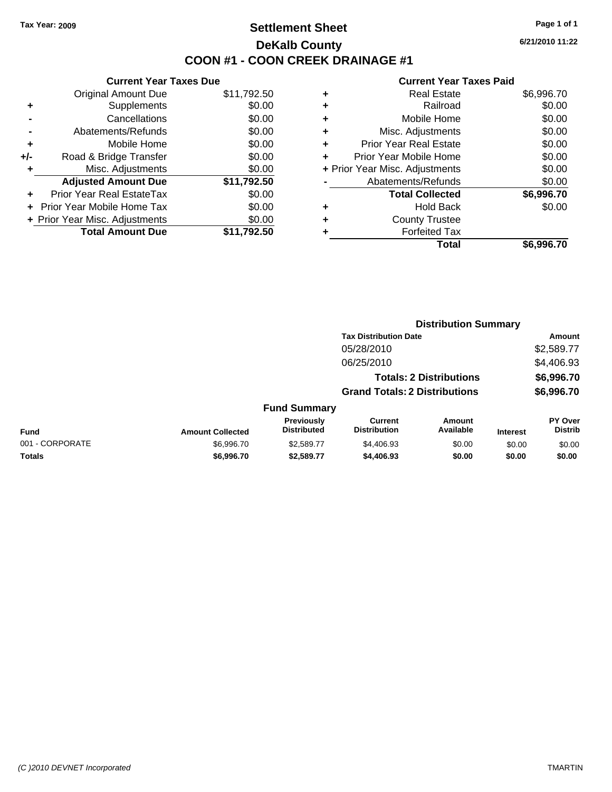## **Settlement Sheet Tax Year: 2009 Page 1 of 1 DeKalb County COON #1 - COON CREEK DRAINAGE #1**

**6/21/2010 11:22**

|     | <b>Current Year Taxes Due</b>  |             |         |
|-----|--------------------------------|-------------|---------|
|     | <b>Original Amount Due</b>     | \$11,792.50 | ٠       |
|     | <b>Supplements</b>             | \$0.00      | ٠       |
|     | Cancellations                  | \$0.00      | ٠       |
|     | Abatements/Refunds             | \$0.00      | ٠       |
|     | Mobile Home                    | \$0.00      | ٠       |
| +/- | Road & Bridge Transfer         | \$0.00      | ٠       |
|     | Misc. Adjustments              | \$0.00      | + Prior |
|     | <b>Adjusted Amount Due</b>     | \$11,792.50 |         |
|     | Prior Year Real EstateTax      | \$0.00      |         |
|     | Prior Year Mobile Home Tax     | \$0.00      | ٠       |
|     | + Prior Year Misc. Adjustments | \$0.00      | ٠       |
|     | <b>Total Amount Due</b>        | \$11,792.50 |         |
|     |                                |             |         |

|   | <b>Real Estate</b>             | \$6,996.70 |
|---|--------------------------------|------------|
| ٠ | Railroad                       | \$0.00     |
| ٠ | Mobile Home                    | \$0.00     |
| ٠ | Misc. Adjustments              | \$0.00     |
| ٠ | <b>Prior Year Real Estate</b>  | \$0.00     |
|   | Prior Year Mobile Home         | \$0.00     |
|   | + Prior Year Misc. Adjustments | \$0.00     |
|   | Abatements/Refunds             | \$0.00     |
|   | <b>Total Collected</b>         | \$6,996.70 |
|   | <b>Hold Back</b>               | \$0.00     |
|   | <b>County Trustee</b>          |            |
|   | <b>Forfeited Tax</b>           |            |
|   | Total                          | \$6,996.70 |

|                 | <b>Distribution Summary</b> |                                  |                                       |                                |                 |                           |
|-----------------|-----------------------------|----------------------------------|---------------------------------------|--------------------------------|-----------------|---------------------------|
|                 |                             |                                  | <b>Tax Distribution Date</b>          |                                |                 | Amount                    |
|                 |                             |                                  | 05/28/2010                            |                                |                 | \$2,589.77                |
|                 |                             |                                  | 06/25/2010                            |                                |                 | \$4,406.93                |
|                 |                             |                                  |                                       | <b>Totals: 2 Distributions</b> |                 | \$6,996.70                |
|                 |                             |                                  | <b>Grand Totals: 2 Distributions</b>  |                                |                 | \$6,996.70                |
|                 |                             | <b>Fund Summary</b>              |                                       |                                |                 |                           |
| <b>Fund</b>     | <b>Amount Collected</b>     | Previously<br><b>Distributed</b> | <b>Current</b><br><b>Distribution</b> | Amount<br>Available            | <b>Interest</b> | PY Over<br><b>Distrib</b> |
| 001 - CORPORATE | \$6,996.70                  | \$2,589.77                       | \$4,406.93                            | \$0.00                         | \$0.00          | \$0.00                    |
| Totals          | \$6,996.70                  | \$2,589.77                       | \$4,406.93                            | \$0.00                         | \$0.00          | \$0.00                    |
|                 |                             |                                  |                                       |                                |                 |                           |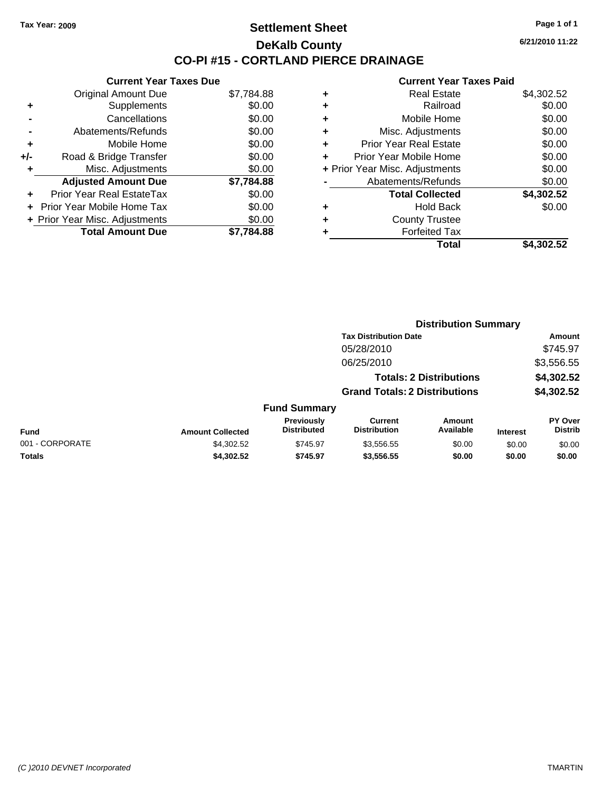## **Settlement Sheet Tax Year: 2009 Page 1 of 1 DeKalb County CO-PI #15 - CORTLAND PIERCE DRAINAGE**

**6/21/2010 11:22**

|     | <b>Current Year Taxes Due</b>  |            |  |  |  |  |
|-----|--------------------------------|------------|--|--|--|--|
|     | <b>Original Amount Due</b>     | \$7,784.88 |  |  |  |  |
| ٠   | Supplements                    | \$0.00     |  |  |  |  |
|     | Cancellations                  | \$0.00     |  |  |  |  |
|     | Abatements/Refunds             | \$0.00     |  |  |  |  |
| ٠   | Mobile Home                    | \$0.00     |  |  |  |  |
| +/- | Road & Bridge Transfer         | \$0.00     |  |  |  |  |
| ٠   | Misc. Adjustments              | \$0.00     |  |  |  |  |
|     | <b>Adjusted Amount Due</b>     | \$7,784.88 |  |  |  |  |
| ٠   | Prior Year Real EstateTax      | \$0.00     |  |  |  |  |
|     | Prior Year Mobile Home Tax     | \$0.00     |  |  |  |  |
|     | + Prior Year Misc. Adjustments | \$0.00     |  |  |  |  |
|     | <b>Total Amount Due</b>        | \$7.784.88 |  |  |  |  |

| ٠ | <b>Real Estate</b>             | \$4,302.52 |
|---|--------------------------------|------------|
| ٠ | Railroad                       | \$0.00     |
| ٠ | Mobile Home                    | \$0.00     |
| ٠ | Misc. Adjustments              | \$0.00     |
| ÷ | <b>Prior Year Real Estate</b>  | \$0.00     |
|   | Prior Year Mobile Home         | \$0.00     |
|   | + Prior Year Misc. Adjustments | \$0.00     |
|   | Abatements/Refunds             | \$0.00     |
|   | <b>Total Collected</b>         | \$4,302.52 |
| ٠ | Hold Back                      | \$0.00     |
| ٠ | <b>County Trustee</b>          |            |
| ٠ | <b>Forfeited Tax</b>           |            |
|   | Total                          | \$4,302.52 |

|                 |                         |                                  | <b>Distribution Summary</b>           |                                |                 |                                  |  |
|-----------------|-------------------------|----------------------------------|---------------------------------------|--------------------------------|-----------------|----------------------------------|--|
|                 |                         |                                  | <b>Tax Distribution Date</b>          |                                |                 | Amount                           |  |
|                 |                         |                                  | 05/28/2010                            |                                |                 | \$745.97                         |  |
|                 |                         |                                  | 06/25/2010                            |                                |                 | \$3,556.55                       |  |
|                 |                         |                                  |                                       | <b>Totals: 2 Distributions</b> |                 | \$4,302.52                       |  |
|                 |                         |                                  | <b>Grand Totals: 2 Distributions</b>  |                                |                 | \$4,302.52                       |  |
|                 |                         | <b>Fund Summary</b>              |                                       |                                |                 |                                  |  |
| Fund            | <b>Amount Collected</b> | Previously<br><b>Distributed</b> | <b>Current</b><br><b>Distribution</b> | <b>Amount</b><br>Available     | <b>Interest</b> | <b>PY Over</b><br><b>Distrib</b> |  |
| 001 - CORPORATE | \$4,302.52              | \$745.97                         | \$3,556.55                            | \$0.00                         | \$0.00          | \$0.00                           |  |
| Totals          | \$4,302.52              | \$745.97                         | \$3,556.55                            | \$0.00                         | \$0.00          | \$0.00                           |  |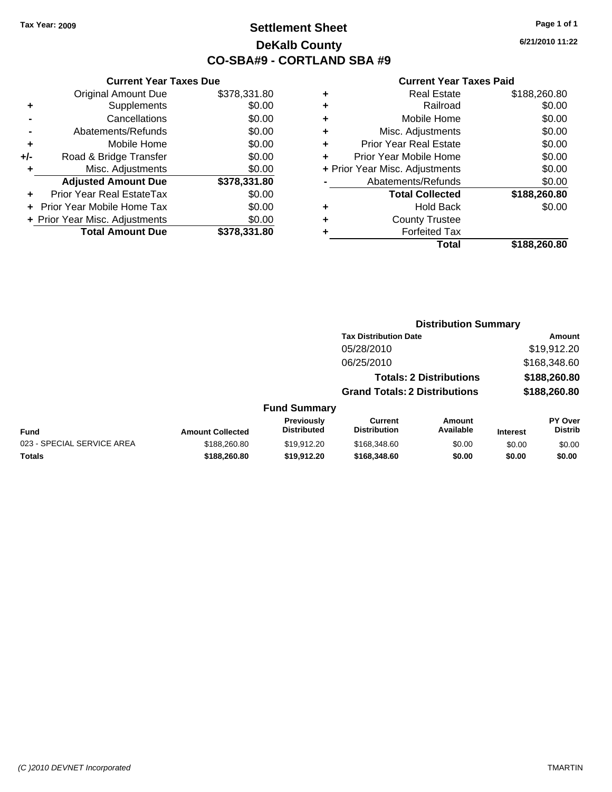# **Settlement Sheet Tax Year: 2009 Page 1 of 1 DeKalb County CO-SBA#9 - CORTLAND SBA #9**

**6/21/2010 11:22**

### **Current Year Taxes Paid**

**Distribution Summary**

| ٠ | <b>Real Estate</b>             | \$188,260.80 |
|---|--------------------------------|--------------|
| ٠ | Railroad                       | \$0.00       |
| ٠ | Mobile Home                    | \$0.00       |
| ٠ | Misc. Adjustments              | \$0.00       |
| ٠ | <b>Prior Year Real Estate</b>  | \$0.00       |
|   | Prior Year Mobile Home         | \$0.00       |
|   | + Prior Year Misc. Adjustments | \$0.00       |
|   | Abatements/Refunds             | \$0.00       |
|   | <b>Total Collected</b>         | \$188,260.80 |
| ٠ | <b>Hold Back</b>               | \$0.00       |
| ٠ | <b>County Trustee</b>          |              |
| ٠ | <b>Forfeited Tax</b>           |              |
|   | Total                          | \$188,260,80 |

|     | <b>Current Year Taxes Due</b>  |              |  |  |  |
|-----|--------------------------------|--------------|--|--|--|
|     | <b>Original Amount Due</b>     | \$378,331.80 |  |  |  |
| ٠   | Supplements                    | \$0.00       |  |  |  |
|     | Cancellations                  | \$0.00       |  |  |  |
|     | Abatements/Refunds             | \$0.00       |  |  |  |
| ٠   | Mobile Home                    | \$0.00       |  |  |  |
| +/- | Road & Bridge Transfer         | \$0.00       |  |  |  |
|     | Misc. Adjustments              | \$0.00       |  |  |  |
|     | <b>Adjusted Amount Due</b>     | \$378,331.80 |  |  |  |
|     | Prior Year Real EstateTax      | \$0.00       |  |  |  |
|     | Prior Year Mobile Home Tax     | \$0.00       |  |  |  |
|     | + Prior Year Misc. Adjustments | \$0.00       |  |  |  |
|     | <b>Total Amount Due</b>        | \$378,331.80 |  |  |  |

|                            |                         |                                  | <b>Tax Distribution Date</b>          |                                |                 | Amount                    |
|----------------------------|-------------------------|----------------------------------|---------------------------------------|--------------------------------|-----------------|---------------------------|
|                            |                         |                                  | 05/28/2010                            |                                |                 | \$19,912.20               |
|                            |                         |                                  | 06/25/2010                            |                                |                 | \$168,348.60              |
|                            |                         |                                  |                                       | <b>Totals: 2 Distributions</b> |                 | \$188,260.80              |
|                            |                         |                                  | <b>Grand Totals: 2 Distributions</b>  |                                |                 | \$188,260.80              |
|                            |                         | <b>Fund Summary</b>              |                                       |                                |                 |                           |
| <b>Fund</b>                | <b>Amount Collected</b> | Previously<br><b>Distributed</b> | <b>Current</b><br><b>Distribution</b> | <b>Amount</b><br>Available     | <b>Interest</b> | PY Over<br><b>Distrib</b> |
| 023 - SPECIAL SERVICE AREA | \$188,260.80            | \$19,912.20                      | \$168,348.60                          | \$0.00                         | \$0.00          | \$0.00                    |
| <b>Totals</b>              | \$188,260.80            | \$19,912.20                      | \$168,348.60                          | \$0.00                         | \$0.00          | \$0.00                    |
|                            |                         |                                  |                                       |                                |                 |                           |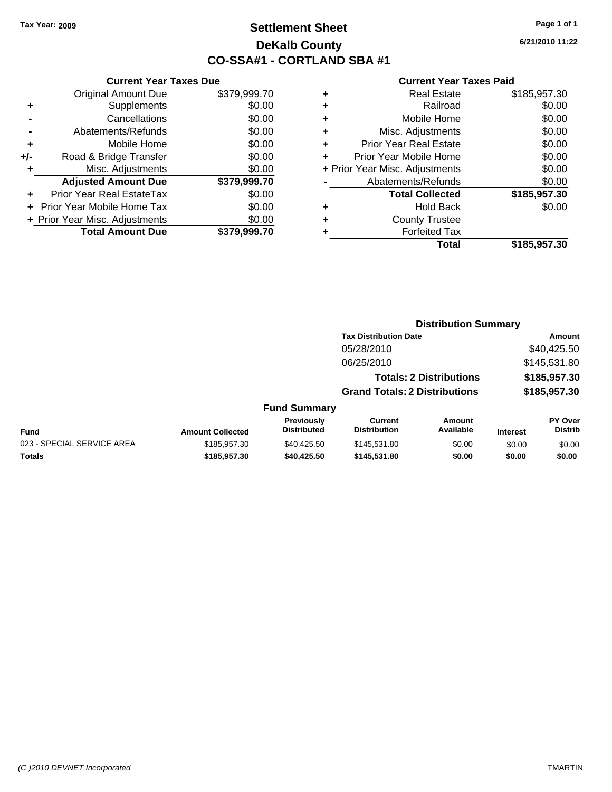# **Settlement Sheet Tax Year: 2009 Page 1 of 1 DeKalb County CO-SSA#1 - CORTLAND SBA #1**

**6/21/2010 11:22**

|     | <b>Current Year Taxes Due</b>     |              |  |  |  |  |
|-----|-----------------------------------|--------------|--|--|--|--|
|     | <b>Original Amount Due</b>        | \$379,999.70 |  |  |  |  |
| ٠   | Supplements                       | \$0.00       |  |  |  |  |
|     | Cancellations                     | \$0.00       |  |  |  |  |
|     | Abatements/Refunds                | \$0.00       |  |  |  |  |
| ٠   | Mobile Home                       | \$0.00       |  |  |  |  |
| +/- | Road & Bridge Transfer            | \$0.00       |  |  |  |  |
| ٠   | Misc. Adjustments                 | \$0.00       |  |  |  |  |
|     | <b>Adjusted Amount Due</b>        | \$379,999.70 |  |  |  |  |
| ٠   | Prior Year Real EstateTax         | \$0.00       |  |  |  |  |
|     | <b>Prior Year Mobile Home Tax</b> | \$0.00       |  |  |  |  |
|     | + Prior Year Misc. Adjustments    | \$0.00       |  |  |  |  |
|     | <b>Total Amount Due</b>           | \$379,999.70 |  |  |  |  |
|     |                                   |              |  |  |  |  |

|   | <b>Real Estate</b>             | \$185,957.30 |
|---|--------------------------------|--------------|
| ٠ | Railroad                       | \$0.00       |
| ٠ | Mobile Home                    | \$0.00       |
| ٠ | Misc. Adjustments              | \$0.00       |
| ٠ | Prior Year Real Estate         | \$0.00       |
|   | Prior Year Mobile Home         | \$0.00       |
|   | + Prior Year Misc. Adjustments | \$0.00       |
|   | Abatements/Refunds             | \$0.00       |
|   | <b>Total Collected</b>         | \$185,957.30 |
| ٠ | <b>Hold Back</b>               | \$0.00       |
| ٠ | <b>County Trustee</b>          |              |
|   | <b>Forfeited Tax</b>           |              |
|   | Total                          | \$185,957.30 |
|   |                                |              |

|                            |                         | <b>Distribution Summary</b>             |                                       |                                |                 |                                  |  |  |
|----------------------------|-------------------------|-----------------------------------------|---------------------------------------|--------------------------------|-----------------|----------------------------------|--|--|
|                            |                         |                                         | <b>Tax Distribution Date</b>          |                                |                 | Amount                           |  |  |
|                            |                         |                                         | 05/28/2010                            |                                |                 | \$40,425.50                      |  |  |
|                            |                         |                                         | 06/25/2010                            |                                |                 | \$145,531.80                     |  |  |
|                            |                         |                                         |                                       | <b>Totals: 2 Distributions</b> |                 | \$185,957.30                     |  |  |
|                            |                         |                                         | <b>Grand Totals: 2 Distributions</b>  |                                |                 | \$185,957.30                     |  |  |
|                            |                         | <b>Fund Summary</b>                     |                                       |                                |                 |                                  |  |  |
| <b>Fund</b>                | <b>Amount Collected</b> | <b>Previously</b><br><b>Distributed</b> | <b>Current</b><br><b>Distribution</b> | Amount<br>Available            | <b>Interest</b> | <b>PY Over</b><br><b>Distrib</b> |  |  |
| 023 - SPECIAL SERVICE AREA | \$185,957,30            | \$40.425.50                             | \$145,531,80                          | \$0.00                         | \$0.00          | \$0.00                           |  |  |
| Totals                     | \$185.957.30            | \$40,425.50                             | \$145,531,80                          | \$0.00                         | \$0.00          | \$0.00                           |  |  |
|                            |                         |                                         |                                       |                                |                 |                                  |  |  |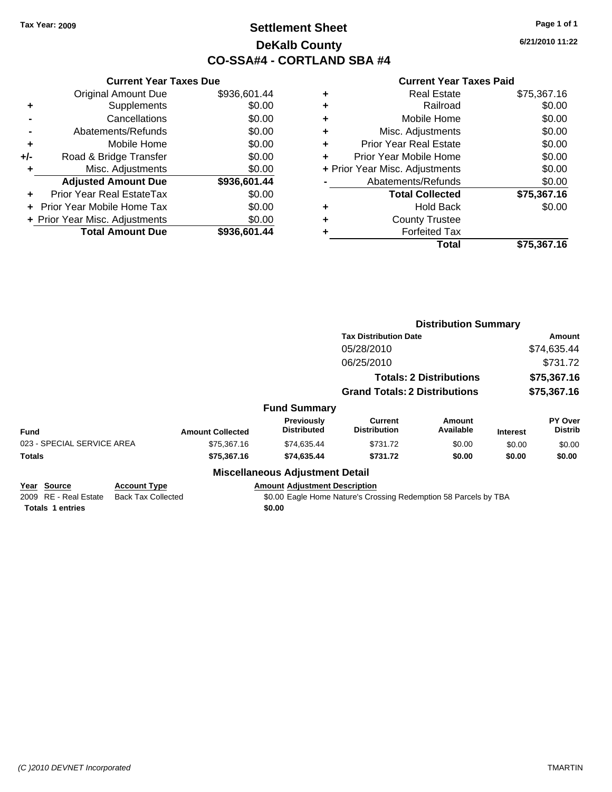# **Settlement Sheet Tax Year: 2009 Page 1 of 1 DeKalb County CO-SSA#4 - CORTLAND SBA #4**

**6/21/2010 11:22**

|     | <b>Current Year Taxes Due</b>  |              |
|-----|--------------------------------|--------------|
|     | <b>Original Amount Due</b>     | \$936,601.44 |
| ٠   | Supplements                    | \$0.00       |
|     | Cancellations                  | \$0.00       |
|     | Abatements/Refunds             | \$0.00       |
| ٠   | Mobile Home                    | \$0.00       |
| +/- | Road & Bridge Transfer         | \$0.00       |
| ٠   | Misc. Adjustments              | \$0.00       |
|     | <b>Adjusted Amount Due</b>     | \$936,601.44 |
|     | Prior Year Real EstateTax      | \$0.00       |
|     | Prior Year Mobile Home Tax     | \$0.00       |
|     | + Prior Year Misc. Adjustments | \$0.00       |
|     | <b>Total Amount Due</b>        | \$936,601.44 |
|     |                                |              |

| ۰ | <b>Real Estate</b>             | \$75,367.16 |
|---|--------------------------------|-------------|
| ٠ | Railroad                       | \$0.00      |
| ٠ | Mobile Home                    | \$0.00      |
| ٠ | Misc. Adjustments              | \$0.00      |
| ٠ | <b>Prior Year Real Estate</b>  | \$0.00      |
| ٠ | Prior Year Mobile Home         | \$0.00      |
|   | + Prior Year Misc. Adjustments | \$0.00      |
|   | Abatements/Refunds             | \$0.00      |
|   | <b>Total Collected</b>         | \$75,367.16 |
| ٠ | <b>Hold Back</b>               | \$0.00      |
| ٠ | <b>County Trustee</b>          |             |
|   | <b>Forfeited Tax</b>           |             |
|   | Total                          | \$75,367,16 |

|                                                                 |                                                  |                         |                                                | <b>Distribution Summary</b>                                      |                                |                            |                           |
|-----------------------------------------------------------------|--------------------------------------------------|-------------------------|------------------------------------------------|------------------------------------------------------------------|--------------------------------|----------------------------|---------------------------|
|                                                                 |                                                  |                         |                                                | <b>Tax Distribution Date</b>                                     |                                |                            | Amount                    |
|                                                                 |                                                  |                         |                                                | 05/28/2010                                                       |                                | \$74,635.44                |                           |
|                                                                 |                                                  |                         |                                                | 06/25/2010                                                       |                                |                            | \$731.72                  |
|                                                                 |                                                  |                         |                                                |                                                                  | <b>Totals: 2 Distributions</b> | \$75,367.16<br>\$75,367.16 |                           |
|                                                                 |                                                  |                         |                                                | <b>Grand Totals: 2 Distributions</b>                             |                                |                            |                           |
|                                                                 |                                                  |                         | <b>Fund Summary</b>                            |                                                                  |                                |                            |                           |
| <b>Fund</b>                                                     |                                                  | <b>Amount Collected</b> | <b>Previously</b><br><b>Distributed</b>        | Current<br><b>Distribution</b>                                   | Amount<br>Available            | <b>Interest</b>            | PY Over<br><b>Distrib</b> |
| 023 - SPECIAL SERVICE AREA                                      |                                                  | \$75,367.16             | \$74,635.44                                    | \$731.72                                                         | \$0.00                         | \$0.00                     | \$0.00                    |
| <b>Totals</b>                                                   |                                                  | \$75,367.16             | \$74,635.44                                    | \$731.72                                                         | \$0.00                         | \$0.00                     | \$0.00                    |
|                                                                 |                                                  |                         | <b>Miscellaneous Adjustment Detail</b>         |                                                                  |                                |                            |                           |
| Year Source<br>2009 RE - Real Estate<br><b>Totals 1 entries</b> | <b>Account Type</b><br><b>Back Tax Collected</b> |                         | <b>Amount Adjustment Description</b><br>\$0.00 | \$0.00 Eagle Home Nature's Crossing Redemption 58 Parcels by TBA |                                |                            |                           |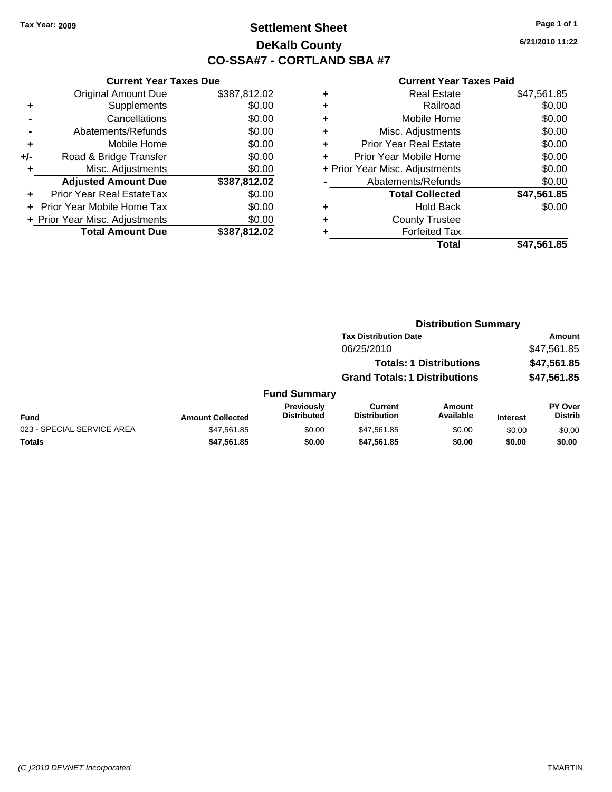# **Settlement Sheet Tax Year: 2009 Page 1 of 1 DeKalb County CO-SSA#7 - CORTLAND SBA #7**

**6/21/2010 11:22**

| <b>Current Year Taxes Due</b> |                                |  |  |  |
|-------------------------------|--------------------------------|--|--|--|
| <b>Original Amount Due</b>    | \$387,812.02                   |  |  |  |
| Supplements                   | \$0.00                         |  |  |  |
| Cancellations                 | \$0.00                         |  |  |  |
| Abatements/Refunds            | \$0.00                         |  |  |  |
| Mobile Home                   | \$0.00                         |  |  |  |
| Road & Bridge Transfer        | \$0.00                         |  |  |  |
| Misc. Adjustments             | \$0.00                         |  |  |  |
| <b>Adjusted Amount Due</b>    | \$387,812.02                   |  |  |  |
| Prior Year Real EstateTax     | \$0.00                         |  |  |  |
| Prior Year Mobile Home Tax    | \$0.00                         |  |  |  |
|                               | \$0.00                         |  |  |  |
| <b>Total Amount Due</b>       | \$387.812.02                   |  |  |  |
|                               | + Prior Year Misc. Adjustments |  |  |  |

|   | Real Estate                    | \$47,561.85 |
|---|--------------------------------|-------------|
| ٠ | Railroad                       | \$0.00      |
| ٠ | Mobile Home                    | \$0.00      |
| ٠ | Misc. Adjustments              | \$0.00      |
| ÷ | <b>Prior Year Real Estate</b>  | \$0.00      |
| ٠ | Prior Year Mobile Home         | \$0.00      |
|   | + Prior Year Misc. Adjustments | \$0.00      |
|   | Abatements/Refunds             | \$0.00      |
|   | <b>Total Collected</b>         | \$47,561.85 |
| ٠ | <b>Hold Back</b>               | \$0.00      |
| ٠ | <b>County Trustee</b>          |             |
|   | <b>Forfeited Tax</b>           |             |
|   | Total                          | \$47.561.85 |

|                            | <b>Distribution Summary</b> |                                         |                                       |                                |                 |                                  |
|----------------------------|-----------------------------|-----------------------------------------|---------------------------------------|--------------------------------|-----------------|----------------------------------|
|                            |                             |                                         | <b>Tax Distribution Date</b>          |                                |                 | Amount                           |
|                            |                             |                                         | 06/25/2010                            |                                |                 | \$47,561.85                      |
|                            |                             |                                         |                                       | <b>Totals: 1 Distributions</b> |                 | \$47,561.85                      |
|                            |                             |                                         | <b>Grand Totals: 1 Distributions</b>  |                                |                 | \$47,561.85                      |
|                            |                             | <b>Fund Summary</b>                     |                                       |                                |                 |                                  |
| Fund                       | <b>Amount Collected</b>     | <b>Previously</b><br><b>Distributed</b> | <b>Current</b><br><b>Distribution</b> | <b>Amount</b><br>Available     | <b>Interest</b> | <b>PY Over</b><br><b>Distrib</b> |
| 023 - SPECIAL SERVICE AREA | \$47,561.85                 | \$0.00                                  | \$47,561.85                           | \$0.00                         | \$0.00          | \$0.00                           |
| Totals                     | \$47,561.85                 | \$0.00                                  | \$47,561.85                           | \$0.00                         | \$0.00          | \$0.00                           |
|                            |                             |                                         |                                       |                                |                 |                                  |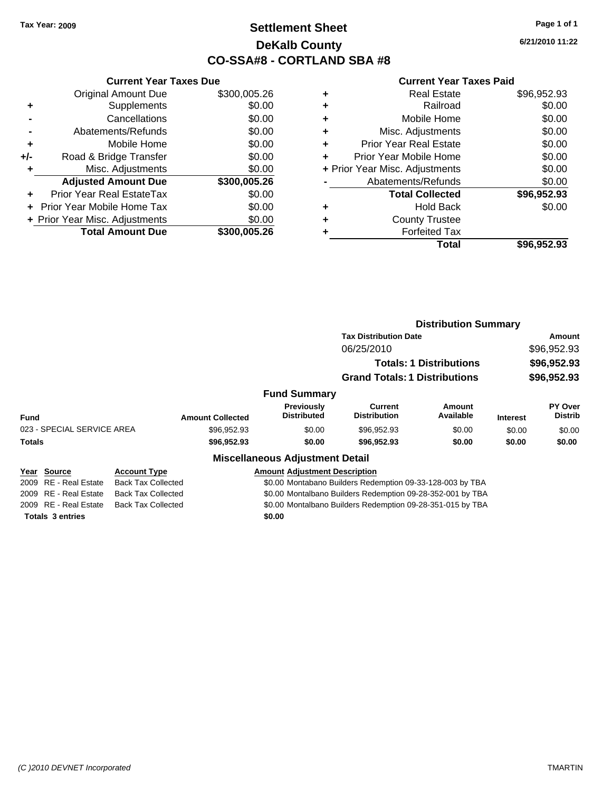# **Settlement Sheet Tax Year: 2009 Page 1 of 1 DeKalb County CO-SSA#8 - CORTLAND SBA #8**

**6/21/2010 11:22**

#### **Current Year Taxes Paid**

|       | <b>Current Year Taxes Due</b>  |              |
|-------|--------------------------------|--------------|
|       | <b>Original Amount Due</b>     | \$300,005.26 |
| ٠     | Supplements                    | \$0.00       |
|       | Cancellations                  | \$0.00       |
|       | Abatements/Refunds             | \$0.00       |
| ٠     | Mobile Home                    | \$0.00       |
| $+/-$ | Road & Bridge Transfer         | \$0.00       |
|       | Misc. Adjustments              | \$0.00       |
|       | <b>Adjusted Amount Due</b>     | \$300,005.26 |
|       | Prior Year Real EstateTax      | \$0.00       |
|       | Prior Year Mobile Home Tax     | \$0.00       |
|       | + Prior Year Misc. Adjustments | \$0.00       |
|       | <b>Total Amount Due</b>        | \$300,005.26 |
|       |                                |              |

| ٠ | <b>Real Estate</b>             | \$96,952.93 |
|---|--------------------------------|-------------|
| ٠ | Railroad                       | \$0.00      |
| ٠ | Mobile Home                    | \$0.00      |
| ٠ | Misc. Adjustments              | \$0.00      |
| ٠ | <b>Prior Year Real Estate</b>  | \$0.00      |
| ٠ | Prior Year Mobile Home         | \$0.00      |
|   | + Prior Year Misc. Adjustments | \$0.00      |
|   | Abatements/Refunds             | \$0.00      |
|   | <b>Total Collected</b>         | \$96,952.93 |
|   | <b>Hold Back</b>               | \$0.00      |
| ٠ | <b>County Trustee</b>          |             |
|   | <b>Forfeited Tax</b>           |             |
|   | Total                          | \$96.952.93 |

|                                 |                           |                         |                                         | <b>Distribution Summary</b>                                            |                            |                            |                    |
|---------------------------------|---------------------------|-------------------------|-----------------------------------------|------------------------------------------------------------------------|----------------------------|----------------------------|--------------------|
|                                 |                           |                         |                                         | <b>Tax Distribution Date</b>                                           |                            | Amount                     |                    |
|                                 |                           |                         |                                         | 06/25/2010                                                             |                            | \$96,952.93                |                    |
|                                 |                           |                         |                                         | <b>Totals: 1 Distributions</b><br><b>Grand Totals: 1 Distributions</b> |                            | \$96,952.93<br>\$96,952.93 |                    |
|                                 |                           |                         |                                         |                                                                        |                            |                            |                    |
|                                 |                           |                         | <b>Fund Summary</b>                     |                                                                        |                            |                            |                    |
| <b>Fund</b>                     |                           | <b>Amount Collected</b> | <b>Previously</b><br><b>Distributed</b> | Current<br><b>Distribution</b>                                         | <b>Amount</b><br>Available | <b>Interest</b>            | PY Over<br>Distrib |
| 023 - SPECIAL SERVICE AREA      |                           | \$96,952.93             | \$0.00                                  | \$96,952.93                                                            | \$0.00                     | \$0.00                     | \$0.00             |
| <b>Totals</b>                   |                           | \$96,952.93             | \$0.00                                  | \$96,952.93                                                            | \$0.00                     | \$0.00                     | \$0.00             |
|                                 |                           |                         | <b>Miscellaneous Adjustment Detail</b>  |                                                                        |                            |                            |                    |
| Year Source                     | <b>Account Type</b>       |                         | <b>Amount Adjustment Description</b>    |                                                                        |                            |                            |                    |
| <b>RE</b> - Real Estate<br>2009 | <b>Back Tax Collected</b> |                         |                                         | \$0.00 Montabano Builders Redemption 09-33-128-003 by TBA              |                            |                            |                    |
| 2009 RE - Real Estate           | <b>Back Tax Collected</b> |                         |                                         | \$0.00 Montalbano Builders Redemption 09-28-352-001 by TBA             |                            |                            |                    |

2009 RE - Real Estate Back Tax Collected \$0.00 Montalbano Builders Redemption 09-28-351-015 by TBA

**Totals \$0.00 3 entries**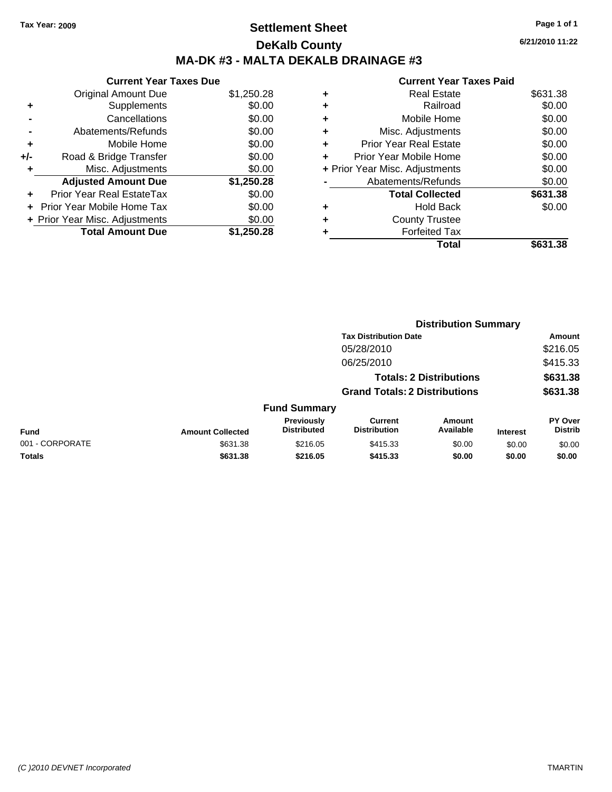# **Settlement Sheet Tax Year: 2009 Page 1 of 1 DeKalb County MA-DK #3 - MALTA DEKALB DRAINAGE #3**

**6/21/2010 11:22**

|     | <b>Current Year Taxes Due</b>     |            |  |  |  |  |  |
|-----|-----------------------------------|------------|--|--|--|--|--|
|     | <b>Original Amount Due</b>        | \$1,250.28 |  |  |  |  |  |
| ٠   | Supplements                       | \$0.00     |  |  |  |  |  |
|     | Cancellations                     | \$0.00     |  |  |  |  |  |
|     | Abatements/Refunds                | \$0.00     |  |  |  |  |  |
| ٠   | Mobile Home                       | \$0.00     |  |  |  |  |  |
| +/- | Road & Bridge Transfer            | \$0.00     |  |  |  |  |  |
| ٠   | Misc. Adjustments                 | \$0.00     |  |  |  |  |  |
|     | <b>Adjusted Amount Due</b>        | \$1,250.28 |  |  |  |  |  |
|     | <b>Prior Year Real EstateTax</b>  | \$0.00     |  |  |  |  |  |
| ÷   | <b>Prior Year Mobile Home Tax</b> | \$0.00     |  |  |  |  |  |
|     | + Prior Year Misc. Adjustments    | \$0.00     |  |  |  |  |  |
|     | <b>Total Amount Due</b>           | \$1,250,28 |  |  |  |  |  |

|   | Total                          | \$631.38 |
|---|--------------------------------|----------|
| ٠ | <b>Forfeited Tax</b>           |          |
| ٠ | <b>County Trustee</b>          |          |
| ٠ | Hold Back                      | \$0.00   |
|   | <b>Total Collected</b>         | \$631.38 |
|   | Abatements/Refunds             | \$0.00   |
|   | + Prior Year Misc. Adjustments | \$0.00   |
| ٠ | Prior Year Mobile Home         | \$0.00   |
| ÷ | <b>Prior Year Real Estate</b>  | \$0.00   |
| ٠ | Misc. Adjustments              | \$0.00   |
| ٠ | Mobile Home                    | \$0.00   |
| ٠ | Railroad                       | \$0.00   |
| ٠ | <b>Real Estate</b>             | \$631.38 |
|   |                                |          |

|                 |                         |                                  |                                       | <b>Distribution Summary</b>    |                 |                           |
|-----------------|-------------------------|----------------------------------|---------------------------------------|--------------------------------|-----------------|---------------------------|
|                 |                         |                                  | <b>Tax Distribution Date</b>          |                                |                 | Amount                    |
|                 |                         |                                  | 05/28/2010                            |                                |                 | \$216.05                  |
|                 |                         |                                  | 06/25/2010                            |                                |                 | \$415.33                  |
|                 |                         |                                  |                                       | <b>Totals: 2 Distributions</b> |                 | \$631.38                  |
|                 |                         |                                  | <b>Grand Totals: 2 Distributions</b>  |                                |                 | \$631.38                  |
|                 |                         | <b>Fund Summary</b>              |                                       |                                |                 |                           |
| <b>Fund</b>     | <b>Amount Collected</b> | Previously<br><b>Distributed</b> | <b>Current</b><br><b>Distribution</b> | Amount<br>Available            | <b>Interest</b> | PY Over<br><b>Distrib</b> |
| 001 - CORPORATE | \$631.38                | \$216.05                         | \$415.33                              | \$0.00                         | \$0.00          | \$0.00                    |
| Totals          | \$631.38                | \$216.05                         | \$415.33                              | \$0.00                         | \$0.00          | \$0.00                    |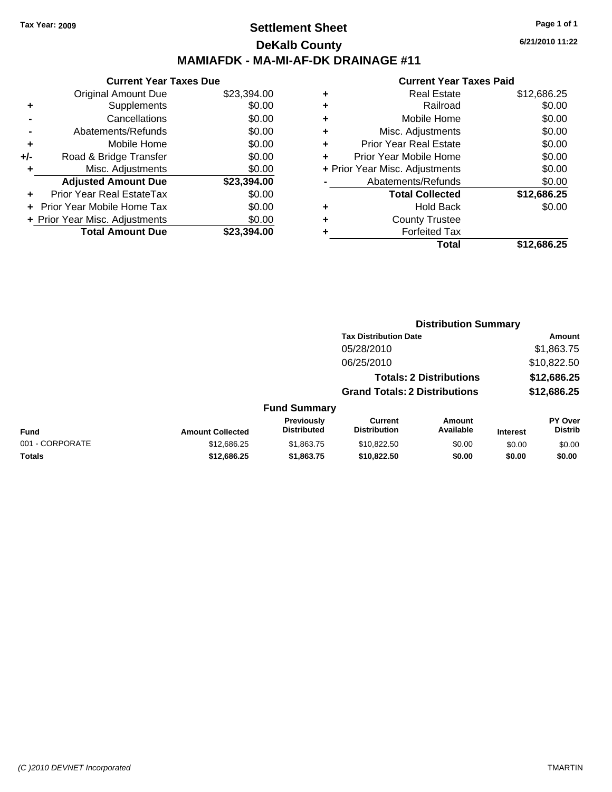## **Settlement Sheet Tax Year: 2009 Page 1 of 1 DeKalb County MAMIAFDK - MA-MI-AF-DK DRAINAGE #11**

**6/21/2010 11:22**

| <b>Current Year Taxes Due</b>     |             |  |  |  |  |
|-----------------------------------|-------------|--|--|--|--|
| <b>Original Amount Due</b>        | \$23,394.00 |  |  |  |  |
| Supplements                       | \$0.00      |  |  |  |  |
| Cancellations                     | \$0.00      |  |  |  |  |
| Abatements/Refunds                | \$0.00      |  |  |  |  |
| Mobile Home                       | \$0.00      |  |  |  |  |
| Road & Bridge Transfer            | \$0.00      |  |  |  |  |
| Misc. Adjustments                 | \$0.00      |  |  |  |  |
| <b>Adjusted Amount Due</b>        | \$23,394.00 |  |  |  |  |
| <b>Prior Year Real EstateTax</b>  | \$0.00      |  |  |  |  |
| <b>Prior Year Mobile Home Tax</b> | \$0.00      |  |  |  |  |
| + Prior Year Misc. Adjustments    | \$0.00      |  |  |  |  |
| <b>Total Amount Due</b>           | \$23.394.00 |  |  |  |  |
|                                   |             |  |  |  |  |

| ٠ | <b>Real Estate</b>             | \$12,686.25 |
|---|--------------------------------|-------------|
| ٠ | Railroad                       | \$0.00      |
| ٠ | Mobile Home                    | \$0.00      |
| ٠ | Misc. Adjustments              | \$0.00      |
| ÷ | Prior Year Real Estate         | \$0.00      |
| ÷ | Prior Year Mobile Home         | \$0.00      |
|   | + Prior Year Misc. Adjustments | \$0.00      |
|   | Abatements/Refunds             | \$0.00      |
|   | <b>Total Collected</b>         | \$12,686.25 |
| ٠ | <b>Hold Back</b>               | \$0.00      |
| ٠ | <b>County Trustee</b>          |             |
| ٠ | <b>Forfeited Tax</b>           |             |
|   | Total                          | \$12,686.25 |
|   |                                |             |

|                 |                         |                                  | <b>Distribution Summary</b>           |                                |                 |                           |
|-----------------|-------------------------|----------------------------------|---------------------------------------|--------------------------------|-----------------|---------------------------|
|                 |                         |                                  | <b>Tax Distribution Date</b>          |                                |                 | Amount                    |
|                 |                         |                                  | 05/28/2010                            |                                |                 | \$1,863.75                |
|                 |                         |                                  | 06/25/2010                            |                                |                 | \$10,822.50               |
|                 |                         |                                  |                                       | <b>Totals: 2 Distributions</b> |                 | \$12,686.25               |
|                 |                         |                                  | <b>Grand Totals: 2 Distributions</b>  |                                |                 | \$12,686.25               |
|                 |                         | <b>Fund Summary</b>              |                                       |                                |                 |                           |
| Fund            | <b>Amount Collected</b> | Previously<br><b>Distributed</b> | <b>Current</b><br><b>Distribution</b> | Amount<br>Available            | <b>Interest</b> | PY Over<br><b>Distrib</b> |
| 001 - CORPORATE | \$12.686.25             | \$1,863,75                       | \$10.822.50                           | \$0.00                         | \$0.00          | \$0.00                    |
| Totals          | \$12,686.25             | \$1,863.75                       | \$10,822.50                           | \$0.00                         | \$0.00          | \$0.00                    |
|                 |                         |                                  |                                       |                                |                 |                           |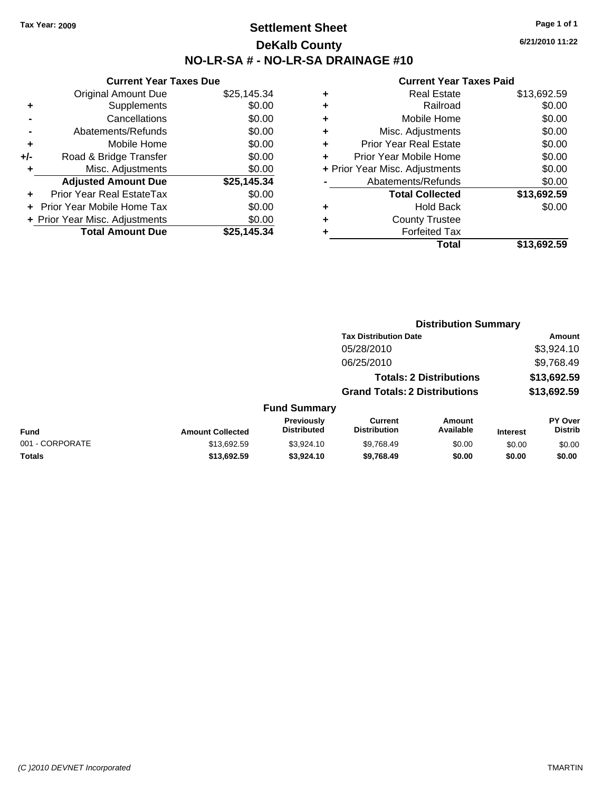# **Settlement Sheet Tax Year: 2009 Page 1 of 1 DeKalb County NO-LR-SA # - NO-LR-SA DRAINAGE #10**

**6/21/2010 11:22**

|     | <b>Current Year Taxes Due</b>  |             |
|-----|--------------------------------|-------------|
|     | <b>Original Amount Due</b>     | \$25,145.34 |
| ٠   | Supplements                    | \$0.00      |
|     | Cancellations                  | \$0.00      |
|     | Abatements/Refunds             | \$0.00      |
| ٠   | Mobile Home                    | \$0.00      |
| +/- | Road & Bridge Transfer         | \$0.00      |
| ٠   | Misc. Adjustments              | \$0.00      |
|     | <b>Adjusted Amount Due</b>     | \$25,145.34 |
| ٠   | Prior Year Real EstateTax      | \$0.00      |
|     | Prior Year Mobile Home Tax     | \$0.00      |
|     | + Prior Year Misc. Adjustments | \$0.00      |
|     | <b>Total Amount Due</b>        | \$25.145.34 |
|     |                                |             |

| ٠ | <b>Real Estate</b>             | \$13,692.59 |
|---|--------------------------------|-------------|
| ٠ | Railroad                       | \$0.00      |
| ٠ | Mobile Home                    | \$0.00      |
| ٠ | Misc. Adjustments              | \$0.00      |
| ÷ | <b>Prior Year Real Estate</b>  | \$0.00      |
| ٠ | Prior Year Mobile Home         | \$0.00      |
|   | + Prior Year Misc. Adjustments | \$0.00      |
|   | Abatements/Refunds             | \$0.00      |
|   | <b>Total Collected</b>         | \$13,692.59 |
| ٠ | <b>Hold Back</b>               | \$0.00      |
| ٠ | <b>County Trustee</b>          |             |
| ٠ | <b>Forfeited Tax</b>           |             |
|   | Total                          | \$13,692.59 |
|   |                                |             |

|                 |                         |                                  | <b>Distribution Summary</b>           |                                |                 |                           |
|-----------------|-------------------------|----------------------------------|---------------------------------------|--------------------------------|-----------------|---------------------------|
|                 |                         |                                  | <b>Tax Distribution Date</b>          |                                |                 | Amount                    |
|                 |                         |                                  | 05/28/2010                            |                                |                 | \$3,924.10                |
|                 |                         |                                  | 06/25/2010                            |                                |                 | \$9,768.49                |
|                 |                         |                                  |                                       | <b>Totals: 2 Distributions</b> |                 | \$13,692.59               |
|                 |                         |                                  | <b>Grand Totals: 2 Distributions</b>  |                                |                 | \$13,692.59               |
|                 |                         | <b>Fund Summary</b>              |                                       |                                |                 |                           |
| <b>Fund</b>     | <b>Amount Collected</b> | Previously<br><b>Distributed</b> | <b>Current</b><br><b>Distribution</b> | Amount<br>Available            | <b>Interest</b> | PY Over<br><b>Distrib</b> |
| 001 - CORPORATE | \$13.692.59             | \$3,924.10                       | \$9,768.49                            | \$0.00                         | \$0.00          | \$0.00                    |
| Totals          | \$13,692.59             | \$3,924.10                       | \$9,768.49                            | \$0.00                         | \$0.00          | \$0.00                    |
|                 |                         |                                  |                                       |                                |                 |                           |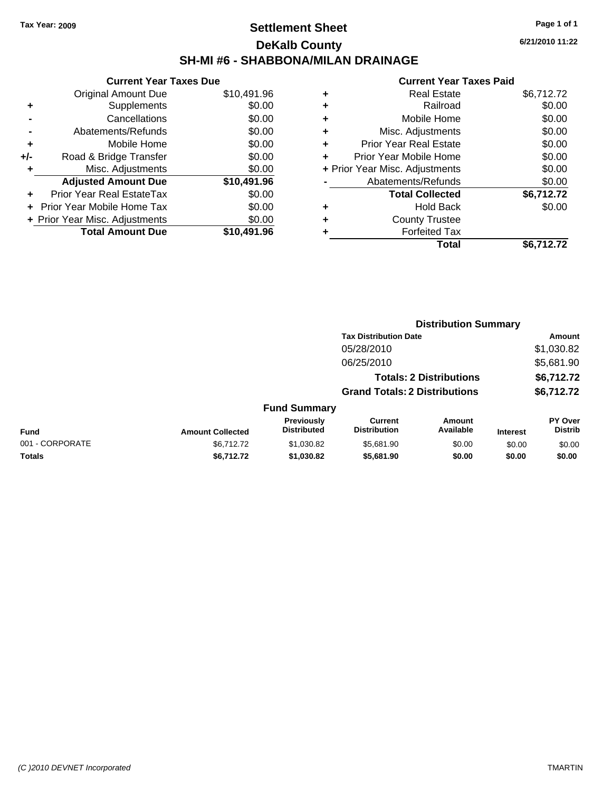# **Settlement Sheet Tax Year: 2009 Page 1 of 1 DeKalb County SH-MI #6 - SHABBONA/MILAN DRAINAGE**

**6/21/2010 11:22**

|     | <b>Current Year Taxes Due</b>  |             |  |  |  |  |
|-----|--------------------------------|-------------|--|--|--|--|
|     | <b>Original Amount Due</b>     | \$10,491.96 |  |  |  |  |
| ٠   | Supplements                    | \$0.00      |  |  |  |  |
|     | Cancellations                  | \$0.00      |  |  |  |  |
|     | Abatements/Refunds             | \$0.00      |  |  |  |  |
| ٠   | Mobile Home                    | \$0.00      |  |  |  |  |
| +/- | Road & Bridge Transfer         | \$0.00      |  |  |  |  |
|     | Misc. Adjustments              | \$0.00      |  |  |  |  |
|     | <b>Adjusted Amount Due</b>     | \$10,491.96 |  |  |  |  |
| ٠   | Prior Year Real EstateTax      | \$0.00      |  |  |  |  |
|     | Prior Year Mobile Home Tax     | \$0.00      |  |  |  |  |
|     | + Prior Year Misc. Adjustments | \$0.00      |  |  |  |  |
|     | <b>Total Amount Due</b>        | \$10,491.96 |  |  |  |  |
|     |                                |             |  |  |  |  |

| <b>Real Estate</b>             | \$6,712.72 |
|--------------------------------|------------|
| Railroad                       | \$0.00     |
| Mobile Home                    | \$0.00     |
| Misc. Adjustments              | \$0.00     |
| <b>Prior Year Real Estate</b>  | \$0.00     |
| Prior Year Mobile Home         | \$0.00     |
| + Prior Year Misc. Adjustments | \$0.00     |
| Abatements/Refunds             | \$0.00     |
| <b>Total Collected</b>         | \$6,712.72 |
| <b>Hold Back</b>               | \$0.00     |
| <b>County Trustee</b>          |            |
| <b>Forfeited Tax</b>           |            |
| Total                          | \$6,712.72 |
|                                |            |

|                 |                         |                                  |                                       | <b>Distribution Summary</b>    |                 |                                  |
|-----------------|-------------------------|----------------------------------|---------------------------------------|--------------------------------|-----------------|----------------------------------|
|                 |                         |                                  | <b>Tax Distribution Date</b>          |                                |                 | Amount                           |
|                 |                         |                                  | 05/28/2010                            |                                |                 | \$1,030.82                       |
|                 |                         |                                  | 06/25/2010                            |                                |                 | \$5,681.90                       |
|                 |                         |                                  |                                       | <b>Totals: 2 Distributions</b> |                 | \$6,712.72                       |
|                 |                         |                                  | <b>Grand Totals: 2 Distributions</b>  |                                |                 | \$6,712.72                       |
|                 |                         | <b>Fund Summary</b>              |                                       |                                |                 |                                  |
| Fund            | <b>Amount Collected</b> | Previously<br><b>Distributed</b> | <b>Current</b><br><b>Distribution</b> | Amount<br>Available            | <b>Interest</b> | <b>PY Over</b><br><b>Distrib</b> |
| 001 - CORPORATE | \$6,712.72              | \$1,030.82                       | \$5,681.90                            | \$0.00                         | \$0.00          | \$0.00                           |
| Totals          | \$6,712.72              | \$1,030.82                       | \$5,681.90                            | \$0.00                         | \$0.00          | \$0.00                           |
|                 |                         |                                  |                                       |                                |                 |                                  |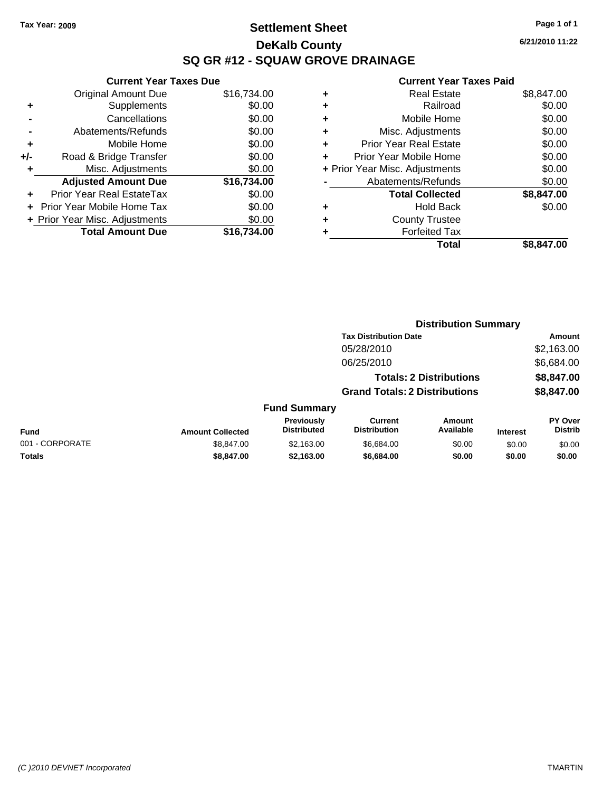**Current Year Taxes Due** Original Amount Due \$16,734.00

**Adjusted Amount Due \$16,734.00**

**Total Amount Due \$16,734.00**

**+** Supplements \$0.00 **-** Cancellations \$0.00 **-** Abatements/Refunds \$0.00 **+** Mobile Home \$0.00 **+/-** Road & Bridge Transfer \$0.00 **+** Misc. Adjustments \$0.00

**+** Prior Year Real EstateTax \$0.00 **+** Prior Year Mobile Home Tax \$0.00 **+ Prior Year Misc. Adjustments**  $$0.00$ 

## **Settlement Sheet Tax Year: 2009 Page 1 of 1 DeKalb County SQ GR #12 - SQUAW GROVE DRAINAGE**

**6/21/2010 11:22**

|   | Total                          | \$8,847.00 |
|---|--------------------------------|------------|
|   | <b>Forfeited Tax</b>           |            |
| ٠ | <b>County Trustee</b>          |            |
| ٠ | <b>Hold Back</b>               | \$0.00     |
|   | <b>Total Collected</b>         | \$8,847.00 |
|   | Abatements/Refunds             | \$0.00     |
|   | + Prior Year Misc. Adjustments | \$0.00     |
|   | Prior Year Mobile Home         | \$0.00     |
| ٠ | <b>Prior Year Real Estate</b>  | \$0.00     |
| ٠ | Misc. Adjustments              | \$0.00     |
| ٠ | Mobile Home                    | \$0.00     |
|   | Railroad                       | \$0.00     |
| ٠ | <b>Real Estate</b>             | \$8,847.00 |
|   |                                |            |

|                 |                         |                                  | <b>Distribution Summary</b>           |                                |                 |                           |
|-----------------|-------------------------|----------------------------------|---------------------------------------|--------------------------------|-----------------|---------------------------|
|                 |                         |                                  | <b>Tax Distribution Date</b>          |                                |                 | <b>Amount</b>             |
|                 |                         |                                  | 05/28/2010                            |                                |                 | \$2,163.00                |
|                 |                         |                                  | 06/25/2010                            |                                |                 | \$6,684.00                |
|                 |                         |                                  |                                       | <b>Totals: 2 Distributions</b> |                 | \$8,847.00                |
|                 |                         |                                  | <b>Grand Totals: 2 Distributions</b>  |                                |                 | \$8,847.00                |
|                 |                         | <b>Fund Summary</b>              |                                       |                                |                 |                           |
| <b>Fund</b>     | <b>Amount Collected</b> | Previously<br><b>Distributed</b> | <b>Current</b><br><b>Distribution</b> | Amount<br>Available            | <b>Interest</b> | PY Over<br><b>Distrib</b> |
| 001 - CORPORATE | \$8,847.00              | \$2,163.00                       | \$6,684.00                            | \$0.00                         | \$0.00          | \$0.00                    |
| <b>Totals</b>   | \$8,847.00              | \$2,163.00                       | \$6,684.00                            | \$0.00                         | \$0.00          | \$0.00                    |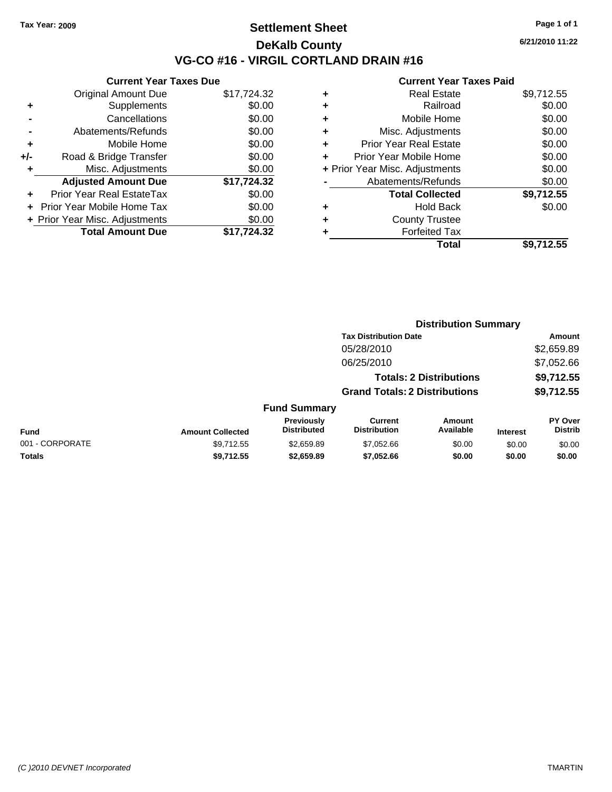## **Settlement Sheet Tax Year: 2009 Page 1 of 1 DeKalb County VG-CO #16 - VIRGIL CORTLAND DRAIN #16**

**6/21/2010 11:22**

|     | <b>Current Year Taxes Due</b>     |             |
|-----|-----------------------------------|-------------|
|     | Original Amount Due               | \$17,724.32 |
| ٠   | Supplements                       | \$0.00      |
|     | Cancellations                     | \$0.00      |
|     | Abatements/Refunds                | \$0.00      |
| ٠   | Mobile Home                       | \$0.00      |
| +/- | Road & Bridge Transfer            | \$0.00      |
|     | Misc. Adjustments                 | \$0.00      |
|     | <b>Adjusted Amount Due</b>        | \$17,724.32 |
|     | <b>Prior Year Real EstateTax</b>  | \$0.00      |
|     | <b>Prior Year Mobile Home Tax</b> | \$0.00      |
|     | + Prior Year Misc. Adjustments    | \$0.00      |
|     | <b>Total Amount Due</b>           | \$17.724.32 |

|   | <b>Real Estate</b>             | \$9,712.55 |
|---|--------------------------------|------------|
| ٠ | Railroad                       | \$0.00     |
| ٠ | Mobile Home                    | \$0.00     |
| ٠ | Misc. Adjustments              | \$0.00     |
| ٠ | <b>Prior Year Real Estate</b>  | \$0.00     |
|   | Prior Year Mobile Home         | \$0.00     |
|   | + Prior Year Misc. Adjustments | \$0.00     |
|   | Abatements/Refunds             | \$0.00     |
|   | <b>Total Collected</b>         | \$9,712.55 |
| ٠ | <b>Hold Back</b>               | \$0.00     |
| ٠ | <b>County Trustee</b>          |            |
|   | <b>Forfeited Tax</b>           |            |
|   | Total                          | \$9,712.55 |
|   |                                |            |

|                 |                         |                                  |                                       | <b>Distribution Summary</b>    |                 |                                  |
|-----------------|-------------------------|----------------------------------|---------------------------------------|--------------------------------|-----------------|----------------------------------|
|                 |                         |                                  | <b>Tax Distribution Date</b>          |                                |                 | Amount                           |
|                 |                         |                                  | 05/28/2010                            |                                |                 | \$2,659.89                       |
|                 |                         |                                  | 06/25/2010                            |                                |                 | \$7,052.66                       |
|                 |                         |                                  |                                       | <b>Totals: 2 Distributions</b> |                 | \$9,712.55                       |
|                 |                         |                                  | <b>Grand Totals: 2 Distributions</b>  |                                |                 | \$9,712.55                       |
|                 |                         | <b>Fund Summary</b>              |                                       |                                |                 |                                  |
| <b>Fund</b>     | <b>Amount Collected</b> | Previously<br><b>Distributed</b> | <b>Current</b><br><b>Distribution</b> | Amount<br>Available            | <b>Interest</b> | <b>PY Over</b><br><b>Distrib</b> |
| 001 - CORPORATE | \$9,712.55              | \$2,659.89                       | \$7,052.66                            | \$0.00                         | \$0.00          | \$0.00                           |
| Totals          | \$9,712.55              | \$2,659.89                       | \$7,052.66                            | \$0.00                         | \$0.00          | \$0.00                           |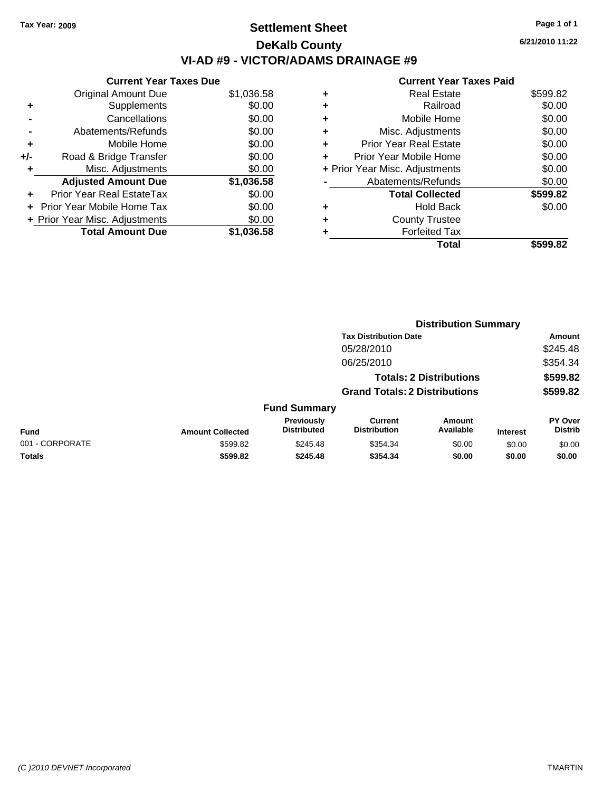# **Settlement Sheet Tax Year: 2009 Page 1 of 1 DeKalb County VI-AD #9 - VICTOR/ADAMS DRAINAGE #9**

**6/21/2010 11:22**

| <b>Current Year Taxes Due</b>  |            |
|--------------------------------|------------|
| <b>Original Amount Due</b>     | \$1,036.58 |
| Supplements                    | \$0.00     |
| Cancellations                  | \$0.00     |
| Abatements/Refunds             | \$0.00     |
| Mobile Home                    | \$0.00     |
| Road & Bridge Transfer         | \$0.00     |
| Misc. Adjustments              | \$0.00     |
| <b>Adjusted Amount Due</b>     | \$1,036.58 |
| Prior Year Real EstateTax      | \$0.00     |
| Prior Year Mobile Home Tax     | \$0.00     |
| + Prior Year Misc. Adjustments | \$0.00     |
| <b>Total Amount Due</b>        | \$1.036.58 |
|                                |            |

|   | Total                          | \$599.82 |
|---|--------------------------------|----------|
|   | <b>Forfeited Tax</b>           |          |
| ٠ | <b>County Trustee</b>          |          |
| ٠ | <b>Hold Back</b>               | \$0.00   |
|   | <b>Total Collected</b>         | \$599.82 |
|   | Abatements/Refunds             | \$0.00   |
|   | + Prior Year Misc. Adjustments | \$0.00   |
| ٠ | Prior Year Mobile Home         | \$0.00   |
| ÷ | Prior Year Real Estate         | \$0.00   |
| ٠ | Misc. Adjustments              | \$0.00   |
| ٠ | Mobile Home                    | \$0.00   |
| ÷ | Railroad                       | \$0.00   |
| ٠ | <b>Real Estate</b>             | \$599.82 |
|   |                                |          |

|                 |                         |                                  |                                       | <b>Distribution Summary</b>    |                 |                           |
|-----------------|-------------------------|----------------------------------|---------------------------------------|--------------------------------|-----------------|---------------------------|
|                 |                         |                                  | <b>Tax Distribution Date</b>          |                                |                 | Amount                    |
|                 |                         |                                  | 05/28/2010                            |                                |                 | \$245.48                  |
|                 |                         |                                  | 06/25/2010                            |                                |                 | \$354.34                  |
|                 |                         |                                  |                                       | <b>Totals: 2 Distributions</b> |                 | \$599.82                  |
|                 |                         |                                  | <b>Grand Totals: 2 Distributions</b>  |                                |                 | \$599.82                  |
|                 |                         | <b>Fund Summary</b>              |                                       |                                |                 |                           |
| <b>Fund</b>     | <b>Amount Collected</b> | Previously<br><b>Distributed</b> | <b>Current</b><br><b>Distribution</b> | <b>Amount</b><br>Available     | <b>Interest</b> | PY Over<br><b>Distrib</b> |
| 001 - CORPORATE | \$599.82                | \$245.48                         | \$354.34                              | \$0.00                         | \$0.00          | \$0.00                    |
| Totals          | \$599.82                | \$245.48                         | \$354.34                              | \$0.00                         | \$0.00          | \$0.00                    |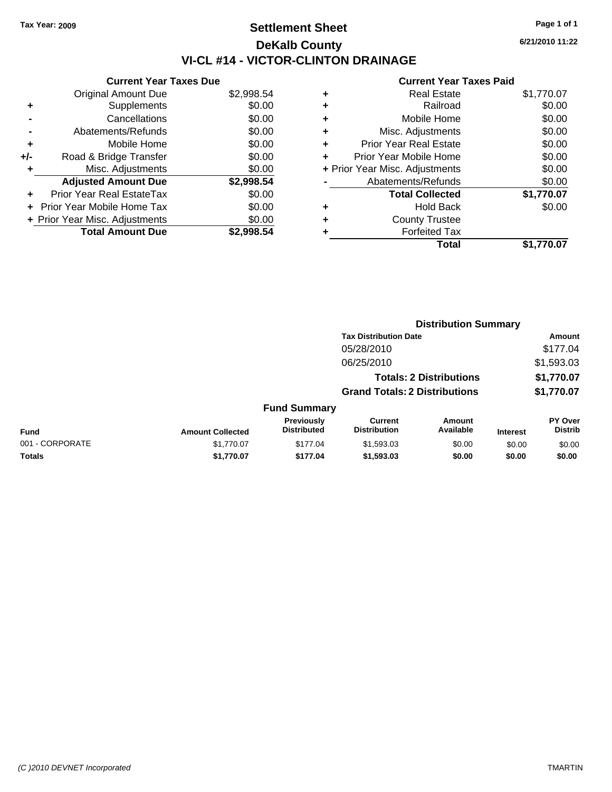# **Settlement Sheet Tax Year: 2009 Page 1 of 1 DeKalb County VI-CL #14 - VICTOR-CLINTON DRAINAGE**

**6/21/2010 11:22**

|     | <b>Current Year Taxes Due</b>     |            |
|-----|-----------------------------------|------------|
|     | <b>Original Amount Due</b>        | \$2,998.54 |
| ٠   | Supplements                       | \$0.00     |
|     | Cancellations                     | \$0.00     |
|     | Abatements/Refunds                | \$0.00     |
| ٠   | Mobile Home                       | \$0.00     |
| +/- | Road & Bridge Transfer            | \$0.00     |
|     | Misc. Adjustments                 | \$0.00     |
|     | <b>Adjusted Amount Due</b>        | \$2,998.54 |
| ٠   | Prior Year Real EstateTax         | \$0.00     |
|     | <b>Prior Year Mobile Home Tax</b> | \$0.00     |
|     | + Prior Year Misc. Adjustments    | \$0.00     |
|     | <b>Total Amount Due</b>           | \$2.998.54 |

|   | <b>Real Estate</b>             | \$1,770.07 |
|---|--------------------------------|------------|
| ٠ | Railroad                       | \$0.00     |
| ٠ | Mobile Home                    | \$0.00     |
| ٠ | Misc. Adjustments              | \$0.00     |
| ٠ | <b>Prior Year Real Estate</b>  | \$0.00     |
| ÷ | Prior Year Mobile Home         | \$0.00     |
|   | + Prior Year Misc. Adjustments | \$0.00     |
|   | Abatements/Refunds             | \$0.00     |
|   | <b>Total Collected</b>         | \$1,770.07 |
| ٠ | Hold Back                      | \$0.00     |
| ٠ | <b>County Trustee</b>          |            |
| ٠ | <b>Forfeited Tax</b>           |            |
|   | Total                          | \$1,770.07 |
|   |                                |            |

|                 |                         |                                  |                                       | <b>Distribution Summary</b>    |                 |                                  |
|-----------------|-------------------------|----------------------------------|---------------------------------------|--------------------------------|-----------------|----------------------------------|
|                 |                         |                                  | <b>Tax Distribution Date</b>          |                                |                 | Amount                           |
|                 |                         |                                  | 05/28/2010                            |                                |                 | \$177.04                         |
|                 |                         |                                  | 06/25/2010                            |                                |                 | \$1,593.03                       |
|                 |                         |                                  |                                       | <b>Totals: 2 Distributions</b> |                 | \$1,770.07                       |
|                 |                         |                                  | <b>Grand Totals: 2 Distributions</b>  |                                |                 | \$1,770.07                       |
|                 |                         | <b>Fund Summary</b>              |                                       |                                |                 |                                  |
| Fund            | <b>Amount Collected</b> | Previously<br><b>Distributed</b> | <b>Current</b><br><b>Distribution</b> | <b>Amount</b><br>Available     | <b>Interest</b> | <b>PY Over</b><br><b>Distrib</b> |
| 001 - CORPORATE | \$1,770.07              | \$177.04                         | \$1,593.03                            | \$0.00                         | \$0.00          | \$0.00                           |
| Totals          | \$1,770.07              | \$177.04                         | \$1,593.03                            | \$0.00                         | \$0.00          | \$0.00                           |
|                 |                         |                                  |                                       |                                |                 |                                  |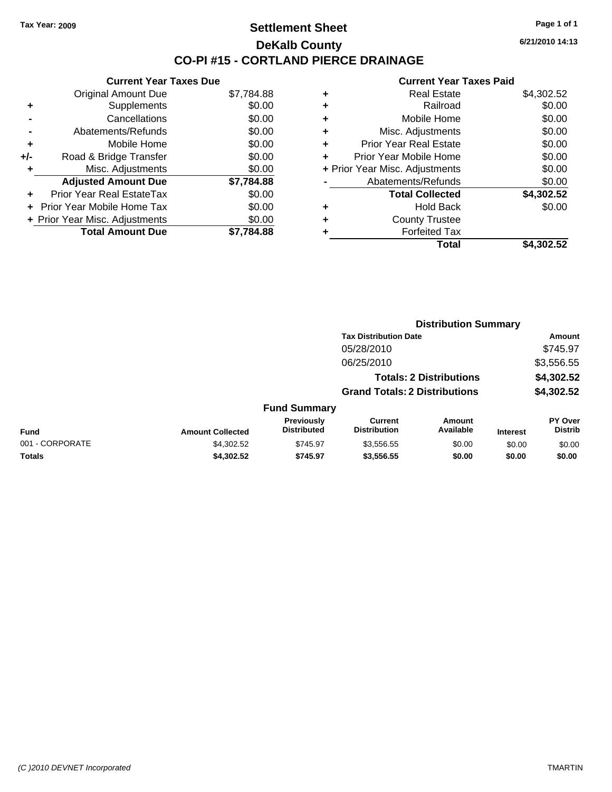### **Settlement Sheet Tax Year: 2009 Page 1 of 1 DeKalb County CO-PI #15 - CORTLAND PIERCE DRAINAGE**

**6/21/2010 14:13**

|     | <b>Current Year Taxes Due</b>     |            |   |                |
|-----|-----------------------------------|------------|---|----------------|
|     | <b>Original Amount Due</b>        | \$7,784.88 | ٠ |                |
|     | <b>Supplements</b>                | \$0.00     | ٠ |                |
|     | Cancellations                     | \$0.00     | ٠ |                |
|     | Abatements/Refunds                | \$0.00     | ٠ | М              |
|     | Mobile Home                       | \$0.00     |   | Prior \        |
| +/- | Road & Bridge Transfer            | \$0.00     |   | Prior Ye       |
|     | Misc. Adjustments                 | \$0.00     |   | + Prior Year M |
|     | <b>Adjusted Amount Due</b>        | \$7,784.88 |   | Abat           |
|     | Prior Year Real EstateTax         | \$0.00     |   |                |
|     | <b>Prior Year Mobile Home Tax</b> | \$0.00     |   |                |
|     | + Prior Year Misc. Adjustments    | \$0.00     |   |                |
|     | <b>Total Amount Due</b>           | \$7,784.88 |   |                |
|     |                                   |            |   |                |

|   | <b>Real Estate</b>             | \$4,302.52 |
|---|--------------------------------|------------|
| ٠ | Railroad                       | \$0.00     |
| ٠ | Mobile Home                    | \$0.00     |
| ٠ | Misc. Adjustments              | \$0.00     |
| ٠ | <b>Prior Year Real Estate</b>  | \$0.00     |
|   | Prior Year Mobile Home         | \$0.00     |
|   | + Prior Year Misc. Adjustments | \$0.00     |
|   | Abatements/Refunds             | \$0.00     |
|   | <b>Total Collected</b>         | \$4,302.52 |
| ٠ | <b>Hold Back</b>               | \$0.00     |
| ٠ | <b>County Trustee</b>          |            |
|   | <b>Forfeited Tax</b>           |            |
|   | Total                          | \$4,302.52 |
|   |                                |            |

|                 |                                                                        |                                  | <b>Distribution Summary</b>           |                            |                 |                                  |
|-----------------|------------------------------------------------------------------------|----------------------------------|---------------------------------------|----------------------------|-----------------|----------------------------------|
|                 | <b>Tax Distribution Date</b>                                           |                                  |                                       |                            | Amount          |                                  |
|                 |                                                                        |                                  | 05/28/2010                            |                            |                 | \$745.97                         |
|                 |                                                                        |                                  | 06/25/2010                            |                            |                 | \$3,556.55                       |
|                 | <b>Totals: 2 Distributions</b><br><b>Grand Totals: 2 Distributions</b> |                                  |                                       | \$4,302.52<br>\$4,302.52   |                 |                                  |
|                 |                                                                        |                                  |                                       |                            |                 |                                  |
|                 |                                                                        | <b>Fund Summary</b>              |                                       |                            |                 |                                  |
| Fund            | <b>Amount Collected</b>                                                | Previously<br><b>Distributed</b> | <b>Current</b><br><b>Distribution</b> | <b>Amount</b><br>Available | <b>Interest</b> | <b>PY Over</b><br><b>Distrib</b> |
| 001 - CORPORATE | \$4,302.52                                                             | \$745.97                         | \$3,556.55                            | \$0.00                     | \$0.00          | \$0.00                           |
| Totals          | \$4,302.52                                                             | \$745.97                         | \$3,556.55                            | \$0.00                     | \$0.00          | \$0.00                           |
|                 |                                                                        |                                  |                                       |                            |                 |                                  |